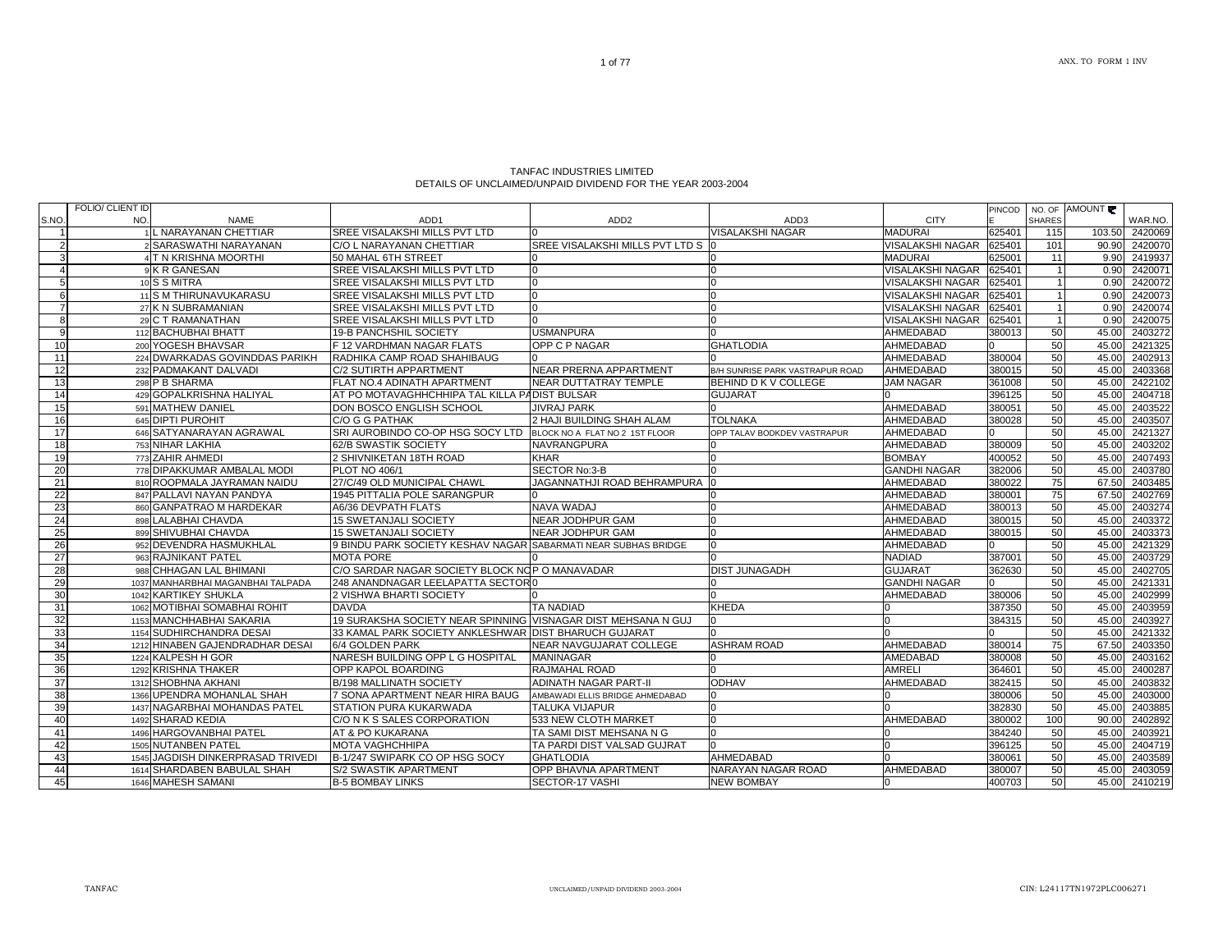| TANFAC INDUSTRIES LIMITED                                   |
|-------------------------------------------------------------|
| DETAILS OF UNCLAIMED/UNPAID DIVIDEND FOR THE YEAR 2003-2004 |

|                | FOLIO/ CLIENT ID |                                   |                                                                |                                    |                                 |                         | <b>PINCOD</b> |               | NO. OF AMOUNT ₹ |         |
|----------------|------------------|-----------------------------------|----------------------------------------------------------------|------------------------------------|---------------------------------|-------------------------|---------------|---------------|-----------------|---------|
| S.NO.          | NO.              | <b>NAME</b>                       | ADD <sub>1</sub>                                               | ADD <sub>2</sub>                   | ADD3                            | <b>CITY</b>             |               | <b>SHARES</b> |                 | WAR.NO. |
|                |                  | NARAYANAN CHETTIAR                | SREE VISALAKSHI MILLS PVT LTD                                  |                                    | VISALAKSHI NAGAR                | <b>MADURAI</b>          | 625401        | 115           | 103.50          | 2420069 |
| $\mathcal{P}$  |                  | 2 SARASWATHI NARAYANAN            | C/O L NARAYANAN CHETTIAR                                       | SREE VISALAKSHI MILLS PVT LTD S 0  |                                 | VISALAKSHI NAGAR        | 625401        | 101           | 90.90           | 2420070 |
|                |                  | <b>T N KRISHNA MOORTHI</b>        | 50 MAHAL 6TH STREET                                            |                                    |                                 | <b>MADURAI</b>          | 625001        | 11            | 9.90            | 2419937 |
|                |                  | 9 K R GANESAN                     | SREE VISALAKSHI MILLS PVT LTD                                  |                                    |                                 | VISALAKSHI NAGAR        | 625401        |               | 0.90            | 2420071 |
| 5 <sub>l</sub> |                  | 10 S S MITRA                      | SREE VISALAKSHI MILLS PVT LTD                                  | $\Omega$                           |                                 | <b>VISALAKSHI NAGAR</b> | 625401        |               | 0.90            | 2420072 |
| 6              |                  | 11 S M THIRUNAVUKARASU            | SREE VISALAKSHI MILLS PVT LTD                                  | $\Omega$                           |                                 | <b>VISALAKSHI NAGAR</b> | 625401        |               | 0.90            | 2420073 |
|                |                  | 27 K N SUBRAMANIAN                | SREE VISALAKSHI MILLS PVT LTD                                  | $\Omega$                           | ın                              | <b>VISALAKSHI NAGAR</b> | 625401        |               | 0.90            | 2420074 |
| 8              |                  | 29 C T RAMANATHAN                 | SREE VISALAKSHI MILLS PVT LTD                                  | $\cap$                             |                                 | <b>VISALAKSHI NAGAR</b> | 625401        |               | 0.90            | 2420075 |
| 9              |                  | 112 BACHUBHAI BHATT               | 19-B PANCHSHIL SOCIETY                                         | <b>USMANPURA</b>                   |                                 | AHMEDABAD               | 380013        | 50            | 45.00           | 2403272 |
| 10             |                  | 200 YOGESH BHAVSAR                | F 12 VARDHMAN NAGAR FLATS                                      | OPP C P NAGAR                      | <b>GHATLODIA</b>                | AHMEDABAD               |               | 50            | 45.00           | 2421325 |
| 11             |                  | 224 DWARKADAS GOVINDDAS PARIKH    | RADHIKA CAMP ROAD SHAHIBAUG                                    |                                    |                                 | AHMEDABAD               | 380004        | 50            | 45.00           | 2402913 |
| 12             |                  | 232 PADMAKANT DALVADI             | C/2 SUTIRTH APPARTMENT                                         | NEAR PRERNA APPARTMENT             | B/H SUNRISE PARK VASTRAPUR ROAD | AHMEDABAD               | 380015        | 50            | 45.00           | 2403368 |
| 13             |                  | 298 P B SHARMA                    | FLAT NO.4 ADINATH APARTMENT                                    | <b>NEAR DUTTATRAY TEMPLE</b>       | BEHIND D K V COLLEGE            | <b>JAM NAGAR</b>        | 361008        | 50            | 45.00           | 2422102 |
| 14             |                  | 429 GOPALKRISHNA HALIYAL          | AT PO MOTAVAGHHCHHIPA TAL KILLA PADIST BULSAR                  |                                    | <b>GUJARAT</b>                  |                         | 396125        | 50            | 45.00           | 2404718 |
| 15             |                  | 591 MATHEW DANIEL                 | DON BOSCO ENGLISH SCHOOL                                       | <b>JIVRAJ PARK</b>                 |                                 | AHMEDABAD               | 380051        | 50            | 45.00           | 2403522 |
| 16             |                  | 645 DIPTI PUROHIT                 | C/O G G PATHAK                                                 | 2 HAJI BUILDING SHAH ALAM          | <b>TOLNAKA</b>                  | AHMEDABAD               | 380028        | 50            | 45.00           | 2403507 |
| 17             |                  | 646 SATYANARAYAN AGRAWAL          | SRI AUROBINDO CO-OP HSG SOCY LTD                               | BLOCK NO A FLAT NO 2 1ST FLOOR     | OPP TALAV BODKDEV VASTRAPUR     | AHMEDABAD               |               | 50            | 45.00           | 2421327 |
| 18             |                  | 753 NIHAR LAKHIA                  | 62/B SWASTIK SOCIETY                                           | NAVRANGPURA                        |                                 | AHMEDABAD               | 380009        | 50            | 45.00           | 2403202 |
| 19             |                  | 773 ZAHIR AHMEDI                  | 2 SHIVNIKETAN 18TH ROAD                                        | <b>KHAR</b>                        |                                 | <b>BOMBAY</b>           | 400052        | 50            | 45.00           | 2407493 |
| 20             |                  | 778 DIPAKKUMAR AMBALAL MODI       | PLOT NO 406/1                                                  | SECTOR No:3-B                      |                                 | <b>GANDHI NAGAR</b>     | 382006        | 50            | 45.00           | 2403780 |
| 21             |                  | 810 ROOPMALA JAYRAMAN NAIDU       | 27/C/49 OLD MUNICIPAL CHAWL                                    | <b>JAGANNATHJI ROAD BEHRAMPURA</b> |                                 | AHMEDABAD               | 380022        | 75            | 67.50           | 2403485 |
| 22             |                  | 847 PALLAVI NAYAN PANDYA          | 1945 PITTALIA POLE SARANGPUR                                   |                                    |                                 | AHMEDABAD               | 380001        | 75            | 67.50           | 2402769 |
| 23             |                  | 860 GANPATRAO M HARDEKAR          | A6/36 DEVPATH FLATS                                            | NAVA WADAJ                         |                                 | AHMEDABAD               | 380013        | 50            | 45.00           | 2403274 |
| 24             |                  | 898 LALABHAI CHAVDA               | <b>15 SWETANJALI SOCIETY</b>                                   | <b>NEAR JODHPUR GAM</b>            |                                 | AHMEDABAD               | 380015        | 50            | 45.00           | 2403372 |
| 25             |                  | 899 SHIVUBHAI CHAVDA              | <b>15 SWETANJALI SOCIETY</b>                                   | <b>NEAR JODHPUR GAM</b>            |                                 | AHMEDABAD               | 380015        | 50            | 45.00           | 2403373 |
| 26             |                  | 952 DEVENDRA HASMUKHLAL           | 9 BINDU PARK SOCIETY KESHAV NAGAR SABARMATI NEAR SUBHAS BRIDGE |                                    |                                 | AHMEDABAD               |               | 50            | 45.00           | 2421329 |
| 27             |                  | 963 RAJNIKANT PATEL               | <b>MOTA PORE</b>                                               |                                    |                                 | <b>NADIAD</b>           | 387001        | 50            | 45.00           | 2403729 |
| 28             |                  | 988 CHHAGAN LAL BHIMANI           | C/O SARDAR NAGAR SOCIETY BLOCK NOP O MANAVADAR                 |                                    | <b>DIST JUNAGADH</b>            | <b>GUJARAT</b>          | 362630        | 50            | 45.00           | 2402705 |
| 29             |                  | 1037 MANHARBHAI MAGANBHAI TALPADA | 248 ANANDNAGAR LEELAPATTA SECTOR 0                             |                                    |                                 | <b>GANDHI NAGAR</b>     |               | 50            | 45.00           | 2421331 |
| 30             |                  | 1042 KARTIKEY SHUKLA              | 2 VISHWA BHARTI SOCIETY                                        |                                    |                                 | AHMEDABAD               | 380006        | 50            | 45.00           | 2402999 |
| 31             |                  | 1062 MOTIBHAI SOMABHAI ROHIT      | <b>DAVDA</b>                                                   | <b>TA NADIAD</b>                   | <b>KHEDA</b>                    |                         | 387350        | 50            | 45.00           | 2403959 |
| 32             |                  | 1153 MANCHHABHAI SAKARIA          | 19 SURAKSHA SOCIETY NEAR SPINNING VISNAGAR DIST MEHSANA N GUJ  |                                    |                                 |                         | 384315        | 50            | 45.00           | 2403927 |
| 33             |                  | 1154 SUDHIRCHANDRA DESAI          | 33 KAMAL PARK SOCIETY ANKLESHWAR DIST BHARUCH GUJARAT          |                                    |                                 |                         |               | 50            | 45.00           | 2421332 |
| 34             |                  | 1212 HINABEN GAJENDRADHAR DESAI   | 6/4 GOLDEN PARK                                                | NEAR NAVGUJARAT COLLEGE            | <b>ASHRAM ROAD</b>              | AHMEDABAD               | 380014        | 75            | 67.50           | 2403350 |
| 35             |                  | 1224 KALPESH H GOR                | NARESH BUILDING OPP L G HOSPITAL                               | <b>MANINAGAR</b>                   |                                 | AMEDABAD                | 380008        | 50            | 45.00           | 2403162 |
| 36             |                  | 1292 KRISHNA THAKER               | OPP KAPOL BOARDING                                             | RAJMAHAL ROAD                      |                                 | <b>AMRELI</b>           | 364601        | 50            | 45.00           | 2400287 |
| 37             |                  | 1312 SHOBHNA AKHANI               | B/198 MALLINATH SOCIETY                                        | ADINATH NAGAR PART-II              | <b>ODHAV</b>                    | AHMEDABAD               | 382415        | 50            | 45.00           | 2403832 |
| 38             |                  | 1366 UPENDRA MOHANLAL SHAH        | 7 SONA APARTMENT NEAR HIRA BAUG                                | AMBAWADI ELLIS BRIDGE AHMEDABAD    |                                 |                         | 380006        | 50            | 45.00           | 2403000 |
| 39             |                  | 1437 NAGARBHAI MOHANDAS PATEL     | STATION PURA KUKARWADA                                         | <b>TALUKA VIJAPUR</b>              |                                 |                         | 382830        | 50            | 45.00           | 2403885 |
| 40             |                  | 1492 SHARAD KEDIA                 | C/O N K S SALES CORPORATION                                    | 533 NEW CLOTH MARKET               |                                 | AHMEDABAD               | 380002        | 100           | 90.00           | 2402892 |
| 41             |                  | 1496 HARGOVANBHAI PATEL           | AT & PO KUKARANA                                               | TA SAMI DIST MEHSANA N G           |                                 |                         | 384240        | 50            | 45.00           | 2403921 |
| 42             |                  | 1505 NUTANBEN PATEL               | MOTA VAGHCHHIPA                                                | TA PARDI DIST VALSAD GUJRAT        |                                 |                         | 396125        | 50            | 45.00           | 2404719 |
| 43             |                  | 1545 JAGDISH DINKERPRASAD TRIVEDI | B-1/247 SWIPARK CO OP HSG SOCY                                 | <b>GHATLODIA</b>                   | AHMEDABAD                       |                         | 380061        | 50            | 45.00           | 2403589 |
| 44             |                  | 1614 SHARDABEN BABULAL SHAH       | S/2 SWASTIK APARTMENT                                          | <b>OPP BHAVNA APARTMENT</b>        | NARAYAN NAGAR ROAD              | AHMEDABAD               | 380007        | 50            | 45.00           | 2403059 |
| 45             |                  | 1646 MAHESH SAMANI                | <b>B-5 BOMBAY LINKS</b>                                        | SECTOR-17 VASHI                    | <b>NEW BOMBAY</b>               |                         | 400703        | 50            | 45.00           | 2410219 |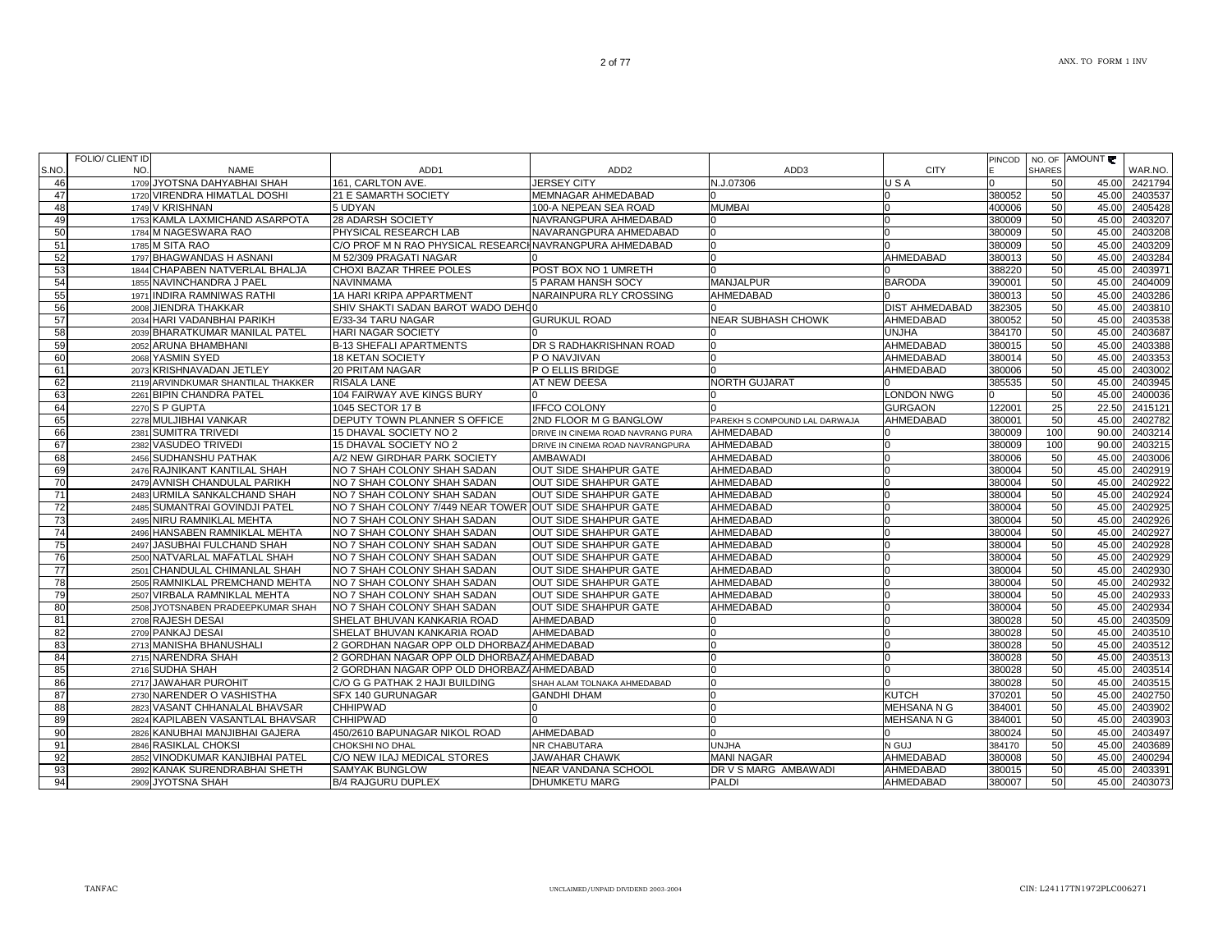|                 | <b>FOLIO/ CLIENT ID</b><br>NO.             | ADD <sub>1</sub>                                         |                                        |                               | <b>CITY</b>           | <b>PINCOD</b> | <b>SHARES</b> | NO. OF AMOUNT |                    |
|-----------------|--------------------------------------------|----------------------------------------------------------|----------------------------------------|-------------------------------|-----------------------|---------------|---------------|---------------|--------------------|
| S.NO.<br>46     | <b>NAME</b><br>1709 JYOTSNA DAHYABHAI SHAH | 161. CARLTON AVE.                                        | ADD <sub>2</sub><br><b>JERSEY CITY</b> | ADD3<br>N.J.07306             | USA                   |               | 50            | 45.00         | WAR.NO.<br>2421794 |
| 47              | 1720 VIRENDRA HIMATLAL DOSHI               | 21 E SAMARTH SOCIETY                                     | <b>MEMNAGAR AHMEDABAD</b>              |                               |                       | 380052        | 50            | 45.00         | 2403537            |
| 48              | 1749 V KRISHNAN                            | 5 UDYAN                                                  | 100-A NEPEAN SEA ROAD                  | <b>MUMBAI</b>                 |                       | 400006        | 50            | 45.00         | 2405428            |
| 49              | 1753 KAMLA LAXMICHAND ASARPOTA             | 28 ADARSH SOCIETY                                        | NAVRANGPURA AHMEDABAD                  |                               |                       | 380009        | 50            | 45.00         | 2403207            |
| 50              | 1784 M NAGESWARA RAO                       | PHYSICAL RESEARCH LAB                                    | NAVARANGPURA AHMEDABAD                 |                               |                       | 380009        | 50            | 45.00         | 2403208            |
| 51              | 1785 M SITA RAO                            | C/O PROF M N RAO PHYSICAL RESEARCH NAVRANGPURA AHMEDABAD |                                        |                               |                       | 380009        | 50            | 45.00         | 2403209            |
| 52              | 1797 BHAGWANDAS H ASNANI                   | M 52/309 PRAGATI NAGAR                                   |                                        |                               | <b>AHMEDABAD</b>      | 380013        | 50            | 45.00         | 2403284            |
| 53              | 1844 CHAPABEN NATVERLAL BHALJA             | CHOXI BAZAR THREE POLES                                  | POST BOX NO 1 UMRETH                   |                               |                       | 388220        | 50            | 45.00         | 2403971            |
| 54              | 1855 NAVINCHANDRA J PAEL                   | <b>NAVINMAMA</b>                                         | 5 PARAM HANSH SOCY                     | <b>MANJALPUR</b>              | <b>BARODA</b>         | 390001        | 50            | 45.00         | 2404009            |
| 55              | 1971 INDIRA RAMNIWAS RATHI                 | 1A HARI KRIPA APPARTMENT                                 | NARAINPURA RLY CROSSING                | AHMEDABAD                     |                       | 380013        | 50            | 45.00         | 2403286            |
| 56              | 2008 JIENDRA THAKKAR                       | SHIV SHAKTI SADAN BAROT WADO DEHO0                       |                                        |                               | <b>DIST AHMEDABAD</b> | 382305        | 50            | 45.00         | 2403810            |
| 57              | 2034 HARI VADANBHAI PARIKH                 | E/33-34 TARU NAGAR                                       | <b>GURUKUL ROAD</b>                    | <b>NEAR SUBHASH CHOWK</b>     | <b>AHMEDABAD</b>      | 380052        | 50            | 45.00         | 2403538            |
| 58              | 2039 BHARATKUMAR MANILAL PATEL             | <b>HARI NAGAR SOCIETY</b>                                |                                        |                               | <b>UNJHA</b>          | 384170        | 50            | 45.00         | 2403687            |
| 59              | 2052 ARUNA BHAMBHANI                       | <b>B-13 SHEFALI APARTMENTS</b>                           | DR S RADHAKRISHNAN ROAD                |                               | AHMEDABAD             | 380015        | 50            | 45.00         | 2403388            |
| 60              | 2068 YASMIN SYED                           | <b>18 KETAN SOCIETY</b>                                  | P O NAVJIVAN                           |                               | AHMEDABAD             | 380014        | 50            | 45.00         | 2403353            |
| 61              | 2073 KRISHNAVADAN JETLEY                   | 20 PRITAM NAGAR                                          | P O ELLIS BRIDGE                       |                               | AHMEDABAD             | 380006        | 50            | 45.00         | 2403002            |
| 62              | 2119 ARVINDKUMAR SHANTILAL THAKKER         | <b>RISALA LANE</b>                                       | AT NEW DEESA                           | <b>NORTH GUJARAT</b>          |                       | 385535        | 50            | 45.00         | 2403945            |
| 63              | 2261 BIPIN CHANDRA PATEL                   | 104 FAIRWAY AVE KINGS BURY                               |                                        |                               | <b>LONDON NWG</b>     |               | 50            | 45.00         | 2400036            |
| 64              | 2270 S P GUPTA                             | 1045 SECTOR 17 B                                         | IFFCO COLONY                           |                               | <b>GURGAON</b>        | 122001        | 25            | 22.50         | 2415121            |
| 65              | 2278 MULJIBHAI VANKAR                      | <b>DEPUTY TOWN PLANNER S OFFICE</b>                      | 2ND FLOOR M G BANGLOW                  | PAREKH S COMPOUND LAL DARWAJA | AHMEDABAD             | 380001        | 50            | 45.00         | 2402782            |
| 66              | 2381 SUMITRA TRIVEDI                       | 15 DHAVAL SOCIETY NO 2                                   | DRIVE IN CINEMA ROAD NAVRANG PURA      | AHMEDABAD                     |                       | 380009        | 100           | 90.00         | 2403214            |
| 67              | 2382 VASUDEO TRIVEDI                       | 15 DHAVAL SOCIETY NO 2                                   | DRIVE IN CINEMA ROAD NAVRANGPURA       | AHMEDABAD                     |                       | 380009        | 100           | 90.00         | 2403215            |
| 68              | 2456 SUDHANSHU PATHAK                      | A/2 NEW GIRDHAR PARK SOCIETY                             | <b>AMBAWADI</b>                        | AHMEDABAD                     |                       | 380006        | 50            | 45.00         | 2403006            |
| 69              | 2476 RAJNIKANT KANTILAL SHAH               | NO 7 SHAH COLONY SHAH SADAN                              | <b>OUT SIDE SHAHPUR GATE</b>           | AHMEDABAD                     |                       | 380004        | 50            | 45.00         | 2402919            |
| 70              | 2479 AVNISH CHANDULAL PARIKH               | NO 7 SHAH COLONY SHAH SADAN                              | <b>OUT SIDE SHAHPUR GATE</b>           | AHMEDABAD                     |                       | 380004        | 50            | 45.00         | 2402922            |
| 71              | 2483 URMILA SANKALCHAND SHAH               | NO 7 SHAH COLONY SHAH SADAN                              | OUT SIDE SHAHPUR GATE                  | AHMEDABAD                     |                       | 380004        | 50            | 45.00         | 2402924            |
| 72              | 2485 SUMANTRAI GOVINDJI PATEL              | NO 7 SHAH COLONY 7/449 NEAR TOWER OUT SIDE SHAHPUR GATE  |                                        | AHMEDABAD                     |                       | 380004        | 50            | 45.00         | 2402925            |
| 73              | 2495 NIRU RAMNIKLAL MEHTA                  | NO 7 SHAH COLONY SHAH SADAN                              | <b>OUT SIDE SHAHPUR GATE</b>           | AHMEDABAD                     |                       | 380004        | 50            | 45.00         | 2402926            |
| 74              | 2496 HANSABEN RAMNIKLAL MEHTA              | NO 7 SHAH COLONY SHAH SADAN                              | <b>OUT SIDE SHAHPUR GATE</b>           | AHMEDABAD                     |                       | 380004        | 50            | 45.00         | 2402927            |
| 75              | 2497 JASUBHAI FULCHAND SHAH                | NO 7 SHAH COLONY SHAH SADAN                              | <b>OUT SIDE SHAHPUR GATE</b>           | AHMEDABAD                     |                       | 380004        | 50            | 45.00         | 2402928            |
| 76              | 2500 NATVARLAL MAFATLAL SHAH               | NO 7 SHAH COLONY SHAH SADAN                              | <b>OUT SIDE SHAHPUR GATE</b>           | AHMEDABAD                     |                       | 380004        | 50            | 45.00         | 2402929            |
| $\overline{77}$ | 2501 CHANDULAL CHIMANLAL SHAH              | NO 7 SHAH COLONY SHAH SADAN                              | <b>OUT SIDE SHAHPUR GATE</b>           | AHMEDABAD                     |                       | 380004        | 50            | 45.00         | 2402930            |
| 78              | 2505 RAMNIKLAL PREMCHAND MEHTA             | NO 7 SHAH COLONY SHAH SADAN                              | <b>OUT SIDE SHAHPUR GATE</b>           | AHMEDABAD                     |                       | 380004        | 50            | 45.00         | 2402932            |
| 79              | 2507 VIRBALA RAMNIKLAL MEHTA               | NO 7 SHAH COLONY SHAH SADAN                              | <b>OUT SIDE SHAHPUR GATE</b>           | AHMEDABAD                     |                       | 380004        | 50            | 45.00         | 2402933            |
| 80              | 2508 JYOTSNABEN PRADEEPKUMAR SHAH          | NO 7 SHAH COLONY SHAH SADAN                              | <b>OUT SIDE SHAHPUR GATE</b>           | AHMEDABAD                     |                       | 380004        | 50            | 45.00         | 2402934            |
| 81              | 2708 RAJESH DESAI                          | SHELAT BHUVAN KANKARIA ROAD                              | AHMEDABAD                              |                               |                       | 380028        | 50            | 45.00         | 2403509            |
| 82              | 2709 PANKAJ DESAI                          | SHELAT BHUVAN KANKARIA ROAD                              | AHMEDABAD                              |                               |                       | 380028        | 50            | 45.00         | 2403510            |
| 83              | 2713 MANISHA BHANUSHALI                    | 2 GORDHAN NAGAR OPP OLD DHORBAZAAHMEDABAD                |                                        |                               |                       | 380028        | 50            | 45.00         | 2403512            |
| 84              | 2715 NARENDRA SHAH                         | 2 GORDHAN NAGAR OPP OLD DHORBAZAAHMEDABAD                |                                        |                               |                       | 380028        | 50            | 45.00         | 2403513            |
| 85              | 2716 SUDHA SHAH                            | 2 GORDHAN NAGAR OPP OLD DHORBAZA AHMEDABAD               |                                        |                               |                       | 380028        | 50            | 45.00         | 2403514            |
| 86              | 2717 JAWAHAR PUROHIT                       | C/O G G PATHAK 2 HAJI BUILDING                           | SHAH ALAM TOLNAKA AHMEDABAD            |                               |                       | 380028        | 50            | 45.00         | 2403515            |
| 87              | 2730 NARENDER O VASHISTHA                  | SFX 140 GURUNAGAR                                        | <b>GANDHI DHAM</b>                     |                               | <b>KUTCH</b>          | 370201        | 50            | 45.00         | 2402750            |
| 88              | 2823 VASANT CHHANALAL BHAVSAR              | <b>CHHIPWAD</b>                                          |                                        |                               | <b>MEHSANA N G</b>    | 384001        | 50            | 45.00         | 2403902            |
| 89              | 2824 KAPILABEN VASANTLAL BHAVSAR           | <b>CHHIPWAD</b>                                          | $\Omega$                               |                               | MEHSANA N G           | 384001        | 50            | 45.00         | 2403903            |
| 90              | 2826 KANUBHAI MANJIBHAI GAJERA             | 450/2610 BAPUNAGAR NIKOL ROAD                            | AHMEDABAD                              |                               |                       | 380024        | 50            | 45.00         | 2403497            |
| 91              | 2846 RASIKLAL CHOKSI                       | CHOKSHI NO DHAL                                          | NR CHABUTARA                           | <b>UNJHA</b>                  | N GUJ                 | 384170        | 50            | 45.00         | 2403689            |
| 92              | 2852 VINODKUMAR KANJIBHAI PATEL            | C/O NEW ILAJ MEDICAL STORES                              | JAWAHAR CHAWK                          | <b>MANI NAGAR</b>             | AHMEDABAD             | 380008        | 50            | 45.00         | 2400294            |
| 93              | 2892 KANAK SURENDRABHAI SHETH              | <b>SAMYAK BUNGLOW</b>                                    | NEAR VANDANA SCHOOL                    | DR V S MARG AMBAWADI          | AHMEDABAD             | 380015        | 50            | 45.00         | 2403391            |
| 94              | 2909 JYOTSNA SHAH                          | <b>B/4 RAJGURU DUPLEX</b>                                | <b>DHUMKETU MARG</b>                   | <b>PALDI</b>                  | AHMEDABAD             | 380007        | 50            | 45.00         | 2403073            |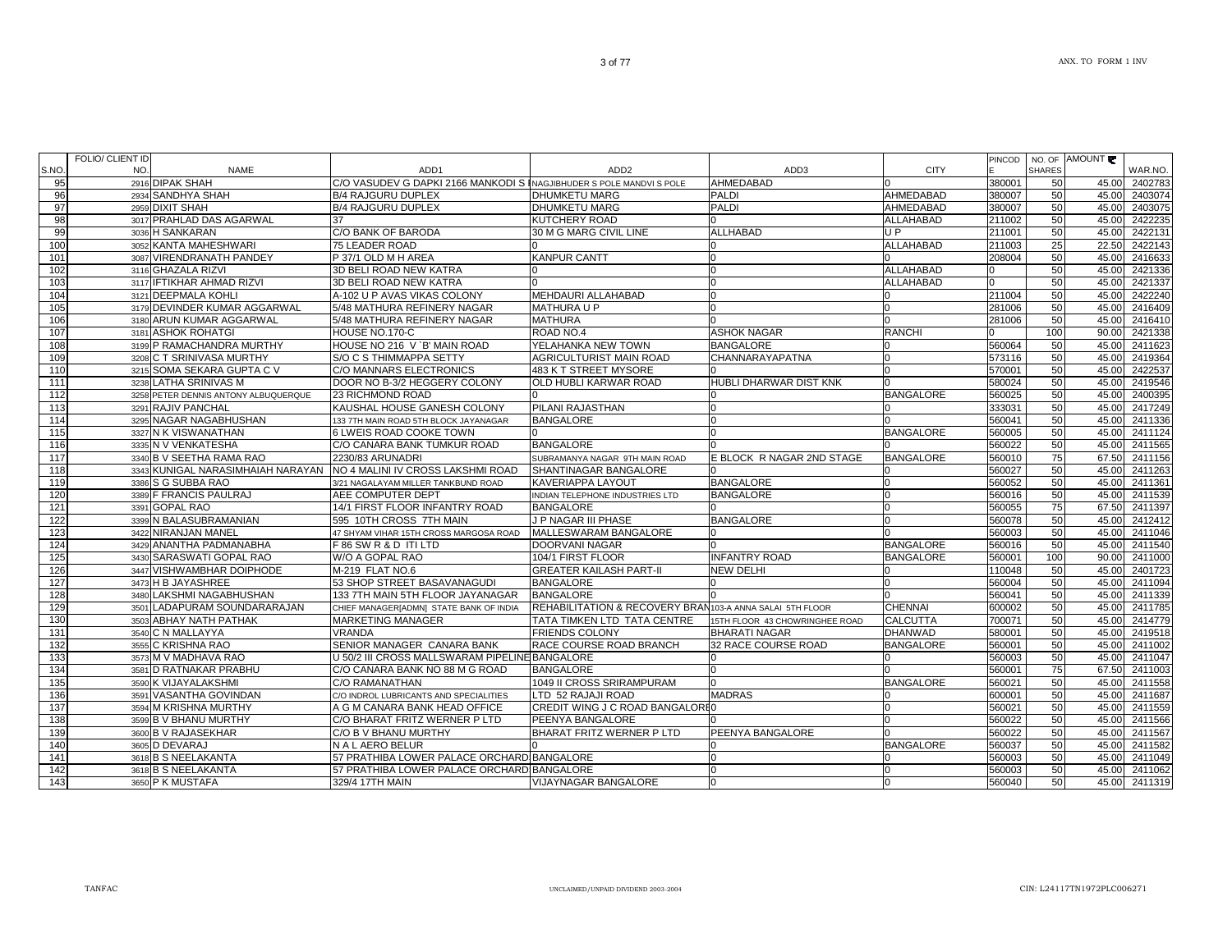|      | <b>FOLIO/ CLIENT ID</b> |                                      |                                                                      |                                                          |                                |                  | <b>PINCOD</b> |               | NO. OF AMOUNT |               |
|------|-------------------------|--------------------------------------|----------------------------------------------------------------------|----------------------------------------------------------|--------------------------------|------------------|---------------|---------------|---------------|---------------|
| S.NO | NO.                     | NAME                                 | ADD1                                                                 | ADD <sub>2</sub>                                         | ADD3                           | <b>CITY</b>      |               | <b>SHARES</b> |               | WAR.NO.       |
| 95   |                         | 2916 DIPAK SHAH                      | C/O VASUDEV G DAPKI 2166 MANKODI S INAGJIBHUDER S POLE MANDVI S POLE |                                                          | AHMEDABAD                      |                  | 380001        | 50            | 45.00         | 2402783       |
| 96   |                         | 2934 SANDHYA SHAH                    | <b>B/4 RAJGURU DUPLEX</b>                                            | <b>DHUMKETU MARG</b>                                     | <b>PALDI</b>                   | AHMEDABAD        | 380007        | 50            | 45.00         | 2403074       |
| 97   |                         | 2959 DIXIT SHAH                      | <b>B/4 RAJGURU DUPLEX</b>                                            | <b>DHUMKETU MARG</b>                                     | <b>PALDI</b>                   | AHMEDABAD        | 380007        | 50            | 45.00         | 2403075       |
| 98   |                         | 3017 PRAHLAD DAS AGARWAL             | 37                                                                   | <b>KUTCHERY ROAD</b>                                     |                                | ALLAHABAD        | 211002        | 50            | 45.00         | 2422235       |
| 99   |                         | 3036 H SANKARAN                      | C/O BANK OF BARODA                                                   | 30 M G MARG CIVIL LINE                                   | <b>ALLHABAD</b>                | U P              | 211001        | 50            | 45.00         | 2422131       |
| 100  |                         | 3052 KANTA MAHESHWARI                | <b>75 LEADER ROAD</b>                                                |                                                          |                                | <b>ALLAHABAD</b> | 211003        | 25            | 22.50         | 2422143       |
| 101  |                         | 3087 VIRENDRANATH PANDEY             | P 37/1 OLD M H AREA                                                  | <b>KANPUR CANTT</b>                                      |                                |                  | 208004        | 50            | 45.00         | 2416633       |
| 102  |                         | 3116 GHAZALA RIZVI                   | 3D BELI ROAD NEW KATRA                                               |                                                          |                                | ALLAHABAD        |               | 50            | 45.00         | 2421336       |
| 103  |                         | 3117 IFTIKHAR AHMAD RIZVI            | 3D BELI ROAD NEW KATRA                                               |                                                          |                                | <b>ALLAHABAD</b> |               | 50            | 45.00         | 2421337       |
| 104  |                         | 3121 DEEPMALA KOHLI                  | A-102 U P AVAS VIKAS COLONY                                          | <b>MEHDAURI ALLAHABAD</b>                                |                                |                  | 211004        | 50            | 45.00         | 2422240       |
| 105  |                         | 3179 DEVINDER KUMAR AGGARWAL         | 5/48 MATHURA REFINERY NAGAR                                          | MATHURA U P                                              |                                |                  | 281006        | 50            | 45.00         | 2416409       |
| 106  |                         | 3180 ARUN KUMAR AGGARWAL             | 5/48 MATHURA REFINERY NAGAR                                          | <b>MATHURA</b>                                           |                                |                  | 281006        | 50            | 45.00         | 2416410       |
| 107  |                         | 3181 ASHOK ROHATGI                   | HOUSE NO.170-C                                                       | ROAD NO.4                                                | <b>ASHOK NAGAR</b>             | <b>RANCHI</b>    |               | 100           | 90.00         | 2421338       |
| 108  |                         | 3199 P RAMACHANDRA MURTHY            | HOUSE NO 216 V `B' MAIN ROAD                                         | YELAHANKA NEW TOWN                                       | <b>BANGALORE</b>               |                  | 560064        | 50            | 45.00         | 2411623       |
| 109  |                         | 3208 C T SRINIVASA MURTHY            | S/O C S THIMMAPPA SETTY                                              | <b>AGRICULTURIST MAIN ROAD</b>                           | CHANNARAYAPATNA                |                  | 573116        | 50            | 45.00         | 2419364       |
| 110  |                         | 3215 SOMA SEKARA GUPTA C V           | C/O MANNARS ELECTRONICS                                              | 483 K T STREET MYSORE                                    |                                |                  | 570001        | 50            | 45.00         | 2422537       |
| 111  |                         | 3238 LATHA SRINIVAS M                | DOOR NO B-3/2 HEGGERY COLONY                                         | <b>OLD HUBLI KARWAR ROAD</b>                             | HUBLI DHARWAR DIST KNK         |                  | 580024        | 50            | 45.00         | 2419546       |
| 112  |                         | 3258 PETER DENNIS ANTONY ALBUQUERQUE | 23 RICHMOND ROAD                                                     |                                                          |                                | <b>BANGALORE</b> | 560025        | 50            | 45.00         | 2400395       |
| 113  |                         | 3291 RAJIV PANCHAL                   | KAUSHAL HOUSE GANESH COLONY                                          | PILANI RAJASTHAN                                         | n                              |                  | 333031        | 50            | 45.00         | 2417249       |
| 114  |                         | 3295 NAGAR NAGABHUSHAN               | 133 7TH MAIN ROAD 5TH BLOCK JAYANAGAR                                | <b>BANGALORE</b>                                         | U                              |                  | 560041        | 50            | 45.00         | 2411336       |
| 115  |                         | 3327 N K VISWANATHAN                 | 6 LWEIS ROAD COOKE TOWN                                              | n                                                        | U                              | <b>BANGALORE</b> | 560005        | 50            | 45.00         | 2411124       |
| 116  |                         | 3335 N V VENKATESHA                  | C/O CANARA BANK TUMKUR ROAD                                          | <b>BANGALORE</b>                                         |                                |                  | 560022        | 50            | 45.00         | 2411565       |
| 117  |                         | 3340 B V SEETHA RAMA RAO             | 2230/83 ARUNADRI                                                     | SUBRAMANYA NAGAR 9TH MAIN ROAD                           | E BLOCK R NAGAR 2ND STAGE      | <b>BANGALORE</b> | 560010        | 75            |               | 67.50 2411156 |
| 118  |                         |                                      | 3343 KUNIGAL NARASIMHAIAH NARAYAN NO 4 MALINI IV CROSS LAKSHMI ROAD  | SHANTINAGAR BANGALORE                                    |                                |                  | 560027        | 50            | 45.00         | 2411263       |
| 119  |                         | 3386 S G SUBBA RAO                   | 3/21 NAGALAYAM MILLER TANKBUND ROAD                                  | <b>KAVERIAPPA LAYOUT</b>                                 | <b>BANGALORE</b>               |                  | 560052        | 50            | 45.00         | 2411361       |
| 120  |                         | 3389 F FRANCIS PAULRAJ               | AEE COMPUTER DEPT                                                    | INDIAN TELEPHONE INDUSTRIES LTD                          | <b>BANGALORE</b>               |                  | 560016        | 50            | 45.00         | 2411539       |
| 121  |                         | 3391 GOPAL RAO                       | 14/1 FIRST FLOOR INFANTRY ROAD                                       | <b>BANGALORE</b>                                         |                                | <sup>n</sup>     | 560055        | 75            |               | 67.50 2411397 |
| 122  |                         | 3399 N BALASUBRAMANIAN               | 595 10TH CROSS 7TH MAIN                                              | J P NAGAR III PHASE                                      | <b>BANGALORE</b>               | $\Omega$         | 560078        | 50            | 45.00         | 2412412       |
| 123  |                         | 3422 NIRANJAN MANEL                  | 47 SHYAM VIHAR 15TH CROSS MARGOSA ROAD                               | MALLESWARAM BANGALORE                                    |                                |                  | 560003        | 50            | 45.00         | 2411046       |
| 124  |                         | 3429 ANANTHA PADMANABHA              | F 86 SW R & D ITI LTD                                                | DOORVANI NAGAR                                           |                                | <b>BANGALORE</b> | 560016        | 50            | 45.00         | 2411540       |
| 125  |                         | 3430 SARASWATI GOPAL RAO             | W/O A GOPAL RAO                                                      | 104/1 FIRST FLOOR                                        | <b>INFANTRY ROAD</b>           | <b>BANGALORE</b> | 560001        | 100           | 90.00         | 2411000       |
| 126  |                         | 3447 VISHWAMBHAR DOIPHODE            | M-219 FLAT NO.6                                                      | <b>GREATER KAILASH PART-II</b>                           | <b>NEW DELHI</b>               |                  | 110048        | 50            | 45.00         | 2401723       |
| 127  |                         | 3473 H B JAYASHREE                   | 53 SHOP STREET BASAVANAGUDI                                          | <b>BANGALORE</b>                                         |                                |                  | 560004        | 50            | 45.00         | 2411094       |
| 128  |                         | 3480 LAKSHMI NAGABHUSHAN             | 133 7TH MAIN 5TH FLOOR JAYANAGAR                                     | <b>BANGALORE</b>                                         |                                |                  | 560041        | 50            | 45.00         | 2411339       |
| 129  |                         | 3501 LADAPURAM SOUNDARARAJAN         | CHIEF MANAGER[ADMN] STATE BANK OF INDIA                              | REHABILITATION & RECOVERY BRAN103-A ANNA SALAI 5TH FLOOR |                                | <b>CHENNAI</b>   | 600002        | 50            | 45.00         | 2411785       |
| 130  |                         | 3503 ABHAY NATH PATHAK               | <b>MARKETING MANAGER</b>                                             | TATA TIMKEN LTD TATA CENTRE                              | 15TH FLOOR 43 CHOWRINGHEE ROAD | <b>CALCUTTA</b>  | 700071        | 50            | 45.00         | 2414779       |
| 131  |                         | 3540 C N MALLAYYA                    | <b>VRANDA</b>                                                        | <b>FRIENDS COLONY</b>                                    | <b>BHARATI NAGAR</b>           | <b>DHANWAD</b>   | 580001        | 50            | 45.00         | 2419518       |
| 132  |                         | 3555 C KRISHNA RAO                   | SENIOR MANAGER CANARA BANK                                           | RACE COURSE ROAD BRANCH                                  | 32 RACE COURSE ROAD            | <b>BANGALORE</b> | 560001        | 50            | 45.00         | 2411002       |
| 133  |                         | 3573 M V MADHAVA RAO                 | U 50/2 III CROSS MALLSWARAM PIPELINE BANGALORE                       |                                                          |                                |                  | 560003        | 50            | 45.00         | 2411047       |
| 134  |                         | 3581 D RATNAKAR PRABHU               | C/O CANARA BANK NO 88 M G ROAD                                       | <b>BANGALORE</b>                                         |                                |                  | 560001        | 75            | 67.50         | 2411003       |
| 135  |                         | 3590 K VIJAYALAKSHMI                 | C/O RAMANATHAN                                                       | 1049 II CROSS SRIRAMPURAM                                |                                | <b>BANGALORE</b> | 560021        | 50            | 45.00         | 2411558       |
| 136  |                         | 3591 VASANTHA GOVINDAN               | C/O INDROL LUBRICANTS AND SPECIALITIES                               | LTD 52 RAJAJI ROAD                                       | <b>MADRAS</b>                  |                  | 600001        | 50            | 45.00         | 2411687       |
| 137  |                         | 3594 M KRISHNA MURTHY                | A G M CANARA BANK HEAD OFFICE                                        | CREDIT WING J C ROAD BANGALORE0                          |                                | $\Omega$         | 560021        | 50            | 45.00         | 2411559       |
| 138  |                         | 3599 B V BHANU MURTHY                | C/O BHARAT FRITZ WERNER P LTD                                        | <b>PEENYA BANGALORE</b>                                  |                                |                  | 560022        | 50            | 45.00         | 2411566       |
| 139  |                         | 3600 B V RAJASEKHAR                  | C/O B V BHANU MURTHY                                                 | BHARAT FRITZ WERNER P LTD                                | PEENYA BANGALORE               |                  | 560022        | 50            | 45.00         | 2411567       |
| 140  |                         | 3605 D DEVARAJ                       | N A L AERO BELUR                                                     |                                                          |                                | <b>BANGALORE</b> | 560037        | 50            | 45.00         | 2411582       |
| 141  |                         | 3618 B S NEELAKANTA                  | 57 PRATHIBA LOWER PALACE ORCHARD BANGALORE                           |                                                          | O                              |                  | 560003        | 50            | 45.00         | 2411049       |
| 142  |                         | 3618 B S NEELAKANTA                  | 57 PRATHIBA LOWER PALACE ORCHARD BANGALORE                           |                                                          |                                |                  | 560003        | 50            | 45.00         | 2411062       |
| 143  |                         | 3650 P K MUSTAFA                     | 329/4 17TH MAIN                                                      | VIJAYNAGAR BANGALORE                                     |                                |                  | 560040        | 50            |               | 45.00 2411319 |
|      |                         |                                      |                                                                      |                                                          |                                |                  |               |               |               |               |
|      |                         |                                      |                                                                      |                                                          |                                |                  |               |               |               |               |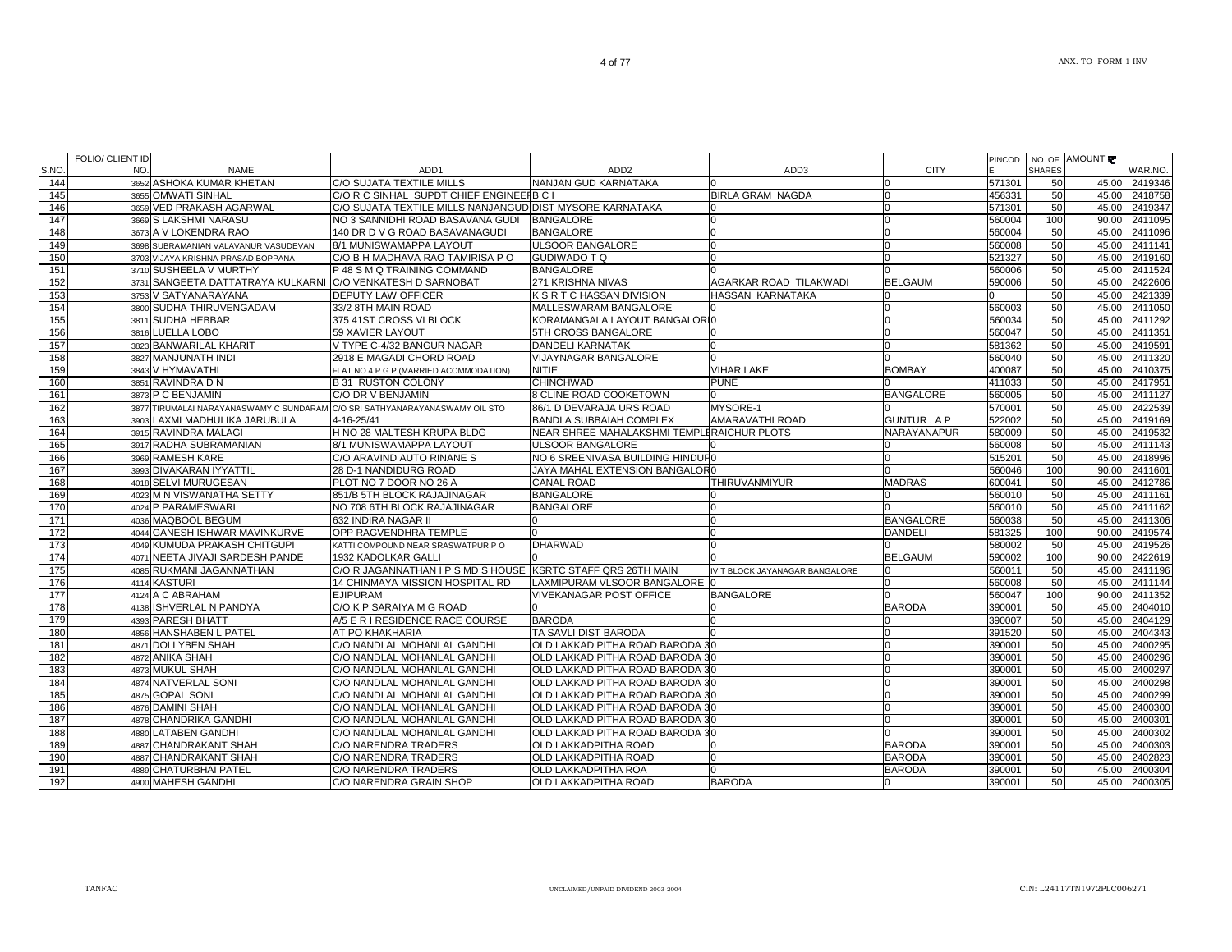| 151 | 3710 SUSHEELA V MURTHY                                                      | P 48 S M Q TRAINING COMMAND                                   | <b>BANGALORE</b>                           |                                |                   | 560006 | 50  |       | 45.00 2411524         |
|-----|-----------------------------------------------------------------------------|---------------------------------------------------------------|--------------------------------------------|--------------------------------|-------------------|--------|-----|-------|-----------------------|
| 152 | 3731 SANGEETA DATTATRAYA KULKARNI C/O VENKATESH D SARNOBAT                  |                                                               | 271 KRISHNA NIVAS                          | AGARKAR ROAD TILAKWADI         | <b>BELGAUM</b>    | 590006 | 50  | 45.00 | 2422606               |
| 153 | 3753 V SATYANARAYANA                                                        | DEPUTY LAW OFFICER                                            | K S R T C HASSAN DIVISION                  | HASSAN KARNATAKA               |                   |        | 50  |       | 45.00 2421339         |
| 154 | 3800 SUDHA THIRUVENGADAM                                                    | 33/2 8TH MAIN ROAD                                            | MALLESWARAM BANGALORE                      |                                |                   | 560003 | 50  |       | 45.00 2411050         |
| 155 | 3811 SUDHA HEBBAR                                                           | 375 41ST CROSS VI BLOCK                                       | KORAMANGALA LAYOUT BANGALORIO              |                                |                   | 560034 | 50  | 45.00 | 2411292               |
| 156 | 3816 LUELLA LOBO                                                            | 59 XAVIER LAYOUT                                              | 5TH CROSS BANGALORE                        |                                |                   | 560047 | 50  | 45.00 | 2411351               |
| 157 | 3823 BANWARILAL KHARIT                                                      | V TYPE C-4/32 BANGUR NAGAR                                    | <b>DANDELI KARNATAK</b>                    |                                |                   | 581362 | 50  | 45.00 | 2419591               |
| 158 | 3827 MANJUNATH INDI                                                         | 2918 E MAGADI CHORD ROAD                                      | <b>VIJAYNAGAR BANGALORE</b>                |                                |                   | 560040 | 50  | 45.00 | 2411320               |
| 159 | 3843 V HYMAVATHI                                                            | FLAT NO.4 P G P (MARRIED ACOMMODATION)                        | <b>NITIE</b>                               | <b>VIHAR LAKE</b>              | <b>BOMBAY</b>     | 400087 | 50  | 45.00 | 2410375               |
| 160 | 3851 RAVINDRA D N                                                           | <b>B 31 RUSTON COLONY</b>                                     | <b>CHINCHWAD</b>                           | <b>PUNE</b>                    |                   | 411033 | 50  | 45.00 | 2417951               |
| 161 | 3873 P C BENJAMIN                                                           | C/O DR V BENJAMIN                                             | 8 CLINE ROAD COOKETOWN                     |                                | <b>BANGALORE</b>  | 560005 | 50  | 45.00 | 2411127               |
| 162 | 3877 TIRUMALAI NARAYANASWAMY C SUNDARAM C/O SRI SATHYANARAYANASWAMY OIL STO |                                                               | 86/1 D DEVARAJA URS ROAD                   | MYSORE-1                       |                   | 570001 | 50  | 45.00 | 2422539               |
| 163 | 3903 LAXMI MADHULIKA JARUBULA                                               | 4-16-25/41                                                    | <b>BANDLA SUBBAIAH COMPLEX</b>             | <b>AMARAVATHI ROAD</b>         | <b>GUNTUR, AP</b> | 522002 | 50  |       | 45.00 2419169         |
| 164 | 3915 RAVINDRA MALAGI                                                        | H NO 28 MALTESH KRUPA BLDG                                    | NEAR SHREE MAHALAKSHMI TEMPLERAICHUR PLOTS |                                | NARAYANAPUR       | 580009 | 50  | 45.00 | 2419532               |
| 165 | 3917 RADHA SUBRAMANIAN                                                      | 8/1 MUNISWAMAPPA LAYOUT                                       | ULSOOR BANGALORE                           |                                |                   | 560008 | 50  | 45.00 | 2411143               |
| 166 | 3969 RAMESH KARE                                                            | C/O ARAVIND AUTO RINANE S                                     | NO 6 SREENIVASA BUILDING HINDUFO           |                                | $\Omega$          | 515201 | 50  | 45.00 | 2418996               |
| 167 | 3993 DIVAKARAN IYYATTIL                                                     | 28 D-1 NANDIDURG ROAD                                         | JAYA MAHAL EXTENSION BANGALOR0             |                                |                   | 560046 | 100 | 90.00 | 2411601               |
| 168 | 4018 SELVI MURUGESAN                                                        | PLOT NO 7 DOOR NO 26 A                                        | <b>CANAL ROAD</b>                          | THIRUVANMIYUR                  | <b>MADRAS</b>     | 600041 | 50  | 45.00 | 2412786               |
| 169 | 4023 M N VISWANATHA SETTY                                                   | 851/B 5TH BLOCK RAJAJINAGAR                                   | <b>BANGALORE</b>                           |                                |                   | 560010 | 50  | 45.00 | 2411161               |
| 170 | 4024 P PARAMESWARI                                                          | NO 708 6TH BLOCK RAJAJINAGAR                                  | <b>BANGALORE</b>                           |                                |                   | 560010 | 50  | 45.00 | $\overline{241}$ 1162 |
| 171 | 4036 MAQBOOL BEGUM                                                          | 632 INDIRA NAGAR II                                           |                                            |                                | <b>BANGALORE</b>  | 560038 | 50  | 45.00 | 2411306               |
| 172 | 4044 GANESH ISHWAR MAVINKURVE                                               | OPP RAGVENDHRA TEMPLE                                         |                                            |                                | <b>DANDELI</b>    | 581325 | 100 | 90.00 | 2419574               |
| 173 | 4049 KUMUDA PRAKASH CHITGUPI                                                | KATTI COMPOUND NEAR SRASWATPUR P O                            | <b>DHARWAD</b>                             |                                |                   | 580002 | 50  | 45.00 | 2419526               |
| 174 | 4071 NEETA JIVAJI SARDESH PANDE                                             | 1932 KADOLKAR GALLI                                           |                                            |                                | <b>BELGAUM</b>    | 590002 | 100 | 90.00 | $\overline{242}2619$  |
| 175 | 4085 RUKMANI JAGANNATHAN                                                    | C/O R JAGANNATHAN I P S MD S HOUSE IKSRTC STAFF QRS 26TH MAIN |                                            | IV T BLOCK JAYANAGAR BANGALORE |                   | 560011 | 50  | 45.00 | 2411196               |
| 176 | 4114 KASTURI                                                                | <b>14 CHINMAYA MISSION HOSPITAL RD</b>                        | LAXMIPURAM VLSOOR BANGALORE 0              |                                |                   | 560008 | 50  | 45.00 | 2411144               |
| 177 | 4124 A C ABRAHAM                                                            | <b>EJIPURAM</b>                                               | <b>VIVEKANAGAR POST OFFICE</b>             | <b>BANGALORE</b>               |                   | 560047 | 100 | 90.00 | 2411352               |
| 178 | 4138 ISHVERLAL N PANDYA                                                     | C/O K P SARAIYA M G ROAD                                      |                                            |                                | <b>BARODA</b>     | 390001 | 50  | 45.00 | 2404010               |
| 179 | 4393 PARESH BHATT                                                           | A/5 E R I RESIDENCE RACE COURSE                               | <b>BARODA</b>                              |                                |                   | 390007 | 50  | 45.00 | 2404129               |
| 180 | 4856 HANSHABEN L PATEL                                                      | AT PO KHAKHARIA                                               | <b>TA SAVLI DIST BARODA</b>                |                                |                   | 391520 | 50  | 45.00 | 2404343               |
| 181 | 4871 DOLLYBEN SHAH                                                          | C/O NANDLAL MOHANLAL GANDHI                                   | OLD LAKKAD PITHA ROAD BARODA 30            |                                |                   | 390001 | 50  | 45.00 | 2400295               |
| 182 | 4872 ANIKA SHAH                                                             | C/O NANDLAL MOHANLAL GANDHI                                   | OLD LAKKAD PITHA ROAD BARODA 30            |                                |                   | 390001 | 50  | 45.00 | 2400296               |
| 183 | 4873 MUKUL SHAH                                                             | C/O NANDLAL MOHANLAL GANDHI                                   | OLD LAKKAD PITHA ROAD BARODA 30            |                                |                   | 390001 | 50  | 45.00 | 2400297               |
| 184 | 4874 NATVERLAL SONI                                                         | C/O NANDLAL MOHANLAL GANDHI                                   | OLD LAKKAD PITHA ROAD BARODA 30            |                                | U                 | 390001 | 50  | 45.00 | 2400298               |
| 185 | 4875 GOPAL SONI                                                             | C/O NANDLAL MOHANLAL GANDHI                                   | OLD LAKKAD PITHA ROAD BARODA 30            |                                | $\Omega$          | 390001 | 50  | 45.00 | 2400299               |
| 186 | 4876 DAMINI SHAH                                                            | C/O NANDLAL MOHANLAL GANDHI                                   | OLD LAKKAD PITHA ROAD BARODA 30            |                                |                   | 390001 | 50  | 45.00 | 2400300               |
| 187 | 4878 CHANDRIKA GANDHI                                                       | C/O NANDLAL MOHANLAL GANDHI                                   | OLD LAKKAD PITHA ROAD BARODA 30            |                                | $\Omega$          | 390001 | 50  | 45.00 | 2400301               |
| 188 | 4880 LATABEN GANDHI                                                         | C/O NANDLAL MOHANLAL GANDHI                                   | OLD LAKKAD PITHA ROAD BARODA 30            |                                | $\Omega$          | 390001 | 50  | 45.00 | 2400302               |
| 189 | 4887 CHANDRAKANT SHAH                                                       | C/O NARENDRA TRADERS                                          | <b>OLD LAKKADPITHA ROAD</b>                |                                | <b>BARODA</b>     | 390001 | 50  | 45.00 | 2400303               |
| 190 | 4887 CHANDRAKANT SHAH                                                       | C/O NARENDRA TRADERS                                          | <b>OLD LAKKADPITHA ROAD</b>                |                                | <b>BARODA</b>     | 390001 | 50  | 45.00 | 2402823               |
| 191 | 4889 CHATURBHAI PATEL                                                       | C/O NARENDRA TRADERS                                          | <b>OLD LAKKADPITHA ROA</b>                 |                                | <b>BARODA</b>     | 390001 | 50  | 45.00 | 2400304               |
| 192 | 4900 MAHESH GANDHI                                                          | C/O NARENDRA GRAIN SHOP                                       | <b>OLD LAKKADPITHA ROAD</b>                | <b>BARODA</b>                  |                   | 390001 | 50  | 45.00 | 2400305               |
|     |                                                                             |                                                               |                                            |                                |                   |        |     |       |                       |

4 of 77

3652 ASHOKA KUMAR KHETAN CO SUJATA TEXTILE MILLS NANJAN GUD KARNATAKA 0 0 571301 50 571301 50 45.00 2419346

3655 OMWATI SINHAL C/O R C SINHAL SUPDT CHIEF ENGINEERB C I BIRLA GRAM NAGDA 0 456331 50 45.00 2418758

3673 A V LOKENDRA RAO 140 DR D V G ROAD BASAVANAGUDI BANGALORE 1991 1991 1992 1993 1994 19960004 50 45.00 2411096

NAME ADD1 ADD2 ADD3 CITY

السلام السلام السلام المسلم المسلم المسلم المسلم المسلم المسلم المسلم المسلم المسلم المسلم المسلم المسلم المسل<br>2411095 160004 100 90.00 2411095 160004 100 90.00 2411095 160004 100 90.00 2411095 160004 100 90.00 2411095 16

NO 3 SANNIDHI ROAD BASAVANA GUDI BANGALORE **1989 SANASI NA SANASI NA SANASI NA SANASI NA SANASI NA SANASI NA SA** 

8/1 MUNISWAMAPPA LAYOUT ULSOOR BANGALORE 0 0 560008 50 45.00 2411141

C/O B H MADHAVA RAO TAMIRISA PO GUDIWADO T Q 0 0 0 0 0 0 0 521327 50 45.00 2419160

AMOUNT

WAR.NO.

PINCODE

NO. OF SHARES50

S.NO.144

145

146

147

148

149

150

FOLIO/ CLIENT ID NO.

3659 VED PRAKASH AGARWAL<br>3669 S LAKSHMI NARASU

3698 SUBRAMANIAN VALAVANUR VASUDEVAN

3703 VIJAYA KRISHNA PRASAD BOPPANA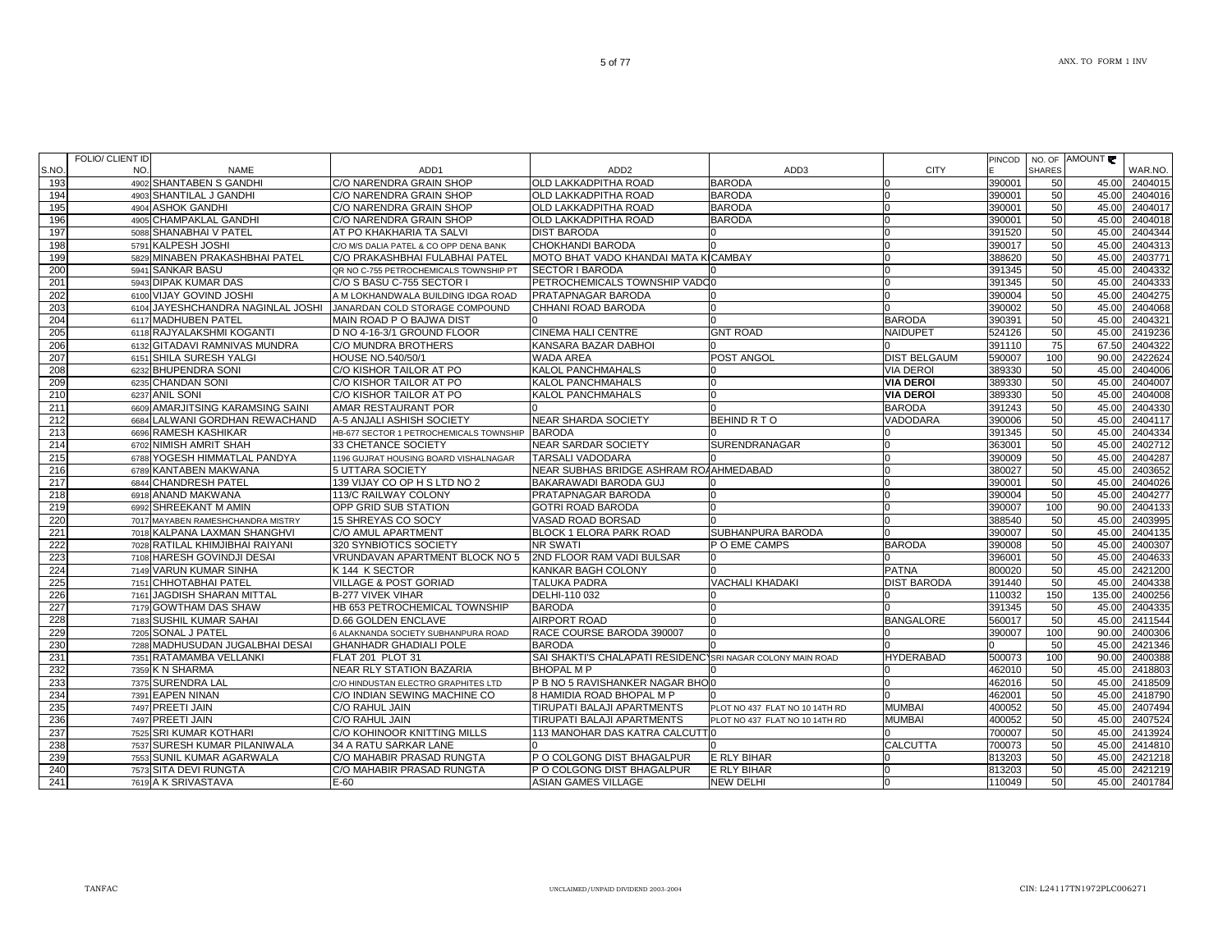|       | FOLIO/ CLIENT ID |                                   |                                         |                                                            |                                |                     | PINCOD |               | NO. OF AMOUNT |         |
|-------|------------------|-----------------------------------|-----------------------------------------|------------------------------------------------------------|--------------------------------|---------------------|--------|---------------|---------------|---------|
| S.NO. | NO.              | <b>NAME</b>                       | ADD <sub>1</sub>                        | ADD <sub>2</sub>                                           | ADD3                           | <b>CITY</b>         |        | <b>SHARES</b> |               | WAR.NO. |
| 193   |                  | 4902 SHANTABEN S GANDHI           | C/O NARENDRA GRAIN SHOP                 | OLD LAKKADPITHA ROAD                                       | <b>BARODA</b>                  |                     | 390001 | 50            | 45.00         | 2404015 |
| 194   |                  | 4903 SHANTILAL J GANDHI           | C/O NARENDRA GRAIN SHOP                 | OLD LAKKADPITHA ROAD                                       | <b>BARODA</b>                  | ın                  | 390001 | 50            | 45.00         | 2404016 |
| 195   |                  | 4904 ASHOK GANDHI                 | C/O NARENDRA GRAIN SHOP                 | OLD LAKKADPITHA ROAD                                       | <b>BARODA</b>                  |                     | 390001 | 50            | 45.00         | 2404017 |
| 196   |                  | 4905 CHAMPAKLAL GANDHI            | C/O NARENDRA GRAIN SHOP                 | OLD LAKKADPITHA ROAD                                       | <b>BARODA</b>                  | O                   | 390001 | 50            | 45.00         | 2404018 |
| 197   |                  | 5088 SHANABHAI V PATEL            | AT PO KHAKHARIA TA SALVI                | <b>DIST BARODA</b>                                         |                                |                     | 391520 | 50            | 45.00         | 2404344 |
| 198   |                  | 5791 KALPESH JOSHI                | C/O M/S DALIA PATEL & CO OPP DENA BANK  | CHOKHANDI BARODA                                           |                                |                     | 390017 | 50            | 45.00         | 2404313 |
| 199   |                  | 5829 MINABEN PRAKASHBHAI PATEL    | C/O PRAKASHBHAI FULABHAI PATEL          | MOTO BHAT VADO KHANDAI MATA KICAMBAY                       |                                |                     | 388620 | 50            | 45.00         | 2403771 |
| 200   |                  | 5941 SANKAR BASU                  | QR NO C-755 PETROCHEMICALS TOWNSHIP PT  | SECTOR I BARODA                                            |                                |                     | 391345 | 50            | 45.00         | 2404332 |
| 201   |                  | 5943 DIPAK KUMAR DAS              | C/O S BASU C-755 SECTOR I               | PETROCHEMICALS TOWNSHIP VADO0                              |                                | 0                   | 391345 | 50            | 45.00         | 2404333 |
| 202   |                  | 6100 VIJAY GOVIND JOSHI           | A M LOKHANDWALA BUILDING IDGA ROAD      | PRATAPNAGAR BARODA                                         |                                |                     | 390004 | 50            | 45.00         | 2404275 |
| 203   |                  | 6104 JAYESHCHANDRA NAGINLAL JOSHI | JANARDAN COLD STORAGE COMPOUND          | CHHANI ROAD BARODA                                         |                                |                     | 390002 | 50            | 45.00         | 2404068 |
| 204   |                  | 6117 MADHUBEN PATEL               | MAIN ROAD P O BAJWA DIST                |                                                            |                                | <b>BARODA</b>       | 390391 | 50            | 45.00         | 2404321 |
| 205   |                  | 6118 RAJYALAKSHMI KOGANTI         | D NO 4-16-3/1 GROUND FLOOR              | <b>CINEMA HALI CENTRE</b>                                  | <b>GNT ROAD</b>                | <b>NAIDUPET</b>     | 524126 | 50            | 45.00         | 2419236 |
| 206   |                  | 6132 GITADAVI RAMNIVAS MUNDRA     | C/O MUNDRA BROTHERS                     | KANSARA BAZAR DABHOI                                       |                                |                     | 391110 | 75            | 67.50         | 2404322 |
| 207   |                  | 6151 SHILA SURESH YALGI           | HOUSE NO.540/50/1                       | WADA AREA                                                  | POST ANGOL                     | <b>DIST BELGAUM</b> | 590007 | 100           | 90.00         | 2422624 |
| 208   |                  | 6232 BHUPENDRA SONI               | C/O KISHOR TAILOR AT PO                 | KALOL PANCHMAHALS                                          |                                | <b>VIA DEROI</b>    | 389330 | 50            | 45.00         | 2404006 |
| 209   |                  | 6235 CHANDAN SONI                 | C/O KISHOR TAILOR AT PO                 | KALOL PANCHMAHALS                                          |                                | <b>VIA DEROI</b>    | 389330 | 50            | 45.00         | 2404007 |
| 210   |                  | 6237 ANIL SONI                    | C/O KISHOR TAILOR AT PO                 | KALOL PANCHMAHALS                                          |                                | <b>VIA DEROI</b>    | 389330 | 50            | 45.00         | 2404008 |
| 211   |                  | 6609 AMARJITSING KARAMSING SAINI  | AMAR RESTAURANT POR                     |                                                            |                                | <b>BARODA</b>       | 391243 | 50            | 45.00         | 2404330 |
| 212   |                  | 6684 LALWANI GORDHAN REWACHAND    | A-5 ANJALI ASHISH SOCIETY               | <b>NEAR SHARDA SOCIETY</b>                                 | BEHIND R TO                    | VADODARA            | 390006 | 50            | 45.00         | 2404117 |
| 213   |                  | 6696 RAMESH KASHIKAR              | HB-677 SECTOR 1 PETROCHEMICALS TOWNSHIP | <b>BARODA</b>                                              |                                |                     | 391345 | 50            | 45.00         | 2404334 |
| 214   |                  | 6702 NIMISH AMRIT SHAH            | 33 CHETANCE SOCIETY                     | <b>NEAR SARDAR SOCIETY</b>                                 | <b>SURENDRANAGAR</b>           | U                   | 363001 | 50            | 45.00         | 2402712 |
| 215   |                  | 6788 YOGESH HIMMATLAL PANDYA      | 1196 GUJRAT HOUSING BOARD VISHALNAGAR   | TARSALI VADODARA                                           |                                |                     | 390009 | 50            | 45.00         | 2404287 |
| 216   |                  | 6789 KANTABEN MAKWANA             | 5 UTTARA SOCIETY                        | NEAR SUBHAS BRIDGE ASHRAM ROAAHMEDABAD                     |                                | $\Omega$            | 380027 | 50            | 45.00         | 2403652 |
| 217   |                  | 6844 CHANDRESH PATEL              | 139 VIJAY CO OP H S LTD NO 2            | BAKARAWADI BARODA GUJ                                      |                                |                     | 390001 | 50            | 45.00         | 2404026 |
| 218   |                  | 6918 ANAND MAKWANA                | 113/C RAILWAY COLONY                    | PRATAPNAGAR BARODA                                         |                                |                     | 390004 | 50            | 45.00         | 2404277 |
| 219   |                  | 6992 SHREEKANT M AMIN             | OPP GRID SUB STATION                    | GOTRI ROAD BARODA                                          |                                |                     | 390007 | 100           | 90.00         | 2404133 |
| 220   |                  | 7017 MAYABEN RAMESHCHANDRA MISTRY | 15 SHREYAS CO SOCY                      | VASAD ROAD BORSAD                                          |                                | $\Omega$            | 388540 | 50            | 45.00         | 2403995 |
| 221   |                  | 7018 KALPANA LAXMAN SHANGHVI      | C/O AMUL APARTMENT                      | BLOCK 1 ELORA PARK ROAD                                    | SUBHANPURA BARODA              |                     | 390007 | 50            | 45.00         | 2404135 |
| 222   |                  | 7028 RATILAL KHIMJIBHAI RAIYANI   | 320 SYNBIOTICS SOCIETY                  | <b>NR SWATI</b>                                            | P O EME CAMPS                  | <b>BARODA</b>       | 390008 | 50            | 45.00         | 2400307 |
| 223   |                  | 7108 HARESH GOVINDJI DESAI        | VRUNDAVAN APARTMENT BLOCK NO 5          | 2ND FLOOR RAM VADI BULSAR                                  |                                |                     | 396001 | 50            | 45.00         | 2404633 |
| 224   |                  | 7149 VARUN KUMAR SINHA            | K 144 K SECTOR                          | KANKAR BAGH COLONY                                         |                                | <b>PATNA</b>        | 800020 | 50            | 45.00         | 2421200 |
| 225   |                  | 7151 CHHOTABHAI PATEL             | VILLAGE & POST GORIAD                   | <b>TALUKA PADRA</b>                                        | <b>VACHALI KHADAKI</b>         | <b>DIST BARODA</b>  | 391440 | 50            | 45.00         | 2404338 |
| 226   |                  | 7161 JAGDISH SHARAN MITTAL        | <b>B-277 VIVEK VIHAR</b>                | DELHI-110 032                                              |                                |                     | 110032 | 150           | 135.00        | 2400256 |
| 227   |                  | 7179 GOWTHAM DAS SHAW             | HB 653 PETROCHEMICAL TOWNSHIP           | <b>BARODA</b>                                              |                                |                     | 391345 | 50            | 45.00         | 2404335 |
| 228   |                  | 7183 SUSHIL KUMAR SAHAI           | <b>D.66 GOLDEN ENCLAVE</b>              | <b>AIRPORT ROAD</b>                                        |                                | <b>BANGALORE</b>    | 560017 | 50            | 45.00         | 2411544 |
| 229   |                  | 7205 SONAL J PATEL                | 6 ALAKNANDA SOCIETY SUBHANPURA ROAD     | RACE COURSE BARODA 390007                                  |                                |                     | 390007 | 100           | 90.00         | 2400306 |
| 230   |                  | 7288 MADHUSUDAN JUGALBHAI DESAI   | <b>GHANHADR GHADIALI POLE</b>           | <b>BARODA</b>                                              |                                |                     |        | 50            | 45.00         | 2421346 |
| 231   |                  | 7351 RATAMAMBA VELLANKI           | FLAT 201 PLOT 31                        | SAI SHAKTI'S CHALAPATI RESIDENC'SRI NAGAR COLONY MAIN ROAD |                                | <b>HYDERABAD</b>    | 500073 | 100           | 90.00         | 2400388 |
| 232   |                  | 7359 K N SHARMA                   | NEAR RLY STATION BAZARIA                | <b>BHOPAL M P</b>                                          |                                |                     | 462010 | 50            | 45.00         | 2418803 |
| 233   |                  | 7375 SURENDRA LAL                 | C/O HINDUSTAN ELECTRO GRAPHITES LTD     | P B NO 5 RAVISHANKER NAGAR BHO                             |                                |                     | 462016 | 50            | 45.00         | 2418509 |
| 234   |                  | 7391 EAPEN NINAN                  | C/O INDIAN SEWING MACHINE CO            | 8 HAMIDIA ROAD BHOPAL M P                                  |                                |                     | 462001 | 50            | 45.00         | 2418790 |
| 235   |                  | 7497 PREETI JAIN                  | C/O RAHUL JAIN                          | TIRUPATI BALAJI APARTMENTS                                 | PLOT NO 437 FLAT NO 10 14TH RD | <b>MUMBAI</b>       | 400052 | 50            | 45.00         | 2407494 |
| 236   |                  | 7497 PREETI JAIN                  | C/O RAHUL JAIN                          | TIRUPATI BALAJI APARTMENTS                                 | PLOT NO 437 FLAT NO 10 14TH RD | <b>MUMBAI</b>       | 400052 | 50            | 45.00         | 2407524 |
| 237   |                  | 7525 SRI KUMAR KOTHARI            | C/O KOHINOOR KNITTING MILLS             | 113 MANOHAR DAS KATRA CALCUTTI                             |                                |                     | 700007 | 50            | 45.00         | 2413924 |
| 238   |                  | 7537 SURESH KUMAR PILANIWALA      | 34 A RATU SARKAR LANE                   |                                                            |                                | <b>CALCUTTA</b>     | 700073 | 50            | 45.00         | 2414810 |
| 239   |                  | 7553 SUNIL KUMAR AGARWALA         | C/O MAHABIR PRASAD RUNGTA               | P O COLGONG DIST BHAGALPUR                                 | <b>E RLY BIHAR</b>             |                     | 813203 | 50            | 45.00         | 2421218 |
| 240   |                  | 7573 SITA DEVI RUNGTA             | C/O MAHABIR PRASAD RUNGTA               | P O COLGONG DIST BHAGALPUR                                 | E RLY BIHAR                    | n                   | 813203 | 50            | 45.00         | 2421219 |
| 241   |                  | 7619 A K SRIVASTAVA               | E-60                                    | ASIAN GAMES VILLAGE                                        | <b>NEW DELHI</b>               |                     | 110049 | 50            | 45.00         | 2401784 |

TANFAC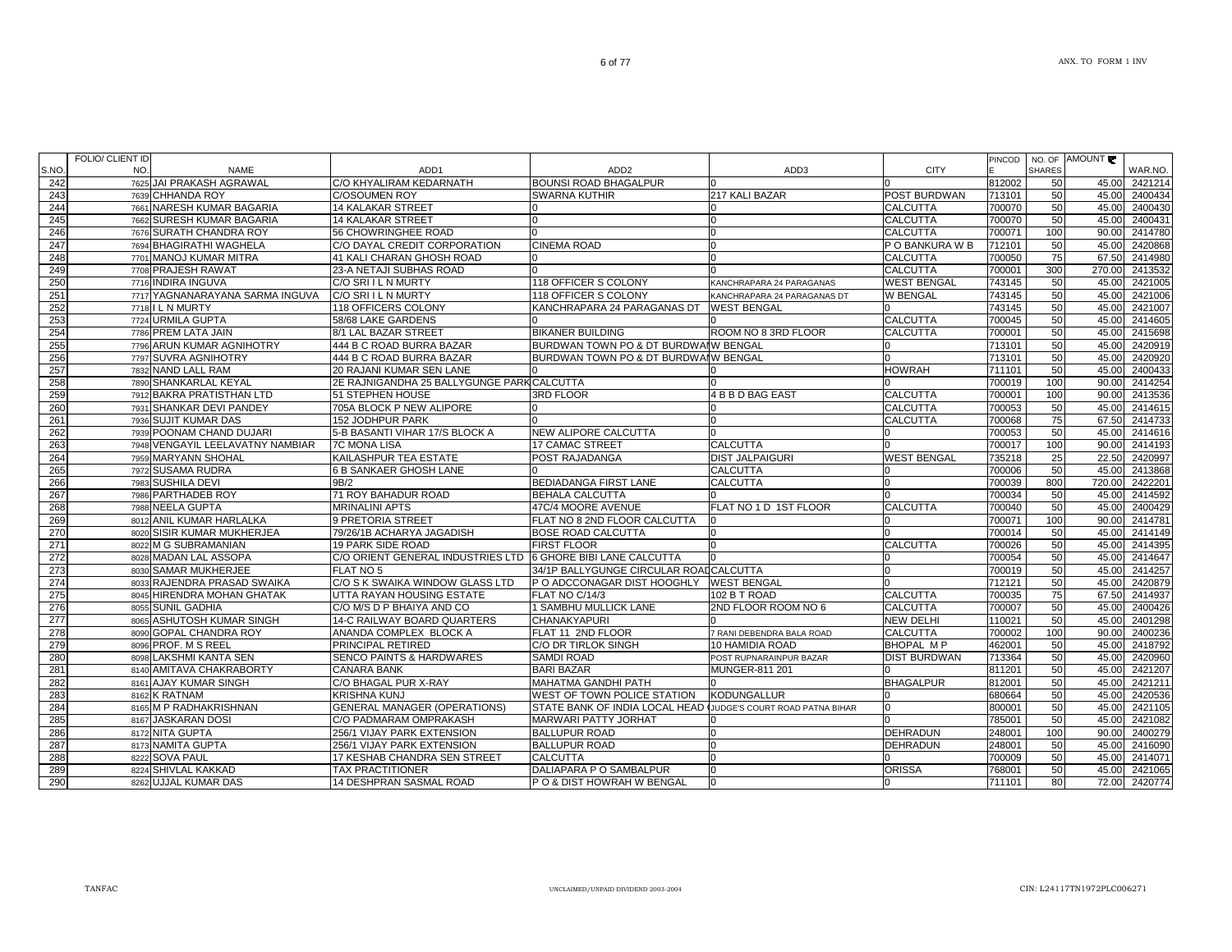ANX. TO FORM 1 INV

|            | <b>FOLIO/ CLIENT ID</b> |                                                        |                                                              |                                                  |                                |                     | PINCOD           |               | NO. OF AMOUNT  |                    |
|------------|-------------------------|--------------------------------------------------------|--------------------------------------------------------------|--------------------------------------------------|--------------------------------|---------------------|------------------|---------------|----------------|--------------------|
| S.NO       | NO.                     | <b>NAME</b>                                            | ADD <sub>1</sub>                                             | ADD <sub>2</sub>                                 | ADD3                           | <b>CITY</b>         |                  | <b>SHARES</b> |                | WAR.NO.            |
| 242        |                         | 7625 JAI PRAKASH AGRAWAL                               | C/O KHYALIRAM KEDARNATH                                      | <b>BOUNSI ROAD BHAGALPUR</b>                     |                                |                     | 812002           | 50            | 45.00          | 2421214            |
| 243        |                         | 7639 CHHANDA ROY                                       | <b>C/OSOUMEN ROY</b>                                         | <b>SWARNA KUTHIR</b>                             | 217 KALI BAZAR                 | POST BURDWAN        | 713101           | 50            |                | 45.00 2400434      |
| 244        |                         | 7661 NARESH KUMAR BAGARIA                              | <b>14 KALAKAR STREET</b>                                     | IO                                               |                                | <b>CALCUTTA</b>     | 700070           | 50            |                | 45.00 2400430      |
| 245        |                         | 7662 SURESH KUMAR BAGARIA                              | <b>14 KALAKAR STREET</b>                                     |                                                  |                                | <b>CALCUTTA</b>     | 700070           | 50            | 45.00          | 2400431            |
| 246        |                         | 7676 SURATH CHANDRA ROY                                | 56 CHOWRINGHEE ROAD                                          |                                                  |                                | <b>CALCUTTA</b>     | 700071           | 100           | 90.00          | 2414780            |
| 247        |                         | 7694 BHAGIRATHI WAGHELA                                | C/O DAYAL CREDIT CORPORATION                                 | <b>CINEMA ROAD</b>                               |                                | P O BANKURA W B     | 712101           | 50            | 45.00          | 2420868            |
| 248        |                         | 7701 MANOJ KUMAR MITRA                                 | 41 KALI CHARAN GHOSH ROAD                                    |                                                  |                                | <b>CALCUTTA</b>     | 700050           | 75            | 67.50          | 2414980            |
| 249        |                         | 7708 PRAJESH RAWAT                                     | 23-A NETAJI SUBHAS ROAD                                      | $\Omega$                                         |                                | <b>CALCUTTA</b>     | 700001           | 300           | 270.00         | 2413532            |
| 250        |                         | 7716 INDIRA INGUVA                                     | C/O SRIIL N MURTY                                            | 118 OFFICER S COLONY                             | KANCHRAPARA 24 PARAGANAS       | <b>WEST BENGAL</b>  | 743145           | 50            | 45.00          | 2421005            |
| 251        |                         | 7717 YAGNANARAYANA SARMA INGUVA                        | C/O SRIIL N MURTY                                            | 118 OFFICER S COLONY                             | KANCHRAPARA 24 PARAGANAS DT    | <b>W BENGAL</b>     | 743145           | 50            | 45.00          | 2421006            |
| 252        |                         | 7718 I L N MURTY                                       | 118 OFFICERS COLONY                                          | KANCHRAPARA 24 PARAGANAS DT                      | <b>WEST BENGAL</b>             |                     | 743145           | 50            | 45.00          | 2421007            |
| 253        |                         | 7724 URMILA GUPTA                                      | 58/68 LAKE GARDENS                                           |                                                  |                                | <b>CALCUTTA</b>     | 700045           | 50            | 45.00          | 2414605            |
| 254        |                         | 7786 PREM LATA JAIN                                    | 8/1 LAL BAZAR STREET                                         | <b>BIKANER BUILDING</b>                          | ROOM NO 8 3RD FLOOR            | CALCUTTA            | 700001           | 50            | 45.00          | 2415698            |
| 255        |                         | 7796 ARUN KUMAR AGNIHOTRY                              | 444 B C ROAD BURRA BAZAR                                     | BURDWAN TOWN PO & DT BURDWAIW BENGAL             |                                |                     | 713101           | 50            | 45.00          | 2420919            |
| 256        |                         | 7797 SUVRA AGNIHOTRY                                   | 444 B C ROAD BURRA BAZAR                                     | BURDWAN TOWN PO & DT BURDWAIW BENGAL             |                                |                     | 713101           | 50            | 45.00          | 2420920            |
| 257        |                         | 7832 NAND LALL RAM                                     | 20 RAJANI KUMAR SEN LANE                                     |                                                  |                                | <b>HOWRAH</b>       | 711101           | 50            | 45.00          | 2400433            |
| 258        |                         | 7890 SHANKARLAL KEYAL                                  | 2E RAJNIGANDHA 25 BALLYGUNGE PARK CALCUTTA                   |                                                  |                                |                     | 700019           | 100           | 90.00          | 2414254            |
| 259        |                         | 7912 BAKRA PRATISTHAN LTD                              | 51 STEPHEN HOUSE                                             | 3RD FLOOR                                        | 4 B B D BAG EAST               | <b>CALCUTTA</b>     | 700001           | 100           | 90.00          | 2413536            |
| 260        |                         | 7931 SHANKAR DEVI PANDEY                               | 705A BLOCK P NEW ALIPORE                                     |                                                  |                                | <b>CALCUTTA</b>     | 700053           | 50            | 45.00          | 2414615            |
| 261        |                         | 7936 SUJIT KUMAR DAS                                   | 152 JODHPUR PARK                                             |                                                  |                                | <b>CALCUTTA</b>     | 700068           | 75            | 67.50          | 2414733            |
| 262        |                         | 7939 POONAM CHAND DUJARI                               | 5-B BASANTI VIHAR 17/S BLOCK A                               | NEW ALIPORE CALCUTTA                             |                                |                     | 700053           | 50            | 45.00          | 2414616            |
| 263        |                         | 7948 VENGAYIL LEELAVATNY NAMBIAR                       | <b>7C MONA LISA</b>                                          | 17 CAMAC STREET                                  | <b>CALCUTTA</b>                |                     | 700017           | 100           | 90.00          | 2414193            |
| 264        |                         | 7959 MARYANN SHOHAL                                    | KAILASHPUR TEA ESTATE                                        | POST RAJADANGA                                   | <b>DIST JALPAIGURI</b>         | <b>WEST BENGAL</b>  | 735218           | 25            | 22.50          | 2420997            |
| 265        |                         | 7972 SUSAMA RUDRA                                      | 6 B SANKAER GHOSH LANE<br>9B/2                               |                                                  | <b>CALCUTTA</b>                |                     | 700006           | 50<br>800     | 45.00          | 2413868            |
| 266        |                         | 7983 SUSHILA DEVI                                      |                                                              | <b>BEDIADANGA FIRST LANE</b>                     | <b>CALCUTTA</b>                |                     | 700039           |               | 720.00         | 2422201            |
| 267        |                         | 7986 PARTHADEB ROY                                     | 71 ROY BAHADUR ROAD                                          | <b>BEHALA CALCUTTA</b>                           |                                |                     | 700034           | 50            | 45.00          | 2414592            |
| 268        |                         | 7988 NEELA GUPTA                                       | <b>MRINALINI APTS</b>                                        | 47C/4 MOORE AVENUE                               | FLAT NO 1 D 1ST FLOOR          | <b>CALCUTTA</b>     | 700040           | 50            | 45.00          | 2400429            |
| 269        |                         | 8012 ANIL KUMAR HARLALKA<br>8020 SISIR KUMAR MUKHERJEA | 9 PRETORIA STREET<br>79/26/1B ACHARYA JAGADISH               | FLAT NO 8 2ND FLOOR CALCUTTA                     | 0                              |                     | 700071           | 100<br>50     | 90.00          | 2414781<br>2414149 |
| 270<br>271 |                         | 8022 M G SUBRAMANIAN                                   | 19 PARK SIDE ROAD                                            | <b>IBOSE ROAD CALCUTTA</b><br><b>FIRST FLOOR</b> |                                | <b>CALCUTTA</b>     | 700014<br>700026 | 50            | 45.00<br>45.00 | 2414395            |
| 272        |                         | 8028 MADAN LAL ASSOPA                                  | C/O ORIENT GENERAL INDUSTRIES LTD 6 GHORE BIBI LANE CALCUTTA |                                                  |                                |                     | 700054           | 50            | 45.00          | 2414647            |
| 273        |                         | 8030 SAMAR MUKHERJEE                                   | FLAT NO 5                                                    | 34/1P BALLYGUNGE CIRCULAR ROADCALCUTTA           |                                |                     | 700019           | 50            | 45.00          | 2414257            |
| 274        |                         | 8033 RAJENDRA PRASAD SWAIKA                            | C/O S K SWAIKA WINDOW GLASS LTD                              | P O ADCCONAGAR DIST HOOGHLY                      | <b>WEST BENGAL</b>             |                     | 712121           | 50            | 45.00          | 2420879            |
| 275        |                         | 8045 HIRENDRA MOHAN GHATAK                             | UTTA RAYAN HOUSING ESTATE                                    | FLAT NO C/14/3                                   | 102 B T ROAD                   | <b>CALCUTTA</b>     | 700035           | 75            | 67.50          | 2414937            |
| 276        |                         | 8055 SUNIL GADHIA                                      | C/O M/S D P BHAIYA AND CO                                    | 1 SAMBHU MULLICK LANE                            | 2ND FLOOR ROOM NO 6            | <b>CALCUTTA</b>     | 700007           | 50            | 45.00          | 2400426            |
| 277        |                         | 8065 ASHUTOSH KUMAR SINGH                              | 14-C RAILWAY BOARD QUARTERS                                  | <b>CHANAKYAPURI</b>                              |                                | <b>NEW DELHI</b>    | 110021           | 50            | 45.00          | 2401298            |
| 278        |                         | 8090 GOPAL CHANDRA ROY                                 | ANANDA COMPLEX BLOCK A                                       | FLAT 11 2ND FLOOR                                | 7 RANI DEBENDRA BALA ROAD      | <b>CALCUTTA</b>     | 700002           | 100           | 90.00          | 2400236            |
| 279        |                         | 8096 PROF, M S REEL                                    | PRINCIPAL RETIRED                                            | C/O DR TIRLOK SINGH                              | 10 HAMIDIA ROAD                | <b>BHOPAL MP</b>    | 462001           | 50            | 45.00          | 2418792            |
| 280        |                         | 8098 LAKSHMI KANTA SEN                                 | <b>SENCO PAINTS &amp; HARDWARES</b>                          | <b>SAMDI ROAD</b>                                | POST RUPNARAINPUR BAZAR        | <b>DIST BURDWAN</b> | 713364           | 50            |                | 45.00 2420960      |
| 281        |                         | 8140 AMITAVA CHAKRABORTY                               | <b>CANARA BANK</b>                                           | <b>BARI BAZAR</b>                                | MUNGER-811 201                 |                     | 811201           | 50            | 45.00          | 2421207            |
| 282        |                         | 8161 AJAY KUMAR SINGH                                  | C/O BHAGAL PUR X-RAY                                         | <b>MAHATMA GANDHI PATH</b>                       |                                | <b>BHAGALPUR</b>    | 812001           | 50            | 45.00          | 2421211            |
| 283        |                         | 8162 K RATNAM                                          | <b>KRISHNA KUNJ</b>                                          | WEST OF TOWN POLICE STATION                      | <b>KODUNGALLUR</b>             |                     | 680664           | 50            | 45.00          | 2420536            |
| 284        |                         | 8165 M P RADHAKRISHNAN                                 | <b>GENERAL MANAGER (OPERATIONS)</b>                          | STATE BANK OF INDIA LOCAL HEAD                   | JUDGE'S COURT ROAD PATNA BIHAR |                     | 800001           | 50            | 45.00          | 2421105            |
| 285        |                         | 8167 JASKARAN DOSI                                     | C/O PADMARAM OMPRAKASH                                       | <b>MARWARI PATTY JORHAT</b>                      |                                |                     | 785001           | 50            | 45.00          | 2421082            |
| 286        |                         | 8172 NITA GUPTA                                        | 256/1 VIJAY PARK EXTENSION                                   | <b>BALLUPUR ROAD</b>                             |                                | <b>DEHRADUN</b>     | 248001           | 100           | 90.00          | 2400279            |
| 287        |                         | 8173 NAMITA GUPTA                                      | 256/1 VIJAY PARK EXTENSION                                   | <b>BALLUPUR ROAD</b>                             | U                              | <b>DEHRADUN</b>     | 248001           | 50            | 45.00          | 2416090            |
| 288        |                         | 8222 SOVA PAUL                                         | 17 KESHAB CHANDRA SEN STREET                                 | <b>CALCUTTA</b>                                  |                                |                     | 700009           | 50            | 45.00          | 2414071            |
| 289        |                         | 8224 SHIVLAL KAKKAD                                    | <b>TAX PRACTITIONER</b>                                      | DALIAPARA P O SAMBALPUR                          | n                              | <b>ORISSA</b>       | 768001           | 50            | 45.00          | 2421065            |
| 290        |                         | 8262 UJJAL KUMAR DAS                                   | 14 DESHPRAN SASMAL ROAD                                      | P O & DIST HOWRAH W BENGAL                       | $\Omega$                       |                     | 711101           | 80            |                | 72.00 2420774      |
|            |                         |                                                        |                                                              |                                                  |                                |                     |                  |               |                |                    |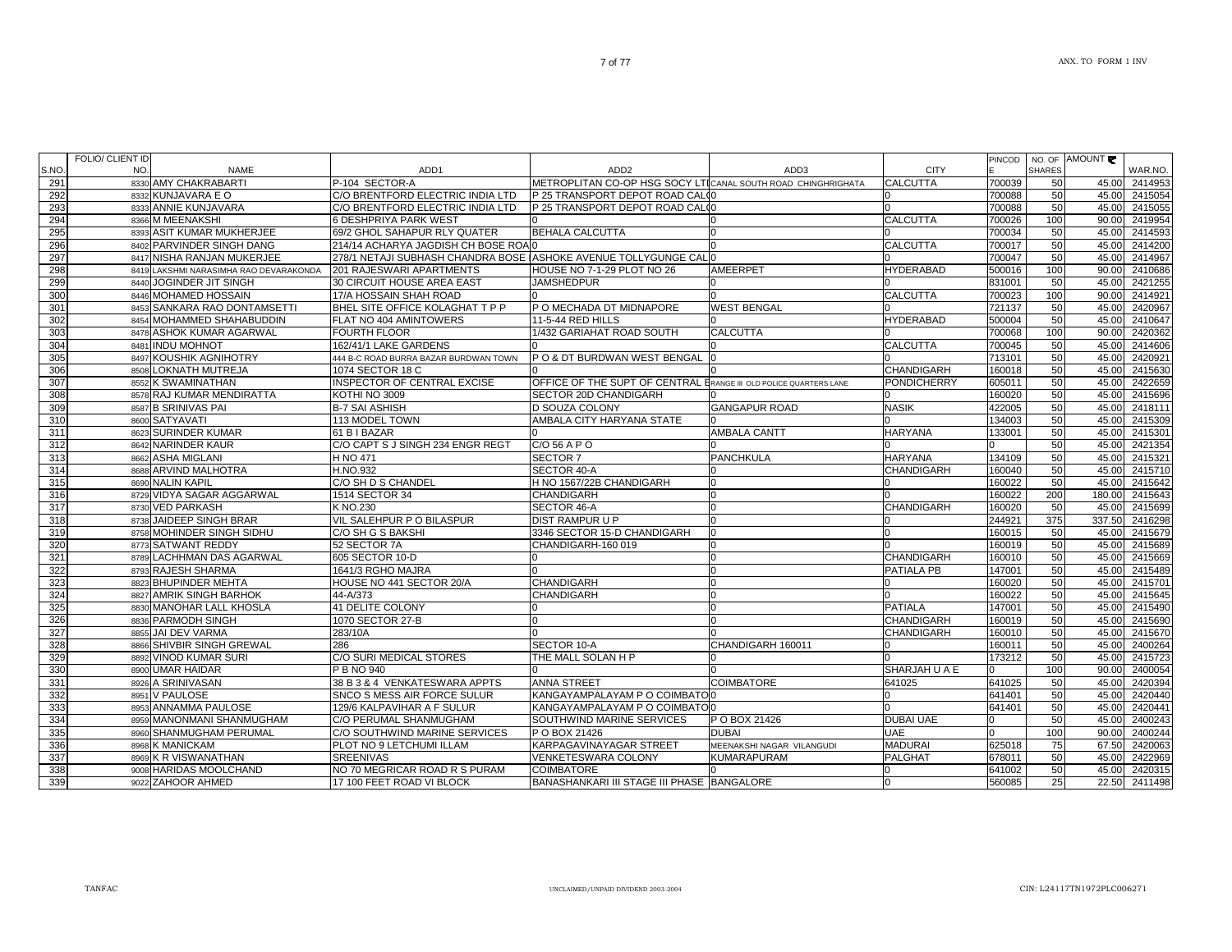| S.NO.      | <b>FOLIO/ CLIENT ID</b><br>NO. | <b>NAME</b>                            | ADD <sub>1</sub>                                                | ADD <sub>2</sub>                                                  | ADD3                      | <b>CITY</b>        | PINCOD | <b>SHARES</b> | NO. OF AMOUNT  | WAR.NO. |
|------------|--------------------------------|----------------------------------------|-----------------------------------------------------------------|-------------------------------------------------------------------|---------------------------|--------------------|--------|---------------|----------------|---------|
| 291        |                                | 8330 AMY CHAKRABARTI                   | P-104 SECTOR-A                                                  | METROPLITAN CO-OP HSG SOCY LTICANAL SOUTH ROAD CHINGHRIGHATA      |                           | <b>CALCUTTA</b>    | 700039 | 50            | 45.00          | 2414953 |
| 292        |                                | 8332 KUNJAVARA E O                     | C/O BRENTFORD ELECTRIC INDIA LTD                                | P 25 TRANSPORT DEPOT ROAD CALCO                                   |                           | ın                 | 700088 | 50            | 45.00          | 2415054 |
| 293        |                                | 8333 ANNIE KUNJAVARA                   | C/O BRENTFORD ELECTRIC INDIA LTD                                | P 25 TRANSPORT DEPOT ROAD CALO                                    |                           | $\Omega$           | 700088 | 50            | 45.00          | 2415055 |
| 294        |                                | 8366 M MEENAKSHI                       | <b>6 DESHPRIYA PARK WEST</b>                                    |                                                                   |                           | <b>CALCUTTA</b>    | 700026 | 100           | 90.00          | 2419954 |
| 295        |                                | 8393 ASIT KUMAR MUKHERJEE              | 69/2 GHOL SAHAPUR RLY QUATER                                    | <b>BEHALA CALCUTTA</b>                                            |                           |                    | 700034 | 50            | 45.00          | 2414593 |
| 296        |                                | 8402 PARVINDER SINGH DANG              | 214/14 ACHARYA JAGDISH CH BOSE ROAO                             |                                                                   |                           | <b>CALCUTTA</b>    | 700017 | 50            | 45.00          | 2414200 |
| 297        |                                | 8417 NISHA RANJAN MUKERJEE             | 278/1 NETAJI SUBHASH CHANDRA BOSE ASHOKE AVENUE TOLLYGUNGE CALO |                                                                   |                           |                    | 700047 | 50            | 45.00          | 2414967 |
| 298        |                                | 8419 LAKSHMI NARASIMHA RAO DEVARAKONDA | 201 RAJESWARI APARTMENTS                                        | HOUSE NO 7-1-29 PLOT NO 26                                        | <b>AMEERPET</b>           | <b>HYDERABAD</b>   | 500016 | 100           | 90.00          | 2410686 |
| 299        |                                | 8440 JOGINDER JIT SINGH                | 30 CIRCUIT HOUSE AREA EAST                                      | <b>JAMSHEDPUR</b>                                                 |                           |                    | 831001 | 50            | 45.00          | 2421255 |
| 300        |                                | 8446 MOHAMED HOSSAIN                   | 17/A HOSSAIN SHAH ROAD                                          |                                                                   |                           | <b>CALCUTTA</b>    | 700023 | 100           | 90.00          | 2414921 |
| 301        |                                | 8453 SANKARA RAO DONTAMSETTI           | BHEL SITE OFFICE KOLAGHAT T P P                                 | P O MECHADA DT MIDNAPORE                                          | <b>WEST BENGAL</b>        |                    | 721137 | 50            | 45.00          | 2420967 |
| 302        |                                | 8454 MOHAMMED SHAHABUDDIN              | FLAT NO 404 AMINTOWERS                                          | 11-5-44 RED HILLS                                                 |                           | <b>HYDERABAD</b>   | 500004 | 50            | 45.00          | 2410647 |
| 303        |                                | 8478 ASHOK KUMAR AGARWAL               | <b>FOURTH FLOOR</b>                                             | 1/432 GARIAHAT ROAD SOUTH                                         | <b>CALCUTTA</b>           |                    | 700068 | 100           | 90.00          | 2420362 |
| 304        |                                | 8481 INDU MOHNOT                       | 162/41/1 LAKE GARDENS                                           |                                                                   |                           | <b>CALCUTTA</b>    | 700045 | 50            | 45.00          | 2414606 |
| 305        |                                | 8497 KOUSHIK AGNIHOTRY                 | 444 B-C ROAD BURRA BAZAR BURDWAN TOWN                           | P O & DT BURDWAN WEST BENGAL                                      | In.                       |                    | 713101 | 50            | 45.00          | 2420921 |
| 306        |                                | 8508 LOKNATH MUTREJA                   | 1074 SECTOR 18 C                                                |                                                                   |                           | <b>CHANDIGARH</b>  | 160018 | 50            | 45.00          | 2415630 |
| 307        |                                | 8552 K SWAMINATHAN                     | INSPECTOR OF CENTRAL EXCISE                                     | OFFICE OF THE SUPT OF CENTRAL ERANGE III OLD POLICE QUARTERS LANE |                           | <b>PONDICHERRY</b> | 605011 | 50            | 45.00          | 2422659 |
| 308        |                                | 8578 RAJ KUMAR MENDIRATTA              | KOTHI NO 3009                                                   | SECTOR 20D CHANDIGARH                                             |                           |                    | 160020 | 50            | 45.00          | 2415696 |
| 309        |                                | 8587 B SRINIVAS PAI                    | <b>B-7 SAI ASHISH</b>                                           | <b>D SOUZA COLONY</b>                                             | <b>GANGAPUR ROAD</b>      | <b>NASIK</b>       | 422005 | 50            | 45.00          | 2418111 |
| 310        |                                | 8600 SATYAVATI                         | 113 MODEL TOWN                                                  | AMBALA CITY HARYANA STATE                                         |                           |                    | 134003 | 50            | 45.00          | 2415309 |
| 311        |                                | 8623 SURINDER KUMAR                    | 61 B I BAZAR                                                    |                                                                   | <b>AMBALA CANTT</b>       | <b>HARYANA</b>     | 133001 | 50            | 45.00          | 2415301 |
| 312        |                                | 8642 NARINDER KAUR                     | C/O CAPT S J SINGH 234 ENGR REGT                                | $C/O$ 56 A P O                                                    |                           |                    |        | 50            | 45.00          | 2421354 |
| 313        |                                | 8662 ASHA MIGLANI                      | H NO 471                                                        | <b>SECTOR 7</b>                                                   | <b>PANCHKULA</b>          | <b>HARYANA</b>     | 134109 | 50            | 45.00          | 2415321 |
| 314        |                                | 8688 ARVIND MALHOTRA                   | H.NO.932                                                        | <b>SECTOR 40-A</b>                                                | In                        | <b>CHANDIGARH</b>  | 160040 | 50            | 45.00          | 2415710 |
| 315        |                                | 8690 NALIN KAPIL                       | C/O SH D S CHANDEL                                              | H NO 1567/22B CHANDIGARH                                          | $\Omega$                  |                    | 160022 | 50            | 45.00          | 2415642 |
| 316        |                                | 8729 VIDYA SAGAR AGGARWAL              | 1514 SECTOR 34                                                  | CHANDIGARH                                                        | $\Omega$                  |                    | 160022 | 200           | 180.00         | 2415643 |
| 317        |                                | 8730 VED PARKASH                       | K NO.230                                                        | SECTOR 46-A                                                       | <sup>0</sup>              | <b>CHANDIGARH</b>  | 160020 | 50            | 45.00          | 2415699 |
| 318        |                                | 8738 JAIDEEP SINGH BRAR                | VIL SALEHPUR P O BILASPUR                                       | <b>DIST RAMPUR U P</b>                                            | $\Omega$                  | ın                 | 244921 | 375           | 337.50         | 2416298 |
| 319        |                                | 8758 MOHINDER SINGH SIDHU              | C/O SH G S BAKSHI                                               | 3346 SECTOR 15-D CHANDIGARH                                       | <sup>0</sup>              | $\Omega$           | 160015 | 50            | 45.00          | 2415679 |
| 320        |                                | 8773 SATWANT REDDY                     | 52 SECTOR 7A                                                    | CHANDIGARH-160 019                                                | $\Omega$                  |                    | 160019 | 50            | 45.00          | 2415689 |
| 321        |                                | 8789 LACHHMAN DAS AGARWAL              | 605 SECTOR 10-D                                                 |                                                                   | $\Omega$                  | <b>CHANDIGARH</b>  | 160010 | 50            | 45.00          | 2415669 |
| 322        |                                | 8793 RAJESH SHARMA                     | 1641/3 RGHO MAJRA                                               |                                                                   |                           | PATIALA PB         | 147001 | 50            | 45.00          | 2415489 |
| 323        |                                | 8823 BHUPINDER MEHTA                   | HOUSE NO 441 SECTOR 20/A                                        | CHANDIGARH                                                        |                           |                    | 160020 | 50            | 45.00          | 2415701 |
| 324        |                                | 8827 AMRIK SINGH BARHOK                | 44-A/373                                                        | <b>CHANDIGARH</b>                                                 | In                        |                    | 160022 | 50            | 45.00          | 2415645 |
| 325        |                                | 8830 MANOHAR LALL KHOSLA               | 41 DELITE COLONY                                                |                                                                   |                           | <b>PATIALA</b>     | 147001 | 50            | 45.00          | 2415490 |
| 326        |                                | 8836 PARMODH SINGH                     | 1070 SECTOR 27-B                                                |                                                                   | $\Omega$                  | <b>CHANDIGARH</b>  | 160019 | 50            | 45.00          | 2415690 |
| 327        |                                | 8855 JAI DEV VARMA                     | 283/10A                                                         |                                                                   |                           | <b>CHANDIGARH</b>  | 160010 | 50            | 45.00          | 2415670 |
| 328        |                                | 8866 SHIVBIR SINGH GREWAL              | 286                                                             | SECTOR 10-A                                                       | CHANDIGARH 160011         | $\Omega$           | 160011 | 50            | 45.00          | 2400264 |
| 329        |                                | 8892 VINOD KUMAR SURI                  | C/O SURI MEDICAL STORES                                         | THE MALL SOLAN H P                                                |                           | $\Omega$           | 173212 | 50            | 45.00          | 2415723 |
| 330        |                                | 8900 UMAR HAIDAR                       | P B NO 940                                                      |                                                                   |                           | SHARJAH U A E      | U      | 100           | 90.00          | 2400054 |
| 331        |                                | 8926 A SRINIVASAN                      | 38 B 3 & 4 VENKATESWARA APPTS                                   | <b>ANNA STREET</b>                                                | <b>COIMBATORE</b>         | 641025             | 641025 | 50            | 45.00          | 2420394 |
| 332        |                                | 8951 V PAULOSE                         | SNCO S MESS AIR FORCE SULUR                                     | KANGAYAMPALAYAM P O COIMBATO 0                                    |                           | $\Omega$           | 641401 | 50            | 45.00          | 2420440 |
| 333        |                                | 8953 ANNAMMA PAULOSE                   | 129/6 KALPAVIHAR A F SULUR                                      | KANGAYAMPALAYAM P O COIMBATO 0                                    |                           | $\Omega$           | 641401 | 50            | 45.00          | 2420441 |
| 334        |                                | 8959 MANONMANI SHANMUGHAM              | C/O PERUMAL SHANMUGHAM                                          | SOUTHWIND MARINE SERVICES                                         | P O BOX 21426             | <b>DUBAI UAE</b>   |        | 50            | 45.00          | 2400243 |
| 335        |                                | 8960 SHANMUGHAM PERUMAL                | C/O SOUTHWIND MARINE SERVICES                                   | P O BOX 21426                                                     | <b>DUBAI</b>              | <b>UAE</b>         |        | 100           | 90.00          | 2400244 |
| 336<br>337 |                                | 8968 K MANICKAM                        | PLOT NO 9 LETCHUMI ILLAM                                        | KARPAGAVINAYAGAR STREET                                           | MEENAKSHI NAGAR VILANGUDI | <b>MADURAI</b>     | 625018 | 75            | 67.50          | 2420063 |
|            |                                | 8969 K R VISWANATHAN                   | <b>SREENIVAS</b>                                                | VENKETESWARA COLONY                                               | <b>KUMARAPURAM</b>        | <b>PALGHAT</b>     | 678011 | 50<br>50      | 45.00          | 2422969 |
| 338        |                                | 9008 HARIDAS MOOLCHAND                 | NO 70 MEGRICAR ROAD R S PURAM                                   | <b>COIMBATORE</b>                                                 |                           | $\Omega$           | 641002 |               | 45.00<br>22.50 | 2420315 |
| 339        |                                | 9022 ZAHOOR AHMED                      | 17 100 FEET ROAD VI BLOCK                                       | BANASHANKARI III STAGE III PHASE BANGALORE                        |                           |                    | 560085 | 25            |                | 2411498 |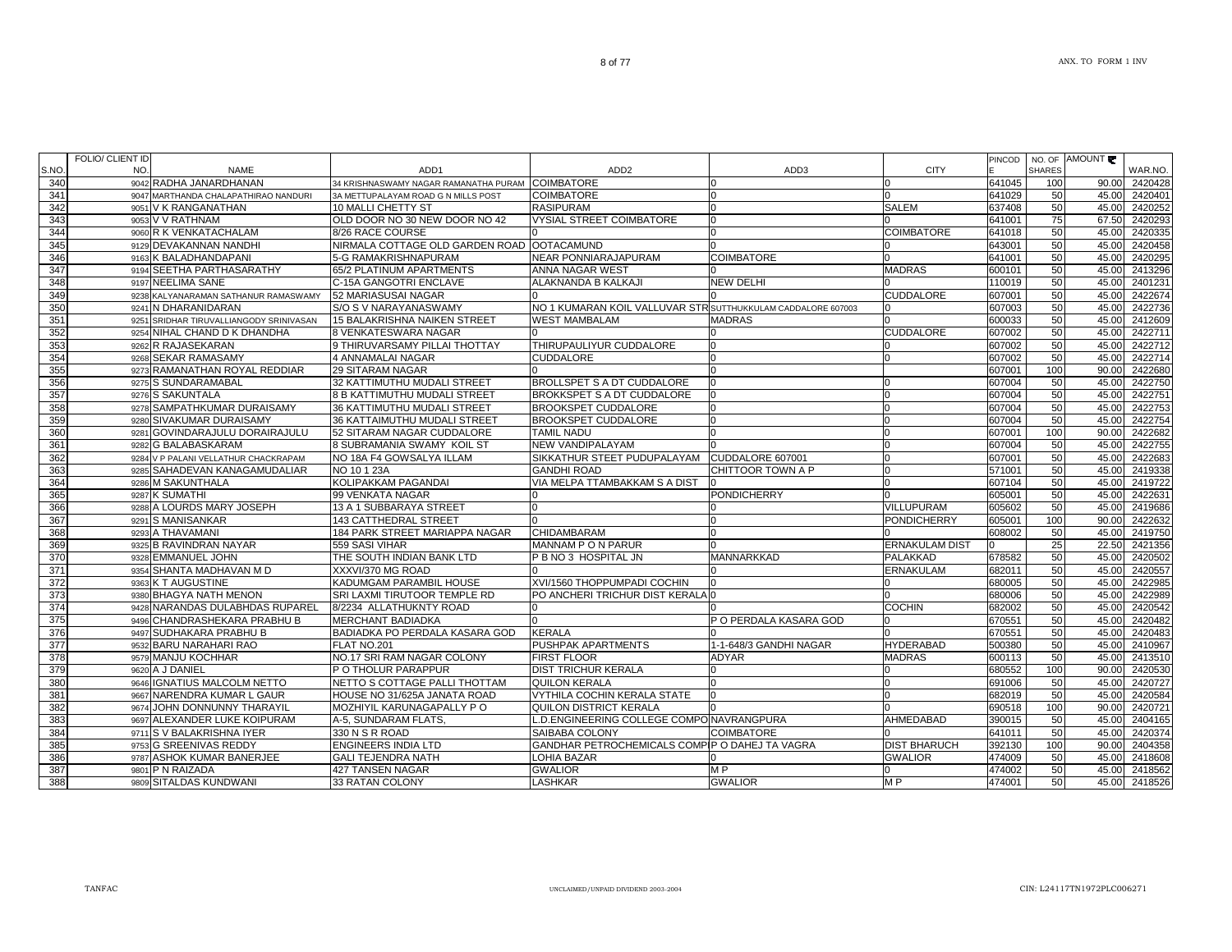WAR.NO.90.00 2420428

AMOUNT

PINCOD E

NO. OF SHARES

| 341 | 9047 MARTHANDA CHALAPATHIRAO NANDURI    | 3A METTUPALAYAM ROAD G N MILLS POST        | <b>COIMBATORE</b>                                           |                        |                       | 641029 | 50  | 45.00 | 2420401 |
|-----|-----------------------------------------|--------------------------------------------|-------------------------------------------------------------|------------------------|-----------------------|--------|-----|-------|---------|
| 342 | 9051 V K RANGANATHAN                    | 10 MALLI CHETTY ST                         | <b>RASIPURAM</b>                                            |                        | <b>SALEM</b>          | 637408 | 50  | 45.00 | 2420252 |
| 343 | 9053 V V RATHNAM                        | OLD DOOR NO 30 NEW DOOR NO 42              | <b>VYSIAL STREET COIMBATORE</b>                             |                        |                       | 641001 | 75  | 67.50 | 2420293 |
| 344 | 9060 R K VENKATACHALAM                  | 8/26 RACE COURSE                           |                                                             | 0                      | <b>COIMBATORE</b>     | 641018 | 50  | 45.00 | 2420335 |
| 345 | 9129 DEVAKANNAN NANDHI                  | NIRMALA COTTAGE OLD GARDEN ROAD OOTACAMUND |                                                             |                        |                       | 643001 | 50  | 45.00 | 2420458 |
| 346 | 9163 K BALADHANDAPANI                   | 5-G RAMAKRISHNAPURAM                       | NEAR PONNIARAJAPURAM                                        | <b>COIMBATORE</b>      |                       | 641001 | 50  | 45.00 | 2420295 |
| 347 | 9194 SEETHA PARTHASARATHY               | 65/2 PLATINUM APARTMENTS                   | <b>ANNA NAGAR WEST</b>                                      |                        | <b>MADRAS</b>         | 600101 | 50  | 45.00 | 2413296 |
| 348 | 9197 NEELIMA SANE                       | C-15A GANGOTRI ENCLAVE                     | ALAKNANDA B KALKAJI                                         | <b>NEW DELHI</b>       |                       | 110019 | 50  | 45.00 | 2401231 |
| 349 | 9238 KALYANARAMAN SATHANUR RAMASWAMY    | 52 MARIASUSAI NAGAR                        |                                                             |                        | <b>CUDDALORE</b>      | 607001 | 50  | 45.00 | 2422674 |
| 350 | 9241 N DHARANIDARAN                     | S/O S V NARAYANASWAMY                      | NO 1 KUMARAN KOIL VALLUVAR STRSUTTHUKKULAM CADDALORE 607003 |                        |                       | 607003 | 50  | 45.00 | 2422736 |
| 351 | 9251 SRIDHAR TIRUVALLIANGODY SRINIVASAN | 15 BALAKRISHNA NAIKEN STREET               | <b>WEST MAMBALAM</b>                                        | <b>MADRAS</b>          |                       | 600033 | 50  | 45.00 | 2412609 |
| 352 | 9254 NIHAL CHAND D K DHANDHA            | <b>8 VENKATESWARA NAGAR</b>                |                                                             |                        | <b>CUDDALORE</b>      | 607002 | 50  | 45.00 | 2422711 |
| 353 | 9262 R RAJASEKARAN                      | 9 THIRUVARSAMY PILLAI THOTTAY              | THIRUPAULIYUR CUDDALORE                                     |                        |                       | 607002 | 50  | 45.00 | 2422712 |
| 354 | 9268 SEKAR RAMASAMY                     | 4 ANNAMALAI NAGAR                          | <b>CUDDALORE</b>                                            |                        |                       | 607002 | 50  | 45.00 | 2422714 |
| 355 | 9273 RAMANATHAN ROYAL REDDIAR           | <b>29 SITARAM NAGAR</b>                    |                                                             |                        |                       | 607001 | 100 | 90.00 | 2422680 |
| 356 | 9275 S SUNDARAMABAL                     | 32 KATTIMUTHU MUDALI STREET                | <b>BROLLSPET S A DT CUDDALORE</b>                           |                        |                       | 607004 | 50  | 45.00 | 2422750 |
| 357 | 9276 S SAKUNTALA                        | 8 B KATTIMUTHU MUDALI STREET               | <b>BROKKSPET S A DT CUDDALORE</b>                           |                        |                       | 607004 | 50  | 45.00 | 2422751 |
| 358 | 9278 SAMPATHKUMAR DURAISAMY             | 36 KATTIMUTHU MUDALI STREET                | <b>BROOKSPET CUDDALORE</b>                                  |                        |                       | 607004 | 50  | 45.00 | 2422753 |
| 359 | 9280 SIVAKUMAR DURAISAMY                | 36 KATTAIMUTHU MUDALI STREET               | <b>BROOKSPET CUDDALORE</b>                                  |                        |                       | 607004 | 50  | 45.00 | 2422754 |
| 360 | 9281 GOVINDARAJULU DORAIRAJULU          | 52 SITARAM NAGAR CUDDALORE                 | <b>TAMIL NADU</b>                                           |                        |                       | 607001 | 100 | 90.00 | 2422682 |
| 361 | 9282 G BALABASKARAM                     | <b>8 SUBRAMANIA SWAMY KOIL ST</b>          | <b>NEW VANDIPALAYAM</b>                                     |                        |                       | 607004 | 50  | 45.00 | 2422755 |
| 362 |                                         | INO 18A F4 GOWSALYA ILLAM                  | <b>ISIKKATHUR STEET PUDUPALAYAM</b>                         | CUDDALORE 607001       |                       | 607001 | 50  | 45.00 | 2422683 |
| 363 | 9284 V P PALANI VELLATHUR CHACKRAPAM    | NO 10 1 23A                                | <b>GANDHI ROAD</b>                                          | CHITTOOR TOWN A P      |                       | 571001 |     |       | 2419338 |
|     | 9285 SAHADEVAN KANAGAMUDALIAR           |                                            |                                                             |                        |                       |        | 50  | 45.00 |         |
| 364 | 9286 M SAKUNTHALA                       | KOLIPAKKAM PAGANDAI                        | VIA MELPA TTAMBAKKAM S A DIST                               |                        |                       | 607104 | 50  | 45.00 | 2419722 |
| 365 | 9287 K SUMATHI                          | 99 VENKATA NAGAR                           |                                                             | <b>PONDICHERRY</b>     |                       | 605001 | 50  | 45.00 | 2422631 |
| 366 | 9288 A LOURDS MARY JOSEPH               | 13 A 1 SUBBARAYA STREET                    |                                                             |                        | VILLUPURAM            | 605602 | 50  | 45.00 | 2419686 |
| 367 | 9291 S MANISANKAR                       | 143 CATTHEDRAL STREET                      |                                                             |                        | <b>PONDICHERRY</b>    | 605001 | 100 | 90.00 | 2422632 |
| 368 | 9293 A THAVAMANI                        | 184 PARK STREET MARIAPPA NAGAR             | <b>CHIDAMBARAM</b>                                          |                        |                       | 608002 | 50  | 45.00 | 2419750 |
| 369 | 9325 B RAVINDRAN NAYAR                  | 559 SASI VIHAR                             | MANNAM P O N PARUR                                          |                        | <b>ERNAKULAM DIST</b> |        | 25  | 22.50 | 2421356 |
| 370 | 9328 EMMANUEL JOHN                      | THE SOUTH INDIAN BANK LTD                  | P B NO 3 HOSPITAL JN                                        | MANNARKKAD             | PALAKKAD              | 678582 | 50  | 45.00 | 2420502 |
| 371 | 9354 SHANTA MADHAVAN M D                | XXXVI/370 MG ROAD                          |                                                             |                        | <b>ERNAKULAM</b>      | 682011 | 50  | 45.00 | 2420557 |
| 372 | 9363 K T AUGUSTINE                      | KADUMGAM PARAMBIL HOUSE                    | XVI/1560 THOPPUMPADI COCHIN                                 |                        |                       | 680005 | 50  | 45.00 | 2422985 |
| 373 | 9380 BHAGYA NATH MENON                  | SRI LAXMI TIRUTOOR TEMPLE RD               | PO ANCHERI TRICHUR DIST KERALA 0                            |                        |                       | 680006 | 50  | 45.00 | 2422989 |
| 374 | 9428 NARANDAS DULABHDAS RUPAREL         | 8/2234 ALLATHUKNTY ROAD                    |                                                             |                        | <b>COCHIN</b>         | 682002 | 50  | 45.00 | 2420542 |
| 375 | 9496 CHANDRASHEKARA PRABHU B            | <b>MERCHANT BADIADKA</b>                   |                                                             | P O PERDALA KASARA GOD |                       | 670551 | 50  | 45.00 | 2420482 |
| 376 | 9497 SUDHAKARA PRABHU B                 | BADIADKA PO PERDALA KASARA GOD             | <b>KERALA</b>                                               |                        |                       | 670551 | 50  | 45.00 | 2420483 |
| 377 | 9532 BARU NARAHARI RAO                  | FLAT NO.201                                | <b>PUSHPAK APARTMENTS</b>                                   | 1-1-648/3 GANDHI NAGAR | <b>HYDERABAD</b>      | 500380 | 50  | 45.00 | 2410967 |
| 378 | 9579 MANJU KOCHHAR                      | NO.17 SRI RAM NAGAR COLONY                 | <b>FIRST FLOOR</b>                                          | <b>ADYAR</b>           | <b>MADRAS</b>         | 600113 | 50  | 45.00 | 2413510 |
| 379 | 9620 A J DANIEL                         | P O THOLUR PARAPPUR                        | <b>DIST TRICHUR KERALA</b>                                  |                        |                       | 680552 | 100 | 90.00 | 2420530 |
| 380 | 9646 IGNATIUS MALCOLM NETTO             | NETTO S COTTAGE PALLI THOTTAM              | <b>QUILON KERALA</b>                                        |                        |                       | 691006 | 50  | 45.00 | 2420727 |
| 381 | 9667 NARENDRA KUMAR L GAUR              | HOUSE NO 31/625A JANATA ROAD               | VYTHILA COCHIN KERALA STATE                                 |                        |                       | 682019 | 50  | 45.00 | 2420584 |
| 382 | 9674 JOHN DONNUNNY THARAYIL             | MOZHIYIL KARUNAGAPALLY P O                 | QUILON DISTRICT KERALA                                      |                        |                       | 690518 | 100 | 90.00 | 2420721 |
| 383 | 9697 ALEXANDER LUKE KOIPURAM            | A-5, SUNDARAM FLATS,                       | L.D. ENGINEERING COLLEGE COMPOINAVRANGPURA                  |                        | AHMEDABAD             | 390015 | 50  | 45.00 | 2404165 |
| 384 | 9711 S V BALAKRISHNA IYER               | 330 N S R ROAD                             | SAIBABA COLONY                                              | COIMBATORE             |                       | 641011 | 50  | 45.00 | 2420374 |
| 385 | 9753 G SREENIVAS REDDY                  | <b>ENGINEERS INDIA LTD</b>                 | GANDHAR PETROCHEMICALS COMPIP O DAHEJ TA VAGRA              |                        | <b>DIST BHARUCH</b>   | 392130 | 100 | 90.00 | 2404358 |
| 386 | 9787 ASHOK KUMAR BANERJEE               | <b>GALI TEJENDRA NATH</b>                  | <b>LOHIA BAZAR</b>                                          |                        | <b>GWALIOR</b>        | 474009 | 50  | 45.00 | 2418608 |
| 387 | 9801 P N RAIZADA                        | 427 TANSEN NAGAR                           | <b>GWALIOR</b>                                              | M P                    |                       | 474002 | 50  | 45.00 | 2418562 |
| 388 | 9809 SITALDAS KUNDWANI                  | 33 RATAN COLONY                            | <b>LASHKAR</b>                                              | <b>GWALIOR</b>         | M <sub>P</sub>        | 474001 | 50  | 45.00 | 2418526 |

8 of 77

34 KRISHNASWAMY NAGAR RAMANATHA PURAM COIMBATORE 0 0 641045 100 90.00 2420428

NAME ADD1 ADD2 ADD3 CITY

S.NO. 340

FOLIO/ CLIENT ID NO.

9042 RADHA JANARDHANAN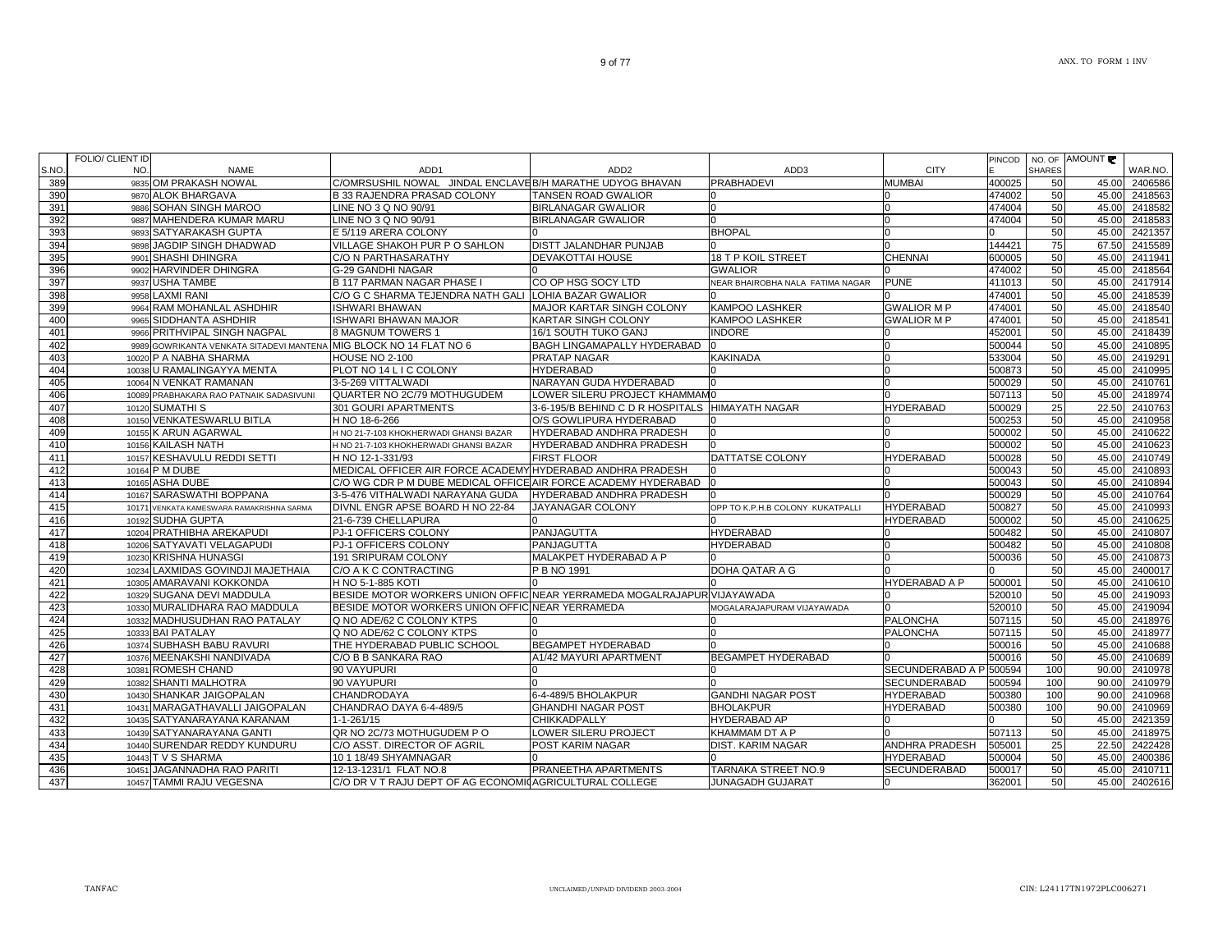| S.NO | <b>FOLIO/ CLIENT ID</b><br>NO. | <b>NAME</b>                                                        | ADD <sub>1</sub>                                                        | ADD <sub>2</sub>                                | ADD3                             | <b>CITY</b>             | <b>PINCOD</b> | <b>SHARES</b> | NO. OF AMOUNT | WAR.NO.       |
|------|--------------------------------|--------------------------------------------------------------------|-------------------------------------------------------------------------|-------------------------------------------------|----------------------------------|-------------------------|---------------|---------------|---------------|---------------|
| 389  |                                | 9835 OM PRAKASH NOWAL                                              | C/OMRSUSHIL NOWAL                                                       | JINDAL ENCLAVE B/H MARATHE UDYOG BHAVAN         | <b>PRABHADEVI</b>                | <b>MUMBAI</b>           | 400025        | 50            | 45.00         | 2406586       |
| 390  |                                | 9870 ALOK BHARGAVA                                                 | <b>B 33 RAJENDRA PRASAD COLONY</b>                                      | <b>TANSEN ROAD GWALIOR</b>                      |                                  | n                       | 474002        | 50            | 45.00         | 2418563       |
| 391  |                                | 9886 SOHAN SINGH MAROO                                             | LINE NO 3 Q NO 90/91                                                    | <b>BIRLANAGAR GWALIOR</b>                       |                                  | n                       | 474004        | 50            | 45.00         | 2418582       |
| 392  |                                | 9887 MAHENDERA KUMAR MARU                                          | LINE NO 3 Q NO 90/91                                                    | <b>BIRLANAGAR GWALIOR</b>                       |                                  |                         | 474004        | 50            | 45.00         | 2418583       |
| 393  |                                | 9893 SATYARAKASH GUPTA                                             | E 5/119 ARERA COLONY                                                    |                                                 | <b>BHOPAL</b>                    | <sup>0</sup>            |               | 50            | 45.00         | 2421357       |
| 394  |                                | 9898 JAGDIP SINGH DHADWAD                                          | VILLAGE SHAKOH PUR P O SAHLON                                           | <b>DISTT JALANDHAR PUNJAB</b>                   |                                  |                         | 144421        | 75            | 67.50         | 2415589       |
| 395  |                                | 9901 SHASHI DHINGRA                                                | C/O N PARTHASARATHY                                                     | <b>DEVAKOTTAI HOUSE</b>                         | 18 T P KOIL STREET               | <b>CHENNAI</b>          | 600005        | 50            | 45.00         | 2411941       |
| 396  |                                | 9902 HARVINDER DHINGRA                                             | G-29 GANDHI NAGAR                                                       |                                                 | <b>GWALIOR</b>                   |                         | 474002        | 50            | 45.00         | 2418564       |
| 397  |                                | 9937 USHA TAMBE                                                    | <b>B 117 PARMAN NAGAR PHASE I</b>                                       | CO OP HSG SOCY LTD                              | NEAR BHAIROBHA NALA FATIMA NAGAR | <b>PUNE</b>             | 411013        | 50            | 45.00         | 2417914       |
| 398  |                                | 9958 LAXMI RANI                                                    | C/O G C SHARMA TEJENDRA NATH GALI                                       | <b>LOHIA BAZAR GWALIOR</b>                      |                                  |                         | 474001        | 50            | 45.00         | 2418539       |
| 399  |                                | 9964 RAM MOHANLAL ASHDHIR                                          | <b>ISHWARI BHAWAN</b>                                                   | MAJOR KARTAR SINGH COLONY                       | KAMPOO LASHKER                   | <b>GWALIOR MP</b>       | 474001        | 50            | 45.00         | 2418540       |
| 400  |                                | 9965 SIDDHANTA ASHDHIR                                             | <b>ISHWARI BHAWAN MAJOR</b>                                             | <b>KARTAR SINGH COLONY</b>                      | KAMPOO LASHKER                   | <b>GWALIOR MP</b>       | 474001        | 50            | 45.00         | 2418541       |
| 401  |                                | 9966 PRITHVIPAL SINGH NAGPAL                                       | 8 MAGNUM TOWERS 1                                                       | 16/1 SOUTH TUKO GANJ                            | <b>INDORE</b>                    |                         | 452001        | 50            | 45.00         | 2418439       |
| 402  |                                | 9989 GOWRIKANTA VENKATA SITADEVI MANTENA MIG BLOCK NO 14 FLAT NO 6 |                                                                         | <b>BAGH LINGAMAPALLY HYDERABAD</b>              |                                  | n                       | 500044        | 50            | 45.00         | 2410895       |
| 403  |                                | 10020 P A NABHA SHARMA                                             | <b>HOUSE NO 2-100</b>                                                   | <b>PRATAP NAGAR</b>                             | <b>KAKINADA</b>                  | n                       | 533004        | 50            | 45.00         | 2419291       |
| 404  |                                | 10038 U RAMALINGAYYA MENTA                                         | PLOT NO 14 L I C COLONY                                                 | <b>HYDERABAD</b>                                |                                  | n                       | 500873        | 50            | 45.00         | 2410995       |
| 405  |                                | 10064 N VENKAT RAMANAN                                             | 3-5-269 VITTALWADI                                                      | NARAYAN GUDA HYDERABAD                          |                                  |                         | 500029        | 50            | 45.00         | 2410761       |
| 406  |                                | 10089 PRABHAKARA RAO PATNAIK SADASIVUNI                            | QUARTER NO 2C/79 MOTHUGUDEM                                             | LOWER SILERU PROJECT KHAMMAM0                   |                                  |                         | 507113        | 50            | 45.00         | 2418974       |
| 407  |                                | 10120 SUMATHI S                                                    | 301 GOURI APARTMENTS                                                    | 3-6-195/B BEHIND C D R HOSPITALS HIMAYATH NAGAR |                                  | <b>HYDERABAD</b>        | 500029        | 25            | 22.50         | 2410763       |
| 408  |                                | 10150 VENKATESWARLU BITLA                                          | H NO 18-6-266                                                           | O/S GOWLIPURA HYDERABAD                         |                                  |                         | 500253        | 50            | 45.00         | 2410958       |
| 409  |                                | 10155 K ARUN AGARWAL                                               | H NO 21-7-103 KHOKHERWADI GHANSI BAZAR                                  | HYDERABAD ANDHRA PRADESH                        |                                  |                         | 500002        | 50            | 45.00         | 2410622       |
| 410  |                                | 10156 KAILASH NATH                                                 | H NO 21-7-103 KHOKHERWADI GHANSI BAZAR                                  | HYDERABAD ANDHRA PRADESH                        |                                  |                         | 500002        | 50            | 45.00         | 2410623       |
| 411  |                                | 10157 KESHAVULU REDDI SETTI                                        | H NO 12-1-331/93                                                        | <b>FIRST FLOOR</b>                              | DATTATSE COLONY                  | <b>HYDERABAD</b>        | 500028        | 50            | 45.00         | 2410749       |
| 412  |                                | 10164 P M DUBE                                                     | MEDICAL OFFICER AIR FORCE ACADEMY HYDERABAD ANDHRA PRADESH              |                                                 |                                  |                         | 500043        | 50            | 45.00         | 2410893       |
| 413  |                                | 10165 ASHA DUBE                                                    | C/O WG CDR P M DUBE MEDICAL OFFICE AIR FORCE ACADEMY HYDERABAD          |                                                 |                                  |                         | 500043        | 50            | 45.00         | 2410894       |
| 414  |                                | 10167 SARASWATHI BOPPANA                                           | 3-5-476 VITHALWADI NARAYANA GUDA                                        | HYDERABAD ANDHRA PRADESH                        |                                  |                         | 500029        | 50            | 45.00         | 2410764       |
| 415  |                                | 10171 VENKATA KAMESWARA RAMAKRISHNA SARMA                          | DIVNL ENGR APSE BOARD H NO 22-84                                        | <b>JAYANAGAR COLONY</b>                         | OPP TO K.P.H.B COLONY KUKATPALLI | <b>HYDERABAD</b>        | 500827        | 50            | 45.00         | 2410993       |
| 416  |                                | 10192 SUDHA GUPTA                                                  | 21-6-739 CHELLAPURA                                                     |                                                 |                                  | <b>HYDERABAD</b>        | 500002        | 50            | 45.00         | 2410625       |
| 417  |                                | 10204 PRATHIBHA AREKAPUDI                                          | PJ-1 OFFICERS COLONY                                                    | PANJAGUTTA                                      | <b>HYDERABAD</b>                 |                         | 500482        | 50            | 45.00         | 2410807       |
| 418  |                                | 10206 SATYAVATI VELAGAPUDI                                         | PJ-1 OFFICERS COLONY                                                    | PANJAGUTTA                                      | <b>HYDERABAD</b>                 |                         | 500482        | 50            | 45.00         | 2410808       |
| 419  |                                | 10230 KRISHNA HUNASGI                                              | 191 SRIPURAM COLONY                                                     | MALAKPET HYDERABAD A P                          |                                  | n                       | 500036        | 50            | 45.00         | 2410873       |
| 420  |                                | 10234 LAXMIDAS GOVINDJI MAJETHAIA                                  | C/O A K C CONTRACTING                                                   | P B NO 1991                                     | DOHA QATAR A G                   |                         |               | 50            |               | 45.00 2400017 |
| 421  |                                | 10305 AMARAVANI KOKKONDA                                           | H NO 5-1-885 KOTI                                                       |                                                 |                                  | <b>HYDERABAD A P</b>    | 500001        | 50            |               | 45.00 2410610 |
| 422  |                                | 10329 SUGANA DEVI MADDULA                                          | BESIDE MOTOR WORKERS UNION OFFIC NEAR YERRAMEDA MOGALRAJAPUR VIJAYAWADA |                                                 |                                  |                         | 520010        | 50            | 45.00         | 2419093       |
| 423  |                                | 10330 MURALIDHARA RAO MADDULA                                      | BESIDE MOTOR WORKERS UNION OFFIC NEAR YERRAMEDA                         |                                                 | MOGALARAJAPURAM VIJAYAWADA       |                         | 520010        | 50            | 45.00         | 2419094       |
| 424  |                                | 10332 MADHUSUDHAN RAO PATALAY                                      | Q NO ADE/62 C COLONY KTPS                                               |                                                 |                                  | <b>PALONCHA</b>         | 507115        | 50            | 45.00         | 2418976       |
| 425  |                                | 10333 BAI PATALAY                                                  | Q NO ADE/62 C COLONY KTPS                                               |                                                 |                                  | <b>PALONCHA</b>         | 507115        | 50            | 45.00         | 2418977       |
| 426  |                                | 10374 SUBHASH BABU RAVURI                                          | THE HYDERABAD PUBLIC SCHOOL                                             | <b>BEGAMPET HYDERABAD</b>                       |                                  |                         | 500016        | 50            | 45.00         | 2410688       |
| 427  |                                | 10376 MEENAKSHI NANDIVADA                                          | C/O B B SANKARA RAO                                                     | A1/42 MAYURI APARTMENT                          | <b>BEGAMPET HYDERABAD</b>        |                         | 500016        | 50            | 45.00         | 2410689       |
| 428  |                                | 10381 ROMESH CHAND                                                 | 90 VAYUPURI                                                             |                                                 |                                  | SECUNDERABAD A P 500594 |               | 100           | 90.00         | 2410978       |
| 429  |                                | 10382 SHANTI MALHOTRA                                              | 90 VAYUPURI                                                             |                                                 |                                  | SECUNDERABAD            | 500594        | 100           | 90.00         | 2410979       |
| 430  |                                | 10430 SHANKAR JAIGOPALAN                                           | CHANDRODAYA                                                             | 6-4-489/5 BHOLAKPUR                             | <b>GANDHI NAGAR POST</b>         | <b>HYDERABAD</b>        | 500380        | 100           | 90.00         | 2410968       |
| 431  |                                | 10431 MARAGATHAVALLI JAIGOPALAN                                    | CHANDRAO DAYA 6-4-489/5                                                 | <b>GHANDHI NAGAR POST</b>                       | <b>BHOLAKPUR</b>                 | <b>HYDERABAD</b>        | 500380        | 100           | 90.00         | 2410969       |
| 432  |                                | 10435 SATYANARAYANA KARANAM                                        | 1-1-261/15                                                              | <b>CHIKKADPALLY</b>                             | <b>HYDERABAD AP</b>              |                         |               | 50            | 45.00         | 2421359       |
| 433  |                                | 10439 SATYANARAYANA GANTI                                          | QR NO 2C/73 MOTHUGUDEM PO                                               | LOWER SILERU PROJECT                            | KHAMMAM DT A P                   |                         | 507113        | 50            | 45.00         | 2418975       |
| 434  |                                | 10440 SURENDAR REDDY KUNDURU                                       | C/O ASST. DIRECTOR OF AGRIL                                             | POST KARIM NAGAR                                | DIST. KARIM NAGAR                | ANDHRA PRADESH          | 505001        | 25            | 22.50         | 2422428       |
| 435  |                                | 10443 T V S SHARMA                                                 | 10 1 18/49 SHYAMNAGAR                                                   |                                                 |                                  | <b>HYDERABAD</b>        | 500004        | 50            | 45.00         | 2400386       |
| 436  |                                | 10451 JAGANNADHA RAO PARITI                                        | 12-13-1231/1 FLAT NO.8                                                  | <b>PRANEETHA APARTMENTS</b>                     | TARNAKA STREET NO.9              | <b>SECUNDERABAD</b>     | 500017        | 50            | 45.00         | 2410711       |
| 437  |                                | 10457 TAMMI RAJU VEGESNA                                           | C/O DR V T RAJU DEPT OF AG ECONOMICAGRICULTURAL COLLEGE                 |                                                 | <b>JUNAGADH GUJARAT</b>          | n                       | 362001        | 50            | 45.00         | 2402616       |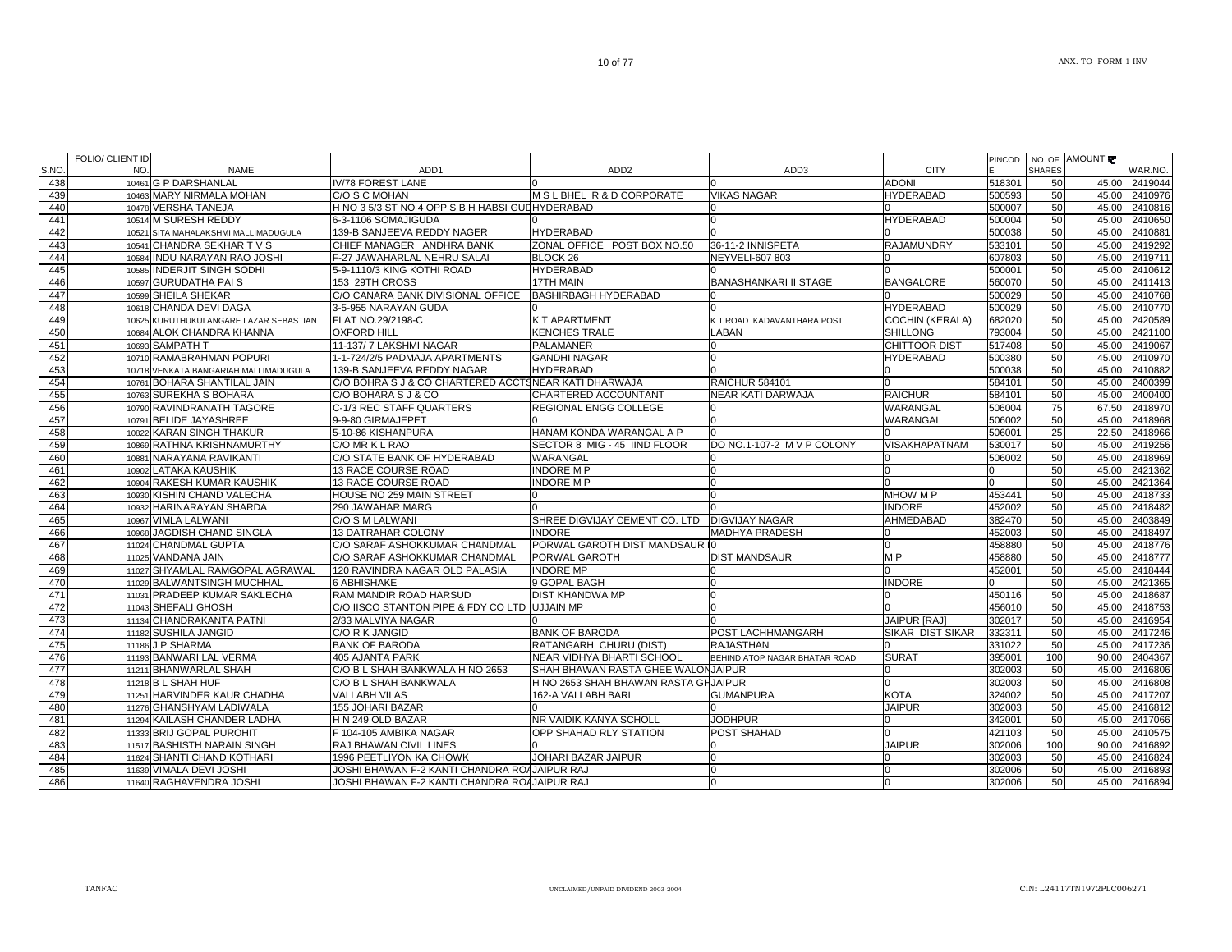|      | FOLIO/ CLIENT ID |                                        |                                                      |                                               |                               |                        | <b>PINCOD</b> |               | NO. OF AMOUNT |               |
|------|------------------|----------------------------------------|------------------------------------------------------|-----------------------------------------------|-------------------------------|------------------------|---------------|---------------|---------------|---------------|
| S.NO | NO.              | <b>NAME</b>                            | ADD <sub>1</sub>                                     | ADD <sub>2</sub>                              | ADD3                          | <b>CITY</b>            |               | <b>SHARES</b> |               | WAR.NO.       |
| 438  |                  | 10461 G P DARSHANLAL                   | IV/78 FOREST LANE                                    |                                               |                               | <b>ADONI</b>           | 518301        | 50            | 45.00         | 2419044       |
| 439  |                  | 10463 MARY NIRMALA MOHAN               | C/O S C MOHAN                                        | <b>MSLBHEL R&amp;D CORPORATE</b>              | <b>VIKAS NAGAR</b>            | <b>HYDERABAD</b>       | 500593        | 50            | 45.00         | 2410976       |
| 440  |                  | 10478 VERSHA TANEJA                    | H NO 3 5/3 ST NO 4 OPP S B H HABSI GUL HYDERABAD     |                                               |                               |                        | 500007        | 50            | 45.00         | 2410816       |
| 441  |                  | 10514 M SURESH REDDY                   | 6-3-1106 SOMAJIGUDA                                  |                                               |                               | <b>HYDERABAD</b>       | 500004        | 50            | 45.00         | 2410650       |
| 442  |                  | 10521 SITA MAHALAKSHMI MALLIMADUGULA   | 139-B SANJEEVA REDDY NAGER                           | <b>HYDERABAD</b>                              |                               |                        | 500038        | 50            | 45.00         | 2410881       |
| 443  |                  | 10541 CHANDRA SEKHAR T V S             | CHIEF MANAGER ANDHRA BANK                            | ZONAL OFFICE POST BOX NO.50                   | 36-11-2 INNISPETA             | <b>RAJAMUNDRY</b>      | 533101        | 50            | 45.00         | 2419292       |
| 444  |                  | 10584 INDU NARAYAN RAO JOSHI           | F-27 JAWAHARLAL NEHRU SALAI                          | BLOCK <sub>26</sub>                           | NEYVELI-607 803               |                        | 607803        | 50            |               | 45.00 2419711 |
| 445  |                  | 10585 INDERJIT SINGH SODHI             | 5-9-1110/3 KING KOTHI ROAD                           | <b>HYDERABAD</b>                              |                               |                        | 500001        | 50            | 45.00         | 2410612       |
| 446  |                  | 10597 GURUDATHA PAI S                  | 153 29TH CROSS                                       | <b>17TH MAIN</b>                              | <b>BANASHANKARI II STAGE</b>  | <b>BANGALORE</b>       | 560070        | 50            | 45.00         | 2411413       |
| 447  |                  | 10599 SHEILA SHEKAR                    | C/O CANARA BANK DIVISIONAL OFFICE                    | <b>BASHIRBAGH HYDERABAD</b>                   |                               |                        | 500029        | 50            | 45.00         | 2410768       |
| 448  |                  | 10618 CHANDA DEVI DAGA                 | 3-5-955 NARAYAN GUDA                                 |                                               |                               | <b>HYDERABAD</b>       | 500029        | 50            | 45.00         | 2410770       |
| 449  |                  | 10625 KURUTHUKULANGARE LAZAR SEBASTIAN | FLAT NO.29/2198-C                                    | <b>K T APARTMENT</b>                          | K T ROAD KADAVANTHARA POST    | <b>COCHIN (KERALA)</b> | 682020        | 50            | 45.00         | 2420589       |
| 450  |                  | 10684 ALOK CHANDRA KHANNA              | <b>OXFORD HILL</b>                                   | <b>KENCHES TRALE</b>                          | LABAN                         | <b>SHILLONG</b>        | 793004        | 50            | 45.00         | 2421100       |
| 451  |                  | 10693 SAMPATH T                        | 11-137/ 7 LAKSHMI NAGAR                              | <b>PALAMANER</b>                              |                               | <b>CHITTOOR DIST</b>   | 517408        | 50            |               | 45.00 2419067 |
| 452  |                  | 10710 RAMABRAHMAN POPURI               | 1-1-724/2/5 PADMAJA APARTMENTS                       | <b>GANDHI NAGAR</b>                           |                               | <b>HYDERABAD</b>       | 500380        | 50            | 45.00         | 2410970       |
| 453  |                  | 10718 VENKATA BANGARIAH MALLIMADUGULA  | 139-B SANJEEVA REDDY NAGAR                           | <b>HYDERABAD</b>                              |                               |                        | 500038        | 50            | 45.00         | 2410882       |
| 454  |                  | 10761 BOHARA SHANTILAL JAIN            | C/O BOHRA S J & CO CHARTERED ACCTSNEAR KATI DHARWAJA |                                               | <b>RAICHUR 584101</b>         | $\Omega$               | 584101        | 50            | 45.00         | 2400399       |
| 455  |                  | 10763 SUREKHA S BOHARA                 | C/O BOHARA S J & CO                                  | CHARTERED ACCOUNTANT                          | NEAR KATI DARWAJA             | <b>RAICHUR</b>         | 584101        | 50            | 45.00         | 2400400       |
| 456  |                  | 10790 RAVINDRANATH TAGORE              | C-1/3 REC STAFF QUARTERS                             | <b>REGIONAL ENGG COLLEGE</b>                  |                               | WARANGAL               | 506004        | 75            | 67.50         | 2418970       |
| 457  |                  | 10791 BELIDE JAYASHREE                 | 9-9-80 GIRMAJEPET                                    | n                                             | <sup>n</sup>                  | WARANGAL               | 506002        | 50            |               | 45.00 2418968 |
| 458  |                  | 10822 KARAN SINGH THAKUR               | 5-10-86 KISHANPURA                                   | HANAM KONDA WARANGAL A P                      |                               |                        | 506001        | 25            |               | 22.50 2418966 |
| 459  |                  | 10869 RATHNA KRISHNAMURTHY             | C/O MR K L RAO                                       | SECTOR 8 MIG - 45 IIND FLOOR                  | DO NO.1-107-2 M V P COLONY    | <b>VISAKHAPATNAM</b>   | 530017        | 50            | 45.00         | 2419256       |
| 460  |                  | 10881 NARAYANA RAVIKANTI               | C/O STATE BANK OF HYDERABAD                          | WARANGAL                                      |                               |                        | 506002        | 50            | 45.00         | 2418969       |
| 461  |                  | 10902 LATAKA KAUSHIK                   | 13 RACE COURSE ROAD                                  | <b>INDORE MP</b>                              |                               |                        |               | 50            | 45.00         | 2421362       |
| 462  |                  | 10904 RAKESH KUMAR KAUSHIK             | 13 RACE COURSE ROAD                                  | <b>INDORE MP</b>                              |                               |                        |               | 50            | 45.00         | 2421364       |
| 463  |                  | 10930 KISHIN CHAND VALECHA             | HOUSE NO 259 MAIN STREET                             |                                               |                               | MHOW M P               | 453441        | 50            | 45.00         | 2418733       |
| 464  |                  | 10932 HARINARAYAN SHARDA               | 290 JAWAHAR MARG                                     |                                               |                               | <b>INDORE</b>          | 452002        | 50            | 45.00         | 2418482       |
| 465  |                  | 10967 VIMLA LALWANI                    | C/O S M LALWANI                                      | SHREE DIGVIJAY CEMENT CO. LTD IDIGVIJAY NAGAR |                               | AHMEDABAD              | 382470        | 50            | 45.00         | 2403849       |
| 466  |                  | 10968 JAGDISH CHAND SINGLA             | <b>13 DATRAHAR COLONY</b>                            | <b>INDORE</b>                                 | <b>MADHYA PRADESH</b>         |                        | 452003        | 50            | 45.00         | 2418497       |
| 467  |                  | 11024 CHANDMAL GUPTA                   | C/O SARAF ASHOKKUMAR CHANDMAL                        | <b>PORWAL GAROTH DIST MANDSAUR TO</b>         |                               | n                      | 458880        | 50            |               | 45.00 2418776 |
| 468  |                  | 11025 VANDANA JAIN                     | C/O SARAF ASHOKKUMAR CHANDMAL                        | <b>PORWAL GAROTH</b>                          | <b>DIST MANDSAUR</b>          | M <sub>P</sub>         | 458880        | 50            | 45.00         | 2418777       |
| 469  |                  | 11027 SHYAMLAL RAMGOPAL AGRAWAL        | 120 RAVINDRA NAGAR OLD PALASIA                       | <b>INDORE MP</b>                              |                               |                        | 452001        | 50            | 45.00         | 2418444       |
| 470  |                  | 11029 BALWANTSINGH MUCHHAL             | <b>6 ABHISHAKE</b>                                   | 9 GOPAL BAGH                                  |                               | <b>INDORE</b>          |               | 50            | 45.00         | 2421365       |
| 471  |                  | 11031 PRADEEP KUMAR SAKLECHA           | RAM MANDIR ROAD HARSUD                               | <b>DIST KHANDWA MP</b>                        |                               |                        | 450116        | 50            | 45.00         | 2418687       |
| 472  |                  | 11043 SHEFALI GHOSH                    | C/O IISCO STANTON PIPE & FDY CO LTD UJJAIN MP        |                                               |                               |                        | 456010        | 50            | 45.00         | 2418753       |
| 473  |                  | 11134 CHANDRAKANTA PATNI               | 2/33 MALVIYA NAGAR                                   |                                               |                               | <b>JAIPUR [RAJ]</b>    | 302017        | 50            | 45.00         | 2416954       |
| 474  |                  | 11182 SUSHILA JANGID                   | C/O R K JANGID                                       | <b>BANK OF BARODA</b>                         | POST LACHHMANGARH             | SIKAR DIST SIKAR       | 332311        | 50            | 45.00         | 2417246       |
| 475  |                  | 11186 J P SHARMA                       | <b>BANK OF BARODA</b>                                | RATANGARH CHURU (DIST)                        | <b>RAJASTHAN</b>              |                        | 331022        | 50            | 45.00         | 2417236       |
| 476  |                  | 11193 BANWARI LAL VERMA                | <b>405 AJANTA PARK</b>                               | INEAR VIDHYA BHARTI SCHOOL                    | BEHIND ATOP NAGAR BHATAR ROAD | <b>SURAT</b>           | 395001        | 100           | 90.00         | 2404367       |
| 477  |                  | 11211 BHANWARLAL SHAH                  | C/O B L SHAH BANKWALA H NO 2653                      | SHAH BHAWAN RASTA GHEE WALONJAIPUR            |                               |                        | 302003        | 50            | 45.00         | 2416806       |
| 478  |                  | 11218 B L SHAH HUF                     | C/O B L SHAH BANKWALA                                | H NO 2653 SHAH BHAWAN RASTA GHJAIPUR          |                               | $\Omega$               | 302003        | 50            |               | 45.00 2416808 |
| 479  |                  | 11251 HARVINDER KAUR CHADHA            | <b>VALLABH VILAS</b>                                 | 162-A VALLABH BARI                            | <b>GUMANPURA</b>              | <b>KOTA</b>            | 324002        | 50            | 45.00         | 2417207       |
| 480  |                  | 11276 GHANSHYAM LADIWALA               | 155 JOHARI BAZAR                                     |                                               |                               | <b>JAIPUR</b>          | 302003        | 50            |               | 45.00 2416812 |
| 481  |                  | 11294 KAILASH CHANDER LADHA            | H N 249 OLD BAZAR                                    | NR VAIDIK KANYA SCHOLL                        | <b>JODHPUR</b>                |                        | 342001        | 50            | 45.00         | 2417066       |
| 482  |                  | 11333 BRIJ GOPAL PUROHIT               | F 104-105 AMBIKA NAGAR                               | OPP SHAHAD RLY STATION                        | POST SHAHAD                   |                        | 421103        | 50            | 45.00         | 2410575       |
| 483  |                  | 11517 BASHISTH NARAIN SINGH            | RAJ BHAWAN CIVIL LINES                               |                                               |                               | <b>JAIPUR</b>          | 302006        | 100           | 90.00         | 2416892       |
| 484  |                  | 11624 SHANTI CHAND KOTHARI             | 1996 PEETLIYON KA CHOWK                              | JOHARI BAZAR JAIPUR                           |                               |                        | 302003        | 50            | 45.00         | 2416824       |
| 485  |                  | 11639 VIMALA DEVI JOSHI                | JOSHI BHAWAN F-2 KANTI CHANDRA ROAJAIPUR RAJ         |                                               | $\Omega$                      | n                      | 302006        | 50            | 45.00         | 2416893       |
| 486  |                  | 11640 RAGHAVENDRA JOSHI                | JOSHI BHAWAN F-2 KANTI CHANDRA ROAJAIPUR RAJ         |                                               | $\Omega$                      | $\Omega$               | 302006        | 50            |               | 45.00 2416894 |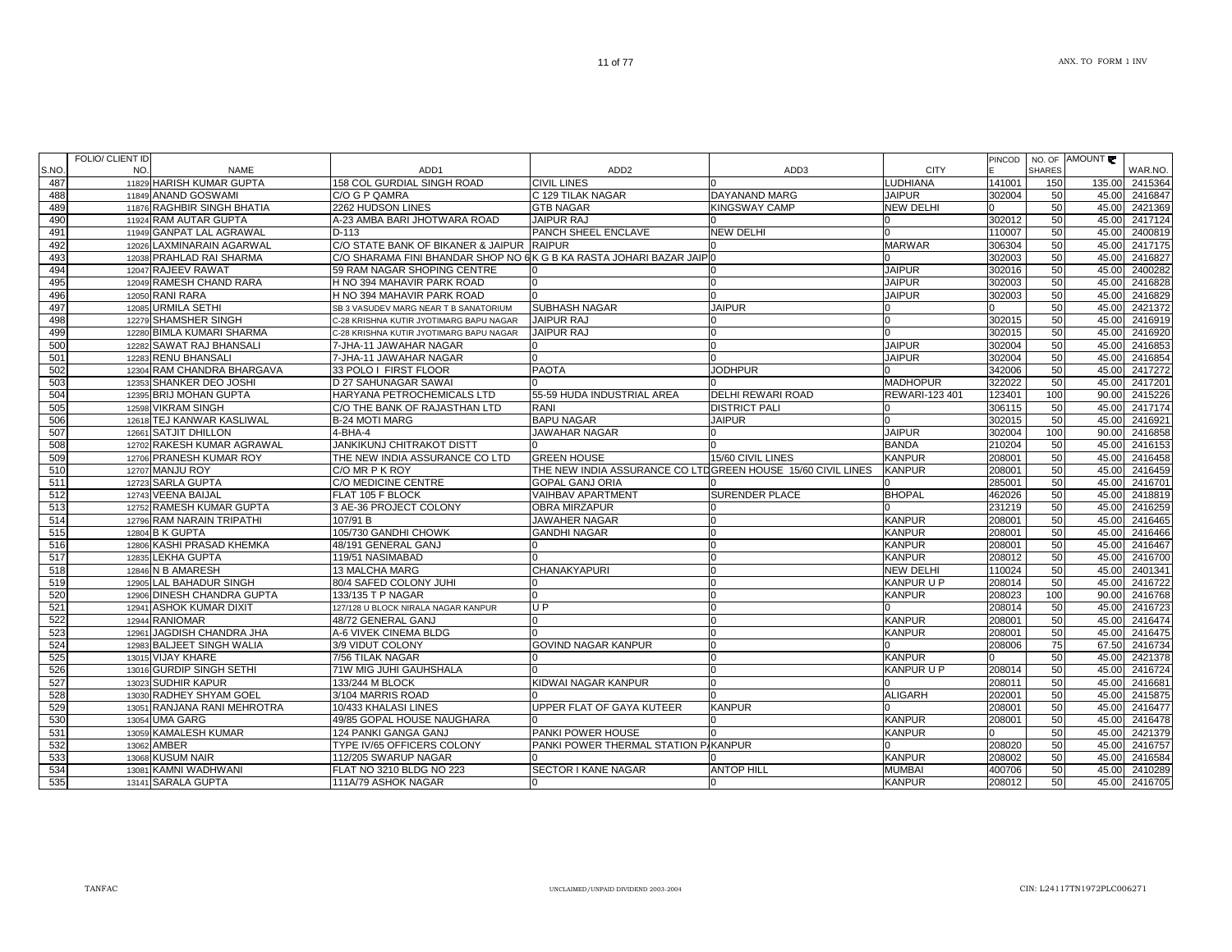|      | FOLIO/ CLIENT ID |                             |                                                                     |                                                             |                          |                   |              | <b>SHARES</b> | PINCOD   NO. OF AMOUNT |         |
|------|------------------|-----------------------------|---------------------------------------------------------------------|-------------------------------------------------------------|--------------------------|-------------------|--------------|---------------|------------------------|---------|
| S.NO | NO.              | <b>NAME</b>                 | ADD1                                                                | ADD <sub>2</sub>                                            | ADD3                     | <b>CITY</b>       |              |               |                        | WAR.NO. |
| 487  |                  | 11829 HARISH KUMAR GUPTA    | 158 COL GURDIAL SINGH ROAD                                          | <b>CIVIL LINES</b>                                          |                          | <b>UDHIANA</b>    | 141001       | 150           | 135.00                 | 2415364 |
| 488  |                  | 11849 ANAND GOSWAMI         | C/O G P QAMRA                                                       | C 129 TILAK NAGAR                                           | DAYANAND MARG            | <b>JAIPUR</b>     | 302004       | 50            | 45.00                  | 2416847 |
| 489  |                  | 11876 RAGHBIR SINGH BHATIA  | 2262 HUDSON LINES                                                   | <b>GTB NAGAR</b>                                            | <b>KINGSWAY CAMP</b>     | <b>NEW DELHI</b>  | O.           | 50            | 45.00                  | 2421369 |
| 490  |                  | 11924 RAM AUTAR GUPTA       | A-23 AMBA BARI JHOTWARA ROAD                                        | <b>JAIPUR RAJ</b>                                           |                          |                   | 302012       | 50            | 45.00                  | 2417124 |
| 491  |                  | 11949 GANPAT LAL AGRAWAL    | $D-113$                                                             | PANCH SHEEL ENCLAVE                                         | <b>NEW DELHI</b>         |                   | 110007       | 50            | 45.00                  | 2400819 |
| 492  |                  | 12026 LAXMINARAIN AGARWAL   | C/O STATE BANK OF BIKANER & JAIPUR                                  | <b>RAIPUR</b>                                               |                          | MARWAR            | 306304       | 50            | 45.00                  | 2417175 |
| 493  |                  | 12038 PRAHLAD RAI SHARMA    | C/O SHARAMA FINI BHANDAR SHOP NO 6K G B KA RASTA JOHARI BAZAR JAIPO |                                                             |                          |                   | 302003       | 50            | 45.00                  | 2416827 |
| 494  |                  | 12047 RAJEEV RAWAT          | 59 RAM NAGAR SHOPING CENTRE                                         |                                                             |                          | <b>JAIPUR</b>     | 302016       | 50            | 45.00                  | 2400282 |
| 495  |                  | 12049 RAMESH CHAND RARA     | H NO 394 MAHAVIR PARK ROAD                                          |                                                             | n                        | <b>JAIPUR</b>     | 302003       | 50            | 45.00                  | 2416828 |
| 496  |                  | 12050 RANI RARA             | H NO 394 MAHAVIR PARK ROAD                                          |                                                             |                          | <b>JAIPUR</b>     | 302003       | 50            | 45.00                  | 2416829 |
| 497  |                  | 12085 URMILA SETHI          | SB 3 VASUDEV MARG NEAR T B SANATORIUM                               | <b>SUBHASH NAGAR</b>                                        | <b>JAIPUR</b>            |                   |              | 50            | 45.00                  | 2421372 |
| 498  |                  | 12279 SHAMSHER SINGH        | C-28 KRISHNA KUTIR JYOTIMARG BAPU NAGAR                             | JAIPUR RAJ                                                  | n                        | <sup>0</sup>      | 302015       | 50            | 45.00                  | 2416919 |
| 499  |                  | 12280 BIMLA KUMARI SHARMA   | C-28 KRISHNA KUTIR JYOTIMARG BAPU NAGAR                             | <b>JAIPUR RAJ</b>                                           | <sup>n</sup>             |                   | 302015       | 50            | 45.00                  | 2416920 |
| 500  |                  | 12282 SAWAT RAJ BHANSALI    | 7-JHA-11 JAWAHAR NAGAR                                              |                                                             |                          | <b>JAIPUR</b>     | 302004       | 50            | 45.00                  | 2416853 |
| 501  |                  | 12283 RENU BHANSALI         | 7-JHA-11 JAWAHAR NAGAR                                              |                                                             |                          | <b>JAIPUR</b>     | 302004       | 50            | 45.00                  | 2416854 |
| 502  |                  | 12304 RAM CHANDRA BHARGAVA  | 33 POLO I FIRST FLOOR                                               | <b>PAOTA</b>                                                | <b>JODHPUR</b>           |                   | 342006       | 50            | 45.00                  | 2417272 |
| 503  |                  | 12353 SHANKER DEO JOSHI     | D 27 SAHUNAGAR SAWAI                                                |                                                             |                          | <b>MADHOPUR</b>   | 322022       | 50            | 45.00                  | 2417201 |
| 504  |                  | 12395 BRIJ MOHAN GUPTA      | HARYANA PETROCHEMICALS LTD                                          | 55-59 HUDA INDUSTRIAL AREA                                  | <b>DELHI REWARI ROAD</b> | REWARI-123 401    | 123401       | 100           | 90.00                  | 2415226 |
| 505  |                  | 12598 VIKRAM SINGH          | C/O THE BANK OF RAJASTHAN LTD                                       | RANI                                                        | <b>DISTRICT PALI</b>     |                   | 306115       | 50            | 45.00                  | 2417174 |
| 506  |                  | 12618 TEJ KANWAR KASLIWAL   | <b>B-24 MOTI MARG</b>                                               | <b>BAPU NAGAR</b>                                           | <b>JAIPUR</b>            |                   | 302015       | 50            | 45.00                  | 2416921 |
| 507  |                  | 12661 SATJIT DHILLON        | 4-BHA-4                                                             | <b>JAWAHAR NAGAR</b>                                        |                          | <b>JAIPUR</b>     | 302004       | 100           | 90.00                  | 2416858 |
| 508  |                  | 12702 RAKESH KUMAR AGRAWAL  | <b>JANKIKUNJ CHITRAKOT DISTT</b>                                    |                                                             |                          | <b>BANDA</b>      | 210204       | 50            | 45.00                  | 2416153 |
| 509  |                  | 12706 PRANESH KUMAR ROY     | THE NEW INDIA ASSURANCE CO LTD                                      | <b>GREEN HOUSE</b>                                          | 15/60 CIVIL LINES        | <b>KANPUR</b>     | 208001       | 50            | 45.00                  | 2416458 |
| 510  |                  | 12707 MANJU ROY             | C/O MR P K ROY                                                      | THE NEW INDIA ASSURANCE CO LTDGREEN HOUSE 15/60 CIVIL LINES |                          | <b>KANPUR</b>     | 208001       | 50            | 45.00                  | 2416459 |
| 511  |                  | 12723 SARLA GUPTA           | C/O MEDICINE CENTRE                                                 | GOPAL GANJ ORIA                                             |                          |                   | 285001       | 50            | 45.00                  | 2416701 |
| 512  |                  | 12743 VEENA BAIJAL          | FLAT 105 F BLOCK                                                    | VAIHBAV APARTMENT                                           | <b>SURENDER PLACE</b>    | <b>BHOPAL</b>     | 462026       | 50            | 45.00                  | 2418819 |
| 513  |                  | 12752 RAMESH KUMAR GUPTA    | 3 AE-36 PROJECT COLONY                                              | <b>OBRA MIRZAPUR</b>                                        |                          |                   | 231219       | 50            | 45.00                  | 2416259 |
| 514  |                  | 12796 RAM NARAIN TRIPATHI   | 107/91 B                                                            | JAWAHER NAGAR                                               |                          | <b>KANPUR</b>     | 208001       | 50            | 45.00                  | 2416465 |
| 515  |                  | 12804 B K GUPTA             | 105/730 GANDHI CHOWK                                                | <b>GANDHI NAGAR</b>                                         |                          | <b>KANPUR</b>     | 208001       | 50            | 45.00                  | 2416466 |
| 516  |                  | 12806 KASHI PRASAD KHEMKA   | 48/191 GENERAL GANJ                                                 |                                                             | <sup>0</sup>             | <b>KANPUR</b>     | 208001       | 50            | 45.00                  | 2416467 |
| 517  |                  | 12835 LEKHA GUPTA           | 119/51 NASIMABAD                                                    |                                                             | $\cap$                   | <b>KANPUR</b>     | 208012       | 50            | 45.00                  | 2416700 |
| 518  |                  | 12846 N B AMARESH           | 13 MALCHA MARG                                                      | CHANAKYAPURI                                                | n                        | <b>NEW DELHI</b>  | 110024       | 50            | 45.00                  | 2401341 |
| 519  |                  | 12905 LAL BAHADUR SINGH     | 80/4 SAFED COLONY JUHI                                              |                                                             |                          | <b>KANPUR U P</b> | 208014       | 50            | 45.00                  | 2416722 |
| 520  |                  | 12906 DINESH CHANDRA GUPTA  | 133/135 T P NAGAR                                                   |                                                             | <sup>0</sup>             | <b>KANPUR</b>     | 208023       | 100           | 90.00                  | 2416768 |
| 521  |                  | 12941 ASHOK KUMAR DIXIT     | 127/128 U BLOCK NIRALA NAGAR KANPUR                                 | U P                                                         |                          |                   | 208014       | 50            | 45.00                  | 2416723 |
| 522  |                  | 12944 RANIOMAR              | 48/72 GENERAL GANJ                                                  |                                                             |                          | <b>KANPUR</b>     | 208001       | 50            | 45.00                  | 2416474 |
| 523  |                  | 12961 JAGDISH CHANDRA JHA   | A-6 VIVEK CINEMA BLDG                                               |                                                             |                          | <b>KANPUR</b>     | 208001       | 50            | 45.00                  | 2416475 |
| 524  |                  | 12983 BALJEET SINGH WALIA   | 3/9 VIDUT COLONY                                                    | GOVIND NAGAR KANPUR                                         |                          |                   | 208006       | 75            | 67.50                  | 2416734 |
| 525  |                  | 13015 VIJAY KHARE           | 7/56 TILAK NAGAR                                                    |                                                             |                          | KANPUR            |              | 50            | 45.00                  | 2421378 |
| 526  |                  | 13016 GURDIP SINGH SETHI    | 71W MIG JUHI GAUHSHALA                                              |                                                             |                          | KANPUR U P        | 208014       | 50            | 45.00                  | 2416724 |
| 527  |                  | 13023 SUDHIR KAPUR          | 133/244 M BLOCK                                                     | KIDWAI NAGAR KANPUR                                         |                          |                   | 208011       | 50            | 45.00                  | 2416681 |
| 528  |                  | 13030 RADHEY SHYAM GOEL     | 3/104 MARRIS ROAD                                                   |                                                             |                          | <b>ALIGARH</b>    | 202001       | 50            | 45.00                  | 2415875 |
| 529  |                  | 13051 RANJANA RANI MEHROTRA | 10/433 KHALASI LINES                                                | UPPER FLAT OF GAYA KUTEER                                   | <b>KANPUR</b>            |                   | 208001       | 50            | 45.00                  | 2416477 |
| 530  |                  | 13054 UMA GARG              | 49/85 GOPAL HOUSE NAUGHARA                                          |                                                             |                          | <b>KANPUR</b>     | 208001       | 50            | 45.00                  | 2416478 |
| 531  |                  | 13059 KAMALESH KUMAR        | 124 PANKI GANGA GANJ                                                | PANKI POWER HOUSE                                           |                          | KANPUR            | <sup>n</sup> | 50            | 45.00                  | 2421379 |
| 532  |                  | 13062 AMBER                 | TYPE IV/65 OFFICERS COLONY                                          | PANKI POWER THERMAL STATION P/KANPUR                        |                          |                   | 208020       | 50            | 45.00                  | 2416757 |
| 533  |                  | 13068 KUSUM NAIR            | 112/205 SWARUP NAGAR                                                |                                                             |                          | <b>KANPUR</b>     | 208002       | 50            | 45.00                  | 2416584 |
| 534  |                  | 13081 KAMNI WADHWANI        | FLAT NO 3210 BLDG NO 223                                            | SECTOR I KANE NAGAR                                         | <b>ANTOP HILL</b>        | <b>MUMBAI</b>     | 400706       | 50            | 45.00                  | 2410289 |
| 535  |                  | 13141 SARALA GUPTA          | 111A/79 ASHOK NAGAR                                                 |                                                             |                          | <b>KANPUR</b>     | 208012       | 50            | 45.00                  | 2416705 |
|      |                  |                             |                                                                     |                                                             |                          |                   |              |               |                        |         |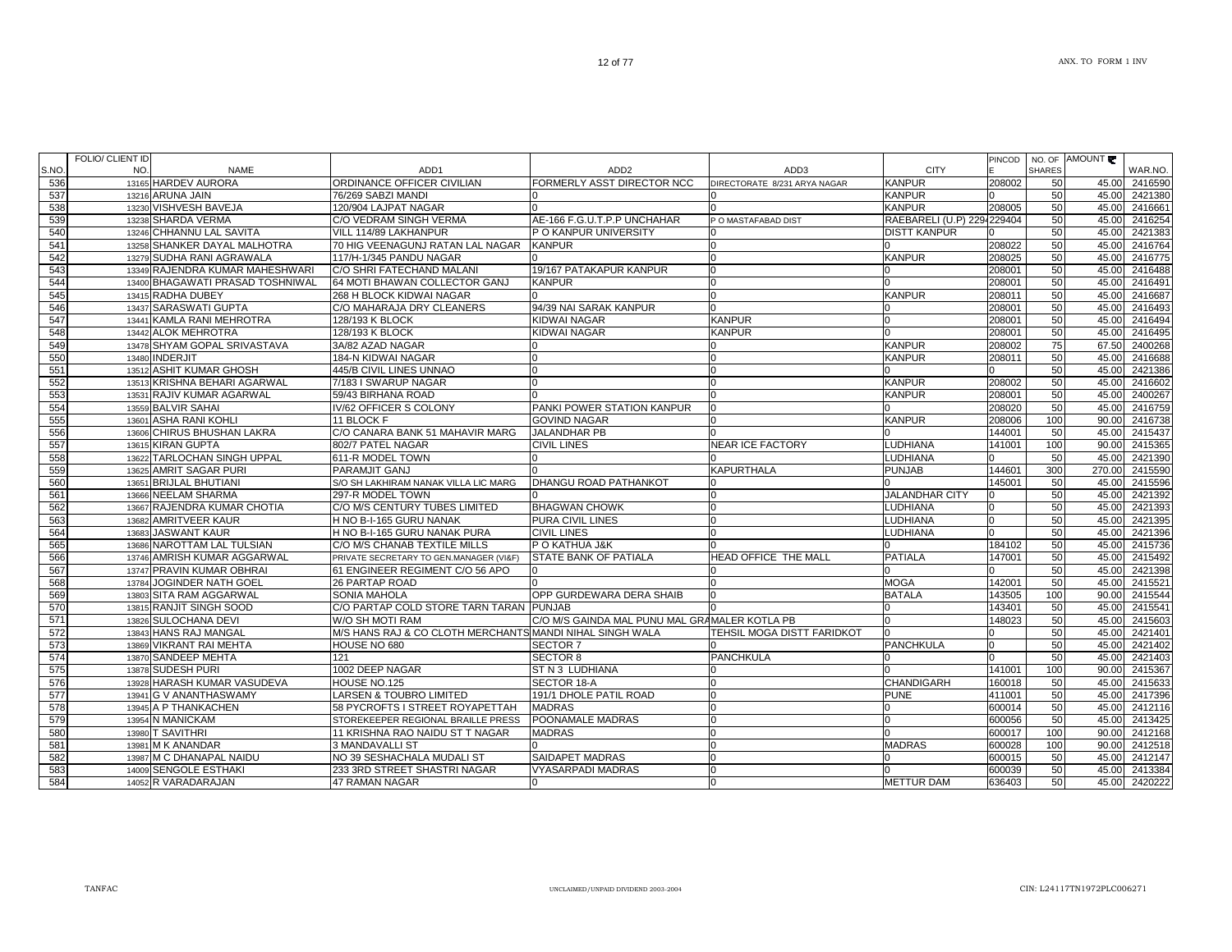|      | FOLIO/ CLIENT ID |                                  |                                                          |                                                   |                              |                            | PINCOD |               | NO. OF AMOUNT  |         |
|------|------------------|----------------------------------|----------------------------------------------------------|---------------------------------------------------|------------------------------|----------------------------|--------|---------------|----------------|---------|
| S.NO | NO.              | <b>NAME</b>                      | ADD <sub>1</sub>                                         | ADD <sub>2</sub>                                  | ADD <sub>3</sub>             | <b>CITY</b>                |        | <b>SHARES</b> |                | WAR.NO. |
| 536  |                  | 13165 HARDEV AURORA              | ORDINANCE OFFICER CIVILIAN                               | FORMERLY ASST DIRECTOR NCC                        | DIRECTORATE 8/231 ARYA NAGAR | <b>KANPUR</b>              | 208002 | 50            | 45.00          | 2416590 |
| 537  |                  | 13216 ARUNA JAIN                 | 76/269 SABZI MANDI                                       |                                                   |                              | <b>KANPUR</b>              |        | 50            | 45.00          | 2421380 |
| 538  |                  | 13230 VISHVESH BAVEJA            | 120/904 LAJPAT NAGAR                                     |                                                   |                              | <b>KANPUR</b>              | 208005 | 50            | 45.00          | 2416661 |
| 539  |                  | 13238 SHARDA VERMA               | C/O VEDRAM SINGH VERMA                                   | AE-166 F.G.U.T.P.P UNCHAHAR                       | P O MASTAFABAD DIST          | RAEBARELI (U.P) 2294229404 |        | 50            | 45.00          | 2416254 |
| 540  |                  | 13246 CHHANNU LAL SAVITA         | VILL 114/89 LAKHANPUR                                    | P O KANPUR UNIVERSITY                             |                              | <b>DISTT KANPUR</b>        |        | 50            | 45.00          | 2421383 |
| 541  |                  | 13258 SHANKER DAYAL MALHOTRA     | 70 HIG VEENAGUNJ RATAN LAL NAGAR                         | <b>KANPUR</b>                                     |                              |                            | 208022 | 50            | 45.00          | 2416764 |
| 542  |                  | 13279 SUDHA RANI AGRAWALA        | 117/H-1/345 PANDU NAGAR                                  |                                                   |                              | <b>KANPUR</b>              | 208025 | 50            | 45.00          | 2416775 |
| 543  |                  | 13349 RAJENDRA KUMAR MAHESHWARI  | C/O SHRI FATECHAND MALANI                                | 19/167 PATAKAPUR KANPUR                           |                              |                            | 208001 | 50            | 45.00          | 2416488 |
| 544  |                  | 13400 BHAGAWATI PRASAD TOSHNIWAL | 64 MOTI BHAWAN COLLECTOR GANJ                            | <b>KANPUR</b>                                     |                              |                            | 208001 | 50            | 45.00          | 2416491 |
| 545  |                  | 13415 RADHA DUBEY                | 268 H BLOCK KIDWAI NAGAR                                 |                                                   |                              | <b>KANPUR</b>              | 208011 | 50            | 45.00          | 2416687 |
| 546  |                  | 13437 SARASWATI GUPTA            | C/O MAHARAJA DRY CLEANERS                                | 94/39 NAI SARAK KANPUR                            |                              |                            | 208001 | 50            | 45.00          | 2416493 |
| 547  |                  | 13441 KAMLA RANI MEHROTRA        | 128/193 K BLOCK                                          | KIDWAI NAGAR                                      | <b>KANPUR</b>                |                            | 208001 | 50            | 45.00          | 2416494 |
| 548  |                  | 13442 ALOK MEHROTRA              | 128/193 K BLOCK                                          | KIDWAI NAGAR                                      | <b>KANPUR</b>                |                            | 208001 | 50            | 45.00          | 2416495 |
| 549  |                  | 13478 SHYAM GOPAL SRIVASTAVA     | 3A/82 AZAD NAGAR                                         |                                                   |                              | <b>KANPUR</b>              | 208002 | 75            | 67.50          | 2400268 |
| 550  | 13480            | <b>INDERJIT</b>                  | 184-N KIDWAI NAGAR                                       |                                                   |                              | <b>KANPUR</b>              | 208011 | 50            | 45.00          | 2416688 |
| 551  |                  | 13512 ASHIT KUMAR GHOSH          | 445/B CIVIL LINES UNNAO                                  | U                                                 |                              |                            | n      | 50            | 45.00          | 2421386 |
| 552  |                  | 13513 KRISHNA BEHARI AGARWAL     | 7/183 I SWARUP NAGAR                                     |                                                   |                              | <b>KANPUR</b>              | 208002 | 50            | 45.00          | 2416602 |
| 553  |                  | 13531 RAJIV KUMAR AGARWAL        | 59/43 BIRHANA ROAD                                       |                                                   |                              | <b>KANPUR</b>              | 208001 | 50            | 45.00          | 2400267 |
|      |                  |                                  |                                                          |                                                   |                              |                            | 208020 | 50            | 45.00          |         |
| 554  |                  | 13559 BALVIR SAHAI               | IV/62 OFFICER S COLONY<br>11 BLOCK F                     | PANKI POWER STATION KANPUR<br><b>GOVIND NAGAR</b> |                              | <b>KANPUR</b>              |        |               |                | 2416759 |
| 555  |                  | 13601 ASHA RANI KOHLI            |                                                          |                                                   |                              |                            | 208006 | 100           | 90.00<br>45.00 | 2416738 |
| 556  |                  | 13606 CHIRUS BHUSHAN LAKRA       | C/O CANARA BANK 51 MAHAVIR MARG                          | JALANDHAR PB                                      |                              |                            | 144001 | 50            |                | 2415437 |
| 557  |                  | 13615 KIRAN GUPTA                | 802/7 PATEL NAGAR                                        | CIVIL LINES                                       | <b>NEAR ICE FACTORY</b>      | LUDHIANA                   | 141001 | 100           | 90.00          | 2415365 |
| 558  | 13622            | <b>TARLOCHAN SINGH UPPAL</b>     | 611-R MODEL TOWN                                         |                                                   |                              | <b>LUDHIANA</b>            |        | 50            | 45.00          | 2421390 |
| 559  |                  | 13625 AMRIT SAGAR PURI           | <b>PARAMJIT GANJ</b>                                     |                                                   | <b>KAPURTHALA</b>            | <b>PUNJAB</b>              | 144601 | 300           | 270.00         | 2415590 |
| 560  |                  | 13651 BRIJLAL BHUTIANI           | S/O SH LAKHIRAM NANAK VILLA LIC MARG                     | DHANGU ROAD PATHANKOT                             |                              |                            | 145001 | 50            | 45.00          | 2415596 |
| 561  |                  | 13666 NEELAM SHARMA              | 297-R MODEL TOWN                                         |                                                   |                              | <b>JALANDHAR CITY</b>      |        | 50            | 45.00          | 2421392 |
| 562  |                  | 13667 RAJENDRA KUMAR CHOTIA      | C/O M/S CENTURY TUBES LIMITED                            | <b>BHAGWAN CHOWK</b>                              | n                            | <b>LUDHIANA</b>            | n      | 50            | 45.00          | 2421393 |
| 563  |                  | 13682 AMRITVEER KAUR             | H NO B-I-165 GURU NANAK                                  | PURA CIVIL LINES                                  |                              | <b>LUDHIANA</b>            | n      | 50            | 45.00          | 2421395 |
| 564  | 13683            | JASWANT KAUR                     | H NO B-I-165 GURU NANAK PURA                             | CIVIL LINES                                       |                              | <b>LUDHIANA</b>            |        | 50            | 45.00          | 2421396 |
| 565  |                  | 13686 NAROTTAM LAL TULSIAN       | C/O M/S CHANAB TEXTILE MILLS                             | P O KATHUA J&K                                    |                              |                            | 184102 | 50            | 45.00          | 2415736 |
| 566  |                  | 13746 AMRISH KUMAR AGGARWAL      | PRIVATE SECRETARY TO GEN.MANAGER (VI&F)                  | STATE BANK OF PATIALA                             | HEAD OFFICE THE MALL         | <b>PATIALA</b>             | 147001 | 50            | 45.00          | 2415492 |
| 567  |                  | 13747 PRAVIN KUMAR OBHRAI        | 61 ENGINEER REGIMENT C/O 56 APO                          |                                                   |                              |                            |        | 50            | 45.00          | 2421398 |
| 568  | 13784            | JOGINDER NATH GOEL               | 26 PARTAP ROAD                                           |                                                   |                              | <b>MOGA</b>                | 142001 | 50            | 45.00          | 2415521 |
| 569  |                  | 13803 SITA RAM AGGARWAL          | SONIA MAHOLA                                             | OPP GURDEWARA DERA SHAIB                          |                              | <b>BATALA</b>              | 143505 | 100           | 90.00          | 2415544 |
| 570  |                  | 13815 RANJIT SINGH SOOD          | C/O PARTAP COLD STORE TARN TARAN PUNJAB                  |                                                   |                              |                            | 143401 | 50            | 45.00          | 2415541 |
| 571  |                  | 13826 SULOCHANA DEVI             | W/O SH MOTI RAM                                          | C/O M/S GAINDA MAL PUNU MAL GRAMALER KOTLA PB     |                              |                            | 148023 | 50            | 45.00          | 2415603 |
| 572  |                  | 13843 HANS RAJ MANGAL            | M/S HANS RAJ & CO CLOTH MERCHANTS MANDI NIHAL SINGH WALA |                                                   | TEHSIL MOGA DISTT FARIDKOT   |                            |        | 50            | 45.00          | 2421401 |
| 573  |                  | 13869 VIKRANT RAI MEHTA          | HOUSE NO 680                                             | SECTOR <sub>7</sub>                               |                              | PANCHKULA                  |        | 50            | 45.00          | 2421402 |
| 574  |                  | 13870 SANDEEP MEHTA              | 121                                                      | <b>SECTOR 8</b>                                   | <b>PANCHKULA</b>             |                            |        | 50            | 45.00          | 2421403 |
| 575  |                  | 13878 SUDESH PURI                | 1002 DEEP NAGAR                                          | ST N 3 LUDHIANA                                   |                              |                            | 141001 | 100           | 90.00          | 2415367 |
| 576  |                  | 13928 HARASH KUMAR VASUDEVA      | HOUSE NO.125                                             | SECTOR 18-A                                       |                              | <b>CHANDIGARH</b>          | 160018 | 50            | 45.00          | 2415633 |
| 577  |                  | 13941 G V ANANTHASWAMY           | LARSEN & TOUBRO LIMITED                                  | 191/1 DHOLE PATIL ROAD                            | n                            | <b>PUNE</b>                | 411001 | 50            | 45.00          | 2417396 |
| 578  |                  | 13945 A P THANKACHEN             | 58 PYCROFTS I STREET ROYAPETTAH                          | <b>MADRAS</b>                                     |                              |                            | 600014 | 50            | 45.00          | 2412116 |
| 579  |                  | 13954 N MANICKAM                 | STOREKEEPER REGIONAL BRAILLE PRESS                       | POONAMALE MADRAS                                  |                              |                            | 600056 | 50            | 45.00          | 2413425 |
| 580  | 13980            | T SAVITHRI                       | 11 KRISHNA RAO NAIDU ST T NAGAR                          | <b>MADRAS</b>                                     |                              |                            | 600017 | 100           | 90.00          | 2412168 |
| 581  |                  | 13981 M K ANANDAR                | 3 MANDAVALLI ST                                          |                                                   |                              | <b>MADRAS</b>              | 600028 | 100           | 90.00          | 2412518 |
| 582  |                  | 13987 M C DHANAPAL NAIDU         | NO 39 SESHACHALA MUDALI ST                               | SAIDAPET MADRAS                                   |                              |                            | 600015 | 50            | 45.00          | 2412147 |
| 583  |                  | 14009 SENGOLE ESTHAKI            | 233 3RD STREET SHASTRI NAGAR                             | VYASARPADI MADRAS                                 |                              |                            | 600039 | 50            | 45.00          | 2413384 |
| 584  |                  | 14052 R VARADARAJAN              | 47 RAMAN NAGAR                                           | O                                                 |                              | <b>METTUR DAM</b>          | 636403 | 50            | 45.00          | 2420222 |
|      |                  |                                  |                                                          |                                                   |                              |                            |        |               |                |         |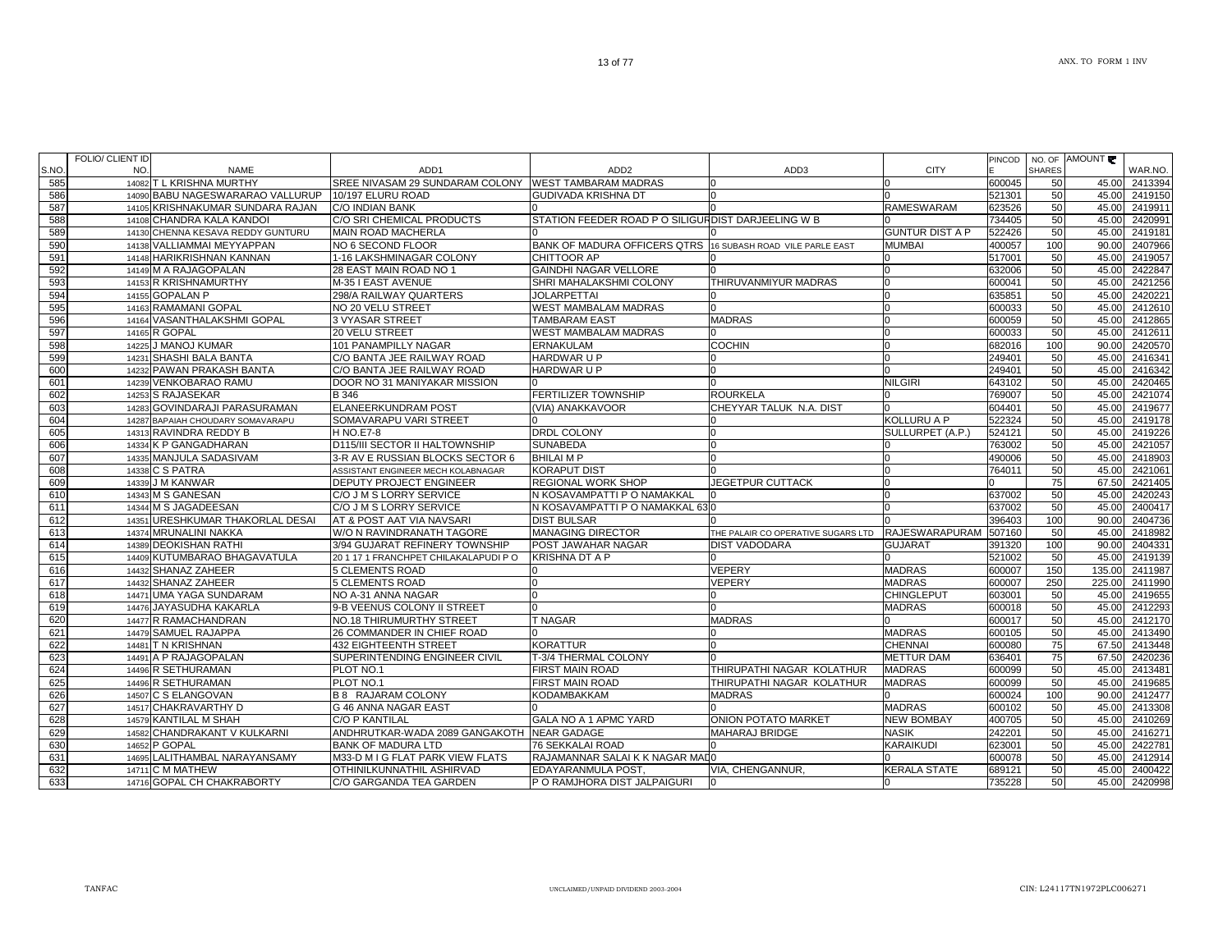|      | FOLIO/ CLIENT ID |                                   |                                            |                                                    |                                    |                        | PINCOD |               | NO. OF AMOUNT |         |
|------|------------------|-----------------------------------|--------------------------------------------|----------------------------------------------------|------------------------------------|------------------------|--------|---------------|---------------|---------|
| S.NO | NO.              | <b>NAME</b>                       | ADD <sub>1</sub>                           | ADD <sub>2</sub>                                   | ADD3                               | <b>CITY</b>            |        | <b>SHARES</b> |               | WAR.NO. |
| 585  |                  | 14082 T L KRISHNA MURTHY          | SREE NIVASAM 29 SUNDARAM COLONY            | <b>WEST TAMBARAM MADRAS</b>                        |                                    |                        | 600045 | 50            | 45.00         | 2413394 |
| 586  |                  | 14090 BABU NAGESWARARAO VALLURUP  | 10/197 ELURU ROAD                          | <b>GUDIVADA KRISHNA DT</b>                         |                                    |                        | 521301 | 50            | 45.00         | 2419150 |
| 587  |                  | 14105 KRISHNAKUMAR SUNDARA RAJAN  | C/O INDIAN BANK                            |                                                    |                                    | RAMESWARAM             | 623526 | 50            | 45.00         | 2419911 |
| 588  |                  | 14108 CHANDRA KALA KANDOI         | C/O SRI CHEMICAL PRODUCTS                  | STATION FEEDER ROAD P O SILIGURDIST DARJEELING W B |                                    |                        | 734405 | 50            | 45.00         | 2420991 |
| 589  |                  | 14130 CHENNA KESAVA REDDY GUNTURU | <b>MAIN ROAD MACHERLA</b>                  |                                                    |                                    | <b>GUNTUR DIST A P</b> | 522426 | 50            | 45.00         | 2419181 |
| 590  |                  | 14138 VALLIAMMAI MEYYAPPAN        | NO 6 SECOND FLOOR                          | BANK OF MADURA OFFICERS QTRS                       | 16 SUBASH ROAD VILE PARLE EAST     | <b>MUMBAI</b>          | 400057 | 100           | 90.00         | 2407966 |
| 591  |                  | 14148 HARIKRISHNAN KANNAN         | 1-16 LAKSHMINAGAR COLONY                   | <b>CHITTOOR AP</b>                                 |                                    |                        | 517001 | 50            | 45.00         | 2419057 |
| 592  |                  | 14149 M A RAJAGOPALAN             | 28 EAST MAIN ROAD NO 1                     | <b>GAINDHI NAGAR VELLORE</b>                       |                                    |                        | 632006 | 50            | 45.00         | 2422847 |
| 593  |                  | 14153 R KRISHNAMURTHY             | M-35 I EAST AVENUE                         | SHRI MAHALAKSHMI COLONY                            | THIRUVANMIYUR MADRAS               |                        | 600041 | 50            | 45.00         | 2421256 |
| 594  |                  | 14155 GOPALAN P                   | 298/A RAILWAY QUARTERS                     | <b>JOLARPETTAI</b>                                 |                                    |                        | 635851 | 50            | 45.00         | 2420221 |
| 595  |                  | 14163 RAMAMANI GOPAL              | NO 20 VELU STREET                          | <b>WEST MAMBALAM MADRAS</b>                        |                                    |                        | 600033 | 50            | 45.00         | 2412610 |
| 596  |                  | 14164 VASANTHALAKSHMI GOPAL       | <b>3 VYASAR STREET</b>                     | <b>TAMBARAM EAST</b>                               | <b>MADRAS</b>                      |                        | 600059 | 50            | 45.00         | 2412865 |
| 597  |                  | 14165 R GOPAL                     | 20 VELU STREET                             | WEST MAMBALAM MADRAS                               |                                    |                        | 600033 | 50            | 45.00         | 2412611 |
| 598  |                  | 14225 J MANOJ KUMAR               | 101 PANAMPILLY NAGAR                       | <b>ERNAKULAM</b>                                   | COCHIN                             |                        | 682016 | 100           | 90.00         | 2420570 |
| 599  |                  | 14231 SHASHI BALA BANTA           | C/O BANTA JEE RAILWAY ROAD                 | HARDWAR U P                                        |                                    |                        | 249401 | 50            | 45.00         | 2416341 |
| 600  |                  | 14232 PAWAN PRAKASH BANTA         | C/O BANTA JEE RAILWAY ROAD                 | HARDWAR U P                                        |                                    |                        | 249401 | 50            | 45.00         | 2416342 |
| 601  |                  | 14239 VENKOBARAO RAMU             | DOOR NO 31 MANIYAKAR MISSION               |                                                    |                                    | <b>NILGIRI</b>         | 643102 | 50            | 45.00         | 2420465 |
| 602  |                  | 14253 S RAJASEKAR                 | B 346                                      | FERTILIZER TOWNSHIP                                | <b>ROURKELA</b>                    |                        | 769007 | 50            | 45.00         | 2421074 |
| 603  |                  | 14283 GOVINDARAJI PARASURAMAN     | ELANEERKUNDRAM POST                        | (VIA) ANAKKAVOOR                                   | CHEYYAR TALUK N.A. DIST            |                        | 604401 | 50            | 45.00         | 2419677 |
| 604  |                  | 14287 BAPAIAH CHOUDARY SOMAVARAPU | SOMAVARAPU VARI STREET                     |                                                    |                                    | KOLLURU A P            | 522324 | 50            | 45.00         | 2419178 |
| 605  |                  | 14313 RAVINDRA REDDY B            | <b>H NO.E7-8</b>                           | <b>DRDL COLONY</b>                                 |                                    | SULLURPET (A.P.)       | 524121 | 50            | 45.00         | 2419226 |
| 606  |                  | 14334 K P GANGADHARAN             | <b>D115/III SECTOR II HALTOWNSHIP</b>      | <b>SUNABEDA</b>                                    |                                    |                        | 763002 | 50            | 45.00         | 2421057 |
| 607  |                  | 14335 MANJULA SADASIVAM           | 3-R AV E RUSSIAN BLOCKS SECTOR 6           | <b>BHILAI MP</b>                                   |                                    |                        | 490006 | 50            | 45.00         | 2418903 |
| 608  |                  | 14338 C S PATRA                   | ASSISTANT ENGINEER MECH KOLABNAGAR         | <b>KORAPUT DIST</b>                                |                                    |                        | 764011 | 50            | 45.00         | 2421061 |
| 609  |                  | 14339 J M KANWAR                  | DEPUTY PROJECT ENGINEER                    | REGIONAL WORK SHOP                                 | <b>JEGETPUR CUTTACK</b>            |                        |        | 75            | 67.50         | 2421405 |
| 610  |                  | 14343 M S GANESAN                 | C/O J M S LORRY SERVICE                    | N KOSAVAMPATTI P O NAMAKKAL                        |                                    |                        | 637002 | 50            | 45.00         | 2420243 |
| 611  |                  | 14344 M S JAGADEESAN              | C/O J M S LORRY SERVICE                    | N KOSAVAMPATTI P O NAMAKKAL 630                    |                                    |                        | 637002 | 50            | 45.00         | 2400417 |
| 612  |                  | 14351 URESHKUMAR THAKORLAL DESAI  | AT & POST AAT VIA NAVSARI                  | <b>DIST BULSAR</b>                                 |                                    |                        | 396403 | 100           | 90.00         | 2404736 |
| 613  |                  | 14374 MRUNALINI NAKKA             | W/O N RAVINDRANATH TAGORE                  | <b>MANAGING DIRECTOR</b>                           | THE PALAIR CO OPERATIVE SUGARS LTD | <b>RAJESWARAPURAM</b>  | 507160 | 50            | 45.00         | 2418982 |
| 614  |                  | 14389 DEOKISHAN RATHI             | 3/94 GUJARAT REFINERY TOWNSHIP             | POST JAWAHAR NAGAR                                 | DIST VADODARA                      | <b>GUJARAT</b>         | 391320 | 100           | 90.00         | 2404331 |
| 615  |                  | 14409 KUTUMBARAO BHAGAVATULA      | 201171FRANCHPET CHILAKALAPUDI PO           | <b>KRISHNA DT A P</b>                              |                                    |                        | 521002 | 50            | 45.00         | 2419139 |
| 616  |                  | 14432 SHANAZ ZAHEER               | <b>5 CLEMENTS ROAD</b>                     |                                                    | <b>VEPERY</b>                      | <b>MADRAS</b>          | 600007 | 150           | 135.00        | 2411987 |
| 617  |                  | 14432 SHANAZ ZAHEER               | <b>5 CLEMENTS ROAD</b>                     |                                                    | VEPERY                             | <b>MADRAS</b>          | 600007 | 250           | 225.00        | 2411990 |
| 618  |                  | 14471 UMA YAGA SUNDARAM           | NO A-31 ANNA NAGAR                         | $\Omega$                                           |                                    | <b>CHINGLEPUT</b>      | 603001 | 50            | 45.00         | 2419655 |
| 619  |                  | 14476 JAYASUDHA KAKARLA           | 9-B VEENUS COLONY II STREET                | n                                                  |                                    | <b>MADRAS</b>          | 600018 | 50            | 45.00         | 2412293 |
| 620  |                  | 14477 R RAMACHANDRAN              | NO.18 THIRUMURTHY STREET                   | <b>T NAGAR</b>                                     | <b>MADRAS</b>                      |                        | 600017 | 50            | 45.00         | 2412170 |
| 621  |                  | 14479 SAMUEL RAJAPPA              | 26 COMMANDER IN CHIEF ROAD                 |                                                    |                                    | <b>MADRAS</b>          | 600105 | 50            | 45.00         | 2413490 |
| 622  |                  | 14481 T N KRISHNAN                | 432 EIGHTEENTH STREET                      | <b>KORATTUR</b>                                    |                                    | <b>CHENNAI</b>         | 600080 | 75            | 67.50         | 2413448 |
| 623  |                  | 14491 A P RAJAGOPALAN             | SUPERINTENDING ENGINEER CIVIL              | T-3/4 THERMAL COLONY                               |                                    | <b>METTUR DAM</b>      | 636401 | 75            | 67.50         | 2420236 |
| 624  |                  | 14496 R SETHURAMAN                | PLOT NO.1                                  | FIRST MAIN ROAD                                    | THIRUPATHI NAGAR KOLATHUR          | <b>MADRAS</b>          | 600099 | 50            | 45.00         | 2413481 |
| 625  |                  | 14496 R SETHURAMAN                | PLOT NO.1                                  | FIRST MAIN ROAD                                    | THIRUPATHI NAGAR KOLATHUR          | <b>MADRAS</b>          | 600099 | 50            | 45.00         | 2419685 |
| 626  |                  | 14507 C S ELANGOVAN               | <b>B 8 RAJARAM COLONY</b>                  | KODAMBAKKAM                                        | <b>MADRAS</b>                      |                        | 600024 | 100           | 90.00         | 2412477 |
| 627  |                  | 14517 CHAKRAVARTHY D              | G 46 ANNA NAGAR EAST                       |                                                    |                                    | <b>MADRAS</b>          | 600102 | 50            | 45.00         | 2413308 |
| 628  |                  | 14579 KANTILAL M SHAH             | <b>C/O P KANTILAL</b>                      | GALA NO A 1 APMC YARD                              | <b>ONION POTATO MARKET</b>         | <b>NEW BOMBAY</b>      | 400705 | 50            | 45.00         | 2410269 |
| 629  |                  | 14582 CHANDRAKANT V KULKARNI      | ANDHRUTKAR-WADA 2089 GANGAKOTH NEAR GADAGE |                                                    | <b>MAHARAJ BRIDGE</b>              | NASIK                  | 242201 | 50            | 45.00         | 2416271 |
| 630  |                  | 14652 P GOPAL                     | BANK OF MADURA LTD                         | 76 SEKKALAI ROAD                                   |                                    | KARAIKUDI              | 623001 | 50            | 45.00         | 2422781 |
| 631  |                  | 14695 LALITHAMBAL NARAYANSAMY     | M33-D M I G FLAT PARK VIEW FLATS           | RAJAMANNAR SALAI K K NAGAR MADO                    |                                    |                        | 600078 | 50            | 45.00         | 2412914 |
| 632  |                  | 14711 C M MATHEW                  | OTHINILKUNNATHIL ASHIRVAD                  | EDAYARANMULA POST                                  | VIA, CHENGANNUR,                   | KERALA STATE           | 689121 | 50            | 45.00         | 2400422 |
| 633  |                  | 14716 GOPAL CH CHAKRABORTY        | C/O GARGANDA TEA GARDEN                    | P O RAMJHORA DIST JALPAIGURI                       |                                    |                        | 735228 | 50            | 45.00         | 2420998 |
|      |                  |                                   |                                            |                                                    |                                    |                        |        |               |               |         |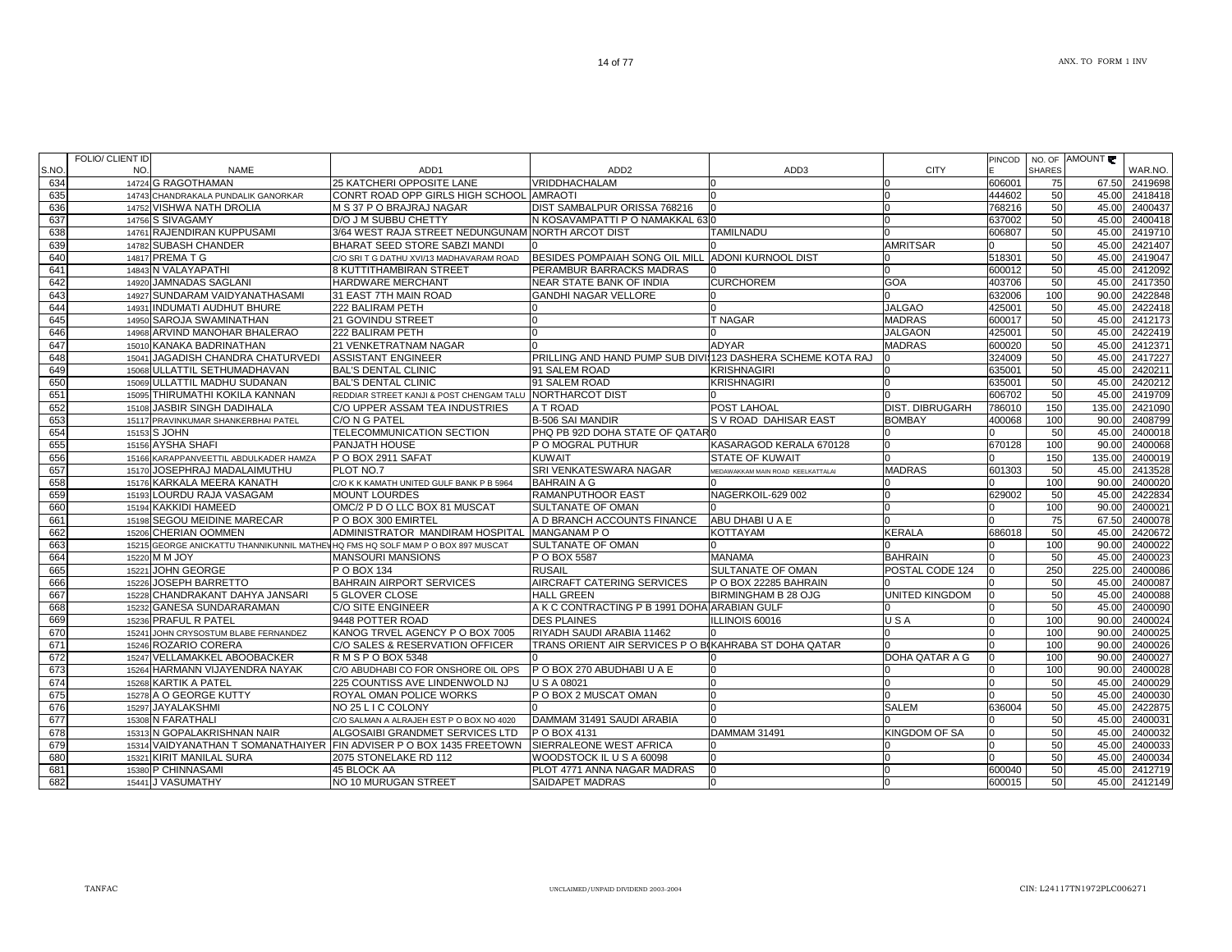|      | FOLIO/ CLIENT ID |                                        |                                                                                 |                                                             |                                   |                       | PINCOD |               | NO. OF AMOUNT |         |
|------|------------------|----------------------------------------|---------------------------------------------------------------------------------|-------------------------------------------------------------|-----------------------------------|-----------------------|--------|---------------|---------------|---------|
| S.NO | NO.              | <b>NAME</b>                            | ADD <sub>1</sub>                                                                | ADD <sub>2</sub>                                            | ADD3                              | <b>CITY</b>           |        | <b>SHARES</b> |               | WAR.NO. |
| 634  |                  | 14724 G RAGOTHAMAN                     | 25 KATCHERI OPPOSITE LANE                                                       | VRIDDHACHALAM                                               |                                   |                       | 606001 | 75            | 67.50         | 2419698 |
| 635  |                  | 14743 CHANDRAKALA PUNDALIK GANORKAR    | CONRT ROAD OPP GIRLS HIGH SCHOOL AMRAOTI                                        |                                                             |                                   | <sup>n</sup>          | 444602 | 50            | 45.00         | 2418418 |
| 636  |                  | 14752 VISHWA NATH DROLIA               | M S 37 P O BRAJRAJ NAGAR                                                        | DIST SAMBALPUR ORISSA 768216                                |                                   | n                     | 768216 | 50            | 45.00         | 2400437 |
| 637  |                  | 14756 S SIVAGAMY                       | D/O J M SUBBU CHETTY                                                            | N KOSAVAMPATTI P O NAMAKKAL 630                             |                                   |                       | 637002 | 50            | 45.00         | 2400418 |
| 638  |                  | 14761 RAJENDIRAN KUPPUSAMI             | 3/64 WEST RAJA STREET NEDUNGUNAM NORTH ARCOT DIST                               |                                                             | <b>TAMILNADU</b>                  |                       | 606807 | 50            | 45.00         | 2419710 |
| 639  |                  | 14782 SUBASH CHANDER                   | BHARAT SEED STORE SABZI MANDI                                                   |                                                             |                                   | <b>AMRITSAR</b>       |        | 50            | 45.00         | 2421407 |
| 640  |                  | 14817 PREMA T G                        | C/O SRI T G DATHU XVI/13 MADHAVARAM ROAD                                        | BESIDES POMPAIAH SONG OIL MILL                              | <b>ADONI KURNOOL DIST</b>         |                       | 518301 | 50            | 45.00         | 2419047 |
| 641  |                  | 14843 N VALAYAPATHI                    | 8 KUTTITHAMBIRAN STREET                                                         | PERAMBUR BARRACKS MADRAS                                    |                                   |                       | 600012 | 50            | 45.00         | 2412092 |
| 642  |                  | 14920 JAMNADAS SAGLANI                 | HARDWARE MERCHANT                                                               | <b>NEAR STATE BANK OF INDIA</b>                             | <b>CURCHOREM</b>                  | <b>GOA</b>            | 403706 | 50            | 45.00         | 2417350 |
| 643  |                  | 14927 SUNDARAM VAIDYANATHASAMI         | 31 EAST 7TH MAIN ROAD                                                           | GANDHI NAGAR VELLORE                                        |                                   |                       | 632006 | 100           | 90.00         | 2422848 |
| 644  |                  | 14931 INDUMATI AUDHUT BHURE            | 222 BALIRAM PETH                                                                |                                                             |                                   | <b>JALGAO</b>         | 425001 | 50            | 45.00         | 2422418 |
| 645  |                  | 14950 SAROJA SWAMINATHAN               | 21 GOVINDU STREET                                                               |                                                             | <b>T NAGAR</b>                    | <b>MADRAS</b>         | 600017 | 50            | 45.00         | 2412173 |
| 646  |                  | 14968 ARVIND MANOHAR BHALERAO          | 222 BALIRAM PETH                                                                |                                                             |                                   | <b>JALGAON</b>        | 425001 | 50            | 45.00         | 2422419 |
| 647  |                  | 15010 KANAKA BADRINATHAN               | 21 VENKETRATNAM NAGAR                                                           |                                                             | <b>ADYAR</b>                      | <b>MADRAS</b>         | 600020 | 50            | 45.00         | 2412371 |
| 648  |                  | 15041 JAGADISH CHANDRA CHATURVEDI      | <b>ASSISTANT ENGINEER</b>                                                       | PRILLING AND HAND PUMP SUB DIVII123 DASHERA SCHEME KOTA RAJ |                                   | <sup>n</sup>          | 324009 | 50            | 45.00         | 2417227 |
| 649  |                  | 15068 ULLATTIL SETHUMADHAVAN           | <b>BAL'S DENTAL CLINIC</b>                                                      | 91 SALEM ROAD                                               | <b>KRISHNAGIRI</b>                |                       | 635001 | 50            | 45.00         | 2420211 |
| 650  |                  | 15069 ULLATTIL MADHU SUDANAN           | <b>BAL'S DENTAL CLINIC</b>                                                      | 91 SALEM ROAD                                               | KRISHNAGIRI                       |                       | 635001 | 50            | 45.00         | 2420212 |
| 651  |                  | 15095 THIRUMATHI KOKILA KANNAN         | REDDIAR STREET KANJI & POST CHENGAM TALU NORTHARCOT DIST                        |                                                             |                                   |                       | 606702 | 50            | 45.00         | 2419709 |
| 652  |                  | 15108 JASBIR SINGH DADIHALA            | C/O UPPER ASSAM TEA INDUSTRIES                                                  | A T ROAD                                                    | POST LAHOAL                       | DIST. DIBRUGARH       | 786010 | 150           | 135.00        | 2421090 |
| 653  |                  | 15117 PRAVINKUMAR SHANKERBHAI PATEL    | C/O N G PATEL                                                                   | <b>B-506 SAI MANDIR</b>                                     | S V ROAD DAHISAR EAST             | <b>BOMBAY</b>         | 400068 | 100           | 90.00         | 2408799 |
| 654  |                  | 15153 S JOHN                           | TELECOMMUNICATION SECTION                                                       | PHQ PB 92D DOHA STATE OF QATARI0                            |                                   |                       |        | 50            | 45.00         | 2400018 |
| 655  |                  | 15156 AYSHA SHAFI                      | PANJATH HOUSE                                                                   | P O MOGRAL PUTHUR                                           | KASARAGOD KERALA 670128           |                       | 670128 | 100           | 90.00         | 2400068 |
| 656  |                  | 15166 KARAPPANVEETTIL ABDULKADER HAMZA | P O BOX 2911 SAFAT                                                              | KUWAIT                                                      | STATE OF KUWAIT                   |                       |        | 150           | 135.00        | 2400019 |
| 657  |                  | 15170 JOSEPHRAJ MADALAIMUTHU           | PLOT NO.7                                                                       | SRI VENKATESWARA NAGAR                                      | MEDAWAKKAM MAIN ROAD KEELKATTALAI | <b>MADRAS</b>         | 601303 | 50            | 45.00         | 2413528 |
| 658  |                  | 15176 KARKALA MEERA KANATH             | C/O K K KAMATH UNITED GULF BANK P B 5964                                        | <b>BAHRAIN A G</b>                                          |                                   |                       |        | 100           | 90.00         | 2400020 |
| 659  |                  | 15193 LOURDU RAJA VASAGAM              | <b>MOUNT LOURDES</b>                                                            | <b>RAMANPUTHOOR EAST</b>                                    | NAGERKOIL-629 002                 |                       | 629002 | 50            | 45.00         | 2422834 |
| 660  |                  | 15194 KAKKIDI HAMEED                   | OMC/2 P D O LLC BOX 81 MUSCAT                                                   | SULTANATE OF OMAN                                           |                                   |                       |        | 100           | 90.00         | 2400021 |
| 661  |                  | 15198 SEGOU MEIDINE MARECAR            | P O BOX 300 EMIRTEL                                                             | A D BRANCH ACCOUNTS FINANCE                                 | ABU DHABI U A E                   |                       |        | 75            | 67.50         | 2400078 |
| 662  |                  | 15206 CHERIAN OOMMEN                   | ADMINISTRATOR MANDIRAM HOSPITAL                                                 | MANGANAM PO                                                 | KOTTAYAM                          | <b>KERALA</b>         | 686018 | 50            | 45.00         | 2420672 |
| 663  |                  |                                        | 15215 GEORGE ANICKATTU THANNIKUNNIL MATHEVHQ FMS HQ SOLF MAM P O BOX 897 MUSCAT | <b>SULTANATE OF OMAN</b>                                    |                                   |                       |        | 100           | 90.00         | 2400022 |
| 664  |                  | 15220 M M JOY                          | <b>MANSOURI MANSIONS</b>                                                        | P O BOX 5587                                                | <b>MANAMA</b>                     | <b>BAHRAIN</b>        |        | 50            | 45.00         | 2400023 |
| 665  |                  | 15221 JOHN GEORGE                      | P O BOX 134                                                                     | <b>RUSAIL</b>                                               | <b>SULTANATE OF OMAN</b>          | POSTAL CODE 124       |        | 250           | 225.00        | 2400086 |
| 666  | 15226            | <b>JOSEPH BARRETTO</b>                 | <b>BAHRAIN AIRPORT SERVICES</b>                                                 | AIRCRAFT CATERING SERVICES                                  | P O BOX 22285 BAHRAIN             |                       |        | 50            | 45.00         | 2400087 |
| 667  |                  | 15228 CHANDRAKANT DAHYA JANSARI        | 5 GLOVER CLOSE                                                                  | <b>HALL GREEN</b>                                           | <b>BIRMINGHAM B 28 OJG</b>        | <b>UNITED KINGDOM</b> |        | 50            | 45.00         | 2400088 |
| 668  |                  | 15232 GANESA SUNDARARAMAN              | C/O SITE ENGINEER                                                               | A K C CONTRACTING P B 1991 DOHA ARABIAN GULF                |                                   |                       |        | 50            | 45.00         | 2400090 |
| 669  |                  | 15236 PRAFUL R PATEL                   | 9448 POTTER ROAD                                                                | <b>DES PLAINES</b>                                          | LLINOIS 60016                     | USA                   |        | 100           | 90.00         | 2400024 |
| 670  |                  | 15241 JOHN CRYSOSTUM BLABE FERNANDEZ   | KANOG TRVEL AGENCY P O BOX 7005                                                 | RIYADH SAUDI ARABIA 11462                                   |                                   |                       |        | 100           | 90.00         | 2400025 |
| 671  |                  | 15246 ROZARIO CORERA                   | C/O SALES & RESERVATION OFFICER                                                 | TRANS ORIENT AIR SERVICES P O BIKAHRABA ST DOHA QATAR       |                                   |                       |        | 100           | 90.00         | 2400026 |
| 672  |                  | 15247 VELLAMAKKEL ABOOBACKER           | R M S P O BOX 5348                                                              |                                                             |                                   | DOHA QATAR A G        |        | 100           | 90.00         | 2400027 |
| 673  |                  | 15264 HARMANN VIJAYENDRA NAYAK         | C/O ABUDHABI CO FOR ONSHORE OIL OPS                                             | P O BOX 270 ABUDHABI U A E                                  |                                   |                       |        | 100           | 90.00         | 2400028 |
| 674  |                  | 15268 KARTIK A PATEL                   | 225 COUNTISS AVE LINDENWOLD NJ                                                  | <b>U S A 08021</b>                                          |                                   |                       |        | 50            | 45.00         | 2400029 |
| 675  |                  | 15278 A O GEORGE KUTTY                 | ROYAL OMAN POLICE WORKS                                                         | P O BOX 2 MUSCAT OMAN                                       |                                   |                       |        | 50            | 45.00         | 2400030 |
| 676  |                  | 15297 JAYALAKSHMI                      | NO 25 L I C COLONY                                                              |                                                             |                                   | <b>SALEM</b>          | 636004 | 50            | 45.00         | 2422875 |
| 677  |                  | 15308 N FARATHALI                      | C/O SALMAN A ALRAJEH EST P O BOX NO 4020                                        | DAMMAM 31491 SAUDI ARABIA                                   |                                   |                       |        | 50            | 45.00         | 2400031 |
| 678  |                  | 15313 N GOPALAKRISHNAN NAIR            | ALGOSAIBI GRANDMET SERVICES LTD                                                 | P O BOX 4131                                                | DAMMAM 31491                      | <b>KINGDOM OF SA</b>  |        | 50            | 45.00         | 2400032 |
| 679  |                  |                                        | 15314 VAIDYANATHAN T SOMANATHAIYER FIN ADVISER P O BOX 1435 FREETOWN            | SIERRALEONE WEST AFRICA                                     |                                   |                       |        | 50            | 45.00         | 2400033 |
| 680  |                  | 15321 KIRIT MANILAL SURA               | 2075 STONELAKE RD 112                                                           | WOODSTOCK IL U S A 60098                                    |                                   |                       |        | 50            | 45.00         | 2400034 |
| 681  |                  | 15380 P CHINNASAMI                     | 45 BLOCK AA                                                                     | PLOT 4771 ANNA NAGAR MADRAS                                 |                                   |                       | 600040 | 50            | 45.00         | 2412719 |
| 682  |                  | 15441 J VASUMATHY                      | NO 10 MURUGAN STREET                                                            | SAIDAPET MADRAS                                             |                                   |                       | 600015 | 50            | 45.00         | 2412149 |
|      |                  |                                        |                                                                                 |                                                             |                                   |                       |        |               |               |         |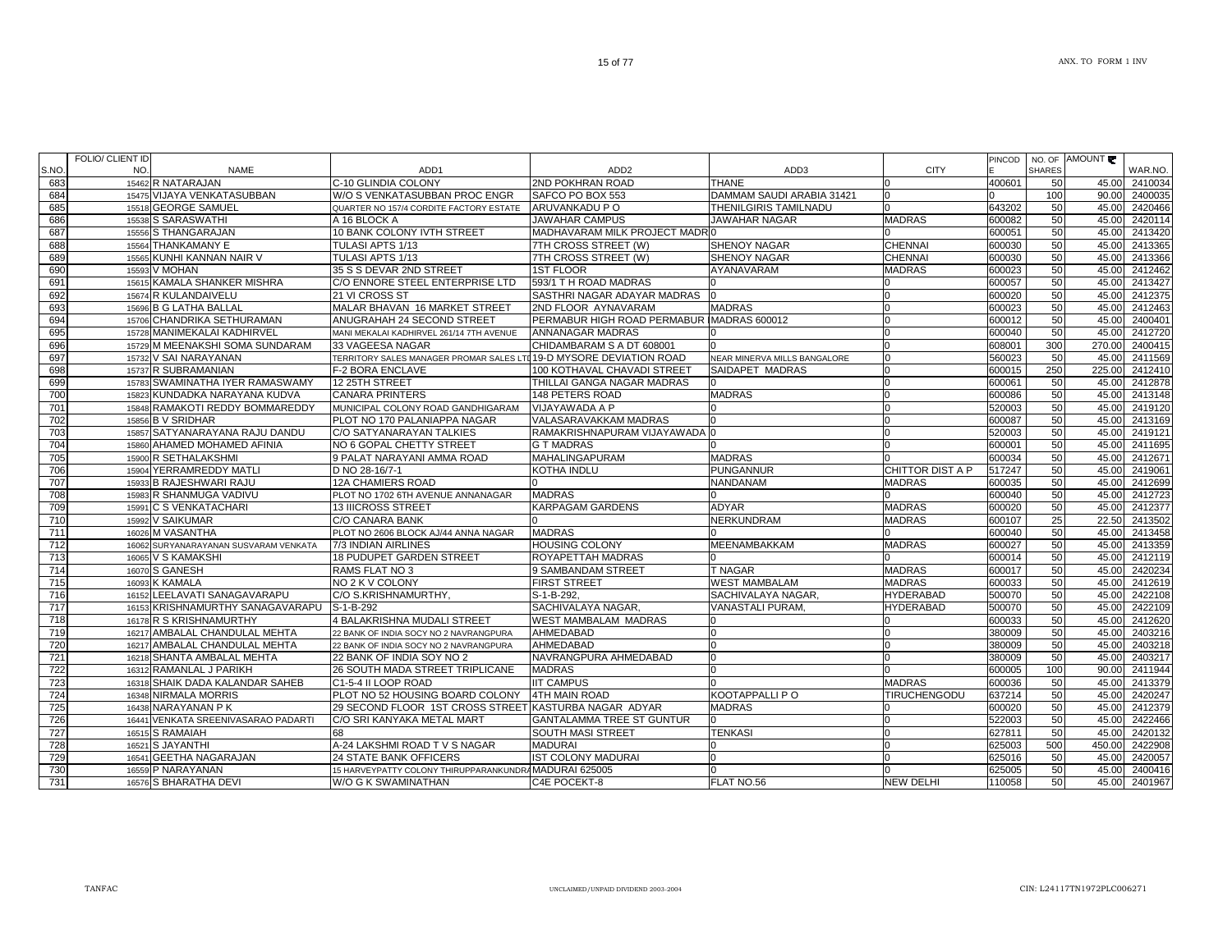|       | FOLIO/ CLIENT ID |                                       |                                                                     |                                            |                              |                     | PINCOD |               | NO. OF AMOUNT |         |
|-------|------------------|---------------------------------------|---------------------------------------------------------------------|--------------------------------------------|------------------------------|---------------------|--------|---------------|---------------|---------|
| S.NO. | NO.              | <b>NAME</b>                           | ADD <sub>1</sub>                                                    | ADD <sub>2</sub>                           | ADD3                         | <b>CITY</b>         |        | <b>SHARES</b> |               | WAR.NO. |
| 683   |                  | 15462 R NATARAJAN                     | C-10 GLINDIA COLONY                                                 | 2ND POKHRAN ROAD                           | <b>THANE</b>                 |                     | 400601 | 50            | 45.00         | 2410034 |
| 684   |                  | 15475 VIJAYA VENKATASUBBAN            | W/O S VENKATASUBBAN PROC ENGR                                       | SAFCO PO BOX 553                           | DAMMAM SAUDI ARABIA 31421    |                     |        | 100           | 90.00         | 2400035 |
| 685   | 15518            | <b>GEORGE SAMUEL</b>                  | QUARTER NO 157/4 CORDITE FACTORY ESTATE                             | ARUVANKADU P O                             | THENILGIRIS TAMILNADU        |                     | 643202 | 50            | 45.00         | 2420466 |
| 686   |                  | 15538 S SARASWATHI                    | A 16 BLOCK A                                                        | <b>JAWAHAR CAMPUS</b>                      | <b>JAWAHAR NAGAR</b>         | <b>MADRAS</b>       | 600082 | 50            | 45.00         | 2420114 |
| 687   |                  | 15556 S THANGARAJAN                   | 10 BANK COLONY IVTH STREET                                          | MADHAVARAM MILK PROJECT MADRI              |                              |                     | 600051 | 50            | 45.00         | 2413420 |
| 688   | 15564            | THANKAMANY E                          | TULASI APTS 1/13                                                    | 7TH CROSS STREET (W)                       | SHENOY NAGAR                 | CHENNAI             | 600030 | 50            | 45.00         | 2413365 |
| 689   |                  | 15565 KUNHI KANNAN NAIR V             | TULASI APTS 1/13                                                    | 7TH CROSS STREET (W)                       | SHENOY NAGAR                 | CHENNAI             | 600030 | 50            | 45.00         | 2413366 |
| 690   | 15593            | V MOHAN                               | 35 S S DEVAR 2ND STREET                                             | <b>1ST FLOOR</b>                           | AYANAVARAM                   | <b>MADRAS</b>       | 600023 | 50            | 45.00         | 2412462 |
| 691   |                  | 15615 KAMALA SHANKER MISHRA           | C/O ENNORE STEEL ENTERPRISE LTD                                     | 593/1 T H ROAD MADRAS                      |                              |                     | 600057 | 50            | 45.00         | 2413427 |
| 692   |                  | 15674 R KULANDAIVELU                  | 21 VI CROSS ST                                                      | SASTHRI NAGAR ADAYAR MADRAS                |                              |                     | 600020 | 50            | 45.00         | 2412375 |
| 693   |                  | 15696 B G LATHA BALLAL                | MALAR BHAVAN 16 MARKET STREET                                       | <b>2ND FLOOR AYNAVARAM</b>                 | <b>MADRAS</b>                |                     | 600023 | 50            | 45.00         | 2412463 |
| 694   | 15706            | CHANDRIKA SETHURAMAN                  | ANUGRAHAH 24 SECOND STREET                                          | PERMABUR HIGH ROAD PERMABUR IMADRAS 600012 |                              |                     | 600012 | 50            | 45.00         | 2400401 |
| 695   |                  | 15728 MANIMEKALAI KADHIRVEL           | MANI MEKALAI KADHIRVEL 261/14 7TH AVENUE                            | <b>ANNANAGAR MADRAS</b>                    |                              |                     | 600040 | 50            | 45.00         | 2412720 |
| 696   |                  | 15729 M MEENAKSHI SOMA SUNDARAM       | 33 VAGEESA NAGAR                                                    | CHIDAMBARAM S A DT 608001                  |                              |                     | 608001 | 300           | 270.00        | 2400415 |
| 697   |                  | 15732 V SAI NARAYANAN                 | TERRITORY SALES MANAGER PROMAR SALES LTD 19-D MYSORE DEVIATION ROAD |                                            | NEAR MINERVA MILLS BANGALORE |                     | 560023 | 50            | 45.00         | 2411569 |
| 698   |                  | 15737 R SUBRAMANIAN                   | F-2 BORA ENCLAVE                                                    | 100 KOTHAVAL CHAVADI STREET                | SAIDAPET MADRAS              |                     | 600015 | 250           | 225.00        | 2412410 |
| 699   |                  | 15783 SWAMINATHA IYER RAMASWAMY       | 12 25TH STREET                                                      | THILLAI GANGA NAGAR MADRAS                 |                              |                     | 600061 | 50            | 45.00         | 2412878 |
| 700   | 15823            | KUNDADKA NARAYANA KUDVA               | <b>CANARA PRINTERS</b>                                              | <b>148 PETERS ROAD</b>                     | <b>MADRAS</b>                |                     | 600086 | 50            | 45.00         | 2413148 |
| 701   | 15848            | RAMAKOTI REDDY BOMMAREDDY             | MUNICIPAL COLONY ROAD GANDHIGARAM                                   | VIJAYAWADA A P                             |                              |                     | 520003 | 50            | 45.00         | 2419120 |
| 702   |                  | 15856 B V SRIDHAR                     | PLOT NO 170 PALANIAPPA NAGAR                                        | VALASARAVAKKAM MADRAS                      |                              |                     | 600087 | 50            | 45.00         | 2413169 |
| 703   |                  | 15857 SATYANARAYANA RAJU DANDU        | C/O SATYANARAYAN TALKIES                                            | RAMAKRISHNAPURAM VIJAYAWADA C              |                              |                     | 520003 | 50            | 45.00         | 2419121 |
| 704   |                  | 15860 AHAMED MOHAMED AFINIA           | NO 6 GOPAL CHETTY STREET                                            | <b>G T MADRAS</b>                          |                              |                     | 600001 | 50            | 45.00         | 2411695 |
| 705   |                  | 15900 R SETHALAKSHMI                  | 9 PALAT NARAYANI AMMA ROAD                                          | <b>MAHALINGAPURAM</b>                      | <b>MADRAS</b>                |                     | 600034 | 50            | 45.00         | 2412671 |
| 706   | 15904            | YERRAMREDDY MATLI                     | D NO 28-16/7-1                                                      | KOTHA INDLU                                | <b>PUNGANNUR</b>             | CHITTOR DIST A P    | 517247 | 50            | 45.00         | 2419061 |
| 707   |                  | 15933 B RAJESHWARI RAJU               | 12A CHAMIERS ROAD                                                   |                                            | NANDANAM                     | <b>MADRAS</b>       | 600035 | 50            | 45.00         | 2412699 |
| 708   |                  | 15983 R SHANMUGA VADIVU               | PLOT NO 1702 6TH AVENUE ANNANAGAR                                   | <b>MADRAS</b>                              |                              |                     | 600040 | 50            | 45.00         | 2412723 |
| 709   |                  | 15991 C S VENKATACHARI                | 13 IIICROSS STREET                                                  | KARPAGAM GARDENS                           | <b>ADYAR</b>                 | <b>MADRAS</b>       | 600020 | 50            | 45.00         | 2412377 |
| 710   |                  | 15992 V SAIKUMAR                      | C/O CANARA BANK                                                     |                                            | <b>NERKUNDRAM</b>            | <b>MADRAS</b>       | 600107 | 25            | 22.50         | 2413502 |
| 711   |                  | 16026 M VASANTHA                      | PLOT NO 2606 BLOCK AJ/44 ANNA NAGAR                                 | <b>MADRAS</b>                              |                              |                     | 600040 | 50            | 45.00         | 2413458 |
| 712   |                  | 16062 SURYANARAYANAN SUSVARAM VENKATA | 7/3 INDIAN AIRLINES                                                 | <b>HOUSING COLONY</b>                      | <b>MEENAMBAKKAM</b>          | <b>MADRAS</b>       | 600027 | 50            | 45.00         | 2413359 |
| 713   |                  | 16065 V S KAMAKSHI                    | <b>18 PUDUPET GARDEN STREET</b>                                     | ROYAPETTAH MADRAS                          |                              |                     | 600014 | 50            | 45.00         | 2412119 |
| 714   |                  | 16070 S GANESH                        | RAMS FLAT NO 3                                                      | 9 SAMBANDAM STREET                         | T NAGAR                      | <b>MADRAS</b>       | 600017 | 50            | 45.00         | 2420234 |
| 715   | 16093            | <b>K KAMALA</b>                       | NO 2 K V COLONY                                                     | <b>FIRST STREET</b>                        | <b>WEST MAMBALAM</b>         | <b>MADRAS</b>       | 600033 | 50            | 45.00         | 2412619 |
| 716   | 16152            | LEELAVATI SANAGAVARAPU                | C/O S.KRISHNAMURTHY,                                                | S-1-B-292.                                 | SACHIVALAYA NAGAR.           | <b>HYDERABAD</b>    | 500070 | 50            | 45.00         | 2422108 |
| 717   | 16153            | KRISHNAMURTHY SANAGAVARAPU            | S-1-B-292                                                           | SACHIVALAYA NAGAR,                         | <b>VANASTALI PURAM</b>       | <b>HYDERABAD</b>    | 500070 | 50            | 45.00         | 2422109 |
| 718   |                  | 16178 R S KRISHNAMURTHY               | 4 BALAKRISHNA MUDALI STREET                                         | <b>WEST MAMBALAM MADRAS</b>                |                              |                     | 600033 | 50            | 45.00         | 2412620 |
| 719   |                  | 16217 AMBALAL CHANDULAL MEHTA         | 22 BANK OF INDIA SOCY NO 2 NAVRANGPURA                              | AHMEDABAD                                  |                              |                     | 380009 | 50            | 45.00         | 2403216 |
| 720   |                  | 16217 AMBALAL CHANDULAL MEHTA         | 22 BANK OF INDIA SOCY NO 2 NAVRANGPURA                              | AHMEDABAD                                  |                              |                     | 380009 | 50            | 45.00         | 2403218 |
| 721   |                  | 16218 SHANTA AMBALAL MEHTA            | 22 BANK OF INDIA SOY NO 2                                           | NAVRANGPURA AHMEDABAD                      |                              |                     | 380009 | 50            | 45.00         | 2403217 |
| 722   | 16312            | RAMANLAL J PARIKH                     | 26 SOUTH MADA STREET TRIPLICANE                                     | <b>MADRAS</b>                              |                              |                     | 600005 | 100           | 90.00         | 2411944 |
| 723   | 16318            | SHAIK DADA KALANDAR SAHEB             | C1-5-4 II LOOP ROAD                                                 | <b>IIT CAMPUS</b>                          |                              | <b>MADRAS</b>       | 600036 | 50            | 45.00         | 2413379 |
| 724   | 16348            | <b>NIRMALA MORRIS</b>                 | PLOT NO 52 HOUSING BOARD COLONY                                     | <b>4TH MAIN ROAD</b>                       | KOOTAPPALLI P O              | <b>TIRUCHENGODU</b> | 637214 | 50            | 45.00         | 2420247 |
| 725   | 16438            | NARAYANAN P K                         | 29 SECOND FLOOR 1ST CROSS STREET KASTURBA NAGAR ADYAR               |                                            | <b>MADRAS</b>                |                     | 600020 | 50            | 45.00         | 2412379 |
| 726   | 16441            | VENKATA SREENIVASARAO PADARTI         | C/O SRI KANYAKA METAL MART                                          | GANTALAMMA TREE ST GUNTUR                  |                              |                     | 522003 | 50            | 45.00         | 2422466 |
| 727   | 16515            | S RAMAIAH                             | 68                                                                  | SOUTH MASI STREET                          | <b>TENKASI</b>               |                     | 627811 | 50            | 45.00         | 2420132 |
| 728   | 16521            | S JAYANTHI                            | A-24 LAKSHMI ROAD TVS NAGAR                                         | <b>MADURAI</b>                             |                              |                     | 625003 | 500           | 450.00        | 2422908 |
| 729   | 16541            | GEETHA NAGARAJAN                      | <b>24 STATE BANK OFFICERS</b>                                       | <b>IST COLONY MADURAI</b>                  |                              |                     | 625016 | 50            | 45.00         | 2420057 |
| 730   |                  | 16559 P NARAYANAN                     | 15 HARVEYPATTY COLONY THIRUPPARANKUNDRAMADURAI 625005               |                                            |                              |                     | 625005 | 50            | 45.00         | 2400416 |
| 731   |                  | 16576 S BHARATHA DEVI                 | W/O G K SWAMINATHAN                                                 | C4E POCEKT-8                               | FLAT NO.56                   | <b>NEW DELHI</b>    | 110058 | 50            | 45.00         | 2401967 |
|       |                  |                                       |                                                                     |                                            |                              |                     |        |               |               |         |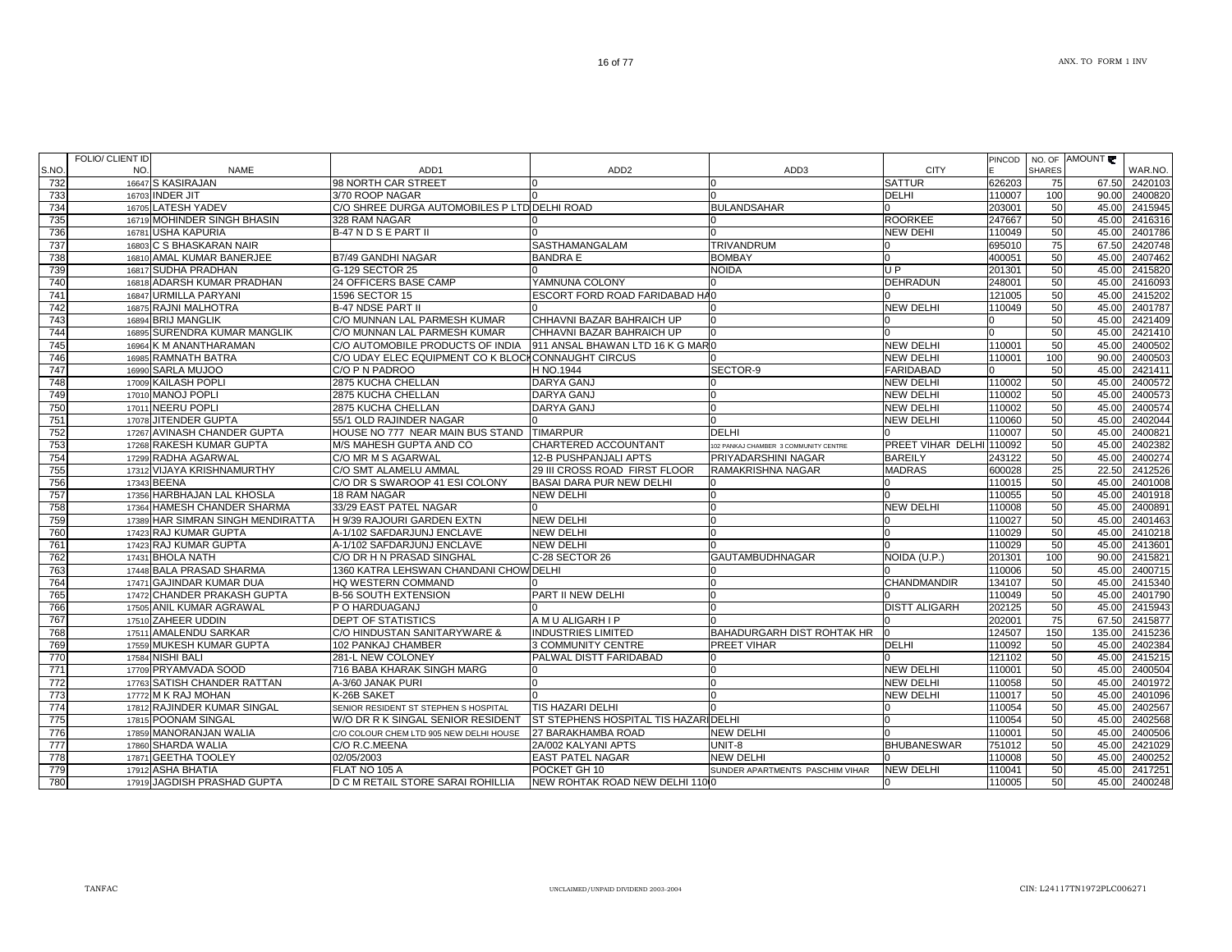| S.NO.            | NO. | NAME                              | ADD <sub>1</sub>                                    | ADD <sub>2</sub>                            | ADD3                                 | <b>CITY</b>              |        | <b>SHARES</b>   |        | WAR.NO. |
|------------------|-----|-----------------------------------|-----------------------------------------------------|---------------------------------------------|--------------------------------------|--------------------------|--------|-----------------|--------|---------|
| 732              |     | 16647 S KASIRAJAN                 | 98 NORTH CAR STREET                                 |                                             |                                      | <b>SATTUR</b>            | 626203 | 75              | 67.50  | 2420103 |
| 733              |     | 16703 INDER JIT                   | 3/70 ROOP NAGAR                                     |                                             |                                      | <b>DELHI</b>             | 110007 | 100             | 90.00  | 2400820 |
| 734              |     | 16705 LATESH YADEV                | C/O SHREE DURGA AUTOMOBILES P LTD DELHI ROAD        |                                             | <b>BULANDSAHAR</b>                   | <sup>n</sup>             | 203001 | 50              | 45.00  | 2415945 |
| 735              |     | 16719 MOHINDER SINGH BHASIN       | 328 RAM NAGAR                                       |                                             |                                      | <b>ROORKEE</b>           | 247667 | 50              | 45.00  | 2416316 |
| 736              |     | 16781 USHA KAPURIA                | B-47 N D S E PART II                                |                                             |                                      | <b>NEW DEHI</b>          | 110049 | 50              | 45.00  | 2401786 |
| 737              |     | 16803 C S BHASKARAN NAIR          |                                                     | <b>SASTHAMANGALAM</b>                       | <b>TRIVANDRUM</b>                    |                          | 695010 | 75              | 67.50  | 2420748 |
| 738              |     | 16810 AMAL KUMAR BANERJEE         | <b>B7/49 GANDHI NAGAR</b>                           | <b>BANDRA E</b>                             | <b>BOMBAY</b>                        | $\Omega$                 | 400051 | 50              | 45.00  | 2407462 |
| 739              |     | 16817 SUDHA PRADHAN               | G-129 SECTOR 25                                     |                                             | NOIDA                                | UP                       | 201301 | 50              | 45.00  | 2415820 |
| 740              |     | 16818 ADARSH KUMAR PRADHAN        | 24 OFFICERS BASE CAMP                               | YAMNUNA COLONY                              |                                      | <b>DEHRADUN</b>          | 248001 | 50              | 45.00  | 2416093 |
| 741              |     | 16847 URMILLA PARYANI             | 1596 SECTOR 15                                      | ESCORT FORD ROAD FARIDABAD HA0              |                                      |                          | 121005 | 50              | 45.00  | 2415202 |
| 742              |     | 16875 RAJNI MALHOTRA              | <b>B-47 NDSE PART II</b>                            |                                             |                                      | <b>NEW DELHI</b>         | 110049 | 50              | 45.00  | 2401787 |
| 743              |     | 16894 BRIJ MANGLIK                | C/O MUNNAN LAL PARMESH KUMAR                        | CHHAVNI BAZAR BAHRAICH UP                   |                                      |                          |        | 50              | 45.00  | 2421409 |
| 744              |     | 16895 SURENDRA KUMAR MANGLIK      | C/O MUNNAN LAL PARMESH KUMAR                        | CHHAVNI BAZAR BAHRAICH UP                   |                                      |                          |        | 50              | 45.00  | 2421410 |
| 745              |     | 16964 K M ANANTHARAMAN            | C/O AUTOMOBILE PRODUCTS OF INDIA                    | 911 ANSAL BHAWAN LTD 16 K G MAR 0           |                                      | <b>NEW DELHI</b>         | 110001 | 50              | 45.00  | 2400502 |
| 746              |     | 16985 RAMNATH BATRA               | C/O UDAY ELEC EQUIPMENT CO K BLOCH CONNAUGHT CIRCUS |                                             |                                      | <b>NEW DELHI</b>         | 110001 | 100             | 90.00  | 2400503 |
| 747              |     | 16990 SARLA MUJOO                 | C/O P N PADROO                                      | H NO.1944                                   | SECTOR-9                             | <b>FARIDABAD</b>         |        | 50              | 45.00  | 2421411 |
| 748              |     | 17009 KAILASH POPLI               | 2875 KUCHA CHELLAN                                  | DARYA GANJ                                  |                                      | <b>NEW DELHI</b>         | 110002 | 50              | 45.00  | 2400572 |
| 749              |     | 17010 MANOJ POPLI                 | 2875 KUCHA CHELLAN                                  | <b>DARYA GANJ</b>                           |                                      | <b>NEW DELHI</b>         | 110002 | 50              | 45.00  | 2400573 |
| 750              |     | 17011 NEERU POPLI                 | 2875 KUCHA CHELLAN                                  | <b>DARYA GANJ</b>                           |                                      | <b>NEW DELHI</b>         | 110002 | 50              | 45.00  | 2400574 |
| 751              |     | 17078 JITENDER GUPTA              | 55/1 OLD RAJINDER NAGAR                             |                                             |                                      | <b>NEW DELHI</b>         | 110060 | 50              | 45.00  | 2402044 |
| 752              |     | 17267 AVINASH CHANDER GUPTA       | HOUSE NO 777 NEAR MAIN BUS STAND TIMARPUR           |                                             | DELHI                                |                          | 110007 | 50              | 45.00  | 2400821 |
| 753              |     | 17268 RAKESH KUMAR GUPTA          | M/S MAHESH GUPTA AND CO                             | CHARTERED ACCOUNTANT                        | 02 PANKAJ CHAMBER 3 COMMUNITY CENTRE | PREET VIHAR DELHI 110092 |        | 50              | 45.00  | 2402382 |
| 754              |     | 17299 RADHA AGARWAL               | C/O MR M S AGARWAL                                  | 12-B PUSHPANJALI APTS                       | PRIYADARSHINI NAGAR                  | <b>BAREILY</b>           | 243122 | 50              | 45.00  | 2400274 |
| 755              |     | 17312 VIJAYA KRISHNAMURTHY        | C/O SMT ALAMELU AMMAL                               | 29 III CROSS ROAD FIRST FLOOR               | RAMAKRISHNA NAGAR                    | <b>MADRAS</b>            | 600028 | 25              | 22.50  | 2412526 |
| 756              |     | 17343 BEENA                       | C/O DR S SWAROOP 41 ESI COLONY                      | BASAI DARA PUR NEW DELHI                    |                                      |                          | 110015 | 50              | 45.00  | 2401008 |
| 757              |     | 17356 HARBHAJAN LAL KHOSLA        | 18 RAM NAGAR                                        | <b>NEW DELHI</b>                            |                                      |                          | 110055 | 50              | 45.00  | 2401918 |
| 758              |     | 17364 HAMESH CHANDER SHARMA       | 33/29 EAST PATEL NAGAR                              |                                             |                                      | <b>NEW DELHI</b>         | 110008 | 50              | 45.00  | 2400891 |
| 759              |     | 17389 HAR SIMRAN SINGH MENDIRATTA | H 9/39 RAJOURI GARDEN EXTN                          | <b>NEW DELHI</b>                            |                                      |                          | 110027 | 50              | 45.00  | 2401463 |
| 760              |     | 17423 RAJ KUMAR GUPTA             | A-1/102 SAFDARJUNJ ENCLAVE                          | <b>NEW DELHI</b>                            |                                      | 0                        | 110029 | 50              | 45.00  | 2410218 |
| 761              |     | 17423 RAJ KUMAR GUPTA             | A-1/102 SAFDARJUNJ ENCLAVE                          | <b>NEW DELHI</b>                            |                                      |                          | 110029 | 50              | 45.00  | 2413601 |
| 762              |     | 17431 BHOLA NATH                  | C/O DR H N PRASAD SINGHAL                           | C-28 SECTOR 26                              | GAUTAMBUDHNAGAR                      | NOIDA (U.P.)             | 201301 | 100             | 90.00  | 2415821 |
| 763              |     | 17448 BALA PRASAD SHARMA          | 1360 KATRA LEHSWAN CHANDANI CHOW DELHI              |                                             |                                      |                          | 110006 | 50              | 45.00  | 2400715 |
| 764              |     | 17471 GAJINDAR KUMAR DUA          | HQ WESTERN COMMAND                                  |                                             |                                      | <b>CHANDMANDIR</b>       | 134107 | 50              | 45.00  | 2415340 |
| 765              |     | 17472 CHANDER PRAKASH GUPTA       | <b>B-56 SOUTH EXTENSION</b>                         | PART II NEW DELHI                           |                                      |                          | 110049 | 50              | 45.00  | 2401790 |
| 766              |     | 17505 ANIL KUMAR AGRAWAL          | P O HARDUAGANJ                                      |                                             |                                      | <b>DISTT ALIGARH</b>     | 202125 | 50              | 45.00  | 2415943 |
| 767              |     | 17510 ZAHEER UDDIN                | <b>DEPT OF STATISTICS</b>                           | A M U ALIGARH I P                           |                                      |                          | 202001 | 75              | 67.50  | 2415877 |
| 768              |     | 17511 AMALENDU SARKAR             | C/O HINDUSTAN SANITARYWARE &                        | <b>INDUSTRIES LIMITED</b>                   | BAHADURGARH DIST ROHTAK HR           | l0                       | 124507 | 150             | 135.00 | 2415236 |
| 769              |     | 17559 MUKESH KUMAR GUPTA          | 102 PANKAJ CHAMBER                                  | 3 COMMUNITY CENTRE                          | PREET VIHAR                          | <b>DELHI</b>             | 110092 | 50              | 45.00  | 2402384 |
| 770              |     | 17584 NISHI BALI                  | 281-L NEW COLONEY                                   | PALWAL DISTT FARIDABAD                      |                                      | 0                        | 121102 | 50              | 45.00  | 2415215 |
| $\overline{771}$ |     | 17709 PRYAMVADA SOOD              | 716 BABA KHARAK SINGH MARG                          |                                             |                                      | <b>NEW DELHI</b>         | 110001 | 50              | 45.00  | 2400504 |
| 772              |     | 17763 SATISH CHANDER RATTAN       | A-3/60 JANAK PURI                                   | $\Omega$                                    |                                      | <b>NEW DELHI</b>         | 110058 | 50              | 45.00  | 2401972 |
| 773              |     | 17772 M K RAJ MOHAN               | K-26B SAKET                                         |                                             |                                      | <b>NEW DELHI</b>         | 110017 | 50              | 45.00  | 2401096 |
| 774              |     | 17812 RAJINDER KUMAR SINGAL       | SENIOR RESIDENT ST STEPHEN S HOSPITAL               | <b>TIS HAZARI DELHI</b>                     |                                      | $\Omega$                 | 110054 | 50              | 45.00  | 2402567 |
| 775              |     | 17815 POONAM SINGAL               | W/O DR R K SINGAL SENIOR RESIDENT                   | <b>ST STEPHENS HOSPITAL TIS HAZARIDELHI</b> |                                      | <sup>0</sup>             | 110054 | 50              | 45.00  | 2402568 |
| 776              |     | 17859 MANORANJAN WALIA            | C/O COLOUR CHEM LTD 905 NEW DELHI HOUSE             | 27 BARAKHAMBA ROAD                          | <b>NEW DELHI</b>                     | $\Omega$                 | 110001 | 50              | 45.00  | 2400506 |
| 777              |     | 17860 SHARDA WALIA                | C/O R.C.MEENA                                       | 2A/002 KALYANI APTS                         | UNIT-8                               | <b>BHUBANESWAR</b>       | 751012 | 50              | 45.00  | 2421029 |
| 778              |     | 17871 GEETHA TOOLEY               | 02/05/2003                                          | <b>EAST PATEL NAGAR</b>                     | NEW DELHI                            |                          | 110008 | 50              | 45.00  | 2400252 |
| 779              |     | 17912 ASHA BHATIA                 | FLAT NO 105 A                                       | POCKET GH 10                                | SUNDER APARTMENTS PASCHIM VIHAR      | <b>NEW DELHI</b>         | 110041 | 50              | 45.00  | 2417251 |
| 780              |     | 17919 JAGDISH PRASHAD GUPTA       | D C M RETAIL STORE SARAI ROHILLIA                   | NEW ROHTAK ROAD NEW DELHI 11010             |                                      | $\Omega$                 | 110005 | 50 <sub>1</sub> | 45.00  | 2400248 |

PINCOD NO. OF AMOUNT

FOLIO/ CLIENT ID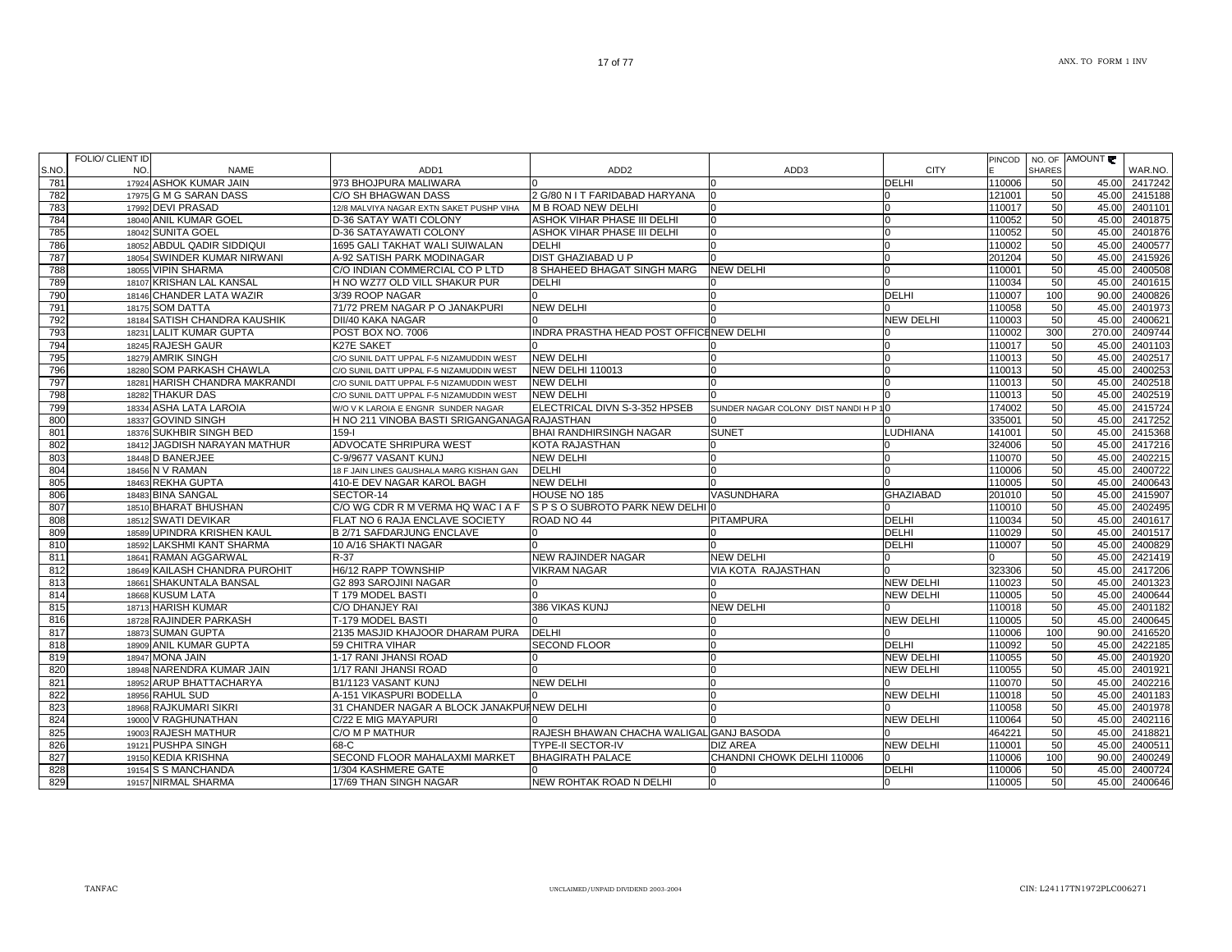| 782<br>17975 G M G SARAN DASS<br>121001<br>50<br>C/O SH BHAGWAN DASS<br>2 G/80 N I T FARIDABAD HARYANA<br>17992 DEVI PRASAD<br>783<br>12/8 MALVIYA NAGAR EXTN SAKET PUSHP VIHA<br>M B ROAD NEW DELHI<br>110017<br>50<br>ASHOK VIHAR PHASE III DELHI<br>784<br>18040 ANIL KUMAR GOEL<br>D-36 SATAY WATI COLONY<br>110052<br>50<br>785<br>18042 SUNITA GOEL<br>D-36 SATAYAWATI COLONY<br>ASHOK VIHAR PHASE III DELHI<br>110052<br>50<br>18052 ABDUL QADIR SIDDIQUI<br>786<br>1695 GALI TAKHAT WALI SUIWALAN<br><b>DELHI</b><br>110002<br>50<br>ŋ<br>18054 SWINDER KUMAR NIRWANI<br>A-92 SATISH PARK MODINAGAR<br><b>DIST GHAZIABAD U P</b><br>787<br>201204<br>50<br>788<br>18055 VIPIN SHARMA<br>C/O INDIAN COMMERCIAL CO P LTD<br>8 SHAHEED BHAGAT SINGH MARG<br><b>NEW DELHI</b><br>110001<br>50<br>n<br>18107 KRISHAN LAL KANSAL<br>H NO WZ77 OLD VILL SHAKUR PUR<br>789<br><b>DELHI</b><br>110034<br>50<br>18146 CHANDER LATA WAZIR<br>DELHI<br>790<br>3/39 ROOP NAGAR<br>110007<br>100<br>$\Omega$<br>71/72 PREM NAGAR P O JANAKPURI<br><b>NEW DELHI</b><br>50<br>791<br>18175 SOM DATTA<br>110058<br>NEW DELHI<br>18184 SATISH CHANDRA KAUSHIK<br>DII/40 KAKA NAGAR<br>110003<br>792<br>50<br>$\Omega$<br>18231 LALIT KUMAR GUPTA<br>INDRA PRASTHA HEAD POST OFFICENEW DELHI<br>300<br>793<br>POST BOX NO. 7006<br>110002<br>18245 RAJESH GAUR<br>794<br>K27E SAKET<br>110017<br>50<br><b>NEW DELHI</b><br>795<br>18279 AMRIK SINGH<br>110013<br>50<br>C/O SUNIL DATT UPPAL F-5 NIZAMUDDIN WEST<br>18280 SOM PARKASH CHAWLA<br><b>NEW DELHI 110013</b><br>50<br>796<br>C/O SUNIL DATT UPPAL F-5 NIZAMUDDIN WEST<br>110013<br>18281 HARISH CHANDRA MAKRANDI<br>797<br><b>NEW DELHI</b><br>110013<br>50<br>C/O SUNIL DATT UPPAL F-5 NIZAMUDDIN WEST<br>798<br><b>NEW DELHI</b><br>110013<br>18282 THAKUR DAS<br>C/O SUNIL DATT UPPAL F-5 NIZAMUDDIN WEST<br>50<br>799<br>18334 ASHA LATA LAROIA<br>ELECTRICAL DIVN S-3-352 HPSEB<br>174002<br>50<br>SUNDER NAGAR COLONY DIST NANDI H P 10<br>W/O V K LAROIA E ENGNR SUNDER NAGAR<br>18337 GOVIND SINGH<br>800<br>H NO 211 VINOBA BASTI SRIGANGANAGA RAJASTHAN<br>335001<br>50<br>18376 SUKHBIR SINGH BED<br><b>BHAI RANDHIRSINGH NAGAR</b><br><b>LUDHIANA</b><br>$159 - 1$<br><b>SUNET</b><br>141001<br>50<br>801<br>ADVOCATE SHRIPURA WEST<br>802<br>18412 JAGDISH NARAYAN MATHUR<br>KOTA RAJASTHAN<br>324006<br>50<br>803<br><b>NEW DELHI</b><br>110070<br>50<br>18448 D BANERJEE<br>C-9/9677 VASANT KUNJ<br><b>DELHI</b><br>804<br>18456 N V RAMAN<br>110006<br>50<br>18 F JAIN LINES GAUSHALA MARG KISHAN GAN<br>805<br>18463 REKHA GUPTA<br>410-E DEV NAGAR KAROL BAGH<br><b>NEW DELHI</b><br>110005<br>50<br>18483 BINA SANGAL<br>HOUSE NO 185<br>VASUNDHARA<br><b>GHAZIABAD</b><br>201010<br>806<br>SECTOR-14<br>50<br>C/O WG CDR R M VERMA HQ WAC I A F<br>18510 BHARAT BHUSHAN<br>S P S O SUBROTO PARK NEW DELHI<br>110010<br>807<br>50<br>FLAT NO 6 RAJA ENCLAVE SOCIETY<br><b>DELHI</b><br>808<br>18512 SWATI DEVIKAR<br>ROAD NO 44<br><b>PITAMPURA</b><br>110034<br>50<br>18589 UPINDRA KRISHEN KAUL<br><b>DELHI</b><br>809<br><b>B 2/71 SAFDARJUNG ENCLAVE</b><br>110029<br>50<br>18592 LAKSHMI KANT SHARMA<br><b>DELHI</b><br>810<br>10 A/16 SHAKTI NAGAR<br>110007<br>50<br>18641 RAMAN AGGARWAL<br>NEW RAJINDER NAGAR<br><b>NEW DELHI</b><br>811<br>R-37<br>50<br>H6/12 RAPP TOWNSHIP<br>VIA KOTA RAJASTHAN<br>812<br>18649 KAILASH CHANDRA PUROHIT<br><b>VIKRAM NAGAR</b><br>323306<br>50<br>813<br>18661 SHAKUNTALA BANSAL<br>G2 893 SAROJINI NAGAR<br><b>NEW DELHI</b><br>110023<br>50<br><b>NEW DELHI</b><br>814<br>18668 KUSUM LATA<br>T 179 MODEL BASTI<br>110005<br>50<br>18713 HARISH KUMAR<br>C/O DHANJEY RAI<br>386 VIKAS KUNJ<br><b>NEW DELHI</b><br>110018<br>815<br>50<br>18728 RAJINDER PARKASH<br>T-179 MODEL BASTI<br><b>NEW DELHI</b><br>110005<br>50<br>816<br>2135 MASJID KHAJOOR DHARAM PURA<br>110006<br>817<br>18873 SUMAN GUPTA<br><b>DELHI</b><br>100<br>818<br>18909 ANIL KUMAR GUPTA<br>59 CHITRA VIHAR<br><b>SECOND FLOOR</b><br><b>DELHI</b><br>110092<br>50<br>819<br>18947 MONA JAIN<br>1-17 RANI JHANSI ROAD<br><b>NEW DELHI</b><br>110055<br>50<br>820<br>18948 NARENDRA KUMAR JAIN<br>1/17 RANI JHANSI ROAD<br><b>NEW DELHI</b><br>110055<br>50<br>18952 ARUP BHATTACHARYA<br>B1/1123 VASANT KUNJ<br><b>NEW DELHI</b><br>110070<br>821<br>50<br>822<br>18956 RAHUL SUD<br>A-151 VIKASPURI BODELLA<br><b>NEW DELHI</b><br>110018<br>50<br>18968 RAJKUMARI SIKRI<br>823<br>31 CHANDER NAGAR A BLOCK JANAKPUINEW DELHI<br>110058<br>50<br>824<br>19000 V RAGHUNATHAN<br>C/22 E MIG MAYAPURI<br><b>NEW DELHI</b><br>110064<br>50<br>825<br>19003 RAJESH MATHUR<br>C/O M P MATHUR<br>RAJESH BHAWAN CHACHA WALIGAL GANJ BASODA<br>464221<br>50<br>19121 PUSHPA SINGH<br><b>NEW DELHI</b><br>826<br>68-C<br><b>TYPE-II SECTOR-IV</b><br><b>DIZ AREA</b><br>110001<br>50 | 45.00 2417242     |
|----------------------------------------------------------------------------------------------------------------------------------------------------------------------------------------------------------------------------------------------------------------------------------------------------------------------------------------------------------------------------------------------------------------------------------------------------------------------------------------------------------------------------------------------------------------------------------------------------------------------------------------------------------------------------------------------------------------------------------------------------------------------------------------------------------------------------------------------------------------------------------------------------------------------------------------------------------------------------------------------------------------------------------------------------------------------------------------------------------------------------------------------------------------------------------------------------------------------------------------------------------------------------------------------------------------------------------------------------------------------------------------------------------------------------------------------------------------------------------------------------------------------------------------------------------------------------------------------------------------------------------------------------------------------------------------------------------------------------------------------------------------------------------------------------------------------------------------------------------------------------------------------------------------------------------------------------------------------------------------------------------------------------------------------------------------------------------------------------------------------------------------------------------------------------------------------------------------------------------------------------------------------------------------------------------------------------------------------------------------------------------------------------------------------------------------------------------------------------------------------------------------------------------------------------------------------------------------------------------------------------------------------------------------------------------------------------------------------------------------------------------------------------------------------------------------------------------------------------------------------------------------------------------------------------------------------------------------------------------------------------------------------------------------------------------------------------------------------------------------------------------------------------------------------------------------------------------------------------------------------------------------------------------------------------------------------------------------------------------------------------------------------------------------------------------------------------------------------------------------------------------------------------------------------------------------------------------------------------------------------------------------------------------------------------------------------------------------------------------------------------------------------------------------------------------------------------------------------------------------------------------------------------------------------------------------------------------------------------------------------------------------------------------------------------------------------------------------------------------------------------------------------------------------------------------------------------------------------------------------------------------------------------------------------------------------------------------------------------------------------------------------------------------------------------------------------------------------------------------------------------------------------------------------------------------------------------------------------------------------------------------------------------------------------------------------------------------------------------------------------------------------------------------------------------------------------------------------------------------------------|-------------------|
|                                                                                                                                                                                                                                                                                                                                                                                                                                                                                                                                                                                                                                                                                                                                                                                                                                                                                                                                                                                                                                                                                                                                                                                                                                                                                                                                                                                                                                                                                                                                                                                                                                                                                                                                                                                                                                                                                                                                                                                                                                                                                                                                                                                                                                                                                                                                                                                                                                                                                                                                                                                                                                                                                                                                                                                                                                                                                                                                                                                                                                                                                                                                                                                                                                                                                                                                                                                                                                                                                                                                                                                                                                                                                                                                                                                                                                                                                                                                                                                                                                                                                                                                                                                                                                                                                                                                                                                                                                                                                                                                                                                                                                                                                                                                                                                                                                                                      | 45.00 2415188     |
|                                                                                                                                                                                                                                                                                                                                                                                                                                                                                                                                                                                                                                                                                                                                                                                                                                                                                                                                                                                                                                                                                                                                                                                                                                                                                                                                                                                                                                                                                                                                                                                                                                                                                                                                                                                                                                                                                                                                                                                                                                                                                                                                                                                                                                                                                                                                                                                                                                                                                                                                                                                                                                                                                                                                                                                                                                                                                                                                                                                                                                                                                                                                                                                                                                                                                                                                                                                                                                                                                                                                                                                                                                                                                                                                                                                                                                                                                                                                                                                                                                                                                                                                                                                                                                                                                                                                                                                                                                                                                                                                                                                                                                                                                                                                                                                                                                                                      | 45.00<br>2401101  |
|                                                                                                                                                                                                                                                                                                                                                                                                                                                                                                                                                                                                                                                                                                                                                                                                                                                                                                                                                                                                                                                                                                                                                                                                                                                                                                                                                                                                                                                                                                                                                                                                                                                                                                                                                                                                                                                                                                                                                                                                                                                                                                                                                                                                                                                                                                                                                                                                                                                                                                                                                                                                                                                                                                                                                                                                                                                                                                                                                                                                                                                                                                                                                                                                                                                                                                                                                                                                                                                                                                                                                                                                                                                                                                                                                                                                                                                                                                                                                                                                                                                                                                                                                                                                                                                                                                                                                                                                                                                                                                                                                                                                                                                                                                                                                                                                                                                                      | 45.00 2401875     |
|                                                                                                                                                                                                                                                                                                                                                                                                                                                                                                                                                                                                                                                                                                                                                                                                                                                                                                                                                                                                                                                                                                                                                                                                                                                                                                                                                                                                                                                                                                                                                                                                                                                                                                                                                                                                                                                                                                                                                                                                                                                                                                                                                                                                                                                                                                                                                                                                                                                                                                                                                                                                                                                                                                                                                                                                                                                                                                                                                                                                                                                                                                                                                                                                                                                                                                                                                                                                                                                                                                                                                                                                                                                                                                                                                                                                                                                                                                                                                                                                                                                                                                                                                                                                                                                                                                                                                                                                                                                                                                                                                                                                                                                                                                                                                                                                                                                                      | 45.00<br>2401876  |
|                                                                                                                                                                                                                                                                                                                                                                                                                                                                                                                                                                                                                                                                                                                                                                                                                                                                                                                                                                                                                                                                                                                                                                                                                                                                                                                                                                                                                                                                                                                                                                                                                                                                                                                                                                                                                                                                                                                                                                                                                                                                                                                                                                                                                                                                                                                                                                                                                                                                                                                                                                                                                                                                                                                                                                                                                                                                                                                                                                                                                                                                                                                                                                                                                                                                                                                                                                                                                                                                                                                                                                                                                                                                                                                                                                                                                                                                                                                                                                                                                                                                                                                                                                                                                                                                                                                                                                                                                                                                                                                                                                                                                                                                                                                                                                                                                                                                      | 2400577<br>45.00  |
|                                                                                                                                                                                                                                                                                                                                                                                                                                                                                                                                                                                                                                                                                                                                                                                                                                                                                                                                                                                                                                                                                                                                                                                                                                                                                                                                                                                                                                                                                                                                                                                                                                                                                                                                                                                                                                                                                                                                                                                                                                                                                                                                                                                                                                                                                                                                                                                                                                                                                                                                                                                                                                                                                                                                                                                                                                                                                                                                                                                                                                                                                                                                                                                                                                                                                                                                                                                                                                                                                                                                                                                                                                                                                                                                                                                                                                                                                                                                                                                                                                                                                                                                                                                                                                                                                                                                                                                                                                                                                                                                                                                                                                                                                                                                                                                                                                                                      | 2415926<br>45.00  |
|                                                                                                                                                                                                                                                                                                                                                                                                                                                                                                                                                                                                                                                                                                                                                                                                                                                                                                                                                                                                                                                                                                                                                                                                                                                                                                                                                                                                                                                                                                                                                                                                                                                                                                                                                                                                                                                                                                                                                                                                                                                                                                                                                                                                                                                                                                                                                                                                                                                                                                                                                                                                                                                                                                                                                                                                                                                                                                                                                                                                                                                                                                                                                                                                                                                                                                                                                                                                                                                                                                                                                                                                                                                                                                                                                                                                                                                                                                                                                                                                                                                                                                                                                                                                                                                                                                                                                                                                                                                                                                                                                                                                                                                                                                                                                                                                                                                                      | 45.00<br>2400508  |
|                                                                                                                                                                                                                                                                                                                                                                                                                                                                                                                                                                                                                                                                                                                                                                                                                                                                                                                                                                                                                                                                                                                                                                                                                                                                                                                                                                                                                                                                                                                                                                                                                                                                                                                                                                                                                                                                                                                                                                                                                                                                                                                                                                                                                                                                                                                                                                                                                                                                                                                                                                                                                                                                                                                                                                                                                                                                                                                                                                                                                                                                                                                                                                                                                                                                                                                                                                                                                                                                                                                                                                                                                                                                                                                                                                                                                                                                                                                                                                                                                                                                                                                                                                                                                                                                                                                                                                                                                                                                                                                                                                                                                                                                                                                                                                                                                                                                      | 45.00<br>2401615  |
|                                                                                                                                                                                                                                                                                                                                                                                                                                                                                                                                                                                                                                                                                                                                                                                                                                                                                                                                                                                                                                                                                                                                                                                                                                                                                                                                                                                                                                                                                                                                                                                                                                                                                                                                                                                                                                                                                                                                                                                                                                                                                                                                                                                                                                                                                                                                                                                                                                                                                                                                                                                                                                                                                                                                                                                                                                                                                                                                                                                                                                                                                                                                                                                                                                                                                                                                                                                                                                                                                                                                                                                                                                                                                                                                                                                                                                                                                                                                                                                                                                                                                                                                                                                                                                                                                                                                                                                                                                                                                                                                                                                                                                                                                                                                                                                                                                                                      | 2400826<br>90.00  |
|                                                                                                                                                                                                                                                                                                                                                                                                                                                                                                                                                                                                                                                                                                                                                                                                                                                                                                                                                                                                                                                                                                                                                                                                                                                                                                                                                                                                                                                                                                                                                                                                                                                                                                                                                                                                                                                                                                                                                                                                                                                                                                                                                                                                                                                                                                                                                                                                                                                                                                                                                                                                                                                                                                                                                                                                                                                                                                                                                                                                                                                                                                                                                                                                                                                                                                                                                                                                                                                                                                                                                                                                                                                                                                                                                                                                                                                                                                                                                                                                                                                                                                                                                                                                                                                                                                                                                                                                                                                                                                                                                                                                                                                                                                                                                                                                                                                                      | 2401973<br>45.00  |
|                                                                                                                                                                                                                                                                                                                                                                                                                                                                                                                                                                                                                                                                                                                                                                                                                                                                                                                                                                                                                                                                                                                                                                                                                                                                                                                                                                                                                                                                                                                                                                                                                                                                                                                                                                                                                                                                                                                                                                                                                                                                                                                                                                                                                                                                                                                                                                                                                                                                                                                                                                                                                                                                                                                                                                                                                                                                                                                                                                                                                                                                                                                                                                                                                                                                                                                                                                                                                                                                                                                                                                                                                                                                                                                                                                                                                                                                                                                                                                                                                                                                                                                                                                                                                                                                                                                                                                                                                                                                                                                                                                                                                                                                                                                                                                                                                                                                      | 45.00<br>2400621  |
|                                                                                                                                                                                                                                                                                                                                                                                                                                                                                                                                                                                                                                                                                                                                                                                                                                                                                                                                                                                                                                                                                                                                                                                                                                                                                                                                                                                                                                                                                                                                                                                                                                                                                                                                                                                                                                                                                                                                                                                                                                                                                                                                                                                                                                                                                                                                                                                                                                                                                                                                                                                                                                                                                                                                                                                                                                                                                                                                                                                                                                                                                                                                                                                                                                                                                                                                                                                                                                                                                                                                                                                                                                                                                                                                                                                                                                                                                                                                                                                                                                                                                                                                                                                                                                                                                                                                                                                                                                                                                                                                                                                                                                                                                                                                                                                                                                                                      | 2409744<br>270.00 |
|                                                                                                                                                                                                                                                                                                                                                                                                                                                                                                                                                                                                                                                                                                                                                                                                                                                                                                                                                                                                                                                                                                                                                                                                                                                                                                                                                                                                                                                                                                                                                                                                                                                                                                                                                                                                                                                                                                                                                                                                                                                                                                                                                                                                                                                                                                                                                                                                                                                                                                                                                                                                                                                                                                                                                                                                                                                                                                                                                                                                                                                                                                                                                                                                                                                                                                                                                                                                                                                                                                                                                                                                                                                                                                                                                                                                                                                                                                                                                                                                                                                                                                                                                                                                                                                                                                                                                                                                                                                                                                                                                                                                                                                                                                                                                                                                                                                                      | 2401103<br>45.00  |
|                                                                                                                                                                                                                                                                                                                                                                                                                                                                                                                                                                                                                                                                                                                                                                                                                                                                                                                                                                                                                                                                                                                                                                                                                                                                                                                                                                                                                                                                                                                                                                                                                                                                                                                                                                                                                                                                                                                                                                                                                                                                                                                                                                                                                                                                                                                                                                                                                                                                                                                                                                                                                                                                                                                                                                                                                                                                                                                                                                                                                                                                                                                                                                                                                                                                                                                                                                                                                                                                                                                                                                                                                                                                                                                                                                                                                                                                                                                                                                                                                                                                                                                                                                                                                                                                                                                                                                                                                                                                                                                                                                                                                                                                                                                                                                                                                                                                      | 2402517<br>45.00  |
|                                                                                                                                                                                                                                                                                                                                                                                                                                                                                                                                                                                                                                                                                                                                                                                                                                                                                                                                                                                                                                                                                                                                                                                                                                                                                                                                                                                                                                                                                                                                                                                                                                                                                                                                                                                                                                                                                                                                                                                                                                                                                                                                                                                                                                                                                                                                                                                                                                                                                                                                                                                                                                                                                                                                                                                                                                                                                                                                                                                                                                                                                                                                                                                                                                                                                                                                                                                                                                                                                                                                                                                                                                                                                                                                                                                                                                                                                                                                                                                                                                                                                                                                                                                                                                                                                                                                                                                                                                                                                                                                                                                                                                                                                                                                                                                                                                                                      | 45.00<br>2400253  |
|                                                                                                                                                                                                                                                                                                                                                                                                                                                                                                                                                                                                                                                                                                                                                                                                                                                                                                                                                                                                                                                                                                                                                                                                                                                                                                                                                                                                                                                                                                                                                                                                                                                                                                                                                                                                                                                                                                                                                                                                                                                                                                                                                                                                                                                                                                                                                                                                                                                                                                                                                                                                                                                                                                                                                                                                                                                                                                                                                                                                                                                                                                                                                                                                                                                                                                                                                                                                                                                                                                                                                                                                                                                                                                                                                                                                                                                                                                                                                                                                                                                                                                                                                                                                                                                                                                                                                                                                                                                                                                                                                                                                                                                                                                                                                                                                                                                                      | 2402518<br>45.00  |
|                                                                                                                                                                                                                                                                                                                                                                                                                                                                                                                                                                                                                                                                                                                                                                                                                                                                                                                                                                                                                                                                                                                                                                                                                                                                                                                                                                                                                                                                                                                                                                                                                                                                                                                                                                                                                                                                                                                                                                                                                                                                                                                                                                                                                                                                                                                                                                                                                                                                                                                                                                                                                                                                                                                                                                                                                                                                                                                                                                                                                                                                                                                                                                                                                                                                                                                                                                                                                                                                                                                                                                                                                                                                                                                                                                                                                                                                                                                                                                                                                                                                                                                                                                                                                                                                                                                                                                                                                                                                                                                                                                                                                                                                                                                                                                                                                                                                      | 45.00<br>2402519  |
|                                                                                                                                                                                                                                                                                                                                                                                                                                                                                                                                                                                                                                                                                                                                                                                                                                                                                                                                                                                                                                                                                                                                                                                                                                                                                                                                                                                                                                                                                                                                                                                                                                                                                                                                                                                                                                                                                                                                                                                                                                                                                                                                                                                                                                                                                                                                                                                                                                                                                                                                                                                                                                                                                                                                                                                                                                                                                                                                                                                                                                                                                                                                                                                                                                                                                                                                                                                                                                                                                                                                                                                                                                                                                                                                                                                                                                                                                                                                                                                                                                                                                                                                                                                                                                                                                                                                                                                                                                                                                                                                                                                                                                                                                                                                                                                                                                                                      | 45.00 2415724     |
|                                                                                                                                                                                                                                                                                                                                                                                                                                                                                                                                                                                                                                                                                                                                                                                                                                                                                                                                                                                                                                                                                                                                                                                                                                                                                                                                                                                                                                                                                                                                                                                                                                                                                                                                                                                                                                                                                                                                                                                                                                                                                                                                                                                                                                                                                                                                                                                                                                                                                                                                                                                                                                                                                                                                                                                                                                                                                                                                                                                                                                                                                                                                                                                                                                                                                                                                                                                                                                                                                                                                                                                                                                                                                                                                                                                                                                                                                                                                                                                                                                                                                                                                                                                                                                                                                                                                                                                                                                                                                                                                                                                                                                                                                                                                                                                                                                                                      | 45.00<br>2417252  |
|                                                                                                                                                                                                                                                                                                                                                                                                                                                                                                                                                                                                                                                                                                                                                                                                                                                                                                                                                                                                                                                                                                                                                                                                                                                                                                                                                                                                                                                                                                                                                                                                                                                                                                                                                                                                                                                                                                                                                                                                                                                                                                                                                                                                                                                                                                                                                                                                                                                                                                                                                                                                                                                                                                                                                                                                                                                                                                                                                                                                                                                                                                                                                                                                                                                                                                                                                                                                                                                                                                                                                                                                                                                                                                                                                                                                                                                                                                                                                                                                                                                                                                                                                                                                                                                                                                                                                                                                                                                                                                                                                                                                                                                                                                                                                                                                                                                                      | 45.00 2415368     |
|                                                                                                                                                                                                                                                                                                                                                                                                                                                                                                                                                                                                                                                                                                                                                                                                                                                                                                                                                                                                                                                                                                                                                                                                                                                                                                                                                                                                                                                                                                                                                                                                                                                                                                                                                                                                                                                                                                                                                                                                                                                                                                                                                                                                                                                                                                                                                                                                                                                                                                                                                                                                                                                                                                                                                                                                                                                                                                                                                                                                                                                                                                                                                                                                                                                                                                                                                                                                                                                                                                                                                                                                                                                                                                                                                                                                                                                                                                                                                                                                                                                                                                                                                                                                                                                                                                                                                                                                                                                                                                                                                                                                                                                                                                                                                                                                                                                                      | 45.00 2417216     |
|                                                                                                                                                                                                                                                                                                                                                                                                                                                                                                                                                                                                                                                                                                                                                                                                                                                                                                                                                                                                                                                                                                                                                                                                                                                                                                                                                                                                                                                                                                                                                                                                                                                                                                                                                                                                                                                                                                                                                                                                                                                                                                                                                                                                                                                                                                                                                                                                                                                                                                                                                                                                                                                                                                                                                                                                                                                                                                                                                                                                                                                                                                                                                                                                                                                                                                                                                                                                                                                                                                                                                                                                                                                                                                                                                                                                                                                                                                                                                                                                                                                                                                                                                                                                                                                                                                                                                                                                                                                                                                                                                                                                                                                                                                                                                                                                                                                                      | 45.00<br>2402215  |
|                                                                                                                                                                                                                                                                                                                                                                                                                                                                                                                                                                                                                                                                                                                                                                                                                                                                                                                                                                                                                                                                                                                                                                                                                                                                                                                                                                                                                                                                                                                                                                                                                                                                                                                                                                                                                                                                                                                                                                                                                                                                                                                                                                                                                                                                                                                                                                                                                                                                                                                                                                                                                                                                                                                                                                                                                                                                                                                                                                                                                                                                                                                                                                                                                                                                                                                                                                                                                                                                                                                                                                                                                                                                                                                                                                                                                                                                                                                                                                                                                                                                                                                                                                                                                                                                                                                                                                                                                                                                                                                                                                                                                                                                                                                                                                                                                                                                      | 45.00 2400722     |
|                                                                                                                                                                                                                                                                                                                                                                                                                                                                                                                                                                                                                                                                                                                                                                                                                                                                                                                                                                                                                                                                                                                                                                                                                                                                                                                                                                                                                                                                                                                                                                                                                                                                                                                                                                                                                                                                                                                                                                                                                                                                                                                                                                                                                                                                                                                                                                                                                                                                                                                                                                                                                                                                                                                                                                                                                                                                                                                                                                                                                                                                                                                                                                                                                                                                                                                                                                                                                                                                                                                                                                                                                                                                                                                                                                                                                                                                                                                                                                                                                                                                                                                                                                                                                                                                                                                                                                                                                                                                                                                                                                                                                                                                                                                                                                                                                                                                      | 2400643<br>45.00  |
|                                                                                                                                                                                                                                                                                                                                                                                                                                                                                                                                                                                                                                                                                                                                                                                                                                                                                                                                                                                                                                                                                                                                                                                                                                                                                                                                                                                                                                                                                                                                                                                                                                                                                                                                                                                                                                                                                                                                                                                                                                                                                                                                                                                                                                                                                                                                                                                                                                                                                                                                                                                                                                                                                                                                                                                                                                                                                                                                                                                                                                                                                                                                                                                                                                                                                                                                                                                                                                                                                                                                                                                                                                                                                                                                                                                                                                                                                                                                                                                                                                                                                                                                                                                                                                                                                                                                                                                                                                                                                                                                                                                                                                                                                                                                                                                                                                                                      | 45.00<br>2415907  |
|                                                                                                                                                                                                                                                                                                                                                                                                                                                                                                                                                                                                                                                                                                                                                                                                                                                                                                                                                                                                                                                                                                                                                                                                                                                                                                                                                                                                                                                                                                                                                                                                                                                                                                                                                                                                                                                                                                                                                                                                                                                                                                                                                                                                                                                                                                                                                                                                                                                                                                                                                                                                                                                                                                                                                                                                                                                                                                                                                                                                                                                                                                                                                                                                                                                                                                                                                                                                                                                                                                                                                                                                                                                                                                                                                                                                                                                                                                                                                                                                                                                                                                                                                                                                                                                                                                                                                                                                                                                                                                                                                                                                                                                                                                                                                                                                                                                                      | 45.00<br>2402495  |
|                                                                                                                                                                                                                                                                                                                                                                                                                                                                                                                                                                                                                                                                                                                                                                                                                                                                                                                                                                                                                                                                                                                                                                                                                                                                                                                                                                                                                                                                                                                                                                                                                                                                                                                                                                                                                                                                                                                                                                                                                                                                                                                                                                                                                                                                                                                                                                                                                                                                                                                                                                                                                                                                                                                                                                                                                                                                                                                                                                                                                                                                                                                                                                                                                                                                                                                                                                                                                                                                                                                                                                                                                                                                                                                                                                                                                                                                                                                                                                                                                                                                                                                                                                                                                                                                                                                                                                                                                                                                                                                                                                                                                                                                                                                                                                                                                                                                      | 45.00<br>2401617  |
|                                                                                                                                                                                                                                                                                                                                                                                                                                                                                                                                                                                                                                                                                                                                                                                                                                                                                                                                                                                                                                                                                                                                                                                                                                                                                                                                                                                                                                                                                                                                                                                                                                                                                                                                                                                                                                                                                                                                                                                                                                                                                                                                                                                                                                                                                                                                                                                                                                                                                                                                                                                                                                                                                                                                                                                                                                                                                                                                                                                                                                                                                                                                                                                                                                                                                                                                                                                                                                                                                                                                                                                                                                                                                                                                                                                                                                                                                                                                                                                                                                                                                                                                                                                                                                                                                                                                                                                                                                                                                                                                                                                                                                                                                                                                                                                                                                                                      | 45.00 2401517     |
|                                                                                                                                                                                                                                                                                                                                                                                                                                                                                                                                                                                                                                                                                                                                                                                                                                                                                                                                                                                                                                                                                                                                                                                                                                                                                                                                                                                                                                                                                                                                                                                                                                                                                                                                                                                                                                                                                                                                                                                                                                                                                                                                                                                                                                                                                                                                                                                                                                                                                                                                                                                                                                                                                                                                                                                                                                                                                                                                                                                                                                                                                                                                                                                                                                                                                                                                                                                                                                                                                                                                                                                                                                                                                                                                                                                                                                                                                                                                                                                                                                                                                                                                                                                                                                                                                                                                                                                                                                                                                                                                                                                                                                                                                                                                                                                                                                                                      | 45.00 2400829     |
|                                                                                                                                                                                                                                                                                                                                                                                                                                                                                                                                                                                                                                                                                                                                                                                                                                                                                                                                                                                                                                                                                                                                                                                                                                                                                                                                                                                                                                                                                                                                                                                                                                                                                                                                                                                                                                                                                                                                                                                                                                                                                                                                                                                                                                                                                                                                                                                                                                                                                                                                                                                                                                                                                                                                                                                                                                                                                                                                                                                                                                                                                                                                                                                                                                                                                                                                                                                                                                                                                                                                                                                                                                                                                                                                                                                                                                                                                                                                                                                                                                                                                                                                                                                                                                                                                                                                                                                                                                                                                                                                                                                                                                                                                                                                                                                                                                                                      | 2421419<br>45.00  |
|                                                                                                                                                                                                                                                                                                                                                                                                                                                                                                                                                                                                                                                                                                                                                                                                                                                                                                                                                                                                                                                                                                                                                                                                                                                                                                                                                                                                                                                                                                                                                                                                                                                                                                                                                                                                                                                                                                                                                                                                                                                                                                                                                                                                                                                                                                                                                                                                                                                                                                                                                                                                                                                                                                                                                                                                                                                                                                                                                                                                                                                                                                                                                                                                                                                                                                                                                                                                                                                                                                                                                                                                                                                                                                                                                                                                                                                                                                                                                                                                                                                                                                                                                                                                                                                                                                                                                                                                                                                                                                                                                                                                                                                                                                                                                                                                                                                                      | 45.00<br>2417206  |
|                                                                                                                                                                                                                                                                                                                                                                                                                                                                                                                                                                                                                                                                                                                                                                                                                                                                                                                                                                                                                                                                                                                                                                                                                                                                                                                                                                                                                                                                                                                                                                                                                                                                                                                                                                                                                                                                                                                                                                                                                                                                                                                                                                                                                                                                                                                                                                                                                                                                                                                                                                                                                                                                                                                                                                                                                                                                                                                                                                                                                                                                                                                                                                                                                                                                                                                                                                                                                                                                                                                                                                                                                                                                                                                                                                                                                                                                                                                                                                                                                                                                                                                                                                                                                                                                                                                                                                                                                                                                                                                                                                                                                                                                                                                                                                                                                                                                      | 45.00<br>2401323  |
|                                                                                                                                                                                                                                                                                                                                                                                                                                                                                                                                                                                                                                                                                                                                                                                                                                                                                                                                                                                                                                                                                                                                                                                                                                                                                                                                                                                                                                                                                                                                                                                                                                                                                                                                                                                                                                                                                                                                                                                                                                                                                                                                                                                                                                                                                                                                                                                                                                                                                                                                                                                                                                                                                                                                                                                                                                                                                                                                                                                                                                                                                                                                                                                                                                                                                                                                                                                                                                                                                                                                                                                                                                                                                                                                                                                                                                                                                                                                                                                                                                                                                                                                                                                                                                                                                                                                                                                                                                                                                                                                                                                                                                                                                                                                                                                                                                                                      | 45.00<br>2400644  |
|                                                                                                                                                                                                                                                                                                                                                                                                                                                                                                                                                                                                                                                                                                                                                                                                                                                                                                                                                                                                                                                                                                                                                                                                                                                                                                                                                                                                                                                                                                                                                                                                                                                                                                                                                                                                                                                                                                                                                                                                                                                                                                                                                                                                                                                                                                                                                                                                                                                                                                                                                                                                                                                                                                                                                                                                                                                                                                                                                                                                                                                                                                                                                                                                                                                                                                                                                                                                                                                                                                                                                                                                                                                                                                                                                                                                                                                                                                                                                                                                                                                                                                                                                                                                                                                                                                                                                                                                                                                                                                                                                                                                                                                                                                                                                                                                                                                                      | 2401182<br>45.00  |
|                                                                                                                                                                                                                                                                                                                                                                                                                                                                                                                                                                                                                                                                                                                                                                                                                                                                                                                                                                                                                                                                                                                                                                                                                                                                                                                                                                                                                                                                                                                                                                                                                                                                                                                                                                                                                                                                                                                                                                                                                                                                                                                                                                                                                                                                                                                                                                                                                                                                                                                                                                                                                                                                                                                                                                                                                                                                                                                                                                                                                                                                                                                                                                                                                                                                                                                                                                                                                                                                                                                                                                                                                                                                                                                                                                                                                                                                                                                                                                                                                                                                                                                                                                                                                                                                                                                                                                                                                                                                                                                                                                                                                                                                                                                                                                                                                                                                      | 45.00<br>2400645  |
|                                                                                                                                                                                                                                                                                                                                                                                                                                                                                                                                                                                                                                                                                                                                                                                                                                                                                                                                                                                                                                                                                                                                                                                                                                                                                                                                                                                                                                                                                                                                                                                                                                                                                                                                                                                                                                                                                                                                                                                                                                                                                                                                                                                                                                                                                                                                                                                                                                                                                                                                                                                                                                                                                                                                                                                                                                                                                                                                                                                                                                                                                                                                                                                                                                                                                                                                                                                                                                                                                                                                                                                                                                                                                                                                                                                                                                                                                                                                                                                                                                                                                                                                                                                                                                                                                                                                                                                                                                                                                                                                                                                                                                                                                                                                                                                                                                                                      | 2416520<br>90.00  |
|                                                                                                                                                                                                                                                                                                                                                                                                                                                                                                                                                                                                                                                                                                                                                                                                                                                                                                                                                                                                                                                                                                                                                                                                                                                                                                                                                                                                                                                                                                                                                                                                                                                                                                                                                                                                                                                                                                                                                                                                                                                                                                                                                                                                                                                                                                                                                                                                                                                                                                                                                                                                                                                                                                                                                                                                                                                                                                                                                                                                                                                                                                                                                                                                                                                                                                                                                                                                                                                                                                                                                                                                                                                                                                                                                                                                                                                                                                                                                                                                                                                                                                                                                                                                                                                                                                                                                                                                                                                                                                                                                                                                                                                                                                                                                                                                                                                                      | 2422185<br>45.00  |
|                                                                                                                                                                                                                                                                                                                                                                                                                                                                                                                                                                                                                                                                                                                                                                                                                                                                                                                                                                                                                                                                                                                                                                                                                                                                                                                                                                                                                                                                                                                                                                                                                                                                                                                                                                                                                                                                                                                                                                                                                                                                                                                                                                                                                                                                                                                                                                                                                                                                                                                                                                                                                                                                                                                                                                                                                                                                                                                                                                                                                                                                                                                                                                                                                                                                                                                                                                                                                                                                                                                                                                                                                                                                                                                                                                                                                                                                                                                                                                                                                                                                                                                                                                                                                                                                                                                                                                                                                                                                                                                                                                                                                                                                                                                                                                                                                                                                      | 45.00 2401920     |
|                                                                                                                                                                                                                                                                                                                                                                                                                                                                                                                                                                                                                                                                                                                                                                                                                                                                                                                                                                                                                                                                                                                                                                                                                                                                                                                                                                                                                                                                                                                                                                                                                                                                                                                                                                                                                                                                                                                                                                                                                                                                                                                                                                                                                                                                                                                                                                                                                                                                                                                                                                                                                                                                                                                                                                                                                                                                                                                                                                                                                                                                                                                                                                                                                                                                                                                                                                                                                                                                                                                                                                                                                                                                                                                                                                                                                                                                                                                                                                                                                                                                                                                                                                                                                                                                                                                                                                                                                                                                                                                                                                                                                                                                                                                                                                                                                                                                      | 45.00<br>2401921  |
|                                                                                                                                                                                                                                                                                                                                                                                                                                                                                                                                                                                                                                                                                                                                                                                                                                                                                                                                                                                                                                                                                                                                                                                                                                                                                                                                                                                                                                                                                                                                                                                                                                                                                                                                                                                                                                                                                                                                                                                                                                                                                                                                                                                                                                                                                                                                                                                                                                                                                                                                                                                                                                                                                                                                                                                                                                                                                                                                                                                                                                                                                                                                                                                                                                                                                                                                                                                                                                                                                                                                                                                                                                                                                                                                                                                                                                                                                                                                                                                                                                                                                                                                                                                                                                                                                                                                                                                                                                                                                                                                                                                                                                                                                                                                                                                                                                                                      | 2402216<br>45.00  |
|                                                                                                                                                                                                                                                                                                                                                                                                                                                                                                                                                                                                                                                                                                                                                                                                                                                                                                                                                                                                                                                                                                                                                                                                                                                                                                                                                                                                                                                                                                                                                                                                                                                                                                                                                                                                                                                                                                                                                                                                                                                                                                                                                                                                                                                                                                                                                                                                                                                                                                                                                                                                                                                                                                                                                                                                                                                                                                                                                                                                                                                                                                                                                                                                                                                                                                                                                                                                                                                                                                                                                                                                                                                                                                                                                                                                                                                                                                                                                                                                                                                                                                                                                                                                                                                                                                                                                                                                                                                                                                                                                                                                                                                                                                                                                                                                                                                                      | 45.00<br>2401183  |
|                                                                                                                                                                                                                                                                                                                                                                                                                                                                                                                                                                                                                                                                                                                                                                                                                                                                                                                                                                                                                                                                                                                                                                                                                                                                                                                                                                                                                                                                                                                                                                                                                                                                                                                                                                                                                                                                                                                                                                                                                                                                                                                                                                                                                                                                                                                                                                                                                                                                                                                                                                                                                                                                                                                                                                                                                                                                                                                                                                                                                                                                                                                                                                                                                                                                                                                                                                                                                                                                                                                                                                                                                                                                                                                                                                                                                                                                                                                                                                                                                                                                                                                                                                                                                                                                                                                                                                                                                                                                                                                                                                                                                                                                                                                                                                                                                                                                      | 45.00<br>2401978  |
|                                                                                                                                                                                                                                                                                                                                                                                                                                                                                                                                                                                                                                                                                                                                                                                                                                                                                                                                                                                                                                                                                                                                                                                                                                                                                                                                                                                                                                                                                                                                                                                                                                                                                                                                                                                                                                                                                                                                                                                                                                                                                                                                                                                                                                                                                                                                                                                                                                                                                                                                                                                                                                                                                                                                                                                                                                                                                                                                                                                                                                                                                                                                                                                                                                                                                                                                                                                                                                                                                                                                                                                                                                                                                                                                                                                                                                                                                                                                                                                                                                                                                                                                                                                                                                                                                                                                                                                                                                                                                                                                                                                                                                                                                                                                                                                                                                                                      | 2402116<br>45.00  |
|                                                                                                                                                                                                                                                                                                                                                                                                                                                                                                                                                                                                                                                                                                                                                                                                                                                                                                                                                                                                                                                                                                                                                                                                                                                                                                                                                                                                                                                                                                                                                                                                                                                                                                                                                                                                                                                                                                                                                                                                                                                                                                                                                                                                                                                                                                                                                                                                                                                                                                                                                                                                                                                                                                                                                                                                                                                                                                                                                                                                                                                                                                                                                                                                                                                                                                                                                                                                                                                                                                                                                                                                                                                                                                                                                                                                                                                                                                                                                                                                                                                                                                                                                                                                                                                                                                                                                                                                                                                                                                                                                                                                                                                                                                                                                                                                                                                                      | 2418821<br>45.00  |
|                                                                                                                                                                                                                                                                                                                                                                                                                                                                                                                                                                                                                                                                                                                                                                                                                                                                                                                                                                                                                                                                                                                                                                                                                                                                                                                                                                                                                                                                                                                                                                                                                                                                                                                                                                                                                                                                                                                                                                                                                                                                                                                                                                                                                                                                                                                                                                                                                                                                                                                                                                                                                                                                                                                                                                                                                                                                                                                                                                                                                                                                                                                                                                                                                                                                                                                                                                                                                                                                                                                                                                                                                                                                                                                                                                                                                                                                                                                                                                                                                                                                                                                                                                                                                                                                                                                                                                                                                                                                                                                                                                                                                                                                                                                                                                                                                                                                      | 45.00<br>2400511  |
| 827<br>19150 KEDIA KRISHNA<br>SECOND FLOOR MAHALAXMI MARKET<br><b>BHAGIRATH PALACE</b><br>CHANDNI CHOWK DELHI 110006<br>110006<br>100                                                                                                                                                                                                                                                                                                                                                                                                                                                                                                                                                                                                                                                                                                                                                                                                                                                                                                                                                                                                                                                                                                                                                                                                                                                                                                                                                                                                                                                                                                                                                                                                                                                                                                                                                                                                                                                                                                                                                                                                                                                                                                                                                                                                                                                                                                                                                                                                                                                                                                                                                                                                                                                                                                                                                                                                                                                                                                                                                                                                                                                                                                                                                                                                                                                                                                                                                                                                                                                                                                                                                                                                                                                                                                                                                                                                                                                                                                                                                                                                                                                                                                                                                                                                                                                                                                                                                                                                                                                                                                                                                                                                                                                                                                                                | 2400249<br>90.00  |
| 828<br>19154 S S MANCHANDA<br>1/304 KASHMERE GATE<br><b>DELHI</b><br>50<br>110006                                                                                                                                                                                                                                                                                                                                                                                                                                                                                                                                                                                                                                                                                                                                                                                                                                                                                                                                                                                                                                                                                                                                                                                                                                                                                                                                                                                                                                                                                                                                                                                                                                                                                                                                                                                                                                                                                                                                                                                                                                                                                                                                                                                                                                                                                                                                                                                                                                                                                                                                                                                                                                                                                                                                                                                                                                                                                                                                                                                                                                                                                                                                                                                                                                                                                                                                                                                                                                                                                                                                                                                                                                                                                                                                                                                                                                                                                                                                                                                                                                                                                                                                                                                                                                                                                                                                                                                                                                                                                                                                                                                                                                                                                                                                                                                    | 2400724<br>45.00  |
| 829<br>19157 NIRMAL SHARMA<br>17/69 THAN SINGH NAGAR<br>NEW ROHTAK ROAD N DELHI<br>110005<br>50                                                                                                                                                                                                                                                                                                                                                                                                                                                                                                                                                                                                                                                                                                                                                                                                                                                                                                                                                                                                                                                                                                                                                                                                                                                                                                                                                                                                                                                                                                                                                                                                                                                                                                                                                                                                                                                                                                                                                                                                                                                                                                                                                                                                                                                                                                                                                                                                                                                                                                                                                                                                                                                                                                                                                                                                                                                                                                                                                                                                                                                                                                                                                                                                                                                                                                                                                                                                                                                                                                                                                                                                                                                                                                                                                                                                                                                                                                                                                                                                                                                                                                                                                                                                                                                                                                                                                                                                                                                                                                                                                                                                                                                                                                                                                                      | 2400646<br>45.00  |
|                                                                                                                                                                                                                                                                                                                                                                                                                                                                                                                                                                                                                                                                                                                                                                                                                                                                                                                                                                                                                                                                                                                                                                                                                                                                                                                                                                                                                                                                                                                                                                                                                                                                                                                                                                                                                                                                                                                                                                                                                                                                                                                                                                                                                                                                                                                                                                                                                                                                                                                                                                                                                                                                                                                                                                                                                                                                                                                                                                                                                                                                                                                                                                                                                                                                                                                                                                                                                                                                                                                                                                                                                                                                                                                                                                                                                                                                                                                                                                                                                                                                                                                                                                                                                                                                                                                                                                                                                                                                                                                                                                                                                                                                                                                                                                                                                                                                      |                   |

AMOUNT

WAR.NO.

PINCOD E

NO. OF SHARES

NAME ADD1 ADD2 ADD3 CITY

S.NO.

FOLIO/ CLIENT ID NO.

TANFAC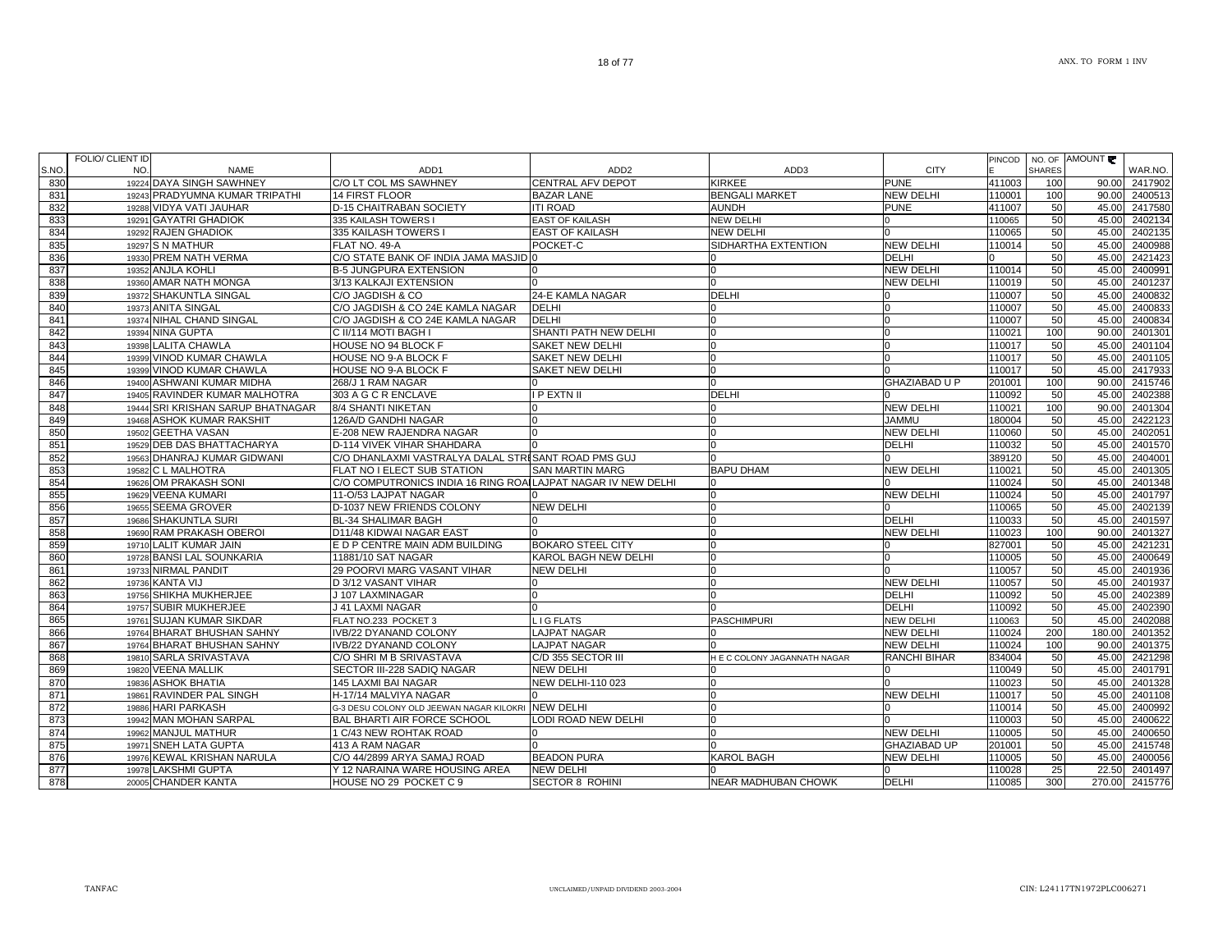| 832<br>19288 VIDYA VATI JAUHAR<br>D-15 CHAITRABAN SOCIETY<br><b>ITI ROAD</b><br><b>AUNDH</b><br><b>PUNE</b><br>411007<br>50<br>45.00<br>833<br>45.00<br>19291 GAYATRI GHADIOK<br><b>EAST OF KAILASH</b><br><b>NEW DELHI</b><br>110065<br>50<br>335 KAILASH TOWERS I<br>834<br><b>NEW DELHI</b><br>45.00<br>19292 RAJEN GHADIOK<br>335 KAILASH TOWERS I<br><b>EAST OF KAILASH</b><br>110065<br>50<br>835<br>SIDHARTHA EXTENTION<br><b>NEW DELHI</b><br>50<br>45.00<br>19297 S N MATHUR<br>FLAT NO. 49-A<br>POCKET-C<br>110014<br>C/O STATE BANK OF INDIA JAMA MASJID 0<br>50<br>836<br>19330 PREM NATH VERMA<br><b>DELHI</b><br>45.00<br>50<br>837<br><b>B-5 JUNGPURA EXTENSION</b><br><b>NEW DELHI</b><br>110014<br>45.00<br>19352 ANJLA KOHLI<br>$\Omega$<br>n<br>838<br><b>NEW DELHI</b><br>50<br>45.00<br>19360 AMAR NATH MONGA<br>3/13 KALKAJI EXTENSION<br>110019<br>839<br><b>DELHI</b><br>50<br>19372 SHAKUNTLA SINGAL<br>C/O JAGDISH & CO<br>24-E KAMLA NAGAR<br>110007<br>45.00<br>C/O JAGDISH & CO 24E KAMLA NAGAR<br>50<br>840<br>19373 ANITA SINGAL<br><b>DELHI</b><br>110007<br>45.00<br>841<br>19374 NIHAL CHAND SINGAL<br>C/O JAGDISH & CO 24E KAMLA NAGAR<br><b>DELHI</b><br>50<br>45.00<br><sup>n</sup><br>110007<br>SHANTI PATH NEW DELHI<br>842<br>110021<br>100<br>90.00<br>19394 NINA GUPTA<br>C II/114 MOTI BAGH I<br><sup>n</sup><br>45.00<br>843<br>19398 LALITA CHAWLA<br>HOUSE NO 94 BLOCK F<br>SAKET NEW DELHI<br>110017<br>50<br>844<br>19399 VINOD KUMAR CHAWLA<br>HOUSE NO 9-A BLOCK F<br><b>SAKET NEW DELHI</b><br>50<br>110017<br>45.00<br>50<br>45.00<br>845<br>19399 VINOD KUMAR CHAWLA<br>HOUSE NO 9-A BLOCK F<br>SAKET NEW DELHI<br>110017<br><b>GHAZIABAD U P</b><br>846<br>19400 ASHWANI KUMAR MIDHA<br>268/J 1 RAM NAGAR<br>201001<br>100<br>90.00<br><b>DELHI</b><br>45.00<br>847<br>19405 RAVINDER KUMAR MALHOTRA<br>303 A G C R ENCLAVE<br><b>I P EXTN II</b><br>110092<br>50<br>848<br>19444 SRI KRISHAN SARUP BHATNAGAR<br><b>NEW DELHI</b><br>110021<br>100<br>90.00<br>8/4 SHANTI NIKETAN<br><b>JAMMU</b><br>50<br>45.00<br>849<br>19468 ASHOK KUMAR RAKSHIT<br>126A/D GANDHI NAGAR<br>180004<br>850<br>19502 GEETHA VASAN<br>E-208 NEW RAJENDRA NAGAR<br><b>NEW DELHI</b><br>110060<br>50<br>45.00<br>$\Omega$<br>U<br>851<br>19529 DEB DAS BHATTACHARYA<br>D-114 VIVEK VIHAR SHAHDARA<br><b>DELHI</b><br>50<br>45.00<br>110032<br>852<br>19563 DHANRAJ KUMAR GIDWANI<br>C/O DHANLAXMI VASTRALYA DALAL STRISANT ROAD PMS GUJ<br>389120<br>50<br>45.00<br>50<br>853<br>19582 C L MALHOTRA<br>FLAT NO I ELECT SUB STATION<br><b>BAPU DHAM</b><br><b>NEW DELHI</b><br>45.00<br><b>SAN MARTIN MARG</b><br>110021<br>854<br>19626 OM PRAKASH SONI<br>C/O COMPUTRONICS INDIA 16 RING ROALLAJPAT NAGAR IV NEW DELHI<br>50<br>45.00<br>110024<br>50<br>855<br><b>NEW DELHI</b><br>110024<br>45.00<br>19629 VEENA KUMARI<br>11-O/53 LAJPAT NAGAR<br>856<br>19655 SEEMA GROVER<br>D-1037 NEW FRIENDS COLONY<br><b>NEW DELHI</b><br>110065<br>50<br>45.00<br>n<br>857<br><b>DELHI</b><br>50<br>19686 SHAKUNTLA SURI<br><b>BL-34 SHALIMAR BAGH</b><br>110033<br>45.00<br>858<br>19690 RAM PRAKASH OBEROI<br>D11/48 KIDWAI NAGAR EAST<br><b>NEW DELHI</b><br>110023<br>100<br>90.00<br>859<br>E D P CENTRE MAIN ADM BUILDING<br><b>BOKARO STEEL CITY</b><br>827001<br>50<br>45.00<br>19710 LALIT KUMAR JAIN<br>860<br>19728 BANSI LAL SOUNKARIA<br>KAROL BAGH NEW DELHI<br>50<br>45.00<br>11881/10 SAT NAGAR<br>110005<br>861<br>110057<br>50<br>45.00<br>19733 NIRMAL PANDIT<br>29 POORVI MARG VASANT VIHAR<br><b>NEW DELHI</b><br>862<br><b>NEW DELHI</b><br>50<br>45.00<br>19736 KANTA VIJ<br>D 3/12 VASANT VIHAR<br>110057<br>ın<br>863<br>19756 SHIKHA MUKHERJEE<br><b>DELHI</b><br>110092<br>50<br>45.00<br>J 107 LAXMINAGAR<br>$\Omega$<br><b>DELHI</b><br>50<br>864<br>19757 SUBIR MUKHERJEE<br>J 41 LAXMI NAGAR<br>110092<br>45.00<br>865<br>45.00<br>19761 SUJAN KUMAR SIKDAR<br>LIGFLATS<br><b>NEW DELHI</b><br>50<br>FLAT NO.233 POCKET 3<br><b>PASCHIMPURI</b><br>110063<br>19764 BHARAT BHUSHAN SAHNY<br><b>LAJPAT NAGAR</b><br>200<br>866<br>IVB/22 DYANAND COLONY<br><b>NEW DELHI</b><br>110024<br>180.00<br>867<br>19764 BHARAT BHUSHAN SAHNY<br>IVB/22 DYANAND COLONY<br><b>LAJPAT NAGAR</b><br><b>NEW DELHI</b><br>110024<br>100<br>90.00<br>868<br>19810 SARLA SRIVASTAVA<br>C/D 355 SECTOR III<br><b>RANCHI BIHAR</b><br>834004<br>50<br>45.00<br>C/O SHRI M B SRIVASTAVA<br>H E C COLONY JAGANNATH NAGAR<br>869<br>19820 VEENA MALLIK<br>SECTOR III-228 SADIQ NAGAR<br><b>NEW DELHI</b><br>110049<br>50<br>45.00<br>870<br>19836 ASHOK BHATIA<br>NEW DELHI-110 023<br>110023<br>50<br>45.00<br>145 LAXMI BAI NAGAR<br>871<br>19861 RAVINDER PAL SINGH<br><b>NEW DELHI</b><br>50<br>45.00<br>H-17/14 MALVIYA NAGAR<br>110017<br>872<br>19886 HARI PARKASH<br>G-3 DESU COLONY OLD JEEWAN NAGAR KILOKRI NEW DELHI<br>110014<br>50<br>45.00<br>873<br>19942 MAN MOHAN SARPAL<br>LODI ROAD NEW DELHI<br>50<br>45.00<br>BAL BHARTI AIR FORCE SCHOOL<br>110003<br>50<br>874<br><b>NEW DELHI</b><br>110005<br>45.00<br>19962 MANJUL MATHUR<br>1 C/43 NEW ROHTAK ROAD<br>l0<br>50<br>875<br>19971 SNEH LATA GUPTA<br>45.00<br>413 A RAM NAGAR<br><b>GHAZIABAD UP</b><br>201001<br>876<br>19976 KEWAL KRISHAN NARULA<br>C/O 44/2899 ARYA SAMAJ ROAD<br><b>BEADON PURA</b><br><b>KAROL BAGH</b><br>110005<br>50<br><b>NEW DELHI</b><br>45.00<br>877<br>Y 12 NARAINA WARE HOUSING AREA<br>25<br>22.50<br>19978 LAKSHMI GUPTA<br><b>NEW DELHI</b><br>110028<br>878<br><b>SECTOR 8 ROHINI</b><br><b>DELHI</b><br>300<br>20005 CHANDER KANTA<br>HOUSE NO 29 POCKET C 9<br><b>NEAR MADHUBAN CHOWK</b><br>110085<br>270.00 | 831 | 19243 PRADYUMNA KUMAR TRIPATHI | <b>14 FIRST FLOOR</b> | <b>BAZAR LANE</b> | <b>BENGALI MARKET</b> | <b>NEW DELHI</b> | 110001 | 100 | 90.00 2400513 |
|-------------------------------------------------------------------------------------------------------------------------------------------------------------------------------------------------------------------------------------------------------------------------------------------------------------------------------------------------------------------------------------------------------------------------------------------------------------------------------------------------------------------------------------------------------------------------------------------------------------------------------------------------------------------------------------------------------------------------------------------------------------------------------------------------------------------------------------------------------------------------------------------------------------------------------------------------------------------------------------------------------------------------------------------------------------------------------------------------------------------------------------------------------------------------------------------------------------------------------------------------------------------------------------------------------------------------------------------------------------------------------------------------------------------------------------------------------------------------------------------------------------------------------------------------------------------------------------------------------------------------------------------------------------------------------------------------------------------------------------------------------------------------------------------------------------------------------------------------------------------------------------------------------------------------------------------------------------------------------------------------------------------------------------------------------------------------------------------------------------------------------------------------------------------------------------------------------------------------------------------------------------------------------------------------------------------------------------------------------------------------------------------------------------------------------------------------------------------------------------------------------------------------------------------------------------------------------------------------------------------------------------------------------------------------------------------------------------------------------------------------------------------------------------------------------------------------------------------------------------------------------------------------------------------------------------------------------------------------------------------------------------------------------------------------------------------------------------------------------------------------------------------------------------------------------------------------------------------------------------------------------------------------------------------------------------------------------------------------------------------------------------------------------------------------------------------------------------------------------------------------------------------------------------------------------------------------------------------------------------------------------------------------------------------------------------------------------------------------------------------------------------------------------------------------------------------------------------------------------------------------------------------------------------------------------------------------------------------------------------------------------------------------------------------------------------------------------------------------------------------------------------------------------------------------------------------------------------------------------------------------------------------------------------------------------------------------------------------------------------------------------------------------------------------------------------------------------------------------------------------------------------------------------------------------------------------------------------------------------------------------------------------------------------------------------------------------------------------------------------------------------------------------------------------------------------------------------------------------------------------------------------------------------------------------------------------------------------------------------------------------------------------------------------------------------------------------------------------------------------------------------------------------------------------------------------------------------------------------------------------------------------------------------------------------------------------------------------------------------------------------------------------------------------------------------------------------------------------------------------------------------------------------------------------------------------------------------------------------------------------------------------------------------------------|-----|--------------------------------|-----------------------|-------------------|-----------------------|------------------|--------|-----|---------------|
|                                                                                                                                                                                                                                                                                                                                                                                                                                                                                                                                                                                                                                                                                                                                                                                                                                                                                                                                                                                                                                                                                                                                                                                                                                                                                                                                                                                                                                                                                                                                                                                                                                                                                                                                                                                                                                                                                                                                                                                                                                                                                                                                                                                                                                                                                                                                                                                                                                                                                                                                                                                                                                                                                                                                                                                                                                                                                                                                                                                                                                                                                                                                                                                                                                                                                                                                                                                                                                                                                                                                                                                                                                                                                                                                                                                                                                                                                                                                                                                                                                                                                                                                                                                                                                                                                                                                                                                                                                                                                                                                                                                                                                                                                                                                                                                                                                                                                                                                                                                                                                                                                                                                                                                                                                                                                                                                                                                                                                                                                                                                                                                                                                                                   |     |                                |                       |                   |                       |                  |        |     | 2417580       |
|                                                                                                                                                                                                                                                                                                                                                                                                                                                                                                                                                                                                                                                                                                                                                                                                                                                                                                                                                                                                                                                                                                                                                                                                                                                                                                                                                                                                                                                                                                                                                                                                                                                                                                                                                                                                                                                                                                                                                                                                                                                                                                                                                                                                                                                                                                                                                                                                                                                                                                                                                                                                                                                                                                                                                                                                                                                                                                                                                                                                                                                                                                                                                                                                                                                                                                                                                                                                                                                                                                                                                                                                                                                                                                                                                                                                                                                                                                                                                                                                                                                                                                                                                                                                                                                                                                                                                                                                                                                                                                                                                                                                                                                                                                                                                                                                                                                                                                                                                                                                                                                                                                                                                                                                                                                                                                                                                                                                                                                                                                                                                                                                                                                                   |     |                                |                       |                   |                       |                  |        |     | 2402134       |
|                                                                                                                                                                                                                                                                                                                                                                                                                                                                                                                                                                                                                                                                                                                                                                                                                                                                                                                                                                                                                                                                                                                                                                                                                                                                                                                                                                                                                                                                                                                                                                                                                                                                                                                                                                                                                                                                                                                                                                                                                                                                                                                                                                                                                                                                                                                                                                                                                                                                                                                                                                                                                                                                                                                                                                                                                                                                                                                                                                                                                                                                                                                                                                                                                                                                                                                                                                                                                                                                                                                                                                                                                                                                                                                                                                                                                                                                                                                                                                                                                                                                                                                                                                                                                                                                                                                                                                                                                                                                                                                                                                                                                                                                                                                                                                                                                                                                                                                                                                                                                                                                                                                                                                                                                                                                                                                                                                                                                                                                                                                                                                                                                                                                   |     |                                |                       |                   |                       |                  |        |     | 2402135       |
|                                                                                                                                                                                                                                                                                                                                                                                                                                                                                                                                                                                                                                                                                                                                                                                                                                                                                                                                                                                                                                                                                                                                                                                                                                                                                                                                                                                                                                                                                                                                                                                                                                                                                                                                                                                                                                                                                                                                                                                                                                                                                                                                                                                                                                                                                                                                                                                                                                                                                                                                                                                                                                                                                                                                                                                                                                                                                                                                                                                                                                                                                                                                                                                                                                                                                                                                                                                                                                                                                                                                                                                                                                                                                                                                                                                                                                                                                                                                                                                                                                                                                                                                                                                                                                                                                                                                                                                                                                                                                                                                                                                                                                                                                                                                                                                                                                                                                                                                                                                                                                                                                                                                                                                                                                                                                                                                                                                                                                                                                                                                                                                                                                                                   |     |                                |                       |                   |                       |                  |        |     | 2400988       |
|                                                                                                                                                                                                                                                                                                                                                                                                                                                                                                                                                                                                                                                                                                                                                                                                                                                                                                                                                                                                                                                                                                                                                                                                                                                                                                                                                                                                                                                                                                                                                                                                                                                                                                                                                                                                                                                                                                                                                                                                                                                                                                                                                                                                                                                                                                                                                                                                                                                                                                                                                                                                                                                                                                                                                                                                                                                                                                                                                                                                                                                                                                                                                                                                                                                                                                                                                                                                                                                                                                                                                                                                                                                                                                                                                                                                                                                                                                                                                                                                                                                                                                                                                                                                                                                                                                                                                                                                                                                                                                                                                                                                                                                                                                                                                                                                                                                                                                                                                                                                                                                                                                                                                                                                                                                                                                                                                                                                                                                                                                                                                                                                                                                                   |     |                                |                       |                   |                       |                  |        |     | 2421423       |
|                                                                                                                                                                                                                                                                                                                                                                                                                                                                                                                                                                                                                                                                                                                                                                                                                                                                                                                                                                                                                                                                                                                                                                                                                                                                                                                                                                                                                                                                                                                                                                                                                                                                                                                                                                                                                                                                                                                                                                                                                                                                                                                                                                                                                                                                                                                                                                                                                                                                                                                                                                                                                                                                                                                                                                                                                                                                                                                                                                                                                                                                                                                                                                                                                                                                                                                                                                                                                                                                                                                                                                                                                                                                                                                                                                                                                                                                                                                                                                                                                                                                                                                                                                                                                                                                                                                                                                                                                                                                                                                                                                                                                                                                                                                                                                                                                                                                                                                                                                                                                                                                                                                                                                                                                                                                                                                                                                                                                                                                                                                                                                                                                                                                   |     |                                |                       |                   |                       |                  |        |     | 2400991       |
|                                                                                                                                                                                                                                                                                                                                                                                                                                                                                                                                                                                                                                                                                                                                                                                                                                                                                                                                                                                                                                                                                                                                                                                                                                                                                                                                                                                                                                                                                                                                                                                                                                                                                                                                                                                                                                                                                                                                                                                                                                                                                                                                                                                                                                                                                                                                                                                                                                                                                                                                                                                                                                                                                                                                                                                                                                                                                                                                                                                                                                                                                                                                                                                                                                                                                                                                                                                                                                                                                                                                                                                                                                                                                                                                                                                                                                                                                                                                                                                                                                                                                                                                                                                                                                                                                                                                                                                                                                                                                                                                                                                                                                                                                                                                                                                                                                                                                                                                                                                                                                                                                                                                                                                                                                                                                                                                                                                                                                                                                                                                                                                                                                                                   |     |                                |                       |                   |                       |                  |        |     | 2401237       |
|                                                                                                                                                                                                                                                                                                                                                                                                                                                                                                                                                                                                                                                                                                                                                                                                                                                                                                                                                                                                                                                                                                                                                                                                                                                                                                                                                                                                                                                                                                                                                                                                                                                                                                                                                                                                                                                                                                                                                                                                                                                                                                                                                                                                                                                                                                                                                                                                                                                                                                                                                                                                                                                                                                                                                                                                                                                                                                                                                                                                                                                                                                                                                                                                                                                                                                                                                                                                                                                                                                                                                                                                                                                                                                                                                                                                                                                                                                                                                                                                                                                                                                                                                                                                                                                                                                                                                                                                                                                                                                                                                                                                                                                                                                                                                                                                                                                                                                                                                                                                                                                                                                                                                                                                                                                                                                                                                                                                                                                                                                                                                                                                                                                                   |     |                                |                       |                   |                       |                  |        |     | 2400832       |
|                                                                                                                                                                                                                                                                                                                                                                                                                                                                                                                                                                                                                                                                                                                                                                                                                                                                                                                                                                                                                                                                                                                                                                                                                                                                                                                                                                                                                                                                                                                                                                                                                                                                                                                                                                                                                                                                                                                                                                                                                                                                                                                                                                                                                                                                                                                                                                                                                                                                                                                                                                                                                                                                                                                                                                                                                                                                                                                                                                                                                                                                                                                                                                                                                                                                                                                                                                                                                                                                                                                                                                                                                                                                                                                                                                                                                                                                                                                                                                                                                                                                                                                                                                                                                                                                                                                                                                                                                                                                                                                                                                                                                                                                                                                                                                                                                                                                                                                                                                                                                                                                                                                                                                                                                                                                                                                                                                                                                                                                                                                                                                                                                                                                   |     |                                |                       |                   |                       |                  |        |     | 2400833       |
|                                                                                                                                                                                                                                                                                                                                                                                                                                                                                                                                                                                                                                                                                                                                                                                                                                                                                                                                                                                                                                                                                                                                                                                                                                                                                                                                                                                                                                                                                                                                                                                                                                                                                                                                                                                                                                                                                                                                                                                                                                                                                                                                                                                                                                                                                                                                                                                                                                                                                                                                                                                                                                                                                                                                                                                                                                                                                                                                                                                                                                                                                                                                                                                                                                                                                                                                                                                                                                                                                                                                                                                                                                                                                                                                                                                                                                                                                                                                                                                                                                                                                                                                                                                                                                                                                                                                                                                                                                                                                                                                                                                                                                                                                                                                                                                                                                                                                                                                                                                                                                                                                                                                                                                                                                                                                                                                                                                                                                                                                                                                                                                                                                                                   |     |                                |                       |                   |                       |                  |        |     | 2400834       |
|                                                                                                                                                                                                                                                                                                                                                                                                                                                                                                                                                                                                                                                                                                                                                                                                                                                                                                                                                                                                                                                                                                                                                                                                                                                                                                                                                                                                                                                                                                                                                                                                                                                                                                                                                                                                                                                                                                                                                                                                                                                                                                                                                                                                                                                                                                                                                                                                                                                                                                                                                                                                                                                                                                                                                                                                                                                                                                                                                                                                                                                                                                                                                                                                                                                                                                                                                                                                                                                                                                                                                                                                                                                                                                                                                                                                                                                                                                                                                                                                                                                                                                                                                                                                                                                                                                                                                                                                                                                                                                                                                                                                                                                                                                                                                                                                                                                                                                                                                                                                                                                                                                                                                                                                                                                                                                                                                                                                                                                                                                                                                                                                                                                                   |     |                                |                       |                   |                       |                  |        |     | 2401301       |
|                                                                                                                                                                                                                                                                                                                                                                                                                                                                                                                                                                                                                                                                                                                                                                                                                                                                                                                                                                                                                                                                                                                                                                                                                                                                                                                                                                                                                                                                                                                                                                                                                                                                                                                                                                                                                                                                                                                                                                                                                                                                                                                                                                                                                                                                                                                                                                                                                                                                                                                                                                                                                                                                                                                                                                                                                                                                                                                                                                                                                                                                                                                                                                                                                                                                                                                                                                                                                                                                                                                                                                                                                                                                                                                                                                                                                                                                                                                                                                                                                                                                                                                                                                                                                                                                                                                                                                                                                                                                                                                                                                                                                                                                                                                                                                                                                                                                                                                                                                                                                                                                                                                                                                                                                                                                                                                                                                                                                                                                                                                                                                                                                                                                   |     |                                |                       |                   |                       |                  |        |     | 2401104       |
|                                                                                                                                                                                                                                                                                                                                                                                                                                                                                                                                                                                                                                                                                                                                                                                                                                                                                                                                                                                                                                                                                                                                                                                                                                                                                                                                                                                                                                                                                                                                                                                                                                                                                                                                                                                                                                                                                                                                                                                                                                                                                                                                                                                                                                                                                                                                                                                                                                                                                                                                                                                                                                                                                                                                                                                                                                                                                                                                                                                                                                                                                                                                                                                                                                                                                                                                                                                                                                                                                                                                                                                                                                                                                                                                                                                                                                                                                                                                                                                                                                                                                                                                                                                                                                                                                                                                                                                                                                                                                                                                                                                                                                                                                                                                                                                                                                                                                                                                                                                                                                                                                                                                                                                                                                                                                                                                                                                                                                                                                                                                                                                                                                                                   |     |                                |                       |                   |                       |                  |        |     | 2401105       |
|                                                                                                                                                                                                                                                                                                                                                                                                                                                                                                                                                                                                                                                                                                                                                                                                                                                                                                                                                                                                                                                                                                                                                                                                                                                                                                                                                                                                                                                                                                                                                                                                                                                                                                                                                                                                                                                                                                                                                                                                                                                                                                                                                                                                                                                                                                                                                                                                                                                                                                                                                                                                                                                                                                                                                                                                                                                                                                                                                                                                                                                                                                                                                                                                                                                                                                                                                                                                                                                                                                                                                                                                                                                                                                                                                                                                                                                                                                                                                                                                                                                                                                                                                                                                                                                                                                                                                                                                                                                                                                                                                                                                                                                                                                                                                                                                                                                                                                                                                                                                                                                                                                                                                                                                                                                                                                                                                                                                                                                                                                                                                                                                                                                                   |     |                                |                       |                   |                       |                  |        |     | 2417933       |
|                                                                                                                                                                                                                                                                                                                                                                                                                                                                                                                                                                                                                                                                                                                                                                                                                                                                                                                                                                                                                                                                                                                                                                                                                                                                                                                                                                                                                                                                                                                                                                                                                                                                                                                                                                                                                                                                                                                                                                                                                                                                                                                                                                                                                                                                                                                                                                                                                                                                                                                                                                                                                                                                                                                                                                                                                                                                                                                                                                                                                                                                                                                                                                                                                                                                                                                                                                                                                                                                                                                                                                                                                                                                                                                                                                                                                                                                                                                                                                                                                                                                                                                                                                                                                                                                                                                                                                                                                                                                                                                                                                                                                                                                                                                                                                                                                                                                                                                                                                                                                                                                                                                                                                                                                                                                                                                                                                                                                                                                                                                                                                                                                                                                   |     |                                |                       |                   |                       |                  |        |     | 2415746       |
|                                                                                                                                                                                                                                                                                                                                                                                                                                                                                                                                                                                                                                                                                                                                                                                                                                                                                                                                                                                                                                                                                                                                                                                                                                                                                                                                                                                                                                                                                                                                                                                                                                                                                                                                                                                                                                                                                                                                                                                                                                                                                                                                                                                                                                                                                                                                                                                                                                                                                                                                                                                                                                                                                                                                                                                                                                                                                                                                                                                                                                                                                                                                                                                                                                                                                                                                                                                                                                                                                                                                                                                                                                                                                                                                                                                                                                                                                                                                                                                                                                                                                                                                                                                                                                                                                                                                                                                                                                                                                                                                                                                                                                                                                                                                                                                                                                                                                                                                                                                                                                                                                                                                                                                                                                                                                                                                                                                                                                                                                                                                                                                                                                                                   |     |                                |                       |                   |                       |                  |        |     | 2402388       |
|                                                                                                                                                                                                                                                                                                                                                                                                                                                                                                                                                                                                                                                                                                                                                                                                                                                                                                                                                                                                                                                                                                                                                                                                                                                                                                                                                                                                                                                                                                                                                                                                                                                                                                                                                                                                                                                                                                                                                                                                                                                                                                                                                                                                                                                                                                                                                                                                                                                                                                                                                                                                                                                                                                                                                                                                                                                                                                                                                                                                                                                                                                                                                                                                                                                                                                                                                                                                                                                                                                                                                                                                                                                                                                                                                                                                                                                                                                                                                                                                                                                                                                                                                                                                                                                                                                                                                                                                                                                                                                                                                                                                                                                                                                                                                                                                                                                                                                                                                                                                                                                                                                                                                                                                                                                                                                                                                                                                                                                                                                                                                                                                                                                                   |     |                                |                       |                   |                       |                  |        |     | 2401304       |
|                                                                                                                                                                                                                                                                                                                                                                                                                                                                                                                                                                                                                                                                                                                                                                                                                                                                                                                                                                                                                                                                                                                                                                                                                                                                                                                                                                                                                                                                                                                                                                                                                                                                                                                                                                                                                                                                                                                                                                                                                                                                                                                                                                                                                                                                                                                                                                                                                                                                                                                                                                                                                                                                                                                                                                                                                                                                                                                                                                                                                                                                                                                                                                                                                                                                                                                                                                                                                                                                                                                                                                                                                                                                                                                                                                                                                                                                                                                                                                                                                                                                                                                                                                                                                                                                                                                                                                                                                                                                                                                                                                                                                                                                                                                                                                                                                                                                                                                                                                                                                                                                                                                                                                                                                                                                                                                                                                                                                                                                                                                                                                                                                                                                   |     |                                |                       |                   |                       |                  |        |     | 2422123       |
|                                                                                                                                                                                                                                                                                                                                                                                                                                                                                                                                                                                                                                                                                                                                                                                                                                                                                                                                                                                                                                                                                                                                                                                                                                                                                                                                                                                                                                                                                                                                                                                                                                                                                                                                                                                                                                                                                                                                                                                                                                                                                                                                                                                                                                                                                                                                                                                                                                                                                                                                                                                                                                                                                                                                                                                                                                                                                                                                                                                                                                                                                                                                                                                                                                                                                                                                                                                                                                                                                                                                                                                                                                                                                                                                                                                                                                                                                                                                                                                                                                                                                                                                                                                                                                                                                                                                                                                                                                                                                                                                                                                                                                                                                                                                                                                                                                                                                                                                                                                                                                                                                                                                                                                                                                                                                                                                                                                                                                                                                                                                                                                                                                                                   |     |                                |                       |                   |                       |                  |        |     | 2402051       |
|                                                                                                                                                                                                                                                                                                                                                                                                                                                                                                                                                                                                                                                                                                                                                                                                                                                                                                                                                                                                                                                                                                                                                                                                                                                                                                                                                                                                                                                                                                                                                                                                                                                                                                                                                                                                                                                                                                                                                                                                                                                                                                                                                                                                                                                                                                                                                                                                                                                                                                                                                                                                                                                                                                                                                                                                                                                                                                                                                                                                                                                                                                                                                                                                                                                                                                                                                                                                                                                                                                                                                                                                                                                                                                                                                                                                                                                                                                                                                                                                                                                                                                                                                                                                                                                                                                                                                                                                                                                                                                                                                                                                                                                                                                                                                                                                                                                                                                                                                                                                                                                                                                                                                                                                                                                                                                                                                                                                                                                                                                                                                                                                                                                                   |     |                                |                       |                   |                       |                  |        |     | 2401570       |
|                                                                                                                                                                                                                                                                                                                                                                                                                                                                                                                                                                                                                                                                                                                                                                                                                                                                                                                                                                                                                                                                                                                                                                                                                                                                                                                                                                                                                                                                                                                                                                                                                                                                                                                                                                                                                                                                                                                                                                                                                                                                                                                                                                                                                                                                                                                                                                                                                                                                                                                                                                                                                                                                                                                                                                                                                                                                                                                                                                                                                                                                                                                                                                                                                                                                                                                                                                                                                                                                                                                                                                                                                                                                                                                                                                                                                                                                                                                                                                                                                                                                                                                                                                                                                                                                                                                                                                                                                                                                                                                                                                                                                                                                                                                                                                                                                                                                                                                                                                                                                                                                                                                                                                                                                                                                                                                                                                                                                                                                                                                                                                                                                                                                   |     |                                |                       |                   |                       |                  |        |     | 2404001       |
|                                                                                                                                                                                                                                                                                                                                                                                                                                                                                                                                                                                                                                                                                                                                                                                                                                                                                                                                                                                                                                                                                                                                                                                                                                                                                                                                                                                                                                                                                                                                                                                                                                                                                                                                                                                                                                                                                                                                                                                                                                                                                                                                                                                                                                                                                                                                                                                                                                                                                                                                                                                                                                                                                                                                                                                                                                                                                                                                                                                                                                                                                                                                                                                                                                                                                                                                                                                                                                                                                                                                                                                                                                                                                                                                                                                                                                                                                                                                                                                                                                                                                                                                                                                                                                                                                                                                                                                                                                                                                                                                                                                                                                                                                                                                                                                                                                                                                                                                                                                                                                                                                                                                                                                                                                                                                                                                                                                                                                                                                                                                                                                                                                                                   |     |                                |                       |                   |                       |                  |        |     | 2401305       |
|                                                                                                                                                                                                                                                                                                                                                                                                                                                                                                                                                                                                                                                                                                                                                                                                                                                                                                                                                                                                                                                                                                                                                                                                                                                                                                                                                                                                                                                                                                                                                                                                                                                                                                                                                                                                                                                                                                                                                                                                                                                                                                                                                                                                                                                                                                                                                                                                                                                                                                                                                                                                                                                                                                                                                                                                                                                                                                                                                                                                                                                                                                                                                                                                                                                                                                                                                                                                                                                                                                                                                                                                                                                                                                                                                                                                                                                                                                                                                                                                                                                                                                                                                                                                                                                                                                                                                                                                                                                                                                                                                                                                                                                                                                                                                                                                                                                                                                                                                                                                                                                                                                                                                                                                                                                                                                                                                                                                                                                                                                                                                                                                                                                                   |     |                                |                       |                   |                       |                  |        |     | 2401348       |
|                                                                                                                                                                                                                                                                                                                                                                                                                                                                                                                                                                                                                                                                                                                                                                                                                                                                                                                                                                                                                                                                                                                                                                                                                                                                                                                                                                                                                                                                                                                                                                                                                                                                                                                                                                                                                                                                                                                                                                                                                                                                                                                                                                                                                                                                                                                                                                                                                                                                                                                                                                                                                                                                                                                                                                                                                                                                                                                                                                                                                                                                                                                                                                                                                                                                                                                                                                                                                                                                                                                                                                                                                                                                                                                                                                                                                                                                                                                                                                                                                                                                                                                                                                                                                                                                                                                                                                                                                                                                                                                                                                                                                                                                                                                                                                                                                                                                                                                                                                                                                                                                                                                                                                                                                                                                                                                                                                                                                                                                                                                                                                                                                                                                   |     |                                |                       |                   |                       |                  |        |     | 2401797       |
|                                                                                                                                                                                                                                                                                                                                                                                                                                                                                                                                                                                                                                                                                                                                                                                                                                                                                                                                                                                                                                                                                                                                                                                                                                                                                                                                                                                                                                                                                                                                                                                                                                                                                                                                                                                                                                                                                                                                                                                                                                                                                                                                                                                                                                                                                                                                                                                                                                                                                                                                                                                                                                                                                                                                                                                                                                                                                                                                                                                                                                                                                                                                                                                                                                                                                                                                                                                                                                                                                                                                                                                                                                                                                                                                                                                                                                                                                                                                                                                                                                                                                                                                                                                                                                                                                                                                                                                                                                                                                                                                                                                                                                                                                                                                                                                                                                                                                                                                                                                                                                                                                                                                                                                                                                                                                                                                                                                                                                                                                                                                                                                                                                                                   |     |                                |                       |                   |                       |                  |        |     | 2402139       |
|                                                                                                                                                                                                                                                                                                                                                                                                                                                                                                                                                                                                                                                                                                                                                                                                                                                                                                                                                                                                                                                                                                                                                                                                                                                                                                                                                                                                                                                                                                                                                                                                                                                                                                                                                                                                                                                                                                                                                                                                                                                                                                                                                                                                                                                                                                                                                                                                                                                                                                                                                                                                                                                                                                                                                                                                                                                                                                                                                                                                                                                                                                                                                                                                                                                                                                                                                                                                                                                                                                                                                                                                                                                                                                                                                                                                                                                                                                                                                                                                                                                                                                                                                                                                                                                                                                                                                                                                                                                                                                                                                                                                                                                                                                                                                                                                                                                                                                                                                                                                                                                                                                                                                                                                                                                                                                                                                                                                                                                                                                                                                                                                                                                                   |     |                                |                       |                   |                       |                  |        |     | 2401597       |
|                                                                                                                                                                                                                                                                                                                                                                                                                                                                                                                                                                                                                                                                                                                                                                                                                                                                                                                                                                                                                                                                                                                                                                                                                                                                                                                                                                                                                                                                                                                                                                                                                                                                                                                                                                                                                                                                                                                                                                                                                                                                                                                                                                                                                                                                                                                                                                                                                                                                                                                                                                                                                                                                                                                                                                                                                                                                                                                                                                                                                                                                                                                                                                                                                                                                                                                                                                                                                                                                                                                                                                                                                                                                                                                                                                                                                                                                                                                                                                                                                                                                                                                                                                                                                                                                                                                                                                                                                                                                                                                                                                                                                                                                                                                                                                                                                                                                                                                                                                                                                                                                                                                                                                                                                                                                                                                                                                                                                                                                                                                                                                                                                                                                   |     |                                |                       |                   |                       |                  |        |     | 2401327       |
|                                                                                                                                                                                                                                                                                                                                                                                                                                                                                                                                                                                                                                                                                                                                                                                                                                                                                                                                                                                                                                                                                                                                                                                                                                                                                                                                                                                                                                                                                                                                                                                                                                                                                                                                                                                                                                                                                                                                                                                                                                                                                                                                                                                                                                                                                                                                                                                                                                                                                                                                                                                                                                                                                                                                                                                                                                                                                                                                                                                                                                                                                                                                                                                                                                                                                                                                                                                                                                                                                                                                                                                                                                                                                                                                                                                                                                                                                                                                                                                                                                                                                                                                                                                                                                                                                                                                                                                                                                                                                                                                                                                                                                                                                                                                                                                                                                                                                                                                                                                                                                                                                                                                                                                                                                                                                                                                                                                                                                                                                                                                                                                                                                                                   |     |                                |                       |                   |                       |                  |        |     | 2421231       |
|                                                                                                                                                                                                                                                                                                                                                                                                                                                                                                                                                                                                                                                                                                                                                                                                                                                                                                                                                                                                                                                                                                                                                                                                                                                                                                                                                                                                                                                                                                                                                                                                                                                                                                                                                                                                                                                                                                                                                                                                                                                                                                                                                                                                                                                                                                                                                                                                                                                                                                                                                                                                                                                                                                                                                                                                                                                                                                                                                                                                                                                                                                                                                                                                                                                                                                                                                                                                                                                                                                                                                                                                                                                                                                                                                                                                                                                                                                                                                                                                                                                                                                                                                                                                                                                                                                                                                                                                                                                                                                                                                                                                                                                                                                                                                                                                                                                                                                                                                                                                                                                                                                                                                                                                                                                                                                                                                                                                                                                                                                                                                                                                                                                                   |     |                                |                       |                   |                       |                  |        |     | 2400649       |
|                                                                                                                                                                                                                                                                                                                                                                                                                                                                                                                                                                                                                                                                                                                                                                                                                                                                                                                                                                                                                                                                                                                                                                                                                                                                                                                                                                                                                                                                                                                                                                                                                                                                                                                                                                                                                                                                                                                                                                                                                                                                                                                                                                                                                                                                                                                                                                                                                                                                                                                                                                                                                                                                                                                                                                                                                                                                                                                                                                                                                                                                                                                                                                                                                                                                                                                                                                                                                                                                                                                                                                                                                                                                                                                                                                                                                                                                                                                                                                                                                                                                                                                                                                                                                                                                                                                                                                                                                                                                                                                                                                                                                                                                                                                                                                                                                                                                                                                                                                                                                                                                                                                                                                                                                                                                                                                                                                                                                                                                                                                                                                                                                                                                   |     |                                |                       |                   |                       |                  |        |     | 2401936       |
|                                                                                                                                                                                                                                                                                                                                                                                                                                                                                                                                                                                                                                                                                                                                                                                                                                                                                                                                                                                                                                                                                                                                                                                                                                                                                                                                                                                                                                                                                                                                                                                                                                                                                                                                                                                                                                                                                                                                                                                                                                                                                                                                                                                                                                                                                                                                                                                                                                                                                                                                                                                                                                                                                                                                                                                                                                                                                                                                                                                                                                                                                                                                                                                                                                                                                                                                                                                                                                                                                                                                                                                                                                                                                                                                                                                                                                                                                                                                                                                                                                                                                                                                                                                                                                                                                                                                                                                                                                                                                                                                                                                                                                                                                                                                                                                                                                                                                                                                                                                                                                                                                                                                                                                                                                                                                                                                                                                                                                                                                                                                                                                                                                                                   |     |                                |                       |                   |                       |                  |        |     | 2401937       |
|                                                                                                                                                                                                                                                                                                                                                                                                                                                                                                                                                                                                                                                                                                                                                                                                                                                                                                                                                                                                                                                                                                                                                                                                                                                                                                                                                                                                                                                                                                                                                                                                                                                                                                                                                                                                                                                                                                                                                                                                                                                                                                                                                                                                                                                                                                                                                                                                                                                                                                                                                                                                                                                                                                                                                                                                                                                                                                                                                                                                                                                                                                                                                                                                                                                                                                                                                                                                                                                                                                                                                                                                                                                                                                                                                                                                                                                                                                                                                                                                                                                                                                                                                                                                                                                                                                                                                                                                                                                                                                                                                                                                                                                                                                                                                                                                                                                                                                                                                                                                                                                                                                                                                                                                                                                                                                                                                                                                                                                                                                                                                                                                                                                                   |     |                                |                       |                   |                       |                  |        |     | 2402389       |
|                                                                                                                                                                                                                                                                                                                                                                                                                                                                                                                                                                                                                                                                                                                                                                                                                                                                                                                                                                                                                                                                                                                                                                                                                                                                                                                                                                                                                                                                                                                                                                                                                                                                                                                                                                                                                                                                                                                                                                                                                                                                                                                                                                                                                                                                                                                                                                                                                                                                                                                                                                                                                                                                                                                                                                                                                                                                                                                                                                                                                                                                                                                                                                                                                                                                                                                                                                                                                                                                                                                                                                                                                                                                                                                                                                                                                                                                                                                                                                                                                                                                                                                                                                                                                                                                                                                                                                                                                                                                                                                                                                                                                                                                                                                                                                                                                                                                                                                                                                                                                                                                                                                                                                                                                                                                                                                                                                                                                                                                                                                                                                                                                                                                   |     |                                |                       |                   |                       |                  |        |     | 2402390       |
|                                                                                                                                                                                                                                                                                                                                                                                                                                                                                                                                                                                                                                                                                                                                                                                                                                                                                                                                                                                                                                                                                                                                                                                                                                                                                                                                                                                                                                                                                                                                                                                                                                                                                                                                                                                                                                                                                                                                                                                                                                                                                                                                                                                                                                                                                                                                                                                                                                                                                                                                                                                                                                                                                                                                                                                                                                                                                                                                                                                                                                                                                                                                                                                                                                                                                                                                                                                                                                                                                                                                                                                                                                                                                                                                                                                                                                                                                                                                                                                                                                                                                                                                                                                                                                                                                                                                                                                                                                                                                                                                                                                                                                                                                                                                                                                                                                                                                                                                                                                                                                                                                                                                                                                                                                                                                                                                                                                                                                                                                                                                                                                                                                                                   |     |                                |                       |                   |                       |                  |        |     | 2402088       |
|                                                                                                                                                                                                                                                                                                                                                                                                                                                                                                                                                                                                                                                                                                                                                                                                                                                                                                                                                                                                                                                                                                                                                                                                                                                                                                                                                                                                                                                                                                                                                                                                                                                                                                                                                                                                                                                                                                                                                                                                                                                                                                                                                                                                                                                                                                                                                                                                                                                                                                                                                                                                                                                                                                                                                                                                                                                                                                                                                                                                                                                                                                                                                                                                                                                                                                                                                                                                                                                                                                                                                                                                                                                                                                                                                                                                                                                                                                                                                                                                                                                                                                                                                                                                                                                                                                                                                                                                                                                                                                                                                                                                                                                                                                                                                                                                                                                                                                                                                                                                                                                                                                                                                                                                                                                                                                                                                                                                                                                                                                                                                                                                                                                                   |     |                                |                       |                   |                       |                  |        |     | 2401352       |
|                                                                                                                                                                                                                                                                                                                                                                                                                                                                                                                                                                                                                                                                                                                                                                                                                                                                                                                                                                                                                                                                                                                                                                                                                                                                                                                                                                                                                                                                                                                                                                                                                                                                                                                                                                                                                                                                                                                                                                                                                                                                                                                                                                                                                                                                                                                                                                                                                                                                                                                                                                                                                                                                                                                                                                                                                                                                                                                                                                                                                                                                                                                                                                                                                                                                                                                                                                                                                                                                                                                                                                                                                                                                                                                                                                                                                                                                                                                                                                                                                                                                                                                                                                                                                                                                                                                                                                                                                                                                                                                                                                                                                                                                                                                                                                                                                                                                                                                                                                                                                                                                                                                                                                                                                                                                                                                                                                                                                                                                                                                                                                                                                                                                   |     |                                |                       |                   |                       |                  |        |     | 2401375       |
|                                                                                                                                                                                                                                                                                                                                                                                                                                                                                                                                                                                                                                                                                                                                                                                                                                                                                                                                                                                                                                                                                                                                                                                                                                                                                                                                                                                                                                                                                                                                                                                                                                                                                                                                                                                                                                                                                                                                                                                                                                                                                                                                                                                                                                                                                                                                                                                                                                                                                                                                                                                                                                                                                                                                                                                                                                                                                                                                                                                                                                                                                                                                                                                                                                                                                                                                                                                                                                                                                                                                                                                                                                                                                                                                                                                                                                                                                                                                                                                                                                                                                                                                                                                                                                                                                                                                                                                                                                                                                                                                                                                                                                                                                                                                                                                                                                                                                                                                                                                                                                                                                                                                                                                                                                                                                                                                                                                                                                                                                                                                                                                                                                                                   |     |                                |                       |                   |                       |                  |        |     | 2421298       |
|                                                                                                                                                                                                                                                                                                                                                                                                                                                                                                                                                                                                                                                                                                                                                                                                                                                                                                                                                                                                                                                                                                                                                                                                                                                                                                                                                                                                                                                                                                                                                                                                                                                                                                                                                                                                                                                                                                                                                                                                                                                                                                                                                                                                                                                                                                                                                                                                                                                                                                                                                                                                                                                                                                                                                                                                                                                                                                                                                                                                                                                                                                                                                                                                                                                                                                                                                                                                                                                                                                                                                                                                                                                                                                                                                                                                                                                                                                                                                                                                                                                                                                                                                                                                                                                                                                                                                                                                                                                                                                                                                                                                                                                                                                                                                                                                                                                                                                                                                                                                                                                                                                                                                                                                                                                                                                                                                                                                                                                                                                                                                                                                                                                                   |     |                                |                       |                   |                       |                  |        |     | 2401791       |
|                                                                                                                                                                                                                                                                                                                                                                                                                                                                                                                                                                                                                                                                                                                                                                                                                                                                                                                                                                                                                                                                                                                                                                                                                                                                                                                                                                                                                                                                                                                                                                                                                                                                                                                                                                                                                                                                                                                                                                                                                                                                                                                                                                                                                                                                                                                                                                                                                                                                                                                                                                                                                                                                                                                                                                                                                                                                                                                                                                                                                                                                                                                                                                                                                                                                                                                                                                                                                                                                                                                                                                                                                                                                                                                                                                                                                                                                                                                                                                                                                                                                                                                                                                                                                                                                                                                                                                                                                                                                                                                                                                                                                                                                                                                                                                                                                                                                                                                                                                                                                                                                                                                                                                                                                                                                                                                                                                                                                                                                                                                                                                                                                                                                   |     |                                |                       |                   |                       |                  |        |     | 2401328       |
|                                                                                                                                                                                                                                                                                                                                                                                                                                                                                                                                                                                                                                                                                                                                                                                                                                                                                                                                                                                                                                                                                                                                                                                                                                                                                                                                                                                                                                                                                                                                                                                                                                                                                                                                                                                                                                                                                                                                                                                                                                                                                                                                                                                                                                                                                                                                                                                                                                                                                                                                                                                                                                                                                                                                                                                                                                                                                                                                                                                                                                                                                                                                                                                                                                                                                                                                                                                                                                                                                                                                                                                                                                                                                                                                                                                                                                                                                                                                                                                                                                                                                                                                                                                                                                                                                                                                                                                                                                                                                                                                                                                                                                                                                                                                                                                                                                                                                                                                                                                                                                                                                                                                                                                                                                                                                                                                                                                                                                                                                                                                                                                                                                                                   |     |                                |                       |                   |                       |                  |        |     | 2401108       |
|                                                                                                                                                                                                                                                                                                                                                                                                                                                                                                                                                                                                                                                                                                                                                                                                                                                                                                                                                                                                                                                                                                                                                                                                                                                                                                                                                                                                                                                                                                                                                                                                                                                                                                                                                                                                                                                                                                                                                                                                                                                                                                                                                                                                                                                                                                                                                                                                                                                                                                                                                                                                                                                                                                                                                                                                                                                                                                                                                                                                                                                                                                                                                                                                                                                                                                                                                                                                                                                                                                                                                                                                                                                                                                                                                                                                                                                                                                                                                                                                                                                                                                                                                                                                                                                                                                                                                                                                                                                                                                                                                                                                                                                                                                                                                                                                                                                                                                                                                                                                                                                                                                                                                                                                                                                                                                                                                                                                                                                                                                                                                                                                                                                                   |     |                                |                       |                   |                       |                  |        |     | 2400992       |
|                                                                                                                                                                                                                                                                                                                                                                                                                                                                                                                                                                                                                                                                                                                                                                                                                                                                                                                                                                                                                                                                                                                                                                                                                                                                                                                                                                                                                                                                                                                                                                                                                                                                                                                                                                                                                                                                                                                                                                                                                                                                                                                                                                                                                                                                                                                                                                                                                                                                                                                                                                                                                                                                                                                                                                                                                                                                                                                                                                                                                                                                                                                                                                                                                                                                                                                                                                                                                                                                                                                                                                                                                                                                                                                                                                                                                                                                                                                                                                                                                                                                                                                                                                                                                                                                                                                                                                                                                                                                                                                                                                                                                                                                                                                                                                                                                                                                                                                                                                                                                                                                                                                                                                                                                                                                                                                                                                                                                                                                                                                                                                                                                                                                   |     |                                |                       |                   |                       |                  |        |     | 2400622       |
|                                                                                                                                                                                                                                                                                                                                                                                                                                                                                                                                                                                                                                                                                                                                                                                                                                                                                                                                                                                                                                                                                                                                                                                                                                                                                                                                                                                                                                                                                                                                                                                                                                                                                                                                                                                                                                                                                                                                                                                                                                                                                                                                                                                                                                                                                                                                                                                                                                                                                                                                                                                                                                                                                                                                                                                                                                                                                                                                                                                                                                                                                                                                                                                                                                                                                                                                                                                                                                                                                                                                                                                                                                                                                                                                                                                                                                                                                                                                                                                                                                                                                                                                                                                                                                                                                                                                                                                                                                                                                                                                                                                                                                                                                                                                                                                                                                                                                                                                                                                                                                                                                                                                                                                                                                                                                                                                                                                                                                                                                                                                                                                                                                                                   |     |                                |                       |                   |                       |                  |        |     | 2400650       |
|                                                                                                                                                                                                                                                                                                                                                                                                                                                                                                                                                                                                                                                                                                                                                                                                                                                                                                                                                                                                                                                                                                                                                                                                                                                                                                                                                                                                                                                                                                                                                                                                                                                                                                                                                                                                                                                                                                                                                                                                                                                                                                                                                                                                                                                                                                                                                                                                                                                                                                                                                                                                                                                                                                                                                                                                                                                                                                                                                                                                                                                                                                                                                                                                                                                                                                                                                                                                                                                                                                                                                                                                                                                                                                                                                                                                                                                                                                                                                                                                                                                                                                                                                                                                                                                                                                                                                                                                                                                                                                                                                                                                                                                                                                                                                                                                                                                                                                                                                                                                                                                                                                                                                                                                                                                                                                                                                                                                                                                                                                                                                                                                                                                                   |     |                                |                       |                   |                       |                  |        |     | 2415748       |
|                                                                                                                                                                                                                                                                                                                                                                                                                                                                                                                                                                                                                                                                                                                                                                                                                                                                                                                                                                                                                                                                                                                                                                                                                                                                                                                                                                                                                                                                                                                                                                                                                                                                                                                                                                                                                                                                                                                                                                                                                                                                                                                                                                                                                                                                                                                                                                                                                                                                                                                                                                                                                                                                                                                                                                                                                                                                                                                                                                                                                                                                                                                                                                                                                                                                                                                                                                                                                                                                                                                                                                                                                                                                                                                                                                                                                                                                                                                                                                                                                                                                                                                                                                                                                                                                                                                                                                                                                                                                                                                                                                                                                                                                                                                                                                                                                                                                                                                                                                                                                                                                                                                                                                                                                                                                                                                                                                                                                                                                                                                                                                                                                                                                   |     |                                |                       |                   |                       |                  |        |     | 2400056       |
|                                                                                                                                                                                                                                                                                                                                                                                                                                                                                                                                                                                                                                                                                                                                                                                                                                                                                                                                                                                                                                                                                                                                                                                                                                                                                                                                                                                                                                                                                                                                                                                                                                                                                                                                                                                                                                                                                                                                                                                                                                                                                                                                                                                                                                                                                                                                                                                                                                                                                                                                                                                                                                                                                                                                                                                                                                                                                                                                                                                                                                                                                                                                                                                                                                                                                                                                                                                                                                                                                                                                                                                                                                                                                                                                                                                                                                                                                                                                                                                                                                                                                                                                                                                                                                                                                                                                                                                                                                                                                                                                                                                                                                                                                                                                                                                                                                                                                                                                                                                                                                                                                                                                                                                                                                                                                                                                                                                                                                                                                                                                                                                                                                                                   |     |                                |                       |                   |                       |                  |        |     | 2401497       |
|                                                                                                                                                                                                                                                                                                                                                                                                                                                                                                                                                                                                                                                                                                                                                                                                                                                                                                                                                                                                                                                                                                                                                                                                                                                                                                                                                                                                                                                                                                                                                                                                                                                                                                                                                                                                                                                                                                                                                                                                                                                                                                                                                                                                                                                                                                                                                                                                                                                                                                                                                                                                                                                                                                                                                                                                                                                                                                                                                                                                                                                                                                                                                                                                                                                                                                                                                                                                                                                                                                                                                                                                                                                                                                                                                                                                                                                                                                                                                                                                                                                                                                                                                                                                                                                                                                                                                                                                                                                                                                                                                                                                                                                                                                                                                                                                                                                                                                                                                                                                                                                                                                                                                                                                                                                                                                                                                                                                                                                                                                                                                                                                                                                                   |     |                                |                       |                   |                       |                  |        |     | 2415776       |

AMOUNT

WAR.NO.90.00 2417902

PINCODE411003

NO. OF SHARES100

NAME ADD1 ADD2 ADD3 CITY

19224 DAYA SINGH SAWHNEY COLT COL MS SAWHNEY CENTRAL AFV DEPOT KIRKEE KIRKEE PUNE PUNE 41 PUNE 41 FIRST FLOOR<br>19243 PRADYUMNA KUMAR TRIPATHI 14 FIRST FLOOR BAZAR LANE BAZAR LANE BENGALI MARKET NEW I

S.NO.830

FOLIO/ CLIENT ID

NO.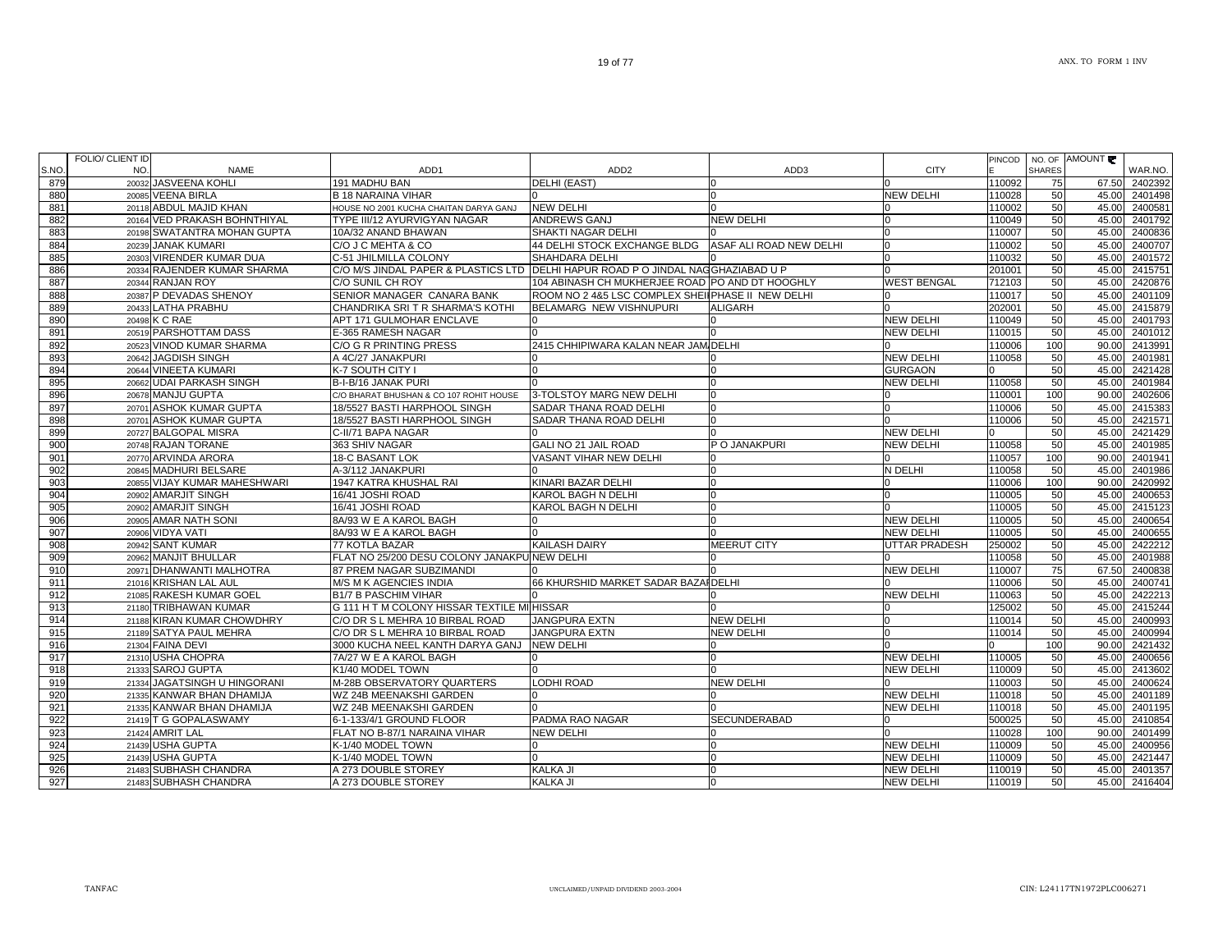|       | FOLIO/ CLIENT ID |                              |                                                                                  |                                                   |                         |                      | <b>PINCOD</b> |               | NO. OF AMOUNT |               |
|-------|------------------|------------------------------|----------------------------------------------------------------------------------|---------------------------------------------------|-------------------------|----------------------|---------------|---------------|---------------|---------------|
| S.NO. | NO.              | <b>NAME</b>                  | ADD <sub>1</sub>                                                                 | ADD <sub>2</sub>                                  | ADD3                    | <b>CITY</b>          |               | <b>SHARES</b> |               | WAR.NO.       |
| 879   |                  | 20032 JASVEENA KOHLI         | 191 MADHU BAN                                                                    | DELHI (EAST)                                      |                         |                      | 110092        | 75            |               | 67.50 2402392 |
| 880   |                  | 20085 VEENA BIRLA            | <b>B 18 NARAINA VIHAR</b>                                                        |                                                   |                         | <b>NEW DELHI</b>     | 110028        | 50            |               | 45.00 2401498 |
| 881   |                  | 20118 ABDUL MAJID KHAN       | HOUSE NO 2001 KUCHA CHAITAN DARYA GANJ                                           | <b>NEW DELHI</b>                                  |                         |                      | 110002        | 50            | 45.00         | 2400581       |
| 882   |                  | 20164 VED PRAKASH BOHNTHIYAL | TYPE III/12 AYURVIGYAN NAGAR                                                     | <b>ANDREWS GANJ</b>                               | <b>NEW DELHI</b>        |                      | 110049        | 50            | 45.00         | 2401792       |
| 883   |                  | 20198 SWATANTRA MOHAN GUPTA  | 10A/32 ANAND BHAWAN                                                              | SHAKTI NAGAR DELHI                                |                         |                      | 110007        | 50            | 45.00         | 2400836       |
| 884   |                  | 20239 JANAK KUMARI           | C/O J C MEHTA & CO                                                               | 44 DELHI STOCK EXCHANGE BLDG                      | ASAF ALI ROAD NEW DELHI | <sup>0</sup>         | 110002        | 50            | 45.00         | 2400707       |
| 885   |                  | 20303 VIRENDER KUMAR DUA     | C-51 JHILMILLA COLONY                                                            | <b>SHAHDARA DELHI</b>                             |                         |                      | 110032        | 50            | 45.00         | 2401572       |
| 886   |                  | 20334 RAJENDER KUMAR SHARMA  | C/O M/S JINDAL PAPER & PLASTICS LTD DELHI HAPUR ROAD P O JINDAL NAGGHAZIABAD U P |                                                   |                         |                      | 201001        | 50            | 45.00         | 2415751       |
| 887   |                  | 20344 RANJAN ROY             | C/O SUNIL CH ROY                                                                 | 104 ABINASH CH MUKHERJEE ROAD PO AND DT HOOGHLY   |                         | <b>WEST BENGAL</b>   | 712103        | 50            | 45.00         | 2420876       |
| 888   |                  | 20387 P DEVADAS SHENOY       | SENIOR MANAGER CANARA BANK                                                       | ROOM NO 2 4&5 LSC COMPLEX SHEILPHASE II NEW DELHI |                         |                      | 110017        | 50            | 45.00         | 2401109       |
| 889   |                  | 20433 LATHA PRABHU           | CHANDRIKA SRI T R SHARMA'S KOTHI                                                 | BELAMARG NEW VISHNUPURI                           | <b>ALIGARH</b>          |                      | 202001        | 50            | 45.00         | 2415879       |
| 890   |                  | 20498 K C RAE                | APT 171 GULMOHAR ENCLAVE                                                         |                                                   |                         | <b>NEW DELHI</b>     | 110049        | 50            | 45.00         | 2401793       |
| 891   |                  | 20519 PARSHOTTAM DASS        | E-365 RAMESH NAGAR                                                               |                                                   |                         | <b>NEW DELHI</b>     | 110015        | 50            | 45.00         | 2401012       |
| 892   |                  | 20523 VINOD KUMAR SHARMA     | C/O G R PRINTING PRESS                                                           | 2415 CHHIPIWARA KALAN NEAR JAM DELHI              |                         |                      | 110006        | 100           | 90.00         | 2413991       |
| 893   |                  | 20642 JAGDISH SINGH          | A 4C/27 JANAKPURI                                                                |                                                   |                         | <b>NEW DELHI</b>     | 110058        | 50            | 45.00         | 2401981       |
| 894   |                  | 20644 VINEETA KUMARI         | K-7 SOUTH CITY I                                                                 | $\Omega$                                          |                         | <b>GURGAON</b>       |               | 50            | 45.00         | 2421428       |
| 895   |                  | 20662 UDAI PARKASH SINGH     | B-I-B/16 JANAK PURI                                                              | $\Omega$                                          | n                       | <b>NEW DELHI</b>     | 110058        | 50            | 45.00         | 2401984       |
| 896   |                  | 20678 MANJU GUPTA            | C/O BHARAT BHUSHAN & CO 107 ROHIT HOUSE                                          | 3-TOLSTOY MARG NEW DELHI                          |                         |                      | 110001        | 100           | 90.00         | 2402606       |
| 897   |                  | 20701 ASHOK KUMAR GUPTA      | 18/5527 BASTI HARPHOOL SINGH                                                     | <b>SADAR THANA ROAD DELHI</b>                     |                         |                      | 110006        | 50            | 45.00         | 2415383       |
| 898   |                  | 20701 ASHOK KUMAR GUPTA      | 18/5527 BASTI HARPHOOL SINGH                                                     | <b>SADAR THANA ROAD DELHI</b>                     |                         |                      | 110006        | 50            |               | 45.00 2421571 |
| 899   |                  | 20727 BALGOPAL MISRA         | C-II/71 BAPA NAGAR                                                               |                                                   |                         | <b>NEW DELHI</b>     |               | 50            | 45.00         | 2421429       |
| 900   |                  | 20748 RAJAN TORANE           | 363 SHIV NAGAR                                                                   | <b>GALI NO 21 JAIL ROAD</b>                       | P O JANAKPURI           | <b>NEW DELHI</b>     | 110058        | 50            | 45.00         | 2401985       |
| 901   |                  | 20770 ARVINDA ARORA          | 18-C BASANT LOK                                                                  | <b>VASANT VIHAR NEW DELHI</b>                     |                         |                      | 110057        | 100           | 90.00         | 2401941       |
| 902   |                  | 20845 MADHURI BELSARE        | A-3/112 JANAKPURI                                                                |                                                   |                         | N DELHI              | 110058        | 50            | 45.00         | 2401986       |
| 903   |                  | 20855 VIJAY KUMAR MAHESHWARI | 1947 KATRA KHUSHAL RAI                                                           | KINARI BAZAR DELHI                                |                         |                      | 110006        | 100           | 90.00         | 2420992       |
| 904   |                  | 20902 AMARJIT SINGH          | 16/41 JOSHI ROAD                                                                 | <b>KAROL BAGH N DELHI</b>                         |                         |                      | 110005        | 50            | 45.00         | 2400653       |
| 905   |                  | 20902 AMARJIT SINGH          | 16/41 JOSHI ROAD                                                                 | KAROL BAGH N DELHI                                |                         |                      | 110005        | 50            | 45.00         | 2415123       |
| 906   |                  | 20905 AMAR NATH SONI         | 8A/93 W E A KAROL BAGH                                                           | In                                                |                         | <b>NEW DELHI</b>     | 110005        | 50            | 45.00         | 2400654       |
| 907   |                  | 20906 VIDYA VATI             | 8A/93 W E A KAROL BAGH                                                           |                                                   |                         | <b>NEW DELHI</b>     | 110005        | 50            | 45.00         | 2400655       |
| 908   |                  | 20942 SANT KUMAR             | 77 KOTLA BAZAR                                                                   | <b>KAILASH DAIRY</b>                              | MEERUT CITY             | <b>UTTAR PRADESH</b> | 250002        | 50            | 45.00         | 2422212       |
| 909   |                  | 20962 MANJIT BHULLAR         | FLAT NO 25/200 DESU COLONY JANAKPU NEW DELHI                                     |                                                   |                         |                      | 110058        | 50            | 45.00         | 2401988       |
| 910   |                  | 20971 DHANWANTI MALHOTRA     | 87 PREM NAGAR SUBZIMANDI                                                         |                                                   |                         | <b>NEW DELHI</b>     | 110007        | 75            | 67.50         | 2400838       |
| 911   |                  | 21016 KRISHAN LAL AUL        | M/S M K AGENCIES INDIA                                                           | 66 KHURSHID MARKET SADAR BAZAI DELHI              |                         |                      | 110006        | 50            | 45.00         | 2400741       |
| 912   |                  | 21085 RAKESH KUMAR GOEL      | <b>B1/7 B PASCHIM VIHAR</b>                                                      |                                                   |                         | <b>NEW DELHI</b>     | 110063        | 50            | 45.00         | 2422213       |
| 913   |                  | 21180 TRIBHAWAN KUMAR        | G 111 H T M COLONY HISSAR TEXTILE MI HISSAR                                      |                                                   |                         |                      | 125002        | 50            | 45.00         | 2415244       |
| 914   |                  | 21188 KIRAN KUMAR CHOWDHRY   | C/O DR S L MEHRA 10 BIRBAL ROAD                                                  | <b>JANGPURA EXTN</b>                              | <b>NEW DELHI</b>        |                      | 110014        | 50            | 45.00         | 2400993       |
| 915   |                  | 21189 SATYA PAUL MEHRA       | C/O DR S L MEHRA 10 BIRBAL ROAD                                                  | <b>JANGPURA EXTN</b>                              | <b>NEW DELHI</b>        |                      | 110014        | 50            | 45.00         | 2400994       |
| 916   |                  | 21304 FAINA DEVI             | 3000 KUCHA NEEL KANTH DARYA GANJ                                                 | <b>NEW DELHI</b>                                  |                         |                      |               | 100           | 90.00         | 2421432       |
| 917   |                  | 21310 USHA CHOPRA            | 7A/27 W E A KAROL BAGH                                                           | ın                                                |                         | <b>NEW DELHI</b>     | 110005        | 50            | 45.00         | 2400656       |
| 918   |                  | 21333 SAROJ GUPTA            | K1/40 MODEL TOWN                                                                 | $\Omega$                                          |                         | <b>NEW DELHI</b>     | 110009        | 50            | 45.00         | 2413602       |
| 919   |                  | 21334 JAGATSINGH U HINGORANI | M-28B OBSERVATORY QUARTERS                                                       | LODHI ROAD                                        | <b>NEW DELHI</b>        |                      | 110003        | 50            | 45.00         | 2400624       |
| 920   |                  | 21335 KANWAR BHAN DHAMIJA    | WZ 24B MEENAKSHI GARDEN                                                          |                                                   |                         | <b>NEW DELHI</b>     | 110018        | 50            | 45.00         | 2401189       |
| 921   |                  | 21335 KANWAR BHAN DHAMIJA    | WZ 24B MEENAKSHI GARDEN                                                          |                                                   |                         | <b>NEW DELHI</b>     | 110018        | 50            | 45.00         | 2401195       |
| 922   |                  | 21419 T G GOPALASWAMY        | 6-1-133/4/1 GROUND FLOOR                                                         | PADMA RAO NAGAR                                   | SECUNDERABAD            |                      | 500025        | 50            | 45.00         | 2410854       |
| 923   |                  | 21424 AMRIT LAL              | FLAT NO B-87/1 NARAINA VIHAR                                                     | <b>NEW DELHI</b>                                  |                         |                      | 110028        | 100           | 90.00         | 2401499       |
| 924   |                  | 21439 USHA GUPTA             | K-1/40 MODEL TOWN                                                                | $\Omega$                                          | $\cap$                  | <b>NEW DELHI</b>     | 110009        | 50            | 45.00         | 2400956       |
| 925   |                  | 21439 USHA GUPTA             | K-1/40 MODEL TOWN                                                                | $\Omega$                                          | $\Omega$                | <b>NEW DELHI</b>     | 110009        | 50            | 45.00         | 2421447       |
| 926   |                  | 21483 SUBHASH CHANDRA        | A 273 DOUBLE STOREY                                                              | KALKA JI                                          | n                       | <b>NEW DELHI</b>     | 110019        | 50            | 45.00         | 2401357       |
| 927   |                  | 21483 SUBHASH CHANDRA        | A 273 DOUBLE STOREY                                                              | <b>KALKA JI</b>                                   |                         | <b>NEW DELHI</b>     | 110019        | 50            | 45.00         | 2416404       |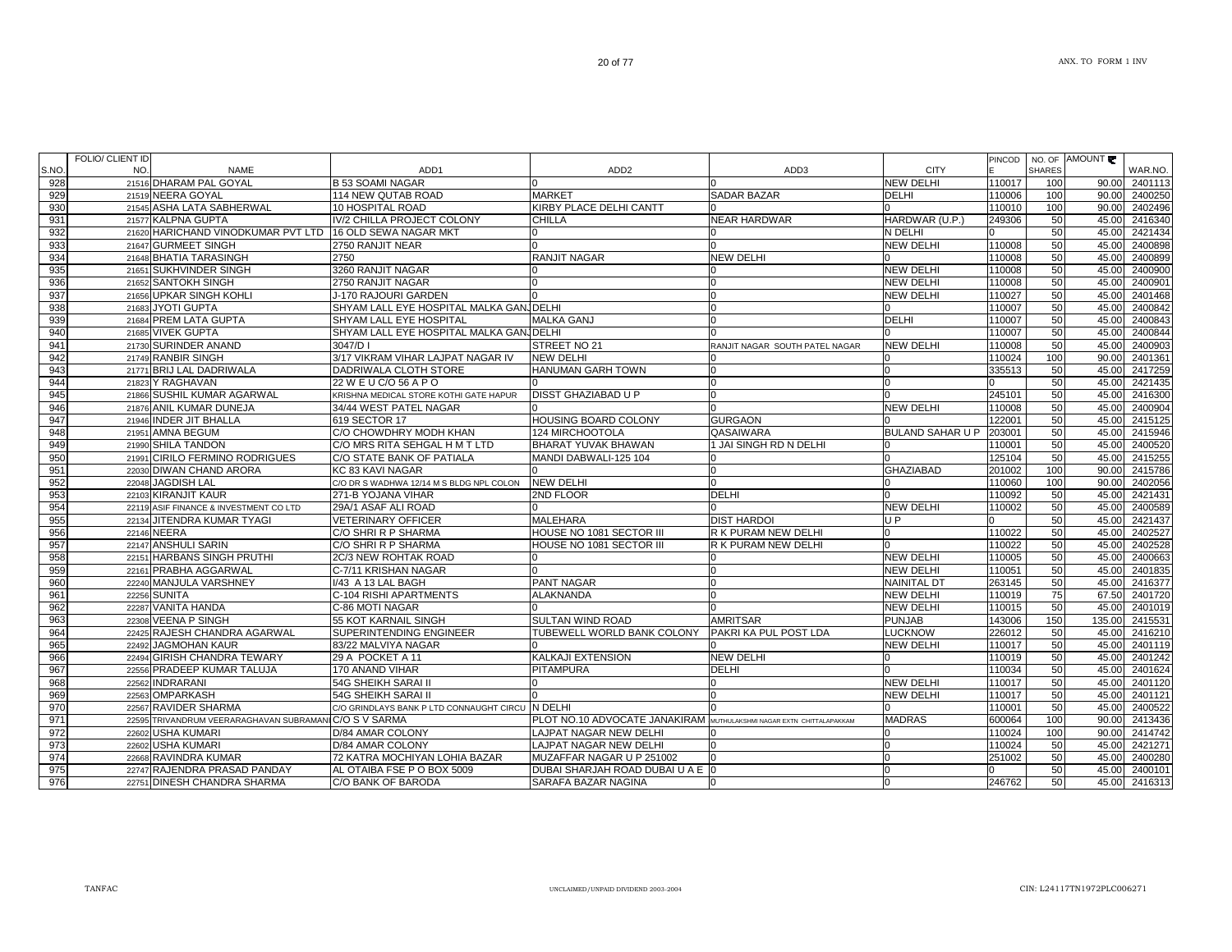|      | FOLIO/ CLIENT ID |                                                        |                                                  |                                  |                                        |                                        | <b>PINCOD</b>    |               | NO. OF AMOUNT   |         |
|------|------------------|--------------------------------------------------------|--------------------------------------------------|----------------------------------|----------------------------------------|----------------------------------------|------------------|---------------|-----------------|---------|
| S.NO | NO.              | <b>NAME</b>                                            | ADD1                                             | ADD <sub>2</sub>                 | ADD3                                   | <b>CITY</b>                            |                  | <b>SHARES</b> |                 | WAR.NO. |
| 928  |                  | 21516 DHARAM PAL GOYAL                                 | <b>B 53 SOAMI NAGAR</b>                          |                                  |                                        | <b>NEW DELHI</b>                       | 110017           | 100           | 90.00           | 2401113 |
| 929  |                  | 21519 NEERA GOYAL                                      | 114 NEW QUTAB ROAD                               | <b>MARKET</b>                    | <b>SADAR BAZAR</b>                     | DELHI                                  | 110006           | 100           | 90.00           | 2400250 |
| 930  |                  | 21545 ASHA LATA SABHERWAL                              | 10 HOSPITAL ROAD                                 | KIRBY PLACE DELHI CANTT          |                                        |                                        | 110010           | 100           | 90.00           | 2402496 |
| 931  |                  | 21577 KALPNA GUPTA                                     | IV/2 CHILLA PROJECT COLONY                       | <b>CHILLA</b>                    | <b>NEAR HARDWAR</b>                    | HARDWAR (U.P.)                         | 249306           | 50            | 45.00           | 2416340 |
| 932  |                  | 21620 HARICHAND VINODKUMAR PVT LTD                     | 16 OLD SEWA NAGAR MKT                            |                                  |                                        | N DELHI                                |                  | 50            | 45.00           | 2421434 |
| 933  |                  | 21647 GURMEET SINGH                                    | 2750 RANJIT NEAR                                 |                                  |                                        | NEW DELHI                              | 110008           | 50            | 45.00           | 2400898 |
| 934  |                  | 21648 BHATIA TARASINGH                                 | 2750                                             | <b>RANJIT NAGAR</b>              | <b>NEW DELHI</b>                       |                                        | 110008           | 50            | 45.00           | 2400899 |
| 935  |                  | 21651 SUKHVINDER SINGH                                 | 3260 RANJIT NAGAR                                |                                  |                                        | <b>NEW DELHI</b>                       | 110008           | 50            | 45.00           | 2400900 |
| 936  |                  | 21652 SANTOKH SINGH                                    | 2750 RANJIT NAGAR                                |                                  | n                                      | <b>NEW DELHI</b>                       | 110008           | 50            | 45.00           | 2400901 |
| 937  |                  | 21656 UPKAR SINGH KOHLI                                | J-170 RAJOURI GARDEN                             |                                  | n                                      | <b>NEW DELHI</b>                       | 110027           | 50            | 45.00           | 2401468 |
| 938  |                  | 21683 JYOTI GUPTA                                      | SHYAM LALL EYE HOSPITAL MALKA GANJDELHI          |                                  | <sup>n</sup>                           |                                        | 110007           | 50            | 45.00           | 2400842 |
| 939  |                  | 21684 PREM LATA GUPTA                                  | SHYAM LALL EYE HOSPITAL                          | <b>MALKA GANJ</b>                | n                                      | <b>DELHI</b>                           | 110007           | 50            | 45.00           | 2400843 |
| 940  |                  | 21685 VIVEK GUPTA                                      | SHYAM LALL EYE HOSPITAL MALKA GAN, DELHI         |                                  |                                        |                                        | 110007           | 50            | 45.00           | 2400844 |
| 941  |                  | 21730 SURINDER ANAND                                   | 3047/D I                                         | STREET NO 21                     | RANJIT NAGAR SOUTH PATEL NAGAR         | <b>NEW DELHI</b>                       | 110008           | 50            | 45.00           | 2400903 |
| 942  |                  | 21749 RANBIR SINGH                                     | 3/17 VIKRAM VIHAR LAJPAT NAGAR IV                | <b>NEW DELHI</b>                 |                                        |                                        | 110024           | 100           | 90.00           | 2401361 |
| 943  |                  | 21771 BRIJ LAL DADRIWALA                               | DADRIWALA CLOTH STORE                            | <b>HANUMAN GARH TOWN</b>         |                                        |                                        | 335513           | 50            | 45.00           | 2417259 |
| 944  |                  | 21823 Y RAGHAVAN                                       | 22 W E U C/O 56 A P O                            |                                  |                                        |                                        |                  | 50            | 45.00           | 2421435 |
| 945  |                  | 21866 SUSHIL KUMAR AGARWAL                             | KRISHNA MEDICAL STORE KOTHI GATE HAPUR           | DISST GHAZIABAD U P              |                                        |                                        | 245101           | 50            | 45.00           | 2416300 |
| 946  |                  | 21876 ANIL KUMAR DUNEJA                                | 34/44 WEST PATEL NAGAR                           |                                  |                                        | <b>NEW DELHI</b>                       | 110008           | 50            | 45.00           | 2400904 |
| 947  |                  | 21946 INDER JIT BHALLA                                 | 619 SECTOR 17                                    | HOUSING BOARD COLONY             | <b>GURGAON</b>                         |                                        | 122001           | 50            | 45.00           | 2415125 |
| 948  |                  | 21951 AMNA BEGUM                                       | C/O CHOWDHRY MODH KHAN                           | 124 MIRCHOOTOLA                  | QASAIWARA                              | <b>BULAND SAHAR U P</b>                | 203001           | 50            | 45.00           | 2415946 |
| 949  |                  | 21990 SHILA TANDON                                     | C/O MRS RITA SEHGAL H M T LTD                    | BHARAT YUVAK BHAWAN              | 1 JAI SINGH RD N DELHI                 |                                        | 110001           | 50            | 45.00           | 2400520 |
| 950  |                  | 21991 CIRILO FERMINO RODRIGUES                         | C/O STATE BANK OF PATIALA                        | MANDI DABWALI-125 104            |                                        |                                        | 125104           | 50            | 45.00           | 2415255 |
| 951  |                  | 22030 DIWAN CHAND ARORA                                | KC 83 KAVI NAGAR                                 |                                  | n                                      | <b>GHAZIABAD</b>                       | 201002           | 100           | 90.00           | 2415786 |
| 952  |                  | 22048 JAGDISH LAL                                      | C/O DR S WADHWA 12/14 M S BLDG NPL COLON         | <b>NEW DELHI</b>                 |                                        |                                        | 110060           | 100           | 90.00           | 2402056 |
| 953  |                  | 22103 KIRANJIT KAUR                                    | 271-B YOJANA VIHAR                               | 2ND FLOOR                        | <b>DELHI</b>                           |                                        | 110092           | 50            | 45.00           | 2421431 |
| 954  |                  | 22119 ASIF FINANCE & INVESTMENT CO LTD                 | 29A/1 ASAF ALI ROAD                              |                                  |                                        | <b>NEW DELHI</b>                       | 110002           | 50            | 45.00           | 2400589 |
| 955  |                  | 22134 JITENDRA KUMAR TYAGI                             | <b>VETERINARY OFFICER</b>                        | MALEHARA                         | <b>DIST HARDOI</b>                     | UP                                     |                  | 50            | 45.00           | 2421437 |
| 956  |                  | 22146 NEERA                                            | C/O SHRI R P SHARMA                              | HOUSE NO 1081 SECTOR III         | R K PURAM NEW DELHI                    |                                        | 110022           | 50            | 45.00           | 2402527 |
| 957  |                  | 22147 ANSHULI SARIN                                    | C/O SHRI R P SHARMA                              | HOUSE NO 1081 SECTOR III         | R K PURAM NEW DELHI                    |                                        | 110022           | 50            | 45.00           | 2402528 |
| 958  |                  | 22151 HARBANS SINGH PRUTHI                             | 2C/3 NEW ROHTAK ROAD                             |                                  |                                        | <b>NEW DELHI</b>                       | 110005           | 50            | 45.00           | 2400663 |
| 959  |                  |                                                        |                                                  |                                  |                                        | <b>NEW DELHI</b>                       | 110051           | 50            | 45.00           | 2401835 |
| 960  |                  | 22161 PRABHA AGGARWAL                                  | C-7/11 KRISHAN NAGAR                             | PANT NAGAR                       |                                        |                                        |                  | 50            |                 | 2416377 |
|      |                  | 22240 MANJULA VARSHNEY<br>22256 SUNITA                 | I/43 A 13 LAL BAGH<br>C-104 RISHI APARTMENTS     | <b>ALAKNANDA</b>                 | n                                      | <b>NAINITAL DT</b><br><b>NEW DELHI</b> | 263145<br>110019 | 75            | 45.00<br>67.50  | 2401720 |
| 961  |                  | 22287 VANITA HANDA                                     |                                                  |                                  |                                        | <b>NEW DELHI</b>                       |                  | 50            |                 | 2401019 |
| 962  |                  | 22308 VEENA P SINGH                                    | C-86 MOTI NAGAR                                  | SULTAN WIND ROAD                 | <b>AMRITSAR</b>                        |                                        | 110015<br>143006 |               | 45.00<br>135.00 |         |
| 963  |                  |                                                        | 55 KOT KARNAIL SINGH                             |                                  |                                        | <b>PUNJAB</b>                          |                  | 150           |                 | 2415531 |
| 964  |                  | 22425 RAJESH CHANDRA AGARWAL                           | SUPERINTENDING ENGINEER                          | TUBEWELL WORLD BANK COLONY       | PAKRI KA PUL POST LDA                  | <b>LUCKNOW</b>                         | 226012           | 50            | 45.00           | 2416210 |
| 965  |                  | 22492 JAGMOHAN KAUR                                    | 83/22 MALVIYA NAGAR                              |                                  |                                        | NEW DELHI                              | 110017           | 50            | 45.00           | 2401119 |
| 966  |                  | 22494 GIRISH CHANDRA TEWARY                            | 29 A POCKET A 11                                 | KALKAJI EXTENSION                | <b>NEW DELHI</b>                       |                                        | 110019           | 50            | 45.00           | 2401242 |
| 967  |                  | 22556 PRADEEP KUMAR TALUJA                             | 170 ANAND VIHAR                                  | PITAMPURA                        | <b>DELHI</b>                           |                                        | 110034           | 50            | 45.00           | 2401624 |
| 968  |                  | 22562 INDRARANI                                        | <b>54G SHEIKH SARAI II</b>                       |                                  |                                        | <b>NEW DELHI</b>                       | 110017           | 50            | 45.00           | 2401120 |
| 969  |                  | 22563 OMPARKASH                                        | 54G SHEIKH SARAI II                              |                                  |                                        | <b>NEW DELHI</b>                       | 110017           | 50            | 45.00           | 2401121 |
| 970  |                  | 22567 RAVIDER SHARMA                                   | C/O GRINDLAYS BANK P LTD CONNAUGHT CIRCU N DELHI |                                  |                                        |                                        | 110001           | 50            | 45.00           | 2400522 |
| 971  |                  | 22595 TRIVANDRUM VEERARAGHAVAN SUBRAMANI C/O S V SARMA |                                                  | PLOT NO.10 ADVOCATE JANAKIRAM    | MUTHULAKSHMI NAGAR EXTN CHITTALAPAKKAM | <b>MADRAS</b>                          | 600064           | 100           | 90.00           | 2413436 |
| 972  |                  | 22602 USHA KUMARI                                      | D/84 AMAR COLONY                                 | LAJPAT NAGAR NEW DELHI           |                                        | ın                                     | 110024           | 100           | 90.00           | 2414742 |
| 973  |                  | 22602 USHA KUMARI                                      | D/84 AMAR COLONY                                 | LAJPAT NAGAR NEW DELHI           | n                                      | <sup>0</sup>                           | 110024           | 50            | 45.00           | 2421271 |
| 974  |                  | 22668 RAVINDRA KUMAR                                   | 72 KATRA MOCHIYAN LOHIA BAZAR                    | MUZAFFAR NAGAR U P 251002        |                                        | <sup>0</sup>                           | 251002           | 50            | 45.00           | 2400280 |
| 975  |                  | 22747 RAJENDRA PRASAD PANDAY                           | AL OTAIBA FSE P O BOX 5009                       | DUBAI SHARJAH ROAD DUBAI U A E 0 |                                        | $\Omega$                               |                  | 50            | 45.00           | 2400101 |
| 976  |                  | 22751 DINESH CHANDRA SHARMA                            | C/O BANK OF BARODA                               | SARAFA BAZAR NAGINA              |                                        | $\Omega$                               | 246762           | 50            | 45.00           | 2416313 |
|      |                  |                                                        |                                                  |                                  |                                        |                                        |                  |               |                 |         |

┑

┱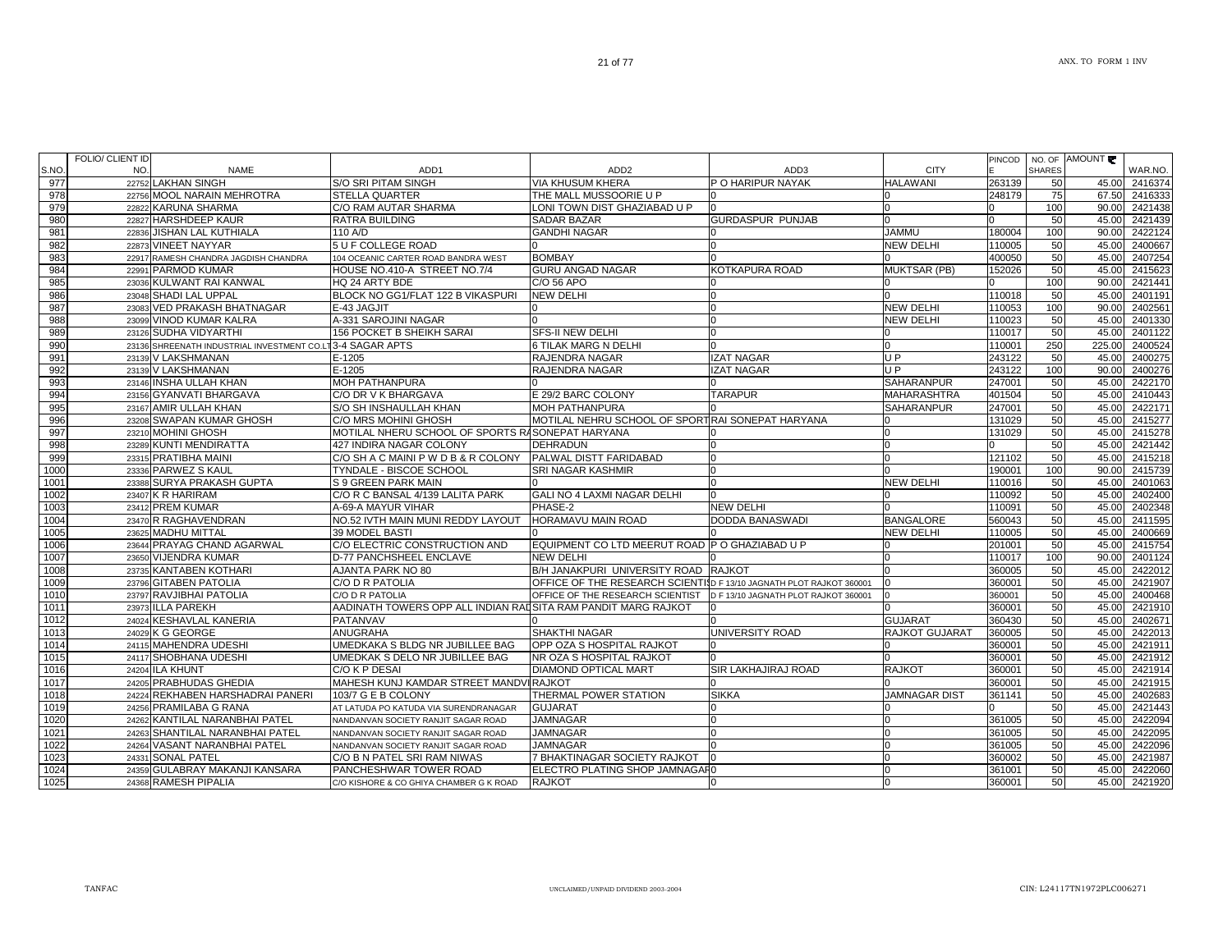| NO.<br><b>SHARES</b><br>S.NO.<br><b>NAME</b><br>ADD <sub>1</sub><br>ADD <sub>2</sub><br>ADD3<br><b>CITY</b><br>977<br>P O HARIPUR NAYAK<br><b>HALAWANI</b><br>22752 LAKHAN SINGH<br>S/O SRI PITAM SINGH<br><b>VIA KHUSUM KHERA</b><br>263139<br>50<br>978<br>22756 MOOL NARAIN MEHROTRA<br><b>STELLA QUARTER</b><br>THE MALL MUSSOORIE U P<br>248179<br>75<br>979<br>22822 KARUNA SHARMA<br>C/O RAM AUTAR SHARMA<br>LONI TOWN DIST GHAZIABAD U P<br>100<br>980<br><b>GURDASPUR PUNJAB</b><br>22827 HARSHDEEP KAUR<br><b>RATRA BUILDING</b><br><b>SADAR BAZAR</b><br>50<br>981<br><b>JAMMU</b><br>22836 JISHAN LAL KUTHIALA<br>110 A/D<br><b>GANDHI NAGAR</b><br>180004<br>100<br>982<br>5 U F COLLEGE ROAD<br><b>NEW DELHI</b><br>22873 VINEET NAYYAR<br>110005<br>50<br><b>BOMBAY</b><br>50<br>983<br>22917 RAMESH CHANDRA JAGDISH CHANDRA<br>104 OCEANIC CARTER ROAD BANDRA WEST<br>400050<br>984<br><b>GURU ANGAD NAGAR</b><br>50<br>22991 PARMOD KUMAR<br>HOUSE NO.410-A STREET NO.7/4<br>KOTKAPURA ROAD<br><b>MUKTSAR (PB)</b><br>152026<br>985<br>23036 KULWANT RAI KANWAL<br>100<br>HQ 24 ARTY BDE<br>C/O 56 APO<br>986<br>23048 SHADI LAL UPPAL<br>BLOCK NO GG1/FLAT 122 B VIKASPURI<br><b>NEW DELHI</b><br>50<br>110018<br>987<br>23083 VED PRAKASH BHATNAGAR<br>E-43 JAGJIT<br><b>NEW DELHI</b><br>100<br>110053<br>988<br>A-331 SAROJINI NAGAR<br>23099 VINOD KUMAR KALRA<br><b>NEW DELHI</b><br>110023<br>50<br>989<br>23126 SUDHA VIDYARTHI<br>156 POCKET B SHEIKH SARAI<br><b>SFS-II NEW DELHI</b><br>110017<br>50<br><sup>n</sup><br>990<br>23136 SHREENATH INDUSTRIAL INVESTMENT CO.LT 3-4 SAGAR APTS<br>6 TILAK MARG N DELHI<br>$\Omega$<br>110001<br>250<br>991<br>UP<br>50<br>23139 V LAKSHMANAN<br>E-1205<br><b>RAJENDRA NAGAR</b><br><b>IZAT NAGAR</b><br>243122<br>992<br>$E-1205$<br><b>RAJENDRA NAGAR</b><br><b>IZAT NAGAR</b><br>U P<br>243122<br>100<br>23139 V LAKSHMANAN<br><b>MOH PATHANPURA</b><br><b>SAHARANPUR</b><br>993<br>23146 INSHA ULLAH KHAN<br>247001<br>50<br>994<br>C/O DR V K BHARGAVA<br>E 29/2 BARC COLONY<br><b>TARAPUR</b><br><b>MAHARASHTRA</b><br>50<br>23156 GYANVATI BHARGAVA<br>401504<br>995<br><b>MOH PATHANPURA</b><br>SAHARANPUR<br>50<br>23167 AMIR ULLAH KHAN<br>S/O SH INSHAULLAH KHAN<br>247001<br>996<br>23208 SWAPAN KUMAR GHOSH<br>C/O MRS MOHINI GHOSH<br>MOTILAL NEHRU SCHOOL OF SPORTIRAI SONEPAT HARYANA<br>131029<br>50<br>997<br>MOTILAL NHERU SCHOOL OF SPORTS RASONEPAT HARYANA<br>23210 MOHINI GHOSH<br>131029<br>50<br><b>DEHRADUN</b><br>50<br>998<br>23289 KUNTI MENDIRATTA<br>427 INDIRA NAGAR COLONY<br>999<br>23315 PRATIBHA MAINI<br>C/O SH A C MAINI P W D B & R COLONY<br>PALWAL DISTT FARIDABAD<br>121102<br>50<br>1000<br>23336 PARWEZ S KAUL<br>TYNDALE - BISCOE SCHOOL<br><b>SRI NAGAR KASHMIR</b><br>190001<br>100<br>S 9 GREEN PARK MAIN<br>1001<br>23388 SURYA PRAKASH GUPTA<br><b>NEW DELHI</b><br>110016<br>50<br>1002<br>C/O R C BANSAL 4/139 LALITA PARK<br><b>GALI NO 4 LAXMI NAGAR DELHI</b><br>50<br>23407 K R HARIRAM<br>110092<br>PHASE-2<br><b>NEW DELHI</b><br>1003<br>23412 PREM KUMAR<br>A-69-A MAYUR VIHAR<br>110091<br>50<br>1004<br>NO.52 IVTH MAIN MUNI REDDY LAYOUT<br><b>HORAMAVU MAIN ROAD</b><br><b>DODDA BANASWADI</b><br><b>BANGALORE</b><br>50<br>23470 R RAGHAVENDRAN<br>560043<br>1005<br>50<br>23625 MADHU MITTAL<br>39 MODEL BASTI<br><b>NEW DELHI</b><br>110005<br>23644 PRAYAG CHAND AGARWAL<br>C/O ELECTRIC CONSTRUCTION AND<br>EQUIPMENT CO LTD MEERUT ROAD IP O GHAZIABAD U P<br>1006<br>201001<br>50<br>1007<br>23650 VIJENDRA KUMAR<br>D-77 PANCHSHEEL ENCLAVE<br><b>NEW DELHI</b><br>110017<br>100<br>1008<br>23735 KANTABEN KOTHARI<br>B/H JANAKPURI UNIVERSITY ROAD RAJKOT<br>360005<br>AJANTA PARK NO 80<br>50<br>1009<br>23796 GITABEN PATOLIA<br>C/O D R PATOLIA<br>OFFICE OF THE RESEARCH SCIENTISD F13/10 JAGNATH PLOT RAJKOT 360001<br>360001<br>50<br>23797 RAVJIBHAI PATOLIA<br>50<br>1010<br>C/O D R PATOLIA<br>OFFICE OF THE RESEARCH SCIENTIST D F 13/10 JAGNATH PLOT RAJKOT 360001<br>360001<br>AADINATH TOWERS OPP ALL INDIAN RALSITA RAM PANDIT MARG RAJKOT<br>360001<br>1011<br>23973 ILLA PAREKH<br>50<br><b>GUJARAT</b><br>1012<br>24024 KESHAVLAL KANERIA<br>PATANVAV<br>360430<br>50<br>1013<br>24029 K G GEORGE<br><b>ANUGRAHA</b><br><b>SHAKTHI NAGAR</b><br>UNIVERSITY ROAD<br>RAJKOT GUJARAT<br>360005<br>50<br>UMEDKAKA S BLDG NR JUBILLEE BAG<br>OPP OZA S HOSPITAL RAJKOT<br>1014<br>24115 MAHENDRA UDESHI<br>360001<br>50<br>1015<br>24117 SHOBHANA UDESHI<br>UMEDKAK S DELO NR JUBILLEE BAG<br>NR OZA S HOSPITAL RAJKOT<br>360001<br>50<br>50<br>1016<br>24204 ILA KHUNT<br>C/O K P DESAI<br><b>DIAMOND OPTICAL MART</b><br><b>SIR LAKHAJIRAJ ROAD</b><br><b>RAJKOT</b><br>360001<br>24205 PRABHUDAS GHEDIA<br>MAHESH KUNJ KAMDAR STREET MANDVI RAJKOT<br>50<br>1017<br>360001<br>24224 REKHABEN HARSHADRAI PANERI<br>THERMAL POWER STATION<br><b>SIKKA</b><br><b>JAMNAGAR DIST</b><br>50<br>1018<br>103/7 G E B COLONY<br>361141<br>1019<br>24256 PRAMILABA G RANA<br><b>GUJARAT</b><br>50<br>AT LATUDA PO KATUDA VIA SURENDRANAGAR<br>0<br>50<br>1020<br>24262 KANTILAL NARANBHAI PATEL<br><b>JAMNAGAR</b><br>$\Omega$<br>361005<br>$\Omega$<br>NANDANVAN SOCIETY RANJIT SAGAR ROAD<br>1021<br>24263 SHANTILAL NARANBHAI PATEL<br><b>JAMNAGAR</b><br>361005<br>50<br>NANDANVAN SOCIETY RANJIT SAGAR ROAD<br><sup>0</sup><br>$\Omega$<br>1022<br>24264 VASANT NARANBHAI PATEL<br><b>JAMNAGAR</b><br>361005<br>50<br>NANDANVAN SOCIETY RANJIT SAGAR ROAD<br>1023<br>24331 SONAL PATEL<br>C/O B N PATEL SRI RAM NIWAS<br>7 BHAKTINAGAR SOCIETY RAJKOT<br>360002<br>50<br>24359 GULABRAY MAKANJI KANSARA<br>ELECTRO PLATING SHOP JAMNAGAR0<br>50<br>1024<br>PANCHESHWAR TOWER ROAD<br>361001<br>1025<br>24368 RAMESH PIPALIA<br><b>RAJKOT</b><br>360001<br>50<br>$\Omega$<br>C/O KISHORE & CO GHIYA CHAMBER G K ROAD | FOLIO/ CLIENT ID |  |  | PINCOD | NO. OF AMOUNT |               |
|------------------------------------------------------------------------------------------------------------------------------------------------------------------------------------------------------------------------------------------------------------------------------------------------------------------------------------------------------------------------------------------------------------------------------------------------------------------------------------------------------------------------------------------------------------------------------------------------------------------------------------------------------------------------------------------------------------------------------------------------------------------------------------------------------------------------------------------------------------------------------------------------------------------------------------------------------------------------------------------------------------------------------------------------------------------------------------------------------------------------------------------------------------------------------------------------------------------------------------------------------------------------------------------------------------------------------------------------------------------------------------------------------------------------------------------------------------------------------------------------------------------------------------------------------------------------------------------------------------------------------------------------------------------------------------------------------------------------------------------------------------------------------------------------------------------------------------------------------------------------------------------------------------------------------------------------------------------------------------------------------------------------------------------------------------------------------------------------------------------------------------------------------------------------------------------------------------------------------------------------------------------------------------------------------------------------------------------------------------------------------------------------------------------------------------------------------------------------------------------------------------------------------------------------------------------------------------------------------------------------------------------------------------------------------------------------------------------------------------------------------------------------------------------------------------------------------------------------------------------------------------------------------------------------------------------------------------------------------------------------------------------------------------------------------------------------------------------------------------------------------------------------------------------------------------------------------------------------------------------------------------------------------------------------------------------------------------------------------------------------------------------------------------------------------------------------------------------------------------------------------------------------------------------------------------------------------------------------------------------------------------------------------------------------------------------------------------------------------------------------------------------------------------------------------------------------------------------------------------------------------------------------------------------------------------------------------------------------------------------------------------------------------------------------------------------------------------------------------------------------------------------------------------------------------------------------------------------------------------------------------------------------------------------------------------------------------------------------------------------------------------------------------------------------------------------------------------------------------------------------------------------------------------------------------------------------------------------------------------------------------------------------------------------------------------------------------------------------------------------------------------------------------------------------------------------------------------------------------------------------------------------------------------------------------------------------------------------------------------------------------------------------------------------------------------------------------------------------------------------------------------------------------------------------------------------------------------------------------------------------------------------------------------------------------------------------------------------------------------------------------------------------------------------------------------------------------------------------------------------------------------------------------------------------------------------------------------------------------------------------------------------------------------------------------------------------------------------------------------------------------------------------------------------------------------------------------------------------------------------------------|------------------|--|--|--------|---------------|---------------|
|                                                                                                                                                                                                                                                                                                                                                                                                                                                                                                                                                                                                                                                                                                                                                                                                                                                                                                                                                                                                                                                                                                                                                                                                                                                                                                                                                                                                                                                                                                                                                                                                                                                                                                                                                                                                                                                                                                                                                                                                                                                                                                                                                                                                                                                                                                                                                                                                                                                                                                                                                                                                                                                                                                                                                                                                                                                                                                                                                                                                                                                                                                                                                                                                                                                                                                                                                                                                                                                                                                                                                                                                                                                                                                                                                                                                                                                                                                                                                                                                                                                                                                                                                                                                                                                                                                                                                                                                                                                                                                                                                                                                                                                                                                                                                                                                                                                                                                                                                                                                                                                                                                                                                                                                                                                                                                                                                                                                                                                                                                                                                                                                                                                                                                                                                                                                                                                                              |                  |  |  |        |               | WAR.NO.       |
|                                                                                                                                                                                                                                                                                                                                                                                                                                                                                                                                                                                                                                                                                                                                                                                                                                                                                                                                                                                                                                                                                                                                                                                                                                                                                                                                                                                                                                                                                                                                                                                                                                                                                                                                                                                                                                                                                                                                                                                                                                                                                                                                                                                                                                                                                                                                                                                                                                                                                                                                                                                                                                                                                                                                                                                                                                                                                                                                                                                                                                                                                                                                                                                                                                                                                                                                                                                                                                                                                                                                                                                                                                                                                                                                                                                                                                                                                                                                                                                                                                                                                                                                                                                                                                                                                                                                                                                                                                                                                                                                                                                                                                                                                                                                                                                                                                                                                                                                                                                                                                                                                                                                                                                                                                                                                                                                                                                                                                                                                                                                                                                                                                                                                                                                                                                                                                                                              |                  |  |  |        | 45.00         | 2416374       |
|                                                                                                                                                                                                                                                                                                                                                                                                                                                                                                                                                                                                                                                                                                                                                                                                                                                                                                                                                                                                                                                                                                                                                                                                                                                                                                                                                                                                                                                                                                                                                                                                                                                                                                                                                                                                                                                                                                                                                                                                                                                                                                                                                                                                                                                                                                                                                                                                                                                                                                                                                                                                                                                                                                                                                                                                                                                                                                                                                                                                                                                                                                                                                                                                                                                                                                                                                                                                                                                                                                                                                                                                                                                                                                                                                                                                                                                                                                                                                                                                                                                                                                                                                                                                                                                                                                                                                                                                                                                                                                                                                                                                                                                                                                                                                                                                                                                                                                                                                                                                                                                                                                                                                                                                                                                                                                                                                                                                                                                                                                                                                                                                                                                                                                                                                                                                                                                                              |                  |  |  |        |               | 67.50 2416333 |
|                                                                                                                                                                                                                                                                                                                                                                                                                                                                                                                                                                                                                                                                                                                                                                                                                                                                                                                                                                                                                                                                                                                                                                                                                                                                                                                                                                                                                                                                                                                                                                                                                                                                                                                                                                                                                                                                                                                                                                                                                                                                                                                                                                                                                                                                                                                                                                                                                                                                                                                                                                                                                                                                                                                                                                                                                                                                                                                                                                                                                                                                                                                                                                                                                                                                                                                                                                                                                                                                                                                                                                                                                                                                                                                                                                                                                                                                                                                                                                                                                                                                                                                                                                                                                                                                                                                                                                                                                                                                                                                                                                                                                                                                                                                                                                                                                                                                                                                                                                                                                                                                                                                                                                                                                                                                                                                                                                                                                                                                                                                                                                                                                                                                                                                                                                                                                                                                              |                  |  |  |        | 90.00         | 2421438       |
|                                                                                                                                                                                                                                                                                                                                                                                                                                                                                                                                                                                                                                                                                                                                                                                                                                                                                                                                                                                                                                                                                                                                                                                                                                                                                                                                                                                                                                                                                                                                                                                                                                                                                                                                                                                                                                                                                                                                                                                                                                                                                                                                                                                                                                                                                                                                                                                                                                                                                                                                                                                                                                                                                                                                                                                                                                                                                                                                                                                                                                                                                                                                                                                                                                                                                                                                                                                                                                                                                                                                                                                                                                                                                                                                                                                                                                                                                                                                                                                                                                                                                                                                                                                                                                                                                                                                                                                                                                                                                                                                                                                                                                                                                                                                                                                                                                                                                                                                                                                                                                                                                                                                                                                                                                                                                                                                                                                                                                                                                                                                                                                                                                                                                                                                                                                                                                                                              |                  |  |  |        | 45.00         | 2421439       |
|                                                                                                                                                                                                                                                                                                                                                                                                                                                                                                                                                                                                                                                                                                                                                                                                                                                                                                                                                                                                                                                                                                                                                                                                                                                                                                                                                                                                                                                                                                                                                                                                                                                                                                                                                                                                                                                                                                                                                                                                                                                                                                                                                                                                                                                                                                                                                                                                                                                                                                                                                                                                                                                                                                                                                                                                                                                                                                                                                                                                                                                                                                                                                                                                                                                                                                                                                                                                                                                                                                                                                                                                                                                                                                                                                                                                                                                                                                                                                                                                                                                                                                                                                                                                                                                                                                                                                                                                                                                                                                                                                                                                                                                                                                                                                                                                                                                                                                                                                                                                                                                                                                                                                                                                                                                                                                                                                                                                                                                                                                                                                                                                                                                                                                                                                                                                                                                                              |                  |  |  |        | 90.00         | 2422124       |
|                                                                                                                                                                                                                                                                                                                                                                                                                                                                                                                                                                                                                                                                                                                                                                                                                                                                                                                                                                                                                                                                                                                                                                                                                                                                                                                                                                                                                                                                                                                                                                                                                                                                                                                                                                                                                                                                                                                                                                                                                                                                                                                                                                                                                                                                                                                                                                                                                                                                                                                                                                                                                                                                                                                                                                                                                                                                                                                                                                                                                                                                                                                                                                                                                                                                                                                                                                                                                                                                                                                                                                                                                                                                                                                                                                                                                                                                                                                                                                                                                                                                                                                                                                                                                                                                                                                                                                                                                                                                                                                                                                                                                                                                                                                                                                                                                                                                                                                                                                                                                                                                                                                                                                                                                                                                                                                                                                                                                                                                                                                                                                                                                                                                                                                                                                                                                                                                              |                  |  |  |        | 45.00         | 2400667       |
|                                                                                                                                                                                                                                                                                                                                                                                                                                                                                                                                                                                                                                                                                                                                                                                                                                                                                                                                                                                                                                                                                                                                                                                                                                                                                                                                                                                                                                                                                                                                                                                                                                                                                                                                                                                                                                                                                                                                                                                                                                                                                                                                                                                                                                                                                                                                                                                                                                                                                                                                                                                                                                                                                                                                                                                                                                                                                                                                                                                                                                                                                                                                                                                                                                                                                                                                                                                                                                                                                                                                                                                                                                                                                                                                                                                                                                                                                                                                                                                                                                                                                                                                                                                                                                                                                                                                                                                                                                                                                                                                                                                                                                                                                                                                                                                                                                                                                                                                                                                                                                                                                                                                                                                                                                                                                                                                                                                                                                                                                                                                                                                                                                                                                                                                                                                                                                                                              |                  |  |  |        | 45.00         | 2407254       |
|                                                                                                                                                                                                                                                                                                                                                                                                                                                                                                                                                                                                                                                                                                                                                                                                                                                                                                                                                                                                                                                                                                                                                                                                                                                                                                                                                                                                                                                                                                                                                                                                                                                                                                                                                                                                                                                                                                                                                                                                                                                                                                                                                                                                                                                                                                                                                                                                                                                                                                                                                                                                                                                                                                                                                                                                                                                                                                                                                                                                                                                                                                                                                                                                                                                                                                                                                                                                                                                                                                                                                                                                                                                                                                                                                                                                                                                                                                                                                                                                                                                                                                                                                                                                                                                                                                                                                                                                                                                                                                                                                                                                                                                                                                                                                                                                                                                                                                                                                                                                                                                                                                                                                                                                                                                                                                                                                                                                                                                                                                                                                                                                                                                                                                                                                                                                                                                                              |                  |  |  |        | 45.00         | 2415623       |
|                                                                                                                                                                                                                                                                                                                                                                                                                                                                                                                                                                                                                                                                                                                                                                                                                                                                                                                                                                                                                                                                                                                                                                                                                                                                                                                                                                                                                                                                                                                                                                                                                                                                                                                                                                                                                                                                                                                                                                                                                                                                                                                                                                                                                                                                                                                                                                                                                                                                                                                                                                                                                                                                                                                                                                                                                                                                                                                                                                                                                                                                                                                                                                                                                                                                                                                                                                                                                                                                                                                                                                                                                                                                                                                                                                                                                                                                                                                                                                                                                                                                                                                                                                                                                                                                                                                                                                                                                                                                                                                                                                                                                                                                                                                                                                                                                                                                                                                                                                                                                                                                                                                                                                                                                                                                                                                                                                                                                                                                                                                                                                                                                                                                                                                                                                                                                                                                              |                  |  |  |        | 90.00         | 2421441       |
|                                                                                                                                                                                                                                                                                                                                                                                                                                                                                                                                                                                                                                                                                                                                                                                                                                                                                                                                                                                                                                                                                                                                                                                                                                                                                                                                                                                                                                                                                                                                                                                                                                                                                                                                                                                                                                                                                                                                                                                                                                                                                                                                                                                                                                                                                                                                                                                                                                                                                                                                                                                                                                                                                                                                                                                                                                                                                                                                                                                                                                                                                                                                                                                                                                                                                                                                                                                                                                                                                                                                                                                                                                                                                                                                                                                                                                                                                                                                                                                                                                                                                                                                                                                                                                                                                                                                                                                                                                                                                                                                                                                                                                                                                                                                                                                                                                                                                                                                                                                                                                                                                                                                                                                                                                                                                                                                                                                                                                                                                                                                                                                                                                                                                                                                                                                                                                                                              |                  |  |  |        | 45.00         | 2401191       |
|                                                                                                                                                                                                                                                                                                                                                                                                                                                                                                                                                                                                                                                                                                                                                                                                                                                                                                                                                                                                                                                                                                                                                                                                                                                                                                                                                                                                                                                                                                                                                                                                                                                                                                                                                                                                                                                                                                                                                                                                                                                                                                                                                                                                                                                                                                                                                                                                                                                                                                                                                                                                                                                                                                                                                                                                                                                                                                                                                                                                                                                                                                                                                                                                                                                                                                                                                                                                                                                                                                                                                                                                                                                                                                                                                                                                                                                                                                                                                                                                                                                                                                                                                                                                                                                                                                                                                                                                                                                                                                                                                                                                                                                                                                                                                                                                                                                                                                                                                                                                                                                                                                                                                                                                                                                                                                                                                                                                                                                                                                                                                                                                                                                                                                                                                                                                                                                                              |                  |  |  |        | 90.00         | 2402561       |
|                                                                                                                                                                                                                                                                                                                                                                                                                                                                                                                                                                                                                                                                                                                                                                                                                                                                                                                                                                                                                                                                                                                                                                                                                                                                                                                                                                                                                                                                                                                                                                                                                                                                                                                                                                                                                                                                                                                                                                                                                                                                                                                                                                                                                                                                                                                                                                                                                                                                                                                                                                                                                                                                                                                                                                                                                                                                                                                                                                                                                                                                                                                                                                                                                                                                                                                                                                                                                                                                                                                                                                                                                                                                                                                                                                                                                                                                                                                                                                                                                                                                                                                                                                                                                                                                                                                                                                                                                                                                                                                                                                                                                                                                                                                                                                                                                                                                                                                                                                                                                                                                                                                                                                                                                                                                                                                                                                                                                                                                                                                                                                                                                                                                                                                                                                                                                                                                              |                  |  |  |        | 45.00         | 2401330       |
|                                                                                                                                                                                                                                                                                                                                                                                                                                                                                                                                                                                                                                                                                                                                                                                                                                                                                                                                                                                                                                                                                                                                                                                                                                                                                                                                                                                                                                                                                                                                                                                                                                                                                                                                                                                                                                                                                                                                                                                                                                                                                                                                                                                                                                                                                                                                                                                                                                                                                                                                                                                                                                                                                                                                                                                                                                                                                                                                                                                                                                                                                                                                                                                                                                                                                                                                                                                                                                                                                                                                                                                                                                                                                                                                                                                                                                                                                                                                                                                                                                                                                                                                                                                                                                                                                                                                                                                                                                                                                                                                                                                                                                                                                                                                                                                                                                                                                                                                                                                                                                                                                                                                                                                                                                                                                                                                                                                                                                                                                                                                                                                                                                                                                                                                                                                                                                                                              |                  |  |  |        | 45.00         | 2401122       |
|                                                                                                                                                                                                                                                                                                                                                                                                                                                                                                                                                                                                                                                                                                                                                                                                                                                                                                                                                                                                                                                                                                                                                                                                                                                                                                                                                                                                                                                                                                                                                                                                                                                                                                                                                                                                                                                                                                                                                                                                                                                                                                                                                                                                                                                                                                                                                                                                                                                                                                                                                                                                                                                                                                                                                                                                                                                                                                                                                                                                                                                                                                                                                                                                                                                                                                                                                                                                                                                                                                                                                                                                                                                                                                                                                                                                                                                                                                                                                                                                                                                                                                                                                                                                                                                                                                                                                                                                                                                                                                                                                                                                                                                                                                                                                                                                                                                                                                                                                                                                                                                                                                                                                                                                                                                                                                                                                                                                                                                                                                                                                                                                                                                                                                                                                                                                                                                                              |                  |  |  |        | 225.00        | 2400524       |
|                                                                                                                                                                                                                                                                                                                                                                                                                                                                                                                                                                                                                                                                                                                                                                                                                                                                                                                                                                                                                                                                                                                                                                                                                                                                                                                                                                                                                                                                                                                                                                                                                                                                                                                                                                                                                                                                                                                                                                                                                                                                                                                                                                                                                                                                                                                                                                                                                                                                                                                                                                                                                                                                                                                                                                                                                                                                                                                                                                                                                                                                                                                                                                                                                                                                                                                                                                                                                                                                                                                                                                                                                                                                                                                                                                                                                                                                                                                                                                                                                                                                                                                                                                                                                                                                                                                                                                                                                                                                                                                                                                                                                                                                                                                                                                                                                                                                                                                                                                                                                                                                                                                                                                                                                                                                                                                                                                                                                                                                                                                                                                                                                                                                                                                                                                                                                                                                              |                  |  |  |        | 45.00         | 2400275       |
|                                                                                                                                                                                                                                                                                                                                                                                                                                                                                                                                                                                                                                                                                                                                                                                                                                                                                                                                                                                                                                                                                                                                                                                                                                                                                                                                                                                                                                                                                                                                                                                                                                                                                                                                                                                                                                                                                                                                                                                                                                                                                                                                                                                                                                                                                                                                                                                                                                                                                                                                                                                                                                                                                                                                                                                                                                                                                                                                                                                                                                                                                                                                                                                                                                                                                                                                                                                                                                                                                                                                                                                                                                                                                                                                                                                                                                                                                                                                                                                                                                                                                                                                                                                                                                                                                                                                                                                                                                                                                                                                                                                                                                                                                                                                                                                                                                                                                                                                                                                                                                                                                                                                                                                                                                                                                                                                                                                                                                                                                                                                                                                                                                                                                                                                                                                                                                                                              |                  |  |  |        | 90.00         | 2400276       |
|                                                                                                                                                                                                                                                                                                                                                                                                                                                                                                                                                                                                                                                                                                                                                                                                                                                                                                                                                                                                                                                                                                                                                                                                                                                                                                                                                                                                                                                                                                                                                                                                                                                                                                                                                                                                                                                                                                                                                                                                                                                                                                                                                                                                                                                                                                                                                                                                                                                                                                                                                                                                                                                                                                                                                                                                                                                                                                                                                                                                                                                                                                                                                                                                                                                                                                                                                                                                                                                                                                                                                                                                                                                                                                                                                                                                                                                                                                                                                                                                                                                                                                                                                                                                                                                                                                                                                                                                                                                                                                                                                                                                                                                                                                                                                                                                                                                                                                                                                                                                                                                                                                                                                                                                                                                                                                                                                                                                                                                                                                                                                                                                                                                                                                                                                                                                                                                                              |                  |  |  |        | 45.00         | 2422170       |
|                                                                                                                                                                                                                                                                                                                                                                                                                                                                                                                                                                                                                                                                                                                                                                                                                                                                                                                                                                                                                                                                                                                                                                                                                                                                                                                                                                                                                                                                                                                                                                                                                                                                                                                                                                                                                                                                                                                                                                                                                                                                                                                                                                                                                                                                                                                                                                                                                                                                                                                                                                                                                                                                                                                                                                                                                                                                                                                                                                                                                                                                                                                                                                                                                                                                                                                                                                                                                                                                                                                                                                                                                                                                                                                                                                                                                                                                                                                                                                                                                                                                                                                                                                                                                                                                                                                                                                                                                                                                                                                                                                                                                                                                                                                                                                                                                                                                                                                                                                                                                                                                                                                                                                                                                                                                                                                                                                                                                                                                                                                                                                                                                                                                                                                                                                                                                                                                              |                  |  |  |        | 45.00         | 2410443       |
|                                                                                                                                                                                                                                                                                                                                                                                                                                                                                                                                                                                                                                                                                                                                                                                                                                                                                                                                                                                                                                                                                                                                                                                                                                                                                                                                                                                                                                                                                                                                                                                                                                                                                                                                                                                                                                                                                                                                                                                                                                                                                                                                                                                                                                                                                                                                                                                                                                                                                                                                                                                                                                                                                                                                                                                                                                                                                                                                                                                                                                                                                                                                                                                                                                                                                                                                                                                                                                                                                                                                                                                                                                                                                                                                                                                                                                                                                                                                                                                                                                                                                                                                                                                                                                                                                                                                                                                                                                                                                                                                                                                                                                                                                                                                                                                                                                                                                                                                                                                                                                                                                                                                                                                                                                                                                                                                                                                                                                                                                                                                                                                                                                                                                                                                                                                                                                                                              |                  |  |  |        | 45.00         | 2422171       |
|                                                                                                                                                                                                                                                                                                                                                                                                                                                                                                                                                                                                                                                                                                                                                                                                                                                                                                                                                                                                                                                                                                                                                                                                                                                                                                                                                                                                                                                                                                                                                                                                                                                                                                                                                                                                                                                                                                                                                                                                                                                                                                                                                                                                                                                                                                                                                                                                                                                                                                                                                                                                                                                                                                                                                                                                                                                                                                                                                                                                                                                                                                                                                                                                                                                                                                                                                                                                                                                                                                                                                                                                                                                                                                                                                                                                                                                                                                                                                                                                                                                                                                                                                                                                                                                                                                                                                                                                                                                                                                                                                                                                                                                                                                                                                                                                                                                                                                                                                                                                                                                                                                                                                                                                                                                                                                                                                                                                                                                                                                                                                                                                                                                                                                                                                                                                                                                                              |                  |  |  |        | 45.00         | 2415277       |
|                                                                                                                                                                                                                                                                                                                                                                                                                                                                                                                                                                                                                                                                                                                                                                                                                                                                                                                                                                                                                                                                                                                                                                                                                                                                                                                                                                                                                                                                                                                                                                                                                                                                                                                                                                                                                                                                                                                                                                                                                                                                                                                                                                                                                                                                                                                                                                                                                                                                                                                                                                                                                                                                                                                                                                                                                                                                                                                                                                                                                                                                                                                                                                                                                                                                                                                                                                                                                                                                                                                                                                                                                                                                                                                                                                                                                                                                                                                                                                                                                                                                                                                                                                                                                                                                                                                                                                                                                                                                                                                                                                                                                                                                                                                                                                                                                                                                                                                                                                                                                                                                                                                                                                                                                                                                                                                                                                                                                                                                                                                                                                                                                                                                                                                                                                                                                                                                              |                  |  |  |        |               | 45.00 2415278 |
|                                                                                                                                                                                                                                                                                                                                                                                                                                                                                                                                                                                                                                                                                                                                                                                                                                                                                                                                                                                                                                                                                                                                                                                                                                                                                                                                                                                                                                                                                                                                                                                                                                                                                                                                                                                                                                                                                                                                                                                                                                                                                                                                                                                                                                                                                                                                                                                                                                                                                                                                                                                                                                                                                                                                                                                                                                                                                                                                                                                                                                                                                                                                                                                                                                                                                                                                                                                                                                                                                                                                                                                                                                                                                                                                                                                                                                                                                                                                                                                                                                                                                                                                                                                                                                                                                                                                                                                                                                                                                                                                                                                                                                                                                                                                                                                                                                                                                                                                                                                                                                                                                                                                                                                                                                                                                                                                                                                                                                                                                                                                                                                                                                                                                                                                                                                                                                                                              |                  |  |  |        | 45.00         | 2421442       |
|                                                                                                                                                                                                                                                                                                                                                                                                                                                                                                                                                                                                                                                                                                                                                                                                                                                                                                                                                                                                                                                                                                                                                                                                                                                                                                                                                                                                                                                                                                                                                                                                                                                                                                                                                                                                                                                                                                                                                                                                                                                                                                                                                                                                                                                                                                                                                                                                                                                                                                                                                                                                                                                                                                                                                                                                                                                                                                                                                                                                                                                                                                                                                                                                                                                                                                                                                                                                                                                                                                                                                                                                                                                                                                                                                                                                                                                                                                                                                                                                                                                                                                                                                                                                                                                                                                                                                                                                                                                                                                                                                                                                                                                                                                                                                                                                                                                                                                                                                                                                                                                                                                                                                                                                                                                                                                                                                                                                                                                                                                                                                                                                                                                                                                                                                                                                                                                                              |                  |  |  |        | 45.00         | 2415218       |
|                                                                                                                                                                                                                                                                                                                                                                                                                                                                                                                                                                                                                                                                                                                                                                                                                                                                                                                                                                                                                                                                                                                                                                                                                                                                                                                                                                                                                                                                                                                                                                                                                                                                                                                                                                                                                                                                                                                                                                                                                                                                                                                                                                                                                                                                                                                                                                                                                                                                                                                                                                                                                                                                                                                                                                                                                                                                                                                                                                                                                                                                                                                                                                                                                                                                                                                                                                                                                                                                                                                                                                                                                                                                                                                                                                                                                                                                                                                                                                                                                                                                                                                                                                                                                                                                                                                                                                                                                                                                                                                                                                                                                                                                                                                                                                                                                                                                                                                                                                                                                                                                                                                                                                                                                                                                                                                                                                                                                                                                                                                                                                                                                                                                                                                                                                                                                                                                              |                  |  |  |        | 90.00         | 2415739       |
|                                                                                                                                                                                                                                                                                                                                                                                                                                                                                                                                                                                                                                                                                                                                                                                                                                                                                                                                                                                                                                                                                                                                                                                                                                                                                                                                                                                                                                                                                                                                                                                                                                                                                                                                                                                                                                                                                                                                                                                                                                                                                                                                                                                                                                                                                                                                                                                                                                                                                                                                                                                                                                                                                                                                                                                                                                                                                                                                                                                                                                                                                                                                                                                                                                                                                                                                                                                                                                                                                                                                                                                                                                                                                                                                                                                                                                                                                                                                                                                                                                                                                                                                                                                                                                                                                                                                                                                                                                                                                                                                                                                                                                                                                                                                                                                                                                                                                                                                                                                                                                                                                                                                                                                                                                                                                                                                                                                                                                                                                                                                                                                                                                                                                                                                                                                                                                                                              |                  |  |  |        | 45.00         | 2401063       |
|                                                                                                                                                                                                                                                                                                                                                                                                                                                                                                                                                                                                                                                                                                                                                                                                                                                                                                                                                                                                                                                                                                                                                                                                                                                                                                                                                                                                                                                                                                                                                                                                                                                                                                                                                                                                                                                                                                                                                                                                                                                                                                                                                                                                                                                                                                                                                                                                                                                                                                                                                                                                                                                                                                                                                                                                                                                                                                                                                                                                                                                                                                                                                                                                                                                                                                                                                                                                                                                                                                                                                                                                                                                                                                                                                                                                                                                                                                                                                                                                                                                                                                                                                                                                                                                                                                                                                                                                                                                                                                                                                                                                                                                                                                                                                                                                                                                                                                                                                                                                                                                                                                                                                                                                                                                                                                                                                                                                                                                                                                                                                                                                                                                                                                                                                                                                                                                                              |                  |  |  |        | 45.00         | 2402400       |
|                                                                                                                                                                                                                                                                                                                                                                                                                                                                                                                                                                                                                                                                                                                                                                                                                                                                                                                                                                                                                                                                                                                                                                                                                                                                                                                                                                                                                                                                                                                                                                                                                                                                                                                                                                                                                                                                                                                                                                                                                                                                                                                                                                                                                                                                                                                                                                                                                                                                                                                                                                                                                                                                                                                                                                                                                                                                                                                                                                                                                                                                                                                                                                                                                                                                                                                                                                                                                                                                                                                                                                                                                                                                                                                                                                                                                                                                                                                                                                                                                                                                                                                                                                                                                                                                                                                                                                                                                                                                                                                                                                                                                                                                                                                                                                                                                                                                                                                                                                                                                                                                                                                                                                                                                                                                                                                                                                                                                                                                                                                                                                                                                                                                                                                                                                                                                                                                              |                  |  |  |        |               | 45.00 2402348 |
|                                                                                                                                                                                                                                                                                                                                                                                                                                                                                                                                                                                                                                                                                                                                                                                                                                                                                                                                                                                                                                                                                                                                                                                                                                                                                                                                                                                                                                                                                                                                                                                                                                                                                                                                                                                                                                                                                                                                                                                                                                                                                                                                                                                                                                                                                                                                                                                                                                                                                                                                                                                                                                                                                                                                                                                                                                                                                                                                                                                                                                                                                                                                                                                                                                                                                                                                                                                                                                                                                                                                                                                                                                                                                                                                                                                                                                                                                                                                                                                                                                                                                                                                                                                                                                                                                                                                                                                                                                                                                                                                                                                                                                                                                                                                                                                                                                                                                                                                                                                                                                                                                                                                                                                                                                                                                                                                                                                                                                                                                                                                                                                                                                                                                                                                                                                                                                                                              |                  |  |  |        | 45.00         | 2411595       |
|                                                                                                                                                                                                                                                                                                                                                                                                                                                                                                                                                                                                                                                                                                                                                                                                                                                                                                                                                                                                                                                                                                                                                                                                                                                                                                                                                                                                                                                                                                                                                                                                                                                                                                                                                                                                                                                                                                                                                                                                                                                                                                                                                                                                                                                                                                                                                                                                                                                                                                                                                                                                                                                                                                                                                                                                                                                                                                                                                                                                                                                                                                                                                                                                                                                                                                                                                                                                                                                                                                                                                                                                                                                                                                                                                                                                                                                                                                                                                                                                                                                                                                                                                                                                                                                                                                                                                                                                                                                                                                                                                                                                                                                                                                                                                                                                                                                                                                                                                                                                                                                                                                                                                                                                                                                                                                                                                                                                                                                                                                                                                                                                                                                                                                                                                                                                                                                                              |                  |  |  |        | 45.00         | 2400669       |
|                                                                                                                                                                                                                                                                                                                                                                                                                                                                                                                                                                                                                                                                                                                                                                                                                                                                                                                                                                                                                                                                                                                                                                                                                                                                                                                                                                                                                                                                                                                                                                                                                                                                                                                                                                                                                                                                                                                                                                                                                                                                                                                                                                                                                                                                                                                                                                                                                                                                                                                                                                                                                                                                                                                                                                                                                                                                                                                                                                                                                                                                                                                                                                                                                                                                                                                                                                                                                                                                                                                                                                                                                                                                                                                                                                                                                                                                                                                                                                                                                                                                                                                                                                                                                                                                                                                                                                                                                                                                                                                                                                                                                                                                                                                                                                                                                                                                                                                                                                                                                                                                                                                                                                                                                                                                                                                                                                                                                                                                                                                                                                                                                                                                                                                                                                                                                                                                              |                  |  |  |        | 45.00         | 2415754       |
|                                                                                                                                                                                                                                                                                                                                                                                                                                                                                                                                                                                                                                                                                                                                                                                                                                                                                                                                                                                                                                                                                                                                                                                                                                                                                                                                                                                                                                                                                                                                                                                                                                                                                                                                                                                                                                                                                                                                                                                                                                                                                                                                                                                                                                                                                                                                                                                                                                                                                                                                                                                                                                                                                                                                                                                                                                                                                                                                                                                                                                                                                                                                                                                                                                                                                                                                                                                                                                                                                                                                                                                                                                                                                                                                                                                                                                                                                                                                                                                                                                                                                                                                                                                                                                                                                                                                                                                                                                                                                                                                                                                                                                                                                                                                                                                                                                                                                                                                                                                                                                                                                                                                                                                                                                                                                                                                                                                                                                                                                                                                                                                                                                                                                                                                                                                                                                                                              |                  |  |  |        | 90.00         | 2401124       |
|                                                                                                                                                                                                                                                                                                                                                                                                                                                                                                                                                                                                                                                                                                                                                                                                                                                                                                                                                                                                                                                                                                                                                                                                                                                                                                                                                                                                                                                                                                                                                                                                                                                                                                                                                                                                                                                                                                                                                                                                                                                                                                                                                                                                                                                                                                                                                                                                                                                                                                                                                                                                                                                                                                                                                                                                                                                                                                                                                                                                                                                                                                                                                                                                                                                                                                                                                                                                                                                                                                                                                                                                                                                                                                                                                                                                                                                                                                                                                                                                                                                                                                                                                                                                                                                                                                                                                                                                                                                                                                                                                                                                                                                                                                                                                                                                                                                                                                                                                                                                                                                                                                                                                                                                                                                                                                                                                                                                                                                                                                                                                                                                                                                                                                                                                                                                                                                                              |                  |  |  |        | 45.00         | 2422012       |
|                                                                                                                                                                                                                                                                                                                                                                                                                                                                                                                                                                                                                                                                                                                                                                                                                                                                                                                                                                                                                                                                                                                                                                                                                                                                                                                                                                                                                                                                                                                                                                                                                                                                                                                                                                                                                                                                                                                                                                                                                                                                                                                                                                                                                                                                                                                                                                                                                                                                                                                                                                                                                                                                                                                                                                                                                                                                                                                                                                                                                                                                                                                                                                                                                                                                                                                                                                                                                                                                                                                                                                                                                                                                                                                                                                                                                                                                                                                                                                                                                                                                                                                                                                                                                                                                                                                                                                                                                                                                                                                                                                                                                                                                                                                                                                                                                                                                                                                                                                                                                                                                                                                                                                                                                                                                                                                                                                                                                                                                                                                                                                                                                                                                                                                                                                                                                                                                              |                  |  |  |        | 45.00         | 2421907       |
|                                                                                                                                                                                                                                                                                                                                                                                                                                                                                                                                                                                                                                                                                                                                                                                                                                                                                                                                                                                                                                                                                                                                                                                                                                                                                                                                                                                                                                                                                                                                                                                                                                                                                                                                                                                                                                                                                                                                                                                                                                                                                                                                                                                                                                                                                                                                                                                                                                                                                                                                                                                                                                                                                                                                                                                                                                                                                                                                                                                                                                                                                                                                                                                                                                                                                                                                                                                                                                                                                                                                                                                                                                                                                                                                                                                                                                                                                                                                                                                                                                                                                                                                                                                                                                                                                                                                                                                                                                                                                                                                                                                                                                                                                                                                                                                                                                                                                                                                                                                                                                                                                                                                                                                                                                                                                                                                                                                                                                                                                                                                                                                                                                                                                                                                                                                                                                                                              |                  |  |  |        | 45.00         | 2400468       |
|                                                                                                                                                                                                                                                                                                                                                                                                                                                                                                                                                                                                                                                                                                                                                                                                                                                                                                                                                                                                                                                                                                                                                                                                                                                                                                                                                                                                                                                                                                                                                                                                                                                                                                                                                                                                                                                                                                                                                                                                                                                                                                                                                                                                                                                                                                                                                                                                                                                                                                                                                                                                                                                                                                                                                                                                                                                                                                                                                                                                                                                                                                                                                                                                                                                                                                                                                                                                                                                                                                                                                                                                                                                                                                                                                                                                                                                                                                                                                                                                                                                                                                                                                                                                                                                                                                                                                                                                                                                                                                                                                                                                                                                                                                                                                                                                                                                                                                                                                                                                                                                                                                                                                                                                                                                                                                                                                                                                                                                                                                                                                                                                                                                                                                                                                                                                                                                                              |                  |  |  |        | 45.00         | 2421910       |
|                                                                                                                                                                                                                                                                                                                                                                                                                                                                                                                                                                                                                                                                                                                                                                                                                                                                                                                                                                                                                                                                                                                                                                                                                                                                                                                                                                                                                                                                                                                                                                                                                                                                                                                                                                                                                                                                                                                                                                                                                                                                                                                                                                                                                                                                                                                                                                                                                                                                                                                                                                                                                                                                                                                                                                                                                                                                                                                                                                                                                                                                                                                                                                                                                                                                                                                                                                                                                                                                                                                                                                                                                                                                                                                                                                                                                                                                                                                                                                                                                                                                                                                                                                                                                                                                                                                                                                                                                                                                                                                                                                                                                                                                                                                                                                                                                                                                                                                                                                                                                                                                                                                                                                                                                                                                                                                                                                                                                                                                                                                                                                                                                                                                                                                                                                                                                                                                              |                  |  |  |        | 45.00         | 2402671       |
|                                                                                                                                                                                                                                                                                                                                                                                                                                                                                                                                                                                                                                                                                                                                                                                                                                                                                                                                                                                                                                                                                                                                                                                                                                                                                                                                                                                                                                                                                                                                                                                                                                                                                                                                                                                                                                                                                                                                                                                                                                                                                                                                                                                                                                                                                                                                                                                                                                                                                                                                                                                                                                                                                                                                                                                                                                                                                                                                                                                                                                                                                                                                                                                                                                                                                                                                                                                                                                                                                                                                                                                                                                                                                                                                                                                                                                                                                                                                                                                                                                                                                                                                                                                                                                                                                                                                                                                                                                                                                                                                                                                                                                                                                                                                                                                                                                                                                                                                                                                                                                                                                                                                                                                                                                                                                                                                                                                                                                                                                                                                                                                                                                                                                                                                                                                                                                                                              |                  |  |  |        | 45.00         | 2422013       |
|                                                                                                                                                                                                                                                                                                                                                                                                                                                                                                                                                                                                                                                                                                                                                                                                                                                                                                                                                                                                                                                                                                                                                                                                                                                                                                                                                                                                                                                                                                                                                                                                                                                                                                                                                                                                                                                                                                                                                                                                                                                                                                                                                                                                                                                                                                                                                                                                                                                                                                                                                                                                                                                                                                                                                                                                                                                                                                                                                                                                                                                                                                                                                                                                                                                                                                                                                                                                                                                                                                                                                                                                                                                                                                                                                                                                                                                                                                                                                                                                                                                                                                                                                                                                                                                                                                                                                                                                                                                                                                                                                                                                                                                                                                                                                                                                                                                                                                                                                                                                                                                                                                                                                                                                                                                                                                                                                                                                                                                                                                                                                                                                                                                                                                                                                                                                                                                                              |                  |  |  |        | 45.00         | 2421911       |
|                                                                                                                                                                                                                                                                                                                                                                                                                                                                                                                                                                                                                                                                                                                                                                                                                                                                                                                                                                                                                                                                                                                                                                                                                                                                                                                                                                                                                                                                                                                                                                                                                                                                                                                                                                                                                                                                                                                                                                                                                                                                                                                                                                                                                                                                                                                                                                                                                                                                                                                                                                                                                                                                                                                                                                                                                                                                                                                                                                                                                                                                                                                                                                                                                                                                                                                                                                                                                                                                                                                                                                                                                                                                                                                                                                                                                                                                                                                                                                                                                                                                                                                                                                                                                                                                                                                                                                                                                                                                                                                                                                                                                                                                                                                                                                                                                                                                                                                                                                                                                                                                                                                                                                                                                                                                                                                                                                                                                                                                                                                                                                                                                                                                                                                                                                                                                                                                              |                  |  |  |        | 45.00         | 2421912       |
|                                                                                                                                                                                                                                                                                                                                                                                                                                                                                                                                                                                                                                                                                                                                                                                                                                                                                                                                                                                                                                                                                                                                                                                                                                                                                                                                                                                                                                                                                                                                                                                                                                                                                                                                                                                                                                                                                                                                                                                                                                                                                                                                                                                                                                                                                                                                                                                                                                                                                                                                                                                                                                                                                                                                                                                                                                                                                                                                                                                                                                                                                                                                                                                                                                                                                                                                                                                                                                                                                                                                                                                                                                                                                                                                                                                                                                                                                                                                                                                                                                                                                                                                                                                                                                                                                                                                                                                                                                                                                                                                                                                                                                                                                                                                                                                                                                                                                                                                                                                                                                                                                                                                                                                                                                                                                                                                                                                                                                                                                                                                                                                                                                                                                                                                                                                                                                                                              |                  |  |  |        | 45.00         | 2421914       |
|                                                                                                                                                                                                                                                                                                                                                                                                                                                                                                                                                                                                                                                                                                                                                                                                                                                                                                                                                                                                                                                                                                                                                                                                                                                                                                                                                                                                                                                                                                                                                                                                                                                                                                                                                                                                                                                                                                                                                                                                                                                                                                                                                                                                                                                                                                                                                                                                                                                                                                                                                                                                                                                                                                                                                                                                                                                                                                                                                                                                                                                                                                                                                                                                                                                                                                                                                                                                                                                                                                                                                                                                                                                                                                                                                                                                                                                                                                                                                                                                                                                                                                                                                                                                                                                                                                                                                                                                                                                                                                                                                                                                                                                                                                                                                                                                                                                                                                                                                                                                                                                                                                                                                                                                                                                                                                                                                                                                                                                                                                                                                                                                                                                                                                                                                                                                                                                                              |                  |  |  |        | 45.00         | 2421915       |
|                                                                                                                                                                                                                                                                                                                                                                                                                                                                                                                                                                                                                                                                                                                                                                                                                                                                                                                                                                                                                                                                                                                                                                                                                                                                                                                                                                                                                                                                                                                                                                                                                                                                                                                                                                                                                                                                                                                                                                                                                                                                                                                                                                                                                                                                                                                                                                                                                                                                                                                                                                                                                                                                                                                                                                                                                                                                                                                                                                                                                                                                                                                                                                                                                                                                                                                                                                                                                                                                                                                                                                                                                                                                                                                                                                                                                                                                                                                                                                                                                                                                                                                                                                                                                                                                                                                                                                                                                                                                                                                                                                                                                                                                                                                                                                                                                                                                                                                                                                                                                                                                                                                                                                                                                                                                                                                                                                                                                                                                                                                                                                                                                                                                                                                                                                                                                                                                              |                  |  |  |        | 45.00         | 2402683       |
|                                                                                                                                                                                                                                                                                                                                                                                                                                                                                                                                                                                                                                                                                                                                                                                                                                                                                                                                                                                                                                                                                                                                                                                                                                                                                                                                                                                                                                                                                                                                                                                                                                                                                                                                                                                                                                                                                                                                                                                                                                                                                                                                                                                                                                                                                                                                                                                                                                                                                                                                                                                                                                                                                                                                                                                                                                                                                                                                                                                                                                                                                                                                                                                                                                                                                                                                                                                                                                                                                                                                                                                                                                                                                                                                                                                                                                                                                                                                                                                                                                                                                                                                                                                                                                                                                                                                                                                                                                                                                                                                                                                                                                                                                                                                                                                                                                                                                                                                                                                                                                                                                                                                                                                                                                                                                                                                                                                                                                                                                                                                                                                                                                                                                                                                                                                                                                                                              |                  |  |  |        | 45.00         | 2421443       |
|                                                                                                                                                                                                                                                                                                                                                                                                                                                                                                                                                                                                                                                                                                                                                                                                                                                                                                                                                                                                                                                                                                                                                                                                                                                                                                                                                                                                                                                                                                                                                                                                                                                                                                                                                                                                                                                                                                                                                                                                                                                                                                                                                                                                                                                                                                                                                                                                                                                                                                                                                                                                                                                                                                                                                                                                                                                                                                                                                                                                                                                                                                                                                                                                                                                                                                                                                                                                                                                                                                                                                                                                                                                                                                                                                                                                                                                                                                                                                                                                                                                                                                                                                                                                                                                                                                                                                                                                                                                                                                                                                                                                                                                                                                                                                                                                                                                                                                                                                                                                                                                                                                                                                                                                                                                                                                                                                                                                                                                                                                                                                                                                                                                                                                                                                                                                                                                                              |                  |  |  |        | 45.00         | 2422094       |
|                                                                                                                                                                                                                                                                                                                                                                                                                                                                                                                                                                                                                                                                                                                                                                                                                                                                                                                                                                                                                                                                                                                                                                                                                                                                                                                                                                                                                                                                                                                                                                                                                                                                                                                                                                                                                                                                                                                                                                                                                                                                                                                                                                                                                                                                                                                                                                                                                                                                                                                                                                                                                                                                                                                                                                                                                                                                                                                                                                                                                                                                                                                                                                                                                                                                                                                                                                                                                                                                                                                                                                                                                                                                                                                                                                                                                                                                                                                                                                                                                                                                                                                                                                                                                                                                                                                                                                                                                                                                                                                                                                                                                                                                                                                                                                                                                                                                                                                                                                                                                                                                                                                                                                                                                                                                                                                                                                                                                                                                                                                                                                                                                                                                                                                                                                                                                                                                              |                  |  |  |        | 45.00         | 2422095       |
|                                                                                                                                                                                                                                                                                                                                                                                                                                                                                                                                                                                                                                                                                                                                                                                                                                                                                                                                                                                                                                                                                                                                                                                                                                                                                                                                                                                                                                                                                                                                                                                                                                                                                                                                                                                                                                                                                                                                                                                                                                                                                                                                                                                                                                                                                                                                                                                                                                                                                                                                                                                                                                                                                                                                                                                                                                                                                                                                                                                                                                                                                                                                                                                                                                                                                                                                                                                                                                                                                                                                                                                                                                                                                                                                                                                                                                                                                                                                                                                                                                                                                                                                                                                                                                                                                                                                                                                                                                                                                                                                                                                                                                                                                                                                                                                                                                                                                                                                                                                                                                                                                                                                                                                                                                                                                                                                                                                                                                                                                                                                                                                                                                                                                                                                                                                                                                                                              |                  |  |  |        | 45.00         | 2422096       |
|                                                                                                                                                                                                                                                                                                                                                                                                                                                                                                                                                                                                                                                                                                                                                                                                                                                                                                                                                                                                                                                                                                                                                                                                                                                                                                                                                                                                                                                                                                                                                                                                                                                                                                                                                                                                                                                                                                                                                                                                                                                                                                                                                                                                                                                                                                                                                                                                                                                                                                                                                                                                                                                                                                                                                                                                                                                                                                                                                                                                                                                                                                                                                                                                                                                                                                                                                                                                                                                                                                                                                                                                                                                                                                                                                                                                                                                                                                                                                                                                                                                                                                                                                                                                                                                                                                                                                                                                                                                                                                                                                                                                                                                                                                                                                                                                                                                                                                                                                                                                                                                                                                                                                                                                                                                                                                                                                                                                                                                                                                                                                                                                                                                                                                                                                                                                                                                                              |                  |  |  |        | 45.00         | 2421987       |
|                                                                                                                                                                                                                                                                                                                                                                                                                                                                                                                                                                                                                                                                                                                                                                                                                                                                                                                                                                                                                                                                                                                                                                                                                                                                                                                                                                                                                                                                                                                                                                                                                                                                                                                                                                                                                                                                                                                                                                                                                                                                                                                                                                                                                                                                                                                                                                                                                                                                                                                                                                                                                                                                                                                                                                                                                                                                                                                                                                                                                                                                                                                                                                                                                                                                                                                                                                                                                                                                                                                                                                                                                                                                                                                                                                                                                                                                                                                                                                                                                                                                                                                                                                                                                                                                                                                                                                                                                                                                                                                                                                                                                                                                                                                                                                                                                                                                                                                                                                                                                                                                                                                                                                                                                                                                                                                                                                                                                                                                                                                                                                                                                                                                                                                                                                                                                                                                              |                  |  |  |        | 45.00         | 2422060       |
|                                                                                                                                                                                                                                                                                                                                                                                                                                                                                                                                                                                                                                                                                                                                                                                                                                                                                                                                                                                                                                                                                                                                                                                                                                                                                                                                                                                                                                                                                                                                                                                                                                                                                                                                                                                                                                                                                                                                                                                                                                                                                                                                                                                                                                                                                                                                                                                                                                                                                                                                                                                                                                                                                                                                                                                                                                                                                                                                                                                                                                                                                                                                                                                                                                                                                                                                                                                                                                                                                                                                                                                                                                                                                                                                                                                                                                                                                                                                                                                                                                                                                                                                                                                                                                                                                                                                                                                                                                                                                                                                                                                                                                                                                                                                                                                                                                                                                                                                                                                                                                                                                                                                                                                                                                                                                                                                                                                                                                                                                                                                                                                                                                                                                                                                                                                                                                                                              |                  |  |  |        | 45.00         | 2421920       |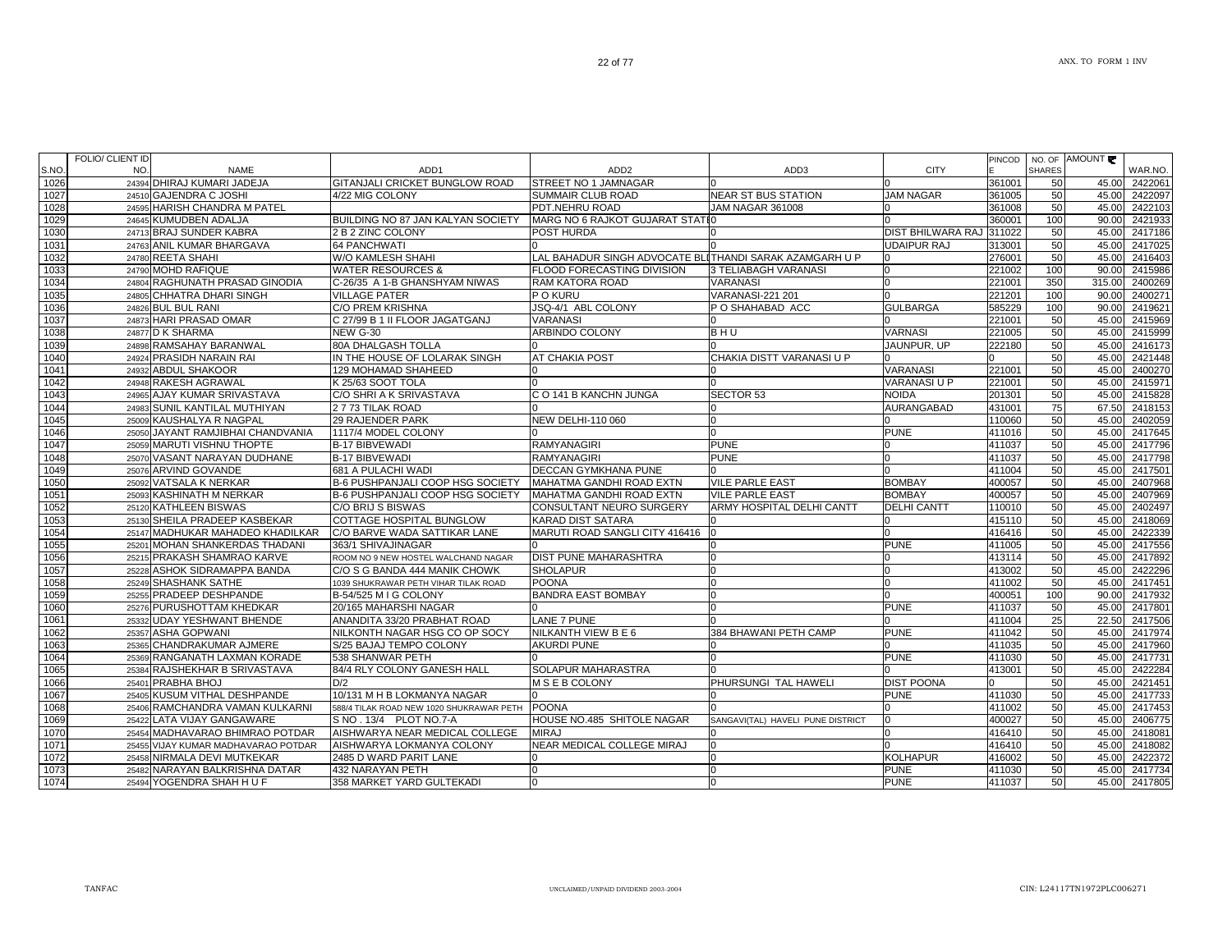|       | <b>FOLIO/ CLIENT ID</b> |                                     |                                          |                                                         |                                   |                          | PINCOD |               | NO. OF AMOUNT |         |
|-------|-------------------------|-------------------------------------|------------------------------------------|---------------------------------------------------------|-----------------------------------|--------------------------|--------|---------------|---------------|---------|
| S.NO. | NO.                     | <b>NAME</b>                         | ADD1                                     | ADD <sub>2</sub>                                        | ADD3                              | <b>CITY</b>              |        | <b>SHARES</b> |               | WAR.NO. |
| 1026  |                         | 24394 DHIRAJ KUMARI JADEJA          | <b>GITANJALI CRICKET BUNGLOW ROAD</b>    | STREET NO 1 JAMNAGAR                                    |                                   |                          | 361001 | 50            | 45.00         | 2422061 |
| 1027  |                         | 24510 GAJENDRA C JOSHI              | 4/22 MIG COLONY                          | SUMMAIR CLUB ROAD                                       | <b>NEAR ST BUS STATION</b>        | <b>JAM NAGAR</b>         | 361005 | 50            | 45.00         | 2422097 |
| 1028  |                         | 24595 HARISH CHANDRA M PATEL        |                                          | PDT.NEHRU ROAD                                          | <b>JAM NAGAR 361008</b>           |                          | 361008 | 50            | 45.00         | 2422103 |
| 1029  |                         | 24645 KUMUDBEN ADALJA               | BUILDING NO 87 JAN KALYAN SOCIETY        | MARG NO 6 RAJKOT GUJARAT STATIO                         |                                   |                          | 360001 | 100           | 90.00         | 2421933 |
| 1030  |                         | 24713 BRAJ SUNDER KABRA             | 2 B 2 ZINC COLONY                        | POST HURDA                                              |                                   | <b>DIST BHILWARA RAJ</b> | 311022 | 50            | 45.00         | 2417186 |
| 1031  |                         | 24763 ANIL KUMAR BHARGAVA           | <b>64 PANCHWATI</b>                      |                                                         |                                   | <b>UDAIPUR RAJ</b>       | 313001 | 50            | 45.00         | 2417025 |
| 1032  |                         | 24780 REETA SHAHI                   | W/O KAMLESH SHAHI                        | LAL BAHADUR SINGH ADVOCATE BLITHANDI SARAK AZAMGARH U P |                                   |                          | 276001 | 50            | 45.00         | 2416403 |
| 1033  |                         | 24790 MOHD RAFIQUE                  | <b>WATER RESOURCES &amp;</b>             | FLOOD FORECASTING DIVISION                              | 3 TELIABAGH VARANASI              |                          | 221002 | 100           | 90.00         | 2415986 |
| 1034  |                         | 24804 RAGHUNATH PRASAD GINODIA      | C-26/35 A 1-B GHANSHYAM NIWAS            | RAM KATORA ROAD                                         | <b>VARANASI</b>                   |                          | 221001 | 350           | 315.00        | 2400269 |
| 1035  |                         | 24805 CHHATRA DHARI SINGH           | <b>VILLAGE PATER</b>                     | P O KURU                                                | <b>VARANASI-221 201</b>           |                          | 221201 | 100           | 90.00         | 2400271 |
| 1036  |                         | 24826 BUL BUL RANI                  | C/O PREM KRISHNA                         | JSQ-4/1 ABL COLONY                                      | P O SHAHABAD ACC                  | <b>GULBARGA</b>          | 585229 | 100           | 90.00         | 2419621 |
| 1037  |                         | 24873 HARI PRASAD OMAR              | C 27/99 B 1 II FLOOR JAGATGANJ           | VARANASI                                                |                                   |                          | 221001 | 50            | 45.00         | 2415969 |
| 1038  |                         | 24877 D K SHARMA                    | <b>NEW G-30</b>                          | ARBINDO COLONY                                          | BHU                               | <b>VARNASI</b>           | 221005 | 50            | 45.00         | 2415999 |
| 1039  |                         | 24898 RAMSAHAY BARANWAL             | 80A DHALGASH TOLLA                       |                                                         |                                   | JAUNPUR. UP              | 222180 | 50            | 45.00         | 2416173 |
| 1040  |                         | 24924 PRASIDH NARAIN RAI            | IN THE HOUSE OF LOLARAK SINGH            | AT CHAKIA POST                                          | CHAKIA DISTT VARANASI U P         |                          | ∩      | 50            | 45.00         | 2421448 |
| 1041  |                         | 24932 ABDUL SHAKOOR                 | 129 MOHAMAD SHAHEED                      |                                                         |                                   | VARANASI                 | 221001 | 50            | 45.00         | 2400270 |
| 1042  |                         | 24948 RAKESH AGRAWAL                | K 25/63 SOOT TOLA                        |                                                         |                                   | <b>VARANASI U P</b>      | 221001 | 50            | 45.00         | 2415971 |
| 1043  |                         | 24965 AJAY KUMAR SRIVASTAVA         | C/O SHRI A K SRIVASTAVA                  | C O 141 B KANCHN JUNGA                                  | SECTOR 53                         | <b>NOIDA</b>             | 201301 | 50            | 45.00         | 2415828 |
| 1044  |                         | 24983 SUNIL KANTILAL MUTHIYAN       | 2773 TILAK ROAD                          |                                                         |                                   | <b>AURANGABAD</b>        | 431001 | 75            | 67.50         | 2418153 |
| 1045  |                         | 25009 KAUSHALYA R NAGPAL            | <b>29 RAJENDER PARK</b>                  | NEW DELHI-110 060                                       |                                   |                          | 110060 | 50            | 45.00         | 2402059 |
| 1046  | 25050                   | JAYANT RAMJIBHAI CHANDVANIA         | 1117/4 MODEL COLONY                      |                                                         |                                   | <b>PUNE</b>              | 411016 | 50            | 45.00         | 2417645 |
| 1047  |                         | 25059 MARUTI VISHNU THOPTE          | <b>B-17 BIBVEWADI</b>                    | <b>RAMYANAGIRI</b>                                      | <b>PUNE</b>                       |                          | 411037 | 50            | 45.00         | 2417796 |
| 1048  |                         | 25070 VASANT NARAYAN DUDHANE        | <b>B-17 BIBVEWADI</b>                    | <b>RAMYANAGIRI</b>                                      | <b>PUNE</b>                       |                          | 411037 | 50            | 45.00         | 2417798 |
| 1049  |                         | 25076 ARVIND GOVANDE                | 681 A PULACHI WADI                       | DECCAN GYMKHANA PUNE                                    |                                   |                          | 411004 | 50            | 45.00         | 2417501 |
| 1050  |                         | 25092 VATSALA K NERKAR              | B-6 PUSHPANJALI COOP HSG SOCIETY         | MAHATMA GANDHI ROAD EXTN                                | <b>VILE PARLE EAST</b>            | <b>BOMBAY</b>            | 400057 | 50            | 45.00         | 2407968 |
| 1051  |                         | 25093 KASHINATH M NERKAR            | B-6 PUSHPANJALI COOP HSG SOCIETY         | MAHATMA GANDHI ROAD EXTN                                | <b>VILE PARLE EAST</b>            | <b>BOMBAY</b>            | 400057 | 50            | 45.00         | 2407969 |
| 1052  |                         | 25120 KATHLEEN BISWAS               | C/O BRIJ S BISWAS                        | CONSULTANT NEURO SURGERY                                | ARMY HOSPITAL DELHI CANTT         | <b>DELHI CANTT</b>       | 110010 | 50            | 45.00         | 2402497 |
| 1053  |                         | 25130 SHEILA PRADEEP KASBEKAR       | COTTAGE HOSPITAL BUNGLOW                 | KARAD DIST SATARA                                       |                                   |                          | 415110 | 50            | 45.00         | 2418069 |
| 1054  |                         | 25147 MADHUKAR MAHADEO KHADILKAR    | C/O BARVE WADA SATTIKAR LANE             | MARUTI ROAD SANGLI CITY 416416                          |                                   |                          | 416416 | 50            | 45.00         | 2422339 |
| 1055  |                         | 25201 MOHAN SHANKERDAS THADANI      | 363/1 SHIVAJINAGAR                       |                                                         |                                   | <b>PUNE</b>              | 411005 | 50            | 45.00         | 2417556 |
| 1056  |                         | 25215 PRAKASH SHAMRAO KARVE         | ROOM NO 9 NEW HOSTEL WALCHAND NAGAR      | DIST PUNE MAHARASHTRA                                   |                                   |                          | 413114 | 50            | 45.00         | 2417892 |
| 1057  |                         | 25228 ASHOK SIDRAMAPPA BANDA        | C/O S G BANDA 444 MANIK CHOWK            | <b>SHOLAPUR</b>                                         |                                   |                          | 413002 | 50            | 45.00         | 2422296 |
| 1058  |                         | 25249 SHASHANK SATHE                | 1039 SHUKRAWAR PETH VIHAR TILAK ROAD     | <b>POONA</b>                                            |                                   | $\Omega$                 | 411002 | 50            | 45.00         | 2417451 |
| 1059  |                         | 25255 PRADEEP DESHPANDE             | B-54/525 M I G COLONY                    | <b>BANDRA EAST BOMBAY</b>                               |                                   |                          | 400051 | 100           | 90.00         | 2417932 |
| 1060  |                         | 25276 PURUSHOTTAM KHEDKAR           | 20/165 MAHARSHI NAGAR                    |                                                         |                                   | <b>PUNE</b>              | 411037 | 50            | 45.00         | 2417801 |
| 1061  |                         | 25332 UDAY YESHWANT BHENDE          | ANANDITA 33/20 PRABHAT ROAD              | LANE 7 PUNE                                             |                                   |                          | 411004 | 25            | 22.50         | 2417506 |
| 1062  |                         | 25357 ASHA GOPWANI                  | NILKONTH NAGAR HSG CO OP SOCY            | NILKANTH VIEW B E 6                                     | 384 BHAWANI PETH CAMP             | <b>PUNE</b>              | 411042 | 50            | 45.00         | 2417974 |
| 1063  |                         | 25365 CHANDRAKUMAR AJMERE           | S/25 BAJAJ TEMPO COLONY                  | <b>AKURDI PUNE</b>                                      |                                   |                          | 411035 | 50            | 45.00         | 2417960 |
| 1064  |                         | 25369 RANGANATH LAXMAN KORADE       | 538 SHANWAR PETH                         |                                                         |                                   | <b>PUNE</b>              | 411030 | 50            | 45.00         | 2417731 |
| 1065  |                         | 25384 RAJSHEKHAR B SRIVASTAVA       | 84/4 RLY COLONY GANESH HALL              | SOLAPUR MAHARASTRA                                      |                                   |                          | 413001 | 50            | 45.00         | 2422284 |
| 1066  |                         | 25401 PRABHA BHOJ                   | D/2                                      | M S E B COLONY                                          | PHURSUNGI TAL HAWELI              | <b>DIST POONA</b>        |        | 50            | 45.00         | 2421451 |
| 1067  |                         | 25405 KUSUM VITHAL DESHPANDE        | 10/131 M H B LOKMANYA NAGAR              |                                                         |                                   | <b>PUNE</b>              | 411030 | 50            | 45.00         | 2417733 |
| 1068  |                         | 25406 RAMCHANDRA VAMAN KULKARNI     | 588/4 TILAK ROAD NEW 1020 SHUKRAWAR PETH | <b>POONA</b>                                            |                                   |                          | 411002 | 50            | 45.00         | 2417453 |
| 1069  |                         | 25422 LATA VIJAY GANGAWARE          | S NO . 13/4 PLOT NO.7-A                  | HOUSE NO.485 SHITOLE NAGAR                              | SANGAVI(TAL) HAVELI PUNE DISTRICT | $\Omega$                 | 400027 | 50            | 45.00         | 2406775 |
| 1070  |                         | 25454 MADHAVARAO BHIMRAO POTDAR     | AISHWARYA NEAR MEDICAL COLLEGE           | <b>MIRAJ</b>                                            |                                   | <sup>n</sup>             | 416410 | 50            | 45.00         | 2418081 |
| 1071  |                         | 25455 VIJAY KUMAR MADHAVARAO POTDAR | AISHWARYA LOKMANYA COLONY                | NEAR MEDICAL COLLEGE MIRAJ                              | n.                                |                          | 416410 | 50            | 45.00         | 2418082 |
| 1072  |                         | 25458 NIRMALA DEVI MUTKEKAR         | 2485 D WARD PARIT LANE                   |                                                         |                                   | <b>KOLHAPUR</b>          | 416002 | 50            | 45.00         | 2422372 |
| 1073  |                         | 25482 NARAYAN BALKRISHNA DATAR      | 432 NARAYAN PETH                         |                                                         | 0                                 | <b>PUNE</b>              | 411030 | 50            | 45.00         | 2417734 |
| 1074  |                         | 25494 YOGENDRA SHAH HUF             | 358 MARKET YARD GULTEKADI                |                                                         |                                   | <b>PUNE</b>              | 411037 | 50            | 45.00         | 2417805 |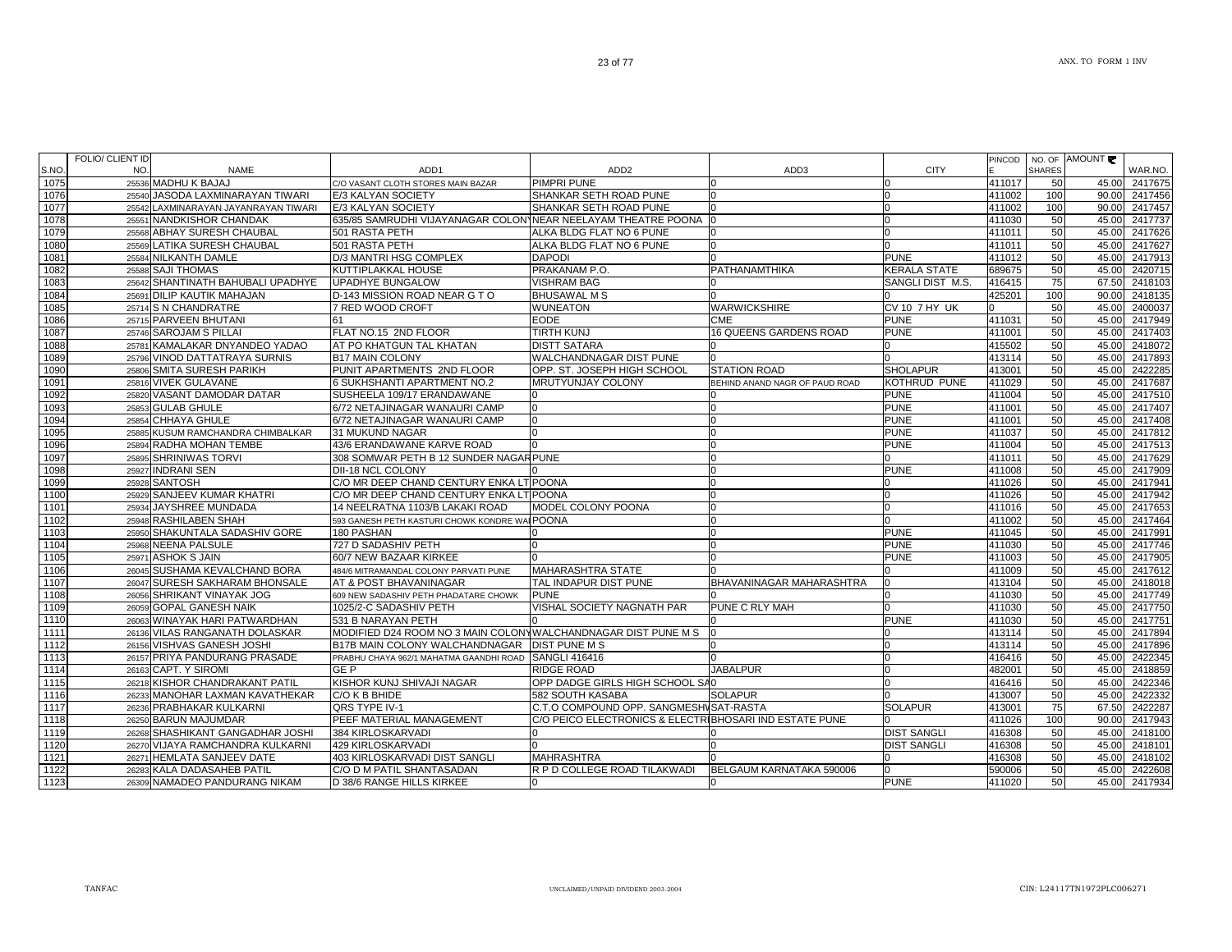| N <sub>O</sub><br><b>SHARES</b><br><b>NAME</b><br>ADD <sub>1</sub><br>ADD <sub>2</sub><br>ADD3<br><b>CITY</b><br>WAR.NO.<br>25536 MADHU K BAJAJ<br><b>PIMPRI PUNE</b><br>411017<br>45.00<br>2417675<br>50<br>C/O VASANT CLOTH STORES MAIN BAZAR<br>JASODA LAXMINARAYAN TIWARI<br>E/3 KALYAN SOCIETY<br>SHANKAR SETH ROAD PUNE<br>411002<br>100<br>90.00<br>2417456<br>25540<br>SHANKAR SETH ROAD PUNE<br>2417457<br>E/3 KALYAN SOCIETY<br>411002<br>100<br>90.00<br>25542 LAXMINARAYAN JAYANRAYAN TIWARI<br><sup>0</sup><br>635/85 SAMRUDHI VIJAYANAGAR COLONNEAR NEELAYAM THEATRE POONA<br>2417737<br>25551 NANDKISHOR CHANDAK<br>411030<br>50<br>45.00<br>2417626<br>1079<br>25568 ABHAY SURESH CHAUBAL<br>501 RASTA PETH<br>ALKA BLDG FLAT NO 6 PUNE<br>45.00<br>411011<br>50<br><b>LATIKA SURESH CHAUBAL</b><br>ALKA BLDG FLAT NO 6 PUNE<br>50<br>45.00<br>2417627<br>1080<br>501 RASTA PETH<br>411011<br>25569<br>50<br>2417913<br>25584 NILKANTH DAMLE<br>D/3 MANTRI HSG COMPLEX<br><b>DAPODI</b><br><b>PUNE</b><br>411012<br>45.00<br>PRAKANAM P.O.<br><b>KERALA STATE</b><br>50<br>2420715<br>1082<br><b>SAJI THOMAS</b><br>KUTTIPLAKKAL HOUSE<br>PATHANAMTHIKA<br>689675<br>45.00<br>25588<br>75<br>2418103<br>25642 SHANTINATH BAHUBALI UPADHYE<br><b>UPADHYE BUNGALOW</b><br><b>VISHRAM BAG</b><br>SANGLI DIST M.S.<br>416415<br>67.50<br>1084<br>25691 DILIP KAUTIK MAHAJAN<br>D-143 MISSION ROAD NEAR G TO<br><b>BHUSAWAL M S</b><br>425201<br>100<br>90.00<br>2418135<br>WARWICKSHIRE<br>50<br>2400037<br>1085<br>25714 S N CHANDRATRE<br>7 RED WOOD CROFT<br><b>WUNEATON</b><br><b>CV 10 7 HY UK</b><br>45.00<br>1086<br><b>EODE</b><br>45.00<br>2417949<br>25715 PARVEEN BHUTANI<br>61<br><b>CME</b><br><b>PUNE</b><br>411031<br>50<br>FLAT NO.15 2ND FLOOR<br>50<br>1087<br>25746 SAROJAM S PILLAI<br><b>TIRTH KUNJ</b><br><b>16 QUEENS GARDENS ROAD</b><br><b>PUNE</b><br>411001<br>45.00<br>2417403<br>1088<br>25781 KAMALAKAR DNYANDEO YADAO<br>AT PO KHATGUN TAL KHATAN<br><b>DISTT SATARA</b><br>50<br>45.00<br>2418072<br>415502<br>1089<br>25796 VINOD DATTATRAYA SURNIS<br><b>B17 MAIN COLONY</b><br>WALCHANDNAGAR DIST PUNE<br>50<br>45.00<br>2417893<br>413114<br>PUNIT APARTMENTS 2ND FLOOR<br>1090<br>25806 SMITA SURESH PARIKH<br>OPP. ST. JOSEPH HIGH SCHOOL<br><b>STATION ROAD</b><br><b>SHOLAPUR</b><br>50<br>2422285<br>413001<br>45.00<br><b>KOTHRUD PUNE</b><br>50<br>2417687<br>1091<br>25816 VIVEK GULAVANE<br>6 SUKHSHANTI APARTMENT NO.2<br><b>MRUTYUNJAY COLONY</b><br>411029<br>45.00<br>BEHIND ANAND NAGR OF PAUD ROAD<br>1092<br>25820 VASANT DAMODAR DATAR<br>SUSHEELA 109/17 ERANDAWANE<br><b>PUNE</b><br>50<br>45.00<br>2417510<br>411004<br>45.00<br>2417407<br>1093<br>25853 GULAB GHULE<br>6/72 NETAJINAGAR WANAURI CAMP<br><b>PUNE</b><br>411001<br>50<br>$\Omega$<br>2417408<br>1094<br>6/72 NETAJINAGAR WANAURI CAMP<br><b>PUNE</b><br>45.00<br>25854 CHHAYA GHULE<br>411001<br>50<br>$\Omega$<br>45.00<br>1095<br>25885 KUSUM RAMCHANDRA CHIMBALKAR<br>31 MUKUND NAGAR<br><b>PUNE</b><br>50<br>2417812<br>411037<br>2417513<br>1096<br>43/6 ERANDAWANE KARVE ROAD<br><b>PUNE</b><br>50<br>45.00<br>25894 RADHA MOHAN TEMBE<br>411004<br>1097<br>2417629<br>25895 SHRINIWAS TORVI<br>308 SOMWAR PETH B 12 SUNDER NAGAR PUNE<br>411011<br>50<br>45.00<br>1098<br>25927 INDRANI SEN<br>DII-18 NCL COLONY<br><b>PUNE</b><br>411008<br>50<br>2417909<br>45.00<br>241794<br>1099<br><b>SANTOSH</b><br>C/O MR DEEP CHAND CENTURY ENKA LT POONA<br>411026<br>50<br>45.00<br>25928<br>50<br>2417942<br>1100<br>25929 SANJEEV KUMAR KHATRI<br>C/O MR DEEP CHAND CENTURY ENKA LT POONA<br>411026<br>45.00<br>1101<br>25934 JAYSHREE MUNDADA<br>14 NEELRATNA 1103/B LAKAKI ROAD<br>MODEL COLONY POONA<br>411016<br>50<br>45.00<br>2417653<br>50<br>1102<br>25948 RASHILABEN SHAH<br>593 GANESH PETH KASTURI CHOWK KONDRE WAI POONA<br>$\Omega$<br>411002<br>45.00<br>2417464<br>1103<br>SHAKUNTALA SADASHIV GORE<br><b>PUNE</b><br>50<br>45.00<br>2417991<br>180 PASHAN<br>411045<br>25950<br>727 D SADASHIV PETH<br>1104<br><b>PUNE</b><br>50<br>45.00<br>2417746<br>25968 NEENA PALSULE<br>411030<br>2417905<br>1105<br>25971 ASHOK S JAIN<br>60/7 NEW BAZAAR KIRKEE<br><b>PUNE</b><br>411003<br>50<br>45.00<br>1106<br>26045 SUSHAMA KEVALCHAND BORA<br><b>MAHARASHTRA STATE</b><br>50<br>45.00<br>2417612<br>484/6 MITRAMANDAL COLONY PARVATI PUNE<br>411009<br>1107<br>26047 SURESH SAKHARAM BHONSALE<br>TAL INDAPUR DIST PUNE<br>BHAVANINAGAR MAHARASHTRA<br>413104<br>50<br>45.00<br>2418018<br>AT & POST BHAVANINAGAR<br>1108<br>26056 SHRIKANT VINAYAK JOG<br><b>PUNE</b><br>411030<br>50<br>45.00<br>2417749<br>609 NEW SADASHIV PETH PHADATARE CHOWK<br><sup>0</sup><br>1109<br>26059 GOPAL GANESH NAIK<br>1025/2-C SADASHIV PETH<br>VISHAL SOCIETY NAGNATH PAR<br>PUNE C RLY MAH<br>411030<br>50<br>45.00<br>2417750<br>45.00<br>531 B NARAYAN PETH<br>50<br>241775<br>1110<br>26063 WINAYAK HARI PATWARDHAN<br><b>PUNE</b><br>411030<br>2417894<br>1111<br>26136 VILAS RANGANATH DOLASKAR<br>MODIFIED D24 ROOM NO 3 MAIN COLONYWALCHANDNAGAR DIST PUNE M S<br>413114<br>50<br>45.00<br>413114<br>2417896<br>1112<br>26156 VISHVAS GANESH JOSHI<br><b>B17B MAIN COLONY WALCHANDNAGAR</b><br><b>DIST PUNE M S</b><br>50<br>45.00<br>50<br>242234<br>1113<br>26157 PRIYA PANDURANG PRASADE<br>PRABHU CHAYA 962/1 MAHATMA GAANDHI ROAD SANGLI 416416<br>416416<br>45.00<br>50<br>26163 CAPT. Y SIROMI<br>GE P<br><b>RIDGE ROAD</b><br><b>JABALPUR</b><br>482001<br>45.00<br>2418859<br>$\Omega$<br>26218 KISHOR CHANDRAKANT PATIL<br>KISHOR KUNJ SHIVAJI NAGAR<br>OPP DADGE GIRLS HIGH SCHOOL SAO<br>416416<br>50<br>45.00<br>2422346<br>$\Omega$<br>MANOHAR LAXMAN KAVATHEKAR<br>C/O K B BHIDE<br>582 SOUTH KASABA<br>413007<br>50<br>45.00<br>2422332<br><b>SOLAPUR</b><br>26233<br>C.T.O COMPOUND OPP. SANGMESHVSAT-RASTA<br><b>SOLAPUR</b><br>75<br>67.50<br>2422287<br>26236 PRABHAKAR KULKARNI<br>QRS TYPE IV-1<br>413001<br>PEEF MATERIAL MANAGEMENT<br>C/O PEICO ELECTRONICS & ELECTRIBHOSARI IND ESTATE PUNE<br>90.00<br>2417943<br>26250 BARUN MAJUMDAR<br>411026<br>100<br>26268 SHASHIKANT GANGADHAR JOSHI<br>384 KIRLOSKARVADI<br><b>DIST SANGLI</b><br>50<br>45.00<br>2418100<br>416308<br>26270 VIJAYA RAMCHANDRA KULKARNI<br>429 KIRLOSKARVADI<br><b>DIST SANGLI</b><br>241810<br>416308<br>50<br>45.00<br>26271 HEMLATA SANJEEV DATE<br>403 KIRLOSKARVADI DIST SANGLI<br><b>MAHRASHTRA</b><br>50<br>45.00<br>2418102<br>416308<br>R P D COLLEGE ROAD TILAKWADI<br>BELGAUM KARNATAKA 590006<br>2422608<br>26283 KALA DADASAHEB PATIL<br>C/O D M PATIL SHANTASADAN<br>590006<br>50<br>45.00<br><sup>0</sup><br>26309 NAMADEO PANDURANG NIKAM<br>D 38/6 RANGE HILLS KIRKEE<br><b>PUNE</b><br>411020<br>50<br>45.00<br>2417934 |      | FOLIO/ CLIENT ID |  |  | PINCOD | NO. OF AMOUNT |  |
|------------------------------------------------------------------------------------------------------------------------------------------------------------------------------------------------------------------------------------------------------------------------------------------------------------------------------------------------------------------------------------------------------------------------------------------------------------------------------------------------------------------------------------------------------------------------------------------------------------------------------------------------------------------------------------------------------------------------------------------------------------------------------------------------------------------------------------------------------------------------------------------------------------------------------------------------------------------------------------------------------------------------------------------------------------------------------------------------------------------------------------------------------------------------------------------------------------------------------------------------------------------------------------------------------------------------------------------------------------------------------------------------------------------------------------------------------------------------------------------------------------------------------------------------------------------------------------------------------------------------------------------------------------------------------------------------------------------------------------------------------------------------------------------------------------------------------------------------------------------------------------------------------------------------------------------------------------------------------------------------------------------------------------------------------------------------------------------------------------------------------------------------------------------------------------------------------------------------------------------------------------------------------------------------------------------------------------------------------------------------------------------------------------------------------------------------------------------------------------------------------------------------------------------------------------------------------------------------------------------------------------------------------------------------------------------------------------------------------------------------------------------------------------------------------------------------------------------------------------------------------------------------------------------------------------------------------------------------------------------------------------------------------------------------------------------------------------------------------------------------------------------------------------------------------------------------------------------------------------------------------------------------------------------------------------------------------------------------------------------------------------------------------------------------------------------------------------------------------------------------------------------------------------------------------------------------------------------------------------------------------------------------------------------------------------------------------------------------------------------------------------------------------------------------------------------------------------------------------------------------------------------------------------------------------------------------------------------------------------------------------------------------------------------------------------------------------------------------------------------------------------------------------------------------------------------------------------------------------------------------------------------------------------------------------------------------------------------------------------------------------------------------------------------------------------------------------------------------------------------------------------------------------------------------------------------------------------------------------------------------------------------------------------------------------------------------------------------------------------------------------------------------------------------------------------------------------------------------------------------------------------------------------------------------------------------------------------------------------------------------------------------------------------------------------------------------------------------------------------------------------------------------------------------------------------------------------------------------------------------------------------------------------------------------------------------------------------------------------------------------------------------------------------------------------------------------------------------------------------------------------------------------------------------------------------------------------------------------------------------------------------------------------------------------------------------------------------------------------------------------------------------------------------------------------------------------------------------------------------------------------------------------------------------------------------------------------------------------------------------------------------------------------------------------------------------------------------------------------------------------------------------------------------------------------------------------------------------------------------------------------------------------------------------------------------------------------------------------------------------------------------------------------------------------------------------------------------------------------------------------------------------------------------------------------------------------------------------------------------------------------------------------------------------------------------------------------------------------------------------------------------------------------------------------|------|------------------|--|--|--------|---------------|--|
|                                                                                                                                                                                                                                                                                                                                                                                                                                                                                                                                                                                                                                                                                                                                                                                                                                                                                                                                                                                                                                                                                                                                                                                                                                                                                                                                                                                                                                                                                                                                                                                                                                                                                                                                                                                                                                                                                                                                                                                                                                                                                                                                                                                                                                                                                                                                                                                                                                                                                                                                                                                                                                                                                                                                                                                                                                                                                                                                                                                                                                                                                                                                                                                                                                                                                                                                                                                                                                                                                                                                                                                                                                                                                                                                                                                                                                                                                                                                                                                                                                                                                                                                                                                                                                                                                                                                                                                                                                                                                                                                                                                                                                                                                                                                                                                                                                                                                                                                                                                                                                                                                                                                                                                                                                                                                                                                                                                                                                                                                                                                                                                                                                                                                                                                                                                                                                                                                                                                                                                                                                                                                                                                                                                                                                                                                                                                                                                                                                                                                                                                                                                                                                                                                                                                                                                                | S.NO |                  |  |  |        |               |  |
|                                                                                                                                                                                                                                                                                                                                                                                                                                                                                                                                                                                                                                                                                                                                                                                                                                                                                                                                                                                                                                                                                                                                                                                                                                                                                                                                                                                                                                                                                                                                                                                                                                                                                                                                                                                                                                                                                                                                                                                                                                                                                                                                                                                                                                                                                                                                                                                                                                                                                                                                                                                                                                                                                                                                                                                                                                                                                                                                                                                                                                                                                                                                                                                                                                                                                                                                                                                                                                                                                                                                                                                                                                                                                                                                                                                                                                                                                                                                                                                                                                                                                                                                                                                                                                                                                                                                                                                                                                                                                                                                                                                                                                                                                                                                                                                                                                                                                                                                                                                                                                                                                                                                                                                                                                                                                                                                                                                                                                                                                                                                                                                                                                                                                                                                                                                                                                                                                                                                                                                                                                                                                                                                                                                                                                                                                                                                                                                                                                                                                                                                                                                                                                                                                                                                                                                                | 1075 |                  |  |  |        |               |  |
|                                                                                                                                                                                                                                                                                                                                                                                                                                                                                                                                                                                                                                                                                                                                                                                                                                                                                                                                                                                                                                                                                                                                                                                                                                                                                                                                                                                                                                                                                                                                                                                                                                                                                                                                                                                                                                                                                                                                                                                                                                                                                                                                                                                                                                                                                                                                                                                                                                                                                                                                                                                                                                                                                                                                                                                                                                                                                                                                                                                                                                                                                                                                                                                                                                                                                                                                                                                                                                                                                                                                                                                                                                                                                                                                                                                                                                                                                                                                                                                                                                                                                                                                                                                                                                                                                                                                                                                                                                                                                                                                                                                                                                                                                                                                                                                                                                                                                                                                                                                                                                                                                                                                                                                                                                                                                                                                                                                                                                                                                                                                                                                                                                                                                                                                                                                                                                                                                                                                                                                                                                                                                                                                                                                                                                                                                                                                                                                                                                                                                                                                                                                                                                                                                                                                                                                                | 1076 |                  |  |  |        |               |  |
|                                                                                                                                                                                                                                                                                                                                                                                                                                                                                                                                                                                                                                                                                                                                                                                                                                                                                                                                                                                                                                                                                                                                                                                                                                                                                                                                                                                                                                                                                                                                                                                                                                                                                                                                                                                                                                                                                                                                                                                                                                                                                                                                                                                                                                                                                                                                                                                                                                                                                                                                                                                                                                                                                                                                                                                                                                                                                                                                                                                                                                                                                                                                                                                                                                                                                                                                                                                                                                                                                                                                                                                                                                                                                                                                                                                                                                                                                                                                                                                                                                                                                                                                                                                                                                                                                                                                                                                                                                                                                                                                                                                                                                                                                                                                                                                                                                                                                                                                                                                                                                                                                                                                                                                                                                                                                                                                                                                                                                                                                                                                                                                                                                                                                                                                                                                                                                                                                                                                                                                                                                                                                                                                                                                                                                                                                                                                                                                                                                                                                                                                                                                                                                                                                                                                                                                                | 1077 |                  |  |  |        |               |  |
|                                                                                                                                                                                                                                                                                                                                                                                                                                                                                                                                                                                                                                                                                                                                                                                                                                                                                                                                                                                                                                                                                                                                                                                                                                                                                                                                                                                                                                                                                                                                                                                                                                                                                                                                                                                                                                                                                                                                                                                                                                                                                                                                                                                                                                                                                                                                                                                                                                                                                                                                                                                                                                                                                                                                                                                                                                                                                                                                                                                                                                                                                                                                                                                                                                                                                                                                                                                                                                                                                                                                                                                                                                                                                                                                                                                                                                                                                                                                                                                                                                                                                                                                                                                                                                                                                                                                                                                                                                                                                                                                                                                                                                                                                                                                                                                                                                                                                                                                                                                                                                                                                                                                                                                                                                                                                                                                                                                                                                                                                                                                                                                                                                                                                                                                                                                                                                                                                                                                                                                                                                                                                                                                                                                                                                                                                                                                                                                                                                                                                                                                                                                                                                                                                                                                                                                                | 1078 |                  |  |  |        |               |  |
|                                                                                                                                                                                                                                                                                                                                                                                                                                                                                                                                                                                                                                                                                                                                                                                                                                                                                                                                                                                                                                                                                                                                                                                                                                                                                                                                                                                                                                                                                                                                                                                                                                                                                                                                                                                                                                                                                                                                                                                                                                                                                                                                                                                                                                                                                                                                                                                                                                                                                                                                                                                                                                                                                                                                                                                                                                                                                                                                                                                                                                                                                                                                                                                                                                                                                                                                                                                                                                                                                                                                                                                                                                                                                                                                                                                                                                                                                                                                                                                                                                                                                                                                                                                                                                                                                                                                                                                                                                                                                                                                                                                                                                                                                                                                                                                                                                                                                                                                                                                                                                                                                                                                                                                                                                                                                                                                                                                                                                                                                                                                                                                                                                                                                                                                                                                                                                                                                                                                                                                                                                                                                                                                                                                                                                                                                                                                                                                                                                                                                                                                                                                                                                                                                                                                                                                                |      |                  |  |  |        |               |  |
|                                                                                                                                                                                                                                                                                                                                                                                                                                                                                                                                                                                                                                                                                                                                                                                                                                                                                                                                                                                                                                                                                                                                                                                                                                                                                                                                                                                                                                                                                                                                                                                                                                                                                                                                                                                                                                                                                                                                                                                                                                                                                                                                                                                                                                                                                                                                                                                                                                                                                                                                                                                                                                                                                                                                                                                                                                                                                                                                                                                                                                                                                                                                                                                                                                                                                                                                                                                                                                                                                                                                                                                                                                                                                                                                                                                                                                                                                                                                                                                                                                                                                                                                                                                                                                                                                                                                                                                                                                                                                                                                                                                                                                                                                                                                                                                                                                                                                                                                                                                                                                                                                                                                                                                                                                                                                                                                                                                                                                                                                                                                                                                                                                                                                                                                                                                                                                                                                                                                                                                                                                                                                                                                                                                                                                                                                                                                                                                                                                                                                                                                                                                                                                                                                                                                                                                                |      |                  |  |  |        |               |  |
|                                                                                                                                                                                                                                                                                                                                                                                                                                                                                                                                                                                                                                                                                                                                                                                                                                                                                                                                                                                                                                                                                                                                                                                                                                                                                                                                                                                                                                                                                                                                                                                                                                                                                                                                                                                                                                                                                                                                                                                                                                                                                                                                                                                                                                                                                                                                                                                                                                                                                                                                                                                                                                                                                                                                                                                                                                                                                                                                                                                                                                                                                                                                                                                                                                                                                                                                                                                                                                                                                                                                                                                                                                                                                                                                                                                                                                                                                                                                                                                                                                                                                                                                                                                                                                                                                                                                                                                                                                                                                                                                                                                                                                                                                                                                                                                                                                                                                                                                                                                                                                                                                                                                                                                                                                                                                                                                                                                                                                                                                                                                                                                                                                                                                                                                                                                                                                                                                                                                                                                                                                                                                                                                                                                                                                                                                                                                                                                                                                                                                                                                                                                                                                                                                                                                                                                                | 1081 |                  |  |  |        |               |  |
|                                                                                                                                                                                                                                                                                                                                                                                                                                                                                                                                                                                                                                                                                                                                                                                                                                                                                                                                                                                                                                                                                                                                                                                                                                                                                                                                                                                                                                                                                                                                                                                                                                                                                                                                                                                                                                                                                                                                                                                                                                                                                                                                                                                                                                                                                                                                                                                                                                                                                                                                                                                                                                                                                                                                                                                                                                                                                                                                                                                                                                                                                                                                                                                                                                                                                                                                                                                                                                                                                                                                                                                                                                                                                                                                                                                                                                                                                                                                                                                                                                                                                                                                                                                                                                                                                                                                                                                                                                                                                                                                                                                                                                                                                                                                                                                                                                                                                                                                                                                                                                                                                                                                                                                                                                                                                                                                                                                                                                                                                                                                                                                                                                                                                                                                                                                                                                                                                                                                                                                                                                                                                                                                                                                                                                                                                                                                                                                                                                                                                                                                                                                                                                                                                                                                                                                                |      |                  |  |  |        |               |  |
|                                                                                                                                                                                                                                                                                                                                                                                                                                                                                                                                                                                                                                                                                                                                                                                                                                                                                                                                                                                                                                                                                                                                                                                                                                                                                                                                                                                                                                                                                                                                                                                                                                                                                                                                                                                                                                                                                                                                                                                                                                                                                                                                                                                                                                                                                                                                                                                                                                                                                                                                                                                                                                                                                                                                                                                                                                                                                                                                                                                                                                                                                                                                                                                                                                                                                                                                                                                                                                                                                                                                                                                                                                                                                                                                                                                                                                                                                                                                                                                                                                                                                                                                                                                                                                                                                                                                                                                                                                                                                                                                                                                                                                                                                                                                                                                                                                                                                                                                                                                                                                                                                                                                                                                                                                                                                                                                                                                                                                                                                                                                                                                                                                                                                                                                                                                                                                                                                                                                                                                                                                                                                                                                                                                                                                                                                                                                                                                                                                                                                                                                                                                                                                                                                                                                                                                                | 1083 |                  |  |  |        |               |  |
|                                                                                                                                                                                                                                                                                                                                                                                                                                                                                                                                                                                                                                                                                                                                                                                                                                                                                                                                                                                                                                                                                                                                                                                                                                                                                                                                                                                                                                                                                                                                                                                                                                                                                                                                                                                                                                                                                                                                                                                                                                                                                                                                                                                                                                                                                                                                                                                                                                                                                                                                                                                                                                                                                                                                                                                                                                                                                                                                                                                                                                                                                                                                                                                                                                                                                                                                                                                                                                                                                                                                                                                                                                                                                                                                                                                                                                                                                                                                                                                                                                                                                                                                                                                                                                                                                                                                                                                                                                                                                                                                                                                                                                                                                                                                                                                                                                                                                                                                                                                                                                                                                                                                                                                                                                                                                                                                                                                                                                                                                                                                                                                                                                                                                                                                                                                                                                                                                                                                                                                                                                                                                                                                                                                                                                                                                                                                                                                                                                                                                                                                                                                                                                                                                                                                                                                                |      |                  |  |  |        |               |  |
|                                                                                                                                                                                                                                                                                                                                                                                                                                                                                                                                                                                                                                                                                                                                                                                                                                                                                                                                                                                                                                                                                                                                                                                                                                                                                                                                                                                                                                                                                                                                                                                                                                                                                                                                                                                                                                                                                                                                                                                                                                                                                                                                                                                                                                                                                                                                                                                                                                                                                                                                                                                                                                                                                                                                                                                                                                                                                                                                                                                                                                                                                                                                                                                                                                                                                                                                                                                                                                                                                                                                                                                                                                                                                                                                                                                                                                                                                                                                                                                                                                                                                                                                                                                                                                                                                                                                                                                                                                                                                                                                                                                                                                                                                                                                                                                                                                                                                                                                                                                                                                                                                                                                                                                                                                                                                                                                                                                                                                                                                                                                                                                                                                                                                                                                                                                                                                                                                                                                                                                                                                                                                                                                                                                                                                                                                                                                                                                                                                                                                                                                                                                                                                                                                                                                                                                                |      |                  |  |  |        |               |  |
|                                                                                                                                                                                                                                                                                                                                                                                                                                                                                                                                                                                                                                                                                                                                                                                                                                                                                                                                                                                                                                                                                                                                                                                                                                                                                                                                                                                                                                                                                                                                                                                                                                                                                                                                                                                                                                                                                                                                                                                                                                                                                                                                                                                                                                                                                                                                                                                                                                                                                                                                                                                                                                                                                                                                                                                                                                                                                                                                                                                                                                                                                                                                                                                                                                                                                                                                                                                                                                                                                                                                                                                                                                                                                                                                                                                                                                                                                                                                                                                                                                                                                                                                                                                                                                                                                                                                                                                                                                                                                                                                                                                                                                                                                                                                                                                                                                                                                                                                                                                                                                                                                                                                                                                                                                                                                                                                                                                                                                                                                                                                                                                                                                                                                                                                                                                                                                                                                                                                                                                                                                                                                                                                                                                                                                                                                                                                                                                                                                                                                                                                                                                                                                                                                                                                                                                                |      |                  |  |  |        |               |  |
|                                                                                                                                                                                                                                                                                                                                                                                                                                                                                                                                                                                                                                                                                                                                                                                                                                                                                                                                                                                                                                                                                                                                                                                                                                                                                                                                                                                                                                                                                                                                                                                                                                                                                                                                                                                                                                                                                                                                                                                                                                                                                                                                                                                                                                                                                                                                                                                                                                                                                                                                                                                                                                                                                                                                                                                                                                                                                                                                                                                                                                                                                                                                                                                                                                                                                                                                                                                                                                                                                                                                                                                                                                                                                                                                                                                                                                                                                                                                                                                                                                                                                                                                                                                                                                                                                                                                                                                                                                                                                                                                                                                                                                                                                                                                                                                                                                                                                                                                                                                                                                                                                                                                                                                                                                                                                                                                                                                                                                                                                                                                                                                                                                                                                                                                                                                                                                                                                                                                                                                                                                                                                                                                                                                                                                                                                                                                                                                                                                                                                                                                                                                                                                                                                                                                                                                                |      |                  |  |  |        |               |  |
|                                                                                                                                                                                                                                                                                                                                                                                                                                                                                                                                                                                                                                                                                                                                                                                                                                                                                                                                                                                                                                                                                                                                                                                                                                                                                                                                                                                                                                                                                                                                                                                                                                                                                                                                                                                                                                                                                                                                                                                                                                                                                                                                                                                                                                                                                                                                                                                                                                                                                                                                                                                                                                                                                                                                                                                                                                                                                                                                                                                                                                                                                                                                                                                                                                                                                                                                                                                                                                                                                                                                                                                                                                                                                                                                                                                                                                                                                                                                                                                                                                                                                                                                                                                                                                                                                                                                                                                                                                                                                                                                                                                                                                                                                                                                                                                                                                                                                                                                                                                                                                                                                                                                                                                                                                                                                                                                                                                                                                                                                                                                                                                                                                                                                                                                                                                                                                                                                                                                                                                                                                                                                                                                                                                                                                                                                                                                                                                                                                                                                                                                                                                                                                                                                                                                                                                                |      |                  |  |  |        |               |  |
|                                                                                                                                                                                                                                                                                                                                                                                                                                                                                                                                                                                                                                                                                                                                                                                                                                                                                                                                                                                                                                                                                                                                                                                                                                                                                                                                                                                                                                                                                                                                                                                                                                                                                                                                                                                                                                                                                                                                                                                                                                                                                                                                                                                                                                                                                                                                                                                                                                                                                                                                                                                                                                                                                                                                                                                                                                                                                                                                                                                                                                                                                                                                                                                                                                                                                                                                                                                                                                                                                                                                                                                                                                                                                                                                                                                                                                                                                                                                                                                                                                                                                                                                                                                                                                                                                                                                                                                                                                                                                                                                                                                                                                                                                                                                                                                                                                                                                                                                                                                                                                                                                                                                                                                                                                                                                                                                                                                                                                                                                                                                                                                                                                                                                                                                                                                                                                                                                                                                                                                                                                                                                                                                                                                                                                                                                                                                                                                                                                                                                                                                                                                                                                                                                                                                                                                                |      |                  |  |  |        |               |  |
|                                                                                                                                                                                                                                                                                                                                                                                                                                                                                                                                                                                                                                                                                                                                                                                                                                                                                                                                                                                                                                                                                                                                                                                                                                                                                                                                                                                                                                                                                                                                                                                                                                                                                                                                                                                                                                                                                                                                                                                                                                                                                                                                                                                                                                                                                                                                                                                                                                                                                                                                                                                                                                                                                                                                                                                                                                                                                                                                                                                                                                                                                                                                                                                                                                                                                                                                                                                                                                                                                                                                                                                                                                                                                                                                                                                                                                                                                                                                                                                                                                                                                                                                                                                                                                                                                                                                                                                                                                                                                                                                                                                                                                                                                                                                                                                                                                                                                                                                                                                                                                                                                                                                                                                                                                                                                                                                                                                                                                                                                                                                                                                                                                                                                                                                                                                                                                                                                                                                                                                                                                                                                                                                                                                                                                                                                                                                                                                                                                                                                                                                                                                                                                                                                                                                                                                                |      |                  |  |  |        |               |  |
|                                                                                                                                                                                                                                                                                                                                                                                                                                                                                                                                                                                                                                                                                                                                                                                                                                                                                                                                                                                                                                                                                                                                                                                                                                                                                                                                                                                                                                                                                                                                                                                                                                                                                                                                                                                                                                                                                                                                                                                                                                                                                                                                                                                                                                                                                                                                                                                                                                                                                                                                                                                                                                                                                                                                                                                                                                                                                                                                                                                                                                                                                                                                                                                                                                                                                                                                                                                                                                                                                                                                                                                                                                                                                                                                                                                                                                                                                                                                                                                                                                                                                                                                                                                                                                                                                                                                                                                                                                                                                                                                                                                                                                                                                                                                                                                                                                                                                                                                                                                                                                                                                                                                                                                                                                                                                                                                                                                                                                                                                                                                                                                                                                                                                                                                                                                                                                                                                                                                                                                                                                                                                                                                                                                                                                                                                                                                                                                                                                                                                                                                                                                                                                                                                                                                                                                                |      |                  |  |  |        |               |  |
|                                                                                                                                                                                                                                                                                                                                                                                                                                                                                                                                                                                                                                                                                                                                                                                                                                                                                                                                                                                                                                                                                                                                                                                                                                                                                                                                                                                                                                                                                                                                                                                                                                                                                                                                                                                                                                                                                                                                                                                                                                                                                                                                                                                                                                                                                                                                                                                                                                                                                                                                                                                                                                                                                                                                                                                                                                                                                                                                                                                                                                                                                                                                                                                                                                                                                                                                                                                                                                                                                                                                                                                                                                                                                                                                                                                                                                                                                                                                                                                                                                                                                                                                                                                                                                                                                                                                                                                                                                                                                                                                                                                                                                                                                                                                                                                                                                                                                                                                                                                                                                                                                                                                                                                                                                                                                                                                                                                                                                                                                                                                                                                                                                                                                                                                                                                                                                                                                                                                                                                                                                                                                                                                                                                                                                                                                                                                                                                                                                                                                                                                                                                                                                                                                                                                                                                                |      |                  |  |  |        |               |  |
|                                                                                                                                                                                                                                                                                                                                                                                                                                                                                                                                                                                                                                                                                                                                                                                                                                                                                                                                                                                                                                                                                                                                                                                                                                                                                                                                                                                                                                                                                                                                                                                                                                                                                                                                                                                                                                                                                                                                                                                                                                                                                                                                                                                                                                                                                                                                                                                                                                                                                                                                                                                                                                                                                                                                                                                                                                                                                                                                                                                                                                                                                                                                                                                                                                                                                                                                                                                                                                                                                                                                                                                                                                                                                                                                                                                                                                                                                                                                                                                                                                                                                                                                                                                                                                                                                                                                                                                                                                                                                                                                                                                                                                                                                                                                                                                                                                                                                                                                                                                                                                                                                                                                                                                                                                                                                                                                                                                                                                                                                                                                                                                                                                                                                                                                                                                                                                                                                                                                                                                                                                                                                                                                                                                                                                                                                                                                                                                                                                                                                                                                                                                                                                                                                                                                                                                                |      |                  |  |  |        |               |  |
|                                                                                                                                                                                                                                                                                                                                                                                                                                                                                                                                                                                                                                                                                                                                                                                                                                                                                                                                                                                                                                                                                                                                                                                                                                                                                                                                                                                                                                                                                                                                                                                                                                                                                                                                                                                                                                                                                                                                                                                                                                                                                                                                                                                                                                                                                                                                                                                                                                                                                                                                                                                                                                                                                                                                                                                                                                                                                                                                                                                                                                                                                                                                                                                                                                                                                                                                                                                                                                                                                                                                                                                                                                                                                                                                                                                                                                                                                                                                                                                                                                                                                                                                                                                                                                                                                                                                                                                                                                                                                                                                                                                                                                                                                                                                                                                                                                                                                                                                                                                                                                                                                                                                                                                                                                                                                                                                                                                                                                                                                                                                                                                                                                                                                                                                                                                                                                                                                                                                                                                                                                                                                                                                                                                                                                                                                                                                                                                                                                                                                                                                                                                                                                                                                                                                                                                                |      |                  |  |  |        |               |  |
|                                                                                                                                                                                                                                                                                                                                                                                                                                                                                                                                                                                                                                                                                                                                                                                                                                                                                                                                                                                                                                                                                                                                                                                                                                                                                                                                                                                                                                                                                                                                                                                                                                                                                                                                                                                                                                                                                                                                                                                                                                                                                                                                                                                                                                                                                                                                                                                                                                                                                                                                                                                                                                                                                                                                                                                                                                                                                                                                                                                                                                                                                                                                                                                                                                                                                                                                                                                                                                                                                                                                                                                                                                                                                                                                                                                                                                                                                                                                                                                                                                                                                                                                                                                                                                                                                                                                                                                                                                                                                                                                                                                                                                                                                                                                                                                                                                                                                                                                                                                                                                                                                                                                                                                                                                                                                                                                                                                                                                                                                                                                                                                                                                                                                                                                                                                                                                                                                                                                                                                                                                                                                                                                                                                                                                                                                                                                                                                                                                                                                                                                                                                                                                                                                                                                                                                                |      |                  |  |  |        |               |  |
|                                                                                                                                                                                                                                                                                                                                                                                                                                                                                                                                                                                                                                                                                                                                                                                                                                                                                                                                                                                                                                                                                                                                                                                                                                                                                                                                                                                                                                                                                                                                                                                                                                                                                                                                                                                                                                                                                                                                                                                                                                                                                                                                                                                                                                                                                                                                                                                                                                                                                                                                                                                                                                                                                                                                                                                                                                                                                                                                                                                                                                                                                                                                                                                                                                                                                                                                                                                                                                                                                                                                                                                                                                                                                                                                                                                                                                                                                                                                                                                                                                                                                                                                                                                                                                                                                                                                                                                                                                                                                                                                                                                                                                                                                                                                                                                                                                                                                                                                                                                                                                                                                                                                                                                                                                                                                                                                                                                                                                                                                                                                                                                                                                                                                                                                                                                                                                                                                                                                                                                                                                                                                                                                                                                                                                                                                                                                                                                                                                                                                                                                                                                                                                                                                                                                                                                                |      |                  |  |  |        |               |  |
|                                                                                                                                                                                                                                                                                                                                                                                                                                                                                                                                                                                                                                                                                                                                                                                                                                                                                                                                                                                                                                                                                                                                                                                                                                                                                                                                                                                                                                                                                                                                                                                                                                                                                                                                                                                                                                                                                                                                                                                                                                                                                                                                                                                                                                                                                                                                                                                                                                                                                                                                                                                                                                                                                                                                                                                                                                                                                                                                                                                                                                                                                                                                                                                                                                                                                                                                                                                                                                                                                                                                                                                                                                                                                                                                                                                                                                                                                                                                                                                                                                                                                                                                                                                                                                                                                                                                                                                                                                                                                                                                                                                                                                                                                                                                                                                                                                                                                                                                                                                                                                                                                                                                                                                                                                                                                                                                                                                                                                                                                                                                                                                                                                                                                                                                                                                                                                                                                                                                                                                                                                                                                                                                                                                                                                                                                                                                                                                                                                                                                                                                                                                                                                                                                                                                                                                                |      |                  |  |  |        |               |  |
|                                                                                                                                                                                                                                                                                                                                                                                                                                                                                                                                                                                                                                                                                                                                                                                                                                                                                                                                                                                                                                                                                                                                                                                                                                                                                                                                                                                                                                                                                                                                                                                                                                                                                                                                                                                                                                                                                                                                                                                                                                                                                                                                                                                                                                                                                                                                                                                                                                                                                                                                                                                                                                                                                                                                                                                                                                                                                                                                                                                                                                                                                                                                                                                                                                                                                                                                                                                                                                                                                                                                                                                                                                                                                                                                                                                                                                                                                                                                                                                                                                                                                                                                                                                                                                                                                                                                                                                                                                                                                                                                                                                                                                                                                                                                                                                                                                                                                                                                                                                                                                                                                                                                                                                                                                                                                                                                                                                                                                                                                                                                                                                                                                                                                                                                                                                                                                                                                                                                                                                                                                                                                                                                                                                                                                                                                                                                                                                                                                                                                                                                                                                                                                                                                                                                                                                                |      |                  |  |  |        |               |  |
|                                                                                                                                                                                                                                                                                                                                                                                                                                                                                                                                                                                                                                                                                                                                                                                                                                                                                                                                                                                                                                                                                                                                                                                                                                                                                                                                                                                                                                                                                                                                                                                                                                                                                                                                                                                                                                                                                                                                                                                                                                                                                                                                                                                                                                                                                                                                                                                                                                                                                                                                                                                                                                                                                                                                                                                                                                                                                                                                                                                                                                                                                                                                                                                                                                                                                                                                                                                                                                                                                                                                                                                                                                                                                                                                                                                                                                                                                                                                                                                                                                                                                                                                                                                                                                                                                                                                                                                                                                                                                                                                                                                                                                                                                                                                                                                                                                                                                                                                                                                                                                                                                                                                                                                                                                                                                                                                                                                                                                                                                                                                                                                                                                                                                                                                                                                                                                                                                                                                                                                                                                                                                                                                                                                                                                                                                                                                                                                                                                                                                                                                                                                                                                                                                                                                                                                                |      |                  |  |  |        |               |  |
|                                                                                                                                                                                                                                                                                                                                                                                                                                                                                                                                                                                                                                                                                                                                                                                                                                                                                                                                                                                                                                                                                                                                                                                                                                                                                                                                                                                                                                                                                                                                                                                                                                                                                                                                                                                                                                                                                                                                                                                                                                                                                                                                                                                                                                                                                                                                                                                                                                                                                                                                                                                                                                                                                                                                                                                                                                                                                                                                                                                                                                                                                                                                                                                                                                                                                                                                                                                                                                                                                                                                                                                                                                                                                                                                                                                                                                                                                                                                                                                                                                                                                                                                                                                                                                                                                                                                                                                                                                                                                                                                                                                                                                                                                                                                                                                                                                                                                                                                                                                                                                                                                                                                                                                                                                                                                                                                                                                                                                                                                                                                                                                                                                                                                                                                                                                                                                                                                                                                                                                                                                                                                                                                                                                                                                                                                                                                                                                                                                                                                                                                                                                                                                                                                                                                                                                                |      |                  |  |  |        |               |  |
|                                                                                                                                                                                                                                                                                                                                                                                                                                                                                                                                                                                                                                                                                                                                                                                                                                                                                                                                                                                                                                                                                                                                                                                                                                                                                                                                                                                                                                                                                                                                                                                                                                                                                                                                                                                                                                                                                                                                                                                                                                                                                                                                                                                                                                                                                                                                                                                                                                                                                                                                                                                                                                                                                                                                                                                                                                                                                                                                                                                                                                                                                                                                                                                                                                                                                                                                                                                                                                                                                                                                                                                                                                                                                                                                                                                                                                                                                                                                                                                                                                                                                                                                                                                                                                                                                                                                                                                                                                                                                                                                                                                                                                                                                                                                                                                                                                                                                                                                                                                                                                                                                                                                                                                                                                                                                                                                                                                                                                                                                                                                                                                                                                                                                                                                                                                                                                                                                                                                                                                                                                                                                                                                                                                                                                                                                                                                                                                                                                                                                                                                                                                                                                                                                                                                                                                                |      |                  |  |  |        |               |  |
|                                                                                                                                                                                                                                                                                                                                                                                                                                                                                                                                                                                                                                                                                                                                                                                                                                                                                                                                                                                                                                                                                                                                                                                                                                                                                                                                                                                                                                                                                                                                                                                                                                                                                                                                                                                                                                                                                                                                                                                                                                                                                                                                                                                                                                                                                                                                                                                                                                                                                                                                                                                                                                                                                                                                                                                                                                                                                                                                                                                                                                                                                                                                                                                                                                                                                                                                                                                                                                                                                                                                                                                                                                                                                                                                                                                                                                                                                                                                                                                                                                                                                                                                                                                                                                                                                                                                                                                                                                                                                                                                                                                                                                                                                                                                                                                                                                                                                                                                                                                                                                                                                                                                                                                                                                                                                                                                                                                                                                                                                                                                                                                                                                                                                                                                                                                                                                                                                                                                                                                                                                                                                                                                                                                                                                                                                                                                                                                                                                                                                                                                                                                                                                                                                                                                                                                                |      |                  |  |  |        |               |  |
|                                                                                                                                                                                                                                                                                                                                                                                                                                                                                                                                                                                                                                                                                                                                                                                                                                                                                                                                                                                                                                                                                                                                                                                                                                                                                                                                                                                                                                                                                                                                                                                                                                                                                                                                                                                                                                                                                                                                                                                                                                                                                                                                                                                                                                                                                                                                                                                                                                                                                                                                                                                                                                                                                                                                                                                                                                                                                                                                                                                                                                                                                                                                                                                                                                                                                                                                                                                                                                                                                                                                                                                                                                                                                                                                                                                                                                                                                                                                                                                                                                                                                                                                                                                                                                                                                                                                                                                                                                                                                                                                                                                                                                                                                                                                                                                                                                                                                                                                                                                                                                                                                                                                                                                                                                                                                                                                                                                                                                                                                                                                                                                                                                                                                                                                                                                                                                                                                                                                                                                                                                                                                                                                                                                                                                                                                                                                                                                                                                                                                                                                                                                                                                                                                                                                                                                                |      |                  |  |  |        |               |  |
|                                                                                                                                                                                                                                                                                                                                                                                                                                                                                                                                                                                                                                                                                                                                                                                                                                                                                                                                                                                                                                                                                                                                                                                                                                                                                                                                                                                                                                                                                                                                                                                                                                                                                                                                                                                                                                                                                                                                                                                                                                                                                                                                                                                                                                                                                                                                                                                                                                                                                                                                                                                                                                                                                                                                                                                                                                                                                                                                                                                                                                                                                                                                                                                                                                                                                                                                                                                                                                                                                                                                                                                                                                                                                                                                                                                                                                                                                                                                                                                                                                                                                                                                                                                                                                                                                                                                                                                                                                                                                                                                                                                                                                                                                                                                                                                                                                                                                                                                                                                                                                                                                                                                                                                                                                                                                                                                                                                                                                                                                                                                                                                                                                                                                                                                                                                                                                                                                                                                                                                                                                                                                                                                                                                                                                                                                                                                                                                                                                                                                                                                                                                                                                                                                                                                                                                                |      |                  |  |  |        |               |  |
|                                                                                                                                                                                                                                                                                                                                                                                                                                                                                                                                                                                                                                                                                                                                                                                                                                                                                                                                                                                                                                                                                                                                                                                                                                                                                                                                                                                                                                                                                                                                                                                                                                                                                                                                                                                                                                                                                                                                                                                                                                                                                                                                                                                                                                                                                                                                                                                                                                                                                                                                                                                                                                                                                                                                                                                                                                                                                                                                                                                                                                                                                                                                                                                                                                                                                                                                                                                                                                                                                                                                                                                                                                                                                                                                                                                                                                                                                                                                                                                                                                                                                                                                                                                                                                                                                                                                                                                                                                                                                                                                                                                                                                                                                                                                                                                                                                                                                                                                                                                                                                                                                                                                                                                                                                                                                                                                                                                                                                                                                                                                                                                                                                                                                                                                                                                                                                                                                                                                                                                                                                                                                                                                                                                                                                                                                                                                                                                                                                                                                                                                                                                                                                                                                                                                                                                                |      |                  |  |  |        |               |  |
|                                                                                                                                                                                                                                                                                                                                                                                                                                                                                                                                                                                                                                                                                                                                                                                                                                                                                                                                                                                                                                                                                                                                                                                                                                                                                                                                                                                                                                                                                                                                                                                                                                                                                                                                                                                                                                                                                                                                                                                                                                                                                                                                                                                                                                                                                                                                                                                                                                                                                                                                                                                                                                                                                                                                                                                                                                                                                                                                                                                                                                                                                                                                                                                                                                                                                                                                                                                                                                                                                                                                                                                                                                                                                                                                                                                                                                                                                                                                                                                                                                                                                                                                                                                                                                                                                                                                                                                                                                                                                                                                                                                                                                                                                                                                                                                                                                                                                                                                                                                                                                                                                                                                                                                                                                                                                                                                                                                                                                                                                                                                                                                                                                                                                                                                                                                                                                                                                                                                                                                                                                                                                                                                                                                                                                                                                                                                                                                                                                                                                                                                                                                                                                                                                                                                                                                                |      |                  |  |  |        |               |  |
|                                                                                                                                                                                                                                                                                                                                                                                                                                                                                                                                                                                                                                                                                                                                                                                                                                                                                                                                                                                                                                                                                                                                                                                                                                                                                                                                                                                                                                                                                                                                                                                                                                                                                                                                                                                                                                                                                                                                                                                                                                                                                                                                                                                                                                                                                                                                                                                                                                                                                                                                                                                                                                                                                                                                                                                                                                                                                                                                                                                                                                                                                                                                                                                                                                                                                                                                                                                                                                                                                                                                                                                                                                                                                                                                                                                                                                                                                                                                                                                                                                                                                                                                                                                                                                                                                                                                                                                                                                                                                                                                                                                                                                                                                                                                                                                                                                                                                                                                                                                                                                                                                                                                                                                                                                                                                                                                                                                                                                                                                                                                                                                                                                                                                                                                                                                                                                                                                                                                                                                                                                                                                                                                                                                                                                                                                                                                                                                                                                                                                                                                                                                                                                                                                                                                                                                                |      |                  |  |  |        |               |  |
|                                                                                                                                                                                                                                                                                                                                                                                                                                                                                                                                                                                                                                                                                                                                                                                                                                                                                                                                                                                                                                                                                                                                                                                                                                                                                                                                                                                                                                                                                                                                                                                                                                                                                                                                                                                                                                                                                                                                                                                                                                                                                                                                                                                                                                                                                                                                                                                                                                                                                                                                                                                                                                                                                                                                                                                                                                                                                                                                                                                                                                                                                                                                                                                                                                                                                                                                                                                                                                                                                                                                                                                                                                                                                                                                                                                                                                                                                                                                                                                                                                                                                                                                                                                                                                                                                                                                                                                                                                                                                                                                                                                                                                                                                                                                                                                                                                                                                                                                                                                                                                                                                                                                                                                                                                                                                                                                                                                                                                                                                                                                                                                                                                                                                                                                                                                                                                                                                                                                                                                                                                                                                                                                                                                                                                                                                                                                                                                                                                                                                                                                                                                                                                                                                                                                                                                                |      |                  |  |  |        |               |  |
|                                                                                                                                                                                                                                                                                                                                                                                                                                                                                                                                                                                                                                                                                                                                                                                                                                                                                                                                                                                                                                                                                                                                                                                                                                                                                                                                                                                                                                                                                                                                                                                                                                                                                                                                                                                                                                                                                                                                                                                                                                                                                                                                                                                                                                                                                                                                                                                                                                                                                                                                                                                                                                                                                                                                                                                                                                                                                                                                                                                                                                                                                                                                                                                                                                                                                                                                                                                                                                                                                                                                                                                                                                                                                                                                                                                                                                                                                                                                                                                                                                                                                                                                                                                                                                                                                                                                                                                                                                                                                                                                                                                                                                                                                                                                                                                                                                                                                                                                                                                                                                                                                                                                                                                                                                                                                                                                                                                                                                                                                                                                                                                                                                                                                                                                                                                                                                                                                                                                                                                                                                                                                                                                                                                                                                                                                                                                                                                                                                                                                                                                                                                                                                                                                                                                                                                                |      |                  |  |  |        |               |  |
|                                                                                                                                                                                                                                                                                                                                                                                                                                                                                                                                                                                                                                                                                                                                                                                                                                                                                                                                                                                                                                                                                                                                                                                                                                                                                                                                                                                                                                                                                                                                                                                                                                                                                                                                                                                                                                                                                                                                                                                                                                                                                                                                                                                                                                                                                                                                                                                                                                                                                                                                                                                                                                                                                                                                                                                                                                                                                                                                                                                                                                                                                                                                                                                                                                                                                                                                                                                                                                                                                                                                                                                                                                                                                                                                                                                                                                                                                                                                                                                                                                                                                                                                                                                                                                                                                                                                                                                                                                                                                                                                                                                                                                                                                                                                                                                                                                                                                                                                                                                                                                                                                                                                                                                                                                                                                                                                                                                                                                                                                                                                                                                                                                                                                                                                                                                                                                                                                                                                                                                                                                                                                                                                                                                                                                                                                                                                                                                                                                                                                                                                                                                                                                                                                                                                                                                                |      |                  |  |  |        |               |  |
|                                                                                                                                                                                                                                                                                                                                                                                                                                                                                                                                                                                                                                                                                                                                                                                                                                                                                                                                                                                                                                                                                                                                                                                                                                                                                                                                                                                                                                                                                                                                                                                                                                                                                                                                                                                                                                                                                                                                                                                                                                                                                                                                                                                                                                                                                                                                                                                                                                                                                                                                                                                                                                                                                                                                                                                                                                                                                                                                                                                                                                                                                                                                                                                                                                                                                                                                                                                                                                                                                                                                                                                                                                                                                                                                                                                                                                                                                                                                                                                                                                                                                                                                                                                                                                                                                                                                                                                                                                                                                                                                                                                                                                                                                                                                                                                                                                                                                                                                                                                                                                                                                                                                                                                                                                                                                                                                                                                                                                                                                                                                                                                                                                                                                                                                                                                                                                                                                                                                                                                                                                                                                                                                                                                                                                                                                                                                                                                                                                                                                                                                                                                                                                                                                                                                                                                                |      |                  |  |  |        |               |  |
|                                                                                                                                                                                                                                                                                                                                                                                                                                                                                                                                                                                                                                                                                                                                                                                                                                                                                                                                                                                                                                                                                                                                                                                                                                                                                                                                                                                                                                                                                                                                                                                                                                                                                                                                                                                                                                                                                                                                                                                                                                                                                                                                                                                                                                                                                                                                                                                                                                                                                                                                                                                                                                                                                                                                                                                                                                                                                                                                                                                                                                                                                                                                                                                                                                                                                                                                                                                                                                                                                                                                                                                                                                                                                                                                                                                                                                                                                                                                                                                                                                                                                                                                                                                                                                                                                                                                                                                                                                                                                                                                                                                                                                                                                                                                                                                                                                                                                                                                                                                                                                                                                                                                                                                                                                                                                                                                                                                                                                                                                                                                                                                                                                                                                                                                                                                                                                                                                                                                                                                                                                                                                                                                                                                                                                                                                                                                                                                                                                                                                                                                                                                                                                                                                                                                                                                                |      |                  |  |  |        |               |  |
|                                                                                                                                                                                                                                                                                                                                                                                                                                                                                                                                                                                                                                                                                                                                                                                                                                                                                                                                                                                                                                                                                                                                                                                                                                                                                                                                                                                                                                                                                                                                                                                                                                                                                                                                                                                                                                                                                                                                                                                                                                                                                                                                                                                                                                                                                                                                                                                                                                                                                                                                                                                                                                                                                                                                                                                                                                                                                                                                                                                                                                                                                                                                                                                                                                                                                                                                                                                                                                                                                                                                                                                                                                                                                                                                                                                                                                                                                                                                                                                                                                                                                                                                                                                                                                                                                                                                                                                                                                                                                                                                                                                                                                                                                                                                                                                                                                                                                                                                                                                                                                                                                                                                                                                                                                                                                                                                                                                                                                                                                                                                                                                                                                                                                                                                                                                                                                                                                                                                                                                                                                                                                                                                                                                                                                                                                                                                                                                                                                                                                                                                                                                                                                                                                                                                                                                                |      |                  |  |  |        |               |  |
|                                                                                                                                                                                                                                                                                                                                                                                                                                                                                                                                                                                                                                                                                                                                                                                                                                                                                                                                                                                                                                                                                                                                                                                                                                                                                                                                                                                                                                                                                                                                                                                                                                                                                                                                                                                                                                                                                                                                                                                                                                                                                                                                                                                                                                                                                                                                                                                                                                                                                                                                                                                                                                                                                                                                                                                                                                                                                                                                                                                                                                                                                                                                                                                                                                                                                                                                                                                                                                                                                                                                                                                                                                                                                                                                                                                                                                                                                                                                                                                                                                                                                                                                                                                                                                                                                                                                                                                                                                                                                                                                                                                                                                                                                                                                                                                                                                                                                                                                                                                                                                                                                                                                                                                                                                                                                                                                                                                                                                                                                                                                                                                                                                                                                                                                                                                                                                                                                                                                                                                                                                                                                                                                                                                                                                                                                                                                                                                                                                                                                                                                                                                                                                                                                                                                                                                                |      |                  |  |  |        |               |  |
|                                                                                                                                                                                                                                                                                                                                                                                                                                                                                                                                                                                                                                                                                                                                                                                                                                                                                                                                                                                                                                                                                                                                                                                                                                                                                                                                                                                                                                                                                                                                                                                                                                                                                                                                                                                                                                                                                                                                                                                                                                                                                                                                                                                                                                                                                                                                                                                                                                                                                                                                                                                                                                                                                                                                                                                                                                                                                                                                                                                                                                                                                                                                                                                                                                                                                                                                                                                                                                                                                                                                                                                                                                                                                                                                                                                                                                                                                                                                                                                                                                                                                                                                                                                                                                                                                                                                                                                                                                                                                                                                                                                                                                                                                                                                                                                                                                                                                                                                                                                                                                                                                                                                                                                                                                                                                                                                                                                                                                                                                                                                                                                                                                                                                                                                                                                                                                                                                                                                                                                                                                                                                                                                                                                                                                                                                                                                                                                                                                                                                                                                                                                                                                                                                                                                                                                                | 1114 |                  |  |  |        |               |  |
|                                                                                                                                                                                                                                                                                                                                                                                                                                                                                                                                                                                                                                                                                                                                                                                                                                                                                                                                                                                                                                                                                                                                                                                                                                                                                                                                                                                                                                                                                                                                                                                                                                                                                                                                                                                                                                                                                                                                                                                                                                                                                                                                                                                                                                                                                                                                                                                                                                                                                                                                                                                                                                                                                                                                                                                                                                                                                                                                                                                                                                                                                                                                                                                                                                                                                                                                                                                                                                                                                                                                                                                                                                                                                                                                                                                                                                                                                                                                                                                                                                                                                                                                                                                                                                                                                                                                                                                                                                                                                                                                                                                                                                                                                                                                                                                                                                                                                                                                                                                                                                                                                                                                                                                                                                                                                                                                                                                                                                                                                                                                                                                                                                                                                                                                                                                                                                                                                                                                                                                                                                                                                                                                                                                                                                                                                                                                                                                                                                                                                                                                                                                                                                                                                                                                                                                                | 1115 |                  |  |  |        |               |  |
|                                                                                                                                                                                                                                                                                                                                                                                                                                                                                                                                                                                                                                                                                                                                                                                                                                                                                                                                                                                                                                                                                                                                                                                                                                                                                                                                                                                                                                                                                                                                                                                                                                                                                                                                                                                                                                                                                                                                                                                                                                                                                                                                                                                                                                                                                                                                                                                                                                                                                                                                                                                                                                                                                                                                                                                                                                                                                                                                                                                                                                                                                                                                                                                                                                                                                                                                                                                                                                                                                                                                                                                                                                                                                                                                                                                                                                                                                                                                                                                                                                                                                                                                                                                                                                                                                                                                                                                                                                                                                                                                                                                                                                                                                                                                                                                                                                                                                                                                                                                                                                                                                                                                                                                                                                                                                                                                                                                                                                                                                                                                                                                                                                                                                                                                                                                                                                                                                                                                                                                                                                                                                                                                                                                                                                                                                                                                                                                                                                                                                                                                                                                                                                                                                                                                                                                                | 1116 |                  |  |  |        |               |  |
|                                                                                                                                                                                                                                                                                                                                                                                                                                                                                                                                                                                                                                                                                                                                                                                                                                                                                                                                                                                                                                                                                                                                                                                                                                                                                                                                                                                                                                                                                                                                                                                                                                                                                                                                                                                                                                                                                                                                                                                                                                                                                                                                                                                                                                                                                                                                                                                                                                                                                                                                                                                                                                                                                                                                                                                                                                                                                                                                                                                                                                                                                                                                                                                                                                                                                                                                                                                                                                                                                                                                                                                                                                                                                                                                                                                                                                                                                                                                                                                                                                                                                                                                                                                                                                                                                                                                                                                                                                                                                                                                                                                                                                                                                                                                                                                                                                                                                                                                                                                                                                                                                                                                                                                                                                                                                                                                                                                                                                                                                                                                                                                                                                                                                                                                                                                                                                                                                                                                                                                                                                                                                                                                                                                                                                                                                                                                                                                                                                                                                                                                                                                                                                                                                                                                                                                                | 1117 |                  |  |  |        |               |  |
|                                                                                                                                                                                                                                                                                                                                                                                                                                                                                                                                                                                                                                                                                                                                                                                                                                                                                                                                                                                                                                                                                                                                                                                                                                                                                                                                                                                                                                                                                                                                                                                                                                                                                                                                                                                                                                                                                                                                                                                                                                                                                                                                                                                                                                                                                                                                                                                                                                                                                                                                                                                                                                                                                                                                                                                                                                                                                                                                                                                                                                                                                                                                                                                                                                                                                                                                                                                                                                                                                                                                                                                                                                                                                                                                                                                                                                                                                                                                                                                                                                                                                                                                                                                                                                                                                                                                                                                                                                                                                                                                                                                                                                                                                                                                                                                                                                                                                                                                                                                                                                                                                                                                                                                                                                                                                                                                                                                                                                                                                                                                                                                                                                                                                                                                                                                                                                                                                                                                                                                                                                                                                                                                                                                                                                                                                                                                                                                                                                                                                                                                                                                                                                                                                                                                                                                                | 1118 |                  |  |  |        |               |  |
|                                                                                                                                                                                                                                                                                                                                                                                                                                                                                                                                                                                                                                                                                                                                                                                                                                                                                                                                                                                                                                                                                                                                                                                                                                                                                                                                                                                                                                                                                                                                                                                                                                                                                                                                                                                                                                                                                                                                                                                                                                                                                                                                                                                                                                                                                                                                                                                                                                                                                                                                                                                                                                                                                                                                                                                                                                                                                                                                                                                                                                                                                                                                                                                                                                                                                                                                                                                                                                                                                                                                                                                                                                                                                                                                                                                                                                                                                                                                                                                                                                                                                                                                                                                                                                                                                                                                                                                                                                                                                                                                                                                                                                                                                                                                                                                                                                                                                                                                                                                                                                                                                                                                                                                                                                                                                                                                                                                                                                                                                                                                                                                                                                                                                                                                                                                                                                                                                                                                                                                                                                                                                                                                                                                                                                                                                                                                                                                                                                                                                                                                                                                                                                                                                                                                                                                                | 1119 |                  |  |  |        |               |  |
|                                                                                                                                                                                                                                                                                                                                                                                                                                                                                                                                                                                                                                                                                                                                                                                                                                                                                                                                                                                                                                                                                                                                                                                                                                                                                                                                                                                                                                                                                                                                                                                                                                                                                                                                                                                                                                                                                                                                                                                                                                                                                                                                                                                                                                                                                                                                                                                                                                                                                                                                                                                                                                                                                                                                                                                                                                                                                                                                                                                                                                                                                                                                                                                                                                                                                                                                                                                                                                                                                                                                                                                                                                                                                                                                                                                                                                                                                                                                                                                                                                                                                                                                                                                                                                                                                                                                                                                                                                                                                                                                                                                                                                                                                                                                                                                                                                                                                                                                                                                                                                                                                                                                                                                                                                                                                                                                                                                                                                                                                                                                                                                                                                                                                                                                                                                                                                                                                                                                                                                                                                                                                                                                                                                                                                                                                                                                                                                                                                                                                                                                                                                                                                                                                                                                                                                                | 1120 |                  |  |  |        |               |  |
|                                                                                                                                                                                                                                                                                                                                                                                                                                                                                                                                                                                                                                                                                                                                                                                                                                                                                                                                                                                                                                                                                                                                                                                                                                                                                                                                                                                                                                                                                                                                                                                                                                                                                                                                                                                                                                                                                                                                                                                                                                                                                                                                                                                                                                                                                                                                                                                                                                                                                                                                                                                                                                                                                                                                                                                                                                                                                                                                                                                                                                                                                                                                                                                                                                                                                                                                                                                                                                                                                                                                                                                                                                                                                                                                                                                                                                                                                                                                                                                                                                                                                                                                                                                                                                                                                                                                                                                                                                                                                                                                                                                                                                                                                                                                                                                                                                                                                                                                                                                                                                                                                                                                                                                                                                                                                                                                                                                                                                                                                                                                                                                                                                                                                                                                                                                                                                                                                                                                                                                                                                                                                                                                                                                                                                                                                                                                                                                                                                                                                                                                                                                                                                                                                                                                                                                                | 1121 |                  |  |  |        |               |  |
|                                                                                                                                                                                                                                                                                                                                                                                                                                                                                                                                                                                                                                                                                                                                                                                                                                                                                                                                                                                                                                                                                                                                                                                                                                                                                                                                                                                                                                                                                                                                                                                                                                                                                                                                                                                                                                                                                                                                                                                                                                                                                                                                                                                                                                                                                                                                                                                                                                                                                                                                                                                                                                                                                                                                                                                                                                                                                                                                                                                                                                                                                                                                                                                                                                                                                                                                                                                                                                                                                                                                                                                                                                                                                                                                                                                                                                                                                                                                                                                                                                                                                                                                                                                                                                                                                                                                                                                                                                                                                                                                                                                                                                                                                                                                                                                                                                                                                                                                                                                                                                                                                                                                                                                                                                                                                                                                                                                                                                                                                                                                                                                                                                                                                                                                                                                                                                                                                                                                                                                                                                                                                                                                                                                                                                                                                                                                                                                                                                                                                                                                                                                                                                                                                                                                                                                                | 1122 |                  |  |  |        |               |  |
|                                                                                                                                                                                                                                                                                                                                                                                                                                                                                                                                                                                                                                                                                                                                                                                                                                                                                                                                                                                                                                                                                                                                                                                                                                                                                                                                                                                                                                                                                                                                                                                                                                                                                                                                                                                                                                                                                                                                                                                                                                                                                                                                                                                                                                                                                                                                                                                                                                                                                                                                                                                                                                                                                                                                                                                                                                                                                                                                                                                                                                                                                                                                                                                                                                                                                                                                                                                                                                                                                                                                                                                                                                                                                                                                                                                                                                                                                                                                                                                                                                                                                                                                                                                                                                                                                                                                                                                                                                                                                                                                                                                                                                                                                                                                                                                                                                                                                                                                                                                                                                                                                                                                                                                                                                                                                                                                                                                                                                                                                                                                                                                                                                                                                                                                                                                                                                                                                                                                                                                                                                                                                                                                                                                                                                                                                                                                                                                                                                                                                                                                                                                                                                                                                                                                                                                                | 1123 |                  |  |  |        |               |  |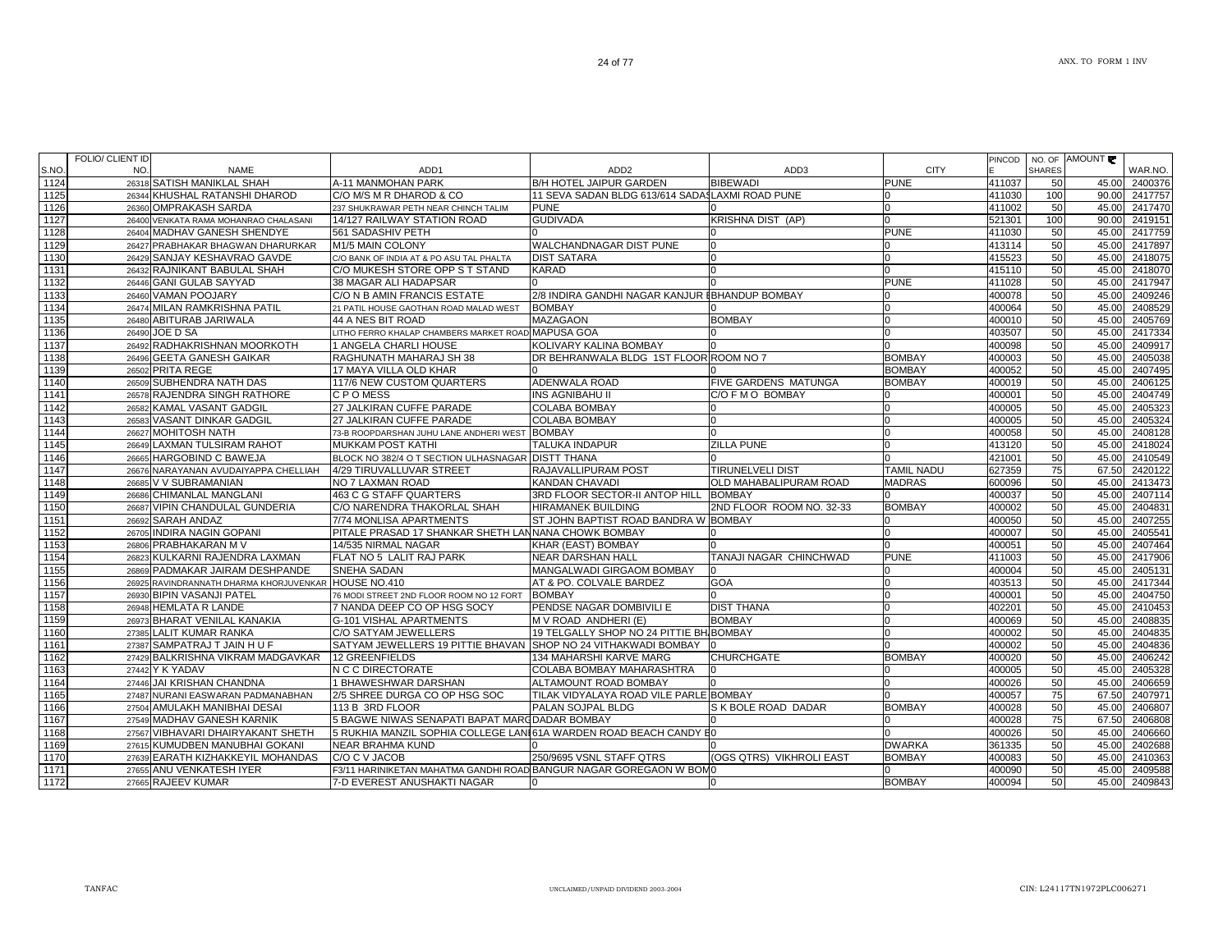| 1124<br>A-11 MANMOHAN PARK<br><b>B/H HOTEL JAIPUR GARDEN</b><br><b>BIBEWADI</b><br><b>PUNE</b><br>26318 SATISH MANIKLAL SHAH<br>411037<br>50<br>45.00 2400376<br>11 SEVA SADAN BLDG 613/614 SADASLAXMI ROAD PUNE<br>1125<br>26344 KHUSHAL RATANSHI DHAROD<br>C/O M/S M R DHAROD & CO<br>411030<br>100<br>90.00 2417757<br>n<br>1126<br>26360 OMPRAKASH SARDA<br><b>PUNE</b><br>411002<br>50<br>45.00 2417470<br>237 SHUKRAWAR PETH NEAR CHINCH TALIM<br><sup>n</sup><br><b>GUDIVADA</b><br><b>KRISHNA DIST (AP)</b><br>90.00 2419151<br>1127<br>26400 VENKATA RAMA MOHANRAO CHALASANI<br>14/127 RAILWAY STATION ROAD<br>$\Omega$<br>521301<br>100<br><b>PUNE</b><br>50<br>561 SADASHIV PETH<br>411030<br>45.00<br>1128<br>26404 MADHAV GANESH SHENDYE<br>M1/5 MAIN COLONY<br><b>WALCHANDNAGAR DIST PUNE</b><br>50<br>45.00<br>1129<br>26427 PRABHAKAR BHAGWAN DHARURKAR<br>413114<br><b>DIST SATARA</b><br>415523<br>50<br>45.00<br>1130<br>26429 SANJAY KESHAVRAO GAVDE<br>C/O BANK OF INDIA AT & PO ASU TAL PHALTA<br><sup>n</sup><br>26432 RAJNIKANT BABULAL SHAH<br>C/O MUKESH STORE OPP S T STAND<br><b>KARAD</b><br>50<br>45.00<br>1131<br>415110<br><b>PUNE</b><br>50<br>26446 GANI GULAB SAYYAD<br>411028<br>45.00<br>1132<br>38 MAGAR ALI HADAPSAR<br>1133<br>26460 VAMAN POOJARY<br>C/O N B AMIN FRANCIS ESTATE<br>2/8 INDIRA GANDHI NAGAR KANJUR IBHANDUP BOMBAY<br>400078<br>50<br>45.00<br>50<br>26474 MILAN RAMKRISHNA PATIL<br><b>BOMBAY</b><br>400064<br>45.00<br>1134<br>21 PATIL HOUSE GAOTHAN ROAD MALAD WEST<br>n<br><b>BOMBAY</b><br>26480 ABITURAB JARIWALA<br><b>MAZAGAON</b><br>400010<br>50<br>45.00<br>1135<br>44 A NES BIT ROAD<br>$\Omega$<br>50<br>LITHO FERRO KHALAP CHAMBERS MARKET ROAD MAPUSA GOA<br>$\Omega$<br>403507<br>1136<br>26490 JOE D SA<br>45.00<br>n<br>26492 RADHAKRISHNAN MOORKOTH<br>KOLIVARY KALINA BOMBAY<br>1137<br>1 ANGELA CHARLI HOUSE<br>400098<br>50<br>45.00<br>n<br>26496 GEETA GANESH GAIKAR<br>DR BEHRANWALA BLDG 1ST FLOOR ROOM NO 7<br><b>BOMBAY</b><br>50<br>1138<br>RAGHUNATH MAHARAJ SH 38<br>400003<br>45.00<br>1139<br>17 MAYA VILLA OLD KHAR<br><b>BOMBAY</b><br>400052<br>45.00 2407495<br>26502 PRITA REGE<br>50<br>26509 SUBHENDRA NATH DAS<br>117/6 NEW CUSTOM QUARTERS<br><b>ADENWALA ROAD</b><br><b>FIVE GARDENS MATUNGA</b><br><b>BOMBAY</b><br>400019<br>50<br>45.00<br>1140<br>1141<br>26578 RAJENDRA SINGH RATHORE<br>C P O MESS<br><b>INS AGNIBAHU II</b><br>C/O F M O BOMBAY<br>400001<br>50<br>45.00 2404749<br>27 JALKIRAN CUFFE PARADE<br>50<br>26582 KAMAL VASANT GADGIL<br><b>COLABA BOMBAY</b><br>400005<br>45.00<br>1142<br>1143<br>26583 VASANT DINKAR GADGIL<br>27 JALKIRAN CUFFE PARADE<br><b>COLABA BOMBAY</b><br>400005<br>50<br>45.00<br>50<br>1144<br>26627 MOHITOSH NATH<br>73-B ROOPDARSHAN JUHU LANE ANDHERI WEST BOMBAY<br>400058<br>45.00<br><b>ZILLA PUNE</b><br>45.00 2418024<br>1145<br>26649 LAXMAN TULSIRAM RAHOT<br><b>TALUKA INDAPUR</b><br>413120<br>50<br><b>MUKKAM POST KATHI</b><br>BLOCK NO 382/4 O T SECTION ULHASNAGAR DISTT THANA<br>421001<br>50<br>45.00<br>1146<br>26665 HARGOBIND C BAWEJA<br>RAJAVALLIPURAM POST<br>627359<br>75<br>1147<br>4/29 TIRUVALLUVAR STREET<br><b>TIRUNELVELI DIST</b><br><b>TAMIL NADU</b><br>67.50<br>26676 NARAYANAN AVUDAIYAPPA CHELLIAH<br><b>OLD MAHABALIPURAM ROAD</b><br><b>MADRAS</b><br>45.00 2413473<br>1148<br>26685 V V SUBRAMANIAN<br>NO 7 LAXMAN ROAD<br>KANDAN CHAVADI<br>600096<br>50<br><b>BOMBAY</b><br>1149<br>26686 CHIMANLAL MANGLANI<br>463 C G STAFF QUARTERS<br>3RD FLOOR SECTOR-II ANTOP HILL<br>400037<br>50<br>45.00<br>1150<br>26687 VIPIN CHANDULAL GUNDERIA<br>C/O NARENDRA THAKORLAL SHAH<br>2ND FLOOR ROOM NO. 32-33<br><b>BOMBAY</b><br>50<br>45.00<br><b>HIRAMANEK BUILDING</b><br>400002<br>1151<br>26692 SARAH ANDAZ<br>7/74 MONLISA APARTMENTS<br>ST JOHN BAPTIST ROAD BANDRA W BOMBAY<br>400050<br>50<br>45.00<br>1152<br>26705 INDIRA NAGIN GOPANI<br>PITALE PRASAD 17 SHANKAR SHETH LANNANA CHOWK BOMBAY<br>400007<br>50<br>45.00<br><sup>n</sup><br>1153<br>26806 PRABHAKARAN M V<br>14/535 NIRMAL NAGAR<br>KHAR (EAST) BOMBAY<br>400051<br>50<br>45.00<br><sup>0</sup><br>26823 KULKARNI RAJENDRA LAXMAN<br><b>NEAR DARSHAN HALL</b><br>TANAJI NAGAR CHINCHWAD<br><b>PUNE</b><br>50<br>45.00 2417906<br>1154<br>FLAT NO 5 LALIT RAJ PARK<br>411003<br>1155<br>26869 PADMAKAR JAIRAM DESHPANDE<br>SNEHA SADAN<br>MANGALWADI GIRGAOM BOMBAY<br>400004<br>50<br>45.00 2405131<br>n<br>1156<br>26925 RAVINDRANNATH DHARMA KHORJUVENKAR HOUSE NO.410<br>AT & PO. COLVALE BARDEZ<br><b>GOA</b><br>403513<br>50<br>45.00 2417344<br>$\Omega$<br>1157<br>26930 BIPIN VASANJI PATEL<br>76 MODI STREET 2ND FLOOR ROOM NO 12 FORT<br><b>BOMBAY</b><br>400001<br>50<br>45.00<br>$\Omega$<br>PENDSE NAGAR DOMBIVILI E<br><b>DIST THANA</b><br>50<br>45.00<br>1158<br>26948 HEMLATA R LANDE<br>7 NANDA DEEP CO OP HSG SOCY<br>$\Omega$<br>402201<br>26973 BHARAT VENILAL KANAKIA<br><b>BOMBAY</b><br>50<br>45.00 2408835<br>1159<br>G-101 VISHAL APARTMENTS<br>M V ROAD ANDHERI (E)<br><sup>0</sup><br>400069<br>27385 LALIT KUMAR RANKA<br>C/O SATYAM JEWELLERS<br>19 TELGALLY SHOP NO 24 PITTIE BH BOMBAY<br>$\Omega$<br>50<br>45.00<br>1160<br>400002<br>SATYAM JEWELLERS 19 PITTIE BHAVAN SHOP NO 24 VITHAKWADI BOMBAY<br>50<br>27387 SAMPATRAJ T JAIN H U F<br>400002<br>45.00<br>1161<br><b>BOMBAY</b><br>27429 BALKRISHNA VIKRAM MADGAVKAR<br>12 GREENFIELDS<br>134 MAHARSHI KARVE MARG<br><b>CHURCHGATE</b><br>50<br>45.00<br>1162<br>400020<br>N C C DIRECTORATE<br>50<br>1163<br>27442 Y K YADAV<br>COLABA BOMBAY MAHARASHTRA<br>400005<br>45.00<br>27446 JAI KRISHAN CHANDNA<br>1 BHAWESHWAR DARSHAN<br>1164<br>ALTAMOUNT ROAD BOMBAY<br>400026<br>50<br>45.00<br>n<br>2/5 SHREE DURGA CO OP HSG SOC<br>TILAK VIDYALAYA ROAD VILE PARLE BOMBAY<br>75<br>1165<br>400057<br>67.50<br>27487 NURANI EASWARAN PADMANABHAN<br>$\Omega$<br>27504 AMULAKH MANIBHAI DESAI<br>113 B 3RD FLOOR<br><b>PALAN SOJPAL BLDG</b><br>S K BOLE ROAD DADAR<br><b>BOMBAY</b><br>50<br>1166<br>400028<br>45.00<br>75<br>27549 MADHAV GANESH KARNIK<br>5 BAGWE NIWAS SENAPATI BAPAT MARCDADAR BOMBAY<br>400028<br>67.50<br>1167<br>n<br>5 RUKHIA MANZIL SOPHIA COLLEGE LANI61A WARDEN ROAD BEACH CANDY E0<br>1168<br>27567 VIBHAVARI DHAIRYAKANT SHETH<br>400026<br>50<br>45.00<br>$\Omega$<br>1169<br>27615 KUMUDBEN MANUBHAI GOKANI<br><b>NEAR BRAHMA KUND</b><br><b>DWARKA</b><br>361335<br>50<br>45.00<br>27639 EARATH KIZHAKKEYIL MOHANDAS<br>C/O C V JACOB<br>250/9695 VSNL STAFF QTRS<br>(OGS QTRS) VIKHROLI EAST<br><b>BOMBAY</b><br>50<br>45.00 2410363<br>1170<br>400083<br>1171<br>27655 ANU VENKATESH IYER<br>F3/11 HARINIKETAN MAHATMA GANDHI ROAD BANGUR NAGAR GOREGAON W BOM0<br>400090<br>50<br>45.00<br>1172<br>27665 RAJEEV KUMAR<br>7-D EVEREST ANUSHAKTI NAGAR<br><b>BOMBAY</b><br>400094<br>50<br>45.00 2409843<br>0 | S.NO. | NO. | NAME | ADD <sub>1</sub> | ADD2 | ADD3 | <b>CITY</b> | <b>SHARES</b> | WAR.NO. |
|-----------------------------------------------------------------------------------------------------------------------------------------------------------------------------------------------------------------------------------------------------------------------------------------------------------------------------------------------------------------------------------------------------------------------------------------------------------------------------------------------------------------------------------------------------------------------------------------------------------------------------------------------------------------------------------------------------------------------------------------------------------------------------------------------------------------------------------------------------------------------------------------------------------------------------------------------------------------------------------------------------------------------------------------------------------------------------------------------------------------------------------------------------------------------------------------------------------------------------------------------------------------------------------------------------------------------------------------------------------------------------------------------------------------------------------------------------------------------------------------------------------------------------------------------------------------------------------------------------------------------------------------------------------------------------------------------------------------------------------------------------------------------------------------------------------------------------------------------------------------------------------------------------------------------------------------------------------------------------------------------------------------------------------------------------------------------------------------------------------------------------------------------------------------------------------------------------------------------------------------------------------------------------------------------------------------------------------------------------------------------------------------------------------------------------------------------------------------------------------------------------------------------------------------------------------------------------------------------------------------------------------------------------------------------------------------------------------------------------------------------------------------------------------------------------------------------------------------------------------------------------------------------------------------------------------------------------------------------------------------------------------------------------------------------------------------------------------------------------------------------------------------------------------------------------------------------------------------------------------------------------------------------------------------------------------------------------------------------------------------------------------------------------------------------------------------------------------------------------------------------------------------------------------------------------------------------------------------------------------------------------------------------------------------------------------------------------------------------------------------------------------------------------------------------------------------------------------------------------------------------------------------------------------------------------------------------------------------------------------------------------------------------------------------------------------------------------------------------------------------------------------------------------------------------------------------------------------------------------------------------------------------------------------------------------------------------------------------------------------------------------------------------------------------------------------------------------------------------------------------------------------------------------------------------------------------------------------------------------------------------------------------------------------------------------------------------------------------------------------------------------------------------------------------------------------------------------------------------------------------------------------------------------------------------------------------------------------------------------------------------------------------------------------------------------------------------------------------------------------------------------------------------------------------------------------------------------------------------------------------------------------------------------------------------------------------------------------------------------------------------------------------------------------------------------------------------------------------------------------------------------------------------------------------------------------------------------------------------------------------------------------------------------------------------------------------------------------------------------------------------------------------------------------------------------------------------------------------------------------------------------------------------------------------------------------------------------------------------------------------------------------------------------------------------------------------------------------------------------------------------------------------------------------------------------------------------------------------------------------------------------------------------------------------------------------------------------------------------------------------------------------------------------------------------------------------------------------------------------------------------------------------------------------------------------------------------------------------------------------------------------------------------------------------------------------------------------------------------------------------------------------------------------------------------------------------------------------------------------------------------------------------------------------|-------|-----|------|------------------|------|------|-------------|---------------|---------|
|                                                                                                                                                                                                                                                                                                                                                                                                                                                                                                                                                                                                                                                                                                                                                                                                                                                                                                                                                                                                                                                                                                                                                                                                                                                                                                                                                                                                                                                                                                                                                                                                                                                                                                                                                                                                                                                                                                                                                                                                                                                                                                                                                                                                                                                                                                                                                                                                                                                                                                                                                                                                                                                                                                                                                                                                                                                                                                                                                                                                                                                                                                                                                                                                                                                                                                                                                                                                                                                                                                                                                                                                                                                                                                                                                                                                                                                                                                                                                                                                                                                                                                                                                                                                                                                                                                                                                                                                                                                                                                                                                                                                                                                                                                                                                                                                                                                                                                                                                                                                                                                                                                                                                                                                                                                                                                                                                                                                                                                                                                                                                                                                                                                                                                                                                                                                                                                                                                                                                                                                                                                                                                                                                                                                                                                                                                                                                                                                                                                                                                                                                                                                                                                                                                                                                                                                                                                                                                           |       |     |      |                  |      |      |             |               |         |
|                                                                                                                                                                                                                                                                                                                                                                                                                                                                                                                                                                                                                                                                                                                                                                                                                                                                                                                                                                                                                                                                                                                                                                                                                                                                                                                                                                                                                                                                                                                                                                                                                                                                                                                                                                                                                                                                                                                                                                                                                                                                                                                                                                                                                                                                                                                                                                                                                                                                                                                                                                                                                                                                                                                                                                                                                                                                                                                                                                                                                                                                                                                                                                                                                                                                                                                                                                                                                                                                                                                                                                                                                                                                                                                                                                                                                                                                                                                                                                                                                                                                                                                                                                                                                                                                                                                                                                                                                                                                                                                                                                                                                                                                                                                                                                                                                                                                                                                                                                                                                                                                                                                                                                                                                                                                                                                                                                                                                                                                                                                                                                                                                                                                                                                                                                                                                                                                                                                                                                                                                                                                                                                                                                                                                                                                                                                                                                                                                                                                                                                                                                                                                                                                                                                                                                                                                                                                                                           |       |     |      |                  |      |      |             |               |         |
|                                                                                                                                                                                                                                                                                                                                                                                                                                                                                                                                                                                                                                                                                                                                                                                                                                                                                                                                                                                                                                                                                                                                                                                                                                                                                                                                                                                                                                                                                                                                                                                                                                                                                                                                                                                                                                                                                                                                                                                                                                                                                                                                                                                                                                                                                                                                                                                                                                                                                                                                                                                                                                                                                                                                                                                                                                                                                                                                                                                                                                                                                                                                                                                                                                                                                                                                                                                                                                                                                                                                                                                                                                                                                                                                                                                                                                                                                                                                                                                                                                                                                                                                                                                                                                                                                                                                                                                                                                                                                                                                                                                                                                                                                                                                                                                                                                                                                                                                                                                                                                                                                                                                                                                                                                                                                                                                                                                                                                                                                                                                                                                                                                                                                                                                                                                                                                                                                                                                                                                                                                                                                                                                                                                                                                                                                                                                                                                                                                                                                                                                                                                                                                                                                                                                                                                                                                                                                                           |       |     |      |                  |      |      |             |               |         |
|                                                                                                                                                                                                                                                                                                                                                                                                                                                                                                                                                                                                                                                                                                                                                                                                                                                                                                                                                                                                                                                                                                                                                                                                                                                                                                                                                                                                                                                                                                                                                                                                                                                                                                                                                                                                                                                                                                                                                                                                                                                                                                                                                                                                                                                                                                                                                                                                                                                                                                                                                                                                                                                                                                                                                                                                                                                                                                                                                                                                                                                                                                                                                                                                                                                                                                                                                                                                                                                                                                                                                                                                                                                                                                                                                                                                                                                                                                                                                                                                                                                                                                                                                                                                                                                                                                                                                                                                                                                                                                                                                                                                                                                                                                                                                                                                                                                                                                                                                                                                                                                                                                                                                                                                                                                                                                                                                                                                                                                                                                                                                                                                                                                                                                                                                                                                                                                                                                                                                                                                                                                                                                                                                                                                                                                                                                                                                                                                                                                                                                                                                                                                                                                                                                                                                                                                                                                                                                           |       |     |      |                  |      |      |             |               |         |
|                                                                                                                                                                                                                                                                                                                                                                                                                                                                                                                                                                                                                                                                                                                                                                                                                                                                                                                                                                                                                                                                                                                                                                                                                                                                                                                                                                                                                                                                                                                                                                                                                                                                                                                                                                                                                                                                                                                                                                                                                                                                                                                                                                                                                                                                                                                                                                                                                                                                                                                                                                                                                                                                                                                                                                                                                                                                                                                                                                                                                                                                                                                                                                                                                                                                                                                                                                                                                                                                                                                                                                                                                                                                                                                                                                                                                                                                                                                                                                                                                                                                                                                                                                                                                                                                                                                                                                                                                                                                                                                                                                                                                                                                                                                                                                                                                                                                                                                                                                                                                                                                                                                                                                                                                                                                                                                                                                                                                                                                                                                                                                                                                                                                                                                                                                                                                                                                                                                                                                                                                                                                                                                                                                                                                                                                                                                                                                                                                                                                                                                                                                                                                                                                                                                                                                                                                                                                                                           |       |     |      |                  |      |      |             |               | 2417759 |
|                                                                                                                                                                                                                                                                                                                                                                                                                                                                                                                                                                                                                                                                                                                                                                                                                                                                                                                                                                                                                                                                                                                                                                                                                                                                                                                                                                                                                                                                                                                                                                                                                                                                                                                                                                                                                                                                                                                                                                                                                                                                                                                                                                                                                                                                                                                                                                                                                                                                                                                                                                                                                                                                                                                                                                                                                                                                                                                                                                                                                                                                                                                                                                                                                                                                                                                                                                                                                                                                                                                                                                                                                                                                                                                                                                                                                                                                                                                                                                                                                                                                                                                                                                                                                                                                                                                                                                                                                                                                                                                                                                                                                                                                                                                                                                                                                                                                                                                                                                                                                                                                                                                                                                                                                                                                                                                                                                                                                                                                                                                                                                                                                                                                                                                                                                                                                                                                                                                                                                                                                                                                                                                                                                                                                                                                                                                                                                                                                                                                                                                                                                                                                                                                                                                                                                                                                                                                                                           |       |     |      |                  |      |      |             |               | 2417897 |
|                                                                                                                                                                                                                                                                                                                                                                                                                                                                                                                                                                                                                                                                                                                                                                                                                                                                                                                                                                                                                                                                                                                                                                                                                                                                                                                                                                                                                                                                                                                                                                                                                                                                                                                                                                                                                                                                                                                                                                                                                                                                                                                                                                                                                                                                                                                                                                                                                                                                                                                                                                                                                                                                                                                                                                                                                                                                                                                                                                                                                                                                                                                                                                                                                                                                                                                                                                                                                                                                                                                                                                                                                                                                                                                                                                                                                                                                                                                                                                                                                                                                                                                                                                                                                                                                                                                                                                                                                                                                                                                                                                                                                                                                                                                                                                                                                                                                                                                                                                                                                                                                                                                                                                                                                                                                                                                                                                                                                                                                                                                                                                                                                                                                                                                                                                                                                                                                                                                                                                                                                                                                                                                                                                                                                                                                                                                                                                                                                                                                                                                                                                                                                                                                                                                                                                                                                                                                                                           |       |     |      |                  |      |      |             |               | 2418075 |
|                                                                                                                                                                                                                                                                                                                                                                                                                                                                                                                                                                                                                                                                                                                                                                                                                                                                                                                                                                                                                                                                                                                                                                                                                                                                                                                                                                                                                                                                                                                                                                                                                                                                                                                                                                                                                                                                                                                                                                                                                                                                                                                                                                                                                                                                                                                                                                                                                                                                                                                                                                                                                                                                                                                                                                                                                                                                                                                                                                                                                                                                                                                                                                                                                                                                                                                                                                                                                                                                                                                                                                                                                                                                                                                                                                                                                                                                                                                                                                                                                                                                                                                                                                                                                                                                                                                                                                                                                                                                                                                                                                                                                                                                                                                                                                                                                                                                                                                                                                                                                                                                                                                                                                                                                                                                                                                                                                                                                                                                                                                                                                                                                                                                                                                                                                                                                                                                                                                                                                                                                                                                                                                                                                                                                                                                                                                                                                                                                                                                                                                                                                                                                                                                                                                                                                                                                                                                                                           |       |     |      |                  |      |      |             |               | 2418070 |
|                                                                                                                                                                                                                                                                                                                                                                                                                                                                                                                                                                                                                                                                                                                                                                                                                                                                                                                                                                                                                                                                                                                                                                                                                                                                                                                                                                                                                                                                                                                                                                                                                                                                                                                                                                                                                                                                                                                                                                                                                                                                                                                                                                                                                                                                                                                                                                                                                                                                                                                                                                                                                                                                                                                                                                                                                                                                                                                                                                                                                                                                                                                                                                                                                                                                                                                                                                                                                                                                                                                                                                                                                                                                                                                                                                                                                                                                                                                                                                                                                                                                                                                                                                                                                                                                                                                                                                                                                                                                                                                                                                                                                                                                                                                                                                                                                                                                                                                                                                                                                                                                                                                                                                                                                                                                                                                                                                                                                                                                                                                                                                                                                                                                                                                                                                                                                                                                                                                                                                                                                                                                                                                                                                                                                                                                                                                                                                                                                                                                                                                                                                                                                                                                                                                                                                                                                                                                                                           |       |     |      |                  |      |      |             |               | 2417947 |
|                                                                                                                                                                                                                                                                                                                                                                                                                                                                                                                                                                                                                                                                                                                                                                                                                                                                                                                                                                                                                                                                                                                                                                                                                                                                                                                                                                                                                                                                                                                                                                                                                                                                                                                                                                                                                                                                                                                                                                                                                                                                                                                                                                                                                                                                                                                                                                                                                                                                                                                                                                                                                                                                                                                                                                                                                                                                                                                                                                                                                                                                                                                                                                                                                                                                                                                                                                                                                                                                                                                                                                                                                                                                                                                                                                                                                                                                                                                                                                                                                                                                                                                                                                                                                                                                                                                                                                                                                                                                                                                                                                                                                                                                                                                                                                                                                                                                                                                                                                                                                                                                                                                                                                                                                                                                                                                                                                                                                                                                                                                                                                                                                                                                                                                                                                                                                                                                                                                                                                                                                                                                                                                                                                                                                                                                                                                                                                                                                                                                                                                                                                                                                                                                                                                                                                                                                                                                                                           |       |     |      |                  |      |      |             |               | 2409246 |
|                                                                                                                                                                                                                                                                                                                                                                                                                                                                                                                                                                                                                                                                                                                                                                                                                                                                                                                                                                                                                                                                                                                                                                                                                                                                                                                                                                                                                                                                                                                                                                                                                                                                                                                                                                                                                                                                                                                                                                                                                                                                                                                                                                                                                                                                                                                                                                                                                                                                                                                                                                                                                                                                                                                                                                                                                                                                                                                                                                                                                                                                                                                                                                                                                                                                                                                                                                                                                                                                                                                                                                                                                                                                                                                                                                                                                                                                                                                                                                                                                                                                                                                                                                                                                                                                                                                                                                                                                                                                                                                                                                                                                                                                                                                                                                                                                                                                                                                                                                                                                                                                                                                                                                                                                                                                                                                                                                                                                                                                                                                                                                                                                                                                                                                                                                                                                                                                                                                                                                                                                                                                                                                                                                                                                                                                                                                                                                                                                                                                                                                                                                                                                                                                                                                                                                                                                                                                                                           |       |     |      |                  |      |      |             |               | 2408529 |
|                                                                                                                                                                                                                                                                                                                                                                                                                                                                                                                                                                                                                                                                                                                                                                                                                                                                                                                                                                                                                                                                                                                                                                                                                                                                                                                                                                                                                                                                                                                                                                                                                                                                                                                                                                                                                                                                                                                                                                                                                                                                                                                                                                                                                                                                                                                                                                                                                                                                                                                                                                                                                                                                                                                                                                                                                                                                                                                                                                                                                                                                                                                                                                                                                                                                                                                                                                                                                                                                                                                                                                                                                                                                                                                                                                                                                                                                                                                                                                                                                                                                                                                                                                                                                                                                                                                                                                                                                                                                                                                                                                                                                                                                                                                                                                                                                                                                                                                                                                                                                                                                                                                                                                                                                                                                                                                                                                                                                                                                                                                                                                                                                                                                                                                                                                                                                                                                                                                                                                                                                                                                                                                                                                                                                                                                                                                                                                                                                                                                                                                                                                                                                                                                                                                                                                                                                                                                                                           |       |     |      |                  |      |      |             |               | 2405769 |
|                                                                                                                                                                                                                                                                                                                                                                                                                                                                                                                                                                                                                                                                                                                                                                                                                                                                                                                                                                                                                                                                                                                                                                                                                                                                                                                                                                                                                                                                                                                                                                                                                                                                                                                                                                                                                                                                                                                                                                                                                                                                                                                                                                                                                                                                                                                                                                                                                                                                                                                                                                                                                                                                                                                                                                                                                                                                                                                                                                                                                                                                                                                                                                                                                                                                                                                                                                                                                                                                                                                                                                                                                                                                                                                                                                                                                                                                                                                                                                                                                                                                                                                                                                                                                                                                                                                                                                                                                                                                                                                                                                                                                                                                                                                                                                                                                                                                                                                                                                                                                                                                                                                                                                                                                                                                                                                                                                                                                                                                                                                                                                                                                                                                                                                                                                                                                                                                                                                                                                                                                                                                                                                                                                                                                                                                                                                                                                                                                                                                                                                                                                                                                                                                                                                                                                                                                                                                                                           |       |     |      |                  |      |      |             |               | 2417334 |
|                                                                                                                                                                                                                                                                                                                                                                                                                                                                                                                                                                                                                                                                                                                                                                                                                                                                                                                                                                                                                                                                                                                                                                                                                                                                                                                                                                                                                                                                                                                                                                                                                                                                                                                                                                                                                                                                                                                                                                                                                                                                                                                                                                                                                                                                                                                                                                                                                                                                                                                                                                                                                                                                                                                                                                                                                                                                                                                                                                                                                                                                                                                                                                                                                                                                                                                                                                                                                                                                                                                                                                                                                                                                                                                                                                                                                                                                                                                                                                                                                                                                                                                                                                                                                                                                                                                                                                                                                                                                                                                                                                                                                                                                                                                                                                                                                                                                                                                                                                                                                                                                                                                                                                                                                                                                                                                                                                                                                                                                                                                                                                                                                                                                                                                                                                                                                                                                                                                                                                                                                                                                                                                                                                                                                                                                                                                                                                                                                                                                                                                                                                                                                                                                                                                                                                                                                                                                                                           |       |     |      |                  |      |      |             |               | 2409917 |
|                                                                                                                                                                                                                                                                                                                                                                                                                                                                                                                                                                                                                                                                                                                                                                                                                                                                                                                                                                                                                                                                                                                                                                                                                                                                                                                                                                                                                                                                                                                                                                                                                                                                                                                                                                                                                                                                                                                                                                                                                                                                                                                                                                                                                                                                                                                                                                                                                                                                                                                                                                                                                                                                                                                                                                                                                                                                                                                                                                                                                                                                                                                                                                                                                                                                                                                                                                                                                                                                                                                                                                                                                                                                                                                                                                                                                                                                                                                                                                                                                                                                                                                                                                                                                                                                                                                                                                                                                                                                                                                                                                                                                                                                                                                                                                                                                                                                                                                                                                                                                                                                                                                                                                                                                                                                                                                                                                                                                                                                                                                                                                                                                                                                                                                                                                                                                                                                                                                                                                                                                                                                                                                                                                                                                                                                                                                                                                                                                                                                                                                                                                                                                                                                                                                                                                                                                                                                                                           |       |     |      |                  |      |      |             |               | 2405038 |
|                                                                                                                                                                                                                                                                                                                                                                                                                                                                                                                                                                                                                                                                                                                                                                                                                                                                                                                                                                                                                                                                                                                                                                                                                                                                                                                                                                                                                                                                                                                                                                                                                                                                                                                                                                                                                                                                                                                                                                                                                                                                                                                                                                                                                                                                                                                                                                                                                                                                                                                                                                                                                                                                                                                                                                                                                                                                                                                                                                                                                                                                                                                                                                                                                                                                                                                                                                                                                                                                                                                                                                                                                                                                                                                                                                                                                                                                                                                                                                                                                                                                                                                                                                                                                                                                                                                                                                                                                                                                                                                                                                                                                                                                                                                                                                                                                                                                                                                                                                                                                                                                                                                                                                                                                                                                                                                                                                                                                                                                                                                                                                                                                                                                                                                                                                                                                                                                                                                                                                                                                                                                                                                                                                                                                                                                                                                                                                                                                                                                                                                                                                                                                                                                                                                                                                                                                                                                                                           |       |     |      |                  |      |      |             |               |         |
|                                                                                                                                                                                                                                                                                                                                                                                                                                                                                                                                                                                                                                                                                                                                                                                                                                                                                                                                                                                                                                                                                                                                                                                                                                                                                                                                                                                                                                                                                                                                                                                                                                                                                                                                                                                                                                                                                                                                                                                                                                                                                                                                                                                                                                                                                                                                                                                                                                                                                                                                                                                                                                                                                                                                                                                                                                                                                                                                                                                                                                                                                                                                                                                                                                                                                                                                                                                                                                                                                                                                                                                                                                                                                                                                                                                                                                                                                                                                                                                                                                                                                                                                                                                                                                                                                                                                                                                                                                                                                                                                                                                                                                                                                                                                                                                                                                                                                                                                                                                                                                                                                                                                                                                                                                                                                                                                                                                                                                                                                                                                                                                                                                                                                                                                                                                                                                                                                                                                                                                                                                                                                                                                                                                                                                                                                                                                                                                                                                                                                                                                                                                                                                                                                                                                                                                                                                                                                                           |       |     |      |                  |      |      |             |               | 2406125 |
|                                                                                                                                                                                                                                                                                                                                                                                                                                                                                                                                                                                                                                                                                                                                                                                                                                                                                                                                                                                                                                                                                                                                                                                                                                                                                                                                                                                                                                                                                                                                                                                                                                                                                                                                                                                                                                                                                                                                                                                                                                                                                                                                                                                                                                                                                                                                                                                                                                                                                                                                                                                                                                                                                                                                                                                                                                                                                                                                                                                                                                                                                                                                                                                                                                                                                                                                                                                                                                                                                                                                                                                                                                                                                                                                                                                                                                                                                                                                                                                                                                                                                                                                                                                                                                                                                                                                                                                                                                                                                                                                                                                                                                                                                                                                                                                                                                                                                                                                                                                                                                                                                                                                                                                                                                                                                                                                                                                                                                                                                                                                                                                                                                                                                                                                                                                                                                                                                                                                                                                                                                                                                                                                                                                                                                                                                                                                                                                                                                                                                                                                                                                                                                                                                                                                                                                                                                                                                                           |       |     |      |                  |      |      |             |               |         |
|                                                                                                                                                                                                                                                                                                                                                                                                                                                                                                                                                                                                                                                                                                                                                                                                                                                                                                                                                                                                                                                                                                                                                                                                                                                                                                                                                                                                                                                                                                                                                                                                                                                                                                                                                                                                                                                                                                                                                                                                                                                                                                                                                                                                                                                                                                                                                                                                                                                                                                                                                                                                                                                                                                                                                                                                                                                                                                                                                                                                                                                                                                                                                                                                                                                                                                                                                                                                                                                                                                                                                                                                                                                                                                                                                                                                                                                                                                                                                                                                                                                                                                                                                                                                                                                                                                                                                                                                                                                                                                                                                                                                                                                                                                                                                                                                                                                                                                                                                                                                                                                                                                                                                                                                                                                                                                                                                                                                                                                                                                                                                                                                                                                                                                                                                                                                                                                                                                                                                                                                                                                                                                                                                                                                                                                                                                                                                                                                                                                                                                                                                                                                                                                                                                                                                                                                                                                                                                           |       |     |      |                  |      |      |             |               | 2405323 |
|                                                                                                                                                                                                                                                                                                                                                                                                                                                                                                                                                                                                                                                                                                                                                                                                                                                                                                                                                                                                                                                                                                                                                                                                                                                                                                                                                                                                                                                                                                                                                                                                                                                                                                                                                                                                                                                                                                                                                                                                                                                                                                                                                                                                                                                                                                                                                                                                                                                                                                                                                                                                                                                                                                                                                                                                                                                                                                                                                                                                                                                                                                                                                                                                                                                                                                                                                                                                                                                                                                                                                                                                                                                                                                                                                                                                                                                                                                                                                                                                                                                                                                                                                                                                                                                                                                                                                                                                                                                                                                                                                                                                                                                                                                                                                                                                                                                                                                                                                                                                                                                                                                                                                                                                                                                                                                                                                                                                                                                                                                                                                                                                                                                                                                                                                                                                                                                                                                                                                                                                                                                                                                                                                                                                                                                                                                                                                                                                                                                                                                                                                                                                                                                                                                                                                                                                                                                                                                           |       |     |      |                  |      |      |             |               | 2405324 |
|                                                                                                                                                                                                                                                                                                                                                                                                                                                                                                                                                                                                                                                                                                                                                                                                                                                                                                                                                                                                                                                                                                                                                                                                                                                                                                                                                                                                                                                                                                                                                                                                                                                                                                                                                                                                                                                                                                                                                                                                                                                                                                                                                                                                                                                                                                                                                                                                                                                                                                                                                                                                                                                                                                                                                                                                                                                                                                                                                                                                                                                                                                                                                                                                                                                                                                                                                                                                                                                                                                                                                                                                                                                                                                                                                                                                                                                                                                                                                                                                                                                                                                                                                                                                                                                                                                                                                                                                                                                                                                                                                                                                                                                                                                                                                                                                                                                                                                                                                                                                                                                                                                                                                                                                                                                                                                                                                                                                                                                                                                                                                                                                                                                                                                                                                                                                                                                                                                                                                                                                                                                                                                                                                                                                                                                                                                                                                                                                                                                                                                                                                                                                                                                                                                                                                                                                                                                                                                           |       |     |      |                  |      |      |             |               | 2408128 |
|                                                                                                                                                                                                                                                                                                                                                                                                                                                                                                                                                                                                                                                                                                                                                                                                                                                                                                                                                                                                                                                                                                                                                                                                                                                                                                                                                                                                                                                                                                                                                                                                                                                                                                                                                                                                                                                                                                                                                                                                                                                                                                                                                                                                                                                                                                                                                                                                                                                                                                                                                                                                                                                                                                                                                                                                                                                                                                                                                                                                                                                                                                                                                                                                                                                                                                                                                                                                                                                                                                                                                                                                                                                                                                                                                                                                                                                                                                                                                                                                                                                                                                                                                                                                                                                                                                                                                                                                                                                                                                                                                                                                                                                                                                                                                                                                                                                                                                                                                                                                                                                                                                                                                                                                                                                                                                                                                                                                                                                                                                                                                                                                                                                                                                                                                                                                                                                                                                                                                                                                                                                                                                                                                                                                                                                                                                                                                                                                                                                                                                                                                                                                                                                                                                                                                                                                                                                                                                           |       |     |      |                  |      |      |             |               |         |
|                                                                                                                                                                                                                                                                                                                                                                                                                                                                                                                                                                                                                                                                                                                                                                                                                                                                                                                                                                                                                                                                                                                                                                                                                                                                                                                                                                                                                                                                                                                                                                                                                                                                                                                                                                                                                                                                                                                                                                                                                                                                                                                                                                                                                                                                                                                                                                                                                                                                                                                                                                                                                                                                                                                                                                                                                                                                                                                                                                                                                                                                                                                                                                                                                                                                                                                                                                                                                                                                                                                                                                                                                                                                                                                                                                                                                                                                                                                                                                                                                                                                                                                                                                                                                                                                                                                                                                                                                                                                                                                                                                                                                                                                                                                                                                                                                                                                                                                                                                                                                                                                                                                                                                                                                                                                                                                                                                                                                                                                                                                                                                                                                                                                                                                                                                                                                                                                                                                                                                                                                                                                                                                                                                                                                                                                                                                                                                                                                                                                                                                                                                                                                                                                                                                                                                                                                                                                                                           |       |     |      |                  |      |      |             |               | 2410549 |
|                                                                                                                                                                                                                                                                                                                                                                                                                                                                                                                                                                                                                                                                                                                                                                                                                                                                                                                                                                                                                                                                                                                                                                                                                                                                                                                                                                                                                                                                                                                                                                                                                                                                                                                                                                                                                                                                                                                                                                                                                                                                                                                                                                                                                                                                                                                                                                                                                                                                                                                                                                                                                                                                                                                                                                                                                                                                                                                                                                                                                                                                                                                                                                                                                                                                                                                                                                                                                                                                                                                                                                                                                                                                                                                                                                                                                                                                                                                                                                                                                                                                                                                                                                                                                                                                                                                                                                                                                                                                                                                                                                                                                                                                                                                                                                                                                                                                                                                                                                                                                                                                                                                                                                                                                                                                                                                                                                                                                                                                                                                                                                                                                                                                                                                                                                                                                                                                                                                                                                                                                                                                                                                                                                                                                                                                                                                                                                                                                                                                                                                                                                                                                                                                                                                                                                                                                                                                                                           |       |     |      |                  |      |      |             |               | 2420122 |
|                                                                                                                                                                                                                                                                                                                                                                                                                                                                                                                                                                                                                                                                                                                                                                                                                                                                                                                                                                                                                                                                                                                                                                                                                                                                                                                                                                                                                                                                                                                                                                                                                                                                                                                                                                                                                                                                                                                                                                                                                                                                                                                                                                                                                                                                                                                                                                                                                                                                                                                                                                                                                                                                                                                                                                                                                                                                                                                                                                                                                                                                                                                                                                                                                                                                                                                                                                                                                                                                                                                                                                                                                                                                                                                                                                                                                                                                                                                                                                                                                                                                                                                                                                                                                                                                                                                                                                                                                                                                                                                                                                                                                                                                                                                                                                                                                                                                                                                                                                                                                                                                                                                                                                                                                                                                                                                                                                                                                                                                                                                                                                                                                                                                                                                                                                                                                                                                                                                                                                                                                                                                                                                                                                                                                                                                                                                                                                                                                                                                                                                                                                                                                                                                                                                                                                                                                                                                                                           |       |     |      |                  |      |      |             |               |         |
|                                                                                                                                                                                                                                                                                                                                                                                                                                                                                                                                                                                                                                                                                                                                                                                                                                                                                                                                                                                                                                                                                                                                                                                                                                                                                                                                                                                                                                                                                                                                                                                                                                                                                                                                                                                                                                                                                                                                                                                                                                                                                                                                                                                                                                                                                                                                                                                                                                                                                                                                                                                                                                                                                                                                                                                                                                                                                                                                                                                                                                                                                                                                                                                                                                                                                                                                                                                                                                                                                                                                                                                                                                                                                                                                                                                                                                                                                                                                                                                                                                                                                                                                                                                                                                                                                                                                                                                                                                                                                                                                                                                                                                                                                                                                                                                                                                                                                                                                                                                                                                                                                                                                                                                                                                                                                                                                                                                                                                                                                                                                                                                                                                                                                                                                                                                                                                                                                                                                                                                                                                                                                                                                                                                                                                                                                                                                                                                                                                                                                                                                                                                                                                                                                                                                                                                                                                                                                                           |       |     |      |                  |      |      |             |               | 2407114 |
|                                                                                                                                                                                                                                                                                                                                                                                                                                                                                                                                                                                                                                                                                                                                                                                                                                                                                                                                                                                                                                                                                                                                                                                                                                                                                                                                                                                                                                                                                                                                                                                                                                                                                                                                                                                                                                                                                                                                                                                                                                                                                                                                                                                                                                                                                                                                                                                                                                                                                                                                                                                                                                                                                                                                                                                                                                                                                                                                                                                                                                                                                                                                                                                                                                                                                                                                                                                                                                                                                                                                                                                                                                                                                                                                                                                                                                                                                                                                                                                                                                                                                                                                                                                                                                                                                                                                                                                                                                                                                                                                                                                                                                                                                                                                                                                                                                                                                                                                                                                                                                                                                                                                                                                                                                                                                                                                                                                                                                                                                                                                                                                                                                                                                                                                                                                                                                                                                                                                                                                                                                                                                                                                                                                                                                                                                                                                                                                                                                                                                                                                                                                                                                                                                                                                                                                                                                                                                                           |       |     |      |                  |      |      |             |               | 2404831 |
|                                                                                                                                                                                                                                                                                                                                                                                                                                                                                                                                                                                                                                                                                                                                                                                                                                                                                                                                                                                                                                                                                                                                                                                                                                                                                                                                                                                                                                                                                                                                                                                                                                                                                                                                                                                                                                                                                                                                                                                                                                                                                                                                                                                                                                                                                                                                                                                                                                                                                                                                                                                                                                                                                                                                                                                                                                                                                                                                                                                                                                                                                                                                                                                                                                                                                                                                                                                                                                                                                                                                                                                                                                                                                                                                                                                                                                                                                                                                                                                                                                                                                                                                                                                                                                                                                                                                                                                                                                                                                                                                                                                                                                                                                                                                                                                                                                                                                                                                                                                                                                                                                                                                                                                                                                                                                                                                                                                                                                                                                                                                                                                                                                                                                                                                                                                                                                                                                                                                                                                                                                                                                                                                                                                                                                                                                                                                                                                                                                                                                                                                                                                                                                                                                                                                                                                                                                                                                                           |       |     |      |                  |      |      |             |               | 2407255 |
|                                                                                                                                                                                                                                                                                                                                                                                                                                                                                                                                                                                                                                                                                                                                                                                                                                                                                                                                                                                                                                                                                                                                                                                                                                                                                                                                                                                                                                                                                                                                                                                                                                                                                                                                                                                                                                                                                                                                                                                                                                                                                                                                                                                                                                                                                                                                                                                                                                                                                                                                                                                                                                                                                                                                                                                                                                                                                                                                                                                                                                                                                                                                                                                                                                                                                                                                                                                                                                                                                                                                                                                                                                                                                                                                                                                                                                                                                                                                                                                                                                                                                                                                                                                                                                                                                                                                                                                                                                                                                                                                                                                                                                                                                                                                                                                                                                                                                                                                                                                                                                                                                                                                                                                                                                                                                                                                                                                                                                                                                                                                                                                                                                                                                                                                                                                                                                                                                                                                                                                                                                                                                                                                                                                                                                                                                                                                                                                                                                                                                                                                                                                                                                                                                                                                                                                                                                                                                                           |       |     |      |                  |      |      |             |               | 2405541 |
|                                                                                                                                                                                                                                                                                                                                                                                                                                                                                                                                                                                                                                                                                                                                                                                                                                                                                                                                                                                                                                                                                                                                                                                                                                                                                                                                                                                                                                                                                                                                                                                                                                                                                                                                                                                                                                                                                                                                                                                                                                                                                                                                                                                                                                                                                                                                                                                                                                                                                                                                                                                                                                                                                                                                                                                                                                                                                                                                                                                                                                                                                                                                                                                                                                                                                                                                                                                                                                                                                                                                                                                                                                                                                                                                                                                                                                                                                                                                                                                                                                                                                                                                                                                                                                                                                                                                                                                                                                                                                                                                                                                                                                                                                                                                                                                                                                                                                                                                                                                                                                                                                                                                                                                                                                                                                                                                                                                                                                                                                                                                                                                                                                                                                                                                                                                                                                                                                                                                                                                                                                                                                                                                                                                                                                                                                                                                                                                                                                                                                                                                                                                                                                                                                                                                                                                                                                                                                                           |       |     |      |                  |      |      |             |               | 2407464 |
|                                                                                                                                                                                                                                                                                                                                                                                                                                                                                                                                                                                                                                                                                                                                                                                                                                                                                                                                                                                                                                                                                                                                                                                                                                                                                                                                                                                                                                                                                                                                                                                                                                                                                                                                                                                                                                                                                                                                                                                                                                                                                                                                                                                                                                                                                                                                                                                                                                                                                                                                                                                                                                                                                                                                                                                                                                                                                                                                                                                                                                                                                                                                                                                                                                                                                                                                                                                                                                                                                                                                                                                                                                                                                                                                                                                                                                                                                                                                                                                                                                                                                                                                                                                                                                                                                                                                                                                                                                                                                                                                                                                                                                                                                                                                                                                                                                                                                                                                                                                                                                                                                                                                                                                                                                                                                                                                                                                                                                                                                                                                                                                                                                                                                                                                                                                                                                                                                                                                                                                                                                                                                                                                                                                                                                                                                                                                                                                                                                                                                                                                                                                                                                                                                                                                                                                                                                                                                                           |       |     |      |                  |      |      |             |               |         |
|                                                                                                                                                                                                                                                                                                                                                                                                                                                                                                                                                                                                                                                                                                                                                                                                                                                                                                                                                                                                                                                                                                                                                                                                                                                                                                                                                                                                                                                                                                                                                                                                                                                                                                                                                                                                                                                                                                                                                                                                                                                                                                                                                                                                                                                                                                                                                                                                                                                                                                                                                                                                                                                                                                                                                                                                                                                                                                                                                                                                                                                                                                                                                                                                                                                                                                                                                                                                                                                                                                                                                                                                                                                                                                                                                                                                                                                                                                                                                                                                                                                                                                                                                                                                                                                                                                                                                                                                                                                                                                                                                                                                                                                                                                                                                                                                                                                                                                                                                                                                                                                                                                                                                                                                                                                                                                                                                                                                                                                                                                                                                                                                                                                                                                                                                                                                                                                                                                                                                                                                                                                                                                                                                                                                                                                                                                                                                                                                                                                                                                                                                                                                                                                                                                                                                                                                                                                                                                           |       |     |      |                  |      |      |             |               |         |
|                                                                                                                                                                                                                                                                                                                                                                                                                                                                                                                                                                                                                                                                                                                                                                                                                                                                                                                                                                                                                                                                                                                                                                                                                                                                                                                                                                                                                                                                                                                                                                                                                                                                                                                                                                                                                                                                                                                                                                                                                                                                                                                                                                                                                                                                                                                                                                                                                                                                                                                                                                                                                                                                                                                                                                                                                                                                                                                                                                                                                                                                                                                                                                                                                                                                                                                                                                                                                                                                                                                                                                                                                                                                                                                                                                                                                                                                                                                                                                                                                                                                                                                                                                                                                                                                                                                                                                                                                                                                                                                                                                                                                                                                                                                                                                                                                                                                                                                                                                                                                                                                                                                                                                                                                                                                                                                                                                                                                                                                                                                                                                                                                                                                                                                                                                                                                                                                                                                                                                                                                                                                                                                                                                                                                                                                                                                                                                                                                                                                                                                                                                                                                                                                                                                                                                                                                                                                                                           |       |     |      |                  |      |      |             |               |         |
|                                                                                                                                                                                                                                                                                                                                                                                                                                                                                                                                                                                                                                                                                                                                                                                                                                                                                                                                                                                                                                                                                                                                                                                                                                                                                                                                                                                                                                                                                                                                                                                                                                                                                                                                                                                                                                                                                                                                                                                                                                                                                                                                                                                                                                                                                                                                                                                                                                                                                                                                                                                                                                                                                                                                                                                                                                                                                                                                                                                                                                                                                                                                                                                                                                                                                                                                                                                                                                                                                                                                                                                                                                                                                                                                                                                                                                                                                                                                                                                                                                                                                                                                                                                                                                                                                                                                                                                                                                                                                                                                                                                                                                                                                                                                                                                                                                                                                                                                                                                                                                                                                                                                                                                                                                                                                                                                                                                                                                                                                                                                                                                                                                                                                                                                                                                                                                                                                                                                                                                                                                                                                                                                                                                                                                                                                                                                                                                                                                                                                                                                                                                                                                                                                                                                                                                                                                                                                                           |       |     |      |                  |      |      |             |               | 2404750 |
|                                                                                                                                                                                                                                                                                                                                                                                                                                                                                                                                                                                                                                                                                                                                                                                                                                                                                                                                                                                                                                                                                                                                                                                                                                                                                                                                                                                                                                                                                                                                                                                                                                                                                                                                                                                                                                                                                                                                                                                                                                                                                                                                                                                                                                                                                                                                                                                                                                                                                                                                                                                                                                                                                                                                                                                                                                                                                                                                                                                                                                                                                                                                                                                                                                                                                                                                                                                                                                                                                                                                                                                                                                                                                                                                                                                                                                                                                                                                                                                                                                                                                                                                                                                                                                                                                                                                                                                                                                                                                                                                                                                                                                                                                                                                                                                                                                                                                                                                                                                                                                                                                                                                                                                                                                                                                                                                                                                                                                                                                                                                                                                                                                                                                                                                                                                                                                                                                                                                                                                                                                                                                                                                                                                                                                                                                                                                                                                                                                                                                                                                                                                                                                                                                                                                                                                                                                                                                                           |       |     |      |                  |      |      |             |               | 2410453 |
|                                                                                                                                                                                                                                                                                                                                                                                                                                                                                                                                                                                                                                                                                                                                                                                                                                                                                                                                                                                                                                                                                                                                                                                                                                                                                                                                                                                                                                                                                                                                                                                                                                                                                                                                                                                                                                                                                                                                                                                                                                                                                                                                                                                                                                                                                                                                                                                                                                                                                                                                                                                                                                                                                                                                                                                                                                                                                                                                                                                                                                                                                                                                                                                                                                                                                                                                                                                                                                                                                                                                                                                                                                                                                                                                                                                                                                                                                                                                                                                                                                                                                                                                                                                                                                                                                                                                                                                                                                                                                                                                                                                                                                                                                                                                                                                                                                                                                                                                                                                                                                                                                                                                                                                                                                                                                                                                                                                                                                                                                                                                                                                                                                                                                                                                                                                                                                                                                                                                                                                                                                                                                                                                                                                                                                                                                                                                                                                                                                                                                                                                                                                                                                                                                                                                                                                                                                                                                                           |       |     |      |                  |      |      |             |               |         |
|                                                                                                                                                                                                                                                                                                                                                                                                                                                                                                                                                                                                                                                                                                                                                                                                                                                                                                                                                                                                                                                                                                                                                                                                                                                                                                                                                                                                                                                                                                                                                                                                                                                                                                                                                                                                                                                                                                                                                                                                                                                                                                                                                                                                                                                                                                                                                                                                                                                                                                                                                                                                                                                                                                                                                                                                                                                                                                                                                                                                                                                                                                                                                                                                                                                                                                                                                                                                                                                                                                                                                                                                                                                                                                                                                                                                                                                                                                                                                                                                                                                                                                                                                                                                                                                                                                                                                                                                                                                                                                                                                                                                                                                                                                                                                                                                                                                                                                                                                                                                                                                                                                                                                                                                                                                                                                                                                                                                                                                                                                                                                                                                                                                                                                                                                                                                                                                                                                                                                                                                                                                                                                                                                                                                                                                                                                                                                                                                                                                                                                                                                                                                                                                                                                                                                                                                                                                                                                           |       |     |      |                  |      |      |             |               | 2404835 |
|                                                                                                                                                                                                                                                                                                                                                                                                                                                                                                                                                                                                                                                                                                                                                                                                                                                                                                                                                                                                                                                                                                                                                                                                                                                                                                                                                                                                                                                                                                                                                                                                                                                                                                                                                                                                                                                                                                                                                                                                                                                                                                                                                                                                                                                                                                                                                                                                                                                                                                                                                                                                                                                                                                                                                                                                                                                                                                                                                                                                                                                                                                                                                                                                                                                                                                                                                                                                                                                                                                                                                                                                                                                                                                                                                                                                                                                                                                                                                                                                                                                                                                                                                                                                                                                                                                                                                                                                                                                                                                                                                                                                                                                                                                                                                                                                                                                                                                                                                                                                                                                                                                                                                                                                                                                                                                                                                                                                                                                                                                                                                                                                                                                                                                                                                                                                                                                                                                                                                                                                                                                                                                                                                                                                                                                                                                                                                                                                                                                                                                                                                                                                                                                                                                                                                                                                                                                                                                           |       |     |      |                  |      |      |             |               | 2404836 |
|                                                                                                                                                                                                                                                                                                                                                                                                                                                                                                                                                                                                                                                                                                                                                                                                                                                                                                                                                                                                                                                                                                                                                                                                                                                                                                                                                                                                                                                                                                                                                                                                                                                                                                                                                                                                                                                                                                                                                                                                                                                                                                                                                                                                                                                                                                                                                                                                                                                                                                                                                                                                                                                                                                                                                                                                                                                                                                                                                                                                                                                                                                                                                                                                                                                                                                                                                                                                                                                                                                                                                                                                                                                                                                                                                                                                                                                                                                                                                                                                                                                                                                                                                                                                                                                                                                                                                                                                                                                                                                                                                                                                                                                                                                                                                                                                                                                                                                                                                                                                                                                                                                                                                                                                                                                                                                                                                                                                                                                                                                                                                                                                                                                                                                                                                                                                                                                                                                                                                                                                                                                                                                                                                                                                                                                                                                                                                                                                                                                                                                                                                                                                                                                                                                                                                                                                                                                                                                           |       |     |      |                  |      |      |             |               | 2406242 |
|                                                                                                                                                                                                                                                                                                                                                                                                                                                                                                                                                                                                                                                                                                                                                                                                                                                                                                                                                                                                                                                                                                                                                                                                                                                                                                                                                                                                                                                                                                                                                                                                                                                                                                                                                                                                                                                                                                                                                                                                                                                                                                                                                                                                                                                                                                                                                                                                                                                                                                                                                                                                                                                                                                                                                                                                                                                                                                                                                                                                                                                                                                                                                                                                                                                                                                                                                                                                                                                                                                                                                                                                                                                                                                                                                                                                                                                                                                                                                                                                                                                                                                                                                                                                                                                                                                                                                                                                                                                                                                                                                                                                                                                                                                                                                                                                                                                                                                                                                                                                                                                                                                                                                                                                                                                                                                                                                                                                                                                                                                                                                                                                                                                                                                                                                                                                                                                                                                                                                                                                                                                                                                                                                                                                                                                                                                                                                                                                                                                                                                                                                                                                                                                                                                                                                                                                                                                                                                           |       |     |      |                  |      |      |             |               | 2405328 |
|                                                                                                                                                                                                                                                                                                                                                                                                                                                                                                                                                                                                                                                                                                                                                                                                                                                                                                                                                                                                                                                                                                                                                                                                                                                                                                                                                                                                                                                                                                                                                                                                                                                                                                                                                                                                                                                                                                                                                                                                                                                                                                                                                                                                                                                                                                                                                                                                                                                                                                                                                                                                                                                                                                                                                                                                                                                                                                                                                                                                                                                                                                                                                                                                                                                                                                                                                                                                                                                                                                                                                                                                                                                                                                                                                                                                                                                                                                                                                                                                                                                                                                                                                                                                                                                                                                                                                                                                                                                                                                                                                                                                                                                                                                                                                                                                                                                                                                                                                                                                                                                                                                                                                                                                                                                                                                                                                                                                                                                                                                                                                                                                                                                                                                                                                                                                                                                                                                                                                                                                                                                                                                                                                                                                                                                                                                                                                                                                                                                                                                                                                                                                                                                                                                                                                                                                                                                                                                           |       |     |      |                  |      |      |             |               | 2406659 |
|                                                                                                                                                                                                                                                                                                                                                                                                                                                                                                                                                                                                                                                                                                                                                                                                                                                                                                                                                                                                                                                                                                                                                                                                                                                                                                                                                                                                                                                                                                                                                                                                                                                                                                                                                                                                                                                                                                                                                                                                                                                                                                                                                                                                                                                                                                                                                                                                                                                                                                                                                                                                                                                                                                                                                                                                                                                                                                                                                                                                                                                                                                                                                                                                                                                                                                                                                                                                                                                                                                                                                                                                                                                                                                                                                                                                                                                                                                                                                                                                                                                                                                                                                                                                                                                                                                                                                                                                                                                                                                                                                                                                                                                                                                                                                                                                                                                                                                                                                                                                                                                                                                                                                                                                                                                                                                                                                                                                                                                                                                                                                                                                                                                                                                                                                                                                                                                                                                                                                                                                                                                                                                                                                                                                                                                                                                                                                                                                                                                                                                                                                                                                                                                                                                                                                                                                                                                                                                           |       |     |      |                  |      |      |             |               | 2407971 |
|                                                                                                                                                                                                                                                                                                                                                                                                                                                                                                                                                                                                                                                                                                                                                                                                                                                                                                                                                                                                                                                                                                                                                                                                                                                                                                                                                                                                                                                                                                                                                                                                                                                                                                                                                                                                                                                                                                                                                                                                                                                                                                                                                                                                                                                                                                                                                                                                                                                                                                                                                                                                                                                                                                                                                                                                                                                                                                                                                                                                                                                                                                                                                                                                                                                                                                                                                                                                                                                                                                                                                                                                                                                                                                                                                                                                                                                                                                                                                                                                                                                                                                                                                                                                                                                                                                                                                                                                                                                                                                                                                                                                                                                                                                                                                                                                                                                                                                                                                                                                                                                                                                                                                                                                                                                                                                                                                                                                                                                                                                                                                                                                                                                                                                                                                                                                                                                                                                                                                                                                                                                                                                                                                                                                                                                                                                                                                                                                                                                                                                                                                                                                                                                                                                                                                                                                                                                                                                           |       |     |      |                  |      |      |             |               | 2406807 |
|                                                                                                                                                                                                                                                                                                                                                                                                                                                                                                                                                                                                                                                                                                                                                                                                                                                                                                                                                                                                                                                                                                                                                                                                                                                                                                                                                                                                                                                                                                                                                                                                                                                                                                                                                                                                                                                                                                                                                                                                                                                                                                                                                                                                                                                                                                                                                                                                                                                                                                                                                                                                                                                                                                                                                                                                                                                                                                                                                                                                                                                                                                                                                                                                                                                                                                                                                                                                                                                                                                                                                                                                                                                                                                                                                                                                                                                                                                                                                                                                                                                                                                                                                                                                                                                                                                                                                                                                                                                                                                                                                                                                                                                                                                                                                                                                                                                                                                                                                                                                                                                                                                                                                                                                                                                                                                                                                                                                                                                                                                                                                                                                                                                                                                                                                                                                                                                                                                                                                                                                                                                                                                                                                                                                                                                                                                                                                                                                                                                                                                                                                                                                                                                                                                                                                                                                                                                                                                           |       |     |      |                  |      |      |             |               | 2406808 |
|                                                                                                                                                                                                                                                                                                                                                                                                                                                                                                                                                                                                                                                                                                                                                                                                                                                                                                                                                                                                                                                                                                                                                                                                                                                                                                                                                                                                                                                                                                                                                                                                                                                                                                                                                                                                                                                                                                                                                                                                                                                                                                                                                                                                                                                                                                                                                                                                                                                                                                                                                                                                                                                                                                                                                                                                                                                                                                                                                                                                                                                                                                                                                                                                                                                                                                                                                                                                                                                                                                                                                                                                                                                                                                                                                                                                                                                                                                                                                                                                                                                                                                                                                                                                                                                                                                                                                                                                                                                                                                                                                                                                                                                                                                                                                                                                                                                                                                                                                                                                                                                                                                                                                                                                                                                                                                                                                                                                                                                                                                                                                                                                                                                                                                                                                                                                                                                                                                                                                                                                                                                                                                                                                                                                                                                                                                                                                                                                                                                                                                                                                                                                                                                                                                                                                                                                                                                                                                           |       |     |      |                  |      |      |             |               | 2406660 |
|                                                                                                                                                                                                                                                                                                                                                                                                                                                                                                                                                                                                                                                                                                                                                                                                                                                                                                                                                                                                                                                                                                                                                                                                                                                                                                                                                                                                                                                                                                                                                                                                                                                                                                                                                                                                                                                                                                                                                                                                                                                                                                                                                                                                                                                                                                                                                                                                                                                                                                                                                                                                                                                                                                                                                                                                                                                                                                                                                                                                                                                                                                                                                                                                                                                                                                                                                                                                                                                                                                                                                                                                                                                                                                                                                                                                                                                                                                                                                                                                                                                                                                                                                                                                                                                                                                                                                                                                                                                                                                                                                                                                                                                                                                                                                                                                                                                                                                                                                                                                                                                                                                                                                                                                                                                                                                                                                                                                                                                                                                                                                                                                                                                                                                                                                                                                                                                                                                                                                                                                                                                                                                                                                                                                                                                                                                                                                                                                                                                                                                                                                                                                                                                                                                                                                                                                                                                                                                           |       |     |      |                  |      |      |             |               | 2402688 |
|                                                                                                                                                                                                                                                                                                                                                                                                                                                                                                                                                                                                                                                                                                                                                                                                                                                                                                                                                                                                                                                                                                                                                                                                                                                                                                                                                                                                                                                                                                                                                                                                                                                                                                                                                                                                                                                                                                                                                                                                                                                                                                                                                                                                                                                                                                                                                                                                                                                                                                                                                                                                                                                                                                                                                                                                                                                                                                                                                                                                                                                                                                                                                                                                                                                                                                                                                                                                                                                                                                                                                                                                                                                                                                                                                                                                                                                                                                                                                                                                                                                                                                                                                                                                                                                                                                                                                                                                                                                                                                                                                                                                                                                                                                                                                                                                                                                                                                                                                                                                                                                                                                                                                                                                                                                                                                                                                                                                                                                                                                                                                                                                                                                                                                                                                                                                                                                                                                                                                                                                                                                                                                                                                                                                                                                                                                                                                                                                                                                                                                                                                                                                                                                                                                                                                                                                                                                                                                           |       |     |      |                  |      |      |             |               |         |
|                                                                                                                                                                                                                                                                                                                                                                                                                                                                                                                                                                                                                                                                                                                                                                                                                                                                                                                                                                                                                                                                                                                                                                                                                                                                                                                                                                                                                                                                                                                                                                                                                                                                                                                                                                                                                                                                                                                                                                                                                                                                                                                                                                                                                                                                                                                                                                                                                                                                                                                                                                                                                                                                                                                                                                                                                                                                                                                                                                                                                                                                                                                                                                                                                                                                                                                                                                                                                                                                                                                                                                                                                                                                                                                                                                                                                                                                                                                                                                                                                                                                                                                                                                                                                                                                                                                                                                                                                                                                                                                                                                                                                                                                                                                                                                                                                                                                                                                                                                                                                                                                                                                                                                                                                                                                                                                                                                                                                                                                                                                                                                                                                                                                                                                                                                                                                                                                                                                                                                                                                                                                                                                                                                                                                                                                                                                                                                                                                                                                                                                                                                                                                                                                                                                                                                                                                                                                                                           |       |     |      |                  |      |      |             |               | 2409588 |
|                                                                                                                                                                                                                                                                                                                                                                                                                                                                                                                                                                                                                                                                                                                                                                                                                                                                                                                                                                                                                                                                                                                                                                                                                                                                                                                                                                                                                                                                                                                                                                                                                                                                                                                                                                                                                                                                                                                                                                                                                                                                                                                                                                                                                                                                                                                                                                                                                                                                                                                                                                                                                                                                                                                                                                                                                                                                                                                                                                                                                                                                                                                                                                                                                                                                                                                                                                                                                                                                                                                                                                                                                                                                                                                                                                                                                                                                                                                                                                                                                                                                                                                                                                                                                                                                                                                                                                                                                                                                                                                                                                                                                                                                                                                                                                                                                                                                                                                                                                                                                                                                                                                                                                                                                                                                                                                                                                                                                                                                                                                                                                                                                                                                                                                                                                                                                                                                                                                                                                                                                                                                                                                                                                                                                                                                                                                                                                                                                                                                                                                                                                                                                                                                                                                                                                                                                                                                                                           |       |     |      |                  |      |      |             |               |         |
|                                                                                                                                                                                                                                                                                                                                                                                                                                                                                                                                                                                                                                                                                                                                                                                                                                                                                                                                                                                                                                                                                                                                                                                                                                                                                                                                                                                                                                                                                                                                                                                                                                                                                                                                                                                                                                                                                                                                                                                                                                                                                                                                                                                                                                                                                                                                                                                                                                                                                                                                                                                                                                                                                                                                                                                                                                                                                                                                                                                                                                                                                                                                                                                                                                                                                                                                                                                                                                                                                                                                                                                                                                                                                                                                                                                                                                                                                                                                                                                                                                                                                                                                                                                                                                                                                                                                                                                                                                                                                                                                                                                                                                                                                                                                                                                                                                                                                                                                                                                                                                                                                                                                                                                                                                                                                                                                                                                                                                                                                                                                                                                                                                                                                                                                                                                                                                                                                                                                                                                                                                                                                                                                                                                                                                                                                                                                                                                                                                                                                                                                                                                                                                                                                                                                                                                                                                                                                                           |       |     |      |                  |      |      |             |               |         |

PINCOD NO. OF AMOUNT

FOLIO/ CLIENT ID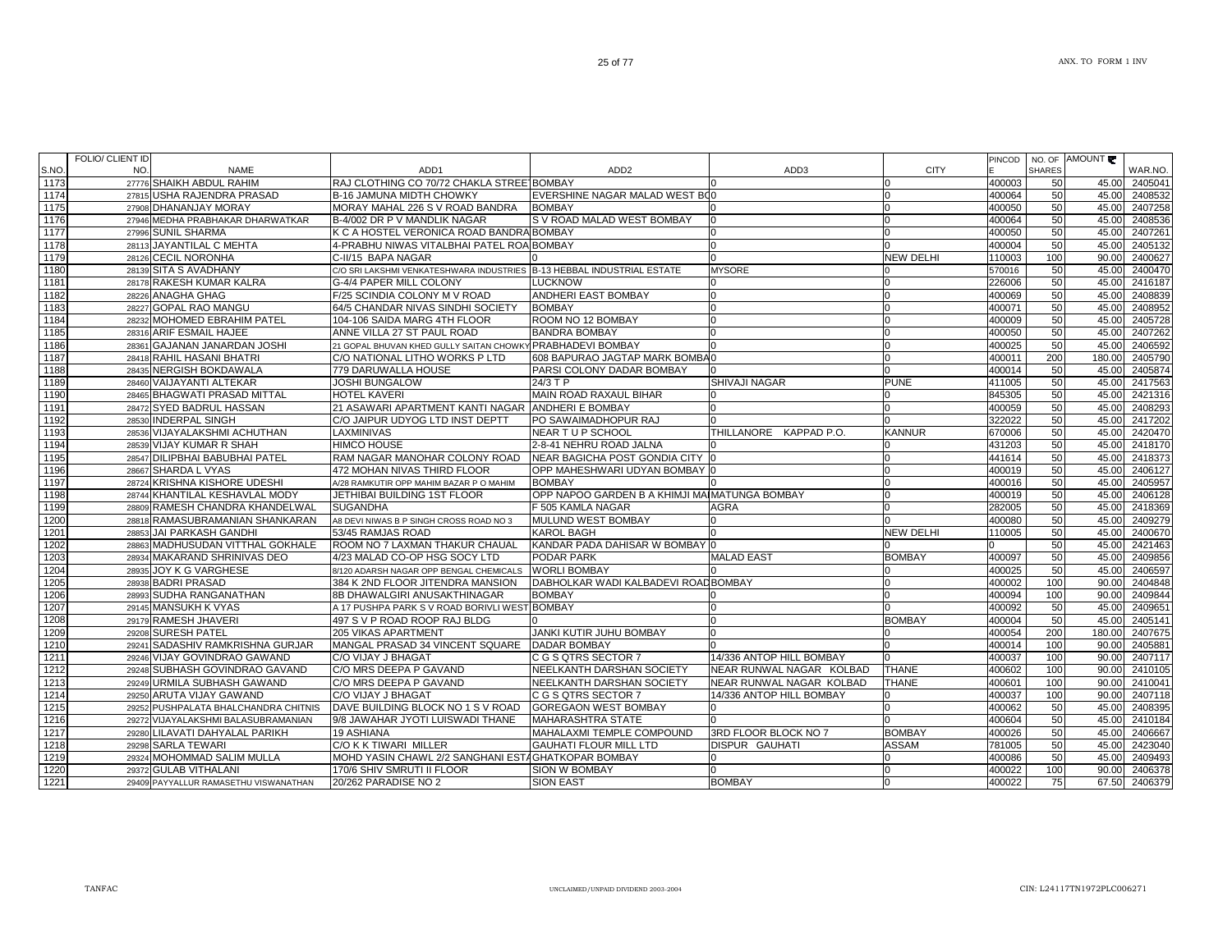| S.NO | <b>FOLIO/ CLIENT ID</b><br>NO. | <b>NAME</b>                           | ADD <sub>1</sub>                                                       | ADD <sub>2</sub>                              | ADD3                     | <b>CITY</b>      | PINCOD | <b>SHARES</b> | NO. OF AMOUNT | WAR.NO.       |
|------|--------------------------------|---------------------------------------|------------------------------------------------------------------------|-----------------------------------------------|--------------------------|------------------|--------|---------------|---------------|---------------|
| 1173 |                                | 27776 SHAIKH ABDUL RAHIM              | RAJ CLOTHING CO 70/72 CHAKLA STREE BOMBAY                              |                                               |                          |                  | 400003 | 50            | 45.00         | 2405041       |
| 1174 |                                | 27815 USHA RAJENDRA PRASAD            | B-16 JAMUNA MIDTH CHOWKY                                               | EVERSHINE NAGAR MALAD WEST BOO                |                          |                  | 400064 | 50            | 45.00         | 2408532       |
| 1175 |                                | 27908 DHANANJAY MORAY                 | MORAY MAHAL 226 S V ROAD BANDRA                                        | <b>BOMBAY</b>                                 |                          |                  | 400050 | 50            | 45.00         | 2407258       |
| 1176 |                                | 27946 MEDHA PRABHAKAR DHARWATKAR      | B-4/002 DR P V MANDLIK NAGAR                                           | S V ROAD MALAD WEST BOMBAY                    |                          |                  | 400064 | 50            | 45.00         | 2408536       |
| 1177 |                                | 27996 SUNIL SHARMA                    | K C A HOSTEL VERONICA ROAD BANDRA BOMBAY                               |                                               |                          |                  | 400050 | 50            | 45.00         | 2407261       |
| 1178 |                                | 28113 JAYANTILAL C MEHTA              | 4-PRABHU NIWAS VITALBHAI PATEL ROA BOMBAY                              |                                               |                          |                  | 400004 | 50            | 45.00         | 2405132       |
| 1179 |                                | 28126 CECIL NORONHA                   | C-II/15 BAPA NAGAR                                                     |                                               |                          | <b>NEW DELHI</b> | 110003 | 100           | 90.00         | 2400627       |
| 1180 |                                | 28139 SITA S AVADHANY                 | C/O SRI LAKSHMI VENKATESHWARA INDUSTRIES B-13 HEBBAL INDUSTRIAL ESTATE |                                               | <b>MYSORE</b>            |                  | 570016 | 50            | 45.00         | 2400470       |
| 1181 |                                | 28178 RAKESH KUMAR KALRA              | G-4/4 PAPER MILL COLONY                                                | <b>LUCKNOW</b>                                |                          |                  | 226006 | 50            | 45.00         | 2416187       |
| 1182 |                                | 28226 ANAGHA GHAG                     | F/25 SCINDIA COLONY M V ROAD                                           | ANDHERI EAST BOMBAY                           |                          |                  | 400069 | 50            | 45.00         | 2408839       |
| 1183 |                                | 28227 GOPAL RAO MANGU                 | 64/5 CHANDAR NIVAS SINDHI SOCIETY                                      | <b>BOMBAY</b>                                 |                          |                  | 400071 | 50            | 45.00         | 2408952       |
| 1184 |                                | 28232 MOHOMED EBRAHIM PATEL           | 104-106 SAIDA MARG 4TH FLOOR                                           | ROOM NO 12 BOMBAY                             |                          | n                | 400009 | 50            | 45.00         | 2405728       |
| 1185 |                                | 28316 ARIF ESMAIL HAJEE               | ANNE VILLA 27 ST PAUL ROAD                                             | <b>BANDRA BOMBAY</b>                          |                          |                  | 400050 | 50            | 45.00         | 2407262       |
| 1186 |                                | 28361 GAJANAN JANARDAN JOSHI          | 21 GOPAL BHUVAN KHED GULLY SAITAN CHOWKY PRABHADEVI BOMBAY             |                                               |                          |                  | 400025 | 50            |               | 45.00 2406592 |
| 1187 |                                | 28418 RAHIL HASANI BHATRI             | C/O NATIONAL LITHO WORKS P LTD                                         | 608 BAPURAO JAGTAP MARK BOMBA0                |                          |                  | 400011 | 200           | 180.00        | 2405790       |
| 1188 |                                | 28435 NERGISH BOKDAWALA               | 779 DARUWALLA HOUSE                                                    | PARSI COLONY DADAR BOMBAY                     |                          |                  | 400014 | 50            | 45.00         | 2405874       |
| 1189 |                                | 28460 VAIJAYANTI ALTEKAR              | <b>JOSHI BUNGALOW</b>                                                  | 24/3 T P                                      | <b>SHIVAJI NAGAR</b>     | <b>PUNE</b>      | 411005 | 50            |               | 45.00 2417563 |
| 1190 |                                | 28465 BHAGWATI PRASAD MITTAL          | <b>HOTEL KAVERI</b>                                                    | MAIN ROAD RAXAUL BIHAR                        |                          |                  | 845305 | 50            | 45.00         | 2421316       |
| 1191 |                                | 28472 SYED BADRUL HASSAN              | 21 ASAWARI APARTMENT KANTI NAGAR ANDHERI E BOMBAY                      |                                               |                          | n                | 400059 | 50            | 45.00         | 2408293       |
| 1192 |                                | 28530 INDERPAL SINGH                  | C/O JAIPUR UDYOG LTD INST DEPTT                                        | PO SAWAIMADHOPUR RAJ                          |                          |                  | 322022 | 50            | 45.00         | 2417202       |
| 1193 |                                | 28536 VIJAYALAKSHMI ACHUTHAN          | LAXMINIVAS                                                             | NEAR TU P SCHOOL                              | THILLANORE KAPPAD P.O.   | <b>KANNUR</b>    | 670006 | 50            | 45.00         | 2420470       |
| 1194 |                                | 28539 VIJAY KUMAR R SHAH              | <b>HIMCO HOUSE</b>                                                     | 2-8-41 NEHRU ROAD JALNA                       |                          |                  | 431203 | 50            | 45.00         | 2418170       |
| 1195 |                                | 28547 DILIPBHAI BABUBHAI PATEL        | RAM NAGAR MANOHAR COLONY ROAD                                          | NEAR BAGICHA POST GONDIA CITY 0               |                          |                  | 441614 | 50            | 45.00         | 2418373       |
| 1196 |                                | 28667 SHARDA L VYAS                   | 472 MOHAN NIVAS THIRD FLOOR                                            | OPP MAHESHWARI UDYAN BOMBAY IO                |                          |                  | 400019 | 50            | 45.00         | 2406127       |
| 1197 |                                | 28724 KRISHNA KISHORE UDESHI          | A/28 RAMKUTIR OPP MAHIM BAZAR P O MAHIM                                | <b>BOMBAY</b>                                 |                          |                  | 400016 | 50            | 45.00         | 2405957       |
| 1198 |                                | 28744 KHANTILAL KESHAVLAL MODY        | JETHIBAI BUILDING 1ST FLOOR                                            | OPP NAPOO GARDEN B A KHIMJI MAIMATUNGA BOMBAY |                          | <sup>n</sup>     | 400019 | 50            | 45.00         | 2406128       |
| 1199 |                                | 28809 RAMESH CHANDRA KHANDELWAL       | <b>SUGANDHA</b>                                                        | F 505 KAMLA NAGAR                             | AGRA                     | n                | 282005 | 50            |               | 45.00 2418369 |
| 1200 |                                | 28818 RAMASUBRAMANIAN SHANKARAN       | A8 DEVI NIWAS B P SINGH CROSS ROAD NO 3                                | MULUND WEST BOMBAY                            |                          |                  | 400080 | 50            | 45.00         | 2409279       |
| 1201 |                                | 28853 JAI PARKASH GANDHI              | 53/45 RAMJAS ROAD                                                      | <b>KAROL BAGH</b>                             |                          | <b>NEW DELHI</b> | 110005 | 50            | 45.00         | 2400670       |
| 1202 |                                | 28863 MADHUSUDAN VITTHAL GOKHALE      | ROOM NO 7 LAXMAN THAKUR CHAUAL                                         | KANDAR PADA DAHISAR W BOMBAY IO               |                          |                  |        | 50            | 45.00         | 2421463       |
| 1203 |                                | 28934 MAKARAND SHRINIVAS DEO          | 4/23 MALAD CO-OP HSG SOCY LTD                                          | <b>PODAR PARK</b>                             | <b>MALAD EAST</b>        | <b>BOMBAY</b>    | 400097 | 50            | 45.00         | 2409856       |
| 1204 |                                | 28935 JOY K G VARGHESE                | 8/120 ADARSH NAGAR OPP BENGAL CHEMICALS WORLI BOMBAY                   |                                               |                          |                  | 400025 | 50            | 45.00         | 2406597       |
| 1205 |                                | 28938 BADRI PRASAD                    | 384 K 2ND FLOOR JITENDRA MANSION                                       | DABHOLKAR WADI KALBADEVI ROAD BOMBAY          |                          |                  | 400002 | 100           | 90.00         | 2404848       |
| 1206 |                                | 28993 SUDHA RANGANATHAN               | 8B DHAWALGIRI ANUSAKTHINAGAR                                           | <b>BOMBAY</b>                                 |                          |                  | 400094 | 100           | 90.00         | 2409844       |
| 1207 |                                | 29145 MANSUKH K VYAS                  | A 17 PUSHPA PARK S V ROAD BORIVLI WEST BOMBAY                          |                                               |                          |                  | 400092 | 50            | 45.00         | 2409651       |
| 1208 |                                | 29179 RAMESH JHAVERI                  | 497 S V P ROAD ROOP RAJ BLDG                                           |                                               |                          | <b>BOMBAY</b>    | 400004 | 50            | 45.00         | 2405141       |
| 1209 |                                | 29208 SURESH PATEL                    | <b>205 VIKAS APARTMENT</b>                                             | <b>JANKI KUTIR JUHU BOMBAY</b>                | n                        |                  | 400054 | 200           | 180.00        | 2407675       |
| 1210 |                                | 29241 SADASHIV RAMKRISHNA GURJAR      | MANGAL PRASAD 34 VINCENT SQUARE                                        | DADAR BOMBAY                                  |                          |                  | 400014 | 100           | 90.00         | 2405881       |
| 1211 |                                | 29246 VIJAY GOVINDRAO GAWAND          | C/O VIJAY J BHAGAT                                                     | C G S QTRS SECTOR 7                           | 14/336 ANTOP HILL BOMBAY |                  | 400037 | 100           | 90.00         | 2407117       |
| 1212 |                                | 29248 SUBHASH GOVINDRAO GAVAND        | C/O MRS DEEPA P GAVAND                                                 | NEELKANTH DARSHAN SOCIETY                     | NEAR RUNWAL NAGAR KOLBAD | <b>THANE</b>     | 400602 | 100           | 90.00         | 2410105       |
| 1213 |                                | 29249 URMILA SUBHASH GAWAND           | C/O MRS DEEPA P GAVAND                                                 | NEELKANTH DARSHAN SOCIETY                     | NEAR RUNWAL NAGAR KOLBAD | <b>THANE</b>     | 400601 | 100           |               | 90.00 2410041 |
| 1214 |                                | 29250 ARUTA VIJAY GAWAND              | C/O VIJAY J BHAGAT                                                     | C G S QTRS SECTOR 7                           | 14/336 ANTOP HILL BOMBAY | n                | 400037 | 100           | 90.00         | 2407118       |
| 1215 |                                | 29252 PUSHPALATA BHALCHANDRA CHITNIS  | DAVE BUILDING BLOCK NO 1 S V ROAD                                      | <b>GOREGAON WEST BOMBAY</b>                   |                          |                  | 400062 | 50            | 45.00         | 2408395       |
| 1216 |                                | 29272 VIJAYALAKSHMI BALASUBRAMANIAN   | 9/8 JAWAHAR JYOTI LUISWADI THANE                                       | <b>MAHARASHTRA STATE</b>                      |                          |                  | 400604 | 50            | 45.00         | 2410184       |
| 1217 |                                | 29280 LILAVATI DAHYALAL PARIKH        | <b>19 ASHIANA</b>                                                      | MAHALAXMI TEMPLE COMPOUND                     | 3RD FLOOR BLOCK NO 7     | <b>BOMBAY</b>    | 400026 | 50            | 45.00         | 2406667       |
| 1218 |                                | 29298 SARLA TEWARI                    | C/O K K TIWARI MILLER                                                  | <b>GAUHATI FLOUR MILL LTD</b>                 | <b>DISPUR GAUHATI</b>    | <b>ASSAM</b>     | 781005 | 50            | 45.00         | 2423040       |
| 1219 |                                | 29324 MOHOMMAD SALIM MULLA            | MOHD YASIN CHAWL 2/2 SANGHANI ESTAGHATKOPAR BOMBAY                     |                                               |                          | n                | 400086 | 50            | 45.00         | 2409493       |
| 1220 |                                | 29372 GULAB VITHALANI                 | 170/6 SHIV SMRUTI II FLOOR                                             | <b>SION W BOMBAY</b>                          |                          | $\Omega$         | 400022 | 100           | 90.00         | 2406378       |
| 1221 |                                | 29409 PAYYALLUR RAMASETHU VISWANATHAN | 20/262 PARADISE NO 2                                                   | <b>SION EAST</b>                              | <b>BOMBAY</b>            | $\Omega$         | 400022 | 75            | 67.50         | 2406379       |
|      |                                |                                       |                                                                        |                                               |                          |                  |        |               |               |               |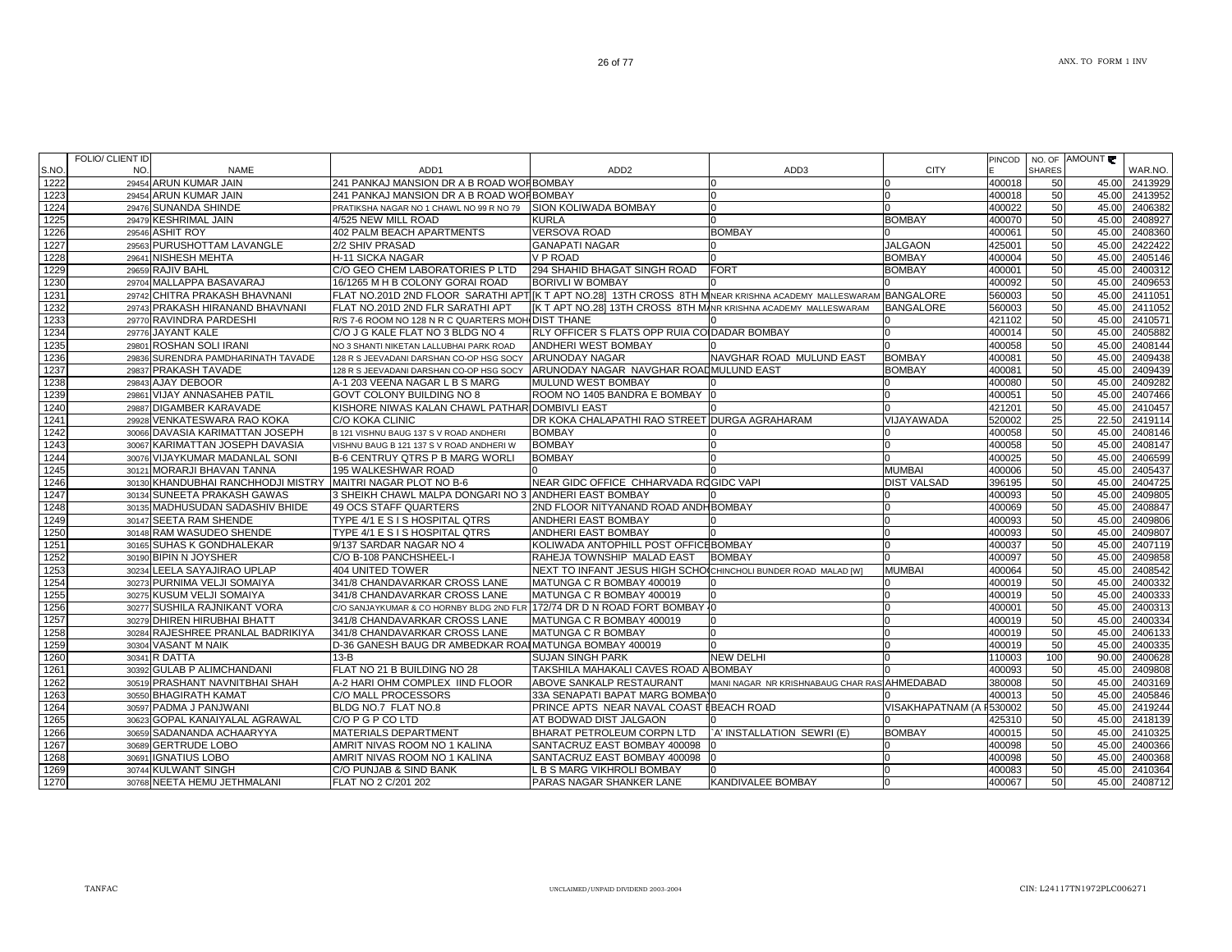|       | <b>FOLIO/ CLIENT ID</b> |                                    |                                                                                                                |                                                                 |                                              |                          |               |               |               |               |
|-------|-------------------------|------------------------------------|----------------------------------------------------------------------------------------------------------------|-----------------------------------------------------------------|----------------------------------------------|--------------------------|---------------|---------------|---------------|---------------|
| S.NO. | NO.                     | <b>NAME</b>                        | ADD <sub>1</sub>                                                                                               | ADD <sub>2</sub>                                                | ADD3                                         | <b>CITY</b>              | <b>PINCOD</b> | <b>SHARES</b> | NO. OF AMOUNT | WAR.NO.       |
| 1222  |                         | 29454 ARUN KUMAR JAIN              | 241 PANKAJ MANSION DR A B ROAD WORBOMBAY                                                                       |                                                                 |                                              | $\Omega$                 | 400018        | 50            | 45.00         | 2413929       |
| 1223  |                         | 29454 ARUN KUMAR JAIN              | 241 PANKAJ MANSION DR A B ROAD WORBOMBAY                                                                       |                                                                 | 0                                            | $\Omega$                 | 400018        | 50            | 45.00         | 2413952       |
| 1224  |                         | 29476 SUNANDA SHINDE               | PRATIKSHA NAGAR NO 1 CHAWL NO 99 R NO 79                                                                       | <b>SION KOLIWADA BOMBAY</b>                                     | 0                                            | <sup>n</sup>             | 400022        | 50            | 45.00         | 2406382       |
| 1225  |                         | 29479 KESHRIMAL JAIN               | 4/525 NEW MILL ROAD                                                                                            | <b>KURLA</b>                                                    |                                              | <b>BOMBAY</b>            | 400070        | 50            | 45.00         | 2408927       |
| 1226  |                         | 29546 ASHIT ROY                    | 402 PALM BEACH APARTMENTS                                                                                      | <b>VERSOVA ROAD</b>                                             | <b>BOMBAY</b>                                |                          | 400061        | 50            | 45.00         | 2408360       |
| 1227  |                         | 29563 PURUSHOTTAM LAVANGLE         | 2/2 SHIV PRASAD                                                                                                | <b>GANAPATI NAGAR</b>                                           |                                              | <b>JALGAON</b>           | 425001        | 50            | 45.00         | 2422422       |
| 1228  |                         | 29641 NISHESH MEHTA                | H-11 SICKA NAGAR                                                                                               | <b>VP ROAD</b>                                                  |                                              | <b>BOMBAY</b>            | 400004        | 50            | 45.00         | 2405146       |
| 1229  |                         | 29659 RAJIV BAHL                   | C/O GEO CHEM LABORATORIES P LTD                                                                                | 294 SHAHID BHAGAT SINGH ROAD                                    | <b>FORT</b>                                  | <b>BOMBAY</b>            | 400001        | 50            | 45.00         | 2400312       |
| 1230  |                         | 29704 MALLAPPA BASAVARAJ           | 16/1265 M H B COLONY GORAI ROAD                                                                                | <b>BORIVLI W BOMBAY</b>                                         |                                              |                          | 400092        | 50            | 45.00         | 2409653       |
| 1231  |                         | 29742 CHITRA PRAKASH BHAVNANI      | FLAT NO.201D 2ND FLOOR SARATHI APTIIK T APT NO.281 13TH CROSS 8TH MINEAR KRISHNA ACADEMY MALLESWARAM BANGALORE |                                                                 |                                              |                          | 560003        | 50            | 45.00         | 2411051       |
| 1232  |                         | 29743 PRAKASH HIRANAND BHAVNANI    | FLAT NO.201D 2ND FLR SARATHI APT                                                                               | [K T APT NO.28] 13TH CROSS 8TH MANR KRISHNA ACADEMY MALLESWARAM |                                              | <b>BANGALORE</b>         | 560003        | 50            | 45.00         | 2411052       |
| 1233  |                         | 29770 RAVINDRA PARDESHI            | R/S 7-6 ROOM NO 128 N R C QUARTERS MOH DIST THANE                                                              |                                                                 |                                              |                          | 421102        | 50            | 45.00         | 2410571       |
| 1234  |                         | 29776 JAYANT KALE                  | C/O J G KALE FLAT NO 3 BLDG NO 4                                                                               | RLY OFFICER S FLATS OPP RUIA COIDADAR BOMBAY                    |                                              | n                        | 400014        | 50            | 45.00         | 2405882       |
| 1235  |                         | 29801 ROSHAN SOLI IRANI            | NO 3 SHANTI NIKETAN LALLUBHAI PARK ROAD                                                                        | ANDHERI WEST BOMBAY                                             |                                              |                          | 400058        | 50            | 45.00         | 2408144       |
| 1236  |                         | 29836 SURENDRA PAMDHARINATH TAVADE | 128 R S JEEVADANI DARSHAN CO-OP HSG SOCY                                                                       | <b>ARUNODAY NAGAR</b>                                           | NAVGHAR ROAD MULUND EAST                     | <b>BOMBAY</b>            | 400081        | 50            | 45.00         | 2409438       |
| 1237  |                         | 29837 PRAKASH TAVADE               | 128 R S JEEVADANI DARSHAN CO-OP HSG SOCY                                                                       | ARUNODAY NAGAR NAVGHAR ROADMULUND EAST                          |                                              | <b>BOMBAY</b>            | 400081        | 50            |               | 45.00 2409439 |
| 1238  |                         | 29843 AJAY DEBOOR                  | A-1 203 VEENA NAGAR L B S MARG                                                                                 | MULUND WEST BOMBAY                                              |                                              |                          | 400080        | 50            | 45.00         | 2409282       |
| 1239  |                         | 29861 VIJAY ANNASAHEB PATIL        | <b>GOVT COLONY BUILDING NO 8</b>                                                                               | ROOM NO 1405 BANDRA E BOMBAY                                    |                                              |                          | 400051        | 50            | 45.00         | 2407466       |
| 1240  |                         | 29887 DIGAMBER KARAVADE            | KISHORE NIWAS KALAN CHAWL PATHARI DOMBIVLI EAST                                                                |                                                                 |                                              |                          | 421201        | 50            | 45.00         | 2410457       |
| 1241  |                         | 29928 VENKATESWARA RAO KOKA        | C/O KOKA CLINIC                                                                                                | DR KOKA CHALAPATHI RAO STREET DURGA AGRAHARAM                   |                                              | VIJAYAWADA               | 520002        | 25            | 22.50         | 2419114       |
| 1242  |                         | 30066 DAVASIA KARIMATTAN JOSEPH    | B 121 VISHNU BAUG 137 S V ROAD ANDHERI                                                                         | <b>BOMBAY</b>                                                   |                                              |                          | 400058        | 50            | 45.00         | 2408146       |
| 1243  |                         | 30067 KARIMATTAN JOSEPH DAVASIA    | VISHNU BAUG B 121 137 S V ROAD ANDHERI W                                                                       | <b>BOMBAY</b>                                                   |                                              | $\Omega$                 | 400058        | 50            | 45.00         | 2408147       |
| 1244  |                         | 30076 VIJAYKUMAR MADANLAL SONI     | <b>B-6 CENTRUY QTRS P B MARG WORLI</b>                                                                         | <b>BOMBAY</b>                                                   |                                              |                          | 400025        | 50            | 45.00         | 2406599       |
| 1245  |                         | 30121 MORARJI BHAVAN TANNA         | 195 WALKESHWAR ROAD                                                                                            |                                                                 |                                              | <b>MUMBAI</b>            | 400006        | 50            | 45.00         | 2405437       |
| 1246  |                         | 30130 KHANDUBHAI RANCHHODJI MISTRY | MAITRI NAGAR PLOT NO B-6                                                                                       | NEAR GIDC OFFICE CHHARVADA ROGIDC VAPI                          |                                              | <b>DIST VALSAD</b>       | 396195        | 50            | 45.00         | 2404725       |
| 1247  |                         | 30134 SUNEETA PRAKASH GAWAS        | 3 SHEIKH CHAWL MALPA DONGARI NO 3 ANDHERI EAST BOMBAY                                                          |                                                                 |                                              |                          | 400093        | 50            | 45.00         | 2409805       |
| 1248  |                         | 30135 MADHUSUDAN SADASHIV BHIDE    | 49 OCS STAFF QUARTERS                                                                                          | 2ND FLOOR NITYANAND ROAD ANDHBOMBAY                             |                                              | $\Omega$                 | 400069        | 50            | 45.00         | 2408847       |
| 1249  |                         | 30147 SEETA RAM SHENDE             | TYPE 4/1 E S I S HOSPITAL QTRS                                                                                 | <b>ANDHERI EAST BOMBAY</b>                                      |                                              | <sup>0</sup>             | 400093        | 50            | 45.00         | 2409806       |
| 1250  |                         | 30148 RAM WASUDEO SHENDE           | TYPE 4/1 E S I S HOSPITAL QTRS                                                                                 | <b>ANDHERI EAST BOMBAY</b>                                      |                                              |                          | 400093        | 50            |               | 45.00 2409807 |
| 1251  |                         | 30165 SUHAS K GONDHALEKAR          | 9/137 SARDAR NAGAR NO 4                                                                                        | KOLIWADA ANTOPHILL POST OFFICEBOMBAY                            |                                              |                          | 400037        | 50            | 45.00         | 2407119       |
| 1252  |                         | 30190 BIPIN N JOYSHER              | C/O B-108 PANCHSHEEL-I                                                                                         | RAHEJA TOWNSHIP MALAD EAST                                      | <b>BOMBAY</b>                                |                          | 400097        | 50            | 45.00         | 2409858       |
| 1253  |                         | 30234 LEELA SAYAJIRAO UPLAP        | 404 UNITED TOWER                                                                                               | NEXT TO INFANT JESUS HIGH SCHOICHINCHOLI BUNDER ROAD MALAD [W]  |                                              | <b>MUMBAI</b>            | 400064        | 50            | 45.00         | 2408542       |
| 1254  |                         | 30273 PURNIMA VELJI SOMAIYA        | 341/8 CHANDAVARKAR CROSS LANE                                                                                  | MATUNGA C R BOMBAY 400019                                       |                                              |                          | 400019        | 50            | 45.00         | 2400332       |
| 1255  |                         | 30275 KUSUM VELJI SOMAIYA          | 341/8 CHANDAVARKAR CROSS LANE                                                                                  | MATUNGA C R BOMBAY 400019                                       |                                              | n                        | 400019        | 50            | 45.00         | 2400333       |
| 1256  |                         | 30277 SUSHILA RAJNIKANT VORA       | C/O SANJAYKUMAR & CO HORNBY BLDG 2ND FLR 172/74 DR D N ROAD FORT BOMBAY 10                                     |                                                                 |                                              | $\Omega$                 | 400001        | 50            | 45.00         | 2400313       |
| 1257  |                         | 30279 DHIREN HIRUBHAI BHATT        | 341/8 CHANDAVARKAR CROSS LANE                                                                                  | MATUNGA C R BOMBAY 400019                                       | <sup>0</sup>                                 | n                        | 400019        | 50            | 45.00         | 2400334       |
| 1258  |                         | 30284 RAJESHREE PRANLAL BADRIKIYA  | 341/8 CHANDAVARKAR CROSS LANE                                                                                  | <b>IMATUNGA C R BOMBAY</b>                                      |                                              | n                        | 400019        | 50            | 45.00         | 2406133       |
| 1259  |                         | 30304 VASANT M NAIK                | D-36 GANESH BAUG DR AMBEDKAR ROAI MATUNGA BOMBAY 400019                                                        |                                                                 | n                                            | <sup>0</sup>             | 400019        | 50            | 45.00         | 2400335       |
| 1260  |                         | 30341 R DATTA                      | $13 - B$                                                                                                       | <b>SUJAN SINGH PARK</b>                                         | <b>NEW DELHI</b>                             |                          | 110003        | 100           | 90.00         | 2400628       |
| 1261  |                         | 30392 GULAB P ALIMCHANDANI         | FLAT NO 21 B BUILDING NO 28                                                                                    | TAKSHILA MAHAKALI CAVES ROAD A BOMBAY                           |                                              |                          | 400093        | 50            | 45.00         | 2409808       |
| 1262  |                         | 30519 PRASHANT NAVNITBHAI SHAH     | A-2 HARI OHM COMPLEX IIND FLOOR                                                                                | ABOVE SANKALP RESTAURANT                                        | MANI NAGAR NR KRISHNABAUG CHAR RAS AHMEDABAD |                          | 380008        | 50            | 45.00         | 2403169       |
| 1263  |                         | 30550 BHAGIRATH KAMAT              | C/O MALL PROCESSORS                                                                                            | 33A SENAPATI BAPAT MARG BOMBAY0                                 |                                              |                          | 400013        | 50            | 45.00         | 2405846       |
| 1264  |                         | 30597 PADMA J PANJWANI             | BLDG NO.7 FLAT NO.8                                                                                            | PRINCE APTS NEAR NAVAL COAST EBEACH ROAD                        |                                              | VISAKHAPATNAM (A F530002 |               | 50            |               | 45.00 2419244 |
| 1265  |                         | 30623 GOPAL KANAIYALAL AGRAWAL     | C/O P G P CO LTD                                                                                               | AT BODWAD DIST JALGAON                                          |                                              |                          | 425310        | 50            | 45.00         | 2418139       |
| 1266  |                         | 30659 SADANANDA ACHAARYYA          | <b>MATERIALS DEPARTMENT</b>                                                                                    | BHARAT PETROLEUM CORPN LTD                                      | `A' INSTALLATION SEWRI (E)                   | <b>BOMBAY</b>            | 400015        | 50            | 45.00         | 2410325       |
| 1267  |                         | 30689 GERTRUDE LOBO                | AMRIT NIVAS ROOM NO 1 KALINA                                                                                   | SANTACRUZ EAST BOMBAY 400098                                    |                                              |                          | 400098        | 50            | 45.00         | 2400366       |
| 1268  |                         | 30691 IGNATIUS LOBO                | AMRIT NIVAS ROOM NO 1 KALINA                                                                                   | SANTACRUZ EAST BOMBAY 400098                                    |                                              |                          | 400098        | 50            | 45.00         | 2400368       |
| 1269  |                         | 30744 KULWANT SINGH                | C/O PUNJAB & SIND BANK                                                                                         | . B S MARG VIKHROLI BOMBAY                                      |                                              | n                        | 400083        | 50            | 45.00         | 2410364       |
| 1270  |                         | 30768 NEETA HEMU JETHMALANI        | FLAT NO 2 C/201 202                                                                                            | PARAS NAGAR SHANKER LANE                                        | KANDIVALEE BOMBAY                            | 0                        | 400067        | 50            | 45.00         | 2408712       |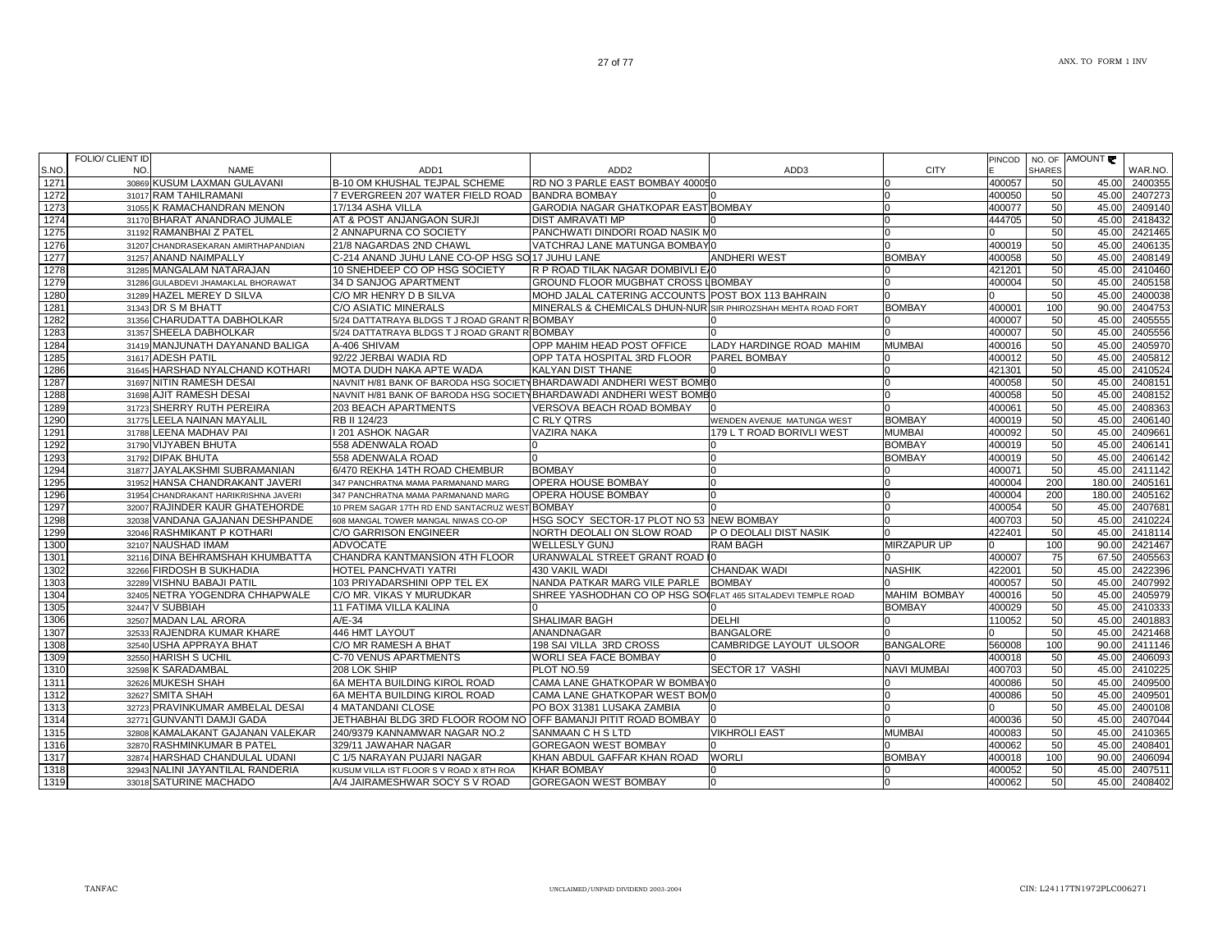|      | FOLIO/ CLIENT ID |                                      |                                                                      |                                                              |                            |                     |        |               | NO. OF AMOUNT |         |
|------|------------------|--------------------------------------|----------------------------------------------------------------------|--------------------------------------------------------------|----------------------------|---------------------|--------|---------------|---------------|---------|
| S.NO | NO.              | <b>NAME</b>                          | ADD1                                                                 | ADD <sub>2</sub>                                             | ADD3                       | <b>CITY</b>         | PINCOD | <b>SHARES</b> |               | WAR.NO. |
| 1271 |                  | 30869 KUSUM LAXMAN GULAVANI          | B-10 OM KHUSHAL TEJPAL SCHEME                                        | RD NO 3 PARLE EAST BOMBAY 400050                             |                            |                     | 400057 | 50            | 45.00         | 2400355 |
| 1272 |                  | 31017 RAM TAHILRAMANI                | 7 EVERGREEN 207 WATER FIELD ROAD                                     | <b>BANDRA BOMBAY</b>                                         |                            |                     | 400050 | 50            | 45.00         | 2407273 |
| 1273 |                  | 31055 K RAMACHANDRAN MENON           | 17/134 ASHA VILLA                                                    | GARODIA NAGAR GHATKOPAR EAST BOMBAY                          |                            |                     | 400077 | 50            | 45.00         | 2409140 |
| 1274 |                  | 31170 BHARAT ANANDRAO JUMALE         | AT & POST ANJANGAON SURJI                                            | <b>DIST AMRAVATI MP</b>                                      |                            |                     | 444705 | 50            | 45.00         | 2418432 |
| 1275 |                  | 31192 RAMANBHAI Z PATEL              | 2 ANNAPURNA CO SOCIETY                                               | PANCHWATI DINDORI ROAD NASIK M0                              |                            |                     |        | 50            | 45.00         | 2421465 |
| 1276 | 31207            | CHANDRASEKARAN AMIRTHAPANDIAN        | 21/8 NAGARDAS 2ND CHAWL                                              | VATCHRAJ LANE MATUNGA BOMBAYO                                |                            |                     | 400019 | 50            | 45.00         | 2406135 |
| 1277 |                  | 31257 ANAND NAIMPALLY                | C-214 ANAND JUHU LANE CO-OP HSG SO 17 JUHU LANE                      |                                                              | <b>ANDHERI WEST</b>        | <b>BOMBAY</b>       | 400058 | 50            | 45.00         | 2408149 |
| 1278 |                  | 31285 MANGALAM NATARAJAN             | 10 SNEHDEEP CO OP HSG SOCIETY                                        | R P ROAD TILAK NAGAR DOMBIVLI E 0                            |                            |                     | 421201 | 50            | 45.00         | 2410460 |
| 1279 | 31286            | GULABDEVI JHAMAKLAL BHORAWAT         | 34 D SANJOG APARTMENT                                                | <b>GROUND FLOOR MUGBHAT CROSS LBOMBAY</b>                    |                            |                     | 400004 | 50            | 45.00         | 2405158 |
| 1280 |                  | 31289 HAZEL MEREY D SILVA            | C/O MR HENRY D B SILVA                                               | MOHD JALAL CATERING ACCOUNTS POST BOX 113 BAHRAIN            |                            |                     |        | 50            | 45.00         | 2400038 |
| 1281 |                  | 31343 DR S M BHATT                   | <b>C/O ASIATIC MINERALS</b>                                          | MINERALS & CHEMICALS DHUN-NUR SIR PHIROZSHAH MEHTA ROAD FORT |                            | <b>BOMBAY</b>       | 400001 | 100           | 90.00         | 2404753 |
| 1282 |                  | 31356 CHARUDATTA DABHOLKAR           | 5/24 DATTATRAYA BLDGS T J ROAD GRANT R BOMBAY                        |                                                              |                            |                     | 400007 | 50            | 45.00         | 2405555 |
| 1283 |                  | 31357 SHEELA DABHOLKAR               | 5/24 DATTATRAYA BLDGS T J ROAD GRANT R BOMBAY                        |                                                              |                            |                     | 400007 | 50            | 45.00         | 2405556 |
| 1284 |                  | 31419 MANJUNATH DAYANAND BALIGA      | A-406 SHIVAM                                                         | OPP MAHIM HEAD POST OFFICE                                   | LADY HARDINGE ROAD MAHIM   | <b>MUMBAI</b>       | 400016 | 50            | 45.00         | 2405970 |
| 1285 |                  | 31617 ADESH PATIL                    | 92/22 JERBAI WADIA RD                                                | OPP TATA HOSPITAL 3RD FLOOR                                  | <b>PAREL BOMBAY</b>        |                     | 400012 | 50            | 45.00         | 2405812 |
| 1286 |                  | 31645 HARSHAD NYALCHAND KOTHARI      | MOTA DUDH NAKA APTE WADA                                             | KALYAN DIST THANE                                            |                            |                     | 421301 | 50            | 45.00         | 2410524 |
| 1287 |                  | 31697 NITIN RAMESH DESAI             | NAVNIT H/81 BANK OF BARODA HSG SOCIETY BHARDAWADI ANDHERI WEST BOMBO |                                                              |                            |                     | 400058 | 50            | 45.00         | 2408151 |
| 1288 |                  | 31698 AJIT RAMESH DESAI              | NAVNIT H/81 BANK OF BARODA HSG SOCIETY BHARDAWADI ANDHERI WEST BOMBO |                                                              |                            |                     | 400058 | 50            | 45.00         | 2408152 |
| 1289 | 31723            | SHERRY RUTH PEREIRA                  | 203 BEACH APARTMENTS                                                 | VERSOVA BEACH ROAD BOMBAY                                    |                            |                     | 400061 | 50            | 45.00         | 2408363 |
| 1290 | 31775            | LEELA NAINAN MAYALIL                 | RB II 124/23                                                         | C RLY QTRS                                                   | WENDEN AVENUE MATUNGA WEST | <b>BOMBAY</b>       | 400019 | 50            | 45.00         | 2406140 |
| 1291 |                  | 31788 LEENA MADHAV PAI               | I 201 ASHOK NAGAR                                                    | <b>VAZIRA NAKA</b>                                           | 179 L T ROAD BORIVLI WEST  | <b>MUMBAI</b>       | 400092 | 50            | 45.00         | 2409661 |
| 1292 |                  | 31790 VIJYABEN BHUTA                 | 558 ADENWALA ROAD                                                    |                                                              |                            | <b>BOMBAY</b>       | 400019 | 50            | 45.00         | 2406141 |
| 1293 |                  | 31792 DIPAK BHUTA                    | 558 ADENWALA ROAD                                                    |                                                              |                            | <b>BOMBAY</b>       | 400019 | 50            | 45.00         | 2406142 |
| 1294 |                  | 31877 JAYALAKSHMI SUBRAMANIAN        | 6/470 REKHA 14TH ROAD CHEMBUR                                        | <b>BOMBAY</b>                                                |                            |                     | 400071 | 50            | 45.00         | 2411142 |
| 1295 |                  | 31952 HANSA CHANDRAKANT JAVERI       | 347 PANCHRATNA MAMA PARMANAND MARG                                   | OPERA HOUSE BOMBAY                                           |                            |                     | 400004 | 200           | 180.00        | 2405161 |
| 1296 |                  | 31954 CHANDRAKANT HARIKRISHNA JAVERI | 347 PANCHRATNA MAMA PARMANAND MARG                                   | OPERA HOUSE BOMBAY                                           |                            |                     | 400004 | 200           | 180.00        | 2405162 |
| 1297 |                  | 32007 RAJINDER KAUR GHATEHORDE       | 10 PREM SAGAR 17TH RD END SANTACRUZ WEST BOMBAY                      |                                                              |                            |                     | 400054 | 50            | 45.00         | 2407681 |
| 1298 |                  | 32038 VANDANA GAJANAN DESHPANDE      | 608 MANGAL TOWER MANGAL NIWAS CO-OP                                  | HSG SOCY SECTOR-17 PLOT NO 53 NEW BOMBAY                     |                            |                     | 400703 | 50            | 45.00         | 2410224 |
| 1299 |                  | 32046 RASHMIKANT P KOTHARI           | C/O GARRISON ENGINEER                                                | NORTH DEOLALI ON SLOW ROAD                                   | P O DEOLALI DIST NASIK     |                     | 422401 | 50            | 45.00         | 2418114 |
| 1300 |                  | 32107 NAUSHAD IMAM                   | <b>ADVOCATE</b>                                                      | <b>WELLESLY GUNJ</b>                                         | <b>RAM BAGH</b>            | MIRZAPUR UP         |        | 100           | 90.00         | 2421467 |
| 1301 |                  | 32116 DINA BEHRAMSHAH KHUMBATTA      | CHANDRA KANTMANSION 4TH FLOOR                                        | URANWALAL STREET GRANT ROAD IO                               |                            |                     | 400007 | 75            | 67.50         | 2405563 |
| 1302 |                  | 32266 FIRDOSH B SUKHADIA             | HOTEL PANCHVATI YATRI                                                | 430 VAKIL WADI                                               | <b>CHANDAK WADI</b>        | <b>NASHIK</b>       | 422001 | 50            | 45.00         | 2422396 |
| 1303 |                  | 32289 VISHNU BABAJI PATIL            | 103 PRIYADARSHINI OPP TEL EX                                         | NANDA PATKAR MARG VILE PARLE BOMBAY                          |                            |                     | 400057 | 50            | 45.00         | 2407992 |
| 1304 |                  | 32405 NETRA YOGENDRA CHHAPWALE       | C/O MR. VIKAS Y MURUDKAR                                             | SHREE YASHODHAN CO OP HSG SO(FLAT 465 SITALADEVI TEMPLE ROAD |                            | <b>MAHIM BOMBAY</b> | 400016 | 50            | 45.00         | 2405979 |
| 1305 |                  | 32447 V SUBBIAH                      | 11 FATIMA VILLA KALINA                                               |                                                              |                            | <b>BOMBAY</b>       | 400029 | 50            | 45.00         | 2410333 |
| 1306 |                  | 32507 MADAN LAL ARORA                | $A/E-34$                                                             | SHALIMAR BAGH                                                | <b>DELHI</b>               |                     | 110052 | 50            | 45.00         | 240188  |
| 1307 |                  | 32533 RAJENDRA KUMAR KHARE           | 446 HMT LAYOUT                                                       | ANANDNAGAR                                                   | <b>BANGALORE</b>           |                     |        | 50            | 45.00         | 2421468 |
| 1308 |                  | 32540 USHA APPRAYA BHAT              | C/O MR RAMESH A BHAT                                                 | 198 SAI VILLA 3RD CROSS                                      | CAMBRIDGE LAYOUT ULSOOR    | <b>BANGALORE</b>    | 560008 | 100           | 90.00         | 2411146 |
| 1309 |                  | 32550 HARISH S UCHIL                 | C-70 VENUS APARTMENTS                                                | WORLI SEA FACE BOMBAY                                        |                            |                     | 400018 | 50            | 45.00         | 2406093 |
| 1310 |                  | 32598 K SARADAMBAL                   | 208 LOK SHIP                                                         | PLOT NO.59                                                   | <b>SECTOR 17 VASHI</b>     | <b>NAVI MUMBAI</b>  | 400703 | 50            | 45.00         | 2410225 |
| 1311 |                  | 32626 MUKESH SHAH                    | 6A MEHTA BUILDING KIROL ROAD                                         | CAMA LANE GHATKOPAR W BOMBAY0                                |                            |                     | 400086 | 50            | 45.00         | 2409500 |
| 1312 |                  | 32627 SMITA SHAH                     | <b>6A MEHTA BUILDING KIROL ROAD</b>                                  | CAMA LANE GHATKOPAR WEST BOM0                                |                            |                     | 400086 | 50            | 45.00         | 2409501 |
| 1313 |                  | 32723 PRAVINKUMAR AMBELAL DESAI      | 4 MATANDANI CLOSE                                                    | PO BOX 31381 LUSAKA ZAMBIA                                   |                            | U                   |        | 50            | 45.00         | 2400108 |
| 1314 |                  | 32771 GUNVANTI DAMJI GADA            | JETHABHAI BLDG 3RD FLOOR ROOM NO OFF BAMANJI PITIT ROAD BOMBAY       |                                                              | In.                        |                     | 400036 | 50            | 45.00         | 2407044 |
| 1315 |                  | 32808 KAMALAKANT GAJANAN VALEKAR     | 240/9379 KANNAMWAR NAGAR NO.2                                        | SANMAAN C H S LTD                                            | <b>VIKHROLI EAST</b>       | <b>MUMBAI</b>       | 400083 | 50            | 45.00         | 2410365 |
| 1316 |                  | 32870 RASHMINKUMAR B PATEL           | 329/11 JAWAHAR NAGAR                                                 | GOREGAON WEST BOMBAY                                         |                            |                     | 400062 | 50            | 45.00         | 2408401 |
| 1317 |                  | 32874 HARSHAD CHANDULAL UDANI        | C 1/5 NARAYAN PUJARI NAGAR                                           | KHAN ABDUL GAFFAR KHAN ROAD                                  | <b>WORLI</b>               | <b>BOMBAY</b>       | 400018 | 100           | 90.00         | 2406094 |
| 1318 |                  | 32943 NALINI JAYANTILAL RANDERIA     | KUSUM VILLA IST FLOOR S V ROAD X 8TH ROA                             | <b>KHAR BOMBAY</b>                                           |                            |                     | 400052 | 50            | 45.00         | 2407511 |
| 1319 |                  | 33018 SATURINE MACHADO               | A/4 JAIRAMESHWAR SOCY S V ROAD                                       | <b>GOREGAON WEST BOMBAY</b>                                  | 0                          | <sup>0</sup>        | 400062 | 50            | 45.00         | 2408402 |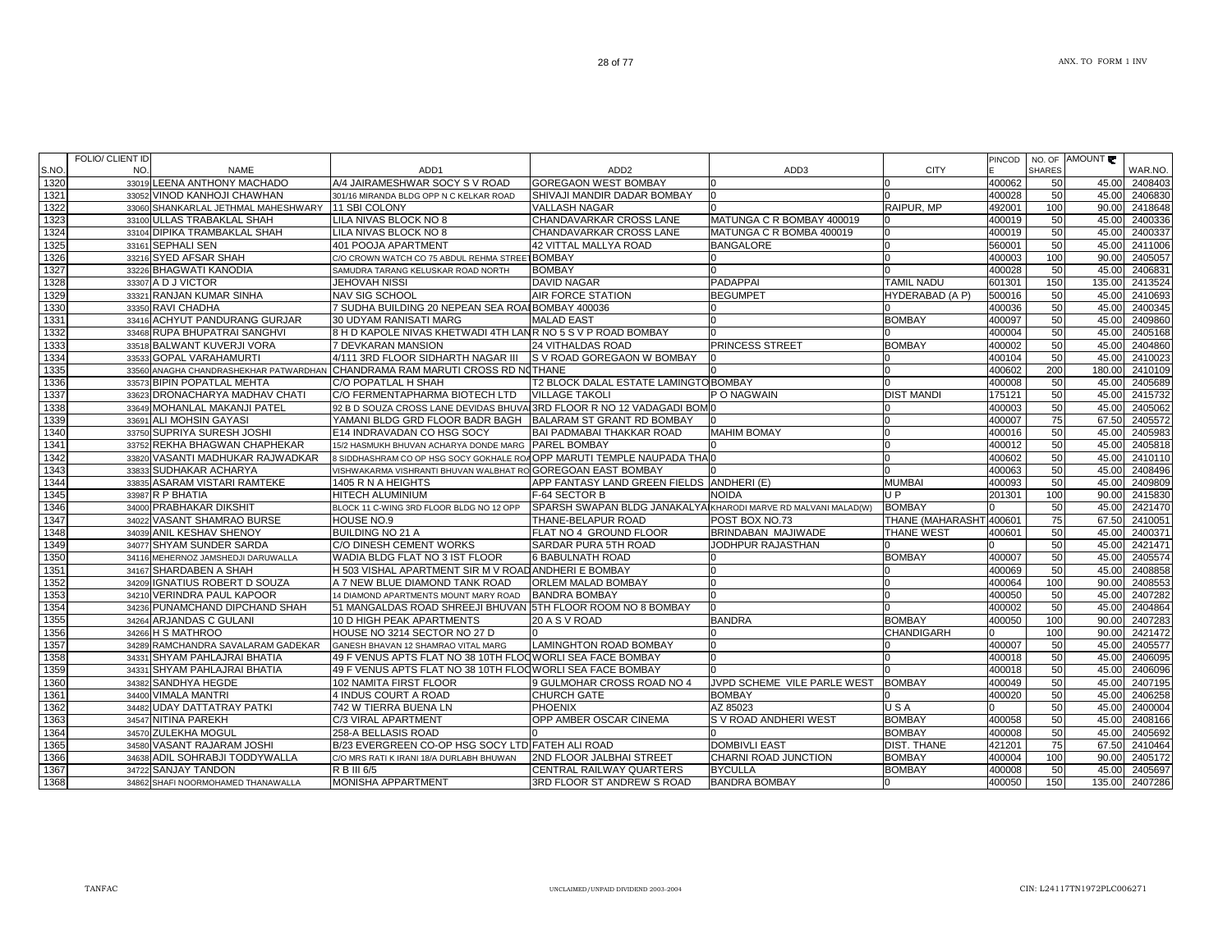|       | FOLIO/ CLIENT ID |                                                   |                                                                              |                                                                |                             |                         | PINCOD       | NO. OF        | AMOUNT            |
|-------|------------------|---------------------------------------------------|------------------------------------------------------------------------------|----------------------------------------------------------------|-----------------------------|-------------------------|--------------|---------------|-------------------|
| S.NO. | NO.              | <b>NAME</b>                                       | ADD <sub>1</sub>                                                             | ADD <sub>2</sub>                                               | ADD3                        | <b>CITY</b>             |              | <b>SHARES</b> | WAR.NO.           |
| 1320  |                  | 33019 LEENA ANTHONY MACHADO                       | A/4 JAIRAMESHWAR SOCY S V ROAD                                               | <b>GOREGAON WEST BOMBAY</b>                                    |                             |                         | 400062       | 50            | 2408403<br>45.00  |
| 1321  |                  | 33052 VINOD KANHOJI CHAWHAN                       | 301/16 MIRANDA BLDG OPP N C KELKAR ROAD                                      | SHIVAJI MANDIR DADAR BOMBAY                                    | lo.                         |                         | 400028       | 50            | 45.00<br>2406830  |
| 1322  |                  | 33060 SHANKARLAL JETHMAL MAHESHWARY 11 SBI COLONY |                                                                              | <b>VALLASH NAGAR</b>                                           |                             | RAIPUR, MP              | 492001       | 100           | 2418648<br>90.00  |
| 1323  |                  | 33100 ULLAS TRABAKLAL SHAH                        | ILA NIVAS BLOCK NO 8                                                         | CHANDAVARKAR CROSS LANE                                        | MATUNGA C R BOMBAY 400019   |                         | 400019       | 50            | 45.00<br>2400336  |
| 1324  |                  | 33104 DIPIKA TRAMBAKLAL SHAH                      | LILA NIVAS BLOCK NO 8                                                        | CHANDAVARKAR CROSS LANE                                        | MATUNGA C R BOMBA 400019    |                         | 400019       | 50            | 45.00<br>2400337  |
| 1325  |                  | 33161 SEPHALI SEN                                 | 401 POOJA APARTMENT                                                          | <b>42 VITTAL MALLYA ROAD</b>                                   | <b>BANGALORE</b>            | n                       | 560001       | 50            | 2411006<br>45.00  |
| 1326  |                  | 33216 SYED AFSAR SHAH                             | C/O CROWN WATCH CO 75 ABDUL REHMA STREET BOMBAY                              |                                                                |                             | $\Omega$                | 400003       | 100           | 2405057<br>90.00  |
| 1327  |                  | 33226 BHAGWATI KANODIA                            | SAMUDRA TARANG KELUSKAR ROAD NORTH                                           | <b>BOMBAY</b>                                                  |                             |                         | 400028       | 50            | 2406831<br>45.00  |
| 1328  |                  | 33307 A D J VICTOR                                | JEHOVAH NISSI                                                                | DAVID NAGAR                                                    | PADAPPAI                    | <b>TAMIL NADU</b>       | 601301       | 150           | 135.00<br>2413524 |
| 1329  |                  | 33321 RANJAN KUMAR SINHA                          | NAV SIG SCHOOL                                                               | AIR FORCE STATION                                              | <b>BEGUMPET</b>             | HYDERABAD (A P)         | 500016       | 50            | 45.00<br>2410693  |
| 1330  |                  | 33350 RAVI CHADHA                                 | 7 SUDHA BUILDING 20 NEPEAN SEA ROAI BOMBAY 400036                            |                                                                |                             |                         | 400036       | 50            | 45.00<br>2400345  |
| 1331  |                  | 33416 ACHYUT PANDURANG GURJAR                     | 30 UDYAM RANISATI MARG                                                       | <b>MALAD EAST</b>                                              |                             | <b>BOMBAY</b>           | 400097       | 50            | 45.00<br>2409860  |
| 1332  |                  | 33468 RUPA BHUPATRAI SANGHVI                      | 8 H D KAPOLE NIVAS KHETWADI 4TH LANR NO 5 S V P ROAD BOMBAY                  |                                                                |                             |                         | 400004       | 50            | 45.00<br>2405168  |
| 1333  |                  | 33518 BALWANT KUVERJI VORA                        | 7 DEVKARAN MANSION                                                           | <b>24 VITHALDAS ROAD</b>                                       | PRINCESS STREET             | <b>BOMBAY</b>           | 400002       | 50            | 45.00<br>2404860  |
| 1334  |                  | 33533 GOPAL VARAHAMURTI                           | 4/111 3RD FLOOR SIDHARTH NAGAR III                                           | S V ROAD GOREGAON W BOMBAY                                     |                             |                         | 400104       | 50            | 45.00<br>2410023  |
| 1335  |                  |                                                   | 33560 ANAGHA CHANDRASHEKHAR PATWARDHAN CHANDRAMA RAM MARUTI CROSS RD NOTHANE |                                                                |                             | n                       | 400602       | 200           | 180.00<br>2410109 |
| 1336  |                  | 33573 BIPIN POPATLAL MEHTA                        | C/O POPATLAL H SHAH                                                          | T2 BLOCK DALAL ESTATE LAMINGTO BOMBAY                          |                             | $\Omega$                | 400008       | 50            | 2405689<br>45.00  |
| 1337  |                  | 33623 DRONACHARYA MADHAV CHATI                    | C/O FERMENTAPHARMA BIOTECH LTD                                               | <b>VILLAGE TAKOLI</b>                                          | P O NAGWAIN                 | <b>DIST MANDI</b>       | 175121       | 50            | 45.00<br>2415732  |
| 1338  |                  | 33649 MOHANLAL MAKANJI PATEL                      | 92 B D SOUZA CROSS LANE DEVIDAS BHUVAL3RD FLOOR R NO 12 VADAGADI BOM         |                                                                |                             |                         | 400003       | 50            | 2405062<br>45.00  |
| 1339  |                  | 33691 ALI MOHSIN GAYASI                           | YAMANI BLDG GRD FLOOR BADR BAGH                                              | <b>BALARAM ST GRANT RD BOMBAY</b>                              |                             |                         | 400007       | 75            | 2405572<br>67.50  |
| 1340  |                  | 33750 SUPRIYA SURESH JOSHI                        | E14 INDRAVADAN CO HSG SOCY                                                   | BAI PADMABAI THAKKAR ROAD                                      | <b>MAHIM BOMAY</b>          |                         | 400016       | 50            | 2405983<br>45.00  |
| 1341  |                  | 33752 REKHA BHAGWAN CHAPHEKAR                     | 15/2 HASMUKH BHUVAN ACHARYA DONDE MARG PAREL BOMBAY                          |                                                                |                             |                         | 400012       | 50            | 45.00<br>2405818  |
| 1342  |                  | 33820 VASANTI MADHUKAR RAJWADKAR                  | 8 SIDDHASHRAM CO OP HSG SOCY GOKHALE ROAOPP MARUTI TEMPLE NAUPADA THAIO      |                                                                |                             |                         | 400602       | 50            | 45.00<br>2410110  |
| 1343  |                  | 33833 SUDHAKAR ACHARYA                            | VISHWAKARMA VISHRANTI BHUVAN WALBHAT RO GOREGOAN EAST BOMBAY                 |                                                                |                             |                         | 400063       | 50            | 45.00<br>2408496  |
| 1344  |                  | 33835 ASARAM VISTARI RAMTEKE                      | 1405 R N A HEIGHTS                                                           | APP FANTASY LAND GREEN FIELDS ANDHERI (E)                      |                             | <b>MUMBAI</b>           | 400093       | 50            | 45.00<br>2409809  |
| 1345  |                  | 33987 R P BHATIA                                  | <b>HITECH ALUMINIUM</b>                                                      | F-64 SECTOR B                                                  | NOIDA                       | U <sub>P</sub>          | 201301       | 100           | 2415830<br>90.00  |
| 1346  |                  | 34000 PRABHAKAR DIKSHIT                           | BLOCK 11 C-WING 3RD FLOOR BLDG NO 12 OPP                                     | SPARSH SWAPAN BLDG JANAKALYAIKHARODI MARVE RD MALVANI MALAD(W) |                             | <b>BOMBAY</b>           |              | 50            | 2421470<br>45.00  |
| 1347  |                  | 34022 VASANT SHAMRAO BURSE                        | HOUSE NO.9                                                                   | THANE-BELAPUR ROAD                                             | POST BOX NO.73              | THANE (MAHARASHT 400601 |              | 75            | 67.50<br>2410051  |
| 1348  |                  | 34039 ANIL KESHAV SHENOY                          | <b>BUILDING NO 21 A</b>                                                      | FLAT NO 4 GROUND FLOOR                                         | BRINDABAN MAJIWADE          | THANE WEST              | 400601       | 50            | 45.00<br>2400371  |
| 1349  |                  | 34077 SHYAM SUNDER SARDA                          | C/O DINESH CEMENT WORKS                                                      | SARDAR PURA 5TH ROAD                                           | JODHPUR RAJASTHAN           |                         |              | 50            | 2421471<br>45.00  |
| 1350  |                  | 34116 MEHERNOZ JAMSHEDJI DARUWALLA                | WADIA BLDG FLAT NO 3 IST FLOOR                                               | <b>6 BABULNATH ROAD</b>                                        |                             | <b>BOMBAY</b>           | 400007       | 50            | 45.00<br>2405574  |
| 1351  |                  | 34167 SHARDABEN A SHAH                            | H 503 VISHAL APARTMENT SIR M V ROAD ANDHERI E BOMBAY                         |                                                                |                             |                         | 400069       | 50            | 2408858<br>45.00  |
| 1352  |                  | 34209 IGNATIUS ROBERT D SOUZA                     | A 7 NEW BLUE DIAMOND TANK ROAD                                               | ORLEM MALAD BOMBAY                                             |                             |                         | 400064       | 100           | 90.00<br>2408553  |
| 1353  |                  | 34210 VERINDRA PAUL KAPOOR                        | 14 DIAMOND APARTMENTS MOUNT MARY ROAD                                        | <b>BANDRA BOMBAY</b>                                           |                             |                         | 400050       | 50            | 45.00<br>2407282  |
| 1354  |                  | 34236 PUNAMCHAND DIPCHAND SHAH                    | 51 MANGALDAS ROAD SHREEJI BHUVAN 5TH FLOOR ROOM NO 8 BOMBAY                  |                                                                |                             |                         | 400002       | 50            | 2404864<br>45.00  |
| 1355  |                  | 34264 ARJANDAS C GULANI                           | 10 D HIGH PEAK APARTMENTS                                                    | 20 A S V ROAD                                                  | <b>BANDRA</b>               | <b>BOMBAY</b>           | 400050       | 100           | 90.00<br>2407283  |
| 1356  |                  | 34266 H S MATHROO                                 | HOUSE NO 3214 SECTOR NO 27 D                                                 |                                                                |                             | <b>CHANDIGARH</b>       | <sup>n</sup> | 100           | 2421472<br>90.00  |
| 1357  |                  | 34289 RAMCHANDRA SAVALARAM GADEKAR                | GANESH BHAVAN 12 SHAMRAO VITAL MARG                                          | <b>LAMINGHTON ROAD BOMBAY</b>                                  |                             |                         | 400007       | 50            | 2405577<br>45.00  |
| 1358  |                  | 34331 SHYAM PAHLAJRAI BHATIA                      | 49 F VENUS APTS FLAT NO 38 10TH FLOOWORLI SEA FACE BOMBAY                    |                                                                |                             |                         | 400018       | 50            | 2406095<br>45.00  |
| 1359  |                  | 34331 SHYAM PAHLAJRAI BHATIA                      | 49 F VENUS APTS FLAT NO 38 10TH FLOOWORLI SEA FACE BOMBAY                    |                                                                |                             |                         | 400018       | 50            | 45.00<br>2406096  |
| 1360  |                  | 34382 SANDHYA HEGDE                               | 102 NAMITA FIRST FLOOR                                                       | 9 GULMOHAR CROSS ROAD NO 4                                     | JVPD SCHEME VILE PARLE WEST | <b>BOMBAY</b>           | 400049       | 50            | 45.00<br>2407195  |
| 1361  |                  | 34400 VIMALA MANTRI                               | 4 INDUS COURT A ROAD                                                         | CHURCH GATE                                                    | <b>BOMBAY</b>               |                         | 400020       | 50            | 45.00<br>2406258  |
| 1362  |                  | 34482 UDAY DATTATRAY PATKI                        | 742 W TIERRA BUENA LN                                                        | PHOENIX                                                        | AZ 85023                    | USA                     |              | 50            | 45.00<br>2400004  |
| 1363  |                  | 34547 NITINA PAREKH                               | C/3 VIRAL APARTMENT                                                          | OPP AMBER OSCAR CINEMA                                         | S V ROAD ANDHERI WEST       | <b>BOMBAY</b>           | 400058       | 50            | 45.00<br>2408166  |
| 1364  |                  | 34570 ZULEKHA MOGUL                               | 258-A BELLASIS ROAD                                                          |                                                                |                             | <b>BOMBAY</b>           | 400008       | 50            | 45.00<br>2405692  |
| 1365  |                  | 34580 VASANT RAJARAM JOSHI                        | B/23 EVERGREEN CO-OP HSG SOCY LTD FATEH ALI ROAD                             |                                                                | <b>DOMBIVLI EAST</b>        | <b>DIST. THANE</b>      | 421201       | 75            | 67.50<br>2410464  |
| 1366  |                  | 34638 ADIL SOHRABJI TODDYWALLA                    | C/O MRS RATI K IRANI 18/A DURLABH BHUWAN                                     | <b>2ND FLOOR JALBHAI STREET</b>                                | CHARNI ROAD JUNCTION        | <b>BOMBAY</b>           | 400004       | 100           | 90.00<br>2405172  |
| 1367  |                  | 34722 SANJAY TANDON                               | R B III 6/5                                                                  | CENTRAL RAILWAY QUARTERS                                       | <b>BYCULLA</b>              | <b>BOMBAY</b>           | 400008       | 50            | 2405697<br>45.00  |
| 1368  |                  | 34862 SHAFI NOORMOHAMED THANAWALLA                | MONISHA APPARTMENT                                                           | 3RD FLOOR ST ANDREW S ROAD                                     | <b>BANDRA BOMBAY</b>        | 0                       | 400050       | 150           | 135.00<br>2407286 |
|       |                  |                                                   |                                                                              |                                                                |                             |                         |              |               |                   |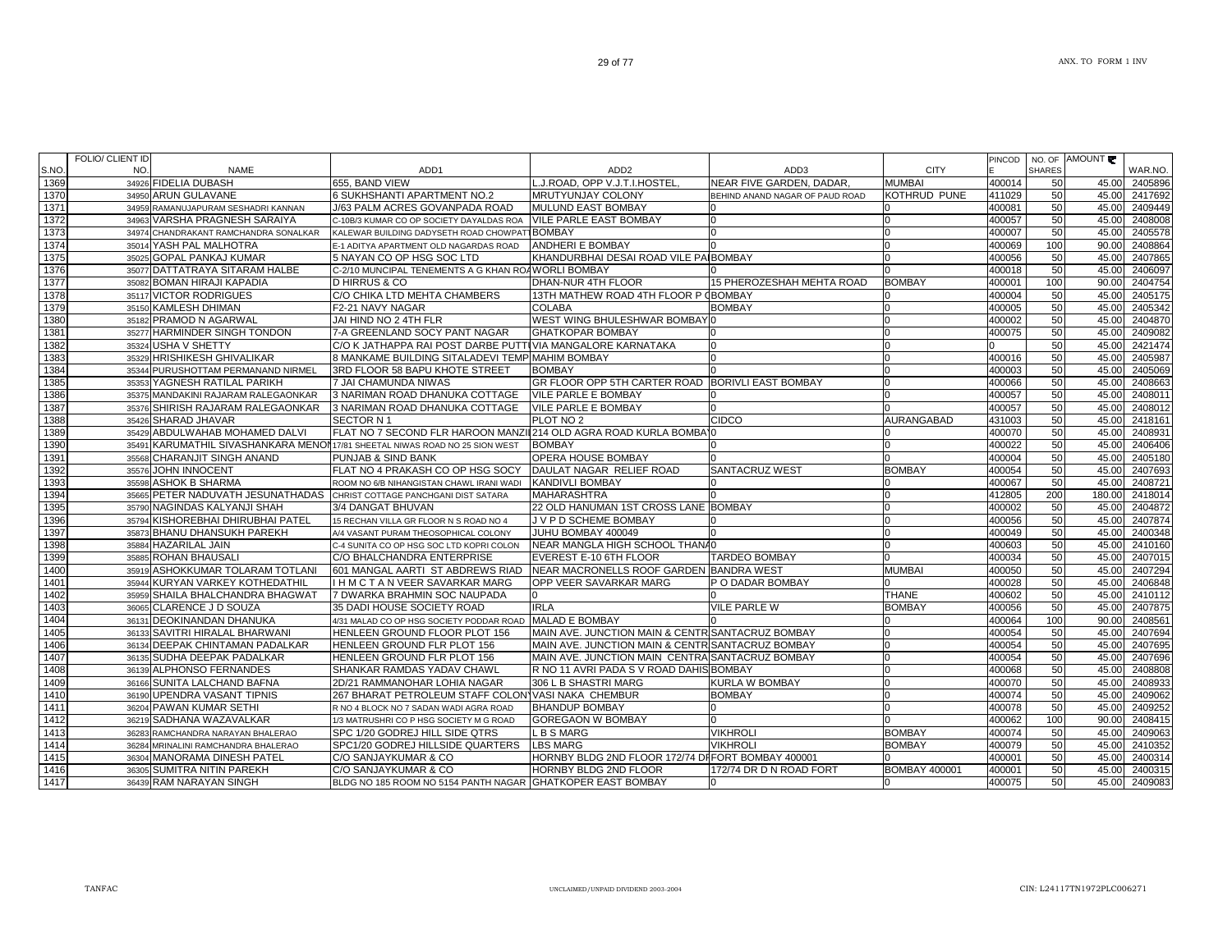|      | FOLIO/ CLIENT ID                                                            |                                                                  |                                                   |                                 |                      | PINCOD |               | NO. OF AMOUNT |         |
|------|-----------------------------------------------------------------------------|------------------------------------------------------------------|---------------------------------------------------|---------------------------------|----------------------|--------|---------------|---------------|---------|
| S.NO | NO.<br><b>NAME</b>                                                          | ADD1                                                             | ADD <sub>2</sub>                                  | ADD3                            | <b>CITY</b>          |        | <b>SHARES</b> |               | WAR.NO. |
| 1369 | 34926 FIDELIA DUBASH                                                        | 655. BAND VIEW                                                   | J.ROAD, OPP V.J.T.I.HOSTEL                        | NEAR FIVE GARDEN, DADAR,        | <b>MUMBAI</b>        | 400014 | 50            | 45.00         | 2405896 |
| 1370 | 34950 ARUN GULAVANE                                                         | 6 SUKHSHANTI APARTMENT NO.2                                      | <b>MRUTYUNJAY COLONY</b>                          | BEHIND ANAND NAGAR OF PAUD ROAD | KOTHRUD PUNE         | 411029 | 50            | 45.00         | 2417692 |
| 1371 | 34959 RAMANUJAPURAM SESHADRI KANNAN                                         | J/63 PALM ACRES GOVANPADA ROAD                                   | <b>I</b> MULUND EAST BOMBAY                       |                                 |                      | 400081 | 50            | 45.00         | 2409449 |
| 1372 | 34963 VARSHA PRAGNESH SARAIYA                                               | C-10B/3 KUMAR CO OP SOCIETY DAYALDAS ROA VILE PARLE EAST BOMBAY  |                                                   |                                 |                      | 400057 | 50            | 45.00         | 2408008 |
| 1373 | 34974 CHANDRAKANT RAMCHANDRA SONALKAR                                       | KALEWAR BUILDING DADYSETH ROAD CHOWPATT BOMBAY                   |                                                   |                                 |                      | 400007 | 50            | 45.00         | 2405578 |
| 1374 | 35014 YASH PAL MALHOTRA                                                     | E-1 ADITYA APARTMENT OLD NAGARDAS ROAD                           | ANDHERI E BOMBAY                                  |                                 |                      | 400069 | 100           | 90.00         | 2408864 |
| 1375 | 35025 GOPAL PANKAJ KUMAR                                                    | 5 NAYAN CO OP HSG SOC LTD                                        | KHANDURBHAI DESAI ROAD VILE PAIBOMBAY             |                                 |                      | 400056 | 50            | 45.00         | 2407865 |
| 1376 | 35077 DATTATRAYA SITARAM HALBE                                              | C-2/10 MUNCIPAL TENEMENTS A G KHAN ROAWORLI BOMBAY               |                                                   |                                 |                      | 400018 | 50            | 45.00         | 2406097 |
| 1377 | 35082 BOMAN HIRAJI KAPADIA                                                  | D HIRRUS & CO                                                    | DHAN-NUR 4TH FLOOR                                | 15 PHEROZESHAH MEHTA ROAD       | <b>BOMBAY</b>        | 400001 | 100           | 90.00         | 2404754 |
| 1378 | 35117 VICTOR RODRIGUES                                                      | C/O CHIKA LTD MEHTA CHAMBERS                                     | 13TH MATHEW ROAD 4TH FLOOR P (BOMBAY              |                                 |                      | 400004 | 50            | 45.00         | 2405175 |
| 1379 | 35150 KAMLESH DHIMAN                                                        | F2-21 NAVY NAGAR                                                 | <b>COLABA</b>                                     | <b>BOMBAY</b>                   |                      | 400005 | 50            | 45.00         | 2405342 |
| 1380 | 35182 PRAMOD N AGARWAL                                                      | JAI HIND NO 2 4TH FLR                                            | WEST WING BHULESHWAR BOMBAYO                      |                                 |                      | 400002 | 50            | 45.00         | 2404870 |
| 1381 | 35277 HARMINDER SINGH TONDON                                                | 7-A GREENLAND SOCY PANT NAGAR                                    | <b>GHATKOPAR BOMBAY</b>                           |                                 |                      | 400075 | 50            | 45.00         | 2409082 |
| 1382 | 35324 USHA V SHETTY                                                         | C/O K JATHAPPA RAI POST DARBE PUTTUVIA MANGALORE KARNATAKA       |                                                   |                                 |                      |        | 50            | 45.00         | 2421474 |
| 1383 | 35329 HRISHIKESH GHIVALIKAR                                                 | 8 MANKAME BUILDING SITALADEVI TEMP MAHIM BOMBAY                  |                                                   |                                 |                      | 400016 | 50            | 45.00         | 2405987 |
| 1384 | 35344 PURUSHOTTAM PERMANAND NIRMEL                                          | 3RD FLOOR 58 BAPU KHOTE STREET                                   | <b>BOMBAY</b>                                     |                                 |                      | 400003 | 50            | 45.00         | 2405069 |
| 1385 | 35353 YAGNESH RATILAL PARIKH                                                | 7 JAI CHAMUNDA NIWAS                                             | GR FLOOR OPP 5TH CARTER ROAD BORIVLI EAST BOMBAY  |                                 |                      | 400066 | 50            | 45.00         | 2408663 |
| 1386 | 35375 MANDAKINI RAJARAM RALEGAONKAR                                         | 3 NARIMAN ROAD DHANUKA COTTAGE                                   | <b>VILE PARLE E BOMBAY</b>                        |                                 |                      | 400057 | 50            | 45.00         | 2408011 |
| 1387 | 35376 SHIRISH RAJARAM RALEGAONKAR                                           | 3 NARIMAN ROAD DHANUKA COTTAGE                                   | <b>VILE PARLE E BOMBAY</b>                        |                                 |                      | 400057 | 50            | 45.00         | 2408012 |
| 1388 | 35426 SHARAD JHAVAR                                                         | SECTOR N 1                                                       | PLOT NO <sub>2</sub>                              | CIDCO                           | AURANGABAD           | 431003 | 50            | 45.00         | 2418161 |
| 1389 | 35429 ABDULWAHAB MOHAMED DALVI                                              | FLAT NO 7 SECOND FLR HAROON MANZII 214 OLD AGRA ROAD KURLA BOMBA |                                                   |                                 |                      | 400070 | 50            | 45.00         | 2408931 |
| 1390 | 35491 KARUMATHIL SIVASHANKARA MENON17/81 SHEETAL NIWAS ROAD NO 25 SION WEST |                                                                  | <b>BOMBAY</b>                                     |                                 |                      | 400022 | 50            | 45.00         | 2406406 |
| 1391 | 35568 CHARANJIT SINGH ANAND                                                 | <b>PUNJAB &amp; SIND BANK</b>                                    | <b>OPERA HOUSE BOMBAY</b>                         |                                 |                      | 400004 | 50            | 45.00         | 2405180 |
| 1392 | 35576 JOHN INNOCENT                                                         | FLAT NO 4 PRAKASH CO OP HSG SOCY                                 | DAULAT NAGAR RELIEF ROAD                          | <b>SANTACRUZ WEST</b>           | <b>BOMBAY</b>        | 400054 | 50            | 45.00         | 2407693 |
| 1393 | 35598 ASHOK B SHARMA                                                        | ROOM NO 6/B NIHANGISTAN CHAWL IRANI WADI                         | KANDIVLI BOMBAY                                   |                                 |                      | 400067 | 50            | 45.00         | 2408721 |
| 1394 | 35665 PETER NADUVATH JESUNATHADAS CHRIST COTTAGE PANCHGANI DIST SATARA      |                                                                  | <b>MAHARASHTRA</b>                                |                                 |                      | 412805 | 200           | 180.00        | 2418014 |
| 1395 | 35790 NAGINDAS KALYANJI SHAH                                                | 3/4 DANGAT BHUVAN                                                | 22 OLD HANUMAN 1ST CROSS LANE BOMBAY              |                                 |                      | 400002 | 50            | 45.00         | 2404872 |
| 1396 | 35794 KISHOREBHAI DHIRUBHAI PATEL                                           | 15 RECHAN VILLA GR FLOOR N S ROAD NO 4                           | J V P D SCHEME BOMBAY                             |                                 |                      | 400056 | 50            | 45.00         | 2407874 |
| 1397 | 35873 BHANU DHANSUKH PAREKH                                                 | A/4 VASANT PURAM THEOSOPHICAL COLONY                             | JUHU BOMBAY 400049                                |                                 |                      | 400049 | 50            | 45.00         | 2400348 |
| 1398 | 35884 HAZARILAL JAIN                                                        | C-4 SUNITA CO OP HSG SOC LTD KOPRI COLON                         | NEAR MANGLA HIGH SCHOOL THANA0                    |                                 |                      | 400603 | 50            | 45.00         | 2410160 |
| 1399 | 35885 ROHAN BHAUSALI                                                        | C/O BHALCHANDRA ENTERPRISE                                       | EVEREST E-10 6TH FLOOR                            | <b>TARDEO BOMBAY</b>            |                      | 400034 | 50            | 45.00         | 2407015 |
| 1400 | 35919 ASHOKKUMAR TOLARAM TOTLANI                                            | 601 MANGAL AARTI ST ABDREWS RIAD                                 | NEAR MACRONELLS ROOF GARDEN BANDRA WEST           |                                 | <b>MUMBAI</b>        | 400050 | 50            | 45.00         | 2407294 |
| 1401 | 35944 KURYAN VARKEY KOTHEDATHIL                                             | I H M C T A N VEER SAVARKAR MARG                                 | OPP VEER SAVARKAR MARG                            | P O DADAR BOMBAY                |                      | 400028 | 50            | 45.00         | 2406848 |
| 1402 | 35959 SHAILA BHALCHANDRA BHAGWAT                                            | 7 DWARKA BRAHMIN SOC NAUPADA                                     | n                                                 |                                 | <b>THANE</b>         | 400602 | 50            | 45.00         | 2410112 |
| 1403 | 36065 CLARENCE J D SOUZA                                                    | 35 DADI HOUSE SOCIETY ROAD                                       | <b>IRLA</b>                                       | <b>VILE PARLE W</b>             | <b>BOMBAY</b>        | 400056 | 50            | 45.00         | 2407875 |
| 1404 | 36131 DEOKINANDAN DHANUKA                                                   | 4/31 MALAD CO OP HSG SOCIETY PODDAR ROAD MALAD E BOMBAY          |                                                   |                                 |                      | 400064 | 100           | 90.00         | 2408561 |
| 1405 | 36133 SAVITRI HIRALAL BHARWANI                                              | HENLEEN GROUND FLOOR PLOT 156                                    | MAIN AVE. JUNCTION MAIN & CENTRISANTACRUZ BOMBAY  |                                 |                      | 400054 | 50            | 45.00         | 2407694 |
| 1406 | 36134 DEEPAK CHINTAMAN PADALKAR                                             | HENLEEN GROUND FLR PLOT 156                                      | MAIN AVE. JUNCTION MAIN & CENTRISANTACRUZ BOMBAY  |                                 |                      | 400054 | 50            | 45.00         | 2407695 |
| 1407 | 36135 SUDHA DEEPAK PADALKAR                                                 | HENLEEN GROUND FLR PLOT 156                                      | MAIN AVE. JUNCTION MAIN CENTRA SANTACRUZ BOMBAY   |                                 |                      | 400054 | 50            | 45.00         | 2407696 |
| 1408 | 36139 ALPHONSO FERNANDES                                                    | SHANKAR RAMDAS YADAV CHAWL                                       | R NO 11 AVRI PADA S V ROAD DAHIS BOMBAY           |                                 |                      | 400068 | 50            | 45.00         | 2408808 |
| 1409 | 36166 SUNITA LALCHAND BAFNA                                                 | 2D/21 RAMMANOHAR LOHIA NAGAR                                     | 306 L B SHASTRI MARG                              | KURLA W BOMBAY                  |                      | 400070 | 50            | 45.00         | 2408933 |
| 1410 | 36190 UPENDRA VASANT TIPNIS                                                 | 267 BHARAT PETROLEUM STAFF COLON VASI NAKA CHEMBUR               |                                                   | <b>BOMBAY</b>                   |                      | 400074 | 50            | 45.00         | 2409062 |
| 1411 | 36204 PAWAN KUMAR SETHI                                                     | R NO 4 BLOCK NO 7 SADAN WADI AGRA ROAD                           | <b>BHANDUP BOMBAY</b>                             |                                 |                      | 400078 | 50            | 45.00         | 2409252 |
| 1412 | 36219 SADHANA WAZAVALKAR                                                    | 1/3 MATRUSHRI CO P HSG SOCIETY M G ROAD                          | <b>GOREGAON W BOMBAY</b>                          |                                 |                      | 400062 | 100           | 90.00         | 2408415 |
| 1413 | 36283 RAMCHANDRA NARAYAN BHALERAO                                           | SPC 1/20 GODREJ HILL SIDE QTRS                                   | . B S MARG                                        | <b>VIKHROLI</b>                 | <b>BOMBAY</b>        | 400074 | 50            | 45.00         | 2409063 |
| 1414 | 36284 MRINALINI RAMCHANDRA BHALERAO                                         | SPC1/20 GODREJ HILLSIDE QUARTERS                                 | <b>LBS MARG</b>                                   | VIKHROLI                        | <b>BOMBAY</b>        | 400079 | 50            | 45.00         | 2410352 |
| 1415 | 36304 MANORAMA DINESH PATEL                                                 | C/O SANJAYKUMAR & CO                                             | HORNBY BLDG 2ND FLOOR 172/74 DIFORT BOMBAY 400001 |                                 |                      | 400001 | 50            | 45.00         | 2400314 |
| 1416 | 36305 SUMITRA NITIN PAREKH                                                  | C/O SANJAYKUMAR & CO                                             | HORNBY BLDG 2ND FLOOR                             | 172/74 DR D N ROAD FORT         | <b>BOMBAY 400001</b> | 400001 | 50            | 45.00         | 2400315 |
| 1417 | 36439 RAM NARAYAN SINGH                                                     | BLDG NO 185 ROOM NO 5154 PANTH NAGAR GHATKOPER EAST BOMBAY       |                                                   |                                 |                      | 400075 | 50            | 45.00         | 2409083 |
|      |                                                                             |                                                                  |                                                   |                                 |                      |        |               |               |         |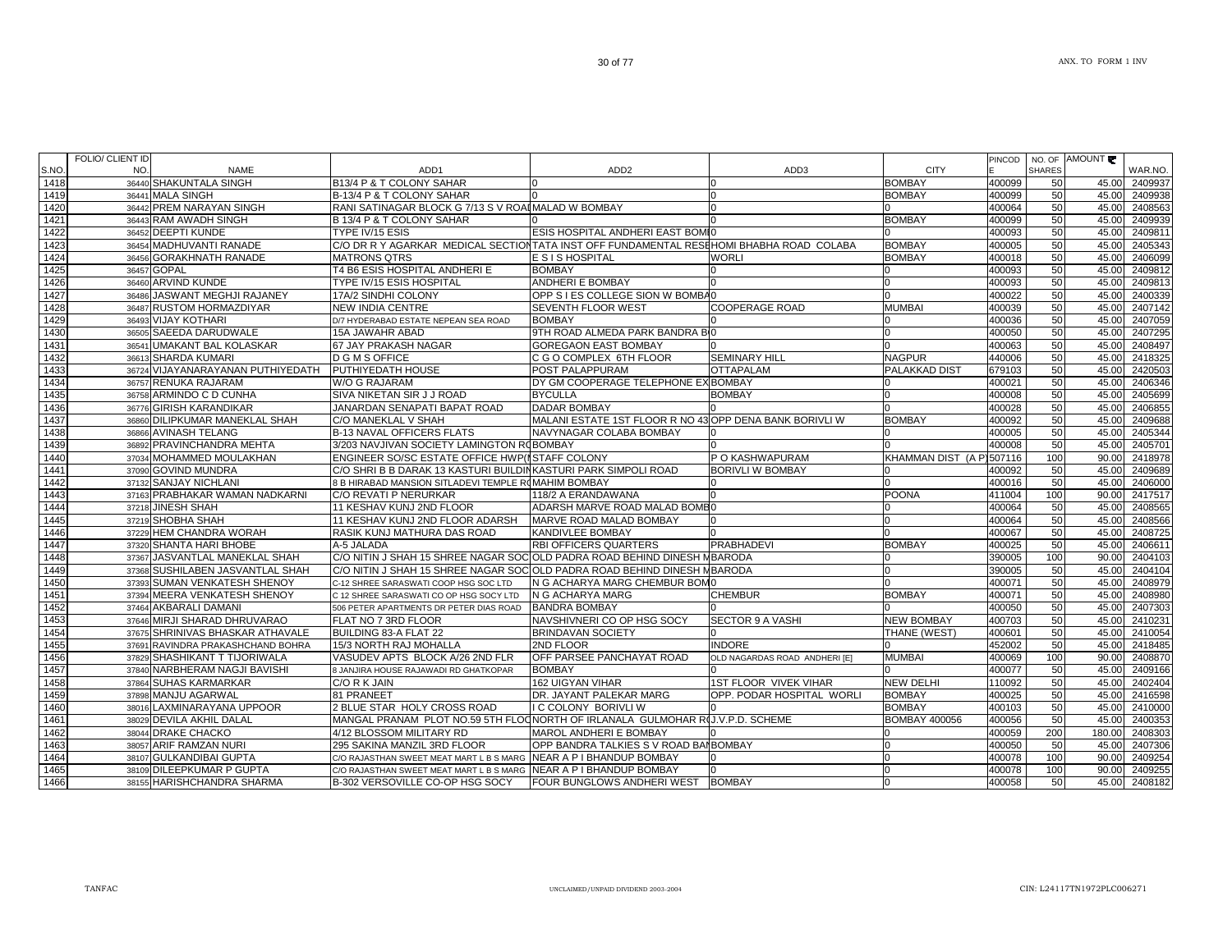C/O RAJASTHAN SWEET MEAT MART L B S MARG

B-302 VERSOVILLE CO-OP HSG SOCY

38057 ARIF RAMZAN NURI 295 SAKINA MANZIL 3RD FLOOR OPP BANDRA TALKIES S V ROAD BANBOMBAY 0 400050 50 45.00 2407306

C/O RAJASTHAN SWEET MEAT MART L B S MARG NEAR A P I BHANDUP BOMBAY 0 0 400078 100 90.00 2409255

NEAR A P I BHANDUP BOMBAY  $\begin{matrix} 0 & 0 & 0 \end{matrix}$   $\begin{matrix} 0 & 0 & 0 \end{matrix}$   $\begin{matrix} 400078 & 100 \end{matrix}$   $\begin{matrix} 90.00 & 240925 \end{matrix}$ 

FOUR BUNGLOWS ANDHERI WEST BOMBAY  $\vert$  0 400058 50 45.00 2408182

 36454 MADHUVANTI RANADE C/O DR R Y AGARKAR MEDICAL SECTIONTATA INST OFF FUNDAMENTAL RESEHOMI BHABHA ROAD COLABA BOMBAY 400005 50 45.00 2405343 142436456 GORAKHNATH RANADE MATRONS QTRS E SIS HOSPITAL WORLI WORLI BOMBAY 400018 50 45.00 2406099 36457 GOPAL GOPAL T4 B6 ESIS HOSPITAL ANDHERI E BOMBAY 0 0 400093 50 45.00 2409812 36460 ARVIND KUNDE TYPE IV/15 ESIS HOSPITAL ANDHERI E BOMBAY 0 0 400093 50 45.00 2409813 36486 JASWANT MEGHJI RAJANEY 17A/2 SINDHI COLONY OPP S I ES COLLEGE SION W BOMBA0 6 60 60 60 400022 50 45.00 240033 36487 RUSTOM HORMAZDIYAR NEW INDIA CENTRE SEVENTH FLOOR WEST COOPERAGE ROAD MUMBAI 400039 50 45.00 2407142 142936493 VI.IAY KOTHARI D/7 HYDERABAD ESTATE NEPEAN SEA ROAD BOMBAY 0 0 400036 50 45.00 2407059 36505 SAEEDA DARUDWALE 15A JAWAHR ABAD 9TH ROAD ALMEDA PARK BANDRA BO0 0 400050 50 45.00 2407295 36541 UMAKANT BAL KOLASKAR 67 JAY PRAKASH NAGAR GOREGAON EAST BOMBAY 0 0 400063 50 45.00 2408497 36613 SHARDA KUMARI SHARDA KUMARI D G M S OFFICE C G O COMPLEX 6TH FLOOR SEMINARY HILL NAGPUR 440006 50 45.00 2418325 36724 VIJAYANARAYANAN PUTHIYEDATH PUTHIYEDATH HOUSE POST PALAPPURAM OTTAPALAM PALAKKAD DIST 679103 50 45.00 2420503 36757 RENUKA RAJARAM W/O G RAJARAM DY GM COOPERAGE TELEPHONE EXIBOMBAY X|BOMBAY |0 |400021 | 50| 45.00| 2406346 143536758 ARMINDO C D CUNHA SIVA NIKETAN SIR J J ROAD BYCULLA BOMBAY BOMBAY O GO GO GO GO GO 45.00 2405699 143636776 GIRISH KARANDIKAR GIRISH KARANDIKAR JANARDAN SENAPATI BAPAT ROAD DADAR BOMBAY 0 0 400028 50 45.00 2406855 143736860 DILIPKUMAR MANEKLAL SHAH C/O MANEKLAL V SHAH MALANI ESTATE 1ST FLOOR R NO 43 OPP DENA BANK BORIVLI W BOMBAY 400092 | 50 45.00 2409688 36866 AVINASH TELANG B-13 NAVAL OFFICERS FLATS NAVYNAGAR COLABA BOMBAY 0 0 400005 50 45.00 2405344 36892 PRAVINCHANDRA MEHTA 3/203 NAVJIVAN SOCIETY LAMINGTON ROBOMBAY 1989 - 10 1 - 10 1 400008 50 400008 50 45.00 240570 1440 <sup>37034</sup> MOHAMMED MOULAKHAN ENGINEER SO/SC ESTATE OFFICE HWP(MSTAFF COLONY P O KASHWAPURAM KHAMMAN DIST (A P)507116 100 90.00 2418978 37090C/O SHRI B B DARAK 13 KASTURI BUILDINKASTURI PARK SIMPOLI ROAD BORIVLI W BOMBAY 60000 10 400092 50 45.00 2409689 1442 37132 SANJAY NICHLANI 8 B HIRABAD MANSION SITLADEVI TEMPLE ROMAHIM BOMBAY 0 0 400016 50 45.00 2406000 144337163 PRABHAKAR WAMAN NADKARNI C/O REVATI P NERURKAR 1999 | 118/2 A ERANDAWANA 1999 | POONA 221701 | 1100 | 90.00 2417517 1444 37218 JINESH SHAH 11 KESHAV KUNJ 2ND FLOOR ADARSH MARVE ROAD MALAD BOMB0 0 400064 50 45.00 2408565 1445 37219 SHOBHA SHAH 11 KESHAV KUNJ 2ND FLOOR ADARSHMARVE ROAD MALAD BOMBAY 400064 50 45.00 240856 144637229 HEM CHANDRA WORAH RASIK KUNJ MATHURA DAS ROAD KANDIVLEE BOMBAY 0 0 0 0 0 0 0 400067 50 45.00 240872: 37320 SHANTA HARI BHOBE A-5 JALADA RBI OFFICERS QUARTERS PRABHADEVI BOMBAY 800025 | 50 45.00 240661 37367 JASVANTLAL MANEKLAL SHAH C/O NITIN J SHAH 15 SHREE NAGAR SOCYOLD PADRA ROAD BEHIND DINESH MBARODA 0 390005 100 90.00 2404103 144937368 SUSHILABEN JASVANTLAL SHAH C/O NITIN J SHAH 15 SHREE NAGAR SOCOLD PADRA ROAD BEHIND DINESH MBARODA 0 390005 50 45.00 2404104 37393 SUMAN VENKATESH SHENOY C-12 SHREE SARASWATI COOP HSG SOC LTD N G ACHARYA MARG CHEMBUR BOM0 0 400071 50 45.00 2408979 37394 MEERA VENKATESH SHENOY C 12 SHREE SARASWATI CO OP HSG SOCY LTDN G ACHARYA MARG BOMBAY 400071 | 50 | 45.00 | 2408980 37464 AKBARALI DAMANI 506 PETER APARTMENTS DR PETER DIAS ROAD BANDRA BOMBAY 0 0 400050 50 45.00 2407303 37646 MIRJI SHARAD DHRUVARAO FLAT NO 7 3RD FLOOR NAVSHIVNERI CO OP HSG SOCY SECTOR 9 A VASHI NEW BOMBAY 400703 50 45.00 2410231 1454 37675SHRINIVAS BHASKAR ATHAVALE BUILDING 83-A FLAT 22 BRINDAVAN SOCIETY | 0 | THANE (WEST) | 400601 | 50 | 45.00 2410054<br>RAVINDRA PRAKASHCHAND BOHRA | 15/3 NORTH RAJ MOHALLA | 2ND FLOOR | INDORE | INDORE | 10 | 15.00 | 45.00 | 37691 RAVINDRA PRAKASHCHAND BOHRA15/3 NORTH RAJ MOHALLA 2ND FLOOR INDORE 150 45.000 2418485 37829 SHASHIKANT T TIJORIWALA VASUDEV APTS BLOCK A/26 2ND FLR OFF PARSEE PANCHAYAT ROAD OLD NAGARDAS ROAD ANDHERI [E] MUMBAI 400069 100 90.00 2408870 37840 NARBHERAM NAGJI BAVISHI 8 JANJIRA HOUSE RAJAWADI RD GHATKOPAR BOMBAY 0 0 400077 50 45.00 2409166 37864 SUHAS KARMARKAR C/O R K JAIN 162 UIGYAN VIHAR 1ST FLOOR VIVEK VIHAR NEW DELHI 110092 50 45.00 2402404 145937898 MANJU AGARWAL 81 PRANEET DR. JAYANT PALEKAR MARG OPP. PODAR HOSPITAL WORLI BOMBAY 4400025 50 45.00 2416598 38016 LAXMINARAYANA UPPOOR 2 BLUE STAR HOLY CROSS ROAD I C COLONY BORIVLI W 0 BOMBAY 400103 50 45.00 2410000 38029 DEVILA AKHIL DALAL MANGAL PRANAM PLOT NO.59 5TH FLOONORTH OF IRLANALA GULMOHAR RUJ.V.P.D. SCHEME BOMBAY 400056 400056 50 45.00 2400353 146238044 DRAKE CHACKO 4/12 BLOSSOM MILITARY RD MAROL ANDHERI E BOMBAY 0 0 400059 200 180.00 2408303

AMOUNT

WAR.NO

PINCODE

NO. OF SHARES

36440 SHAKUNTALA SINGH B13/4 P & T COLONY SAHAR 0 0 BOMBAY 400099 50 45.00 2409937

36441 MALA SINGH B-13/4 P & T COLONY SAHAR 0 0 BOMBAY 400099 50 45.00 2409938

36443 RAM AWADH SINGH B 13/4 P & T COLONY SAHAR 0 0 BOMBAY 400099 50 45.00 2409939

36452 DEEPTI KUNDE TYPE IV/15 ESIS NOSPITAL ANDHERI EAST BOMIO CHE AND THE SIS HOSPITAL ANDHERI EAST BOMIO CHE SIS SAND ASION 2409811

RANI SATINAGAR BLOCK G 7/13 S V ROADMALAD W BOMBAY 0 0 0 0 0 0 0 0 0 0 400064 50 400064 50 45.00 2408563

NAME ADD1 ADD2 ADD3 CITY

38107 GULKANDIBAI GUPTA

38109 DILEEPKUMAR P GUPTA

38155 HARISHCHANDRA SHARMA

S.NO.

1418

1419

1420

1421

1422

1423

1425

1426

1427

1428

1430

1431

1432

1433

1434

1438

1439

1441

1447

1448

1450

1451

1452

1453

1455

1456

1457

1458

1460

1461

1463

1464

1465

1466

FOLIO/ CLIENT ID NO.

36442 PREM NARAYAN SINGH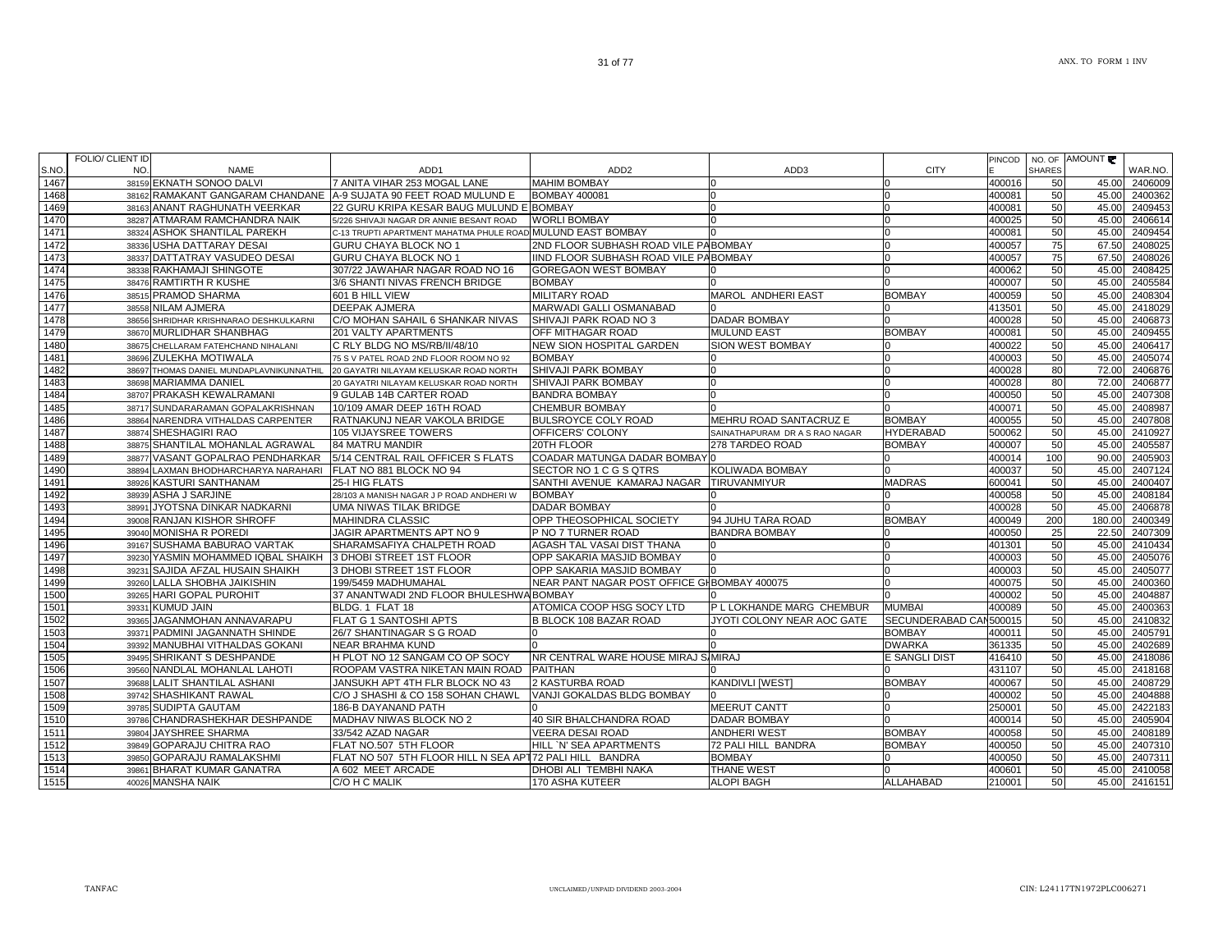|       | FOLIO/ CLIENT ID |                                                             |                                                                   |                                             |                                |                        | PINCOD |               | NO. OF AMOUNT |               |
|-------|------------------|-------------------------------------------------------------|-------------------------------------------------------------------|---------------------------------------------|--------------------------------|------------------------|--------|---------------|---------------|---------------|
| S.NO. | NO.              | <b>NAME</b>                                                 | ADD <sub>1</sub>                                                  | ADD <sub>2</sub>                            | ADD3                           | <b>CITY</b>            |        | <b>SHARES</b> |               | WAR.NO.       |
| 1467  |                  | 38159 EKNATH SONOO DALVI                                    | 7 ANITA VIHAR 253 MOGAL LANE                                      | <b>MAHIM BOMBAY</b>                         |                                |                        | 400016 | 50            | 45.00         | 2406009       |
| 1468  |                  |                                                             | 38162 RAMAKANT GANGARAM CHANDANE A-9 SUJATA 90 FEET ROAD MULUND E | <b>BOMBAY 400081</b>                        | In                             | n                      | 400081 | 50            | 45.00         | 2400362       |
| 1469  |                  | 38163 ANANT RAGHUNATH VEERKAR                               | 22 GURU KRIPA KESAR BAUG MULUND E BOMBAY                          |                                             |                                |                        | 400081 | 50            | 45.00         | 2409453       |
| 1470  |                  | 38287 ATMARAM RAMCHANDRA NAIK                               | 5/226 SHIVAJI NAGAR DR ANNIE BESANT ROAD                          | <b>WORLI BOMBAY</b>                         |                                | n                      | 400025 | 50            | 45.00         | 2406614       |
| 1471  |                  | 38324 ASHOK SHANTILAL PAREKH                                | C-13 TRUPTI APARTMENT MAHATMA PHULE ROAD MULUND EAST BOMBAY       |                                             |                                | <sup>0</sup>           | 400081 | 50            | 45.00         | 2409454       |
| 1472  |                  | 38336 USHA DATTARAY DESAI                                   | GURU CHAYA BLOCK NO 1                                             | 2ND FLOOR SUBHASH ROAD VILE PABOMBAY        |                                | $\Omega$               | 400057 | 75            | 67.50         | 2408025       |
| 1473  |                  | 38337 DATTATRAY VASUDEO DESAI                               | GURU CHAYA BLOCK NO 1                                             | IIND FLOOR SUBHASH ROAD VILE PABOMBAY       |                                |                        | 400057 | 75            | 67.50         | 2408026       |
| 1474  |                  | 38338 RAKHAMAJI SHINGOTE                                    | 307/22 JAWAHAR NAGAR ROAD NO 16                                   | <b>GOREGAON WEST BOMBAY</b>                 |                                |                        | 400062 | 50            | 45.00         | 2408425       |
| 1475  |                  | 38476 RAMTIRTH R KUSHE                                      | 3/6 SHANTI NIVAS FRENCH BRIDGE                                    | <b>BOMBAY</b>                               |                                |                        | 400007 | 50            | 45.00         | 2405584       |
| 1476  |                  | 38515 PRAMOD SHARMA                                         | 601 B HILL VIEW                                                   | <b>MILITARY ROAD</b>                        | <b>MAROL ANDHERI EAST</b>      | <b>BOMBAY</b>          | 400059 | 50            | 45.00         | 2408304       |
| 1477  |                  | 38558 NILAM AJMERA                                          | <b>DEEPAK AJMERA</b>                                              | MARWADI GALLI OSMANABAD                     |                                |                        | 413501 | 50            | 45.00         | 2418029       |
| 1478  |                  | 38656 SHRIDHAR KRISHNARAO DESHKULKARNI                      | C/O MOHAN SAHAIL 6 SHANKAR NIVAS                                  | SHIVAJI PARK ROAD NO 3                      | <b>DADAR BOMBAY</b>            |                        | 400028 | 50            | 45.00         | 2406873       |
| 1479  |                  | 38670 MURLIDHAR SHANBHAG                                    | 201 VALTY APARTMENTS                                              | <b>OFF MITHAGAR ROAD</b>                    | <b>MULUND EAST</b>             | <b>BOMBAY</b>          | 400081 | 50            | 45.00         | 2409455       |
| 1480  |                  | 38675 CHELLARAM FATEHCHAND NIHALANI                         | C RLY BLDG NO MS/RB/II/48/10                                      | <b>NEW SION HOSPITAL GARDEN</b>             | <b>SION WEST BOMBAY</b>        |                        | 400022 | 50            | 45.00         | 2406417       |
| 1481  |                  | 38696 ZULEKHA MOTIWALA                                      | 75 S V PATEL ROAD 2ND FLOOR ROOM NO 92                            | <b>BOMBAY</b>                               |                                |                        | 400003 | 50            | 45.00         | 2405074       |
| 1482  |                  | 38697 THOMAS DANIEL MUNDAPLAVNIKUNNATHIL                    | 20 GAYATRI NILAYAM KELUSKAR ROAD NORTH                            | <b>SHIVAJI PARK BOMBAY</b>                  |                                | <sup>0</sup>           | 400028 | 80            | 72.00         | 2406876       |
| 1483  |                  | 38698 MARIAMMA DANIEL                                       | 20 GAYATRI NILAYAM KELUSKAR ROAD NORTH                            | <b>I</b> SHIVAJI PARK BOMBAY                | n                              | $\Omega$               | 400028 | 80            | 72.00         | 2406877       |
| 1484  |                  | 38707 PRAKASH KEWALRAMANI                                   | 9 GULAB 14B CARTER ROAD                                           | <b>BANDRA BOMBAY</b>                        |                                |                        | 400050 | 50            | 45.00         | 2407308       |
| 1485  |                  | 38717 SUNDARARAMAN GOPALAKRISHNAN                           | 10/109 AMAR DEEP 16TH ROAD                                        | <b>CHEMBUR BOMBAY</b>                       |                                |                        | 400071 | 50            | 45.00         | 2408987       |
| 1486  |                  | 38864 NARENDRA VITHALDAS CARPENTER                          | RATNAKUNJ NEAR VAKOLA BRIDGE                                      | <b>BULSROYCE COLY ROAD</b>                  | MEHRU ROAD SANTACRUZ E         | <b>BOMBAY</b>          | 400055 | 50            | 45.00         | 2407808       |
| 1487  |                  | 38874 SHESHAGIRI RAO                                        | 105 VIJAYSREE TOWERS                                              | OFFICERS' COLONY                            | SAINATHAPURAM DR A S RAO NAGAR | <b>HYDERABAD</b>       | 500062 | 50            | 45.00         | 2410927       |
| 1488  |                  | 38875 SHANTILAL MOHANLAL AGRAWAL                            | <b>84 MATRU MANDIR</b>                                            | 20TH FLOOR                                  | 278 TARDEO ROAD                | <b>BOMBAY</b>          | 400007 | 50            | 45.00         | 2405587       |
| 1489  |                  | 38877 VASANT GOPALRAO PENDHARKAR                            | 5/14 CENTRAL RAIL OFFICER S FLATS                                 | <b>COADAR MATUNGA DADAR BOMBAY 0</b>        |                                |                        | 400014 | 100           | 90.00         | 2405903       |
| 1490  |                  | 38894 LAXMAN BHODHARCHARYA NARAHARI                         | FLAT NO 881 BLOCK NO 94                                           | SECTOR NO 1 C G S QTRS                      | KOLIWADA BOMBAY                |                        | 400037 | 50            | 45.00         | 2407124       |
| 1491  |                  | 38926 KASTURI SANTHANAM                                     | 25-I HIG FLATS                                                    | SANTHI AVENUE KAMARAJ NAGAR                 | <b>TIRUVANMIYUR</b>            | <b>MADRAS</b>          | 600041 | 50            | 45.00         | 2400407       |
| 1492  |                  | 38939 ASHA J SARJINE                                        | 28/103 A MANISH NAGAR J P ROAD ANDHERI W                          | <b>BOMBAY</b>                               |                                |                        | 400058 | 50            | 45.00         | 2408184       |
| 1493  |                  | 38991 JYOTSNA DINKAR NADKARNI                               | UMA NIWAS TILAK BRIDGE                                            | <b>DADAR BOMBAY</b>                         |                                |                        | 400028 | 50            | 45.00         | 2406878       |
| 1494  |                  | 39008 RANJAN KISHOR SHROFF                                  | <b>MAHINDRA CLASSIC</b>                                           | OPP THEOSOPHICAL SOCIETY                    | 94 JUHU TARA ROAD              | <b>BOMBAY</b>          | 400049 | 200           | 180.00        | 2400349       |
| 1495  |                  | 39040 MONISHA R POREDI                                      | JAGIR APARTMENTS APT NO 9                                         | IP NO 7 TURNER ROAD                         | <b>BANDRA BOMBAY</b>           |                        | 400050 | 25            | 22.50         | 2407309       |
| 1496  |                  | 39167 SUSHAMA BABURAO VARTAK                                | SHARAMSAFIYA CHALPETH ROAD                                        | AGASH TAL VASAI DIST THANA                  |                                |                        | 401301 | 50            | 45.00         | 2410434       |
| 1497  |                  | 39230 YASMIN MOHAMMED IQBAL SHAIKH 3 DHOBI STREET 1ST FLOOR |                                                                   | OPP SAKARIA MASJID BOMBAY                   |                                |                        | 400003 | 50            | 45.00         | 2405076       |
| 1498  |                  | 39231 SAJIDA AFZAL HUSAIN SHAIKH                            | 3 DHOBI STREET 1ST FLOOR                                          | OPP SAKARIA MASJID BOMBAY                   |                                |                        | 400003 | 50            | 45.00         | 2405077       |
| 1499  |                  | 39260 LALLA SHOBHA JAIKISHIN                                | 199/5459 MADHUMAHAL                                               | NEAR PANT NAGAR POST OFFICE GHBOMBAY 400075 |                                |                        | 400075 | 50            | 45.00         | 2400360       |
| 1500  |                  | 39265 HARI GOPAL PUROHIT                                    | 37 ANANTWADI 2ND FLOOR BHULESHWA BOMBAY                           |                                             |                                |                        | 400002 | 50            | 45.00         | 2404887       |
| 1501  |                  | 39331 KUMUD JAIN                                            | BLDG. 1 FLAT 18                                                   | <b>ATOMICA COOP HSG SOCY LTD</b>            | P L LOKHANDE MARG CHEMBUR      | <b>MUMBAI</b>          | 400089 | 50            | 45.00         | 2400363       |
| 1502  |                  | 39365 JAGANMOHAN ANNAVARAPU                                 | FLAT G 1 SANTOSHI APTS                                            | <b>B BLOCK 108 BAZAR ROAD</b>               | JYOTI COLONY NEAR AOC GATE     | SECUNDERABAD CAN500015 |        | 50            | 45.00         | 2410832       |
| 1503  |                  | 39371 PADMINI JAGANNATH SHINDE                              | 26/7 SHANTINAGAR S G ROAD                                         |                                             |                                | <b>BOMBAY</b>          | 400011 | 50            | 45.00         | 2405791       |
| 1504  |                  | 39392 MANUBHAI VITHALDAS GOKANI                             | <b>NEAR BRAHMA KUND</b>                                           |                                             |                                | <b>DWARKA</b>          | 361335 | 50            | 45.00         | 2402689       |
| 1505  |                  | 39495 SHRIKANT S DESHPANDE                                  | H PLOT NO 12 SANGAM CO OP SOCY                                    | NR CENTRAL WARE HOUSE MIRAJ S/MIRAJ         |                                | E SANGLI DIST          | 416410 | 50            | 45.00         | 2418086       |
| 1506  |                  | 39560 NANDLAL MOHANLAL LAHOTI                               | ROOPAM VASTRA NIKETAN MAIN ROAD                                   | <b>PAITHAN</b>                              |                                |                        | 431107 | 50            | 45.00         | 2418168       |
| 1507  |                  | 39688 LALIT SHANTILAL ASHANI                                | JANSUKH APT 4TH FLR BLOCK NO 43                                   | 2 KASTURBA ROAD                             | <b>KANDIVLI [WEST]</b>         | <b>BOMBAY</b>          | 400067 | 50            |               | 45.00 2408729 |
| 1508  |                  | 39742 SHASHIKANT RAWAL                                      | C/O J SHASHI & CO 158 SOHAN CHAWL                                 | VANJI GOKALDAS BLDG BOMBAY                  |                                |                        | 400002 | 50            | 45.00         | 2404888       |
| 1509  |                  | 39785 SUDIPTA GAUTAM                                        | 186-B DAYANAND PATH                                               |                                             | <b>MEERUT CANTT</b>            |                        | 250001 | 50            | 45.00         | 2422183       |
| 1510  |                  | 39786 CHANDRASHEKHAR DESHPANDE                              | MADHAV NIWAS BLOCK NO 2                                           | 40 SIR BHALCHANDRA ROAD                     | <b>DADAR BOMBAY</b>            |                        | 400014 | 50            | 45.00         | 2405904       |
| 1511  |                  | 39804 JAYSHREE SHARMA                                       | 33/542 AZAD NAGAR                                                 | <b>VEERA DESAI ROAD</b>                     | <b>ANDHERI WEST</b>            | <b>BOMBAY</b>          | 400058 | 50            | 45.00         | 2408189       |
| 1512  |                  | 39849 GOPARAJU CHITRA RAO                                   | FLAT NO.507 5TH FLOOR                                             | HILL `N' SEA APARTMENTS                     | 72 PALI HILL BANDRA            | <b>BOMBAY</b>          | 400050 | 50            | 45.00         | 2407310       |
| 1513  |                  | 39850 GOPARAJU RAMALAKSHMI                                  | FLAT NO 507 5TH FLOOR HILL N SEA APT72 PALI HILL BANDRA           |                                             | <b>BOMBAY</b>                  |                        | 400050 | 50            | 45.00         | 2407311       |
| 1514  |                  | 39861 BHARAT KUMAR GANATRA                                  | A 602 MEET ARCADE                                                 | DHOBI ALI TEMBHI NAKA                       | <b>THANE WEST</b>              |                        | 400601 | 50            | 45.00         | 2410058       |
| 1515  |                  | 40026 MANSHA NAIK                                           | C/O H C MALIK                                                     | 170 ASHA KUTEER                             | <b>ALOPI BAGH</b>              | <b>ALLAHABAD</b>       | 210001 | 50            | 45.00         | 2416151       |
|       |                  |                                                             |                                                                   |                                             |                                |                        |        |               |               |               |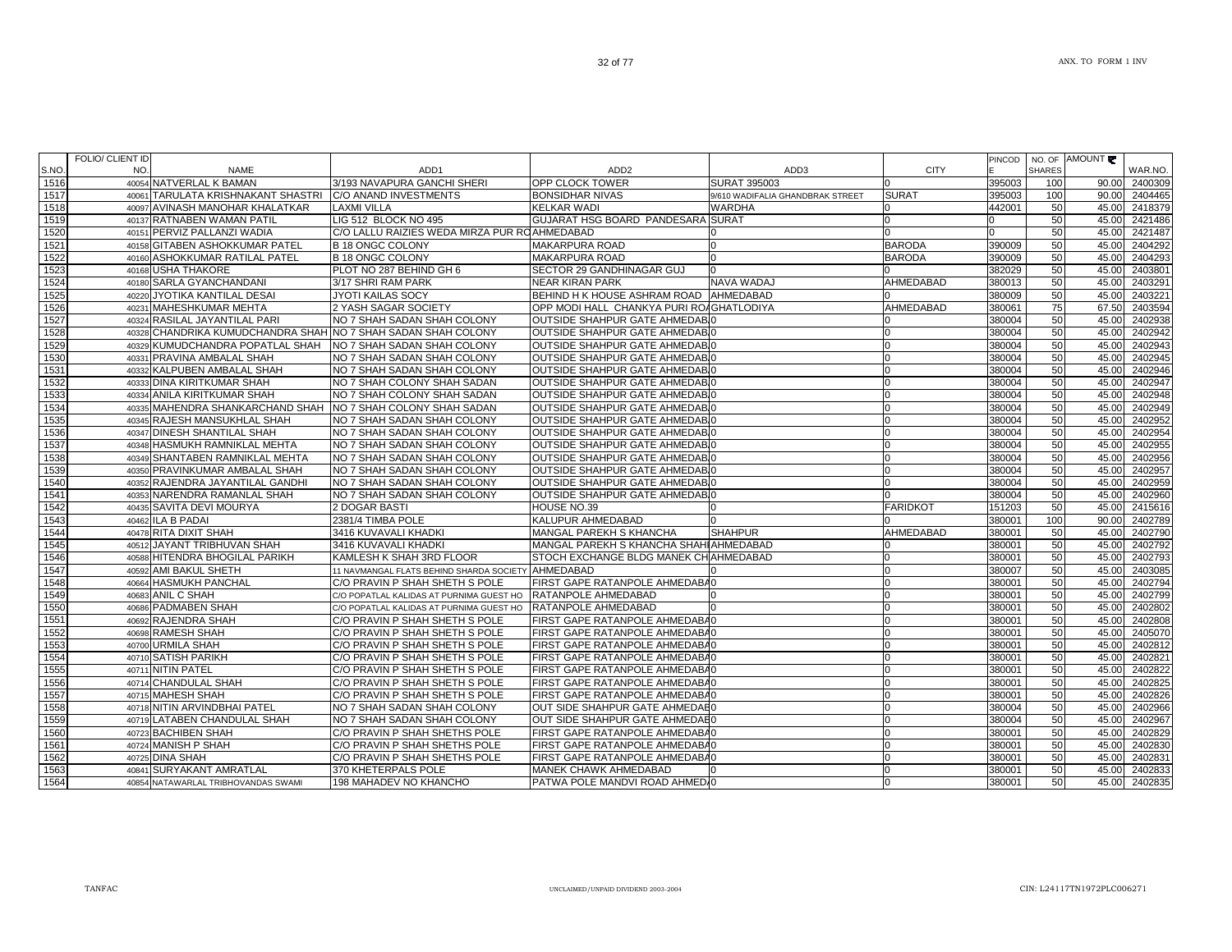TANFAC

FOLIO/ CLIENT ID

┱

|       | FOLIO/ CLIENT ID |                                                               |                                                               |                                          |                                  |                 |        |               | PINCOD   NO. OF AMOUNT |         |
|-------|------------------|---------------------------------------------------------------|---------------------------------------------------------------|------------------------------------------|----------------------------------|-----------------|--------|---------------|------------------------|---------|
| S.NO. | NO.              | <b>NAME</b>                                                   | ADD <sub>1</sub>                                              | ADD <sub>2</sub>                         | ADD3                             | <b>CITY</b>     |        | <b>SHARES</b> |                        | WAR.NO. |
| 1516  |                  | 40054 NATVERLAL K BAMAN                                       | 3/193 NAVAPURA GANCHI SHERI                                   | OPP CLOCK TOWER                          | <b>SURAT 395003</b>              | ın              | 395003 | 100           | 90.00                  | 2400309 |
| 1517  |                  | 40061 TARULATA KRISHNAKANT SHASTRI                            | <b>IC/O ANAND INVESTMENTS</b>                                 | <b>BONSIDHAR NIVAS</b>                   | 9/610 WADIFALIA GHANDBRAK STREET | <b>SURAT</b>    | 395003 | 100           | 90.00                  | 2404465 |
| 1518  |                  | 40097 AVINASH MANOHAR KHALATKAR                               | LAXMI VILLA                                                   | <b>KELKAR WADI</b>                       | WARDHA                           | In              | 442001 | 50            | 45.00                  | 2418379 |
| 1519  |                  | 40137 RATNABEN WAMAN PATIL                                    | LIG 512 BLOCK NO 495                                          | GUJARAT HSG BOARD PANDESARA SURAT        |                                  | <sup>0</sup>    |        | 50            | 45.00                  | 2421486 |
| 1520  |                  | 40151 PERVIZ PALLANZI WADIA                                   | C/O LALLU RAIZIES WEDA MIRZA PUR ROAHMEDABAD                  |                                          |                                  | <sup>0</sup>    |        | 50            | 45.00                  | 2421487 |
| 1521  |                  | 40158 GITABEN ASHOKKUMAR PATEL                                | <b>B 18 ONGC COLONY</b>                                       | <b>MAKARPURA ROAD</b>                    |                                  | <b>BARODA</b>   | 390009 | 50            | 45.00                  | 2404292 |
| 1522  | 40160            | ASHOKKUMAR RATILAL PATEL                                      | <b>B 18 ONGC COLONY</b>                                       | <b>MAKARPURA ROAD</b>                    |                                  | <b>BARODA</b>   | 390009 | 50            | 45.00                  | 2404293 |
| 1523  |                  | 40168 USHA THAKORE                                            | PLOT NO 287 BEHIND GH 6                                       | SECTOR 29 GANDHINAGAR GUJ                |                                  |                 | 382029 | 50            | 45.00                  | 2403801 |
| 1524  |                  | 40180 SARLA GYANCHANDANI                                      | 3/17 SHRI RAM PARK                                            | <b>NEAR KIRAN PARK</b>                   | NAVA WADAJ                       | AHMEDABAD       | 380013 | 50            | 45.00                  | 2403291 |
| 1525  |                  | 40220 JYOTIKA KANTILAL DESAI                                  | JYOTI KAILAS SOCY                                             | BEHIND H K HOUSE ASHRAM ROAD AHMEDABAD   |                                  |                 | 380009 | 50            | 45.00                  | 2403221 |
| 1526  |                  | 40231 MAHESHKUMAR MEHTA                                       | 2 YASH SAGAR SOCIETY                                          | OPP MODI HALL CHANKYA PURI ROAGHATLODIYA |                                  | AHMEDABAD       | 380061 | 75            | 67.50                  | 2403594 |
| 1527  |                  | 40324 RASILAL JAYANTILAL PARI                                 | NO 7 SHAH SADAN SHAH COLONY                                   | OUTSIDE SHAHPUR GATE AHMEDABIO           |                                  |                 | 380004 | 50            | 45.00                  | 2402938 |
| 1528  |                  | 40328 CHANDRIKA KUMUDCHANDRA SHAH NO 7 SHAH SADAN SHAH COLONY |                                                               | OUTSIDE SHAHPUR GATE AHMEDABIO           |                                  |                 | 380004 | 50            | 45.00                  | 2402942 |
| 1529  |                  | 40329 KUMUDCHANDRA POPATLAL SHAH                              | NO 7 SHAH SADAN SHAH COLONY                                   | OUTSIDE SHAHPUR GATE AHMEDABIO           |                                  | $\Omega$        | 380004 | 50            | 45.00                  | 2402943 |
| 1530  |                  | 40331 PRAVINA AMBALAL SHAH                                    | NO 7 SHAH SADAN SHAH COLONY                                   | OUTSIDE SHAHPUR GATE AHMEDABIO           |                                  | $\Omega$        | 380004 | 50            | 45.00                  | 2402945 |
| 1531  |                  | 40332 KALPUBEN AMBALAL SHAH                                   | NO 7 SHAH SADAN SHAH COLONY                                   | OUTSIDE SHAHPUR GATE AHMEDABIO           |                                  | $\Omega$        | 380004 | 50            | 45.00                  | 2402946 |
| 1532  |                  | 40333 DINA KIRITKUMAR SHAH                                    | NO 7 SHAH COLONY SHAH SADAN                                   | OUTSIDE SHAHPUR GATE AHMEDABIO           |                                  | $\Omega$        | 380004 | 50            | 45.00                  | 2402947 |
| 1533  |                  | 40334 ANILA KIRITKUMAR SHAH                                   | NO 7 SHAH COLONY SHAH SADAN                                   | OUTSIDE SHAHPUR GATE AHMEDABI0           |                                  | $\Omega$        | 380004 | 50            | 45.00                  | 2402948 |
| 1534  |                  | 40335 MAHENDRA SHANKARCHAND SHAH                              | NO 7 SHAH COLONY SHAH SADAN                                   | OUTSIDE SHAHPUR GATE AHMEDABI0           |                                  | $\Omega$        | 380004 | 50            | 45.00                  | 2402949 |
| 1535  |                  | 40345 RAJESH MANSUKHLAL SHAH                                  | NO 7 SHAH SADAN SHAH COLONY                                   | OUTSIDE SHAHPUR GATE AHMEDABIO           |                                  | $\Omega$        | 380004 | 50            | 45.00                  | 2402952 |
| 1536  |                  | 40347 DINESH SHANTILAL SHAH                                   | NO 7 SHAH SADAN SHAH COLONY                                   | OUTSIDE SHAHPUR GATE AHMEDABIO           |                                  | $\Omega$        | 380004 | 50            | 45.00                  | 2402954 |
| 1537  |                  | 40348 HASMUKH RAMNIKLAL MEHTA                                 | NO 7 SHAH SADAN SHAH COLONY                                   | <b>OUTSIDE SHAHPUR GATE AHMEDAB.</b>     |                                  |                 | 380004 | 50            | 45.00                  | 2402955 |
| 1538  |                  | 40349 SHANTABEN RAMNIKLAL MEHTA                               | NO 7 SHAH SADAN SHAH COLONY                                   | <b>OUTSIDE SHAHPUR GATE AHMEDAB.</b>     |                                  | $\Omega$        | 380004 | 50            | 45.00                  | 2402956 |
| 1539  |                  | 40350 PRAVINKUMAR AMBALAL SHAH                                | NO 7 SHAH SADAN SHAH COLONY                                   | OUTSIDE SHAHPUR GATE AHMEDABIO           |                                  | $\Omega$        | 380004 | 50            | 45.00                  | 2402957 |
| 1540  |                  | 40352 RAJENDRA JAYANTILAL GANDHI                              | NO 7 SHAH SADAN SHAH COLONY                                   | OUTSIDE SHAHPUR GATE AHMEDABIO           |                                  | $\Omega$        | 380004 | 50            | 45.00                  | 2402959 |
| 1541  |                  | 40353 NARENDRA RAMANLAL SHAH                                  | NO 7 SHAH SADAN SHAH COLONY                                   | OUTSIDE SHAHPUR GATE AHMEDABIO           |                                  | $\Omega$        | 380004 | 50            | 45.00                  | 2402960 |
| 1542  |                  | 40435 SAVITA DEVI MOURYA                                      | 2 DOGAR BASTI                                                 | HOUSE NO.39                              |                                  | <b>FARIDKOT</b> | 151203 | 50            | 45.00                  | 2415616 |
| 1543  |                  | 40462 ILA B PADAI                                             | 2381/4 TIMBA POLE                                             | KALUPUR AHMEDABAD                        |                                  |                 | 380001 | 100           | 90.00                  | 2402789 |
| 1544  |                  | 40478 RITA DIXIT SHAH                                         | 3416 KUVAVALI KHADKI                                          | MANGAL PAREKH S KHANCHA                  | <b>SHAHPUR</b>                   | AHMEDABAD       | 380001 | 50            | 45.00                  | 2402790 |
| 1545  |                  | 40512 JAYANT TRIBHUVAN SHAH                                   | 3416 KUVAVALI KHADKI                                          | MANGAL PAREKH S KHANCHA SHAHIAHMEDABAD   |                                  | ıΩ              | 380001 | 50            | 45.00                  | 2402792 |
| 1546  |                  | 40588 HITENDRA BHOGILAL PARIKH                                | KAMLESH K SHAH 3RD FLOOR                                      | STOCH EXCHANGE BLDG MANEK CHIAHMEDABAD   |                                  | $\Omega$        | 380001 | 50            | 45.00                  | 2402793 |
| 1547  |                  | 40592 AMI BAKUL SHETH                                         | 11 NAVMANGAL FLATS BEHIND SHARDA SOCIETY AHMEDABAD            |                                          |                                  | $\Omega$        | 380007 | 50            | 45.00                  | 2403085 |
| 1548  |                  | 40664 HASMUKH PANCHAL                                         | C/O PRAVIN P SHAH SHETH S POLE                                | FIRST GAPE RATANPOLE AHMEDABA0           |                                  | $\Omega$        | 380001 | 50            | 45.00                  | 2402794 |
| 1549  |                  | 40683 ANIL C SHAH                                             | C/O POPATLAL KALIDAS AT PURNIMA GUEST HO KRATANPOLE AHMEDABAD |                                          |                                  | <sup>0</sup>    | 380001 | 50            | 45.00                  | 2402799 |
| 1550  |                  | 40686 PADMABEN SHAH                                           | C/O POPATLAL KALIDAS AT PURNIMA GUEST HO                      | RATANPOLE AHMEDABAD                      |                                  |                 | 380001 | 50            | 45.00                  | 2402802 |
| 1551  |                  | 40692 RAJENDRA SHAH                                           | C/O PRAVIN P SHAH SHETH S POLE                                | FIRST GAPE RATANPOLE AHMEDABA0           |                                  |                 | 380001 | 50            | 45.00                  | 2402808 |
| 1552  |                  | 40698 RAMESH SHAH                                             | C/O PRAVIN P SHAH SHETH S POLE                                | FIRST GAPE RATANPOLE AHMEDABA0           |                                  |                 | 380001 | 50            | 45.00                  | 2405070 |
| 1553  |                  | 40700 URMILA SHAH                                             | C/O PRAVIN P SHAH SHETH S POLE                                | FIRST GAPE RATANPOLE AHMEDABA0           |                                  | $\Omega$        | 380001 | 50            | 45.00                  | 2402812 |
| 1554  |                  | 40710 SATISH PARIKH                                           | C/O PRAVIN P SHAH SHETH S POLE                                | FIRST GAPE RATANPOLE AHMEDABA0           |                                  |                 | 380001 | 50            | 45.00                  | 2402821 |
| 1555  |                  | 40711 NITIN PATEL                                             | C/O PRAVIN P SHAH SHETH S POLE                                | FIRST GAPE RATANPOLE AHMEDABA0           |                                  | $\Omega$        | 380001 | 50            | 45.00                  | 2402822 |
| 1556  |                  | 40714 CHANDULAL SHAH                                          | C/O PRAVIN P SHAH SHETH S POLE                                | FIRST GAPE RATANPOLE AHMEDABA0           |                                  | $\Omega$        | 380001 | 50            | 45.00                  | 2402825 |
| 1557  |                  | 40715 MAHESH SHAH                                             | C/O PRAVIN P SHAH SHETH S POLE                                | FIRST GAPE RATANPOLE AHMEDABA0           |                                  | $\Omega$        | 380001 | 50            | 45.00                  | 2402826 |
| 1558  |                  | 40718 NITIN ARVINDBHAI PATEL                                  | NO 7 SHAH SADAN SHAH COLONY                                   | OUT SIDE SHAHPUR GATE AHMEDAE0           |                                  | $\Omega$        | 380004 | 50            | 45.00                  | 2402966 |
| 1559  |                  | 40719 LATABEN CHANDULAL SHAH                                  | NO 7 SHAH SADAN SHAH COLONY                                   | OUT SIDE SHAHPUR GATE AHMEDAE0           |                                  | $\Omega$        | 380004 | 50            | 45.00                  | 2402967 |
| 1560  |                  | 40723 BACHIBEN SHAH                                           | C/O PRAVIN P SHAH SHETHS POLE                                 | FIRST GAPE RATANPOLE AHMEDABA0           |                                  | $\Omega$        | 380001 | 50            | 45.00                  | 2402829 |
| 1561  |                  | 40724 MANISH P SHAH                                           | C/O PRAVIN P SHAH SHETHS POLE                                 | FIRST GAPE RATANPOLE AHMEDABA0           |                                  | $\Omega$        | 380001 | 50            | 45.00                  | 2402830 |
| 1562  |                  | 40725 DINA SHAH                                               | C/O PRAVIN P SHAH SHETHS POLE                                 | FIRST GAPE RATANPOLE AHMEDABA0           |                                  | $\Omega$        | 380001 | 50            | 45.00                  | 2402831 |
| 1563  |                  | 40841 SURYAKANT AMRATLAL                                      | 370 KHETERPALS POLE                                           | <b>MANEK CHAWK AHMEDABAD</b>             |                                  | 0               | 380001 | 50            | 45.00                  | 2402833 |
| 1564  |                  | 40854 NATAWARLAL TRIBHOVANDAS SWAMI                           | 198 MAHADEV NO KHANCHO                                        | PATWA POLE MANDVI ROAD AHMED 0           |                                  | $\overline{0}$  | 380001 | 50            | 45.00                  | 2402835 |

- 1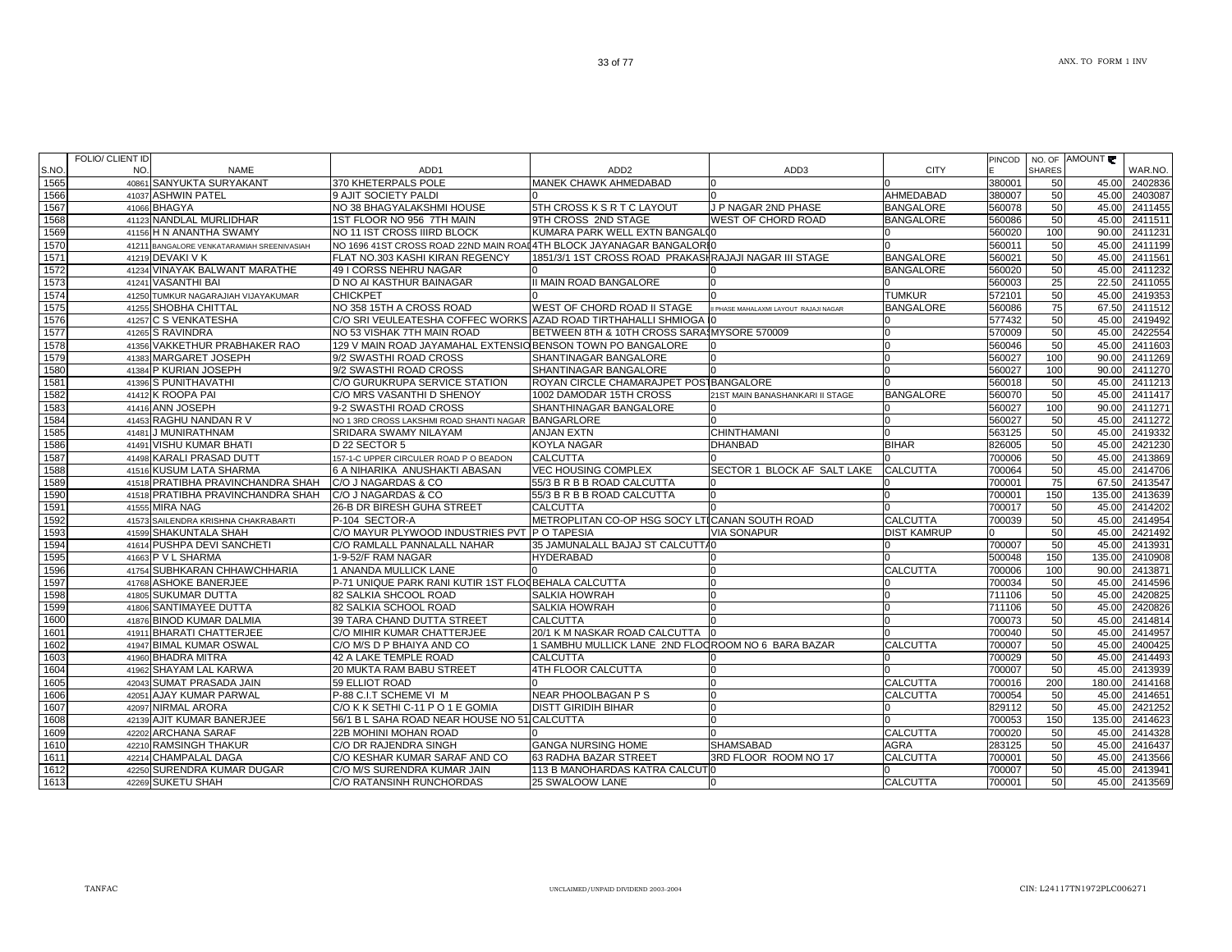| S.NO. | NO. | <b>NAME</b>                                | ADD <sub>1</sub>                                                      | ADD <sub>2</sub>                                      | ADD3                                  | CITY               |        | <b>SHARES</b> | WAR.NO.           |
|-------|-----|--------------------------------------------|-----------------------------------------------------------------------|-------------------------------------------------------|---------------------------------------|--------------------|--------|---------------|-------------------|
| 1565  |     | 40861 SANYUKTA SURYAKANT                   | 370 KHETERPALS POLE                                                   | MANEK CHAWK AHMEDABAD                                 |                                       |                    | 380001 | 50            | 45.00<br>2402836  |
| 1566  |     | 41037 ASHWIN PATEL                         | 9 AJIT SOCIETY PALDI                                                  |                                                       |                                       | AHMEDABAD          | 380007 | 50            | 45.00<br>2403087  |
| 1567  |     | 41066 BHAGYA                               | NO 38 BHAGYALAKSHMI HOUSE                                             | 5TH CROSS K S R T C LAYOUT                            | J P NAGAR 2ND PHASE                   | <b>BANGALORE</b>   | 560078 | 50            | 45.00<br>2411455  |
| 1568  |     | 41123 NANDLAL MURLIDHAR                    | 1ST FLOOR NO 956 7TH MAIN                                             | 9TH CROSS 2ND STAGE                                   | WEST OF CHORD ROAD                    | <b>BANGALORE</b>   | 560086 | 50            | 45.00<br>2411511  |
| 1569  |     | 41156 H N ANANTHA SWAMY                    | NO 11 IST CROSS IIIRD BLOCK                                           | KUMARA PARK WELL EXTN BANGALOO                        |                                       |                    | 560020 | 100           | 90.00<br>2411231  |
| 1570  |     | 41211 BANGALORE VENKATARAMIAH SREENIVASIAH | NO 1696 41ST CROSS ROAD 22ND MAIN ROAI 4TH BLOCK JAYANAGAR BANGALORIO |                                                       |                                       |                    | 560011 | 50            | 45.00<br>2411199  |
| 1571  |     | 41219 DEVAKI V K                           | FLAT NO.303 KASHI KIRAN REGENCY                                       | 1851/3/1 1ST CROSS ROAD PRAKASHRAJAJI NAGAR III STAGE |                                       | <b>BANGALORE</b>   | 560021 | 50            | 45.00<br>2411561  |
| 1572  |     | 41234 VINAYAK BALWANT MARATHE              | 49 I CORSS NEHRU NAGAR                                                |                                                       |                                       | <b>BANGALORE</b>   | 560020 | 50            | 2411232<br>45.00  |
| 1573  |     | 41241 VASANTHI BAI                         | D NO AI KASTHUR BAINAGAR                                              | <b>I MAIN ROAD BANGALORE</b>                          |                                       |                    | 560003 | 25            | 22.50<br>2411055  |
| 1574  |     | 41250 TUMKUR NAGARAJIAH VIJAYAKUMAR        | <b>CHICKPET</b>                                                       |                                                       |                                       | <b>TUMKUR</b>      | 572101 | 50            | 45.00<br>2419353  |
| 1575  |     | 41255 SHOBHA CHITTAL                       | NO 358 15TH A CROSS ROAD                                              | WEST OF CHORD ROAD II STAGE                           | I PHASE MAHALAXMI LAYOUT RAJAJI NAGAR | <b>BANGALORE</b>   | 560086 | 75            | 2411512<br>67.50  |
| 1576  |     | 41257 C S VENKATESHA                       | C/O SRI VEULEATESHA COFFEC WORKS AZAD ROAD TIRTHAHALLI SHMIOGA I      |                                                       |                                       | <sup>n</sup>       | 577432 | 50            | 45.00<br>2419492  |
| 1577  |     | 41265 S RAVINDRA                           | NO 53 VISHAK 7TH MAIN ROAD                                            | BETWEEN 8TH & 10TH CROSS SARAIMYSORE 570009           |                                       | <sup>o</sup>       | 570009 | 50            | 2422554<br>45.00  |
| 1578  |     | 41356 VAKKETHUR PRABHAKER RAO              | 129 V MAIN ROAD JAYAMAHAL EXTENSIO BENSON TOWN PO BANGALORE           |                                                       |                                       |                    | 560046 | 50            | 45.00<br>2411603  |
| 1579  |     | 41383 MARGARET JOSEPH                      | 9/2 SWASTHI ROAD CROSS                                                | SHANTINAGAR BANGALORE                                 |                                       |                    | 560027 | 100           | 90.00<br>2411269  |
| 1580  |     | 41384 P KURIAN JOSEPH                      | 9/2 SWASTHI ROAD CROSS                                                | SHANTINAGAR BANGALORE                                 |                                       |                    | 560027 | 100           | 2411270<br>90.00  |
| 1581  |     | 41396 S PUNITHAVATHI                       | C/O GURUKRUPA SERVICE STATION                                         | ROYAN CIRCLE CHAMARAJPET POSTBANGALORE                |                                       |                    | 560018 | 50            | 45.00<br>2411213  |
| 1582  |     | 41412 K ROOPA PAI                          | C/O MRS VASANTHI D SHENOY                                             | 1002 DAMODAR 15TH CROSS                               | 21ST MAIN BANASHANKARI II STAGE       | <b>BANGALORE</b>   | 560070 | 50            | 45.00<br>2411417  |
| 1583  |     | 41416 ANN JOSEPH                           | 9-2 SWASTHI ROAD CROSS                                                | SHANTHINAGAR BANGALORE                                |                                       |                    | 560027 | 100           | 2411271<br>90.00  |
| 1584  |     | 41453 RAGHU NANDAN R V                     | NO 1 3RD CROSS LAKSHMI ROAD SHANTI NAGAR                              | <b>BANGARLORE</b>                                     |                                       |                    | 560027 | 50            | 45.00<br>2411272  |
| 1585  |     | 41481 J MUNIRATHNAM                        | SRIDARA SWAMY NILAYAM                                                 | <b>ANJAN EXTN</b>                                     | <b>CHINTHAMANI</b>                    |                    | 563125 | 50            | 45.00<br>2419332  |
| 1586  |     | 41491 VISHU KUMAR BHATI                    | D 22 SECTOR 5                                                         | <b>KOYLA NAGAR</b>                                    | <b>DHANBAD</b>                        | <b>BIHAR</b>       | 826005 | 50            | 2421230<br>45.00  |
| 1587  |     | 41498 KARALI PRASAD DUTT                   | 157-1-C UPPER CIRCULER ROAD P O BEADON                                | <b>CALCUTTA</b>                                       |                                       |                    | 700006 | 50            | 45.00<br>2413869  |
| 1588  |     | 41516 KUSUM LATA SHARMA                    | 6 A NIHARIKA ANUSHAKTI ABASAN                                         | <b>VEC HOUSING COMPLEX</b>                            | SECTOR 1 BLOCK AF SALT LAKE           | <b>CALCUTTA</b>    | 700064 | 50            | 45.00<br>2414706  |
| 1589  |     | 41518 PRATIBHA PRAVINCHANDRA SHAH          | C/O J NAGARDAS & CO                                                   | 55/3 B R B B ROAD CALCUTTA                            |                                       |                    | 700001 | 75            | 2413547<br>67.50  |
| 1590  |     | 41518 PRATIBHA PRAVINCHANDRA SHAH          | C/O J NAGARDAS & CO                                                   | 55/3 B R B B ROAD CALCUTTA                            |                                       |                    | 700001 | 150           | 135.00<br>2413639 |
| 1591  |     | 41555 MIRA NAG                             | 26-B DR BIRESH GUHA STREET                                            | <b>CALCUTTA</b>                                       |                                       |                    | 700017 | 50            | 2414202<br>45.00  |
| 1592  |     | 41573 SAILENDRA KRISHNA CHAKRABARTI        | P-104 SECTOR-A                                                        | METROPLITAN CO-OP HSG SOCY LTICANAN SOUTH ROAD        |                                       | <b>CALCUTTA</b>    | 700039 | 50            | 2414954<br>45.00  |
| 1593  |     | 41599 SHAKUNTALA SHAH                      | C/O MAYUR PLYWOOD INDUSTRIES PVT P O TAPESIA                          |                                                       | <b>VIA SONAPUR</b>                    | <b>DIST KAMRUP</b> |        | 50            | 45.00<br>2421492  |
| 1594  |     | 41614 PUSHPA DEVI SANCHETI                 | C/O RAMLALL PANNALALL NAHAR                                           | 35 JAMUNALALL BAJAJ ST CALCUTTA0                      |                                       |                    | 700007 | 50            | 2413931<br>45.00  |
| 1595  |     | 41663 P V L SHARMA                         | 1-9-52/F RAM NAGAR                                                    | <b>HYDERABAD</b>                                      |                                       |                    | 500048 | 150           | 2410908<br>135.00 |
| 1596  |     | 41754 SUBHKARAN CHHAWCHHARIA               | ANANDA MULLICK LANE                                                   |                                                       |                                       | <b>CALCUTTA</b>    | 700006 | 100           | 90.00<br>2413871  |
| 1597  |     | 41768 ASHOKE BANERJEE                      | P-71 UNIQUE PARK RANI KUTIR 1ST FLOOBEHALA CALCUTTA                   |                                                       |                                       | 0                  | 700034 | 50            | 45.00<br>2414596  |
| 1598  |     | 41805 SUKUMAR DUTTA                        | 82 SALKIA SHCOOL ROAD                                                 | <b>SALKIA HOWRAH</b>                                  |                                       | U                  | 711106 | 50            | 2420825<br>45.00  |
| 1599  |     | 41806 SANTIMAYEE DUTTA                     | 82 SALKIA SCHOOL ROAD                                                 | <b>SALKIA HOWRAH</b>                                  |                                       | n                  | 711106 | 50            | 45.00<br>2420826  |
| 1600  |     | 41876 BINOD KUMAR DALMIA                   | 39 TARA CHAND DUTTA STREET                                            | <b>CALCUTTA</b>                                       |                                       | <sup>0</sup>       | 700073 | 50            | 45.00<br>2414814  |
| 1601  |     | 41911 BHARATI CHATTERJEE                   | C/O MIHIR KUMAR CHATTERJEE                                            | 20/1 K M NASKAR ROAD CALCUTTA                         |                                       |                    | 700040 | 50            | 45.00<br>2414957  |
| 1602  |     | 41947 BIMAL KUMAR OSWAL                    | C/O M/S D P BHAIYA AND CO                                             | 1 SAMBHU MULLICK LANE 2ND FLOOROOM NO 6 BARA BAZAR    |                                       | <b>CALCUTTA</b>    | 700007 | 50            | 45.00<br>2400425  |
| 1603  |     | 41960 BHADRA MITRA                         | 42 A LAKE TEMPLE ROAD                                                 | <b>CALCUTTA</b>                                       |                                       |                    | 700029 | 50            | 45.00<br>2414493  |
| 1604  |     | 41962 SHAYAM LAL KARWA                     | 20 MUKTA RAM BABU STREET                                              | 4TH FLOOR CALCUTTA                                    |                                       |                    | 700007 | 50            | 45.00<br>2413939  |
| 1605  |     | 42043 SUMAT PRASADA JAIN                   | 59 ELLIOT ROAD                                                        |                                                       |                                       | <b>CALCUTTA</b>    | 700016 | 200           | 2414168<br>180.00 |
| 1606  |     | 42051 AJAY KUMAR PARWAL                    | P-88 C.I.T SCHEME VI M                                                | NEAR PHOOLBAGAN P S                                   |                                       | <b>CALCUTTA</b>    | 700054 | 50            | 45.00<br>2414651  |
| 1607  |     | 42097 NIRMAL ARORA                         | C/O K K SETHI C-11 P O 1 E GOMIA                                      | DISTT GIRIDIH BIHAR                                   |                                       |                    | 829112 | 50            | 45.00<br>2421252  |
| 1608  |     | 42139 AJIT KUMAR BANERJEE                  | 56/1 B L SAHA ROAD NEAR HOUSE NO 51 CALCUTTA                          |                                                       |                                       |                    | 700053 | 150           | 135.00<br>2414623 |
| 1609  |     | 42202 ARCHANA SARAF                        | 22B MOHINI MOHAN ROAD                                                 |                                                       |                                       | <b>CALCUTTA</b>    | 700020 | 50            | 45.00<br>2414328  |
| 1610  |     | 42210 RAMSINGH THAKUR                      | C/O DR RAJENDRA SINGH                                                 | <b>GANGA NURSING HOME</b>                             | <b>SHAMSABAD</b>                      | <b>AGRA</b>        | 283125 | 50            | 45.00<br>2416437  |
| 1611  |     | 42214 CHAMPALAL DAGA                       | C/O KESHAR KUMAR SARAF AND CO                                         | 63 RADHA BAZAR STREET                                 | 3RD FLOOR ROOM NO 17                  | <b>CALCUTTA</b>    | 700001 | 50            | 45.00<br>2413566  |
| 1612  |     | 42250 SURENDRA KUMAR DUGAR                 | C/O M/S SURENDRA KUMAR JAIN                                           | 113 B MANOHARDAS KATRA CALCUTO                        |                                       |                    | 700007 | 50            | 45.00<br>2413941  |
| 1613  |     | 42269 SUKETU SHAH                          | C/O RATANSINH RUNCHORDAS                                              | 25 SWALOOW LANE                                       | IO.                                   | <b>CALCUTTA</b>    | 700001 | 50            | 45.00<br>2413569  |
|       |     |                                            |                                                                       |                                                       |                                       |                    |        |               |                   |

PINCOD NO. OF AMOUNT

FOLIO/ CLIENT ID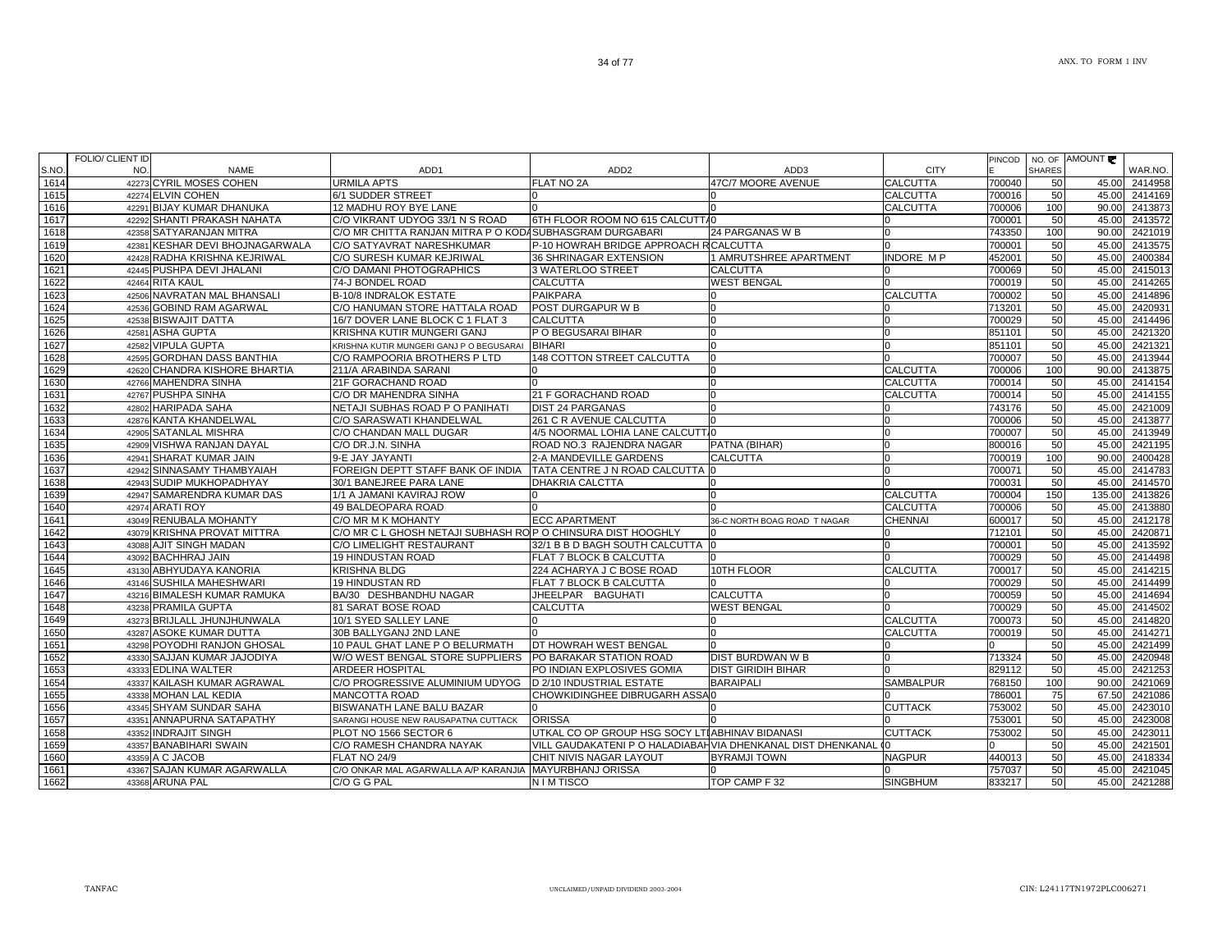|               | FOLIO/ CLIENT ID<br>NO. |                                        |                                                              |                                                             |                              |                                | PINCOD | <b>SHARES</b> | NO. OF AMOUNT |                    |
|---------------|-------------------------|----------------------------------------|--------------------------------------------------------------|-------------------------------------------------------------|------------------------------|--------------------------------|--------|---------------|---------------|--------------------|
| S.NO.<br>1614 |                         | <b>NAME</b><br>42273 CYRIL MOSES COHEN | ADD <sub>1</sub><br><b>URMILA APTS</b>                       | ADD <sub>2</sub><br><b>FLAT NO 2A</b>                       | ADD3<br>47C/7 MOORE AVENUE   | <b>CITY</b><br><b>CALCUTTA</b> | 700040 | 50            | 45.00         | WAR.NO.<br>2414958 |
| 1615          |                         | 42274 ELVIN COHEN                      | 6/1 SUDDER STREET                                            |                                                             |                              | <b>CALCUTTA</b>                | 700016 | 50            | 45.00         | 2414169            |
| 1616          |                         | 42291 BIJAY KUMAR DHANUKA              | 12 MADHU ROY BYE LANE                                        | $\Omega$                                                    |                              | <b>CALCUTTA</b>                | 700006 | 100           | 90.00         | 2413873            |
| 1617          |                         | 42292 SHANTI PRAKASH NAHATA            | C/O VIKRANT UDYOG 33/1 N S ROAD                              | 6TH FLOOR ROOM NO 615 CALCUTTA0                             |                              |                                | 700001 | 50            |               | 45.00 2413572      |
| 1618          |                         | 42358 SATYARANJAN MITRA                | C/O MR CHITTA RANJAN MITRA P O KODASUBHASGRAM DURGABARI      |                                                             | 24 PARGANAS W B              |                                | 743350 | 100           |               | 90.00 2421019      |
| 1619          |                         | 42381 KESHAR DEVI BHOJNAGARWALA        | C/O SATYAVRAT NARESHKUMAR                                    | P-10 HOWRAH BRIDGE APPROACH RICALCUTTA                      |                              |                                | 700001 | 50            | 45.00         | 2413575            |
| 1620          |                         | 42428 RADHA KRISHNA KEJRIWAL           | C/O SURESH KUMAR KEJRIWAL                                    | 36 SHRINAGAR EXTENSION                                      | 1 AMRUTSHREE APARTMENT       | <b>INDORE MP</b>               | 452001 | 50            | 45.00         | 2400384            |
| 1621          |                         | 42445 PUSHPA DEVI JHALANI              | C/O DAMANI PHOTOGRAPHICS                                     | 3 WATERLOO STREET                                           | <b>CALCUTTA</b>              |                                | 700069 | 50            | 45.00         | 2415013            |
| 1622          |                         | 42464 RITA KAUL                        | 74-J BONDEL ROAD                                             | <b>CALCUTTA</b>                                             | <b>WEST BENGAL</b>           | n                              | 700019 | 50            | 45.00         | 2414265            |
| 1623          |                         | 42506 NAVRATAN MAL BHANSALI            | <b>B-10/8 INDRALOK ESTATE</b>                                | <b>PAIKPARA</b>                                             |                              | <b>CALCUTTA</b>                | 700002 | 50            | 45.00         | 2414896            |
| 1624          |                         | 42536 GOBIND RAM AGARWAL               | C/O HANUMAN STORE HATTALA ROAD                               | POST DURGAPUR W B                                           |                              |                                | 713201 | 50            | 45.00         | 2420931            |
| 1625          |                         | 42538 BISWAJIT DATTA                   | 16/7 DOVER LANE BLOCK C 1 FLAT 3                             | <b>CALCUTTA</b>                                             |                              | n                              | 700029 | 50            | 45.00         | 2414496            |
| 1626          |                         | 42581 ASHA GUPTA                       | KRISHNA KUTIR MUNGERI GANJ                                   | P O BEGUSARAI BIHAR                                         |                              | n                              | 851101 | 50            | 45.00         | 2421320            |
| 1627          |                         | 42582 VIPULA GUPTA                     | KRISHNA KUTIR MUNGERI GANJ PO BEGUSARAI BIHARI               |                                                             |                              | $\Omega$                       | 851101 | 50            | 45.00         | 2421321            |
| 1628          |                         | 42595 GORDHAN DASS BANTHIA             | C/O RAMPOORIA BROTHERS P LTD                                 | 148 COTTON STREET CALCUTTA                                  |                              |                                | 700007 | 50            | 45.00         | 2413944            |
| 1629          |                         | 42620 CHANDRA KISHORE BHARTIA          | 211/A ARABINDA SARANI                                        |                                                             |                              | <b>CALCUTTA</b>                | 700006 | 100           | 90.00         | 2413875            |
| 1630          |                         | 42766 MAHENDRA SINHA                   | 21F GORACHAND ROAD                                           |                                                             |                              | <b>CALCUTTA</b>                | 700014 | 50            | 45.00         | 2414154            |
| 1631          |                         | 42767 PUSHPA SINHA                     | C/O DR MAHENDRA SINHA                                        | 21 F GORACHAND ROAD                                         |                              | <b>CALCUTTA</b>                | 700014 | 50            | 45.00         | 2414155            |
| 1632          |                         | 42802 HARIPADA SAHA                    | NETAJI SUBHAS ROAD P O PANIHATI                              | <b>DIST 24 PARGANAS</b>                                     |                              |                                | 743176 | 50            | 45.00         | 2421009            |
| 1633          |                         | 42876 KANTA KHANDELWAL                 | C/O SARASWATI KHANDELWAL                                     | 261 C R AVENUE CALCUTTA                                     |                              |                                | 700006 | 50            | 45.00         | 2413877            |
| 1634          |                         | 42905 SATANLAL MISHRA                  | C/O CHANDAN MALL DUGAR                                       | 4/5 NOORMAL LOHIA LANE CALCUTTIO                            |                              | n                              | 700007 | 50            | 45.00         | 2413949            |
| 1635          |                         | 42909 VISHWA RANJAN DAYAL              | C/O DR.J.N. SINHA                                            | ROAD NO.3 RAJENDRA NAGAR                                    | PATNA (BIHAR)                | n                              | 800016 | 50            | 45.00         | 2421195            |
| 1636          |                         | 42941 SHARAT KUMAR JAIN                | 9-E JAY JAYANTI                                              | 2-A MANDEVILLE GARDENS                                      | <b>CALCUTTA</b>              | n                              | 700019 | 100           | 90.00         | 2400428            |
| 1637          |                         | 42942 SINNASAMY THAMBYAIAH             | FOREIGN DEPTT STAFF BANK OF INDIA                            | <b>TATA CENTRE J N ROAD CALCUTTA 0</b>                      |                              | n                              | 700071 | 50            | 45.00         | 2414783            |
| 1638          |                         | 42943 SUDIP MUKHOPADHYAY               | 30/1 BANEJREE PARA LANE                                      | <b>DHAKRIA CALCTTA</b>                                      |                              | n                              | 700031 | 50            | 45.00         | 2414570            |
| 1639          |                         | 42947 SAMARENDRA KUMAR DAS             | 1/1 A JAMANI KAVIRAJ ROW                                     |                                                             |                              | <b>CALCUTTA</b>                | 700004 | 150           | 135.00        | 2413826            |
| 1640          |                         | 42974 ARATI ROY                        | 49 BALDEOPARA ROAD                                           |                                                             |                              | <b>CALCUTTA</b>                | 700006 | 50            | 45.00         | 2413880            |
| 1641          |                         | 43049 RENUBALA MOHANTY                 | C/O MR M K MOHANTY                                           | <b>ECC APARTMENT</b>                                        | 36-C NORTH BOAG ROAD T NAGAR | <b>CHENNAI</b>                 | 600017 | 50            | 45.00         | 2412178            |
| 1642          |                         | 43079 KRISHNA PROVAT MITTRA            | C/O MR C L GHOSH NETAJI SUBHASH RO P O CHINSURA DIST HOOGHLY |                                                             |                              |                                | 712101 | 50            | 45.00         | 2420871            |
| 1643          |                         | 43088 AJIT SINGH MADAN                 | C/O LIMELIGHT RESTAURANT                                     | 32/1 B B D BAGH SOUTH CALCUTTA 0                            |                              |                                | 700001 | 50            | 45.00         | 2413592            |
| 1644          |                         | 43092 BACHHRAJ JAIN                    | <b>19 HINDUSTAN ROAD</b>                                     | <b>FLAT 7 BLOCK B CALCUTTA</b>                              |                              |                                | 700029 | 50            | 45.00         | 2414498            |
| 1645          |                         | 43130 ABHYUDAYA KANORIA                | <b>KRISHNA BLDG</b>                                          | 224 ACHARYA J C BOSE ROAD                                   | 10TH FLOOR                   | <b>CALCUTTA</b>                | 700017 | 50            |               | 45.00 2414215      |
| 1646          |                         | 43146 SUSHILA MAHESHWARI               | <b>19 HINDUSTAN RD</b>                                       | FLAT 7 BLOCK B CALCUTTA                                     |                              |                                | 700029 | 50            | 45.00         | 2414499            |
| 1647          |                         | 43216 BIMALESH KUMAR RAMUKA            | BA/30 DESHBANDHU NAGAR                                       | JHEELPAR BAGUHATI                                           | <b>CALCUTTA</b>              |                                | 700059 | 50            | 45.00         | 2414694            |
| 1648          |                         | 43238 PRAMILA GUPTA                    | <b>81 SARAT BOSE ROAD</b>                                    | <b>CALCUTTA</b>                                             | <b>WEST BENGAL</b>           |                                | 700029 | 50            | 45.00         | 2414502            |
| 1649          |                         | 43273 BRIJLALL JHUNJHUNWALA            | 10/1 SYED SALLEY LANE                                        | IO                                                          |                              | <b>CALCUTTA</b>                | 700073 | 50            | 45.00         | 2414820            |
| 1650          |                         | 43287 ASOKE KUMAR DUTTA                | 30B BALLYGANJ 2ND LANE                                       |                                                             |                              | <b>CALCUTTA</b>                | 700019 | 50            | 45.00         | 2414271            |
| 1651          |                         | 43298 POYODHI RANJON GHOSAL            | 10 PAUL GHAT LANE P O BELURMATH                              | DT HOWRAH WEST BENGAL                                       |                              |                                | O.     | 50            | 45.00         | 2421499            |
| 1652          |                         | 43330 SAJJAN KUMAR JAJODIYA            | W/O WEST BENGAL STORE SUPPLIERS                              | PO BARAKAR STATION ROAD                                     | DIST BURDWAN W B             |                                | 713324 | 50            |               | 45.00 2420948      |
| 1653          |                         | 43333 EDLINA WALTER                    | ARDEER HOSPITAL                                              | PO INDIAN EXPLOSIVES GOMIA                                  | <b>DIST GIRIDIH BIHAR</b>    |                                | 829112 | 50            | 45.00         | 2421253            |
| 1654          |                         | 43337 KAILASH KUMAR AGRAWAL            | C/O PROGRESSIVE ALUMINIUM UDYOG                              | D 2/10 INDUSTRIAL ESTATE                                    | <b>BARAIPALI</b>             | <b>SAMBALPUR</b>               | 768150 | 100           | 90.00         | 2421069            |
| 1655          |                         | 43338 MOHAN LAL KEDIA                  | <b>MANCOTTA ROAD</b>                                         | CHOWKIDINGHEE DIBRUGARH ASSAI0                              |                              |                                | 786001 | 75            | 67.50         | 2421086            |
| 1656          |                         | 43345 SHYAM SUNDAR SAHA                | <b>BISWANATH LANE BALU BAZAR</b>                             |                                                             |                              | <b>CUTTACK</b>                 | 753002 | 50            | 45.00         | 2423010            |
| 1657          |                         | 43351 ANNAPURNA SATAPATHY              | SARANGI HOUSE NEW RAUSAPATNA CUTTACK                         | <b>ORISSA</b>                                               |                              |                                | 753001 | 50            | 45.00         | 2423008            |
| 1658          |                         | 43352 INDRAJIT SINGH                   | PLOT NO 1566 SECTOR 6                                        | UTKAL CO OP GROUP HSG SOCY LTIABHINAV BIDANASI              |                              | <b>CUTTACK</b>                 | 753002 | 50            | 45.00         | 2423011            |
| 1659          |                         | 43357 BANABIHARI SWAIN                 | C/O RAMESH CHANDRA NAYAK                                     | VILL GAUDAKATENI P O HALADIABAHVIA DHENKANAL DIST DHENKANAL |                              |                                |        | 50            | 45.00         | 2421501            |
| 1660          |                         | 43359 A C JACOB                        | <b>FLAT NO 24/9</b>                                          | CHIT NIVIS NAGAR LAYOUT                                     | <b>BYRAMJI TOWN</b>          | <b>NAGPUR</b>                  | 440013 | 50            | 45.00         | 2418334            |
| 1661          |                         | 43367 SAJAN KUMAR AGARWALLA            | C/O ONKAR MAL AGARWALLA A/P KARANJIA                         | <b>MAYURBHANJ ORISSA</b>                                    |                              |                                | 757037 | 50            | 45.00         | 2421045            |
| 1662          |                         | 43368 ARUNA PAL                        | C/O G G PAL                                                  | N I M TISCO                                                 | TOP CAMP F 32                | <b>SINGBHUM</b>                | 833217 | 50            |               | 45.00 2421288      |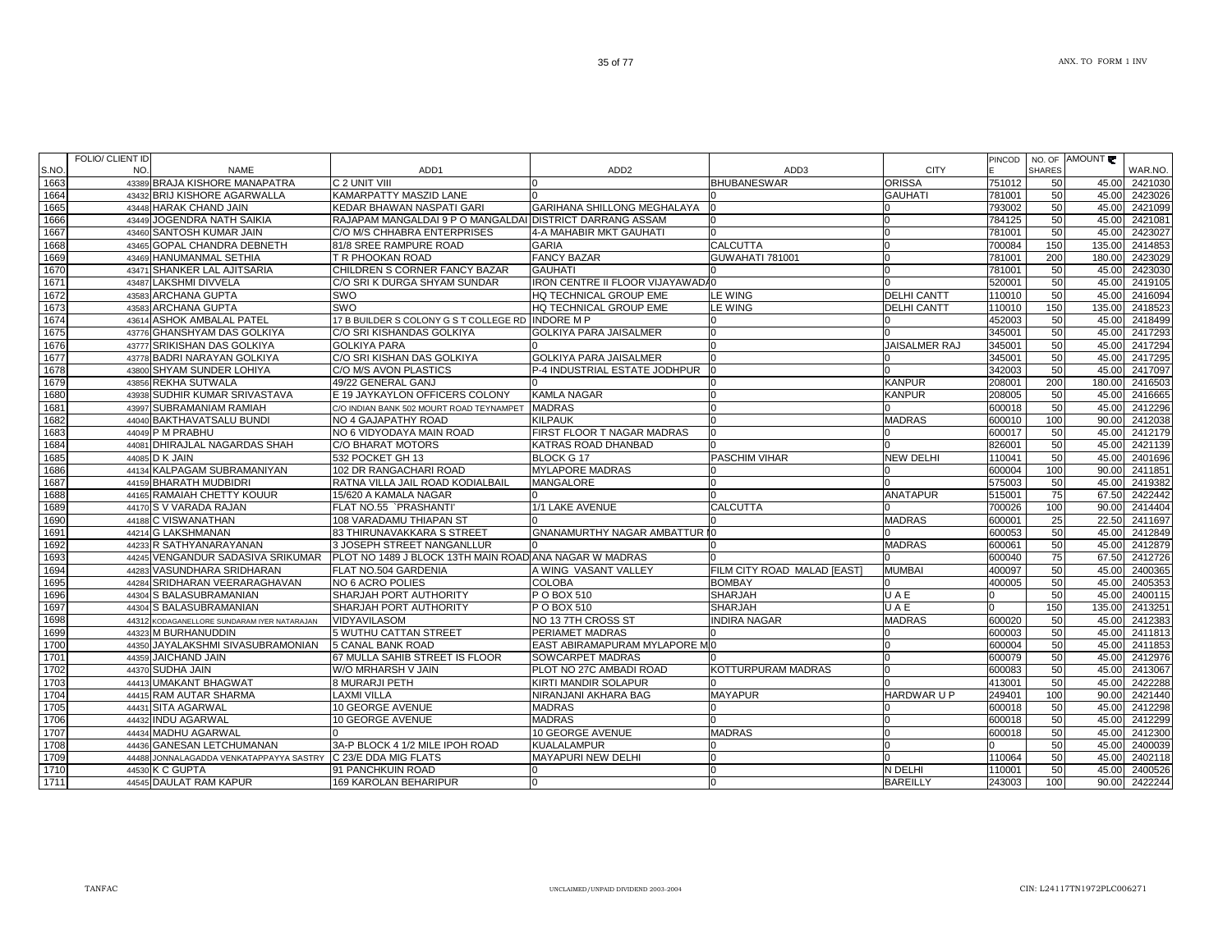|      | <b>FOLIO/ CLIENT ID</b> |                                             |                                                          |                                      |                             |                    | PINCOD |               | NO. OF AMOUNT |               |
|------|-------------------------|---------------------------------------------|----------------------------------------------------------|--------------------------------------|-----------------------------|--------------------|--------|---------------|---------------|---------------|
| S.NO | NO.                     | <b>NAME</b>                                 | ADD <sub>1</sub>                                         | ADD <sub>2</sub>                     | ADD3                        | <b>CITY</b>        |        | <b>SHARES</b> |               | WAR.NO.       |
| 1663 |                         | 43389 BRAJA KISHORE MANAPATRA               | C 2 UNIT VIII                                            | $\Omega$                             | <b>BHUBANESWAR</b>          | <b>ORISSA</b>      | 751012 | 50            | 45.00         | 2421030       |
| 1664 |                         | 43432 BRIJ KISHORE AGARWALLA                | KAMARPATTY MASZID LANE                                   | $\Omega$                             |                             | <b>GAUHATI</b>     | 781001 | 50            |               | 45.00 2423026 |
| 1665 |                         | 43448 HARAK CHAND JAIN                      | KEDAR BHAWAN NASPATI GARI                                | GARIHANA SHILLONG MEGHALAYA          |                             |                    | 793002 | 50            | 45.00         | 2421099       |
| 1666 |                         | 43449 JOGENDRA NATH SAIKIA                  | RAJAPAM MANGALDAI 9 P O MANGALDAI DISTRICT DARRANG ASSAM |                                      |                             |                    | 784125 | 50            | 45.00         | 2421081       |
| 1667 |                         | 43460 SANTOSH KUMAR JAIN                    | C/O M/S CHHABRA ENTERPRISES                              | 4-A MAHABIR MKT GAUHATI              |                             |                    | 781001 | 50            | 45.00         | 2423027       |
| 1668 |                         | 43465 GOPAL CHANDRA DEBNETH                 | 81/8 SREE RAMPURE ROAD                                   | <b>GARIA</b>                         | <b>CALCUTTA</b>             |                    | 700084 | 150           | 135.00        | 2414853       |
| 1669 |                         | 43469 HANUMANMAL SETHIA                     | T R PHOOKAN ROAD                                         | <b>FANCY BAZAR</b>                   | GUWAHATI 781001             |                    | 781001 | 200           | 180.00        | 2423029       |
| 1670 |                         | 43471 SHANKER LAL AJITSARIA                 | CHILDREN S CORNER FANCY BAZAR                            | <b>GAUHATI</b>                       |                             | n                  | 781001 | 50            | 45.00         | 2423030       |
| 1671 |                         | 43487 LAKSHMI DIVVELA                       | C/O SRI K DURGA SHYAM SUNDAR                             | IRON CENTRE II FLOOR VIJAYAWADA0     |                             |                    | 520001 | 50            | 45.00         | 2419105       |
| 1672 |                         | 43583 ARCHANA GUPTA                         | SWO                                                      | HQ TECHNICAL GROUP EME               | <b>LE WING</b>              | <b>DELHI CANTT</b> | 110010 | 50            | 45.00         | 2416094       |
| 1673 |                         | 43583 ARCHANA GUPTA                         | SWO                                                      | HQ TECHNICAL GROUP EME               | <b>LE WING</b>              | <b>DELHI CANTT</b> | 110010 | 150           | 135.00        | 2418523       |
| 1674 |                         | 43614 ASHOK AMBALAL PATEL                   | 17 B BUILDER S COLONY G S T COLLEGE RD INDORE M P        |                                      |                             |                    | 452003 | 50            | 45.00         | 2418499       |
| 1675 |                         | 43776 GHANSHYAM DAS GOLKIYA                 | C/O SRI KISHANDAS GOLKIYA                                | <b>GOLKIYA PARA JAISALMER</b>        | <sup>0</sup>                |                    | 345001 | 50            | 45.00         | 2417293       |
| 1676 |                         | 43777 SRIKISHAN DAS GOLKIYA                 | <b>GOLKIYA PARA</b>                                      |                                      |                             | JAISALMER RAJ      | 345001 | 50            |               | 45.00 2417294 |
| 1677 |                         | 43778 BADRI NARAYAN GOLKIYA                 | C/O SRI KISHAN DAS GOLKIYA                               | <b>GOLKIYA PARA JAISALMER</b>        |                             |                    | 345001 | 50            |               | 45.00 2417295 |
| 1678 |                         | 43800 SHYAM SUNDER LOHIYA                   | C/O M/S AVON PLASTICS                                    | P-4 INDUSTRIAL ESTATE JODHPUR        |                             |                    | 342003 | 50            |               | 45.00 2417097 |
| 1679 |                         | 43856 REKHA SUTWALA                         | 49/22 GENERAL GANJ                                       |                                      |                             | <b>KANPUR</b>      | 208001 | 200           | 180.00        | 2416503       |
| 1680 |                         | 43938 SUDHIR KUMAR SRIVASTAVA               | E 19 JAYKAYLON OFFICERS COLONY                           | <b>KAMLA NAGAR</b>                   |                             | <b>KANPUR</b>      | 208005 | 50            | 45.00         | 2416665       |
| 1681 |                         | 43997 SUBRAMANIAM RAMIAH                    | C/O INDIAN BANK 502 MOURT ROAD TEYNAMPET                 | <b>MADRAS</b>                        |                             |                    | 600018 | 50            | 45.00         | 2412296       |
| 1682 |                         | 44040 BAKTHAVATSALU BUNDI                   | NO 4 GAJAPATHY ROAD                                      | <b>KILPAUK</b>                       |                             | <b>MADRAS</b>      | 600010 | 100           | 90.00         | 2412038       |
| 1683 |                         | 44049 P M PRABHU                            | NO 6 VIDYODAYA MAIN ROAD                                 | FIRST FLOOR T NAGAR MADRAS           | n.                          |                    | 600017 | 50            |               | 45.00 2412179 |
| 1684 |                         | 44081 DHIRAJLAL NAGARDAS SHAH               | C/O BHARAT MOTORS                                        | <b>KATRAS ROAD DHANBAD</b>           |                             |                    | 826001 | 50            | 45.00         | 2421139       |
| 1685 |                         | 44085 D K JAIN                              | 532 POCKET GH 13                                         | <b>BLOCK G17</b>                     | <b>PASCHIM VIHAR</b>        | <b>NEW DELHI</b>   | 110041 | 50            | 45.00         | 2401696       |
| 1686 |                         | 44134 KALPAGAM SUBRAMANIYAN                 | 102 DR RANGACHARI ROAD                                   | <b>MYLAPORE MADRAS</b>               |                             |                    | 600004 | 100           | 90.00         | 2411851       |
| 1687 |                         | 44159 BHARATH MUDBIDRI                      | RATNA VILLA JAIL ROAD KODIALBAIL                         | <b>MANGALORE</b>                     |                             |                    | 575003 | 50            | 45.00         | 2419382       |
| 1688 |                         | 44165 RAMAIAH CHETTY KOUUR                  | 15/620 A KAMALA NAGAR                                    | $\cap$                               |                             | <b>ANATAPUR</b>    | 515001 | 75            | 67.50         | 2422442       |
| 1689 |                         | 44170 S V VARADA RAJAN                      | FLAT NO.55 `PRASHANTI'                                   | 1/1 LAKE AVENUE                      | <b>CALCUTTA</b>             |                    | 700026 | 100           | 90.00         | 2414404       |
| 1690 |                         | 44188 C VISWANATHAN                         | 108 VARADAMU THIAPAN ST                                  |                                      |                             | <b>MADRAS</b>      | 600001 | 25            |               | 22.50 2411697 |
| 1691 |                         | 44214 G LAKSHMANAN                          | 83 THIRUNAVAKKARA S STREET                               | <b>GNANAMURTHY NAGAR AMBATTUR IO</b> |                             |                    | 600053 | 50            | 45.00         | 2412849       |
| 1692 |                         | 44233 R SATHYANARAYANAN                     | 3 JOSEPH STREET NANGANLLUR                               |                                      |                             | <b>MADRAS</b>      | 600061 | 50            | 45.00         | 2412879       |
| 1693 |                         | 44245 VENGANDUR SADASIVA SRIKUMAR           | PLOT NO 1489 J BLOCK 13TH MAIN ROAD ANA NAGAR W MADRAS   |                                      |                             |                    | 600040 | 75            | 67.50         | 2412726       |
| 1694 |                         | 44283 VASUNDHARA SRIDHARAN                  | FLAT NO.504 GARDENIA                                     | A WING VASANT VALLEY                 | FILM CITY ROAD MALAD [EAST] | <b>MUMBAI</b>      | 400097 | 50            | 45.00         | 2400365       |
| 1695 |                         | 44284 SRIDHARAN VEERARAGHAVAN               | NO 6 ACRO POLIES                                         | <b>COLOBA</b>                        | <b>BOMBAY</b>               | $\Omega$           | 400005 | 50            | 45.00         | 2405353       |
| 1696 |                         | 44304 S BALASUBRAMANIAN                     | SHARJAH PORT AUTHORITY                                   | P O BOX 510                          | <b>SHARJAH</b>              | UAE                |        | 50            |               | 45.00 2400115 |
| 1697 |                         | 44304 S BALASUBRAMANIAN                     | SHARJAH PORT AUTHORITY                                   | P O BOX 510                          | SHARJAH                     | UAE                |        | 150           | 135.00        | 2413251       |
| 1698 |                         | 44312 KODAGANELLORE SUNDARAM IYER NATARAJAN | <b>VIDYAVILASOM</b>                                      | NO 13 7TH CROSS ST                   | <b>INDIRA NAGAR</b>         | <b>MADRAS</b>      | 600020 | 50            | 45.00         | 2412383       |
| 1699 |                         | 44323 M BURHANUDDIN                         | 5 WUTHU CATTAN STREET                                    | PERIAMET MADRAS                      |                             | n                  | 600003 | 50            | 45.00         | 2411813       |
| 1700 |                         | 44350 JAYALAKSHMI SIVASUBRAMONIAN           | <b>5 CANAL BANK ROAD</b>                                 | EAST ABIRAMAPURAM MYLAPORE MI0       |                             | $\Omega$           | 600004 | 50            | 45.00         | 2411853       |
| 1701 |                         | 44359 JAICHAND JAIN                         | 67 MULLA SAHIB STREET IS FLOOR                           | <b>SOWCARPET MADRAS</b>              |                             | n                  | 600079 | 50            | 45.00         | 2412976       |
| 1702 |                         | 44370 SUDHA JAIN                            | W/O MRHARSH V JAIN                                       | PLOT NO 27C AMBADI ROAD              | KOTTURPURAM MADRAS          |                    | 600083 | 50            | 45.00         | 2413067       |
| 1703 |                         | 44413 UMAKANT BHAGWAT                       | 8 MURARJI PETH                                           | KIRTI MANDIR SOLAPUR                 |                             |                    | 413001 | 50            |               | 45.00 2422288 |
| 1704 |                         | 44415 RAM AUTAR SHARMA                      | LAXMI VILLA                                              | NIRANJANI AKHARA BAG                 | <b>MAYAPUR</b>              | HARDWAR U P        | 249401 | 100           | 90.00         | 2421440       |
| 1705 |                         | 44431 SITA AGARWAL                          | 10 GEORGE AVENUE                                         | <b>MADRAS</b>                        |                             |                    | 600018 | 50            | 45.00         | 2412298       |
| 1706 |                         | 44432 INDU AGARWAL                          | 10 GEORGE AVENUE                                         | <b>MADRAS</b>                        |                             |                    | 600018 | 50            | 45.00         | 2412299       |
| 1707 |                         | 44434 MADHU AGARWAL                         |                                                          | <b>10 GEORGE AVENUE</b>              | <b>MADRAS</b>               |                    | 600018 | 50            | 45.00         | 2412300       |
| 1708 |                         | 44436 GANESAN LETCHUMANAN                   | 3A-P BLOCK 4 1/2 MILE IPOH ROAD                          | <b>KUALALAMPUR</b>                   |                             | $\Omega$           |        | 50            | 45.00         | 2400039       |
| 1709 |                         | 44488 JONNALAGADDA VENKATAPPAYYA SASTRY     | C 23/E DDA MIG FLATS                                     | MAYAPURI NEW DELHI                   |                             | <sup>n</sup>       | 110064 | 50            | 45.00         | 2402118       |
| 1710 |                         | 44530 K C GUPTA                             | 91 PANCHKUIN ROAD                                        | $\Omega$                             | <sup>0</sup>                | N DELHI            | 110001 | 50            | 45.00         | 2400526       |
| 1711 |                         | 44545 DAULAT RAM KAPUR                      | 169 KAROLAN BEHARIPUR                                    | $\overline{0}$                       |                             | <b>BAREILLY</b>    | 243003 | 100           | 90.00         | 2422244       |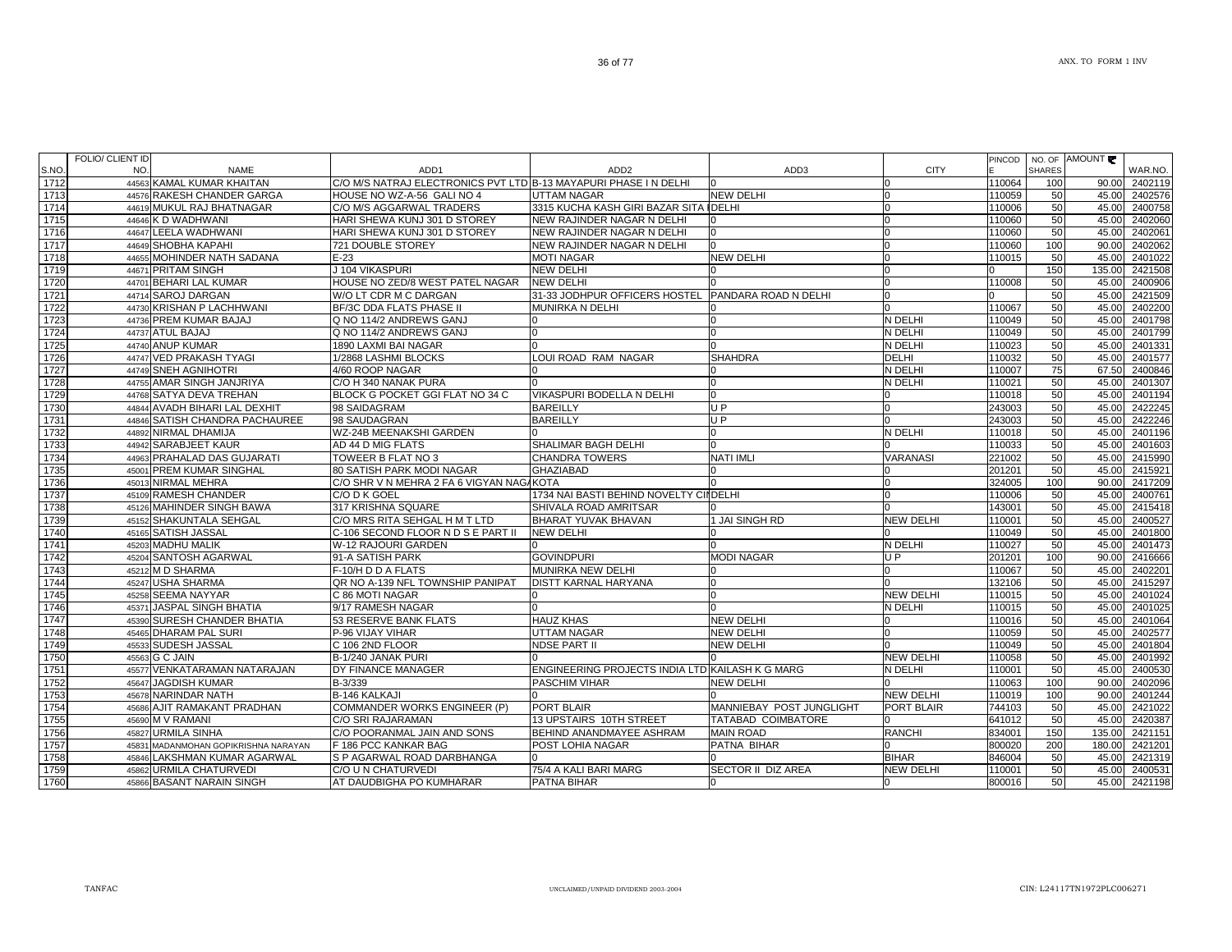| S.NO.        | <b>FOLIO/ CLIENT ID</b><br>NO.<br><b>NAME</b>              | ADD <sub>1</sub>                                                 | ADD <sub>2</sub>                                   | ADD3                                   | <b>CITY</b>                    | PINCOD           | <b>SHARES</b> | NO. OF AMOUNT  | WAR.NO.            |
|--------------|------------------------------------------------------------|------------------------------------------------------------------|----------------------------------------------------|----------------------------------------|--------------------------------|------------------|---------------|----------------|--------------------|
| 1712         | KAMAL KUMAR KHAITAN<br>44563                               | C/O M/S NATRAJ ELECTRONICS PVT LTD B-13 MAYAPURI PHASE I N DELHI |                                                    |                                        |                                | 110064           | 100           | 90.00          | 2402119            |
| 1713         | 44576 RAKESH CHANDER GARGA                                 | HOUSE NO WZ-A-56 GALI NO 4                                       | <b>UTTAM NAGAR</b>                                 | <b>NEW DELHI</b>                       |                                | 110059           | 50            | 45.00          | 2402576            |
| 1714         | 44619 MUKUL RAJ BHATNAGAR                                  | C/O M/S AGGARWAL TRADERS                                         | 3315 KUCHA KASH GIRI BAZAR SITA IDELHI             |                                        |                                | 110006           | 50            | 45.00          | 2400758            |
| 1715         | 44646 K D WADHWANI                                         | HARI SHEWA KUNJ 301 D STOREY                                     | NEW RAJINDER NAGAR N DELHI                         |                                        |                                | 110060           | 50            | 45.00          | 2402060            |
| 1716         | 44647 LEELA WADHWANI                                       | HARI SHEWA KUNJ 301 D STOREY                                     | NEW RAJINDER NAGAR N DELHI                         |                                        |                                | 110060           | 50            | 45.00          | 2402061            |
| 1717         | 44649 SHOBHA KAPAHI                                        | 721 DOUBLE STOREY                                                | NEW RAJINDER NAGAR N DELHI                         |                                        |                                | 110060           | 100           | 90.00          | 2402062            |
| 1718         | 44655 MOHINDER NATH SADANA                                 | $E-23$                                                           | <b>MOTI NAGAR</b>                                  | <b>NEW DELHI</b>                       |                                | 110015           | 50            | 45.00          | 2401022            |
| 1719         | 44671 PRITAM SINGH                                         | J 104 VIKASPURI                                                  | <b>NEW DELHI</b>                                   |                                        |                                |                  | 150           | 135.00         | 2421508            |
| 1720         | 44701 BEHARI LAL KUMAR                                     | HOUSE NO ZED/8 WEST PATEL NAGAR                                  | <b>NEW DELHI</b>                                   |                                        |                                | 110008           | 50            | 45.00          | 2400906            |
| 1721         | 44714 SAROJ DARGAN                                         | W/O LT CDR M C DARGAN                                            | 31-33 JODHPUR OFFICERS HOSTEL PANDARA ROAD N DELHI |                                        |                                |                  | 50            | 45.00          | 2421509            |
| 1722         | 44730 KRISHAN P LACHHWANI                                  | BF/3C DDA FLATS PHASE II                                         | MUNIRKA N DELHI                                    |                                        |                                | 110067           | 50            | 45.00          | 2402200            |
| 1723         | 44736 PREM KUMAR BAJAJ                                     | Q NO 114/2 ANDREWS GANJ                                          |                                                    |                                        | N DELHI                        | 110049           | 50            | 45.00          | 2401798            |
| 1724         | 44737 ATUL BAJAJ                                           | Q NO 114/2 ANDREWS GANJ                                          |                                                    |                                        | N DELHI                        | 110049           | 50            | 45.00          | 2401799            |
| 1725         | 44740 ANUP KUMAR                                           | 1890 LAXMI BAI NAGAR                                             |                                                    |                                        | N DELHI                        | 110023           | 50            | 45.00          | 2401331            |
| 1726         | 44747 VED PRAKASH TYAGI                                    | 1/2868 LASHMI BLOCKS                                             | LOUI ROAD RAM NAGAR                                | <b>SHAHDRA</b>                         | <b>DELHI</b>                   | 110032           | 50            | 45.00          | 2401577            |
| 1727         | 44749 SNEH AGNIHOTRI                                       | 4/60 ROOP NAGAR                                                  |                                                    |                                        | N DELHI                        | 110007           | 75            | 67.50          | 2400846            |
| 1728         | 44755 AMAR SINGH JANJRIYA                                  | C/O H 340 NANAK PURA                                             |                                                    | n                                      | N DELHI                        | 110021           | 50            | 45.00          | 2401307            |
| 1729         | 44768 SATYA DEVA TREHAN                                    | BLOCK G POCKET GGI FLAT NO 34 C                                  | VIKASPURI BODELLA N DELHI                          | $\Omega$                               |                                | 110018           | 50            | 45.00          | 2401194            |
| 1730         | 44844 AVADH BIHARI LAL DEXHIT                              | 98 SAIDAGRAM                                                     | <b>BAREILLY</b>                                    | UP                                     |                                | 243003           | 50            | 45.00          | 2422245            |
| 1731         | SATISH CHANDRA PACHAUREE<br>44846                          | 98 SAUDAGRAN                                                     | <b>BAREILLY</b>                                    | UP                                     |                                | 243003           | 50            | 45.00          | 2422246            |
| 1732         | 44892 NIRMAL DHAMIJA                                       | WZ-24B MEENAKSHI GARDEN                                          |                                                    |                                        | N DELHI                        | 110018           | 50            | 45.00          | 2401196            |
| 1733         | 44942 SARABJEET KAUR                                       | AD 44 D MIG FLATS                                                | SHALIMAR BAGH DELHI                                |                                        |                                | 110033           | 50            | 45.00          | 2401603            |
| 1734         | 44963 PRAHALAD DAS GUJARATI                                | TOWEER B FLAT NO 3                                               | <b>CHANDRA TOWERS</b>                              | <b>NATI IMLI</b>                       | <b>VARANASI</b>                | 221002           | 50            | 45.00          | 2415990            |
| 1735         | 45001 PREM KUMAR SINGHAL                                   | 80 SATISH PARK MODI NAGAR                                        | <b>GHAZIABAD</b>                                   |                                        |                                | 201201           | 50            | 45.00          | 2415921            |
| 1736         | 45013 NIRMAL MEHRA                                         | C/O SHR V N MEHRA 2 FA 6 VIGYAN NAGAKOTA                         |                                                    |                                        |                                | 324005           | 100           | 90.00          | 2417209            |
| 1737         | 45109 RAMESH CHANDER                                       | C/O D K GOEL                                                     | 1734 NAI BASTI BEHIND NOVELTY CINDELHI             |                                        |                                | 110006           | 50            | 45.00          | 2400761            |
| 1738         | 45126 MAHINDER SINGH BAWA                                  | 317 KRISHNA SQUARE                                               | SHIVALA ROAD AMRITSAR                              |                                        |                                | 143001           | 50            | 45.00          | 2415418            |
| 1739         | 45152 SHAKUNTALA SEHGAL                                    | C/O MRS RITA SEHGAL H M T LTD                                    | BHARAT YUVAK BHAVAN                                | <b>JAI SINGH RD</b>                    | <b>NEW DELHI</b>               | 110001           | 50            | 45.00          | 2400527            |
| 1740         | 45165 SATISH JASSAL                                        | C-106 SECOND FLOOR N D S E PART II                               | <b>NEW DELHI</b>                                   |                                        |                                | 110049           | 50            | 45.00          | 2401800            |
| 1741         | 45203 MADHU MALIK                                          | W-12 RAJOURI GARDEN                                              |                                                    |                                        | N DELHI                        | 110027           | 50            | 45.00          | 2401473            |
| 1742         | 45204 SANTOSH AGARWAL                                      | 91-A SATISH PARK                                                 | <b>GOVINDPURI</b>                                  | <b>MODI NAGAR</b>                      | U P                            | 201201           | 100           | 90.00          | 2416666            |
| 1743         | 45212 M D SHARMA                                           | F-10/H D D A FLATS                                               | <b>MUNIRKA NEW DELHI</b>                           |                                        |                                | 110067           | 50            | 45.00          | 2402201            |
| 1744         | 45247 USHA SHARMA                                          | QR NO A-139 NFL TOWNSHIP PANIPAT                                 | <b>DISTT KARNAL HARYANA</b>                        |                                        |                                | 132106           | 50            | 45.00          | 2415297            |
| 1745         | 45258 SEEMA NAYYAR                                         | C 86 MOTI NAGAR                                                  |                                                    |                                        | <b>NEW DELHI</b>               | 110015           | 50            | 45.00          | 2401024            |
| 1746         | JASPAL SINGH BHATIA<br>45371                               | 9/17 RAMESH NAGAR                                                |                                                    |                                        | N DELHI                        | 110015           | 50            | 45.00          | 2401025            |
| 1747         | SURESH CHANDER BHATIA<br>45390                             | 53 RESERVE BANK FLATS                                            | <b>HAUZ KHAS</b>                                   | <b>NEW DELHI</b>                       |                                | 110016           | 50            | 45.00          | 2401064            |
| 1748         | 45465 DHARAM PAL SURI                                      | P-96 VIJAY VIHAR                                                 | <b>UTTAM NAGAR</b>                                 | <b>NEW DELHI</b>                       |                                | 110059           | 50            | 45.00          | 2402577            |
| 1749         | SUDESH JASSAL                                              | C 106 2ND FLOOR                                                  | <b>NDSE PART II</b>                                | <b>NEW DELHI</b>                       |                                | 110049           | 50            | 45.00          | 2401804            |
| 1750         | 45533<br><b>G C JAIN</b><br>45563                          | B-1/240 JANAK PURI                                               |                                                    |                                        | <b>NEW DELHI</b>               | 110058           | 50            | 45.00          | 2401992            |
| 1751         | 45577 VENKATARAMAN NATARAJAN                               | DY FINANCE MANAGER                                               | ENGINEERING PROJECTS INDIA LTD KAILASH K G MARG    |                                        | N DELHI                        | 110001           | 50            | 45.00          | 2400530            |
| 1752         | 45647 JAGDISH KUMAR                                        | B-3/339                                                          | <b>PASCHIM VIHAR</b>                               | <b>NEW DELHI</b>                       |                                | 110063           | 100           | 90.00          | 2402096            |
|              |                                                            |                                                                  |                                                    |                                        |                                |                  |               |                |                    |
| 1753<br>1754 | 45678 NARINDAR NATH<br>45686 AJIT RAMAKANT PRADHAN         | <b>B-146 KALKAJI</b><br>COMMANDER WORKS ENGINEER (P)             | PORT BLAIR                                         | MANNIEBAY POST JUNGLIGHT               | <b>NEW DELHI</b><br>PORT BLAIR | 110019<br>744103 | 100<br>50     | 90.00<br>45.00 | 2401244<br>2421022 |
| 1755         |                                                            |                                                                  | 13 UPSTAIRS 10TH STREET                            | TATABAD COIMBATORE                     |                                |                  | 50            | 45.00          | 2420387            |
| 1756         | 45690 M V RAMANI                                           | C/O SRI RAJARAMAN                                                |                                                    |                                        |                                | 641012           | 150           | 135.00         | 242115             |
| 1757         | 45827 URMILA SINHA                                         | C/O POORANMAL JAIN AND SONS<br>F 186 PCC KANKAR BAG              | BEHIND ANANDMAYEE ASHRAM<br>POST LOHIA NAGAR       | <b>MAIN ROAD</b><br><b>PATNA BIHAR</b> | <b>RANCHI</b>                  | 834001<br>800020 | 200           | 180.00         | 2421201            |
| 1758         | MADANMOHAN GOPIKRISHNA NARAYAN<br>45831                    | S P AGARWAL ROAD DARBHANGA                                       |                                                    |                                        | <b>BIHAR</b>                   |                  |               |                | 2421319            |
| 1759         | LAKSHMAN KUMAR AGARWAL<br>45846<br>45862 URMILA CHATURVEDI | C/O U N CHATURVEDI                                               | 75/4 A KALI BARI MARG                              | SECTOR II DIZ AREA                     | <b>NEW DELHI</b>               | 846004<br>110001 | 50<br>50      | 45.00<br>45.00 | 2400531            |
| 1760         | 45866 BASANT NARAIN SINGH                                  | AT DAUDBIGHA PO KUMHARAR                                         | <b>PATNA BIHAR</b>                                 |                                        | l0.                            | 800016           | 50            |                | 45.00 2421198      |
|              |                                                            |                                                                  |                                                    |                                        |                                |                  |               |                |                    |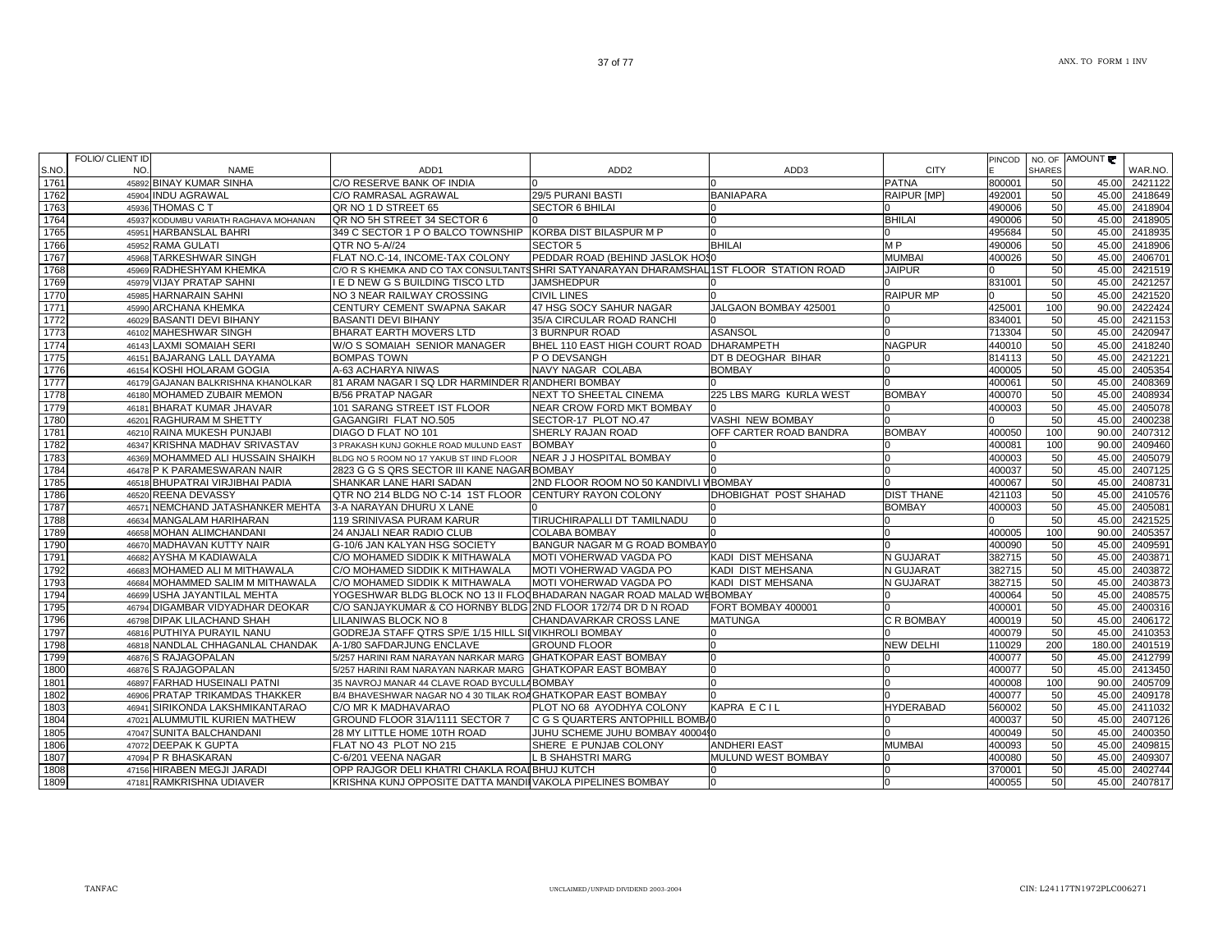47047 SUNITA BALCHANDANI 28 MY LITTLE HOME 10TH ROAD JUHU SCHEME JUHU BOMBAY 4000440 60 4000410 400049 400049 400049 45.00 2400350

47072 DEEPAK K GUPTA FLAT NO 43 PLOT NO 215 SHERE E PUNJAB COLONY ANDHERI EAST MUMBAI 400093 50 45.00 240981;

47156 HIRABEN MEGJI JARADI OPP RAJGOR DELI KHATRI CHAKLA ROA[BHUJ KUTCH | 0 0 370001 0 370001 | 50 45.00 240274

C-6/201 VEENA NAGAR LED SHAHSTRI MARG MULUND WEST BOMBAY 0 45.00 30 45.00 240930.

RRISHNA KUNJ OPPOSITE DATTA MANDINVAKOLA PIPELINES BOMBAY 0 0 0 0 0 0 0 0 0 0 45.00 407817

## S.NO.FOLIO/ CLIENT ID NO. NAME ADD1 ADD2 ADD3 CITYPINCODENO. OF SHARES AMOUNT 176145892 BINAY KUMAR SINHA CORESERVE BANK OF INDIA (0 0 0 0 0 0 0 0 0 0 PATNA (800001 | 50 45.00 2421122 176245904 INDU AGRAWAL C/O RAMRASAL AGRAWAL 29/5 PURANI BASTI BANIAPARA RAIPUR [MP] 492001 50 45.00 2418649<br>45936 THOMAS C T GR NO 1 D STREET 65 SECTOR 6 BHILAI 0 0 0 45.00 2418904 1763 45936 THOMAS C T ال المسابق المسابق المسابق المسابق المسابق المسابق المسابق المسابق المسابق المسابق المسابق المسابق المسابق المس<br>المسابق المسابق المسابق المسابق المسابق المسابق المسابق المسابق المسابق المسابق المسابق المسابق المسابق المسا 1764 45937 KODUMBU VARIATH RAGHAVA MOHANANQR NO 5H STREET 34 SECTOR 6 0 0 0 0 0 0 0 0 0 0 0 0 BHILAI 490006 50 45.00 2418905 176545951 HARBANSLAL BAHRI 349 C SECTOR 1 P O BALCO TOWNSHIP KORBA DIST BILASPUR M P 0 0 0 0 0 495684 495684 50 45.00 2418935 1766 45952 RAMA GULATI QTR NO 5-A//24 SECTOR 5 BHILAI M P 490006 50 45.00 2418906 176745968 TARKESHWAR SINGH FLAT NO.C-14, INCOME-TAX COLONY PEDDAR ROAD (BEHIND JASLOK HOSO MUMBAI MUMBAI 400026 50 45.00 2406701 1768 45969 RADHESHYAM KHEMKA C/O R S KHEMKA AND CO TAX CONSULTANTSSHRI SATYANARAYAN DHARAMSHAL 1ST FLOOR STATION ROAD JAIPUR 0 50 45.00 2421519 1769 45979 VIJAY PRATAP SAHNI I E D NEW G S BUILDING TISCO LTD JAMSHEDPUR 0 0 831001 50 45.00 2421257 177045985 HARNARAIN SAHNI NO 3 NEAR RAILWAY CROSSING CIVIL LINES (0 RAIPUR MP 0 50 45.00 242152 1771 45990 ARCHANA KHEMKA CENTURY CEMENT SWAPNA SAKAR 47 HSG SOCY SAHUR NAGAR JALGAON BOMBAY 425001 0 425001 100 90.00 2422424 177246029 BASANTI DEVI BIHANY BASANTI DEVI BIHANY BASANTI DEVI BIHANY 35/A CIRCULAR ROAD RANCHI 0 0 834001 50 45.00 2421153 177 46102 MAHESHWAR SINGH BHARAT EARTH MOVERS LTD 3 BURNPUR ROAD ASANSOL 8 19 1713304 50 45.00 2420947 1774 46143 LAXMI SOMAIAH SERI W/O S SOMAIAH SENIOR MANAGER BHEL 110 EAST HIGH COURT ROAD DHARAMPETH NAGPUR 440010 50 45.00 2418240 1775 46151 BAJARANG LALL DAYAMA BOMPAS TOWN P O DEVSANGH DT B DEOGHAR BIHAR 0 814113 50 45.00 2421221 1776 46154 KOSHI HOLARAM GOGIA A-63 ACHARYA NIWAS NAVY NAGAR COLABA BOMBAY 0 400005 50 45.00 2405354 1777 46179 GAJANAN BALKRISHNA KHANOLKAR 81 ARAM NAGAR I SQ LDR HARMINDER R ANDHERI BOMBAY 0 0 400061 50 45.00 2408369 1778 46180 MOHAMED ZUBAIR MEMON B/56 PRATAP NAGAR NEXT TO SHEETAL CINEMA 225 LBS MARG KURLA WEST BOMBAY 400070 50 45.00 2408934 177946181 BHARAT KUMAR JHAVAR 101 SARANG STREET IST FLOOR NEAR CROW FORD MKT BOMBAY 0 6 0 6 60 60 60 60 400003 400003 400003 405.00 2405078 178046201 RAGHURAM M SHETTY GAGANGIRI FLAT NO.505 SECTOR-17 PLOT NO.47 VASHI NEW BOMBAY (0 0 60 60 50 45.00 2400238 178146210 RAINA MUKESH PUNJABI DIAGO D FLAT NO 101 SHERLY RAJAN ROAD OFF CARTER ROAD BANDRA BOMBAY 400050 100 90.00 240731. 1782 46347 KRISHNA MADHAV SRIVASTAV 3 PRAKASH KUNJ GOKHLE ROAD MULUND EAST BOMBAY 0 0 400081 100 90.00 2409460 1783 46369 MOHAMMED ALI HUSSAIN SHAIKHBLDG NO 5 ROOM NO 17 YAKUB ST IIND FLOOR NEAR JJ HOSPITAL BOMBAY 0 6 0 6 1 400003 0 400003 405.00 45.00 2405079 1784 46478P K PARAMESWARAN NAIR 2823 G G S ORS SECTOR III KANE NAGARBOMBAY 0 0 0 0 0 0 0 0 400037 50 45.00 2407125 178546518 BHUPATRAI VIRJIBHAI PADIA SHANKAR LANE HARI SADAN 2ND FLOOR ROOM NO 50 KANDIVLI VIBOMBAY 1980 400067 465.00 2408731 45.00 2408731 1786 46520 REENA DEVASSY QTR NO 214 BLDG NO C-14 1ST FLOOR CENTURY RAYON COLONY DHOBIGHAT POST SHAHAD DIST THANE 421103 50 45.00 2410576 1787 46571 NEMCHAND JATASHANKER MEHTA 3-A NARAYAN DHURU X LANE 0 0 BOMBAY 400003 50 45.00 2405081 1788 46634MANGALAM HARIHARAN 119 SRINIVASA PURAM KARUR TIRUCHIRAPALLI DT TAMILNADU 0 1 0 50 50 45.00 242152 178946658 MOHAN ALIMCHANDANI 24 ANJALI NEAR RADIO CLUB COLABA BOMBAY 0 0 1 1 0 1 400005 100 90.00 240535 1790 46670 MADHAVAN KUTTY NAIR G-10/6 JAN KALYAN HSG SOCIETY BANGUR NAGAR M G ROAD BOMBAY 0 0 400090 50 45.00 2409591 1791 46682AYSHA M KADIAWALA C/O MOHAMED SIDDIK K MITHAWALA MOTI VOHERWAD VAGDA PO KADI DIST MEHSANA NGUJARAT 382715 50 45.00 240387 1792 46683 MOHAMED ALI M MITHAWALA C/O MOHAMED SIDDIK K MITHAWALA MOTI VOHERWAD VAGDA PO KADI DIST MEHSANA N GUJARAT 382715 50 45.00 2403872 179346684 MOHAMMED SALIM M MITHAWALA C/O MOHAMED SIDDIK K MITHAWALA MOTI VOHERWAD VAGDA PO KADI DIST MEHSANA NA SIMBARAT SIS2715 50 45.00 2403873 179446699|USHA JAYANTILAL MEHTA |YOGESHWAR BLDG BLOCK NO 13 II FLO<code>QBHADARAN</code> NAGAR ROAD MALAD WEBOMBAY | 0 400064 | 50 40.00 240857 1795 46794 DIGAMBAR VIDYADHAR DEOKAR C/O SANJAYKUMAR & CO HORNBY BLDG 2ND FLOOR 172/74 DR D N ROAD FORT BOMBAY 400001 0 400001 50 45.00 2400316 179646798 DIPAK LILACHAND SHAH LILANIWAS BLOCK NO 8 CHANDAVARKAR CROSS LANE MATUNGA C R BOMBAY 400019 50 45.00 2406172 1797 46816PUTHIYA PURAYIL NANU GODREJA STAFF QTRS SP/E 1/15 HILL SINVIKHROLI BOMBAY 0 0 0 0 0 0 0 400079 50 45.00 2410353 179846818 NANDLAL CHHAGANLAL CHANDAK A-1/80 SAFDARJUNG ENCLAVE GROUND FLOOR 0 0 NEW DELHI 110029 200 180.00 240151 1799 46876 S RAJAGOPALAN 5/257 HARINI RAM NARAYAN NARKAR MARG GHATKOPAR EAST BOMBAY 0 0 400077 50 45.00 2412799 1800 46876 S RAJAGOPALAN 5/257 HARINI RAM NARAYAN NARKAR MARGGHATKOPAR EAST BOMBAY |400077 | 50 | 45.00 1801 46897 FARHAD HUSEINALI PATNI 35 NAVROJ MANAR 44 CLAVE ROAD BYCULLABOMBAY 0 0 400008 100 90.00 2405709 1802 46906 PRATAP TRIKAMDAS THAKKER B/4 BHAVESHWAR NAGAR NO 4 30 TILAK ROAGHATKOPAR EAST BOMBAY 0 0 400077 50 45.00 2409178 1803 46941 SIRIKONDA LAKSHMIKANTARAO C/O MR K MADHAVARAO PLOT NO 68 AYODHYA COLONY KAPRA E C I L HYDERABAD 560002 50 45.00 2411032 180447021 ALUMMUTIL KURIEN MATHEW GROUND FLOOR 31A/1111 SECTOR 7 C G S QUARTERS ANTOPHILL BOMBA0 45.00 50 60 50 400037 50 45.00 2407126

WAR.NO.

47094 P R BHASKARAN

47181 RAMKRISHNA UDIAVER

1805

1806

1807

1808

1809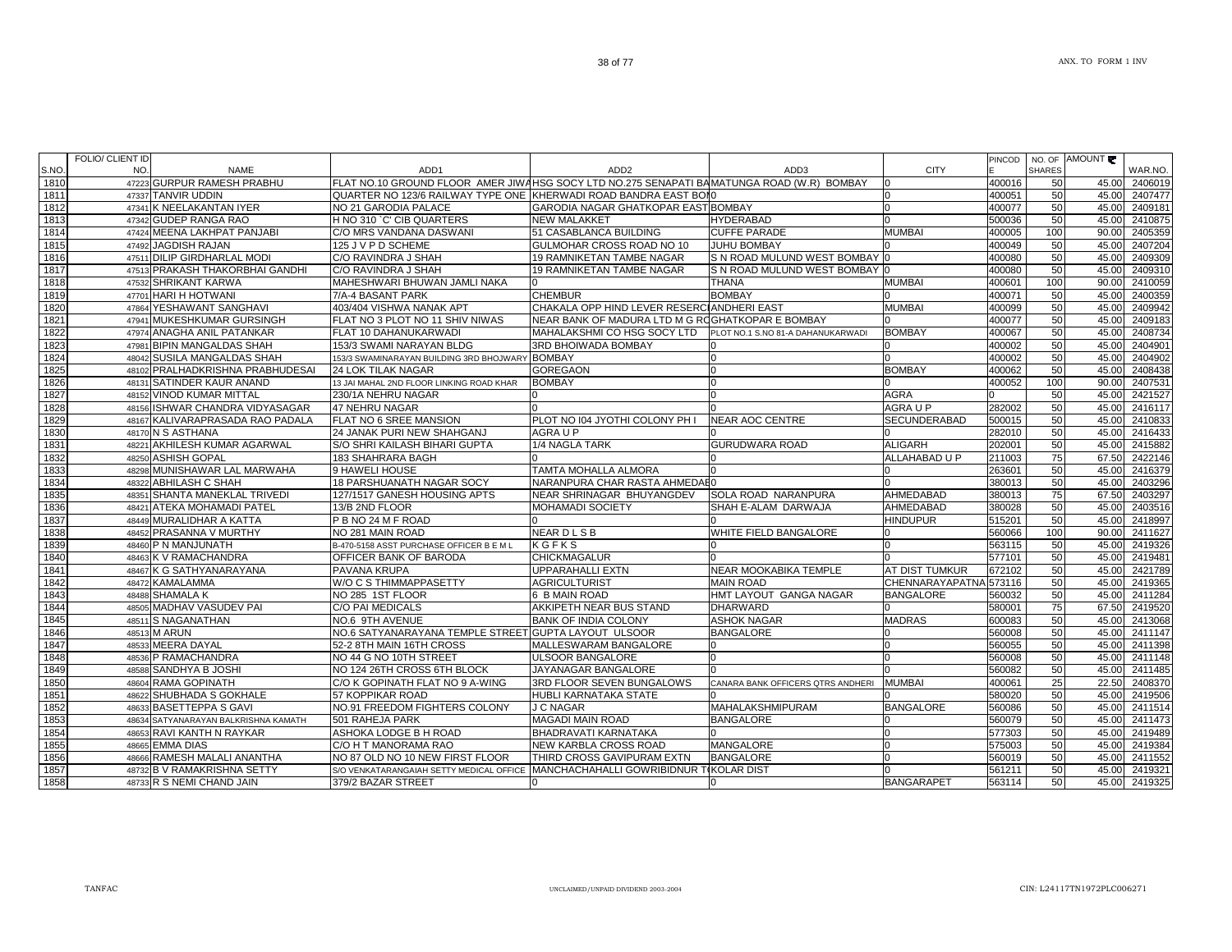|       | FOLIO/ CLIENT ID                        |                                                                                           |                                                  |                                   |                   | <b>PINCOD</b> |               | NO. OF AMOUNT |         |
|-------|-----------------------------------------|-------------------------------------------------------------------------------------------|--------------------------------------------------|-----------------------------------|-------------------|---------------|---------------|---------------|---------|
| S.NO. | NO.<br><b>NAME</b>                      | ADD1                                                                                      | ADD <sub>2</sub>                                 | ADD3                              | <b>CITY</b>       |               | <b>SHARES</b> |               | WAR.NO. |
| 1810  | 47223 GURPUR RAMESH PRABHU              | FLAT NO.10 GROUND FLOOR AMER JIWAHSG SOCY LTD NO.275 SENAPATI BAMATUNGA ROAD (W.R) BOMBAY |                                                  |                                   |                   | 400016        | 50            | 45.00         | 2406019 |
| 1811  | 47337 TANVIR UDDIN                      | QUARTER NO 123/6 RAILWAY TYPE ONE KHERWADI ROAD BANDRA EAST BOII0                         |                                                  |                                   |                   | 400051        | 50            | 45.00         | 2407477 |
| 1812  | 47341 K NEELAKANTAN IYER                | NO 21 GARODIA PALACE                                                                      | GARODIA NAGAR GHATKOPAR EAST BOMBAY              |                                   |                   | 400077        | 50            | 45.00         | 2409181 |
| 1813  | 47342 GUDEP RANGA RAO                   | H NO 310 `C' CIB QUARTERS                                                                 | <b>NEW MALAKKET</b>                              | <b>HYDERABAD</b>                  |                   | 500036        | 50            | 45.00         | 2410875 |
| 1814  | 47424 MEENA LAKHPAT PANJABI             | C/O MRS VANDANA DASWANI                                                                   | 51 CASABLANCA BUILDING                           | <b>CUFFE PARADE</b>               | <b>MUMBAI</b>     | 400005        | 100           | 90.00         | 2405359 |
| 1815  | 47492 JAGDISH RAJAN                     | 125 J V P D SCHEME                                                                        | GULMOHAR CROSS ROAD NO 10                        | <b>JUHU BOMBAY</b>                |                   | 400049        | 50            | 45.00         | 2407204 |
| 1816  | 47511 DILIP GIRDHARLAL MODI             | C/O RAVINDRA J SHAH                                                                       | 19 RAMNIKETAN TAMBE NAGAR                        | S N ROAD MULUND WEST BOMBAY       |                   | 400080        | 50            | 45.00         | 2409309 |
| 1817  | 47513 PRAKASH THAKORBHAI GANDHI         | C/O RAVINDRA J SHAH                                                                       | <b>19 RAMNIKETAN TAMBE NAGAR</b>                 | S N ROAD MULUND WEST BOMBAY 0     |                   | 400080        | 50            | 45.00         | 2409310 |
| 1818  | 47532 SHRIKANT KARWA                    | MAHESHWARI BHUWAN JAMLI NAKA                                                              |                                                  | <b>THANA</b>                      | <b>MUMBAI</b>     | 400601        | 100           | 90.00         | 2410059 |
| 1819  | 47701 HARI H HOTWANI                    | 7/A-4 BASANT PARK                                                                         | <b>CHEMBUR</b>                                   | <b>BOMBAY</b>                     |                   | 400071        | 50            | 45.00         | 2400359 |
| 1820  | 47864 YESHAWANT SANGHAVI                | 403/404 VISHWA NANAK APT                                                                  | CHAKALA OPP HIND LEVER RESERCIANDHERI EAST       |                                   | <b>MUMBAI</b>     | 400099        | 50            | 45.00         | 2409942 |
| 1821  | 47941 MUKESHKUMAR GURSINGH              | FLAT NO 3 PLOT NO 11 SHIV NIWAS                                                           | NEAR BANK OF MADURA LTD M G ROGHATKOPAR E BOMBAY |                                   |                   | 400077        | 50            | 45.00         | 2409183 |
| 1822  | 47974 ANAGHA ANIL PATANKAR              | FLAT 10 DAHANUKARWADI                                                                     | MAHALAKSHMI CO HSG SOCY LTD                      | PLOT NO.1 S.NO 81-A DAHANUKARWADI | <b>BOMBAY</b>     | 400067        | 50            | 45.00         | 2408734 |
| 1823  | 47981 BIPIN MANGALDAS SHAH              | 153/3 SWAMI NARAYAN BLDG                                                                  | 3RD BHOIWADA BOMBAY                              |                                   |                   | 400002        | 50            | 45.00         | 2404901 |
| 1824  | 48042 SUSILA MANGALDAS SHAH             | 153/3 SWAMINARAYAN BUILDING 3RD BHOJWARY BOMBAY                                           |                                                  | $\Omega$                          |                   | 400002        | 50            | 45.00         | 2404902 |
| 1825  | 48102 PRALHADKRISHNA PRABHUDESAI        | 24 LOK TILAK NAGAR                                                                        | <b>GOREGAON</b>                                  | $\Omega$                          | <b>BOMBAY</b>     | 400062        | 50            | 45.00         | 2408438 |
| 1826  | SATINDER KAUR ANAND<br>48131            | 13 JAI MAHAL 2ND FLOOR LINKING ROAD KHAR                                                  | <b>BOMBAY</b>                                    | $\Omega$                          |                   | 400052        | 100           | 90.00         | 2407531 |
| 1827  | 48152 VINOD KUMAR MITTAL                | 230/1A NEHRU NAGAR                                                                        |                                                  | n                                 | AGRA              |               | 50            | 45.00         | 2421527 |
| 1828  | 48156 ISHWAR CHANDRA VIDYASAGAR         | 47 NEHRU NAGAR                                                                            |                                                  |                                   | AGRA U P          | 282002        | 50            | 45.00         | 2416117 |
| 1829  | 48167 KALIVARAPRASADA RAO PADALA        | FLAT NO 6 SREE MANSION                                                                    | PLOT NO 104 JYOTHI COLONY PH I                   | <b>NEAR AOC CENTRE</b>            | SECUNDERABAD      | 500015        | 50            | 45.00         | 2410833 |
| 1830  | 48170 N S ASTHANA                       | 24 JANAK PURI NEW SHAHGANJ                                                                | AGRA U P                                         |                                   |                   | 282010        | 50            | 45.00         | 2416433 |
| 1831  | 48221 AKHILESH KUMAR AGARWAL            | S/O SHRI KAILASH BIHARI GUPTA                                                             | 1/4 NAGLA TARK                                   | <b>GURUDWARA ROAD</b>             | <b>ALIGARH</b>    | 202001        | 50            | 45.00         | 2415882 |
| 1832  | 48250 ASHISH GOPAL                      | 183 SHAHRARA BAGH                                                                         |                                                  |                                   | ALLAHABAD U P     | 211003        | 75            | 67.50         | 2422146 |
| 1833  | 48298 MUNISHAWAR LAL MARWAHA            | 9 HAWELI HOUSE                                                                            | TAMTA MOHALLA ALMORA                             | <sup>0</sup>                      |                   | 263601        | 50            | 45.00         | 2416379 |
| 1834  | 48322 ABHILASH C SHAH                   | <b>18 PARSHUANATH NAGAR SOCY</b>                                                          | NARANPURA CHAR RASTA AHMEDAE0                    |                                   |                   | 380013        | 50            | 45.00         | 2403296 |
| 1835  | 48351 SHANTA MANEKLAL TRIVEDI           | 127/1517 GANESH HOUSING APTS                                                              | NEAR SHRINAGAR BHUYANGDEV                        | <b>SOLA ROAD NARANPURA</b>        | AHMEDABAD         | 380013        | 75            | 67.50         | 2403297 |
| 1836  | 48421 ATEKA MOHAMADI PATEL              | 13/B 2ND FLOOR                                                                            | MOHAMADI SOCIETY                                 | SHAH E-ALAM DARWAJA               | AHMEDABAD         | 380028        | 50            | 45.00         | 2403516 |
| 1837  | 48449 MURALIDHAR A KATTA                | P B NO 24 M F ROAD                                                                        |                                                  |                                   | <b>HINDUPUR</b>   | 515201        | 50            | 45.00         | 2418997 |
| 1838  | 48452 PRASANNA V MURTHY                 | NO 281 MAIN ROAD                                                                          | <b>NEARDLSB</b>                                  | WHITE FIELD BANGALORE             |                   | 560066        | 100           | 90.00         | 2411627 |
| 1839  | 48460 P N MANJUNATH                     | B-470-5158 ASST PURCHASE OFFICER B E M L                                                  | KGFKS                                            |                                   |                   | 563115        | 50            | 45.00         | 2419326 |
| 1840  | 48463 K V RAMACHANDRA                   | OFFICER BANK OF BARODA                                                                    | <b>CHICKMAGALUR</b>                              |                                   |                   | 577101        | 50            | 45.00         | 2419481 |
| 1841  | 48467 K G SATHYANARAYANA                | PAVANA KRUPA                                                                              | <b>UPPARAHALLI EXTN</b>                          | NEAR MOOKABIKA TEMPLE             | AT DIST TUMKUR    | 672102        | 50            | 45.00         | 2421789 |
| 1842  | 48472 KAMALAMMA                         | W/O C S THIMMAPPASETTY                                                                    | <b>AGRICULTURIST</b>                             | <b>MAIN ROAD</b>                  | CHENNARAYAPATNA   | 573116        | 50            | 45.00         | 2419365 |
| 1843  | 48488 SHAMALA K                         | NO 285 1ST FLOOR                                                                          | 6 B MAIN ROAD                                    | HMT LAYOUT GANGA NAGAR            | <b>BANGALORE</b>  | 560032        | 50            | 45.00         | 2411284 |
| 1844  | 48505 MADHAV VASUDEV PAI                | C/O PAI MEDICALS                                                                          | AKKIPETH NEAR BUS STAND                          | <b>DHARWARD</b>                   |                   | 580001        | 75            | 67.50         | 2419520 |
| 1845  | S NAGANATHAN<br>48511                   | NO.6 9TH AVENUE                                                                           | <b>BANK OF INDIA COLONY</b>                      | <b>ASHOK NAGAR</b>                | <b>MADRAS</b>     | 600083        | 50            | 45.00         | 2413068 |
| 1846  | 48513 M ARUN                            | NO.6 SATYANARAYANA TEMPLE STREET GUPTA LAYOUT ULSOOR                                      |                                                  | <b>BANGALORE</b>                  |                   | 560008        | 50            | 45.00         | 2411147 |
| 1847  | 48533 MEERA DAYAL                       | 52-2 8TH MAIN 16TH CROSS                                                                  | MALLESWARAM BANGALORE                            |                                   |                   | 560055        | 50            | 45.00         | 2411398 |
| 1848  | 48536 P RAMACHANDRA                     | NO 44 G NO 10TH STREET                                                                    | <b>ULSOOR BANGALORE</b>                          | 0                                 |                   | 560008        | 50            | 45.00         | 2411148 |
| 1849  | 48588 SANDHYA B JOSHI                   | NO 124 26TH CROSS 6TH BLOCK                                                               | JAYANAGAR BANGALORE                              |                                   |                   | 560082        | 50            | 45.00         | 2411485 |
| 1850  | 48604 RAMA GOPINATH                     | C/O K GOPINATH FLAT NO 9 A-WING                                                           | 3RD FLOOR SEVEN BUNGALOWS                        | CANARA BANK OFFICERS QTRS ANDHERI | <b>MUMBAI</b>     | 400061        | 25            | 22.50         | 2408370 |
| 1851  | 48622 SHUBHADA S GOKHALE                | 57 KOPPIKAR ROAD                                                                          | HUBLI KARNATAKA STATE                            |                                   |                   | 580020        | 50            | 45.00         | 2419506 |
| 1852  | 48633 BASETTEPPA S GAVI                 | NO.91 FREEDOM FIGHTERS COLONY                                                             | J C NAGAR                                        | MAHALAKSHMIPURAM                  | <b>BANGALORE</b>  | 560086        | 50            | 45.00         | 2411514 |
| 1853  | SATYANARAYAN BALKRISHNA KAMATH<br>48634 | 501 RAHEJA PARK                                                                           | <b>MAGADI MAIN ROAD</b>                          | <b>BANGALORE</b>                  |                   | 560079        | 50            | 45.00         | 2411473 |
| 1854  | 48653 RAVI KANTH N RAYKAR               | ASHOKA LODGE B H ROAD                                                                     | BHADRAVATI KARNATAKA                             |                                   |                   | 577303        | 50            | 45.00         | 2419489 |
| 1855  | 48665 EMMA DIAS                         | C/O H T MANORAMA RAO                                                                      | NEW KARBLA CROSS ROAD                            | <b>MANGALORE</b>                  |                   | 575003        | 50            | 45.00         | 2419384 |
| 1856  | 48666 RAMESH MALALI ANANTHA             | NO 87 OLD NO 10 NEW FIRST FLOOR                                                           | THIRD CROSS GAVIPURAM EXTN                       | <b>BANGALORE</b>                  |                   | 560019        | 50            | 45.00         | 2411552 |
| 1857  | 48732 B V RAMAKRISHNA SETTY             | S/O VENKATARANGAIAH SETTY MEDICAL OFFICE                                                  | MANCHACHAHALLI GOWRIBIDNUR TIKOLAR DIST          |                                   |                   | 561211        | 50            | 45.00         | 2419321 |
| 1858  | 48733 R S NEMI CHAND JAIN               | 379/2 BAZAR STREET                                                                        |                                                  |                                   | <b>BANGARAPET</b> | 563114        | 50            | 45.00         | 2419325 |
|       |                                         |                                                                                           |                                                  |                                   |                   |               |               |               |         |

S.NO.

UNCLAIMED/UNPAID DIVIDEND 2003-2004 CIN: L24117TN1972PLC006271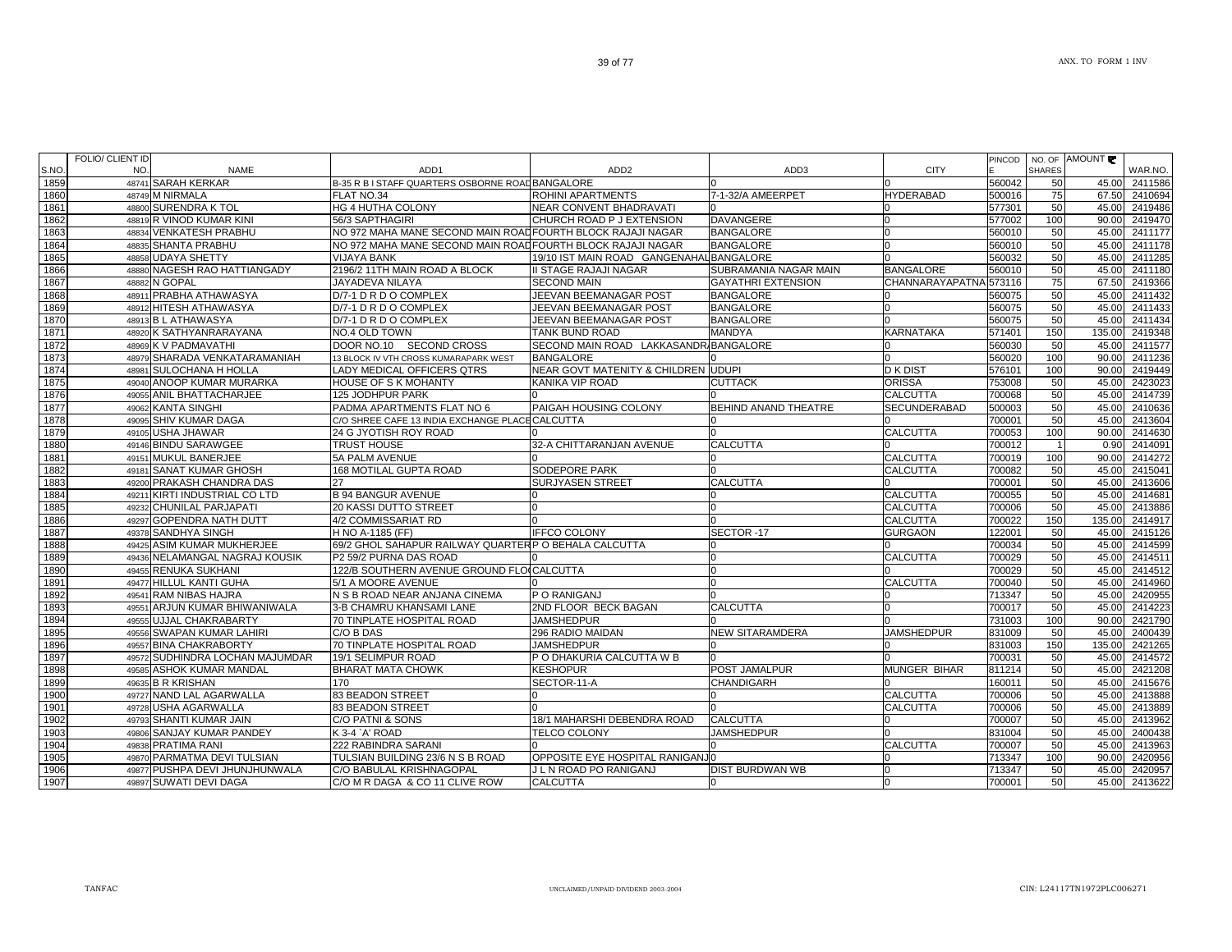| S.NO         | FOLIO/ CLIENT ID<br>NO. | <b>NAME</b>                                               | ADD <sub>1</sub>                                            | ADD <sub>2</sub>                               | ADD3                      | <b>CITY</b>            | <b>PINCOD</b>    | <b>SHARES</b>  | NO. OF AMOUNT  | WAR.NO.            |
|--------------|-------------------------|-----------------------------------------------------------|-------------------------------------------------------------|------------------------------------------------|---------------------------|------------------------|------------------|----------------|----------------|--------------------|
| 1859         |                         | 48741 SARAH KERKAR                                        | B-35 R B I STAFF QUARTERS OSBORNE ROAD BANGALORE            |                                                |                           |                        | 560042           | 50             | 45.00          | 2411586            |
| 1860         |                         | 48749 M NIRMALA                                           | FLAT NO.34                                                  | <b>ROHINI APARTMENTS</b>                       | 7-1-32/A AMEERPET         | <b>HYDERABAD</b>       | 500016           | 75             |                | 67.50 2410694      |
| 1861         |                         | 48800 SURENDRA K TOL                                      | HG 4 HUTHA COLONY                                           | NEAR CONVENT BHADRAVATI                        |                           |                        | 577301           | 50             | 45.00          | 2419486            |
| 1862         |                         | 48819 R VINOD KUMAR KINI                                  | 56/3 SAPTHAGIRI                                             | CHURCH ROAD P J EXTENSION                      | <b>DAVANGERE</b>          |                        | 577002           | 100            | 90.00          | 2419470            |
| 1863         |                         | 48834 VENKATESH PRABHU                                    | NO 972 MAHA MANE SECOND MAIN ROAD FOURTH BLOCK RAJAJI NAGAR |                                                | <b>BANGALORE</b>          |                        | 560010           | 50             | 45.00          | 2411177            |
| 1864         |                         | 48835 SHANTA PRABHU                                       | NO 972 MAHA MANE SECOND MAIN ROADFOURTH BLOCK RAJAJI NAGAR  |                                                | <b>BANGALORE</b>          |                        | 560010           | 50             | 45.00          | 2411178            |
| 1865         |                         | 48858 UDAYA SHETTY                                        | <b>VIJAYA BANK</b>                                          | 19/10 IST MAIN ROAD GANGENAHAL BANGALORE       |                           |                        | 560032           | 50             | 45.00          | 2411285            |
| 1866         |                         | 48880 NAGESH RAO HATTIANGADY                              | 2196/2 11TH MAIN ROAD A BLOCK                               | II STAGE RAJAJI NAGAR                          | SUBRAMANIA NAGAR MAIN     | <b>BANGALORE</b>       | 560010           | 50             | 45.00          | 2411180            |
| 1867         |                         | 48882 N GOPAL                                             | JAYADEVA NILAYA                                             | <b>SECOND MAIN</b>                             | <b>GAYATHRI EXTENSION</b> | CHANNARAYAPATNA 573116 |                  | 75             | 67.50          | 2419366            |
| 1868         |                         | 48911 PRABHA ATHAWASYA                                    | D/7-1 D R D O COMPLEX                                       | JEEVAN BEEMANAGAR POST                         | <b>BANGALORE</b>          |                        | 560075           | 50             | 45.00          | 2411432            |
| 1869         |                         | 48912 HITESH ATHAWASYA                                    | D/7-1 D R D O COMPLEX                                       | JEEVAN BEEMANAGAR POST                         | <b>BANGALORE</b>          |                        | 560075           | 50             | 45.00          | 2411433            |
| 1870         |                         | 48913 B L ATHAWASYA                                       | D/7-1 D R D O COMPLEX                                       | JEEVAN BEEMANAGAR POST                         | <b>BANGALORE</b>          |                        | 560075           | 50             | 45.00          | 2411434            |
| 1871         |                         | 48920 K SATHYANRARAYANA                                   | NO.4 OLD TOWN                                               | <b>TANK BUND ROAD</b>                          | <b>MANDYA</b>             | <b>KARNATAKA</b>       | 571401           | 150            | 135.00         | 2419348            |
| 1872         |                         | 48969 K V PADMAVATHI                                      | DOOR NO.10 SECOND CROSS                                     | SECOND MAIN ROAD LAKKASANDR/BANGALORE          |                           |                        | 560030           | 50             | 45.00          | 2411577            |
| 1873         |                         | 48979 SHARADA VENKATARAMANIAH                             | 13 BLOCK IV VTH CROSS KUMARAPARK WEST                       | <b>BANGALORE</b>                               |                           |                        | 560020           | 100            | 90.00          | 2411236            |
| 1874         |                         | 48981 SULOCHANA H HOLLA                                   | LADY MEDICAL OFFICERS QTRS                                  | <b>NEAR GOVT MATENITY &amp; CHILDREN UDUPI</b> |                           | <b>DKDIST</b>          | 576101           | 100            | 90.00          | 2419449            |
| 1875         |                         | 49040 ANOOP KUMAR MURARKA                                 | HOUSE OF S K MOHANTY                                        | KANIKA VIP ROAD                                | <b>CUTTACK</b>            | <b>ORISSA</b>          | 753008           | 50             | 45.00          | 2423023            |
| 1876         |                         | 49055 ANIL BHATTACHARJEE                                  | 125 JODHPUR PARK                                            |                                                |                           | <b>CALCUTTA</b>        | 700068           | 50             | 45.00          | 2414739            |
| 1877         |                         | 49062 KANTA SINGHI                                        | PADMA APARTMENTS FLAT NO 6                                  | PAIGAH HOUSING COLONY                          | BEHIND ANAND THEATRE      | <b>SECUNDERABAD</b>    | 500003           | 50             | 45.00          | 2410636            |
| 1878         |                         | 49095 SHIV KUMAR DAGA                                     | C/O SHREE CAFE 13 INDIA EXCHANGE PLACE CALCUTTA             |                                                |                           |                        | 700001           | 50             | 45.00          | 2413604            |
| 1879         |                         | 49105 USHA JHAWAR                                         | 24 G JYOTISH ROY ROAD                                       |                                                |                           | <b>CALCUTTA</b>        | 700053           | 100            |                | 90.00 2414630      |
| 1880         |                         | 49146 BINDU SARAWGEE                                      | <b>TRUST HOUSE</b>                                          | 32-A CHITTARANJAN AVENUE                       | <b>CALCUTTA</b>           |                        | 700012           | $\overline{1}$ | 0.90           | 2414091            |
| 1881         |                         | 49151 MUKUL BANERJEE                                      | 5A PALM AVENUE                                              |                                                |                           | <b>CALCUTTA</b>        | 700019           | 100            | 90.00          | 2414272            |
| 1882         |                         | 49181 SANAT KUMAR GHOSH                                   | 168 MOTILAL GUPTA ROAD                                      | <b>SODEPORE PARK</b>                           |                           | <b>CALCUTTA</b>        | 700082           | 50             | 45.00          | 2415041            |
| 1883         |                         | 49200 PRAKASH CHANDRA DAS                                 |                                                             | <b>SURJYASEN STREET</b>                        | <b>CALCUTTA</b>           |                        | 700001           | 50             | 45.00          | 2413606            |
| 1884         |                         | 49211 KIRTI INDUSTRIAL COLTD                              | <b>B 94 BANGUR AVENUE</b>                                   |                                                |                           | <b>CALCUTTA</b>        | 700055           | 50             | 45.00          | 2414681            |
| 1885         |                         | 49232 CHUNILAL PARJAPATI                                  | 20 KASSI DUTTO STREET                                       |                                                |                           | <b>CALCUTTA</b>        | 700006           | 50             | 45.00          | 2413886            |
| 1886         |                         | 49297 GOPENDRA NATH DUTT                                  | 4/2 COMMISSARIAT RD                                         |                                                |                           | <b>CALCUTTA</b>        | 700022           | 150            | 135.00         | 2414917            |
| 1887         |                         | 49378 SANDHYA SINGH                                       | H NO A-1185 (FF)                                            | <b>IFFCO COLONY</b>                            | SECTOR-17                 | <b>GURGAON</b>         | 122001           | 50             | 45.00          | 2415126            |
| 1888         |                         | 49425 ASIM KUMAR MUKHERJEE                                | 69/2 GHOL SAHAPUR RAILWAY QUARTER P O BEHALA CALCUTTA       |                                                |                           |                        | 700034           | 50             | 45.00          | 2414599            |
| 1889         |                         | 49436 NELAMANGAL NAGRAJ KOUSIK                            | P2 59/2 PURNA DAS ROAD                                      |                                                | n                         | <b>CALCUTTA</b>        | 700029           | 50             | 45.00          | 2414511            |
| 1890         |                         | 49455 RENUKA SUKHANI                                      | 122/B SOUTHERN AVENUE GROUND FLOICALCUTTA                   |                                                | O                         |                        | 700029           | 50             | 45.00          | 2414512            |
| 1891         |                         | 49477 HILLUL KANTI GUHA                                   | 5/1 A MOORE AVENUE                                          |                                                |                           | <b>CALCUTTA</b>        | 700040           | 50             | 45.00          | 2414960            |
| 1892         |                         | 49541 RAM NIBAS HAJRA                                     | N S B ROAD NEAR ANJANA CINEMA                               | P O RANIGANJ                                   |                           |                        | 713347           | 50             | 45.00          | 2420955            |
| 1893<br>1894 |                         | 49551 ARJUN KUMAR BHIWANIWALA                             | 3-B CHAMRU KHANSAMI LANE                                    | 2ND FLOOR BECK BAGAN<br><b>JAMSHEDPUR</b>      | <b>CALCUTTA</b>           |                        | 700017<br>731003 | 50<br>100      | 45.00<br>90.00 | 2414223<br>2421790 |
| 1895         |                         | 49555 UJJAL CHAKRABARTY<br>49556 SWAPAN KUMAR LAHIRI      | 70 TINPLATE HOSPITAL ROAD<br>C/O B DAS                      | 296 RADIO MAIDAN                               | <b>NEW SITARAMDERA</b>    | <b>JAMSHEDPUR</b>      | 831009           | 50             | 45.00          | 2400439            |
| 1896         |                         |                                                           | 70 TINPLATE HOSPITAL ROAD                                   | <b>JAMSHEDPUR</b>                              |                           |                        | 831003           | 150            | 135.00         |                    |
| 1897         |                         | 49557 BINA CHAKRABORTY<br>49572 SUDHINDRA LOCHAN MAJUMDAR | 19/1 SELIMPUR ROAD                                          | P O DHAKURIA CALCUTTA W B                      |                           |                        | 700031           | 50             | 45.00          | 2421265<br>2414572 |
| 1898         |                         | 49585 ASHOK KUMAR MANDAL                                  | <b>BHARAT MATA CHOWK</b>                                    | <b>KESHOPUR</b>                                | POST JAMALPUR             | <b>MUNGER BIHAR</b>    | 811214           | 50             | 45.00          | 2421208            |
| 1899         |                         | 49635 B R KRISHAN                                         | 170                                                         | SECTOR-11-A                                    | <b>CHANDIGARH</b>         |                        | 160011           | 50             | 45.00          | 2415676            |
| 1900         |                         | 49727 NAND LAL AGARWALLA                                  | 83 BEADON STREET                                            |                                                |                           | <b>CALCUTTA</b>        | 700006           | 50             | 45.00          | 2413888            |
| 1901         |                         | 49728 USHA AGARWALLA                                      | 83 BEADON STREET                                            |                                                |                           | <b>CALCUTTA</b>        | 700006           | 50             | 45.00          | 2413889            |
| 1902         |                         | 49793 SHANTI KUMAR JAIN                                   | C/O PATNI & SONS                                            | 18/1 MAHARSHI DEBENDRA ROAD                    | <b>CALCUTTA</b>           |                        | 700007           | 50             | 45.00          | 2413962            |
| 1903         |                         | 49806 SANJAY KUMAR PANDEY                                 | K 3-4 `A' ROAD                                              | <b>TELCO COLONY</b>                            | <b>JAMSHEDPUR</b>         |                        | 831004           | 50             | 45.00          | 2400438            |
| 1904         |                         | 49838 PRATIMA RANI                                        | 222 RABINDRA SARANI                                         |                                                |                           | <b>CALCUTTA</b>        | 700007           | 50             | 45.00          | 2413963            |
| 1905         |                         | 49870 PARMATMA DEVI TULSIAN                               | TULSIAN BUILDING 23/6 N S B ROAD                            | OPPOSITE EYE HOSPITAL RANIGANJ0                |                           |                        | 713347           | 100            | 90.00          | 2420956            |
| 1906         |                         | 49877 PUSHPA DEVI JHUNJHUNWALA                            | C/O BABULAL KRISHNAGOPAL                                    | J L N ROAD PO RANIGANJ                         | <b>DIST BURDWAN WB</b>    |                        | 713347           | 50             | 45.00          | 2420957            |
| 1907         |                         | 49897 SUWATI DEVI DAGA                                    | C/O M R DAGA & CO 11 CLIVE ROW                              | <b>CALCUTTA</b>                                |                           | $\Omega$               | 700001           | 50             | 45.00          | 2413622            |
|              |                         |                                                           |                                                             |                                                |                           |                        |                  |                |                |                    |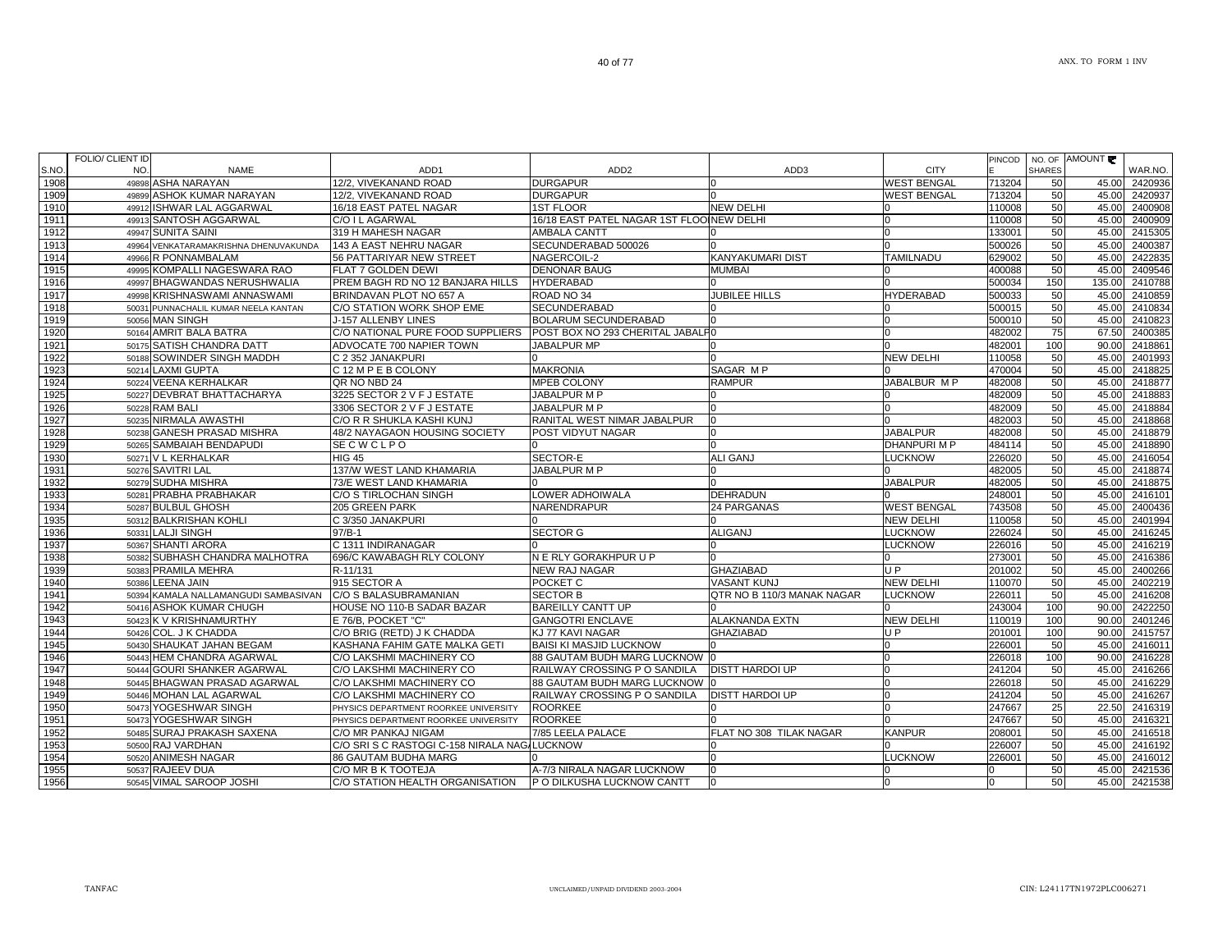|      | FOLIO/ CLIENT ID |                                       |                                              |                                           |                            |                    | <b>PINCOD</b> |               | NO. OF AMOUNT |               |
|------|------------------|---------------------------------------|----------------------------------------------|-------------------------------------------|----------------------------|--------------------|---------------|---------------|---------------|---------------|
| S.NO | NO.              | <b>NAME</b>                           | ADD1                                         | ADD <sub>2</sub>                          | ADD3                       | <b>CITY</b>        |               | <b>SHARES</b> |               | WAR.NO.       |
| 1908 |                  | 49898 ASHA NARAYAN                    | 12/2, VIVEKANAND ROAD                        | <b>DURGAPUR</b>                           |                            | <b>WEST BENGAL</b> | 713204        | 50            | 45.00         | 2420936       |
| 1909 |                  | 49899 ASHOK KUMAR NARAYAN             | 12/2, VIVEKANAND ROAD                        | <b>DURGAPUR</b>                           |                            | <b>WEST BENGAL</b> | 713204        | 50            | 45.00         | 2420937       |
| 1910 |                  | 49912 ISHWAR LAL AGGARWAL             | 16/18 EAST PATEL NAGAR                       | <b>1ST FLOOR</b>                          | <b>NEW DELHI</b>           |                    | 110008        | 50            | 45.00         | 2400908       |
| 1911 |                  | 49913 SANTOSH AGGARWAL                | C/O I L AGARWAL                              | 16/18 EAST PATEL NAGAR 1ST FLOOINEW DELHI |                            | <sup>0</sup>       | 110008        | 50            | 45.00         | 2400909       |
| 1912 |                  | 49947 SUNITA SAINI                    | 319 H MAHESH NAGAR                           | <b>AMBALA CANTT</b>                       |                            | <sup>0</sup>       | 133001        | 50            | 45.00         | 2415305       |
| 1913 |                  | 49964 VENKATARAMAKRISHNA DHENUVAKUNDA | 143 A EAST NEHRU NAGAR                       | SECUNDERABAD 500026                       |                            |                    | 500026        | 50            | 45.00         | 2400387       |
| 1914 |                  | 49966 R PONNAMBALAM                   | 56 PATTARIYAR NEW STREET                     | NAGERCOIL-2                               | KANYAKUMARI DIST           | <b>TAMILNADU</b>   | 629002        | 50            | 45.00         | 2422835       |
| 1915 |                  | 49995 KOMPALLI NAGESWARA RAO          | FLAT 7 GOLDEN DEWI                           | <b>DENONAR BAUG</b>                       | <b>MUMBAI</b>              |                    | 400088        | 50            | 45.00         | 2409546       |
| 1916 |                  | 49997 BHAGWANDAS NERUSHWALIA          | PREM BAGH RD NO 12 BANJARA HILLS             | <b>HYDERABAD</b>                          |                            |                    | 500034        | 150           | 135.00        | 2410788       |
| 1917 |                  | 49998 KRISHNASWAMI ANNASWAMI          | BRINDAVAN PLOT NO 657 A                      | ROAD NO 34                                | <b>JUBILEE HILLS</b>       | <b>HYDERABAD</b>   | 500033        | 50            | 45.00         | 2410859       |
| 1918 |                  | 50031 PUNNACHALIL KUMAR NEELA KANTAN  | C/O STATION WORK SHOP EME                    | <b>SECUNDERABAD</b>                       |                            |                    | 500015        | 50            | 45.00         | 2410834       |
| 1919 |                  | 50056 MAN SINGH                       | J-157 ALLENBY LINES                          | <b>BOLARUM SECUNDERABAD</b>               |                            |                    | 500010        | 50            | 45.00         | 2410823       |
| 1920 |                  | 50164 AMRIT BALA BATRA                | C/O NATIONAL PURE FOOD SUPPLIERS             | POST BOX NO 293 CHERITAL JABALP0          |                            |                    | 482002        | 75            | 67.50         | 2400385       |
| 1921 |                  | 50175 SATISH CHANDRA DATT             | ADVOCATE 700 NAPIER TOWN                     | <b>JABALPUR MP</b>                        |                            |                    | 482001        | 100           | 90.00         | 2418861       |
| 1922 |                  | 50188 SOWINDER SINGH MADDH            | C 2 352 JANAKPURI                            |                                           |                            | <b>NEW DELHI</b>   | 110058        | 50            | 45.00         | 2401993       |
| 1923 |                  | 50214 LAXMI GUPTA                     | C 12 M P E B COLONY                          | <b>MAKRONIA</b>                           | SAGAR MP                   |                    | 470004        | 50            | 45.00         | 2418825       |
|      |                  |                                       |                                              |                                           |                            |                    |               |               |               |               |
| 1924 |                  | 50224 VEENA KERHALKAR                 | QR NO NBD 24                                 | <b>MPEB COLONY</b>                        | <b>RAMPUR</b>              | JABALBUR M P       | 482008        | 50            | 45.00         | 2418877       |
| 1925 |                  | 50227 DEVBRAT BHATTACHARYA            | 3225 SECTOR 2 V F J ESTATE                   | JABALPUR M P                              |                            |                    | 482009        | 50            | 45.00         | 2418883       |
| 1926 |                  | 50228 RAM BALI                        | 3306 SECTOR 2 V F J ESTATE                   | JABALPUR M P                              |                            | <sup>n</sup>       | 482009        | 50            | 45.00         | 2418884       |
| 1927 |                  | 50235 NIRMALA AWASTHI                 | C/O R R SHUKLA KASHI KUNJ                    | RANITAL WEST NIMAR JABALPUR               | n                          |                    | 482003        | 50            | 45.00         | 2418868       |
| 1928 |                  | 50238 GANESH PRASAD MISHRA            | 48/2 NAYAGAON HOUSING SOCIETY                | <b>POST VIDYUT NAGAR</b>                  |                            | <b>JABALPUR</b>    | 482008        | 50            | 45.00         | 2418879       |
| 1929 |                  | 50265 SAMBAIAH BENDAPUDI              | SECWCLPO                                     |                                           |                            | <b>DHANPURIMP</b>  | 484114        | 50            | 45.00         | 2418890       |
| 1930 |                  | 50271 V L KERHALKAR                   | <b>HIG 45</b>                                | SECTOR-E                                  | <b>ALI GANJ</b>            | <b>LUCKNOW</b>     | 226020        | 50            | 45.00         | 2416054       |
| 1931 |                  | 50276 SAVITRI LAL                     | 137/W WEST LAND KHAMARIA                     | JABALPUR M P                              |                            |                    | 482005        | 50            | 45.00         | 2418874       |
| 1932 |                  | 50279 SUDHA MISHRA                    | 73/E WEST LAND KHAMARIA                      |                                           |                            | <b>JABALPUR</b>    | 482005        | 50            | 45.00         | 2418875       |
| 1933 |                  | 50281 PRABHA PRABHAKAR                | C/O S TIRLOCHAN SINGH                        | LOWER ADHOIWALA                           | <b>DEHRADUN</b>            |                    | 248001        | 50            | 45.00         | 2416101       |
| 1934 |                  | 50287 BULBUL GHOSH                    | 205 GREEN PARK                               | NARENDRAPUR                               | 24 PARGANAS                | <b>WEST BENGAL</b> | 743508        | 50            |               | 45.00 2400436 |
| 1935 |                  | 50312 BALKRISHAN KOHLI                | C 3/350 JANAKPURI                            |                                           |                            | <b>NEW DELHI</b>   | 110058        | 50            |               | 45.00 2401994 |
| 1936 |                  | 50331 LALJI SINGH                     | $97/B-1$                                     | <b>SECTOR G</b>                           | <b>ALIGANJ</b>             | <b>LUCKNOW</b>     | 226024        | 50            | 45.00         | 2416245       |
| 1937 |                  | 50367 SHANTI ARORA                    | C 1311 INDIRANAGAR                           |                                           |                            | LUCKNOW            | 226016        | 50            | 45.00         | 2416219       |
| 1938 |                  | 50382 SUBHASH CHANDRA MALHOTRA        | 696/C KAWABAGH RLY COLONY                    | N E RLY GORAKHPUR U P                     |                            |                    | 273001        | 50            | 45.00         | 2416386       |
| 1939 |                  | 50383 PRAMILA MEHRA                   | R-11/131                                     | <b>NEW RAJ NAGAR</b>                      | <b>GHAZIABAD</b>           | UP                 | 201002        | 50            | 45.00         | 2400266       |
| 1940 |                  | 50386 LEENA JAIN                      | 915 SECTOR A                                 | POCKET C                                  | <b>VASANT KUNJ</b>         | <b>NEW DELHI</b>   | 110070        | 50            | 45.00         | 2402219       |
| 1941 |                  | 50394 KAMALA NALLAMANGUDI SAMBASIVAN  | C/O S BALASUBRAMANIAN                        | <b>SECTOR B</b>                           | QTR NO B 110/3 MANAK NAGAR | <b>LUCKNOW</b>     | 226011        | 50            | 45.00         | 2416208       |
| 1942 |                  | 50416 ASHOK KUMAR CHUGH               | HOUSE NO 110-B SADAR BAZAR                   | <b>BAREILLY CANTT UP</b>                  |                            |                    | 243004        | 100           | 90.00         | 2422250       |
| 1943 |                  | 50423 K V KRISHNAMURTHY               | E 76/B. POCKET "C"                           | <b>GANGOTRI ENCLAVE</b>                   | <b>ALAKNANDA EXTN</b>      | <b>NEW DELHI</b>   | 110019        | 100           | 90.00         | 2401246       |
| 1944 |                  | 50426 COL. J K CHADDA                 | C/O BRIG (RETD) J K CHADDA                   | KJ 77 KAVI NAGAR                          | <b>GHAZIABAD</b>           | U P                | 201001        | 100           | 90.00         | 2415757       |
| 1945 |                  | 50430 SHAUKAT JAHAN BEGAM             | KASHANA FAHIM GATE MALKA GETI                | <b>BAISI KI MASJID LUCKNOW</b>            |                            | n                  | 226001        | 50            | 45.00         | 2416011       |
| 1946 |                  | 50443 HEM CHANDRA AGARWAL             | C/O LAKSHMI MACHINERY CO                     | 88 GAUTAM BUDH MARG LUCKNOW 0             |                            | n                  | 226018        | 100           | 90.00         | 2416228       |
| 1947 |                  | 50444 GOURI SHANKER AGARWAL           | C/O LAKSHMI MACHINERY CO                     | RAILWAY CROSSING P O SANDILA              | <b>DISTT HARDOI UP</b>     |                    | 241204        | 50            | 45.00         | 2416266       |
| 1948 |                  | 50445 BHAGWAN PRASAD AGARWAL          | C/O LAKSHMI MACHINERY CO                     | 88 GAUTAM BUDH MARG LUCKNOW 10            |                            | n                  | 226018        | 50            | 45.00         | 2416229       |
| 1949 |                  | 50446 MOHAN LAL AGARWAL               | C/O LAKSHMI MACHINERY CO                     | RAILWAY CROSSING P O SANDILA              | <b>DISTT HARDOI UP</b>     | n                  | 241204        | 50            | 45.00         | 2416267       |
| 1950 |                  | 50473 YOGESHWAR SINGH                 | PHYSICS DEPARTMENT ROORKEE UNIVERSITY        | <b>ROORKEE</b>                            |                            | <sup>n</sup>       | 247667        | 25            | 22.50         | 2416319       |
| 1951 |                  | 50473 YOGESHWAR SINGH                 | PHYSICS DEPARTMENT ROORKEE UNIVERSITY        | <b>ROORKEE</b>                            |                            |                    | 247667        | 50            | 45.00         | 2416321       |
| 1952 |                  | 50485 SURAJ PRAKASH SAXENA            | C/O MR PANKAJ NIGAM                          | 7/85 LEELA PALACE                         | FLAT NO 308 TILAK NAGAR    | <b>KANPUR</b>      | 208001        | 50            | 45.00         | 2416518       |
| 1953 |                  | 50500 RAJ VARDHAN                     | C/O SRI S C RASTOGI C-158 NIRALA NAG/LUCKNOW |                                           |                            |                    | 226007        | 50            | 45.00         | 2416192       |
| 1954 |                  | 50520 ANIMESH NAGAR                   | <b>86 GAUTAM BUDHA MARG</b>                  |                                           |                            | <b>LUCKNOW</b>     | 226001        | 50            | 45.00         | 2416012       |
| 1955 |                  | 50537 RAJEEV DUA                      | C/O MR B K TOOTEJA                           | A-7/3 NIRALA NAGAR LUCKNOW                |                            |                    |               | 50            | 45.00         | 2421536       |
| 1956 |                  | 50545 VIMAL SAROOP JOSHI              | C/O STATION HEALTH ORGANISATION              | P O DILKUSHA LUCKNOW CANTT                | 10                         | $\Omega$           |               | 50            |               | 45.00 2421538 |
|      |                  |                                       |                                              |                                           |                            |                    | 10            |               |               |               |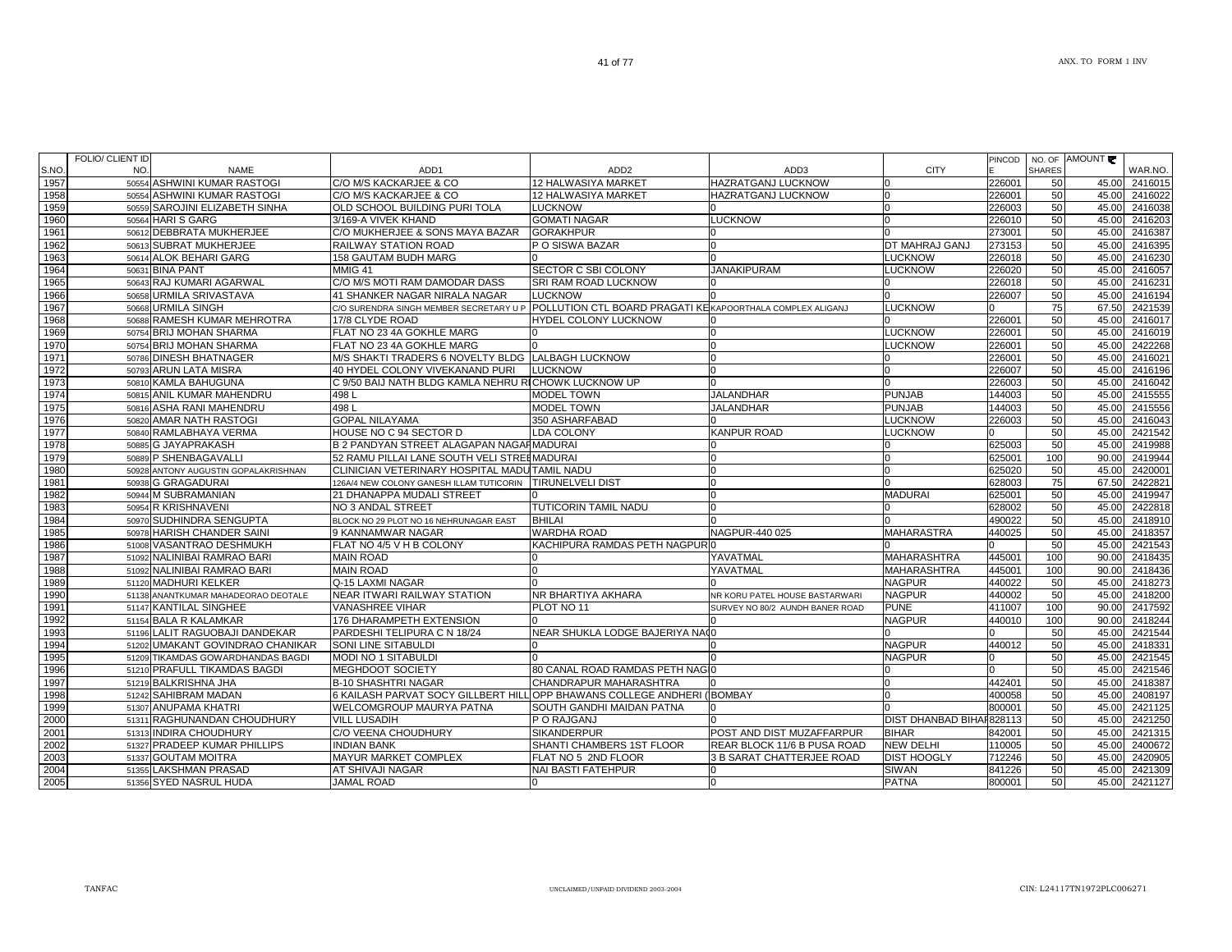|      | FOLIO/ CLIENT ID                        |                                                                         |                                                           |                                  |                           | PINCOD | NO. OF        | AMOUNT |         |
|------|-----------------------------------------|-------------------------------------------------------------------------|-----------------------------------------------------------|----------------------------------|---------------------------|--------|---------------|--------|---------|
| S.NO | NO.<br><b>NAME</b>                      | ADD1                                                                    | ADD <sub>2</sub>                                          | ADD3                             | <b>CITY</b>               |        | <b>SHARES</b> |        | WAR.NO. |
| 1957 | <b>ASHWINI KUMAR RASTOGI</b><br>50554   | C/O M/S KACKARJEE & CO                                                  | 12 HALWASIYA MARKET                                       | <b>HAZRATGANJ LUCKNOW</b>        |                           | 226001 | 50            | 45.00  | 2416015 |
| 1958 | 50554 ASHWINI KUMAR RASTOGI             | C/O M/S KACKARJEE & CO                                                  | <b>12 HALWASIYA MARKET</b>                                | <b>HAZRATGANJ LUCKNOW</b>        |                           | 226001 | 50            | 45.00  | 2416022 |
| 1959 | 50559 SAROJINI ELIZABETH SINHA          | OLD SCHOOL BUILDING PURI TOLA                                           | <b>LUCKNOW</b>                                            |                                  |                           | 226003 | 50            | 45.00  | 2416038 |
| 1960 | 50564 HARI S GARG                       | 3/169-A VIVEK KHAND                                                     | <b>GOMATI NAGAR</b>                                       | <b>LUCKNOW</b>                   |                           | 226010 | 50            | 45.00  | 2416203 |
| 1961 | 50612 DEBBRATA MUKHERJEE                | C/O MUKHERJEE & SONS MAYA BAZAR                                         | <b>GORAKHPUR</b>                                          |                                  |                           | 273001 | 50            | 45.00  | 2416387 |
| 1962 | SUBRAT MUKHERJEE<br>50613               | RAILWAY STATION ROAD                                                    | P O SISWA BAZAR                                           |                                  | DT MAHRAJ GANJ            | 273153 | 50            | 45.00  | 2416395 |
| 1963 | 50614 ALOK BEHARI GARG                  | 158 GAUTAM BUDH MARG                                                    |                                                           |                                  | LUCKNOW                   | 226018 | 50            | 45.00  | 2416230 |
| 1964 | 50631 BINA PANT                         | MMIG 41                                                                 | SECTOR C SBI COLONY                                       | <b>JANAKIPURAM</b>               | LUCKNOW                   | 226020 | 50            | 45.00  | 2416057 |
| 1965 | 50643 RAJ KUMARI AGARWAL                | C/O M/S MOTI RAM DAMODAR DASS                                           | SRI RAM ROAD LUCKNOW                                      |                                  |                           | 226018 | 50            | 45.00  | 241623  |
| 1966 | 50658 URMILA SRIVASTAVA                 | 41 SHANKER NAGAR NIRALA NAGAR                                           | <b>LUCKNOW</b>                                            |                                  |                           | 226007 | 50            | 45.00  | 2416194 |
| 1967 | 50668 URMILA SINGH                      | C/O SURENDRA SINGH MEMBER SECRETARY U P                                 | POLLUTION CTL BOARD PRAGATI KEKAPOORTHALA COMPLEX ALIGANJ |                                  | <b>LUCKNOW</b>            |        | 75            | 67.50  | 2421539 |
| 1968 | 50688 RAMESH KUMAR MEHROTRA             | 17/8 CLYDE ROAD                                                         | <b>HYDEL COLONY LUCKNOW</b>                               |                                  |                           | 226001 | 50            | 45.00  | 241601  |
| 1969 | 50754 BRIJ MOHAN SHARMA                 | FLAT NO 23 4A GOKHLE MARG                                               |                                                           |                                  | <b>LUCKNOW</b>            | 226001 | 50            | 45.00  | 2416019 |
| 1970 | 50754 BRIJ MOHAN SHARMA                 | FLAT NO 23 4A GOKHLE MARG                                               |                                                           |                                  | <b>_UCKNOW</b>            | 226001 | 50            | 45.00  | 2422268 |
| 1971 | 50786 DINESH BHATNAGER                  | M/S SHAKTI TRADERS 6 NOVELTY BLDG LALBAGH LUCKNOW                       |                                                           |                                  |                           | 226001 | 50            | 45.00  | 2416021 |
| 1972 | 50793 ARUN LATA MISRA                   | 40 HYDEL COLONY VIVEKANAND PURI                                         | <b>LUCKNOW</b>                                            |                                  |                           | 226007 | 50            | 45.00  | 2416196 |
| 1973 | 50810 KAMLA BAHUGUNA                    | C 9/50 BAIJ NATH BLDG KAMLA NEHRU RICHOWK LUCKNOW UP                    |                                                           |                                  |                           | 226003 | 50            | 45.00  | 2416042 |
| 1974 | 50815 ANIL KUMAR MAHENDRU               | 498 L                                                                   | <b>MODEL TOWN</b>                                         | <b>JALANDHAR</b>                 | <b>PUNJAB</b>             | 144003 | 50            | 45.00  | 2415555 |
| 1975 | 50816 ASHA RANI MAHENDRU                | 498L                                                                    | <b>MODEL TOWN</b>                                         | <b>JALANDHAR</b>                 | <b>PUNJAB</b>             | 144003 | 50            | 45.00  | 2415556 |
| 1976 | 50820 AMAR NATH RASTOGI                 | <b>GOPAL NILAYAMA</b>                                                   | 350 ASHARFABAD                                            |                                  | LUCKNOW                   | 226003 | 50            | 45.00  | 2416043 |
| 1977 | 50840 RAMLABHAYA VERMA                  | HOUSE NO C 94 SECTOR D                                                  | LDA COLONY                                                | <b>KANPUR ROAD</b>               | <b>LUCKNOW</b>            |        | 50            | 45.00  | 2421542 |
| 1978 | 50885 G JAYAPRAKASH                     | <b>B 2 PANDYAN STREET ALAGAPAN NAGAHMADURAI</b>                         |                                                           |                                  |                           | 625003 | 50            | 45.00  | 2419988 |
| 1979 | 50889 P SHENBAGAVALLI                   | 52 RAMU PILLAI LANE SOUTH VELI STREIMADURAI                             |                                                           |                                  |                           | 625001 | 100           | 90.00  | 2419944 |
| 1980 | ANTONY AUGUSTIN GOPALAKRISHNAN<br>50928 | CLINICIAN VETERINARY HOSPITAL MADU TAMIL NADU                           |                                                           | $\Omega$                         |                           | 625020 | 50            | 45.00  | 242000  |
| 1981 | <b>G GRAGADURAI</b><br>50938            | 126A/4 NEW COLONY GANESH ILLAM TUTICORIN                                | <b>TIRUNELVELI DIST</b>                                   |                                  |                           | 628003 | 75            | 67.50  | 242282  |
| 1982 | 50944 M SUBRAMANIAN                     | 21 DHANAPPA MUDALI STREET                                               |                                                           |                                  | <b>MADURAI</b>            | 625001 | 50            | 45.00  | 241994  |
| 1983 | 50954 R KRISHNAVENI                     | NO 3 ANDAL STREET                                                       | TUTICORIN TAMIL NADU                                      |                                  |                           | 628002 | 50            | 45.00  | 2422818 |
| 1984 | 50970 SUDHINDRA SENGUPTA                | BLOCK NO 29 PLOT NO 16 NEHRUNAGAR EAST                                  | <b>BHILAI</b>                                             |                                  |                           | 490022 | 50            | 45.00  | 2418910 |
| 1985 | 50978 HARISH CHANDER SAINI              | 9 KANNAMWAR NAGAR                                                       | <b>WARDHA ROAD</b>                                        | NAGPUR-440 025                   | <b>MAHARASTRA</b>         | 440025 | 50            | 45.00  | 2418357 |
| 1986 | 51008 VASANTRAO DESHMUKH                | FLAT NO 4/5 V H B COLONY                                                | KACHIPURA RAMDAS PETH NAGPUR (                            |                                  |                           |        | 50            | 45.00  | 2421543 |
| 1987 | 51092 NALINIBAI RAMRAO BARI             | <b>MAIN ROAD</b>                                                        |                                                           | YAVATMAL                         | <b>MAHARASHTRA</b>        | 445001 | 100           | 90.00  | 2418435 |
| 1988 | 51092 NALINIBAI RAMRAO BARI             | <b>MAIN ROAD</b>                                                        |                                                           | YAVATMAL                         | <b>MAHARASHTRA</b>        | 445001 | 100           | 90.00  | 2418436 |
| 1989 | 51120 MADHURI KELKER                    | Q-15 LAXMI NAGAR                                                        |                                                           |                                  | <b>NAGPUR</b>             | 440022 | 50            | 45.00  | 2418273 |
| 1990 | 51138 ANANTKUMAR MAHADEORAO DEOTALE     | NEAR ITWARI RAILWAY STATION                                             | NR BHARTIYA AKHARA                                        | NR KORU PATEL HOUSE BASTARWARI   | <b>NAGPUR</b>             | 440002 | 50            | 45.00  | 241820  |
| 1991 | 51147 KANTILAL SINGHEE                  | <b>VANASHREE VIHAR</b>                                                  | PLOT NO 11                                                | SURVEY NO 80/2 AUNDH BANER ROAD  | <b>PUNE</b>               | 411007 | 100           | 90.00  | 241759  |
| 1992 | 51154 BALA R KALAMKAR                   | 176 DHARAMPETH EXTENSION                                                |                                                           |                                  | <b>NAGPUR</b>             | 440010 | 100           | 90.00  | 2418244 |
| 1993 | 51196 LALIT RAGUOBAJI DANDEKAR          | PARDESHI TELIPURA C N 18/24                                             | NEAR SHUKLA LODGE BAJERIYA NAOO                           |                                  |                           |        | 50            | 45.00  | 2421544 |
| 1994 | 51202 UMAKANT GOVINDRAO CHANIKAR        | SONI LINE SITABULDI                                                     |                                                           |                                  | <b>NAGPUR</b>             | 440012 | 50            | 45.00  | 241833  |
| 1995 | 51209 TIKAMDAS GOWARDHANDAS BAGDI       | <b>MODI NO 1 SITABULDI</b>                                              |                                                           |                                  | <b>NAGPUR</b>             |        | 50            | 45.00  | 2421545 |
| 1996 | 51210 PRAFULL TIKAMDAS BAGDI            | MEGHDOOT SOCIETY                                                        | 80 CANAL ROAD RAMDAS PETH NAGIO                           |                                  |                           |        | 50            | 45.00  | 2421546 |
| 1997 | 51219 BALKRISHNA JHA                    | <b>B-10 SHASHTRI NAGAR</b>                                              | CHANDRAPUR MAHARASHTRA                                    |                                  |                           | 442401 | 50            | 45.00  | 2418387 |
| 1998 | 51242 SAHIBRAM MADAN                    | 6 KAILASH PARVAT SOCY GILLBERT HILL OPP BHAWANS COLLEGE ANDHERI (BOMBAY |                                                           |                                  |                           | 400058 | 50            | 45.00  | 240819  |
| 1999 | 51307 ANUPAMA KHATRI                    | WELCOMGROUP MAURYA PATNA                                                | SOUTH GANDHI MAIDAN PATNA                                 |                                  |                           | 800001 | 50            | 45.00  | 2421125 |
| 2000 | 51311 RAGHUNANDAN CHOUDHURY             | <b>VILL LUSADIH</b>                                                     | P O RAJGANJ                                               |                                  | DIST DHANBAD BIHAI 828113 |        | 50            | 45.00  | 2421250 |
| 2001 | INDIRA CHOUDHURY<br>51313               | C/O VEENA CHOUDHURY                                                     | <b>SIKANDERPUR</b>                                        | POST AND DIST MUZAFFARPUR        | <b>BIHAR</b>              | 842001 | 50            | 45.00  | 2421315 |
| 2002 | 51327 PRADEEP KUMAR PHILLIPS            | <b>INDIAN BANK</b>                                                      | SHANTI CHAMBERS 1ST FLOOR                                 | REAR BLOCK 11/6 B PUSA ROAD      | <b>NEW DELHI</b>          | 110005 | 50            | 45.00  | 2400672 |
| 2003 | 51337 GOUTAM MOITRA                     | MAYUR MARKET COMPLEX                                                    | FLAT NO 5 2ND FLOOR                                       | <b>3 B SARAT CHATTERJEE ROAD</b> | <b>DIST HOOGLY</b>        | 712246 | 50            | 45.00  | 2420905 |
| 2004 | 51355 LAKSHMAN PRASAD                   | AT SHIVAJI NAGAR                                                        | <b>NAI BASTI FATEHPUR</b>                                 |                                  | <b>SIWAN</b>              | 841226 | 50            | 45.00  | 2421309 |
| 2005 | 51356 SYED NASRUL HUDA                  | JAMAL ROAD                                                              |                                                           |                                  | <b>PATNA</b>              | 800001 | 50            | 45.00  | 2421127 |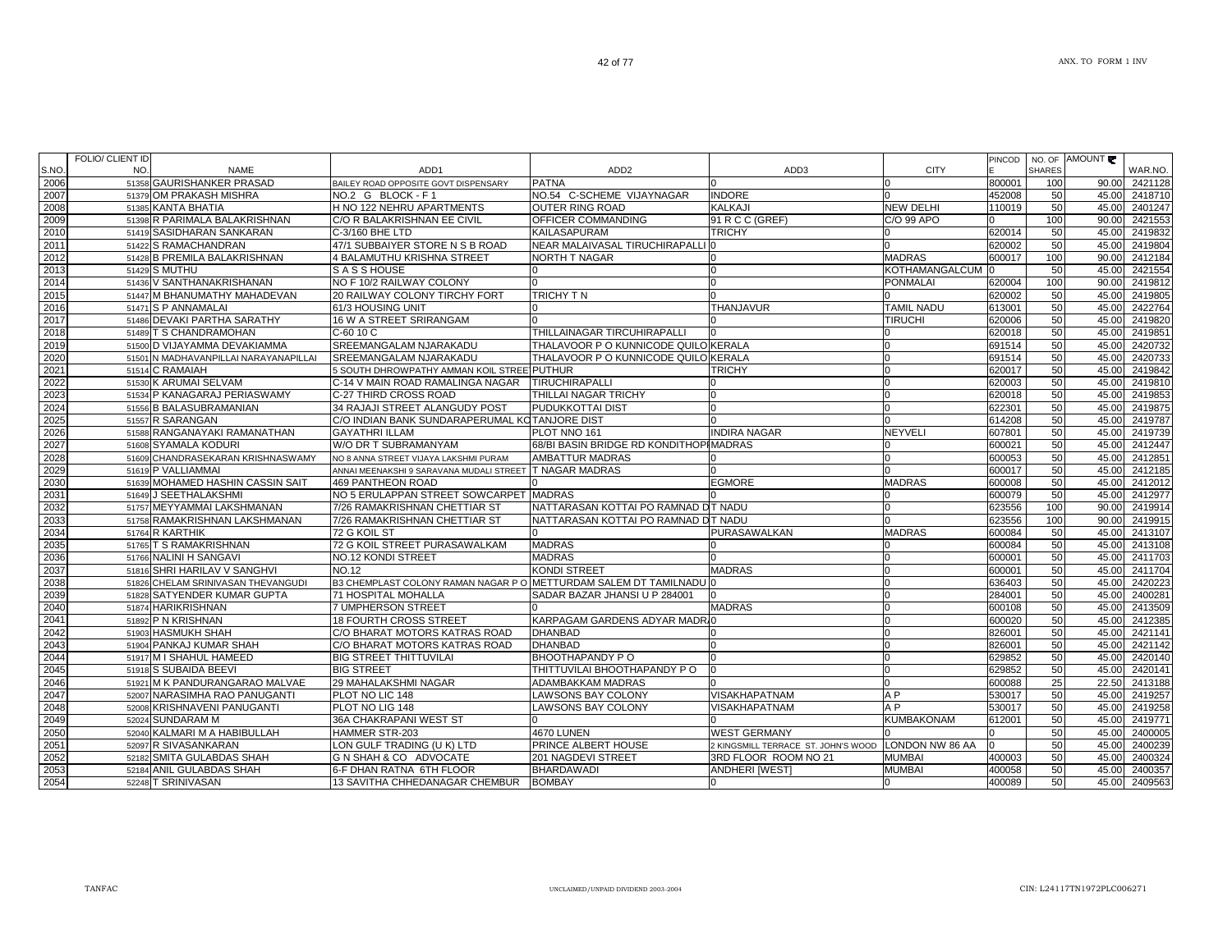|      | FOLIO/ CLIENT ID |                                       |                                                                  |                                        |                                                     |                       | PINCOD |               | NO. OF AMOUNT |         |
|------|------------------|---------------------------------------|------------------------------------------------------------------|----------------------------------------|-----------------------------------------------------|-----------------------|--------|---------------|---------------|---------|
| S.NO | NO.              | <b>NAME</b>                           | ADD <sub>1</sub>                                                 | ADD <sub>2</sub>                       | ADD3                                                | <b>CITY</b>           |        | <b>SHARES</b> |               | WAR.NO. |
| 2006 |                  | 51358 GAURISHANKER PRASAD             | BAILEY ROAD OPPOSITE GOVT DISPENSARY                             | <b>PATNA</b>                           |                                                     |                       | 800001 | 100           | 90.00         | 2421128 |
| 2007 |                  | 51379 OM PRAKASH MISHRA               | NO.2 G BLOCK-F1                                                  | NO.54 C-SCHEME VIJAYNAGAR              | <b>INDORE</b>                                       |                       | 452008 | 50            | 45.00         | 2418710 |
| 2008 |                  | 51385 KANTA BHATIA                    | H NO 122 NEHRU APARTMENTS                                        | <b>OUTER RING ROAD</b>                 | <b>KALKAJI</b>                                      | <b>NEW DELHI</b>      | 110019 | 50            | 45.00         | 2401247 |
| 2009 |                  | 51398 R PARIMALA BALAKRISHNAN         | C/O R BALAKRISHNAN EE CIVIL                                      | OFFICER COMMANDING                     | 91 R C C (GREF)                                     | C/O 99 APO            |        | 100           | 90.00         | 2421553 |
| 2010 |                  | 51419 SASIDHARAN SANKARAN             | C-3/160 BHE LTD                                                  | KAILASAPURAM                           | <b>TRICHY</b>                                       |                       | 620014 | 50            | 45.00         | 2419832 |
| 2011 |                  | 51422 S RAMACHANDRAN                  | 47/1 SUBBAIYER STORE N S B ROAD                                  | NEAR MALAIVASAL TIRUCHIRAPALLI         |                                                     |                       | 620002 | 50            | 45.00         | 2419804 |
| 2012 |                  | 51428 B PREMILA BALAKRISHNAN          | 4 BALAMUTHU KRISHNA STREET                                       | NORTH T NAGAR                          |                                                     | <b>MADRAS</b>         | 600017 | 100           | 90.00         | 2412184 |
| 2013 |                  | 51429 S MUTHU                         | S A S S HOUSE                                                    |                                        | <sup>0</sup>                                        | <b>KOTHAMANGALCUM</b> |        | 50            | 45.00         | 2421554 |
| 2014 |                  | 51436 V SANTHANAKRISHANAN             | NO F 10/2 RAILWAY COLONY                                         | $\Omega$                               |                                                     | <b>PONMALAI</b>       | 620004 | 100           | 90.00         | 2419812 |
| 2015 |                  | 51447 M BHANUMATHY MAHADEVAN          | 20 RAILWAY COLONY TIRCHY FORT                                    | TRICHY TN                              |                                                     |                       | 620002 | 50            | 45.00         | 2419805 |
| 2016 |                  | 51471 S P ANNAMALAI                   | 61/3 HOUSING UNIT                                                |                                        | <b>THANJAVUR</b>                                    | <b>TAMIL NADU</b>     | 613001 | 50            | 45.00         | 2422764 |
| 2017 |                  | 51486 DEVAKI PARTHA SARATHY           | 16 W A STREET SRIRANGAM                                          |                                        |                                                     | <b>TIRUCHI</b>        | 620006 | 50            | 45.00         | 2419820 |
| 2018 |                  | 51489 T S CHANDRAMOHAN                | C-60 10 C                                                        | THILLAINAGAR TIRCUHIRAPALLI            |                                                     |                       | 620018 | 50            | 45.00         | 2419851 |
| 2019 |                  | 51500 D VIJAYAMMA DEVAKIAMMA          | SREEMANGALAM NJARAKADU                                           | THALAVOOR P O KUNNICODE QUILO KERALA   |                                                     |                       | 691514 | 50            | 45.00         | 2420732 |
| 2020 |                  | 51501 N MADHAVANPILLAI NARAYANAPILLAI | SREEMANGALAM NJARAKADU                                           | THALAVOOR P O KUNNICODE QUILO KERALA   |                                                     |                       | 691514 | 50            | 45.00         | 2420733 |
| 2021 |                  | 51514 C RAMAIAH                       | 5 SOUTH DHROWPATHY AMMAN KOIL STREE PUTHUR                       |                                        | TRICHY                                              |                       | 620017 | 50            | 45.00         | 2419842 |
| 2022 |                  | 51530 K ARUMAI SELVAM                 | C-14 V MAIN ROAD RAMALINGA NAGAR                                 | TIRUCHIRAPALLI                         |                                                     |                       | 620003 | 50            | 45.00         | 2419810 |
| 2023 |                  | 51534 P KANAGARAJ PERIASWAMY          | C-27 THIRD CROSS ROAD                                            | THILLAI NAGAR TRICHY                   |                                                     |                       | 620018 | 50            | 45.00         | 2419853 |
| 2024 |                  | 51556 B BALASUBRAMANIAN               | 34 RAJAJI STREET ALANGUDY POST                                   | PUDUKKOTTAI DIST                       |                                                     |                       | 622301 | 50            | 45.00         | 2419875 |
| 2025 |                  | 51557 R SARANGAN                      | C/O INDIAN BANK SUNDARAPERUMAL KOTANJORE DIST                    |                                        |                                                     |                       | 614208 | 50            | 45.00         | 2419787 |
| 2026 |                  | 51588 RANGANAYAKI RAMANATHAN          | <b>GAYATHRI ILLAM</b>                                            | PLOT NNO 161                           | INDIRA NAGAR                                        | <b>NEYVELI</b>        | 607801 | 50            | 45.00         | 2419739 |
| 2027 |                  | 51608 SYAMALA KODURI                  | W/O DR T SUBRAMANYAM                                             | 68/BI BASIN BRIDGE RD KONDITHOPIMADRAS |                                                     |                       | 600021 | 50            | 45.00         | 2412447 |
| 2028 |                  | 51609 CHANDRASEKARAN KRISHNASWAMY     | NO 8 ANNA STREET VIJAYA LAKSHMI PURAM                            | AMBATTUR MADRAS                        |                                                     |                       | 600053 | 50            | 45.00         | 2412851 |
| 2029 |                  | 51619 P VALLIAMMAI                    | ANNAI MEENAKSHI 9 SARAVANA MUDALI STREET                         | <b>T NAGAR MADRAS</b>                  |                                                     |                       | 600017 | 50            | 45.00         | 2412185 |
| 2030 |                  | 51639 MOHAMED HASHIN CASSIN SAIT      | 469 PANTHEON ROAD                                                |                                        | <b>EGMORE</b>                                       | <b>MADRAS</b>         | 600008 | 50            | 45.00         | 2412012 |
| 2031 |                  | 51649 J SEETHALAKSHMI                 | NO 5 ERULAPPAN STREET SOWCARPET MADRAS                           |                                        |                                                     |                       | 600079 | 50            | 45.00         | 2412977 |
| 2032 |                  | 51757 MEYYAMMAI LAKSHMANAN            | 7/26 RAMAKRISHNAN CHETTIAR ST                                    | NATTARASAN KOTTAI PO RAMNAD DT NADU    |                                                     |                       | 623556 | 100           | 90.00         | 2419914 |
| 2033 |                  | 51758 RAMAKRISHNAN LAKSHMANAN         | 7/26 RAMAKRISHNAN CHETTIAR ST                                    | NATTARASAN KOTTAI PO RAMNAD DT NADU    |                                                     |                       | 623556 | 100           | 90.00         | 2419915 |
| 2034 |                  | 51764 R KARTHIK                       | 72 G KOIL ST                                                     |                                        | PURASAWALKAN                                        | <b>MADRAS</b>         | 600084 | 50            | 45.00         | 2413107 |
| 2035 |                  | 51765 T S RAMAKRISHNAN                | 72 G KOIL STREET PURASAWALKAM                                    | <b>MADRAS</b>                          |                                                     |                       | 600084 | 50            | 45.00         | 2413108 |
| 2036 |                  | 51766 NALINI H SANGAVI                | NO.12 KONDI STREET                                               | <b>MADRAS</b>                          |                                                     |                       | 600001 | 50            | 45.00         | 2411703 |
| 2037 |                  | 51816 SHRI HARILAV V SANGHVI          | <b>NO.12</b>                                                     | <b>KONDI STREET</b>                    | <b>MADRAS</b>                                       |                       | 600001 | 50            | 45.00         | 2411704 |
| 2038 |                  | 51826 CHELAM SRINIVASAN THEVANGUDI    | B3 CHEMPLAST COLONY RAMAN NAGAR PO METTURDAM SALEM DT TAMILNADUO |                                        |                                                     |                       | 636403 | 50            | 45.00         | 2420223 |
| 2039 |                  | 51828 SATYENDER KUMAR GUPTA           | <b>71 HOSPITAL MOHALLA</b>                                       | SADAR BAZAR JHANSI U P 284001          |                                                     |                       | 284001 | 50            | 45.00         | 2400281 |
| 2040 |                  | 51874 HARIKRISHNAN                    | 7 UMPHERSON STREET                                               |                                        | <b>MADRAS</b>                                       |                       | 600108 | 50            | 45.00         | 2413509 |
| 2041 |                  | 51892 P N KRISHNAN                    | <b>18 FOURTH CROSS STREET</b>                                    | KARPAGAM GARDENS ADYAR MADRJ0          |                                                     |                       | 600020 | 50            | 45.00         | 2412385 |
| 2042 |                  | 51903 HASMUKH SHAH                    | C/O BHARAT MOTORS KATRAS ROAD                                    | <b>DHANBAD</b>                         |                                                     |                       | 826001 | 50            | 45.00         | 2421141 |
| 2043 |                  | 51904 PANKAJ KUMAR SHAH               | C/O BHARAT MOTORS KATRAS ROAD                                    | <b>DHANBAD</b>                         |                                                     |                       | 826001 | 50            | 45.00         | 2421142 |
| 2044 |                  | 51917 M I SHAHUL HAMEED               | <b>BIG STREET THITTUVILAI</b>                                    | <b>BHOOTHAPANDY PO</b>                 |                                                     |                       | 629852 | 50            | 45.00         | 2420140 |
| 2045 |                  | 51918 S SUBAIDA BEEVI                 | <b>BIG STREET</b>                                                | THITTUVILAI BHOOTHAPANDY PO            |                                                     |                       | 629852 | 50            | 45.00         | 2420141 |
| 2046 |                  | 51921 M K PANDURANGARAO MALVAE        | 29 MAHALAKSHMI NAGAR                                             | ADAMBAKKAM MADRAS                      |                                                     |                       | 600088 | 25            | 22.50         | 2413188 |
| 2047 |                  | 52007 NARASIMHA RAO PANUGANTI         | <b>PLOT NO LIC 148</b>                                           | <b>LAWSONS BAY COLONY</b>              | <b>VISAKHAPATNAM</b>                                | A <sub>P</sub>        | 530017 | 50            | 45.00         | 2419257 |
| 2048 |                  | 52008 KRISHNAVENI PANUGANTI           | PLOT NO LIG 148                                                  | LAWSONS BAY COLONY                     | VISAKHAPATNAM                                       | A <sub>P</sub>        | 530017 | 50            | 45.00         | 2419258 |
| 2049 |                  | 52024 SUNDARAM M                      | 36A CHAKRAPANI WEST ST                                           |                                        |                                                     | <b>KUMBAKONAM</b>     | 612001 | 50            | 45.00         | 2419771 |
| 2050 |                  | 52040 KALMARI M A HABIBULLAH          | <b>HAMMER STR-203</b>                                            | 4670 LUNEN                             | WEST GERMANY                                        |                       |        | 50            | 45.00         | 2400005 |
| 2051 |                  | 52097 R SIVASANKARAN                  | LON GULF TRADING (U K) LTD                                       | PRINCE ALBERT HOUSE                    | 2 KINGSMILL TERRACE ST. JOHN'S WOOD LONDON NW 86 AA |                       |        | 50            | 45.00         | 2400239 |
| 2052 |                  | 52182 SMITA GULABDAS SHAH             | G N SHAH & CO ADVOCATE                                           | 201 NAGDEVI STREET                     | 3RD FLOOR ROOM NO 21                                | <b>MUMBAI</b>         | 400003 | 50            | 45.00         | 2400324 |
| 2053 |                  | 52184 ANIL GULABDAS SHAH              | 6-F DHAN RATNA 6TH FLOOR                                         | <b>BHARDAWADI</b>                      | <b>ANDHERI [WEST]</b>                               | <b>MUMBAI</b>         | 400058 | 50            | 45.00         | 2400357 |
| 2054 |                  | 52248 T SRINIVASAN                    | 13 SAVITHA CHHEDANAGAR CHEMBUR                                   | <b>BOMBAY</b>                          |                                                     |                       | 400089 | 50            | 45.00         | 2409563 |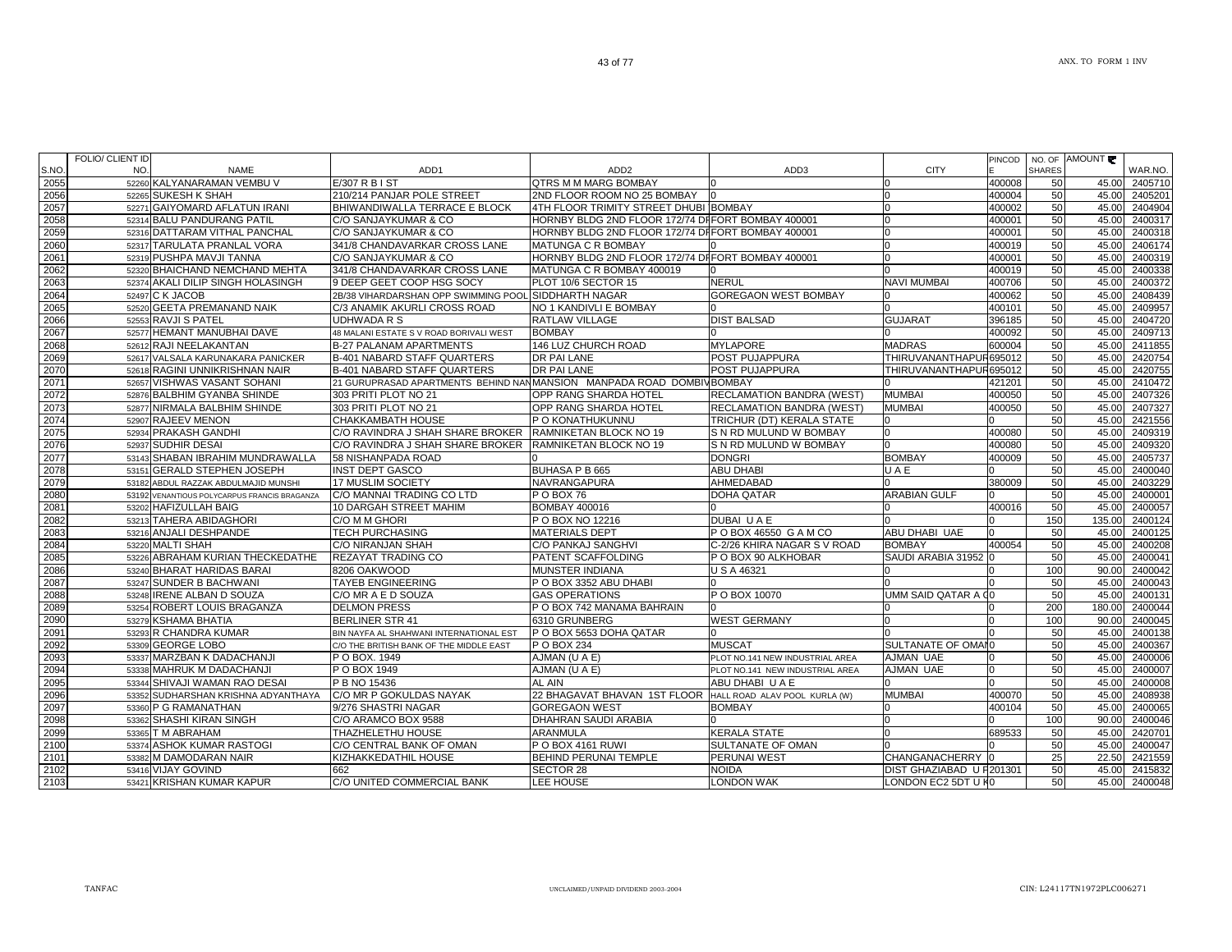|       | FOLIO/ CLIENT ID |                                              |                                                                      |                                                   |                                 |                          | <b>PINCOD</b> |               | NO. OF AMOUNT |         |
|-------|------------------|----------------------------------------------|----------------------------------------------------------------------|---------------------------------------------------|---------------------------------|--------------------------|---------------|---------------|---------------|---------|
| S.NO. | NO.              | <b>NAME</b>                                  | ADD <sub>1</sub>                                                     | ADD <sub>2</sub>                                  | ADD <sub>3</sub>                | <b>CITY</b>              |               | <b>SHARES</b> |               | WAR.NO. |
| 2055  |                  | 52260 KALYANARAMAN VEMBU V                   | $E/307$ R B I ST                                                     | QTRS M M MARG BOMBAY                              |                                 |                          | 400008        | 50            | 45.00         | 2405710 |
| 2056  |                  | 52265 SUKESH K SHAH                          | 210/214 PANJAR POLE STREET                                           | 2ND FLOOR ROOM NO 25 BOMBAY                       |                                 | $\Omega$                 | 400004        | 50            | 45.00         | 2405201 |
| 2057  |                  | 52271 GAIYOMARD AFLATUN IRANI                | BHIWANDIWALLA TERRACE E BLOCK                                        | 4TH FLOOR TRIMITY STREET DHUBI BOMBAY             |                                 | $\Omega$                 | 400002        | 50            | 45.00         | 2404904 |
| 2058  |                  | 52314 BALU PANDURANG PATIL                   | C/O SANJAYKUMAR & CO                                                 | HORNBY BLDG 2ND FLOOR 172/74 DIFORT BOMBAY 400001 |                                 |                          | 400001        | 50            | 45.00         | 2400317 |
| 2059  |                  | 52316 DATTARAM VITHAL PANCHAL                | C/O SANJAYKUMAR & CO                                                 | HORNBY BLDG 2ND FLOOR 172/74 DIFORT BOMBAY 400001 |                                 |                          | 400001        | 50            | 45.00         | 2400318 |
| 2060  |                  | 52317 TARULATA PRANLAL VORA                  | 341/8 CHANDAVARKAR CROSS LANE                                        | MATUNGA C R BOMBAY                                |                                 |                          | 400019        | 50            | 45.00         | 2406174 |
| 2061  |                  | 52319 PUSHPA MAVJI TANNA                     | C/O SANJAYKUMAR & CO                                                 | HORNBY BLDG 2ND FLOOR 172/74 DIFORT BOMBAY 400001 |                                 |                          | 400001        | 50            | 45.00         | 2400319 |
| 2062  |                  | 52320 BHAICHAND NEMCHAND MEHTA               | 341/8 CHANDAVARKAR CROSS LANE                                        | MATUNGA C R BOMBAY 400019                         |                                 |                          | 400019        | 50            | 45.00         | 2400338 |
| 2063  |                  | 52374 AKALI DILIP SINGH HOLASINGH            | 9 DEEP GEET COOP HSG SOCY                                            | PLOT 10/6 SECTOR 15                               | <b>NERUL</b>                    | NAVI MUMBAI              | 400706        | 50            | 45.00         | 2400372 |
| 2064  |                  | 52497 C K JACOB                              | 2B/38 VIHARDARSHAN OPP SWIMMING POOL SIDDHARTH NAGAR                 |                                                   | <b>GOREGAON WEST BOMBAY</b>     |                          | 400062        | 50            | 45.00         | 2408439 |
| 2065  |                  | 52520 GEETA PREMANAND NAIK                   | C/3 ANAMIK AKURLI CROSS ROAD                                         | NO 1 KANDIVLI E BOMBAY                            |                                 |                          | 400101        | 50            | 45.00         | 2409957 |
| 2066  |                  | 52553 RAVJI S PATEL                          | <b>UDHWADA R S</b>                                                   | RATLAW VILLAGE                                    | <b>DIST BALSAD</b>              | <b>GUJARAT</b>           | 396185        | 50            | 45.00         | 2404720 |
| 2067  |                  | 52577 HEMANT MANUBHAI DAVE                   | 48 MALANI ESTATE S V ROAD BORIVALI WEST                              | <b>BOMBAY</b>                                     |                                 |                          | 400092        | 50            | 45.00         | 2409713 |
| 2068  |                  | 52612 RAJI NEELAKANTAN                       | <b>B-27 PALANAM APARTMENTS</b>                                       | 146 LUZ CHURCH ROAD                               | <b>MYLAPORE</b>                 | <b>MADRAS</b>            | 600004        | 50            | 45.00         | 2411855 |
| 2069  |                  | 52617 VALSALA KARUNAKARA PANICKER            | <b>B-401 NABARD STAFF QUARTERS</b>                                   | <b>DR PAI LANE</b>                                | POST PUJAPPURA                  | THIRUVANANTHAPUR695012   |               | 50            | 45.00         | 2420754 |
| 2070  |                  | 52618 RAGINI UNNIKRISHNAN NAIR               | B-401 NABARD STAFF QUARTERS                                          | <b>DR PAI LANE</b>                                | POST PUJAPPURA                  | THIRUVANANTHAPUR695012   |               | 50            | 45.00         | 2420755 |
| 2071  |                  | 52657 VISHWAS VASANT SOHANI                  | 21 GURUPRASAD APARTMENTS BEHIND NANMANSION MANPADA ROAD DOMBIVBOMBAY |                                                   |                                 |                          | 421201        | 50            | 45.00         | 2410472 |
| 2072  |                  | 52876 BALBHIM GYANBA SHINDE                  | 303 PRITI PLOT NO 21                                                 | OPP RANG SHARDA HOTEL                             | RECLAMATION BANDRA (WEST)       | <b>MUMBAI</b>            | 400050        | 50            | 45.00         | 2407326 |
| 2073  |                  | 52877 NIRMALA BALBHIM SHINDE                 | 303 PRITI PLOT NO 21                                                 | OPP RANG SHARDA HOTEL                             | RECLAMATION BANDRA (WEST)       | <b>MUMBAI</b>            | 400050        | 50            | 45.00         | 2407327 |
| 2074  |                  | 52907 RAJEEV MENON                           | CHAKKAMBATH HOUSE                                                    | IP O KONATHUKUNNU                                 | TRICHUR (DT) KERALA STATE       | ın                       |               | 50            | 45.00         | 2421556 |
| 2075  |                  | 52934 PRAKASH GANDHI                         | C/O RAVINDRA J SHAH SHARE BROKER RAMNIKETAN BLOCK NO 19              |                                                   | S N RD MULUND W BOMBAY          |                          | 400080        | 50            | 45.00         | 2409319 |
| 2076  |                  | 52937 SUDHIR DESAI                           | C/O RAVINDRA J SHAH SHARE BROKER                                     | RAMNIKETAN BLOCK NO 19                            | S N RD MULUND W BOMBAY          |                          | 400080        | 50            | 45.00         | 2409320 |
| 2077  |                  | 53143 SHABAN IBRAHIM MUNDRAWALLA             | 58 NISHANPADA ROAD                                                   |                                                   | <b>DONGRI</b>                   | <b>BOMBAY</b>            | 400009        | 50            | 45.00         | 2405737 |
| 2078  |                  | 53151 GERALD STEPHEN JOSEPH                  | <b>INST DEPT GASCO</b>                                               | <b>BUHASA P B 665</b>                             | <b>ABU DHABI</b>                | UAE                      |               | 50            | 45.00         | 2400040 |
| 2079  |                  | 53182 ABDUL RAZZAK ABDULMAJID MUNSHI         | 17 MUSLIM SOCIETY                                                    | NAVRANGAPURA                                      | AHMEDABAD                       |                          | 380009        | 50            | 45.00         | 2403229 |
| 2080  |                  | 53192 VENANTIOUS POLYCARPUS FRANCIS BRAGANZA | C/O MANNAI TRADING CO LTD                                            | P O BOX 76                                        | <b>DOHA QATAR</b>               | <b>ARABIAN GULF</b>      |               | 50            | 45.00         | 2400001 |
| 2081  |                  | 53202 HAFIZULLAH BAIG                        | 10 DARGAH STREET MAHIM                                               | <b>BOMBAY 400016</b>                              |                                 |                          | 400016        | 50            | 45.00         | 2400057 |
| 2082  |                  | 53213 TAHERA ABIDAGHORI                      | C/O M M GHORI                                                        | P O BOX NO 12216                                  | DUBAIU A E                      |                          |               | 150           | 135.00        | 2400124 |
| 2083  |                  | 53216 ANJALI DESHPANDE                       | <b>TECH PURCHASING</b>                                               | <b>MATERIALS DEPT</b>                             | POBOX 46550 GAMCO               | ABU DHABI UAE            |               | 50            | 45.00         | 2400125 |
| 2084  |                  | 53220 MALTI SHAH                             | C/O NIRANJAN SHAH                                                    | C/O PANKAJ SANGHVI                                | C-2/26 KHIRA NAGAR S V ROAD     | <b>BOMBAY</b>            | 400054        | 50            | 45.00         | 2400208 |
| 2085  |                  | 53226 ABRAHAM KURIAN THECKEDATHE             | <b>REZAYAT TRADING CO</b>                                            | <b>PATENT SCAFFOLDING</b>                         | P O BOX 90 ALKHOBAR             | SAUDI ARABIA 31952       |               | 50            | 45.00         | 2400041 |
| 2086  |                  | 53240 BHARAT HARIDAS BARAI                   | 8206 OAKWOOD                                                         | MUNSTER INDIANA                                   | U S A 46321                     |                          |               | 100           | 90.00         | 2400042 |
| 2087  |                  | 53247 SUNDER B BACHWANI                      | <b>TAYEB ENGINEERING</b>                                             | P O BOX 3352 ABU DHABI                            |                                 |                          |               | 50            | 45.00         | 2400043 |
| 2088  |                  | 53248 IRENE ALBAN D SOUZA                    | C/O MR A E D SOUZA                                                   | <b>GAS OPERATIONS</b>                             | P O BOX 10070                   | UMM SAID QATAR A GO      |               | 50            | 45.00         | 2400131 |
| 2089  |                  | 53254 ROBERT LOUIS BRAGANZA                  | <b>DELMON PRESS</b>                                                  | P O BOX 742 MANAMA BAHRAIN                        |                                 |                          |               | 200           | 180.00        | 2400044 |
| 2090  |                  | 53279 KSHAMA BHATIA                          | <b>BERLINER STR 41</b>                                               | 6310 GRUNBERG                                     | <b>WEST GERMANY</b>             |                          |               | 100           | 90.00         | 2400045 |
| 2091  |                  | 53293 R CHANDRA KUMAR                        | BIN NAYFA AL SHAHWANI INTERNATIONAL EST                              | P O BOX 5653 DOHA QATAR                           |                                 |                          |               | 50            | 45.00         | 2400138 |
| 2092  |                  | 53309 GEORGE LOBO                            | C/O THE BRITISH BANK OF THE MIDDLE EAST                              | P O BOX 234                                       | <b>MUSCAT</b>                   | SULTANATE OF OMAIO       |               | 50            | 45.00         | 2400367 |
| 2093  |                  | 53337 MARZBAN K DADACHANJI                   | P O BOX, 1949                                                        | AJMAN (U A E)                                     | PLOT NO.141 NEW INDUSTRIAL AREA | AJMAN UAE                |               | 50            | 45.00         | 2400006 |
| 2094  |                  | 53338 MAHRUK M DADACHANJI                    | P O BOX 1949                                                         | AJMAN (U A E)                                     | PLOT NO.141 NEW INDUSTRIAL AREA | AJMAN UAE                |               | 50            | 45.00         | 2400007 |
| 2095  |                  | 53344 SHIVAJI WAMAN RAO DESAI                | P B NO 15436                                                         | AL AIN                                            | ABU DHABIU A E                  |                          |               | 50            | 45.00         | 2400008 |
| 2096  |                  | 53352 SUDHARSHAN KRISHNA ADYANTHAYA          | C/O MR P GOKULDAS NAYAK                                              | 22 BHAGAVAT BHAVAN 1ST FLOOR                      | HALL ROAD ALAV POOL KURLA (W)   | <b>MUMBAI</b>            | 400070        | 50            | 45.00         | 2408938 |
| 2097  |                  | 53360 P G RAMANATHAN                         | 9/276 SHASTRI NAGAR                                                  | <b>GOREGAON WEST</b>                              | <b>BOMBAY</b>                   |                          | 400104        | 50            | 45.00         | 2400065 |
| 2098  |                  | 53362 SHASHI KIRAN SINGH                     | C/O ARAMCO BOX 9588                                                  | DHAHRAN SAUDI ARABIA                              |                                 |                          |               | 100           | 90.00         | 2400046 |
| 2099  |                  | 53365 T M ABRAHAM                            | THAZHELETHU HOUSE                                                    | <b>ARANMULA</b>                                   | <b>KERALA STATE</b>             |                          | 689533        | 50            | 45.00         | 2420701 |
| 2100  |                  | 53374 ASHOK KUMAR RASTOGI                    | C/O CENTRAL BANK OF OMAN                                             | P O BOX 4161 RUWI                                 | SULTANATE OF OMAN               |                          |               | 50            | 45.00         | 2400047 |
| 2101  |                  | 53382 M DAMODARAN NAIR                       | KIZHAKKEDATHIL HOUSE                                                 | <b>BEHIND PERUNAI TEMPLE</b>                      | <b>PERUNAI WEST</b>             | <b>CHANGANACHERRY</b>    |               | 25            | 22.50         | 2421559 |
| 2102  |                  | 53416 VIJAY GOVIND                           | 662                                                                  | SECTOR 28                                         | Noida                           | DIST GHAZIABAD U F201301 |               | 50            | 45.00         | 2415832 |
| 2103  |                  | 53421 KRISHAN KUMAR KAPUR                    | C/O UNITED COMMERCIAL BANK                                           | LEE HOUSE                                         | <b>LONDON WAK</b>               | LONDON EC2 5DT U HO      |               | 50            | 45.00         | 2400048 |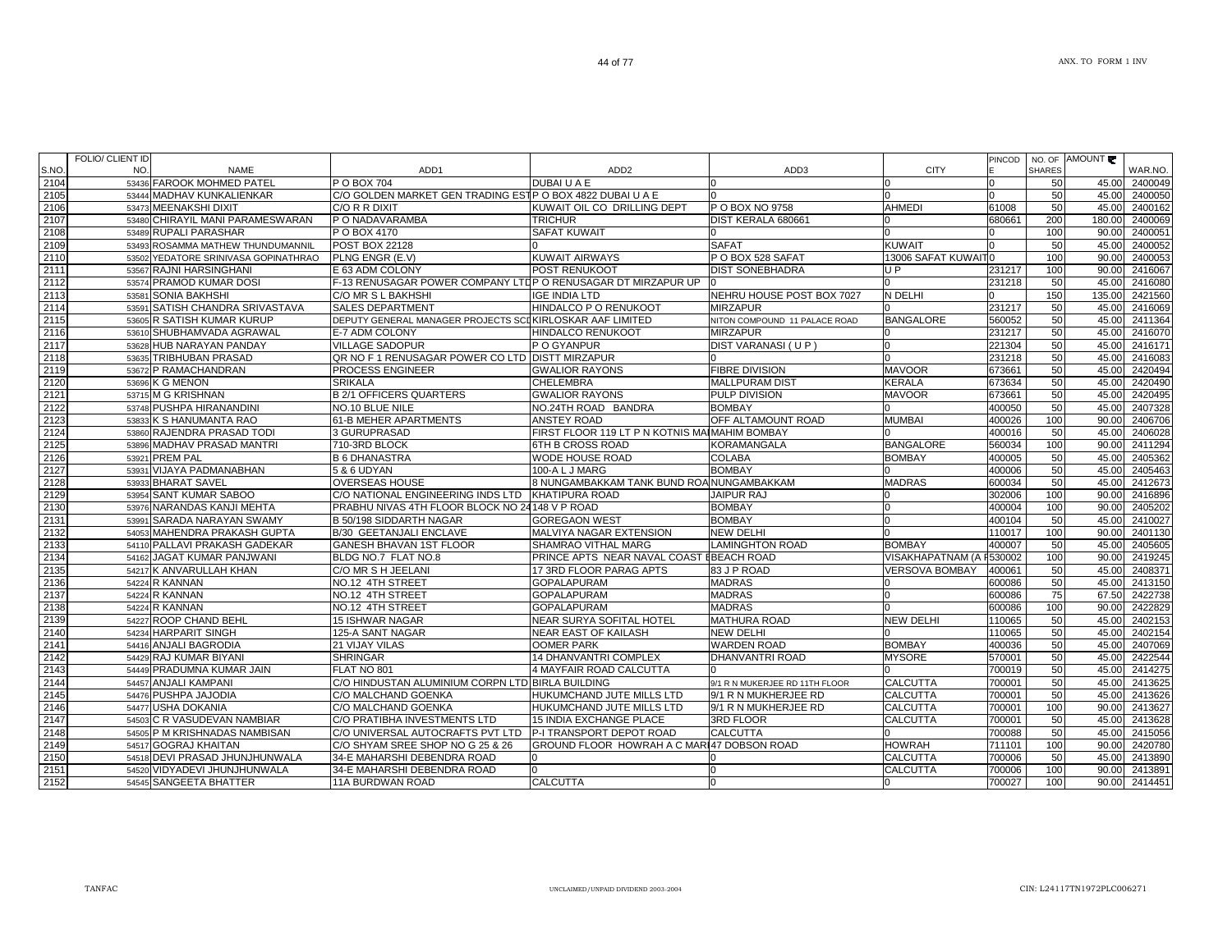| S.NO.        | FOLIO/ CLIENT ID<br>NO.<br><b>NAME</b>                | ADD <sub>1</sub>                                             | ADD <sub>2</sub>                                                    | ADD3                           | <b>CITY</b>                               | PINCOD            | <b>SHARES</b> | NO. OF AMOUNT  | WAR.NO.            |
|--------------|-------------------------------------------------------|--------------------------------------------------------------|---------------------------------------------------------------------|--------------------------------|-------------------------------------------|-------------------|---------------|----------------|--------------------|
| 2104         | 53436 FAROOK MOHMED PATEL                             | P O BOX 704                                                  | DUBAI U A E                                                         |                                |                                           |                   | 50            | 45.00          | 2400049            |
| 2105         | 53444 MADHAV KUNKALIENKAR                             | C/O GOLDEN MARKET GEN TRADING ESTP O BOX 4822 DUBAI U A E    |                                                                     |                                |                                           |                   | 50            | 45.00          | 2400050            |
| 2106         | 53473 MEENAKSHI DIXIT                                 | C/O R R DIXIT                                                | KUWAIT OIL CO DRILLING DEPT                                         | P O BOX NO 9758                | <b>AHMEDI</b>                             | 61008             | 50            | 45.00          | 2400162            |
| 2107         | 53480 CHIRAYIL MANI PARAMESWARAN                      | P O NADAVARAMBA                                              | TRICHUR                                                             | DIST KERALA 680661             |                                           | 680661            | 200           | 180.0          | 2400069            |
| 2108         | 53489 RUPALI PARASHAR                                 | P O BOX 4170                                                 | SAFAT KUWAIT                                                        |                                |                                           |                   | 100           | 90.00          | 2400051            |
| 2109         | 53493 ROSAMMA MATHEW THUNDUMANNIL                     | <b>POST BOX 22128</b>                                        |                                                                     | <b>SAFAT</b>                   | <b>KUWAIT</b>                             |                   | 50            | 45.00          | 2400052            |
| 2110         | 53502 YEDATORE SRINIVASA GOPINATHRAO                  | PLNG ENGR (E.V)                                              | <b>KUWAIT AIRWAYS</b>                                               | P O BOX 528 SAFAT              | 13006 SAFAT KUWAITO                       |                   | 100           | 90.00          | 2400053            |
| 2111         | 53567 RAJNI HARSINGHANI                               | E 63 ADM COLONY                                              | POST RENUKOOT                                                       | <b>DIST SONEBHADRA</b>         | U P                                       | 231217            | 100           | 90.00          | 2416067            |
| 2112         | 53574 PRAMOD KUMAR DOSI                               | F-13 RENUSAGAR POWER COMPANY LTDP O RENUSAGAR DT MIRZAPUR UP |                                                                     |                                |                                           | 231218            | 50            | 45.00          | 2416080            |
| 2113         | 53581 SONIA BAKHSHI                                   | C/O MR S L BAKHSHI                                           | <b>IGE INDIA LTD</b>                                                | NEHRU HOUSE POST BOX 7027      | N DELHI                                   |                   | 150           | 135.00         | 2421560            |
| 2114         | 53591 SATISH CHANDRA SRIVASTAVA                       | <b>SALES DEPARTMENT</b>                                      | HINDALCO P O RENUKOOT                                               | <b>MIRZAPUR</b>                |                                           | 231217            | 50            | 45.00          | 2416069            |
| 2115         | 53605 R SATISH KUMAR KURUP                            | DEPUTY GENERAL MANAGER PROJECTS SCIKIRLOSKAR AAF LIMITED     |                                                                     | NITON COMPOUND 11 PALACE ROAD  | <b>BANGALORE</b>                          | 560052            | 50            | 45.00          | 2411364            |
| 2116         | 53610 SHUBHAMVADA AGRAWAL                             | E-7 ADM COLONY                                               | HINDALCO RENUKOOT                                                   | <b>MIRZAPUR</b>                |                                           | 231217            | 50            | 45.00          | 2416070            |
| 2117         | 53628 HUB NARAYAN PANDAY                              | <b>VILLAGE SADOPUR</b>                                       | P O GYANPUR                                                         | DIST VARANASI (UP)             | <sup>0</sup>                              | 221304            | 50            | 45.00          | 2416171            |
| 2118         | 53635 TRIBHUBAN PRASAD                                | QR NO F 1 RENUSAGAR POWER CO LTD DISTT MIRZAPUR              |                                                                     |                                |                                           | 231218            | 50            | 45.00          | 2416083            |
| 2119         | 53672 P RAMACHANDRAN                                  | PROCESS ENGINEER                                             | <b>GWALIOR RAYONS</b>                                               | <b>FIBRE DIVISION</b>          | <b>MAVOOR</b>                             | 673661            | 50            | 45.00          | 2420494            |
| 2120         | 53696 K G MENON                                       | <b>SRIKALA</b>                                               | <b>CHELEMBRA</b>                                                    | <b>MALLPURAM DIST</b>          | <b>KERALA</b>                             | 673634            | 50            | 45.00          | 2420490            |
| 2121         | 53715 M G KRISHNAN                                    | <b>B 2/1 OFFICERS QUARTERS</b>                               | <b>GWALIOR RAYONS</b>                                               | PULP DIVISION                  | <b>MAVOOR</b>                             | 673661            | 50            | 45.00          | 2420495            |
| 2122         | 53748 PUSHPA HIRANANDINI                              | NO.10 BLUE NILE                                              | NO.24TH ROAD BANDRA                                                 | <b>BOMBAY</b>                  |                                           | 400050            | 50            | 45.00          | 2407328            |
| 2123         | 53833 K S HANUMANTA RAO                               | 61-B MEHER APARTMENTS                                        | ANSTEY ROAD                                                         | OFF ALTAMOUNT ROAD             | <b>MUMBAI</b>                             | 400026            | 100           | 90.00          | 2406706            |
| 2124         | 53860 RAJENDRA PRASAD TODI                            | 3 GURUPRASAD                                                 | FIRST FLOOR 119 LT P N KOTNIS MAIMAHIM BOMBAY                       |                                |                                           | 400016            | 50            | 45.00          | 2406028            |
| 2125         | 53896 MADHAV PRASAD MANTRI                            | 710-3RD BLOCK                                                | 6TH B CROSS ROAD                                                    | <b>KORAMANGALA</b>             | <b>BANGALORE</b>                          | 560034            | 100           | 90.00          | 2411294            |
| 2126         | 53921 PREM PAL                                        | <b>B 6 DHANASTRA</b>                                         | WODE HOUSE ROAD                                                     | <b>COLABA</b>                  | <b>BOMBAY</b>                             | 400005            | 50            | 45.00          | 2405362            |
| 2127         | 53931 VIJAYA PADMANABHAN                              | 5 & 6 UDYAN                                                  | 100-A L J MARG                                                      | <b>BOMBAY</b>                  |                                           | 400006            | 50            | 45.00          | 2405463            |
| 2128         | 53933 BHARAT SAVEL                                    | <b>OVERSEAS HOUSE</b>                                        | 8 NUNGAMBAKKAM TANK BUND ROA NUNGAMBAKKAM                           |                                | <b>MADRAS</b>                             | 600034            | 50            | 45.00          | 2412673            |
| 2129         | 53954 SANT KUMAR SABOO                                | C/O NATIONAL ENGINEERING INDS LTD                            | KHATIPURA ROAD                                                      | <b>JAIPUR RAJ</b>              |                                           | 302006            | 100           | 90.00          | 2416896            |
| 2130         | 53976 NARANDAS KANJI MEHTA                            | PRABHU NIVAS 4TH FLOOR BLOCK NO 24148 V P ROAD               |                                                                     | <b>BOMBAY</b>                  | IO                                        | 400004            | 100           | 90.00          | 2405202            |
| 2131         | 53991 SARADA NARAYAN SWAMY                            | B 50/198 SIDDARTH NAGAR                                      | <b>GOREGAON WEST</b>                                                | <b>BOMBAY</b>                  | $\Omega$                                  | 400104            | 50            | 45.00          | 2410027            |
| 2132         | 54053 MAHENDRA PRAKASH GUPTA                          | B/30 GEETANJALI ENCLAVE                                      | MALVIYA NAGAR EXTENSION                                             | <b>NEW DELHI</b>               | <b>BOMBAY</b>                             | 110017            | 100<br>50     | 90.00<br>45.00 | 2401130            |
| 2133<br>2134 | 54110 PALLAVI PRAKASH GADEKAR                         | GANESH BHAVAN 1ST FLOOR                                      | SHAMRAO VITHAL MARG                                                 | <b>LAMINGHTON ROAD</b>         |                                           | 400007<br>F530002 |               |                | 2405605<br>2419245 |
| 2135         | 54162 JAGAT KUMAR PANJWANI<br>54217 K ANVARULLAH KHAN | BLDG NO.7 FLAT NO.8<br>C/O MR S H JEELANI                    | PRINCE APTS NEAR NAVAL COAST IBEACH ROAD<br>17 3RD FLOOR PARAG APTS | 83 J P ROAD                    | VISAKHAPATNAM (A<br><b>VERSOVA BOMBAY</b> | 400061            | 100<br>50     | 90.00<br>45.00 | 2408371            |
| 2136         | 54224 R KANNAN                                        | NO.12 4TH STREET                                             | <b>GOPALAPURAM</b>                                                  | <b>MADRAS</b>                  |                                           | 600086            | 50            | 45.00          | 2413150            |
| 2137         | 54224 R KANNAN                                        | NO.12 4TH STREET                                             | <b>GOPALAPURAM</b>                                                  | <b>MADRAS</b>                  |                                           | 600086            | 75            | 67.50          | 2422738            |
| 2138         | 54224 R KANNAN                                        | NO.12 4TH STREET                                             | <b>GOPALAPURAM</b>                                                  | <b>MADRAS</b>                  |                                           | 600086            | 100           | 90.00          | 2422829            |
| 2139         | 54227 ROOP CHAND BEHL                                 | 15 ISHWAR NAGAR                                              | <b>NEAR SURYA SOFITAL HOTEL</b>                                     | <b>MATHURA ROAD</b>            | <b>NEW DELHI</b>                          | 110065            | 50            | 45.00          | 2402153            |
| 2140         | 54234 HARPARIT SINGH                                  | 125-A SANT NAGAR                                             | NEAR EAST OF KAILASH                                                | <b>NEW DELHI</b>               |                                           | 110065            | 50            | 45.00          | 2402154            |
| 2141         | 54416 ANJALI BAGRODIA                                 | 21 VIJAY VILAS                                               | <b>OOMER PARK</b>                                                   | <b>WARDEN ROAD</b>             | <b>BOMBAY</b>                             | 400036            | 50            | 45.00          | 2407069            |
| 2142         | 54429 RAJ KUMAR BIYANI                                | SHRINGAR                                                     | 14 DHANVANTRI COMPLEX                                               | DHANVANTRI ROAD                | <b>MYSORE</b>                             | 570001            | 50            | 45.00          | 2422544            |
| 2143         | 54449 PRADUMNA KUMAR JAIN                             | FLAT NO 801                                                  | 4 MAYFAIR ROAD CALCUTTA                                             | n.                             |                                           | 700019            | 50            | 45.00          | 2414275            |
| 2144         | 54457 ANJALI KAMPANI                                  | C/O HINDUSTAN ALUMINIUM CORPN LTD BIRLA BUILDING             |                                                                     | 9/1 R N MUKERJEE RD 11TH FLOOR | <b>CALCUTTA</b>                           | 700001            | 50            | 45.00          | 2413625            |
| 2145         | 54476 PUSHPA JAJODIA                                  | C/O MALCHAND GOENKA                                          | HUKUMCHAND JUTE MILLS LTD                                           | 9/1 R N MUKHERJEE RD           | <b>CALCUTTA</b>                           | 700001            | 50            | 45.00          | 2413626            |
| 2146         | 54477 USHA DOKANIA                                    | C/O MALCHAND GOENKA                                          | HUKUMCHAND JUTE MILLS LTD                                           | 9/1 R N MUKHERJEE RD           | <b>CALCUTTA</b>                           | 700001            | 100           | 90.00          | 2413627            |
| 2147         | 54503 C R VASUDEVAN NAMBIAR                           | C/O PRATIBHA INVESTMENTS LTD                                 | 15 INDIA EXCHANGE PLACE                                             | <b>3RD FLOOR</b>               | <b>CALCUTTA</b>                           | 700001            | 50            | 45.00          | 2413628            |
| 2148         | 54505 P M KRISHNADAS NAMBISAN                         | C/O UNIVERSAL AUTOCRAFTS PVT LTD                             | P-I TRANSPORT DEPOT ROAD                                            | <b>CALCUTTA</b>                |                                           | 700088            | 50            | 45.00          | 2415056            |
| 2149         | 54517 GOGRAJ KHAITAN                                  | C/O SHYAM SREE SHOP NO G 25 & 26                             | GROUND FLOOR HOWRAH A C MARI47 DOBSON ROAD                          |                                | <b>HOWRAH</b>                             | 711101            | 100           | 90.00          | 2420780            |
| 2150         | 54518 DEVI PRASAD JHUNJHUNWALA                        | 34-E MAHARSHI DEBENDRA ROAD                                  |                                                                     |                                | <b>CALCUTTA</b>                           | 700006            | 50            | 45.00          | 2413890            |
| 2151         | 54520 VIDYADEVI JHUNJHUNWALA                          | 34-E MAHARSHI DEBENDRA ROAD                                  | $\Omega$                                                            |                                | <b>CALCUTTA</b>                           | 700006            | 100           | 90.00          | 2413891            |
| 2152         | 54545 SANGEETA BHATTER                                | 11A BURDWAN ROAD                                             | <b>CALCUTTA</b>                                                     | l0                             | <sup>0</sup>                              | 700027            | 100           | 90.00          | 2414451            |

44 of 77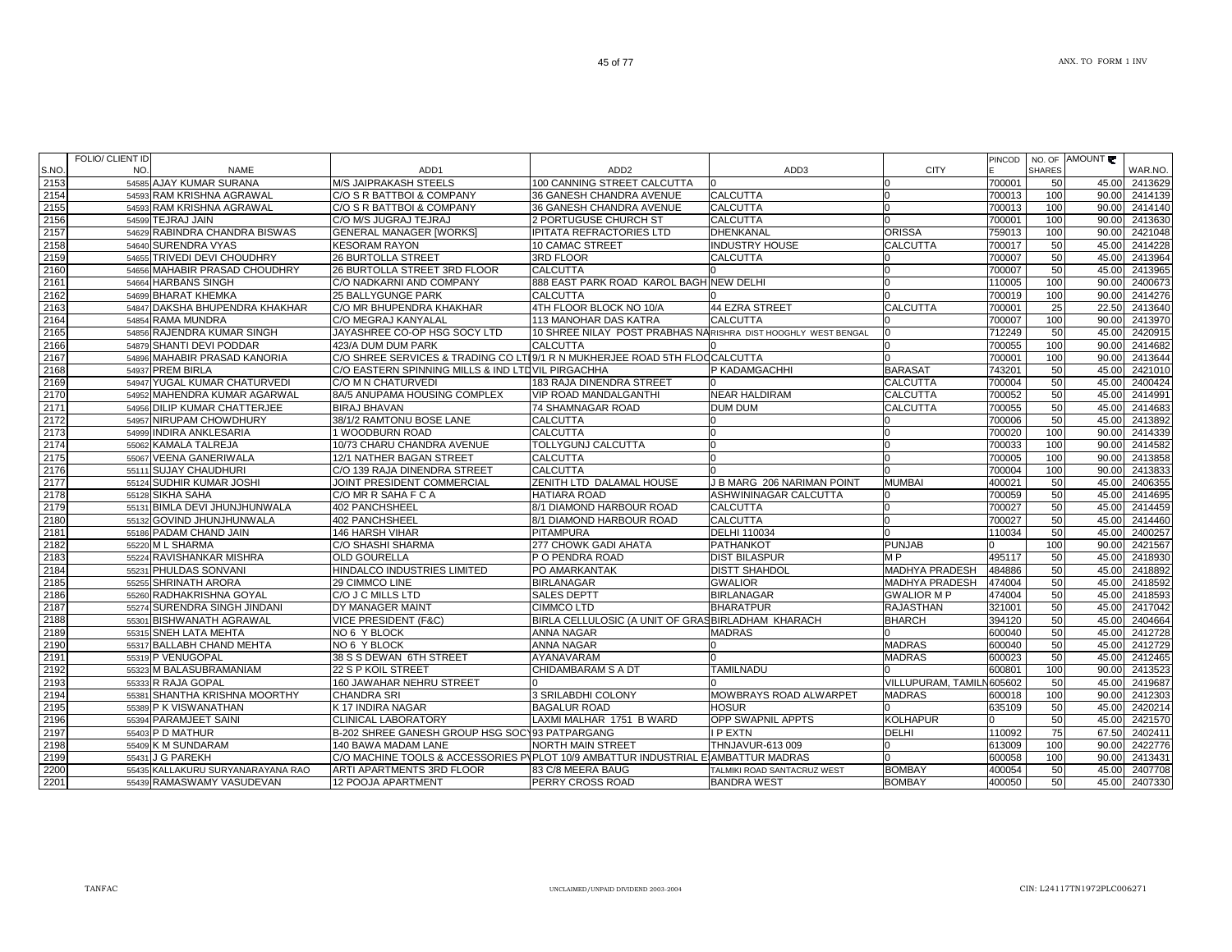|      | FOLIO/ CLIENT ID |                                   |                                                                                   |                                                               |                             |                           |        |               | PINCOD NO. OF AMOUNT |               |
|------|------------------|-----------------------------------|-----------------------------------------------------------------------------------|---------------------------------------------------------------|-----------------------------|---------------------------|--------|---------------|----------------------|---------------|
| S.NO | NO.              | <b>NAME</b>                       | ADD1                                                                              | ADD <sub>2</sub>                                              | ADD3                        | <b>CITY</b>               |        | <b>SHARES</b> |                      | WAR.NO.       |
| 2153 |                  | 54585 AJAY KUMAR SURANA           | M/S JAIPRAKASH STEELS                                                             | 100 CANNING STREET CALCUTTA                                   |                             |                           | 700001 | 50            | 45.00                | 2413629       |
| 2154 |                  | 54593 RAM KRISHNA AGRAWAL         | C/O S R BATTBOI & COMPANY                                                         | 36 GANESH CHANDRA AVENUE                                      | <b>CALCUTTA</b>             |                           | 700013 | 100           | 90.00                | 2414139       |
| 2155 |                  | 54593 RAM KRISHNA AGRAWAL         | C/O S R BATTBOI & COMPANY                                                         | 36 GANESH CHANDRA AVENUE                                      | CALCUTTA                    |                           | 700013 | 100           | 90.00                | 2414140       |
| 2156 |                  | 54599 TEJRAJ JAIN                 | C/O M/S JUGRAJ TEJRAJ                                                             | 2 PORTUGUSE CHURCH ST                                         | CALCUTTA                    |                           | 700001 | 100           | 90.00                | 2413630       |
| 2157 |                  | 54629 RABINDRA CHANDRA BISWAS     | <b>GENERAL MANAGER [WORKS]</b>                                                    | IPITATA REFRACTORIES LTD                                      | DHENKANAL                   | ORISSA                    | 759013 | 100           | 90.00                | 2421048       |
| 2158 |                  | 54640 SURENDRA VYAS               | <b>KESORAM RAYON</b>                                                              | 10 CAMAC STREET                                               | <b>INDUSTRY HOUSE</b>       | CALCUTTA                  | 700017 | 50            | 45.00                | 2414228       |
| 2159 |                  | 54655 TRIVEDI DEVI CHOUDHRY       | 26 BURTOLLA STREET                                                                | 3RD FLOOR                                                     | CALCUTTA                    |                           | 700007 | 50            | 45.00                | 2413964       |
| 2160 |                  | 54656 MAHABIR PRASAD CHOUDHRY     | 26 BURTOLLA STREET 3RD FLOOR                                                      | <b>CALCUTTA</b>                                               |                             |                           | 700007 | 50            | 45.00                | 2413965       |
| 2161 |                  | 54664 HARBANS SINGH               | C/O NADKARNI AND COMPANY                                                          | 888 EAST PARK ROAD KAROL BAGH NEW DELHI                       |                             |                           | 110005 | 100           | 90.00                | 2400673       |
| 2162 |                  | 54699 BHARAT KHEMKA               | 25 BALLYGUNGE PARK                                                                | <b>CALCUTTA</b>                                               |                             |                           | 700019 | 100           | 90.00                | 2414276       |
| 2163 |                  | 54847 DAKSHA BHUPENDRA KHAKHAR    | C/O MR BHUPENDRA KHAKHAR                                                          | 4TH FLOOR BLOCK NO 10/A                                       | 44 EZRA STREET              | <b>CALCUTTA</b>           | 700001 | 25            | 22.50                | 2413640       |
| 2164 |                  | 54854 RAMA MUNDRA                 | C/O MEGRAJ KANYALAL                                                               | 113 MANOHAR DAS KATRA                                         | CALCUTTA                    |                           | 700007 | 100           | 90.00                | 2413970       |
| 2165 |                  | 54856 RAJENDRA KUMAR SINGH        | JAYASHREE CO-OP HSG SOCY LTD                                                      | 10 SHREE NILAY POST PRABHAS NARISHRA DIST HOOGHLY WEST BENGAL |                             |                           | 712249 | 50            | 45.00                | 2420915       |
| 2166 |                  | 54879 SHANTI DEVI PODDAR          | 423/A DUM DUM PARK                                                                | <b>CALCUTTA</b>                                               |                             |                           | 700055 | 100           | 90.00                | 2414682       |
| 2167 |                  | 54896 MAHABIR PRASAD KANORIA      | C/O SHREE SERVICES & TRADING CO LTI9/1 R N MUKHERJEE ROAD 5TH FLOOCALCUTTA        |                                                               |                             |                           | 700001 | 100           | 90.00                | 2413644       |
| 2168 |                  | 54937 PREM BIRLA                  | C/O EASTERN SPINNING MILLS & IND LTDVIL PIRGACHHA                                 |                                                               | P KADAMGACHHI               | <b>BARASAT</b>            | 743201 | 50            | 45.00                | 2421010       |
| 2169 |                  | 54947 YUGAL KUMAR CHATURVEDI      | C/O M N CHATURVEDI                                                                | 183 RAJA DINENDRA STREET                                      |                             | CALCUTTA                  | 700004 | 50            | 45.00                | 2400424       |
| 2170 |                  | 54952 MAHENDRA KUMAR AGARWAL      | 8A/5 ANUPAMA HOUSING COMPLEX                                                      | VIP ROAD MANDALGANTHI                                         | <b>NEAR HALDIRAM</b>        | <b>CALCUTTA</b>           | 700052 | 50            | 45.00                | 2414991       |
| 2171 |                  | 54956 DILIP KUMAR CHATTERJEE      | <b>BIRAJ BHAVAN</b>                                                               | 74 SHAMNAGAR ROAD                                             | <b>DUM DUM</b>              | <b>CALCUTTA</b>           | 700055 | 50            | 45.00                | 2414683       |
| 2172 |                  | 54957 NIRUPAM CHOWDHURY           | 38/1/2 RAMTONU BOSE LANE                                                          | <b>CALCUTTA</b>                                               |                             |                           | 700006 | 50            | 45.00                | 2413892       |
| 2173 |                  | 54999 INDIRA ANKLESARIA           | 1 WOODBURN ROAD                                                                   | <b>CALCUTTA</b>                                               |                             |                           | 700020 | 100           | 90.00                | 2414339       |
| 2174 |                  | 55062 KAMALA TALREJA              | 10/73 CHARU CHANDRA AVENUE                                                        | TOLLYGUNJ CALCUTTA                                            |                             |                           | 700033 | 100           | 90.00                | 2414582       |
| 2175 |                  | 55067 VEENA GANERIWALA            | 12/1 NATHER BAGAN STREET                                                          | <b>CALCUTTA</b>                                               |                             |                           | 700005 | 100           | 90.00                | 2413858       |
| 2176 |                  | 55111 SUJAY CHAUDHURI             | C/O 139 RAJA DINENDRA STREET                                                      | <b>CALCUTTA</b>                                               |                             |                           | 700004 | 100           | 90.00                | 2413833       |
| 2177 |                  | 55124 SUDHIR KUMAR JOSHI          | JOINT PRESIDENT COMMERCIAL                                                        | ZENITH LTD DALAMAL HOUSE                                      | J B MARG 206 NARIMAN POINT  | <b>MUMBAI</b>             | 400021 | 50            | 45.00                | 2406355       |
| 2178 |                  | 55128 SIKHA SAHA                  | C/O MR R SAHA F C A                                                               | HATIARA ROAD                                                  | ASHWININAGAR CALCUTTA       |                           | 700059 | 50            | 45.00                | 2414695       |
| 2179 |                  | 55131 BIMLA DEVI JHUNJHUNWALA     | 402 PANCHSHEEL                                                                    | 8/1 DIAMOND HARBOUR ROAD                                      | CALCUTTA                    |                           | 700027 | 50            | 45.00                | 2414459       |
| 2180 |                  | 55132 GOVIND JHUNJHUNWALA         | 402 PANCHSHEEL                                                                    | 8/1 DIAMOND HARBOUR ROAD                                      | CALCUTTA                    |                           | 700027 | 50            | 45.00                | 2414460       |
| 2181 |                  | 55186 PADAM CHAND JAIN            | 146 HARSH VIHAR                                                                   | PITAMPURA                                                     | <b>DELHI 110034</b>         |                           | 110034 | 50            | 45.00                | 2400257       |
| 2182 |                  | 55220 ML SHARMA                   | C/O SHASHI SHARMA                                                                 | 277 CHOWK GADI AHATA                                          | <b>PATHANKOT</b>            | <b>PUNJAB</b>             |        | 100           | 90.00                | 2421567       |
| 2183 |                  | 55224 RAVISHANKAR MISHRA          | <b>OLD GOURELLA</b>                                                               | P O PENDRA ROAD                                               | <b>DIST BILASPUR</b>        | M <sub>P</sub>            | 495117 | 50            | 45.00                | 2418930       |
| 2184 |                  | 55231 PHULDAS SONVANI             | HINDALCO INDUSTRIES LIMITED                                                       | PO AMARKANTAK                                                 | <b>DISTT SHAHDOL</b>        | <b>MADHYA PRADESH</b>     | 484886 | 50            | 45.00                | 2418892       |
| 2185 |                  | 55255 SHRINATH ARORA              | 29 CIMMCO LINE                                                                    | <b>BIRLANAGAR</b>                                             | <b>GWALIOR</b>              | <b>MADHYA PRADESH</b>     | 474004 | 50            | 45.00                | 2418592       |
| 2186 |                  | 55260 RADHAKRISHNA GOYAL          | C/O J C MILLS LTD                                                                 | <b>SALES DEPTT</b>                                            | <b>BIRLANAGAR</b>           | <b>GWALIOR MP</b>         | 474004 | 50            | 45.00                | 2418593       |
| 2187 |                  | 55274 SURENDRA SINGH JINDANI      | DY MANAGER MAINT                                                                  | <b>CIMMCO LTD</b>                                             | <b>BHARATPUR</b>            | <b>RAJASTHAN</b>          | 321001 | 50            | 45.00                | 2417042       |
| 2188 |                  | 55301 BISHWANATH AGRAWAL          | VICE PRESIDENT (F&C)                                                              | BIRLA CELLULOSIC (A UNIT OF GRASBIRLADHAM KHARACH             |                             | <b>BHARCH</b>             | 394120 | 50            | 45.00                | 2404664       |
| 2189 |                  | 55315 SNEH LATA MEHTA             | NO 6 Y BLOCK                                                                      | <b>ANNA NAGAR</b>                                             | <b>MADRAS</b>               |                           | 600040 | 50            | 45.00                | 2412728       |
| 2190 |                  | 55317 BALLABH CHAND MEHTA         | NO 6 Y BLOCK                                                                      | ANNA NAGAR                                                    |                             | <b>MADRAS</b>             | 600040 | 50            | 45.00                | 2412729       |
| 2191 |                  | 55319 P VENUGOPAL                 | 38 S S DEWAN 6TH STREET                                                           | AYANAVARAM                                                    |                             | <b>MADRAS</b>             | 600023 | 50            | 45.00                | 2412465       |
| 2192 |                  | 55323 M BALASUBRAMANIAM           | 22 S P KOIL STREET                                                                | CHIDAMBARAM S A DT                                            | <b>TAMILNADU</b>            |                           | 600801 | 100           | 90.00                | 2413523       |
| 2193 |                  | 55333 R RAJA GOPAL                | 160 JAWAHAR NEHRU STREET                                                          |                                                               |                             | VILLUPURAM, TAMILN 605602 |        | 50            | 45.00                | 2419687       |
| 2194 |                  | 55381 SHANTHA KRISHNA MOORTHY     | <b>CHANDRA SRI</b>                                                                | 3 SRILABDHI COLONY                                            | MOWBRAYS ROAD ALWARPET      | <b>MADRAS</b>             | 600018 | 100           | 90.00                | 2412303       |
| 2195 |                  | 55389 P K VISWANATHAN             | K 17 INDIRA NAGAR                                                                 | <b>BAGALUR ROAD</b>                                           | HOSUR                       |                           | 635109 | 50            | 45.00                | 2420214       |
| 2196 |                  | 55394 PARAMJEET SAINI             | <b>CLINICAL LABORATORY</b>                                                        | LAXMI MALHAR 1751 B WARD                                      | OPP SWAPNIL APPTS           | <b>KOLHAPUR</b>           |        | 50            | 45.00                | 2421570       |
| 2197 |                  | 55403 P D MATHUR                  | B-202 SHREE GANESH GROUP HSG SOC193 PATPARGANG                                    |                                                               | <b>PEXTN</b>                | <b>DELHI</b>              | 110092 | 75            | 67.50                | 2402411       |
| 2198 |                  | 55409 K M SUNDARAM                | 140 BAWA MADAM LANE                                                               | NORTH MAIN STREET                                             | THNJAVUR-613 009            |                           | 613009 | 100           | 90.00                | 2422776       |
| 2199 |                  | 55431 J G PAREKH                  | C/O MACHINE TOOLS & ACCESSORIES PVPLOT 10/9 AMBATTUR INDUSTRIAL EIAMBATTUR MADRAS |                                                               |                             |                           | 600058 | 100           |                      | 90.00 2413431 |
| 2200 |                  | 55435 KALLAKURU SURYANARAYANA RAO | ARTI APARTMENTS 3RD FLOOR                                                         | 83 C/8 MEERA BAUG                                             | TALMIKI ROAD SANTACRUZ WEST | <b>BOMBAY</b>             | 400054 | 50            | 45.00                | 2407708       |
| 2201 |                  | 55439 RAMASWAMY VASUDEVAN         | 12 POOJA APARTMENT                                                                | PERRY CROSS ROAD                                              | BANDRA WEST                 | <b>BOMBAY</b>             | 400050 | 50            | 45.00                | 2407330       |
|      |                  |                                   |                                                                                   |                                                               |                             |                           |        |               |                      |               |

┑

┑

┱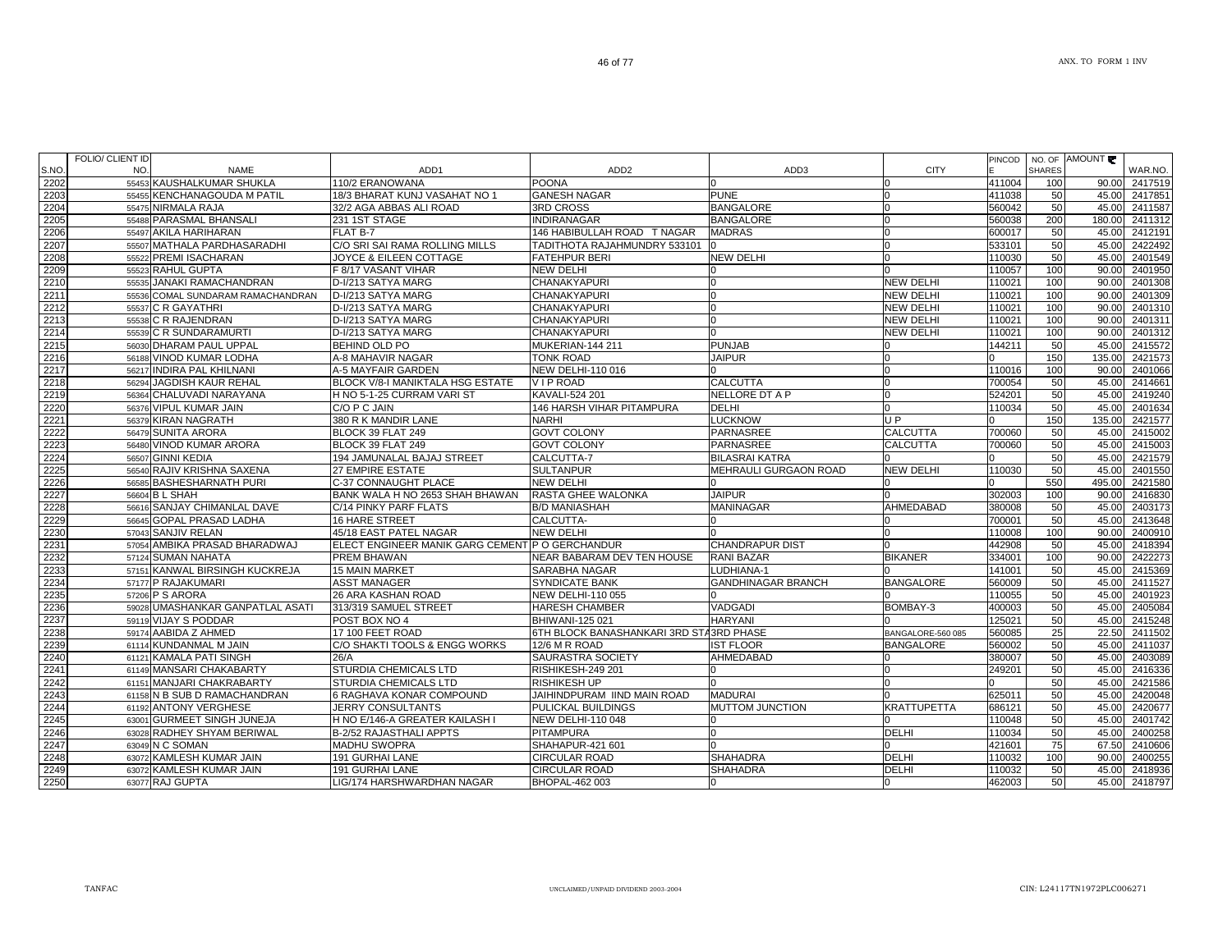|      | FOLIO/ CLIENT ID |                                   |                                                 |                                                |                           |                    |        |               | PINCOD   NO. OF AMOUNT |               |
|------|------------------|-----------------------------------|-------------------------------------------------|------------------------------------------------|---------------------------|--------------------|--------|---------------|------------------------|---------------|
| S.NO | NO.              | <b>NAME</b>                       | ADD <sub>1</sub>                                | ADD <sub>2</sub>                               | ADD3                      | <b>CITY</b>        |        | <b>SHARES</b> |                        | WAR.NO.       |
| 2202 |                  | 55453 KAUSHALKUMAR SHUKLA         | 110/2 ERANOWANA                                 | <b>POONA</b>                                   |                           |                    | 411004 | 100           | 90.00                  | 2417519       |
| 2203 |                  | 55455 KENCHANAGOUDA M PATIL       | 18/3 BHARAT KUNJ VASAHAT NO 1                   | <b>GANESH NAGAR</b>                            | <b>PUNE</b>               | n                  | 411038 | 50            | 45.00                  | 2417851       |
| 2204 |                  | 55475 NIRMALA RAJA                | 32/2 AGA ABBAS ALI ROAD                         | <b>3RD CROSS</b>                               | <b>BANGALORE</b>          | n                  | 560042 | 50            | 45.00                  | 2411587       |
| 2205 |                  | 55488 PARASMAL BHANSALI           | 231 1ST STAGE                                   | <b>INDIRANAGAR</b>                             | <b>BANGALORE</b>          |                    | 560038 | 200           | 180.00                 | 2411312       |
| 2206 |                  | 55497 AKILA HARIHARAN             | FLAT B-7                                        | 146 HABIBULLAH ROAD T NAGAR                    | <b>MADRAS</b>             | U                  | 600017 | 50            | 45.00                  | 2412191       |
| 2207 |                  | 55507 MATHALA PARDHASARADHI       | C/O SRI SAI RAMA ROLLING MILLS                  | TADITHOTA RAJAHMUNDRY 533101                   |                           |                    | 533101 | 50            | 45.00                  | 2422492       |
| 2208 |                  | 55522 PREMI ISACHARAN             | JOYCE & EILEEN COTTAGE                          | <b>FATEHPUR BERI</b>                           | <b>NEW DELHI</b>          | <sup>0</sup>       | 110030 | 50            | 45.00                  | 2401549       |
| 2209 |                  | 55523 RAHUL GUPTA                 | F 8/17 VASANT VIHAR                             | <b>NEW DELHI</b>                               |                           |                    | 110057 | 100           | 90.00                  | 2401950       |
| 2210 |                  | 55535 JANAKI RAMACHANDRAN         | D-I/213 SATYA MARG                              | <b>CHANAKYAPURI</b>                            |                           | <b>NEW DELHI</b>   | 110021 | 100           | 90.00                  | 2401308       |
| 2211 |                  | 55536 COMAL SUNDARAM RAMACHANDRAN | D-I/213 SATYA MARG                              | CHANAKYAPURI                                   |                           | <b>NEW DELHI</b>   | 110021 | 100           | 90.00                  | 2401309       |
| 2212 |                  | 55537 C R GAYATHRI                | D-I/213 SATYA MARG                              | CHANAKYAPURI                                   |                           | <b>NEW DELHI</b>   | 110021 | 100           | 90.00                  | 2401310       |
| 2213 |                  | 55538 C R RAJENDRAN               | D-I/213 SATYA MARG                              | <b>CHANAKYAPURI</b>                            |                           | <b>NEW DELHI</b>   | 110021 | 100           | 90.00                  | 2401311       |
| 2214 |                  | 55539 C R SUNDARAMURTI            | D-I/213 SATYA MARG                              | CHANAKYAPURI                                   |                           | <b>NEW DELHI</b>   | 110021 | 100           | 90.00                  | 2401312       |
| 2215 |                  | 56030 DHARAM PAUL UPPAL           | BEHIND OLD PO                                   | MUKERIAN-144 211                               | <b>PUNJAB</b>             |                    | 144211 | 50            | 45.00                  | 2415572       |
| 2216 |                  | 56188 VINOD KUMAR LODHA           | A-8 MAHAVIR NAGAR                               | TONK ROAD                                      | <b>JAIPUR</b>             |                    |        | 150           | 135.00                 | 2421573       |
| 2217 |                  | 56217 INDIRA PAL KHILNANI         | A-5 MAYFAIR GARDEN                              | <b>NEW DELHI-110 016</b>                       |                           |                    | 110016 | 100           | 90.00                  | 2401066       |
| 2218 |                  | 56294 JAGDISH KAUR REHAL          | BLOCK V/8-I MANIKTALA HSG ESTATE                | VIP ROAD                                       | <b>CALCUTTA</b>           |                    | 700054 | 50            |                        | 2414661       |
|      |                  |                                   |                                                 |                                                | NELLORE DT A P            |                    |        |               | 45.00<br>45.00         |               |
| 2219 |                  | 56364 CHALUVADI NARAYANA          | H NO 5-1-25 CURRAM VARI ST                      | KAVALI-524 201                                 |                           |                    | 524201 | 50            |                        | 2419240       |
| 2220 |                  | 56376 VIPUL KUMAR JAIN            | C/O P C JAIN                                    | <b>146 HARSH VIHAR PITAMPURA</b>               | <b>DELHI</b>              |                    | 110034 | 50            | 45.00                  | 2401634       |
| 2221 |                  | 56379 KIRAN NAGRATH               | 380 R K MANDIR LANE                             | <b>NARHI</b>                                   | <b>LUCKNOW</b>            | U <sub>P</sub>     |        | 150           | 135.00                 | 2421577       |
| 2222 |                  | 56479 SUNITA ARORA                | BLOCK 39 FLAT 249                               | <b>GOVT COLONY</b>                             | <b>PARNASREE</b>          | <b>CALCUTTA</b>    | 700060 | 50            | 45.00                  | 2415002       |
| 2223 |                  | 56480 VINOD KUMAR ARORA           | BLOCK 39 FLAT 249                               | <b>GOVT COLONY</b>                             | <b>PARNASREE</b>          | <b>CALCUTTA</b>    | 700060 | 50            | 45.00                  | 2415003       |
| 2224 |                  | 56507 GINNI KEDIA                 | 194 JAMUNALAL BAJAJ STREET                      | CALCUTTA-7                                     | <b>BILASRAI KATRA</b>     |                    |        | 50            | 45.00                  | 2421579       |
| 2225 |                  | 56540 RAJIV KRISHNA SAXENA        | <b>27 EMPIRE ESTATE</b>                         | <b>SULTANPUR</b>                               | MEHRAULI GURGAON ROAD     | <b>NEW DELHI</b>   | 110030 | 50            | 45.00                  | 2401550       |
| 2226 |                  | 56585 BASHESHARNATH PURI          | C-37 CONNAUGHT PLACE                            | <b>NEW DELHI</b>                               |                           |                    |        | 550           | 495.00                 | 2421580       |
| 2227 |                  | 56604 B L SHAH                    | BANK WALA H NO 2653 SHAH BHAWAN                 | <b>RASTA GHEE WALONKA</b>                      | <b>JAIPUR</b>             |                    | 302003 | 100           | 90.00                  | 2416830       |
| 2228 |                  | 56616 SANJAY CHIMANLAL DAVE       | C/14 PINKY PARF FLATS                           | <b>B/D MANIASHAH</b>                           | <b>MANINAGAR</b>          | AHMEDABAD          | 380008 | 50            | 45.00                  | 2403173       |
| 2229 |                  | 56645 GOPAL PRASAD LADHA          | <b>16 HARE STREET</b>                           | CALCUTTA-                                      |                           |                    | 700001 | 50            | 45.00                  | 2413648       |
| 2230 |                  | 57043 SANJIV RELAN                | 45/18 EAST PATEL NAGAR                          | <b>NEW DELHI</b>                               |                           |                    | 110008 | 100           | 90.00                  | 2400910       |
| 2231 |                  | 57054 AMBIKA PRASAD BHARADWAJ     | ELECT ENGINEER MANIK GARG CEMENT P O GERCHANDUR |                                                | <b>CHANDRAPUR DIST</b>    |                    | 442908 | 50            | 45.00                  | 2418394       |
| 2232 |                  | 57124 SUMAN NAHATA                | PREM BHAWAN                                     | NEAR BABARAM DEV TEN HOUSE                     | <b>RANI BAZAR</b>         | <b>BIKANER</b>     | 334001 | 100           | 90.00                  | 2422273       |
| 2233 |                  | 57151 KANWAL BIRSINGH KUCKREJA    | <b>15 MAIN MARKET</b>                           | SARABHA NAGAR                                  | LUDHIANA-1                |                    | 141001 | 50            | 45.00                  | 2415369       |
| 2234 |                  | 57177 P RAJAKUMARI                | <b>ASST MANAGER</b>                             | <b>SYNDICATE BANK</b>                          | <b>GANDHINAGAR BRANCH</b> | <b>BANGALORE</b>   | 560009 | 50            | 45.00                  | 2411527       |
| 2235 |                  | 57206 P S ARORA                   | <b>26 ARA KASHAN ROAD</b>                       | NEW DELHI-110 055                              |                           |                    | 110055 | 50            | 45.00                  | 2401923       |
| 2236 |                  | 59028 UMASHANKAR GANPATLAL ASATI  | 313/319 SAMUEL STREET                           | <b>HARESH CHAMBER</b>                          | <b>VADGADI</b>            | BOMBAY-3           | 400003 | 50            | 45.00                  | 2405084       |
| 2237 |                  | 59119 VIJAY S PODDAR              | POST BOX NO 4                                   | <b>BHIWANI-125 021</b>                         | <b>HARYANI</b>            |                    | 125021 | 50            | 45.00                  | 2415248       |
| 2238 |                  | 59174 AABIDA Z AHMED              | 17 100 FEET ROAD                                | <b>6TH BLOCK BANASHANKARI 3RD STA3RD PHASE</b> |                           | BANGALORE-560 085  | 560085 | 25            | 22.50                  | 2411502       |
| 2239 |                  | 61114 KUNDANMAL M JAIN            | C/O SHAKTI TOOLS & ENGG WORKS                   | 12/6 M R ROAD                                  | <b>IST FLOOR</b>          | <b>BANGALORE</b>   | 560002 | 50            | 45.00                  | 2411037       |
| 2240 |                  | 61121 KAMALA PATI SINGH           | 26/A                                            | <b>SAURASTRA SOCIETY</b>                       | AHMEDABAD                 |                    | 380007 | 50            |                        | 45.00 2403089 |
| 2241 |                  | 61149 MANSARI CHAKABARTY          | STURDIA CHEMICALS LTD                           | RISHIKESH-249 201                              |                           | U                  | 249201 | 50            |                        | 45.00 2416336 |
| 2242 |                  | 61151 MANJARI CHAKRABARTY         | STURDIA CHEMICALS LTD                           | <b>RISHIKESH UP</b>                            |                           |                    |        | 50            | 45.00                  | 2421586       |
| 2243 |                  | 61158 N B SUB D RAMACHANDRAN      | 6 RAGHAVA KONAR COMPOUND                        | JAIHINDPURAM IIND MAIN ROAD                    | <b>MADURAI</b>            |                    | 625011 | 50            | 45.00                  | 2420048       |
| 2244 |                  | 61192 ANTONY VERGHESE             | <b>JERRY CONSULTANTS</b>                        | <b>PULICKAL BUILDINGS</b>                      | MUTTOM JUNCTION           | <b>KRATTUPETTA</b> | 686121 | 50            | 45.00                  | 2420677       |
| 2245 |                  | 63001 GURMEET SINGH JUNEJA        | H NO E/146-A GREATER KAILASH I                  | <b>NEW DELHI-110 048</b>                       |                           |                    | 110048 | 50            | 45.00                  | 2401742       |
| 2246 |                  | 63028 RADHEY SHYAM BERIWAL        | B-2/52 RAJASTHALI APPTS                         | <b>PITAMPURA</b>                               |                           | <b>DELHI</b>       | 110034 | 50            | 45.00                  | 2400258       |
| 2247 |                  | 63049 N C SOMAN                   | <b>MADHU SWOPRA</b>                             | SHAHAPUR-421 601                               |                           |                    | 421601 | 75            |                        | 67.50 2410606 |
| 2248 |                  | 63072 KAMLESH KUMAR JAIN          | 191 GURHAI LANE                                 | <b>CIRCULAR ROAD</b>                           | <b>SHAHADRA</b>           | <b>DELHI</b>       | 110032 | 100           | 90.00                  | 2400255       |
| 2249 |                  | 63072 KAMLESH KUMAR JAIN          | 191 GURHAI LANE                                 | <b>CIRCULAR ROAD</b>                           | <b>SHAHADRA</b>           | <b>DELHI</b>       | 110032 | 50            |                        | 45.00 2418936 |
| 2250 |                  | 63077 RAJ GUPTA                   | LIG/174 HARSHWARDHAN NAGAR                      | BHOPAL-462 003                                 |                           | n                  | 462003 | 50            | 45.00                  | 2418797       |
|      |                  |                                   |                                                 |                                                |                           |                    |        |               |                        |               |

a l

FOLIO/ CLIENT ID

Τ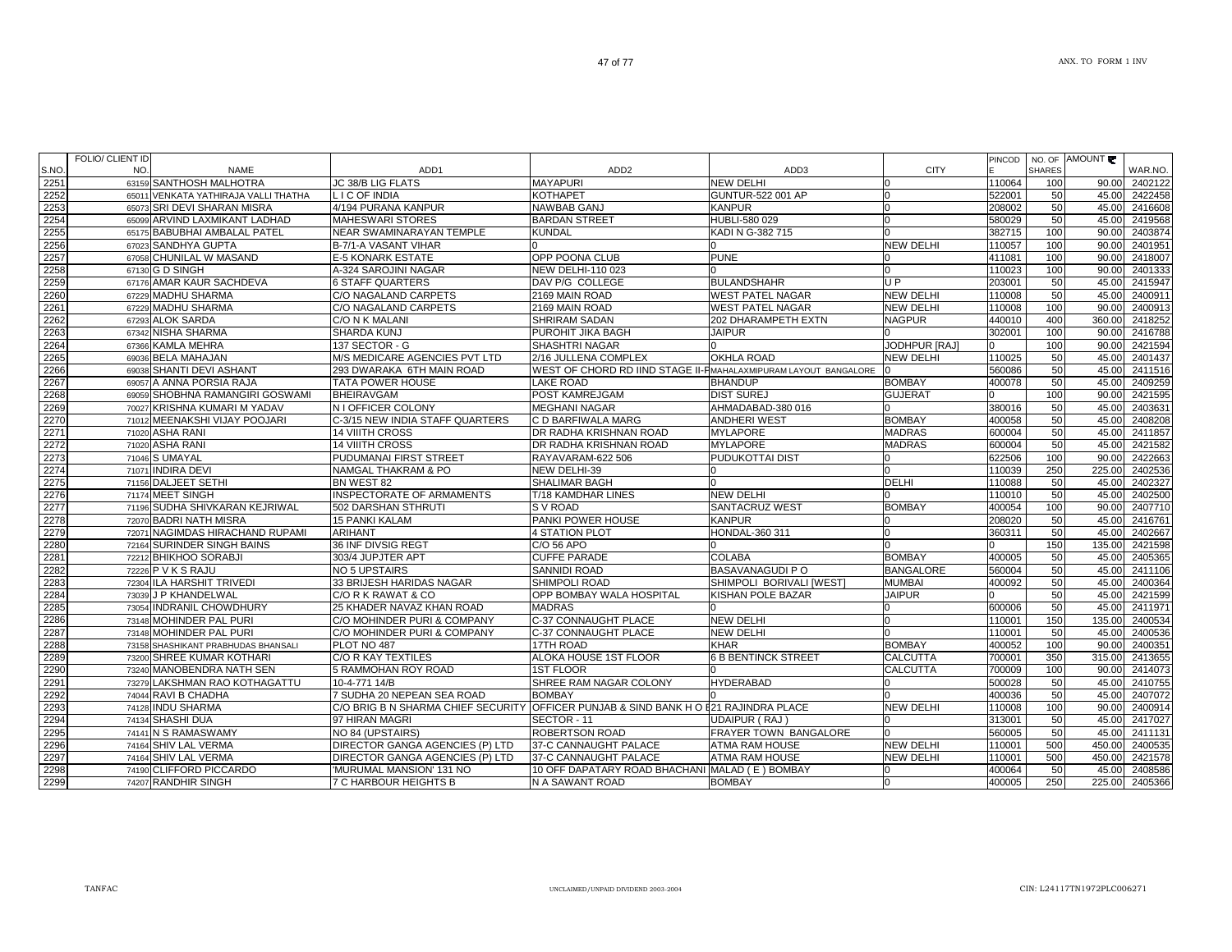| S.NO | FOLIO/ CLIENT ID<br>NO.<br><b>NAME</b> | ADD <sub>1</sub>                                                                     | ADD <sub>2</sub>                                                  | ADD3                       | <b>CITY</b>          | PINCOD | <b>SHARES</b> | NO. OF AMOUNT | WAR.NO. |
|------|----------------------------------------|--------------------------------------------------------------------------------------|-------------------------------------------------------------------|----------------------------|----------------------|--------|---------------|---------------|---------|
| 2251 | 63159 SANTHOSH MALHOTRA                | JC 38/B LIG FLATS                                                                    | <b>MAYAPURI</b>                                                   | <b>NEW DELHI</b>           |                      | 110064 | 100           | 90.00         | 2402122 |
| 2252 | 65011 VENKATA YATHIRAJA VALLI THATHA   | L I C OF INDIA                                                                       | KOTHAPET                                                          | GUNTUR-522 001 AP          |                      | 522001 | 50            | 45.00         | 2422458 |
| 2253 | 65073 SRI DEVI SHARAN MISRA            | 4/194 PURANA KANPUR                                                                  | NAWBAB GANJ                                                       | <b>KANPUR</b>              |                      | 208002 | 50            | 45.00         | 2416608 |
| 2254 | 65099 ARVIND LAXMIKANT LADHAD          | <b>MAHESWARI STORES</b>                                                              | <b>BARDAN STREET</b>                                              | HUBLI-580 029              |                      | 580029 | 50            | 45.00         | 2419568 |
| 2255 | 65175 BABUBHAI AMBALAL PATEL           | NEAR SWAMINARAYAN TEMPLE                                                             | KUNDAL                                                            | KADI N G-382 715           |                      | 382715 | 100           | 90.00         | 2403874 |
| 2256 | 67023 SANDHYA GUPTA                    | B-7/1-A VASANT VIHAR                                                                 |                                                                   |                            | <b>NEW DELHI</b>     | 110057 | 100           | 90.00         | 2401951 |
| 2257 | 67058 CHUNILAL W MASAND                | <b>E-5 KONARK ESTATE</b>                                                             | OPP POONA CLUB                                                    | <b>PUNE</b>                |                      | 411081 | 100           | 90.00         | 2418007 |
| 2258 | 67130 G D SINGH                        | A-324 SAROJINI NAGAR                                                                 | NEW DELHI-110 023                                                 |                            | $\Omega$             | 110023 | 100           | 90.00         | 2401333 |
| 2259 | 67176 AMAR KAUR SACHDEVA               | <b>6 STAFF QUARTERS</b>                                                              | DAV P/G COLLEGE                                                   | <b>BULANDSHAHR</b>         | U P                  | 203001 | 50            | 45.00         | 2415947 |
| 2260 | 67229 MADHU SHARMA                     | C/O NAGALAND CARPETS                                                                 | 2169 MAIN ROAD                                                    | <b>WEST PATEL NAGAR</b>    | <b>NEW DELHI</b>     | 110008 | 50            | 45.00         | 2400911 |
| 2261 | 67229 MADHU SHARMA                     | C/O NAGALAND CARPETS                                                                 | 2169 MAIN ROAD                                                    | <b>WEST PATEL NAGAR</b>    | <b>NEW DELHI</b>     | 110008 | 100           | 90.00         | 2400913 |
| 2262 | 67293 ALOK SARDA                       | C/O N K MALANI                                                                       | SHRIRAM SADAN                                                     | 202 DHARAMPETH EXTN        | <b>NAGPUR</b>        | 440010 | 400           | 360.00        | 2418252 |
| 2263 | 67342 NISHA SHARMA                     | SHARDA KUNJ                                                                          | PUROHIT JIKA BAGH                                                 | <b>JAIPUR</b>              |                      | 302001 | 100           | 90.00         | 2416788 |
| 2264 | 67366 KAMLA MEHRA                      | 137 SECTOR - G                                                                       | <b>SHASHTRI NAGAR</b>                                             |                            | <b>JODHPUR [RAJ]</b> |        | 100           | 90.00         | 2421594 |
| 2265 | 69036 BELA MAHAJAN                     | <b>M/S MEDICARE AGENCIES PVT LTD</b>                                                 | 2/16 JULLENA COMPLEX                                              | <b>OKHLA ROAD</b>          | <b>NEW DELHI</b>     | 110025 | 50            | 45.00         | 2401437 |
| 2266 | 69038 SHANTI DEVI ASHANT               | 293 DWARAKA 6TH MAIN ROAD                                                            | WEST OF CHORD RD IIND STAGE II- FIMAHALAXMIPURAM LAYOUT BANGALORE |                            |                      | 560086 | 50            | 45.00         | 2411516 |
| 2267 | 69057 A ANNA PORSIA RAJA               | <b>TATA POWER HOUSE</b>                                                              | LAKE ROAD                                                         | <b>BHANDUP</b>             | <b>BOMBAY</b>        | 400078 | 50            | 45.00         | 2409259 |
| 2268 | 69059 SHOBHNA RAMANGIRI GOSWAMI        | <b>BHEIRAVGAM</b>                                                                    | POST KAMREJGAM                                                    | <b>DIST SUREJ</b>          | <b>GUJERAT</b>       |        | 100           | 90.00         | 2421595 |
| 2269 | 70027 KRISHNA KUMARI M YADAV           | <b>N I OFFICER COLONY</b>                                                            | <b>MEGHANI NAGAR</b>                                              | AHMADABAD-380 016          |                      | 380016 | 50            | 45.00         | 2403631 |
| 2270 | 71012 MEENAKSHI VIJAY POOJARI          | C-3/15 NEW INDIA STAFF QUARTERS                                                      | C D BARFIWALA MARG                                                | <b>ANDHERI WEST</b>        | <b>BOMBAY</b>        | 400058 | 50            | 45.00         | 2408208 |
| 2271 | 71020 ASHA RANI                        | <b>14 VIIITH CROSS</b>                                                               | DR RADHA KRISHNAN ROAD                                            | <b>MYLAPORE</b>            | <b>MADRAS</b>        | 600004 | 50            | 45.00         | 2411857 |
| 2272 | 71020 ASHA RANI                        | <b>14 VIIITH CROSS</b>                                                               | DR RADHA KRISHNAN ROAD                                            | <b>MYLAPORE</b>            | <b>MADRAS</b>        | 600004 | 50            | 45.00         | 2421582 |
| 2273 | 71046 S UMAYAL                         | PUDUMANAI FIRST STREET                                                               | RAYAVARAM-622 506                                                 | PUDUKOTTAI DIST            |                      | 622506 | 100           | 90.00         | 2422663 |
| 2274 | 71071 INDIRA DEVI                      | <b>NAMGAL THAKRAM &amp; PO</b>                                                       | NEW DELHI-39                                                      |                            |                      | 110039 | 250           | 225.00        | 2402536 |
| 2275 | 71156 DALJEET SETHI                    | BN WEST 82                                                                           | SHALIMAR BAGH                                                     | n                          | <b>DELHI</b>         | 110088 | 50            | 45.00         | 2402327 |
| 2276 | 71174 MEET SINGH                       | INSPECTORATE OF ARMAMENTS                                                            | T/18 KAMDHAR LINES                                                | <b>NEW DELHI</b>           |                      | 110010 | 50            | 45.00         | 2402500 |
| 2277 | 71196 SUDHA SHIVKARAN KEJRIWAL         | 502 DARSHAN STHRUTI                                                                  | S V ROAD                                                          | SANTACRUZ WEST             | <b>BOMBAY</b>        | 400054 | 100           | 90.00         | 2407710 |
| 2278 | 72070 BADRI NATH MISRA                 | <b>15 PANKI KALAM</b>                                                                | PANKI POWER HOUSE                                                 | <b>KANPUR</b>              |                      | 208020 | 50            | 45.00         | 2416761 |
| 2279 | 72071 NAGIMDAS HIRACHAND RUPAMI        | <b>ARIHANT</b>                                                                       | <b>4 STATION PLOT</b>                                             | HONDAL-360 311             |                      | 360311 | 50            | 45.00         | 2402667 |
| 2280 | 72164 SURINDER SINGH BAINS             | 36 INF DIVSIG REGT                                                                   | C/O 56 APO                                                        |                            |                      |        | 150           | 135.00        | 2421598 |
| 2281 | 72212 BHIKHOO SORABJI                  | 303/4 JUPJTER APT                                                                    | <b>CUFFE PARADE</b>                                               | <b>COLABA</b>              | <b>BOMBAY</b>        | 400005 | 50            | 45.00         | 2405365 |
| 2282 | 72226 P V K S RAJU                     | <b>NO 5 UPSTAIRS</b>                                                                 | <b>SANNIDI ROAD</b>                                               | <b>BASAVANAGUDI P O</b>    | <b>BANGALORE</b>     | 560004 | 50            | 45.00         | 2411106 |
| 2283 | 72304 ILA HARSHIT TRIVEDI              | 33 BRIJESH HARIDAS NAGAR                                                             | <b>SHIMPOLI ROAD</b>                                              | SHIMPOLI BORIVALI IWESTI   | <b>MUMBAI</b>        | 400092 | 50            | 45.00         | 2400364 |
| 2284 | 73039 J P KHANDELWAL                   | C/O R K RAWAT & CO                                                                   | OPP BOMBAY WALA HOSPITAL                                          | KISHAN POLE BAZAR          | <b>JAIPUR</b>        |        | 50            | 45.00         | 2421599 |
| 2285 | 73054 INDRANIL CHOWDHURY               | 25 KHADER NAVAZ KHAN ROAD                                                            | <b>MADRAS</b>                                                     |                            |                      | 600006 | 50            | 45.00         | 2411971 |
| 2286 | 73148 MOHINDER PAL PURI                | C/O MOHINDER PURI & COMPANY                                                          | C-37 CONNAUGHT PLACE                                              | <b>NEW DELHI</b>           | <sup>0</sup>         | 110001 | 150           | 135.00        | 2400534 |
| 2287 | 73148 MOHINDER PAL PURI                | C/O MOHINDER PURI & COMPANY                                                          | C-37 CONNAUGHT PLACE                                              | <b>NEW DELHI</b>           |                      | 110001 | 50            | 45.00         | 2400536 |
| 2288 | 73158 SHASHIKANT PRABHUDAS BHANSALI    | PLOT NO 487                                                                          | <b>17TH ROAD</b>                                                  | <b>KHAR</b>                | <b>BOMBAY</b>        | 400052 | 100           | 90.00         | 2400351 |
| 2289 | 73200 SHREE KUMAR KOTHARI              | C/O R KAY TEXTILES                                                                   | ALOKA HOUSE 1ST FLOOR                                             | <b>6 B BENTINCK STREET</b> | <b>CALCUTTA</b>      | 700001 | 350           | 315.00        | 2413655 |
| 2290 | 73240 MANOBENDRA NATH SEN              | 5 RAMMOHAN ROY ROAD                                                                  | 1ST FLOOR                                                         |                            | <b>CALCUTTA</b>      | 700009 | 100           | 90.00         | 2414073 |
| 2291 | 73279 LAKSHMAN RAO KOTHAGATTU          | 10-4-771 14/B                                                                        | SHREE RAM NAGAR COLONY                                            | <b>HYDERABAD</b>           |                      | 500028 | 50            | 45.00         | 2410755 |
| 2292 | 74044 RAVI B CHADHA                    | 7 SUDHA 20 NEPEAN SEA ROAD                                                           | <b>BOMBAY</b>                                                     |                            |                      | 400036 | 50            | 45.00         | 2407072 |
| 2293 | 74128 INDU SHARMA                      | C/O BRIG B N SHARMA CHIEF SECURITY OFFICER PUNJAB & SIND BANK H O E21 RAJINDRA PLACE |                                                                   |                            | <b>NEW DELHI</b>     | 110008 | 100           | 90.00         | 2400914 |
| 2294 | 74134 SHASHI DUA                       | 97 HIRAN MAGRI                                                                       | SECTOR - 11                                                       | UDAIPUR (RAJ)              |                      | 313001 | 50            | 45.00         | 2417027 |
| 2295 | 74141 N S RAMASWAMY                    | NO 84 (UPSTAIRS)                                                                     | ROBERTSON ROAD                                                    | FRAYER TOWN BANGALORE      |                      | 560005 | 50            | 45.00         | 2411131 |
| 2296 | 74164 SHIV LAL VERMA                   | <b>DIRECTOR GANGA AGENCIES (P) LTD</b>                                               | 37-C CANNAUGHT PALACE                                             | ATMA RAM HOUSE             | <b>NEW DELHI</b>     | 110001 | 500           | 450.00        | 2400535 |
| 2297 | 74164 SHIV LAL VERMA                   | DIRECTOR GANGA AGENCIES (P) LTD                                                      | 37-C CANNAUGHT PALACE                                             | <b>ATMA RAM HOUSE</b>      | <b>NEW DELHI</b>     | 110001 | 500           | 450.00        | 2421578 |
| 2298 | 74190 CLIFFORD PICCARDO                | 'MURUMAL MANSION' 131 NO                                                             | 10 OFF DAPATARY ROAD BHACHANI MALAD (E) BOMBAY                    |                            | m                    | 400064 | 50            | 45.00         | 2408586 |
| 2299 | 74207 RANDHIR SINGH                    | <b>7 C HARBOUR HEIGHTS B</b>                                                         | N A SAWANT ROAD                                                   | <b>BOMBAY</b>              | 0                    | 400005 | 250           | 225.00        | 2405366 |
|      |                                        |                                                                                      |                                                                   |                            |                      |        |               |               |         |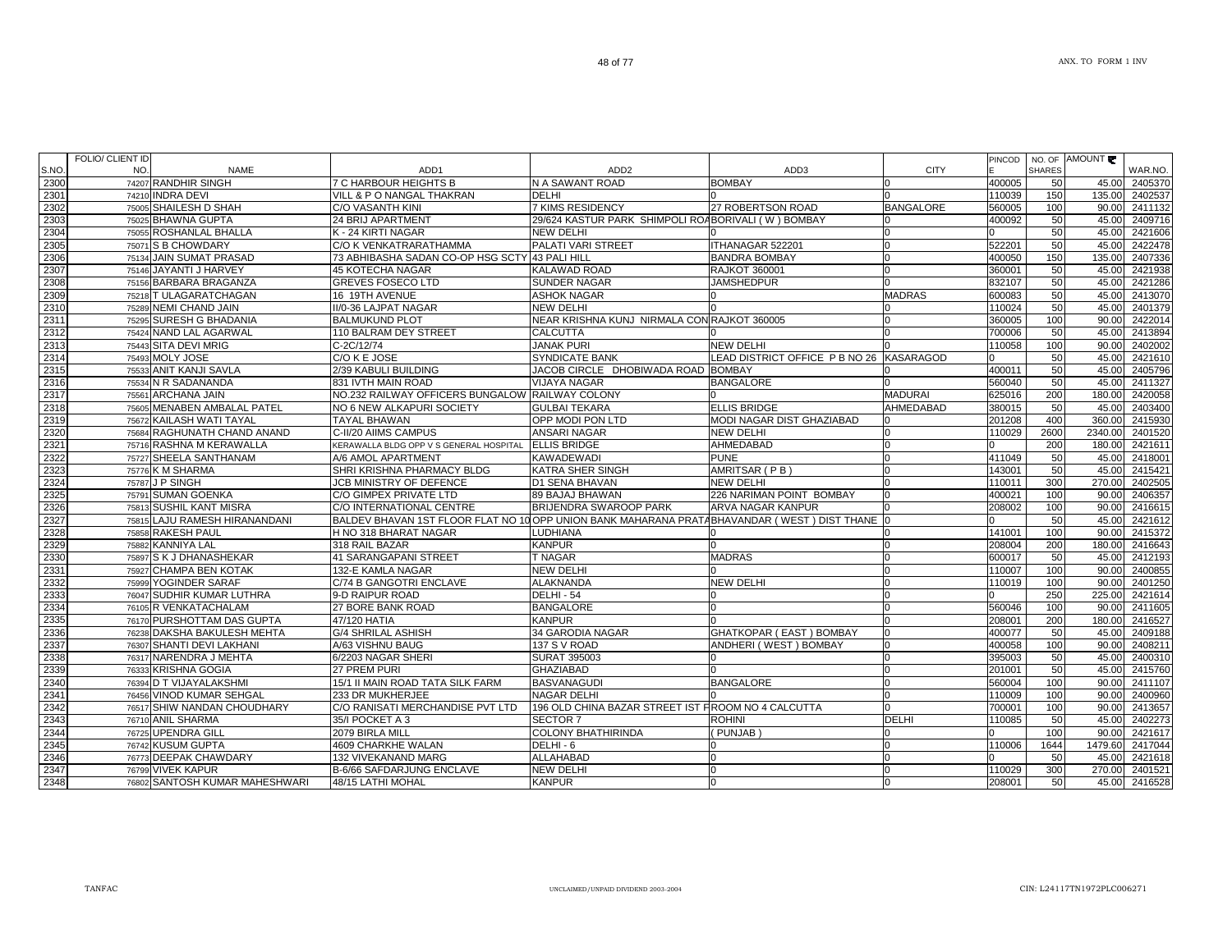|              | <b>FOLIO/ CLIENT ID</b>                 |                                                                                              |                                                    |                                          |                  | <b>PINCOD</b>    |               | NO. OF AMOUNT   |                    |
|--------------|-----------------------------------------|----------------------------------------------------------------------------------------------|----------------------------------------------------|------------------------------------------|------------------|------------------|---------------|-----------------|--------------------|
| S.NO         | NO.<br><b>NAME</b>                      | ADD1<br><b>7 C HARBOUR HEIGHTS B</b>                                                         | ADD <sub>2</sub>                                   | ADD3<br><b>BOMBAY</b>                    | <b>CITY</b>      |                  | <b>SHARES</b> |                 | WAR.NO.            |
| 2300<br>2301 | 74207 RANDHIR SINGH<br>74210 INDRA DEVI |                                                                                              | N A SAWANT ROAD<br>DELHI                           |                                          |                  | 400005<br>110039 | 50<br>150     | 45.00<br>135.00 | 2405370<br>2402537 |
| 2302         | 75005 SHAILESH D SHAH                   | VILL & P O NANGAL THAKRAN<br>C/O VASANTH KINI                                                | <b>7 KIMS RESIDENCY</b>                            | 27 ROBERTSON ROAD                        | <b>BANGALORE</b> | 560005           | 100           | 90.00           | 2411132            |
| 2303         | 75025 BHAWNA GUPTA                      | 24 BRIJ APARTMENT                                                                            | 29/624 KASTUR PARK SHIMPOLI ROABORIVALI (W) BOMBAY |                                          |                  | 400092           | 50            |                 | 45.00 2409716      |
| 2304         | 75055 ROSHANLAL BHALLA                  | K - 24 KIRTI NAGAR                                                                           | <b>NEW DELHI</b>                                   |                                          |                  |                  | 50            |                 | 45.00 2421606      |
| 2305         | 75071 S B CHOWDARY                      | C/O K VENKATRARATHAMMA                                                                       | PALATI VARI STREET                                 | ITHANAGAR 522201                         |                  | 522201           | 50            | 45.00           | 2422478            |
| 2306         | 75134 JAIN SUMAT PRASAD                 | 73 ABHIBASHA SADAN CO-OP HSG SCTY 43 PALI HILL                                               |                                                    | <b>BANDRA BOMBAY</b>                     |                  | 400050           | 150           | 135.00          | 2407336            |
| 2307         | 75146 JAYANTI J HARVEY                  | 45 KOTECHA NAGAR                                                                             | KALAWAD ROAD                                       | <b>RAJKOT 360001</b>                     |                  | 360001           | 50            | 45.00           | 2421938            |
| 2308         | 75156 BARBARA BRAGANZA                  | <b>GREVES FOSECO LTD</b>                                                                     | SUNDER NAGAR                                       | <b>JAMSHEDPUR</b>                        |                  | 832107           | 50            | 45.00           | 2421286            |
| 2309         | 75218 T ULAGARATCHAGAN                  | 16 19TH AVENUE                                                                               | <b>ASHOK NAGAR</b>                                 |                                          | <b>MADRAS</b>    | 600083           | 50            | 45.00           | 2413070            |
| 2310         | 75289 NEMI CHAND JAIN                   | II/0-36 LAJPAT NAGAR                                                                         | NEW DELHI                                          |                                          |                  | 110024           | 50            | 45.00           | 2401379            |
| 2311         | 75295 SURESH G BHADANIA                 | <b>BALMUKUND PLOT</b>                                                                        | NEAR KRISHNA KUNJ NIRMALA CON RAJKOT 360005        |                                          |                  | 360005           | 100           | 90.00           | 2422014            |
| 2312         | 75424 NAND LAL AGARWAL                  | 110 BALRAM DEY STREET                                                                        | CALCUTTA                                           |                                          |                  | 700006           | 50            | 45.00           | 2413894            |
| 2313         | 75443 SITA DEVI MRIG                    | C-2C/12/74                                                                                   | <b>JANAK PURI</b>                                  | <b>NEW DELHI</b>                         |                  | 110058           | 100           | 90.00           | 2402002            |
| 2314         | 75493 MOLY JOSE                         | C/O K E JOSE                                                                                 | SYNDICATE BANK                                     | LEAD DISTRICT OFFICE P B NO 26 KASARAGOD |                  | 0                | 50            | 45.00           | 2421610            |
| 2315         | 75533 ANIT KANJI SAVLA                  | 2/39 KABULI BUILDING                                                                         | JACOB CIRCLE DHOBIWADA ROAD BOMBAY                 |                                          |                  | 400011           | 50            | 45.00           | 2405796            |
| 2316         | 75534 N R SADANANDA                     | 831 IVTH MAIN ROAD                                                                           | VIJAYA NAGAR                                       | <b>BANGALORE</b>                         |                  | 560040           | 50            | 45.00           | 2411327            |
| 2317         | 75561 ARCHANA JAIN                      | NO.232 RAILWAY OFFICERS BUNGALOW RAILWAY COLONY                                              |                                                    |                                          | <b>MADURAI</b>   | 625016           | 200           | 180.00          | 2420058            |
| 2318         | 75605 MENABEN AMBALAL PATEL             | NO 6 NEW ALKAPURI SOCIETY                                                                    | <b>GULBAI TEKARA</b>                               | <b>ELLIS BRIDGE</b>                      | AHMEDABAD        | 380015           | 50            | 45.00           | 2403400            |
| 2319         | 75672 KAILASH WATI TAYAL                | TAYAL BHAWAN                                                                                 | OPP MODI PON LTD                                   | MODI NAGAR DIST GHAZIABAD                |                  | 201208           | 400           | 360.00          | 2415930            |
| 2320         | 75684 RAGHUNATH CHAND ANAND             | C-II/20 AIIMS CAMPUS                                                                         | ANSARI NAGAR                                       | <b>NEW DELHI</b>                         |                  | 110029           | 2600          | 2340.00         | 2401520            |
| 2321         | 75716 RASHNA M KERAWALLA                | KERAWALLA BLDG OPP V S GENERAL HOSPITAL                                                      | <b>ELLIS BRIDGE</b>                                | <b>AHMEDABAD</b>                         | $\Omega$         |                  | 200           | 180.00          | 2421611            |
| 2322         | 75727 SHEELA SANTHANAM                  | A/6 AMOL APARTMENT                                                                           | KAWADEWADI                                         | PUNE                                     | <sup>0</sup>     | 411049           | 50            | 45.00           | 2418001            |
| 2323         | 75776 K M SHARMA                        | SHRI KRISHNA PHARMACY BLDG                                                                   | KATRA SHER SINGH                                   | AMRITSAR (PB)                            | n                | 143001           | 50            | 45.00           | 2415421            |
| 2324         | 75787 J P SINGH                         | JCB MINISTRY OF DEFENCE                                                                      | D1 SENA BHAVAN                                     | <b>NEW DELHI</b>                         |                  | 110011           | 300           | 270.00          | 2402505            |
| 2325         | 75791 SUMAN GOENKA                      | C/O GIMPEX PRIVATE LTD                                                                       | 89 BAJAJ BHAWAN                                    | 226 NARIMAN POINT BOMBAY                 |                  | 400021           | 100           | 90.00           | 2406357            |
| 2326         | 75813 SUSHIL KANT MISRA                 | C/O INTERNATIONAL CENTRE                                                                     | BRIJENDRA SWAROOP PARK                             | ARVA NAGAR KANPUR                        |                  | 208002           | 100           | 90.00           | 2416615            |
| 2327         | 75815 LAJU RAMESH HIRANANDANI           | BALDEV BHAVAN 1ST FLOOR FLAT NO 10 OPP UNION BANK MAHARANA PRATABHAVANDAR (WEST ) DIST THANE |                                                    |                                          |                  | <sup>n</sup>     | 50            | 45.00           | 2421612            |
| 2328         | 75858 RAKESH PAUL                       | H NO 318 BHARAT NAGAR                                                                        | LUDHIANA                                           |                                          |                  | 141001           | 100           | 90.00           | 2415372            |
| 2329         | 75882 KANNIYA LAL                       | 318 RAIL BAZAR                                                                               | <b>KANPUR</b>                                      |                                          |                  | 208004           | 200           | 180.00          | 2416643            |
| 2330         | 75897 S K J DHANASHEKAR                 | 41 SARANGAPANI STREET                                                                        | T NAGAR                                            | <b>MADRAS</b>                            |                  | 600017           | 50            | 45.00           | 2412193            |
| 2331         | 75927 CHAMPA BEN KOTAK                  | 132-E KAMLA NAGAR                                                                            | NEW DELHI                                          |                                          |                  | 110007           | 100           | 90.00           | 2400855            |
| 2332         | 75999 YOGINDER SARAF                    | C/74 B GANGOTRI ENCLAVE                                                                      | ALAKNANDA                                          | <b>NEW DELHI</b>                         | <sup>0</sup>     | 110019           | 100           | 90.00           | 2401250            |
| 2333         | 76047 SUDHIR KUMAR LUTHRA               | 9-D RAIPUR ROAD                                                                              | DELHI - 54                                         |                                          | n                |                  | 250           | 225.00          | 2421614            |
| 2334         | 76105 R VENKATACHALAM                   | 27 BORE BANK ROAD                                                                            | <b>BANGALORE</b>                                   |                                          | <sup>0</sup>     | 560046           | 100           | 90.00           | 2411605            |
| 2335         | 76170 PURSHOTTAM DAS GUPTA              | 47/120 HATIA                                                                                 | KANPUR                                             |                                          |                  | 208001           | 200           | 180.00          | 2416527            |
| 2336         | 76238 DAKSHA BAKULESH MEHTA             | <b>G/4 SHRILAL ASHISH</b>                                                                    | 34 GARODIA NAGAR                                   | GHATKOPAR (EAST) BOMBAY                  | n                | 400077           | 50            | 45.00           | 2409188            |
| 2337         | 76307 SHANTI DEVI LAKHANI               | A/63 VISHNU BAUG                                                                             | 137 S V ROAD                                       | ANDHERI (WEST) BOMBAY                    |                  | 400058           | 100           | 90.00           | 2408211            |
| 2338         | 76317 NARENDRA J MEHTA                  | 6/2203 NAGAR SHERI                                                                           | SURAT 395003                                       |                                          |                  | 395003           | 50            | 45.00           | 2400310            |
| 2339         | 76333 KRISHNA GOGIA                     | 27 PREM PURI                                                                                 | <b>GHAZIABAD</b>                                   |                                          |                  | 201001           | 50            | 45.00           | 2415760            |
| 2340         | 76394 D T VIJAYALAKSHMI                 | 15/1 II MAIN ROAD TATA SILK FARM                                                             | <b>BASVANAGUDI</b>                                 | <b>BANGALORE</b>                         | 0                | 560004           | 100           | 90.00           | 2411107            |
| 2341         | 76456 VINOD KUMAR SEHGAL                | 233 DR MUKHERJEE                                                                             | <b>NAGAR DELHI</b>                                 |                                          |                  | 110009           | 100           | 90.00           | 2400960            |
| 2342         | 76517 SHIW NANDAN CHOUDHARY             | C/O RANISATI MERCHANDISE PVT LTD                                                             | 196 OLD CHINA BAZAR STREET IST FROOM NO 4 CALCUTTA |                                          |                  | 700001           | 100           | 90.00           | 2413657            |
| 2343         | 76710 ANIL SHARMA                       | 35/I POCKET A 3                                                                              | SECTOR <sub>7</sub>                                | <b>ROHINI</b>                            | <b>DELHI</b>     | 110085           | 50            | 45.00           | 2402273            |
| 2344         | 76725 UPENDRA GILL                      | 2079 BIRLA MILL                                                                              | COLONY BHATHIRINDA                                 | PUNJAB                                   |                  |                  | 100           | 90.00           | 2421617            |
| 2345         | 76742 KUSUM GUPTA                       | 4609 CHARKHE WALAN                                                                           | DELHI - 6                                          |                                          | n                | 110006           | 1644          | 1479.60         | 2417044            |
| 2346         | 76773 DEEPAK CHAWDARY                   | <b>132 VIVEKANAND MARG</b>                                                                   | ALLAHABAD                                          |                                          | $\Omega$         |                  | 50            | 45.00           | 2421618            |
| 2347         | 76799 VIVEK KAPUR                       | B-6/66 SAFDARJUNG ENCLAVE                                                                    | NEW DELHI                                          | <sup>0</sup>                             | <sup>0</sup>     | 110029           | 300           | 270.00          | 2401521            |
| 2348         | 76802 SANTOSH KUMAR MAHESHWARI          | 48/15 LATHI MOHAL                                                                            | <b>KANPUR</b>                                      |                                          | 0                | 208001           | 50            | 45.00           | 2416528            |
|              |                                         |                                                                                              |                                                    |                                          |                  |                  |               |                 |                    |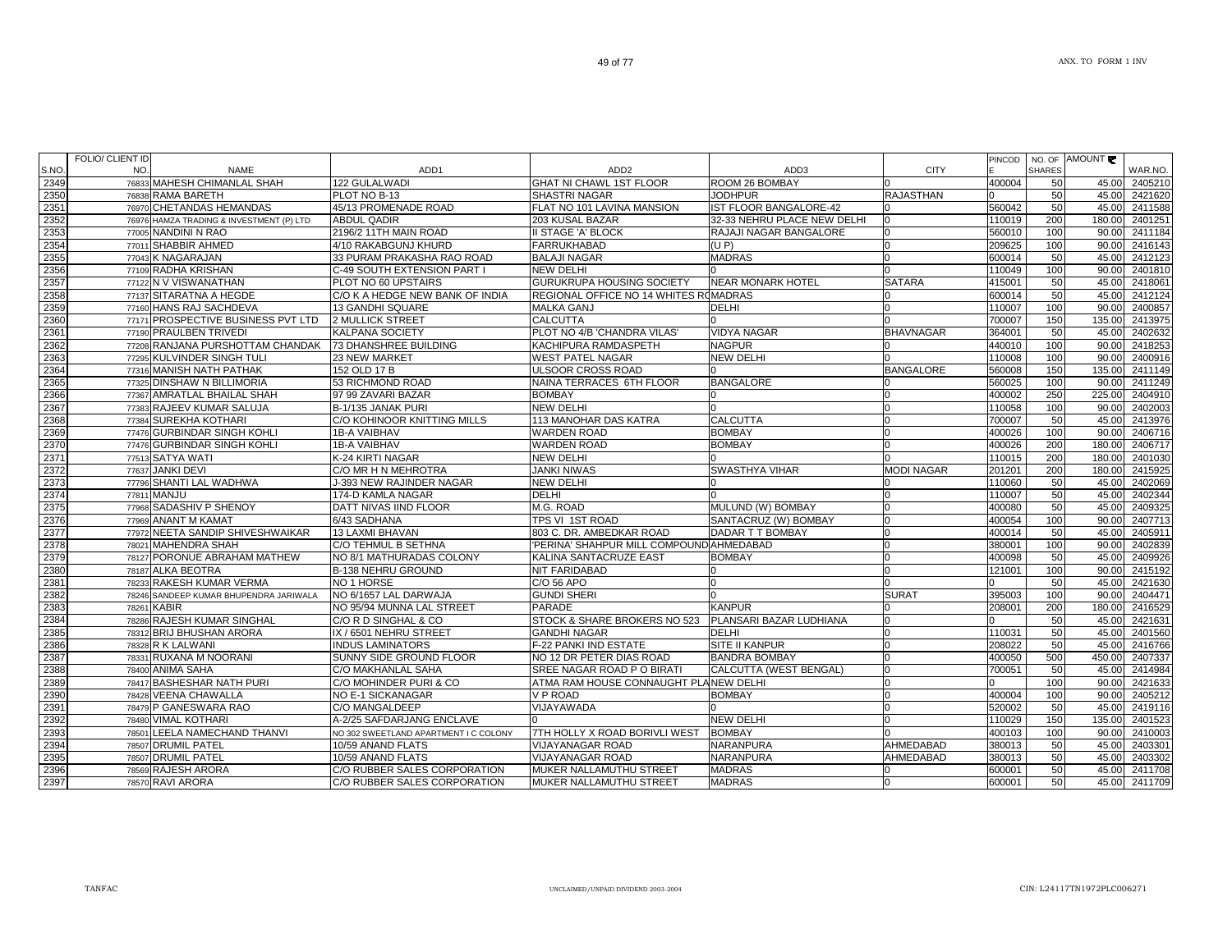|       | <b>FOLIO/ CLIENT ID</b> |                                        |                                       |                                          |                             |                   | PINCOD | NO. OF        | AMOUNT ₹ |         |
|-------|-------------------------|----------------------------------------|---------------------------------------|------------------------------------------|-----------------------------|-------------------|--------|---------------|----------|---------|
| S.NO. | NO.                     | <b>NAME</b>                            | ADD1                                  | ADD <sub>2</sub>                         | ADD3                        | <b>CITY</b>       |        | <b>SHARES</b> |          | WAR.NO. |
| 2349  |                         | 76833 MAHESH CHIMANLAL SHAH            | 122 GULALWADI                         | GHAT NI CHAWL 1ST FLOOR                  | ROOM 26 BOMBAY              |                   | 400004 | 50            | 45.00    | 2405210 |
| 2350  | 76838                   | <b>RAMA BARETH</b>                     | PLOT NO B-13                          | SHASTRI NAGAR                            | <b>JODHPUR</b>              | <b>RAJASTHAN</b>  |        | 50            | 45.00    | 2421620 |
| 2351  | 76970                   | <b>CHETANDAS HEMANDAS</b>              | 45/13 PROMENADE ROAD                  | FLAT NO 101 LAVINA MANSION               | IST FLOOR BANGALORE-42      |                   | 560042 | 50            | 45.00    | 2411588 |
| 2352  | 76976                   | HAMZA TRADING & INVESTMENT (P) LTD     | <b>ABDUL QADIR</b>                    | 203 KUSAL BAZAR                          | 32-33 NEHRU PLACE NEW DELHI |                   | 110019 | 200           | 180.00   | 2401251 |
| 2353  |                         | 77005 NANDINI N RAO                    | 2196/2 11TH MAIN ROAD                 | <b>II STAGE 'A' BLOCK</b>                | RAJAJI NAGAR BANGALORE      |                   | 560010 | 100           | 90.00    | 2411184 |
| 2354  |                         | 77011 SHABBIR AHMED                    | 4/10 RAKABGUNJ KHURD                  | <b>FARRUKHABAD</b>                       | (U P)                       |                   | 209625 | 100           | 90.00    | 2416143 |
| 2355  | 77043                   | <b>K NAGARAJAN</b>                     | 33 PURAM PRAKASHA RAO ROAD            | <b>BALAJI NAGAR</b>                      | <b>MADRAS</b>               |                   | 600014 | 50            | 45.00    | 2412123 |
| 2356  |                         | 77109 RADHA KRISHAN                    | C-49 SOUTH EXTENSION PART I           | <b>NEW DELHI</b>                         |                             |                   | 110049 | 100           | 90.00    | 2401810 |
| 2357  |                         | 77122 N V VISWANATHAN                  | PLOT NO 60 UPSTAIRS                   | <b>GURUKRUPA HOUSING SOCIETY</b>         | <b>NEAR MONARK HOTEL</b>    | <b>SATARA</b>     | 415001 | 50            | 45.00    | 241806  |
| 2358  |                         | 77137 SITARATNA A HEGDE                | C/O K A HEDGE NEW BANK OF INDIA       | REGIONAL OFFICE NO 14 WHITES ROMADRAS    |                             |                   | 600014 | 50            | 45.00    | 2412124 |
| 2359  |                         | 77160 HANS RAJ SACHDEVA                | <b>13 GANDHI SQUARE</b>               | <b>MALKA GANJ</b>                        | <b>DELHI</b>                |                   | 110007 | 100           | 90.00    | 2400857 |
| 2360  |                         | 77171 PROSPECTIVE BUSINESS PVT LTD     | 2 MULLICK STREET                      | <b>CALCUTTA</b>                          |                             |                   | 700007 | 150           | 135.00   | 2413975 |
| 2361  |                         | 77190 PRAULBEN TRIVEDI                 | KALPANA SOCIETY                       | PLOT NO 4/B 'CHANDRA VILAS'              | <b>VIDYA NAGAR</b>          | <b>BHAVNAGAR</b>  | 364001 | 50            | 45.00    | 2402632 |
| 2362  |                         | 77208 RANJANA PURSHOTTAM CHANDAK       | 73 DHANSHREE BUILDING                 | KACHIPURA RAMDASPETH                     | <b>NAGPUR</b>               |                   | 440010 | 100           | 90.00    | 2418253 |
| 2363  |                         | 77295 KULVINDER SINGH TULI             | 23 NEW MARKET                         | <b>WEST PATEL NAGAR</b>                  | <b>NEW DELHI</b>            |                   | 110008 | 100           | 90.00    | 2400916 |
| 2364  |                         | 77316 MANISH NATH PATHAK               | 152 OLD 17 B                          | <b>ULSOOR CROSS ROAD</b>                 |                             | <b>BANGALORE</b>  | 560008 | 150           | 135.00   | 2411149 |
| 2365  | 77325                   | <b>DINSHAW N BILLIMORIA</b>            | 53 RICHMOND ROAD                      | NAINA TERRACES 6TH FLOOR                 | <b>BANGALORE</b>            |                   | 560025 | 100           | 90.00    | 2411249 |
| 2366  |                         | 77367 AMRATLAL BHAILAL SHAH            | 97 99 ZAVARI BAZAR                    | <b>BOMBAY</b>                            |                             |                   | 400002 | 250           | 225.00   | 2404910 |
| 2367  | 77383                   | RAJEEV KUMAR SALUJA                    | B-1/135 JANAK PURI                    | NEW DELHI                                |                             |                   | 110058 | 100           | 90.00    | 2402003 |
| 2368  |                         | 77384 SUREKHA KOTHARI                  | C/O KOHINOOR KNITTING MILLS           | 113 MANOHAR DAS KATRA                    | <b>CALCUTTA</b>             |                   | 700007 | 50            | 45.00    | 2413976 |
| 2369  |                         | 77476 GURBINDAR SINGH KOHLI            | <b>1B-A VAIBHAV</b>                   | WARDEN ROAD                              | <b>BOMBAY</b>               |                   | 400026 | 100           | 90.00    | 2406716 |
| 2370  |                         | 77476 GURBINDAR SINGH KOHLI            | <b>1B-A VAIBHAV</b>                   | <b>WARDEN ROAD</b>                       | <b>BOMBAY</b>               |                   | 400026 | 200           | 180.00   | 2406717 |
| 2371  |                         | 77513 SATYA WATI                       | K-24 KIRTI NAGAR                      | <b>NEW DELHI</b>                         |                             |                   | 110015 | 200           | 180.00   | 2401030 |
| 2372  | 77637                   | <b>JANKI DEVI</b>                      | C/O MR H N MEHROTRA                   | <b>JANKI NIWAS</b>                       | SWASTHYA VIHAR              | <b>MODI NAGAR</b> | 201201 | 200           | 180.00   | 2415925 |
| 2373  |                         | 77796 SHANTI LAL WADHWA                | J-393 NEW RAJINDER NAGAR              | <b>NEW DELHI</b>                         |                             |                   | 110060 | 50            | 45.00    | 2402069 |
| 2374  | 77811                   | <b>MANJU</b>                           | 174-D KAMLA NAGAR                     | DELHI                                    |                             |                   | 110007 | 50            | 45.00    | 2402344 |
| 2375  | 77968                   | SADASHIV P SHENOY                      | DATT NIVAS IIND FLOOR                 | M.G. ROAD                                | MULUND (W) BOMBAY           |                   | 400080 | 50            | 45.00    | 2409325 |
| 2376  | 77969                   | <b>ANANT M KAMAT</b>                   | 6/43 SADHANA                          | TPS VI 1ST ROAD                          | SANTACRUZ (W) BOMBAY        |                   | 400054 | 100           | 90.00    | 2407713 |
| 2377  |                         | 77972 NEETA SANDIP SHIVESHWAIKAR       | 13 LAXMI BHAVAN                       | 803 C. DR. AMBEDKAR ROAD                 | DADAR T T BOMBAY            |                   | 400014 | 50            | 45.00    | 240591  |
| 2378  |                         | 78021 MAHENDRA SHAH                    | C/O TEHMUL B SETHNA                   | 'PERINA' SHAHPUR MILL COMPOUND AHMEDABAD |                             |                   | 380001 | 100           | 90.00    | 2402839 |
| 2379  |                         | 78127 PORONUE ABRAHAM MATHEW           | NO 8/1 MATHURADAS COLONY              | KALINA SANTACRUZE EAST                   | <b>BOMBAY</b>               |                   | 400098 | 50            | 45.00    | 2409926 |
| 2380  |                         | 78187 ALKA BEOTRA                      | B-138 NEHRU GROUND                    | NIT FARIDABAD                            |                             |                   | 121001 | 100           | 90.00    | 2415192 |
| 2381  | 78233                   | <b>RAKESH KUMAR VERMA</b>              | NO 1 HORSE                            | C/O 56 APO                               |                             |                   |        | 50            | 45.00    | 2421630 |
| 2382  |                         | 78246 SANDEEP KUMAR BHUPENDRA JARIWALA | NO 6/1657 LAL DARWAJA                 | <b>GUNDI SHERI</b>                       |                             | <b>SURAT</b>      | 395003 | 100           | 90.00    | 2404471 |
| 2383  | 78261                   | <b>KABIR</b>                           | NO 95/94 MUNNA LAL STREET             | PARADE                                   | <b>KANPUR</b>               |                   | 208001 | 200           | 180.00   | 2416529 |
| 2384  |                         | 78286 RAJESH KUMAR SINGHAL             | C/O R D SINGHAL & CO                  | STOCK & SHARE BROKERS NO 523             | PLANSARI BAZAR LUDHIANA     |                   |        | 50            | 45.00    | 242163  |
| 2385  |                         | 78312 BRIJ BHUSHAN ARORA               | IX / 6501 NEHRU STREET                | <b>GANDHI NAGAR</b>                      | <b>DELHI</b>                |                   | 110031 | 50            | 45.00    | 2401560 |
| 2386  |                         | 78328 R K LALWANI                      | <b>INDUS LAMINATORS</b>               | F-22 PANKI IND ESTATE                    | <b>SITE II KANPUR</b>       |                   | 208022 | 50            | 45.00    | 2416766 |
| 2387  |                         | 78331 RUXANA M NOORANI                 | SUNNY SIDE GROUND FLOOR               | NO 12 DR PETER DIAS ROAD                 | <b>BANDRA BOMBAY</b>        |                   | 400050 | 500           | 450.00   | 2407337 |
| 2388  |                         | 78400 ANIMA SAHA                       | C/O MAKHANLAL SAHA                    | SREE NAGAR ROAD P O BIRATI               | CALCUTTA (WEST BENGAL)      |                   | 700051 | 50            | 45.00    | 2414984 |
| 2389  |                         | 78417 BASHESHAR NATH PURI              | C/O MOHINDER PURI & CO                | ATMA RAM HOUSE CONNAUGHT PLANEW DELHI    |                             |                   |        | 100           | 90.00    | 2421633 |
| 2390  |                         | 78428 VEENA CHAWALLA                   | NO E-1 SICKANAGAR                     | V P ROAD                                 | <b>BOMBAY</b>               |                   | 400004 | 100           | 90.00    | 2405212 |
| 2391  |                         | 78479 P GANESWARA RAO                  | C/O MANGALDEEP                        | VIJAYAWADA                               |                             |                   | 520002 | 50            | 45.00    | 2419116 |
| 2392  |                         | 78480 VIMAL KOTHARI                    | A-2/25 SAFDARJANG ENCLAVE             |                                          | <b>NEW DELHI</b>            |                   | 110029 | 150           | 135.00   | 2401523 |
| 2393  | 78501                   | LEELA NAMECHAND THANVI                 | NO 302 SWEETLAND APARTMENT I C COLONY | 7TH HOLLY X ROAD BORIVLI WEST            | <b>BOMBAY</b>               |                   | 400103 | 100           | 90.00    | 2410003 |
| 2394  |                         | 78507 DRUMIL PATEL                     | 10/59 ANAND FLATS                     | VIJAYANAGAR ROAD                         | NARANPURA                   | AHMEDABAD         | 380013 | 50            | 45.00    | 2403301 |
| 2395  |                         | 78507 DRUMIL PATEL                     | 10/59 ANAND FLATS                     | <b>VIJAYANAGAR ROAD</b>                  | <b>NARANPURA</b>            | AHMEDABAD         | 380013 | 50            | 45.00    | 2403302 |
| 2396  |                         | 78569 RAJESH ARORA                     | C/O RUBBER SALES CORPORATION          | MUKER NALLAMUTHU STREET                  | <b>MADRAS</b>               |                   | 600001 | 50            | 45.00    | 2411708 |
| 2397  |                         | 78570 RAVI ARORA                       | C/O RUBBER SALES CORPORATION          | MUKER NALLAMUTHU STREET                  | <b>MADRAS</b>               | <sup>0</sup>      | 600001 | 50            | 45.00    | 2411709 |
|       |                         |                                        |                                       |                                          |                             |                   |        |               |          |         |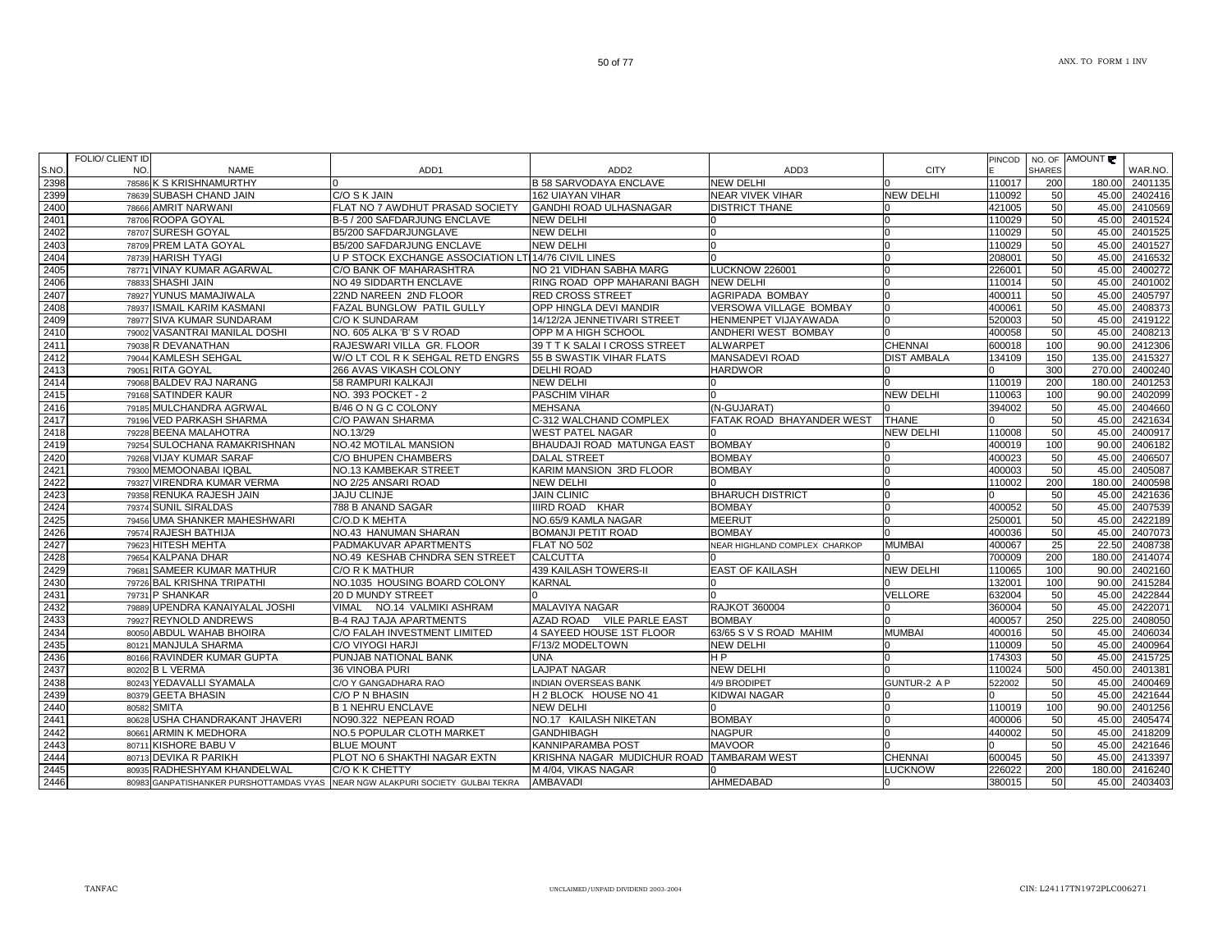| S.NO         | FOLIO/ CLIENT ID<br>NO.<br><b>NAME</b>                                         | ADD <sub>1</sub>                                     | ADD <sub>2</sub>                       | ADD3                           | <b>CITY</b>         | PINCOD           | <b>SHARES</b> | NO. OF AMOUNT  | WAR.NO.            |
|--------------|--------------------------------------------------------------------------------|------------------------------------------------------|----------------------------------------|--------------------------------|---------------------|------------------|---------------|----------------|--------------------|
| 2398         | 78586 K S KRISHNAMURTHY                                                        |                                                      | <b>B 58 SARVODAYA ENCLAVE</b>          | <b>NEW DELHI</b>               |                     | 110017           | 200           | 180.00         | 2401135            |
| 2399         | 78639 SUBASH CHAND JAIN                                                        | C/O S K JAIN                                         | <b>162 UIAYAN VIHAR</b>                | <b>NEAR VIVEK VIHAR</b>        | <b>NEW DELHI</b>    | 110092           | 50            | 45.00          | 2402416            |
| 2400         | 78666 AMRIT NARWANI                                                            | FLAT NO 7 AWDHUT PRASAD SOCIETY                      | <b>GANDHI ROAD ULHASNAGAR</b>          | <b>DISTRICT THANE</b>          |                     | 421005           | 50            | 45.00          | 2410569            |
| 2401         | 78706 ROOPA GOYAL                                                              | B-5 / 200 SAFDARJUNG ENCLAVE                         | <b>NEW DELHI</b>                       |                                |                     | 110029           | 50            | 45.00          | 2401524            |
| 2402         | 78707 SURESH GOYAL                                                             | B5/200 SAFDARJUNGLAVE                                | <b>NEW DELHI</b>                       |                                |                     | 110029           | 50            | 45.00          | 2401525            |
| 2403         | 78709 PREM LATA GOYAL                                                          | B5/200 SAFDARJUNG ENCLAVE                            | <b>NEW DELHI</b>                       |                                |                     | 110029           | 50            | 45.00          | 2401527            |
| 2404         | 78739 HARISH TYAGI                                                             | U P STOCK EXCHANGE ASSOCIATION LTI 14/76 CIVIL LINES |                                        |                                |                     | 208001           | 50            | 45.00          | 2416532            |
| 2405         | 78771 VINAY KUMAR AGARWAL                                                      | C/O BANK OF MAHARASHTRA                              | NO 21 VIDHAN SABHA MARG                | <b>LUCKNOW 226001</b>          |                     | 226001           | 50            | 45.00          | 2400272            |
| 2406         | <b>SHASHI JAIN</b><br>78833                                                    | NO 49 SIDDARTH ENCLAVE                               | RING ROAD OPP MAHARANI BAGH            | <b>NEW DELHI</b>               |                     | 110014           | 50            | 45.00          | 2401002            |
| 2407         | 78927 YUNUS MAMAJIWALA                                                         | 22ND NAREEN 2ND FLOOR                                | <b>RED CROSS STREET</b>                | AGRIPADA BOMBAY                |                     | 400011           | 50            | 45.00          | 2405797            |
| 2408         | 78937 ISMAIL KARIM KASMANI                                                     | FAZAL BUNGLOW PATIL GULLY                            | OPP HINGLA DEVI MANDIR                 | VERSOWA VILLAGE BOMBAY         |                     | 400061           | 50            | 45.00          | 2408373            |
| 2409         | 78977 SIVA KUMAR SUNDARAM                                                      | <b>C/O K SUNDARAM</b>                                | 14/12/2A JENNETIVARI STREET            | HENMENPET VIJAYAWADA           |                     | 520003           | 50            | 45.00          | 2419122            |
| 2410         | 79002 VASANTRAI MANILAL DOSHI                                                  | NO. 605 ALKA 'B' S V ROAD                            | OPP M A HIGH SCHOOL                    | ANDHERI WEST BOMBAY            |                     | 400058           | 50            | 45.00          | 2408213            |
| 2411         | 79038 R DEVANATHAN                                                             | RAJESWARI VILLA GR. FLOOR                            | 39 T T K SALAI I CROSS STREET          | <b>ALWARPET</b>                | <b>CHENNAI</b>      | 600018           | 100           | 90.00          | 2412306            |
| 2412         | 79044 KAMLESH SEHGAL                                                           | W/O LT COL R K SEHGAL RETD ENGRS                     | 55 B SWASTIK VIHAR FLATS               | <b>MANSADEVI ROAD</b>          | <b>DIST AMBALA</b>  | 134109           | 150           | 135.00         | 2415327            |
| 2413         | 79051 RITA GOYAL                                                               | 266 AVAS VIKASH COLONY                               | <b>DELHI ROAD</b>                      | <b>HARDWOR</b>                 |                     |                  | 300           | 270.00         | 2400240            |
| 2414         | 79068 BALDEV RAJ NARANG                                                        | 58 RAMPURI KALKAJI                                   | <b>NEW DELHI</b>                       |                                |                     | 110019           | 200           | 180.00         | 2401253            |
| 2415         | 79168 SATINDER KAUR                                                            | NO. 393 POCKET - 2                                   | PASCHIM VIHAR                          |                                | NEW DELHI           | 110063           | 100           | 90.00          | 2402099            |
| 2416         | 79185 MULCHANDRA AGRWAL                                                        | B/46 O N G C COLONY                                  | <b>MEHSANA</b>                         | (N-GUJARAT)                    |                     | 394002           | 50            | 45.00          | 2404660            |
| 2417         | 79196 VED PARKASH SHARMA                                                       | C/O PAWAN SHARMA                                     | C-312 WALCHAND COMPLEX                 | FATAK ROAD BHAYANDER WEST      | <b>THANE</b>        |                  | 50            | 45.00          | 2421634            |
| 2418         | 79228 BEENA MALAHOTRA                                                          | NO.13/29                                             | <b>WEST PATEL NAGAR</b>                |                                | <b>NEW DELHI</b>    | 110008           | 50            | 45.00          | 2400917            |
| 2419         | 79254 SULOCHANA RAMAKRISHNAN                                                   | <b>NO.42 MOTILAL MANSION</b>                         | BHAUDAJI ROAD MATUNGA EAST             | <b>BOMBAY</b>                  |                     | 400019           | 100           | 90.00          | 2406182            |
| 2420         | 79268 VIJAY KUMAR SARAF                                                        | C/O BHUPEN CHAMBERS                                  | <b>DALAL STREET</b>                    | <b>BOMBAY</b>                  |                     | 400023           | 50            | 45.00          | 2406507            |
| 2421         | 79300 MEMOONABAI IQBAL                                                         | NO.13 KAMBEKAR STREET                                | KARIM MANSION 3RD FLOOR                | <b>BOMBAY</b>                  |                     | 400003           | 50            | 45.00          | 2405087            |
| 2422         | 79327 VIRENDRA KUMAR VERMA                                                     | NO 2/25 ANSARI ROAD                                  | <b>NEW DELHI</b>                       |                                |                     | 110002           | 200           | 180.00         | 2400598            |
| 2423         | 79358 RENUKA RAJESH JAIN                                                       | <b>JAJU CLINJE</b>                                   | <b>JAIN CLINIC</b>                     | <b>BHARUCH DISTRICT</b>        |                     | ∩                | 50            | 45.00          | 2421636            |
| 2424         | 79374 SUNIL SIRALDAS                                                           | 788 B ANAND SAGAR                                    | <b>IIIRD ROAD KHAR</b>                 | <b>BOMBAY</b>                  |                     | 400052           | 50            | 45.00          | 2407539            |
| 2425         | 79456 UMA SHANKER MAHESHWARI                                                   | C/O.D K MEHTA                                        | NO.65/9 KAMLA NAGAR                    | <b>MEERUT</b>                  |                     | 250001           | 50            | 45.00          | 2422189            |
| 2426         | 79574 RAJESH BATHIJA                                                           | NO.43 HANUMAN SHARAN                                 | <b>BOMANJI PETIT ROAD</b>              | <b>BOMBAY</b>                  |                     | 400036           | 50            | 45.00          | 2407073            |
| 2427         | 79623 HITESH MEHTA                                                             | PADMAKUVAR APARTMENTS                                | FLAT NO 502                            | NEAR HIGHLAND COMPLEX CHARKOP  | <b>MUMBAI</b>       | 400067           | 25            | 22.50          | 2408738            |
| 2428         | 79654 KALPANA DHAR                                                             | NO.49 KESHAB CHNDRA SEN STREET                       | <b>CALCUTTA</b>                        |                                |                     | 700009           | 200           | 180.00         | 2414074            |
| 2429         | 79681 SAMEER KUMAR MATHUR                                                      | C/O R K MATHUR                                       | 439 KAILASH TOWERS-II                  | <b>EAST OF KAILASH</b>         | <b>NEW DELHI</b>    | 110065           | 100           | 90.00          | 2402160            |
| 2430         | 79726 BAL KRISHNA TRIPATHI                                                     | NO.1035 HOUSING BOARD COLONY                         | <b>KARNAL</b>                          |                                |                     | 132001           | 100           | 90.00          | 2415284            |
| 2431         | 79731 P SHANKAR                                                                | 20 D MUNDY STREET                                    |                                        |                                | <b>VELLORE</b>      | 632004           | 50            | 45.00          | 2422844            |
| 2432         | 79889 UPENDRA KANAIYALAL JOSHI                                                 | NO.14 VALMIKI ASHRAM<br>VIMAL                        | <b>MALAVIYA NAGAR</b>                  | <b>RAJKOT 360004</b>           |                     | 360004           | 50            | 45.00          | 2422071            |
| 2433         | 79927 REYNOLD ANDREWS                                                          | <b>B-4 RAJ TAJA APARTMENTS</b>                       | AZAD ROAD VILE PARLE EAST              | <b>BOMBAY</b>                  |                     | 400057           | 250           | 225.00         | 2408050            |
| 2434         | 80050 ABDUL WAHAB BHOIRA                                                       | C/O FALAH INVESTMENT LIMITED                         | 4 SAYEED HOUSE 1ST FLOOR               | 63/65 S V S ROAD MAHIM         | <b>MUMBAI</b>       | 400016           | 50            | 45.00          | 2406034            |
| 2435         | 80121 MANJULA SHARMA                                                           | C/O VIYOGI HARJI                                     | F/13/2 MODELTOWN                       | <b>NEW DELHI</b>               |                     | 110009           | 50<br>50      | 45.00          | 2400964            |
| 2436         | 80166 RAVINDER KUMAR GUPTA                                                     | PUNJAB NATIONAL BANK                                 | <b>UNA</b>                             | H <sub>P</sub>                 |                     | 174303           |               | 45.00          | 2415725            |
| 2437         | 80202 B L VERMA                                                                | 36 VINOBA PURI                                       | <b>LAJPAT NAGAR</b>                    | NEW DELHI                      |                     | 110024           | 500           | 450.00         | 2401381            |
| 2438         | 80243 YEDAVALLI SYAMALA                                                        | C/O Y GANGADHARA RAO                                 | <b>INDIAN OVERSEAS BANK</b>            | 4/9 BRODIPET                   | <b>GUNTUR-2 A P</b> | 522002           | 50            | 45.00          | 2400469            |
| 2439         | 80379 GEETA BHASIN                                                             | C/O P N BHASIN                                       | H 2 BLOCK HOUSE NO 41                  | KIDWAI NAGAR                   |                     |                  | 50            | 45.00          | 2421644            |
| 2440         | <b>SMITA</b><br>80582                                                          | <b>B 1 NEHRU ENCLAVE</b>                             | <b>NEW DELHI</b>                       |                                |                     | 110019           | 100           | 90.00          | 2401256            |
| 2441         | 80628 USHA CHANDRAKANT JHAVERI                                                 | NO90.322 NEPEAN ROAD                                 | NO.17 KAILASH NIKETAN                  | <b>BOMBAY</b><br><b>NAGPUR</b> |                     | 400006<br>440002 | 50<br>50      | 45.00          | 2405474            |
| 2442<br>2443 | 80661 ARMIN K MEDHORA<br>80711 KISHORE BABU V                                  | NO.5 POPULAR CLOTH MARKET<br><b>BLUE MOUNT</b>       | <b>GANDHIBAGH</b><br>KANNIPARAMBA POST | <b>MAVOOR</b>                  |                     |                  | 50            | 45.00<br>45.00 | 2418209<br>2421646 |
| 2444         | 80713 DEVIKA R PARIKH                                                          |                                                      |                                        | <b>TAMBARAM WEST</b>           | <b>CHENNAI</b>      |                  | 50            | 45.00          | 2413397            |
|              | 80935 RADHESHYAM KHANDELWAL                                                    | PLOT NO 6 SHAKTHI NAGAR EXTN                         | KRISHNA NAGAR MUDICHUR ROAD            |                                | LUCKNOW             | 600045           | 200           |                | 2416240            |
| 2445         |                                                                                | C/O K K CHETTY                                       | M 4/04, VIKAS NAGAR                    |                                |                     | 226022           |               | 180.00         |                    |
| 2446         | 80983 GANPATISHANKER PURSHOTTAMDAS VYAS NEAR NGW ALAKPURI SOCIETY GULBAI TEKRA |                                                      | <b>AMBAVADI</b>                        | AHMEDABAD                      |                     | 380015           | 50            | 45.00          | 2403403            |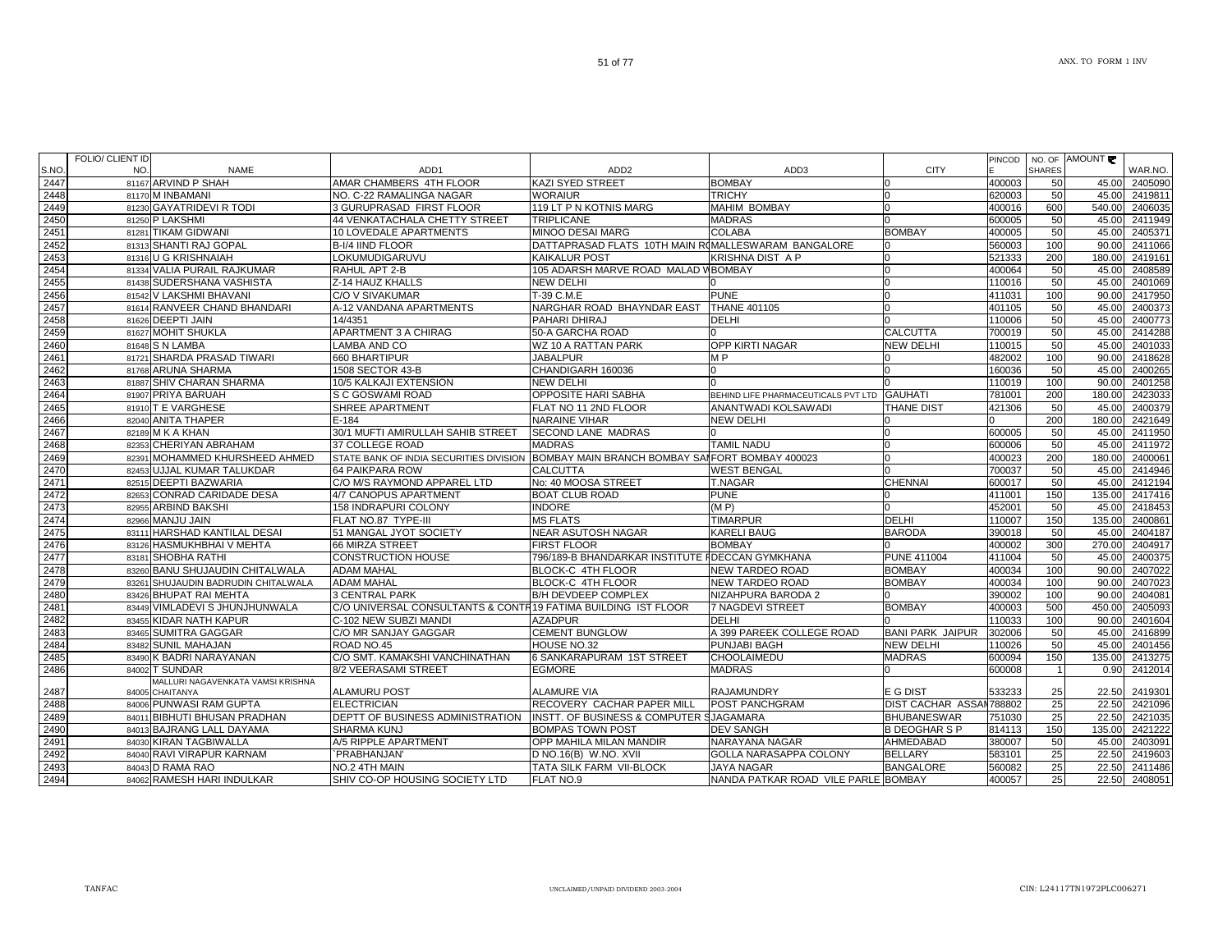|      | FOLIO/ CLIENT ID |                                     |                                                               |                                                     |                                     |                         | PINCOD |                | NO. OF AMOUNT |                |
|------|------------------|-------------------------------------|---------------------------------------------------------------|-----------------------------------------------------|-------------------------------------|-------------------------|--------|----------------|---------------|----------------|
| S.NO | NO.              | <b>NAME</b>                         | ADD <sub>1</sub>                                              | ADD <sub>2</sub>                                    | ADD3                                | <b>CITY</b>             |        | <b>SHARES</b>  |               | WAR.NO.        |
| 2447 |                  | 81167 ARVIND P SHAH                 | AMAR CHAMBERS 4TH FLOOR                                       | <b>KAZI SYED STREET</b>                             | <b>BOMBAY</b>                       |                         | 400003 | 50             | 45.00         | 2405090        |
| 2448 |                  | 81170 M INBAMANI                    | NO. C-22 RAMALINGA NAGAR                                      | <b>WORAIUR</b>                                      | <b>TRICHY</b>                       | $\Omega$                | 620003 | 50             | 45.00         | 2419811        |
| 2449 |                  | 81230 GAYATRIDEVI R TODI            | 3 GURUPRASAD FIRST FLOOR                                      | 119 LT P N KOTNIS MARG                              | <b>MAHIM BOMBAY</b>                 | <sup>0</sup>            | 400016 | 600            | 540.00        | 2406035        |
| 2450 |                  | 81250 P LAKSHMI                     | 44 VENKATACHALA CHETTY STREET                                 | <b>TRIPLICANE</b>                                   | <b>MADRAS</b>                       |                         | 600005 | 50             | 45.00         | 2411949        |
| 2451 |                  | 81281 TIKAM GIDWANI                 | 10 LOVEDALE APARTMENTS                                        | MINOO DESAI MARG                                    | <b>COLABA</b>                       | <b>BOMBAY</b>           | 400005 | 50             | 45.00         | 2405371        |
| 2452 |                  | 81313 SHANTI RAJ GOPAL              | B-I/4 IIND FLOOR                                              | DATTAPRASAD FLATS 10TH MAIN ROMALLESWARAM BANGALORE |                                     |                         | 560003 | 100            | 90.00         | 2411066        |
| 2453 |                  | 81316 U G KRISHNAIAH                | LOKUMUDIGARUVU                                                | <b>KAIKALUR POST</b>                                | KRISHNA DIST A P                    |                         | 521333 | 200            | 180.00        | 2419161        |
| 2454 |                  | 81334 VALIA PURAIL RAJKUMAR         | RAHUL APT 2-B                                                 | 105 ADARSH MARVE ROAD MALAD V BOMBAY                |                                     |                         | 400064 | 50             | 45.00         | 2408589        |
| 2455 |                  | 81438 SUDERSHANA VASHISTA           | Z-14 HAUZ KHALLS                                              | <b>NEW DELHI</b>                                    |                                     |                         | 110016 | 50             | 45.00         | 2401069        |
| 2456 |                  | 81542 V LAKSHMI BHAVANI             | C/O V SIVAKUMAR                                               | T-39 C.M.E                                          | <b>PUNE</b>                         |                         | 411031 | 100            | 90.00         | 2417950        |
| 2457 |                  | 81614 RANVEER CHAND BHANDARI        | A-12 VANDANA APARTMENTS                                       | NARGHAR ROAD BHAYNDAR EAST                          | <b>THANE 401105</b>                 |                         | 401105 | 50             | 45.00         | 2400373        |
| 2458 |                  | 81626 DEEPTI JAIN                   | 14/4351                                                       | PAHARI DHIRAJ                                       | <b>DELHI</b>                        |                         | 110006 | 50             | 45.00         | 2400773        |
| 2459 |                  | 81627 MOHIT SHUKLA                  | APARTMENT 3 A CHIRAG                                          | 50-A GARCHA ROAD                                    |                                     | <b>CALCUTTA</b>         | 700019 | 50             | 45.00         | 2414288        |
| 2460 |                  | 81648 S N LAMBA                     | LAMBA AND CO                                                  | WZ 10 A RATTAN PARK                                 | <b>OPP KIRTI NAGAR</b>              | <b>NEW DELHI</b>        | 110015 | 50             | 45.00         | 2401033        |
| 2461 |                  | 81721 SHARDA PRASAD TIWARI          | 660 BHARTIPUR                                                 | <b>JABALPUR</b>                                     | M <sub>P</sub>                      |                         | 482002 | 100            | 90.00         | 2418628        |
| 2462 |                  | 81768 ARUNA SHARMA                  | 1508 SECTOR 43-B                                              | CHANDIGARH 160036                                   | n                                   |                         | 160036 | 50             | 45.00         | 2400265        |
|      |                  |                                     |                                                               |                                                     |                                     |                         |        |                |               |                |
| 2463 |                  | 81887 SHIV CHARAN SHARMA            | 10/5 KALKAJI EXTENSION                                        | <b>NEW DELHI</b>                                    |                                     |                         | 110019 | 100            | 90.00         | 2401258        |
| 2464 |                  | 81907 PRIYA BARUAH                  | S C GOSWAMI ROAD                                              | OPPOSITE HARI SABHA                                 | BEHIND LIFE PHARMACEUTICALS PVT LTD | <b>GAUHATI</b>          | 781001 | 200            | 180.00        | 2423033        |
| 2465 |                  | 81910 T E VARGHESE                  | <b>SHREE APARTMENT</b>                                        | <b>FLAT NO 11 2ND FLOOR</b>                         | ANANTWADI KOLSAWADI                 | <b>THANE DIST</b>       | 421306 | 50             | 45.00         | 2400379        |
| 2466 |                  | 82040 ANITA THAPER                  | $E - 184$                                                     | NARAINE VIHAR                                       | <b>NEW DELHI</b>                    |                         |        | 200            |               | 180.00 2421649 |
| 2467 |                  | 82189 M K A KHAN                    | 30/1 MUFTI AMIRULLAH SAHIB STREET                             | <b>SECOND LANE MADRAS</b>                           |                                     |                         | 600005 | 50             | 45.00         | 2411950        |
| 2468 |                  | 82353 CHERIYAN ABRAHAM              | 37 COLLEGE ROAD                                               | <b>MADRAS</b>                                       | <b>TAMIL NADU</b>                   | n                       | 600006 | 50             | 45.00         | 2411972        |
| 2469 |                  | 82391 MOHAMMED KHURSHEED AHMED      | STATE BANK OF INDIA SECURITIES DIVISION                       | BOMBAY MAIN BRANCH BOMBAY SANFORT BOMBAY 400023     |                                     | <sup>n</sup>            | 400023 | 200            | 180.00        | 2400061        |
| 2470 |                  | 82453 UJJAL KUMAR TALUKDAR          | <b>64 PAIKPARA ROW</b>                                        | <b>CALCUTTA</b>                                     | <b>WEST BENGAL</b>                  |                         | 700037 | 50             | 45.00         | 2414946        |
| 2471 |                  | 82515 DEEPTI BAZWARIA               | C/O M/S RAYMOND APPAREL LTD                                   | No: 40 MOOSA STREET                                 | T.NAGAR                             | <b>CHENNAI</b>          | 600017 | 50             | 45.00         | 2412194        |
| 2472 |                  | 82653 CONRAD CARIDADE DESA          | 4/7 CANOPUS APARTMENT                                         | <b>BOAT CLUB ROAD</b>                               | <b>PUNE</b>                         |                         | 411001 | 150            | 135.00        | 2417416        |
| 2473 |                  | 82955 ARBIND BAKSHI                 | 158 INDRAPURI COLONY                                          | <b>INDORE</b>                                       | (MP)                                |                         | 452001 | 50             | 45.00         | 2418453        |
| 2474 |                  | 82966 MANJU JAIN                    | FLAT NO.87 TYPE-III                                           | <b>MS FLATS</b>                                     | <b>TIMARPUR</b>                     | <b>DELHI</b>            | 110007 | 150            | 135.00        | 2400861        |
| 2475 |                  | 83111 HARSHAD KANTILAL DESAI        | 51 MANGAL JYOT SOCIETY                                        | <b>NEAR ASUTOSH NAGAR</b>                           | <b>KARELI BAUG</b>                  | <b>BARODA</b>           | 390018 | 50             | 45.00         | 2404187        |
| 2476 |                  | 83126 HASMUKHBHAI V MEHTA           | 66 MIRZA STREET                                               | <b>FIRST FLOOR</b>                                  | <b>BOMBAY</b>                       |                         | 400002 | 300            | 270.00        | 2404917        |
| 2477 |                  | 83181 SHOBHA RATHI                  | <b>CONSTRUCTION HOUSE</b>                                     | 796/189-B BHANDARKAR INSTITUTE I DECCAN GYMKHANA    |                                     | <b>PUNE 411004</b>      | 411004 | 50             | 45.00         | 2400375        |
| 2478 |                  | 83260 BANU SHUJAUDIN CHITALWALA     | <b>ADAM MAHAL</b>                                             | <b>BLOCK-C 4TH FLOOR</b>                            | <b>NEW TARDEO ROAD</b>              | <b>BOMBAY</b>           | 400034 | 100            | 90.00         | 2407022        |
| 2479 |                  | 83261 SHUJAUDIN BADRUDIN CHITALWALA | <b>ADAM MAHAL</b>                                             | BLOCK-C 4TH FLOOR                                   | <b>NEW TARDEO ROAD</b>              | <b>BOMBAY</b>           | 400034 | 100            | 90.00         | 2407023        |
| 2480 |                  | 83426 BHUPAT RAI MEHTA              | 3 CENTRAL PARK                                                | <b>B/H DEVDEEP COMPLEX</b>                          | NIZAHPURA BARODA 2                  |                         | 390002 | 100            | 90.00         | 2404081        |
| 2481 |                  | 83449 VIMLADEVI S JHUNJHUNWALA      | C/O UNIVERSAL CONSULTANTS & CONTR19 FATIMA BUILDING IST FLOOR |                                                     | 7 NAGDEVI STREET                    | <b>BOMBAY</b>           | 400003 | 500            | 450.00        | 2405093        |
| 2482 |                  | 83455 KIDAR NATH KAPUR              | C-102 NEW SUBZI MANDI                                         | <b>AZADPUR</b>                                      | <b>DELHI</b>                        |                         | 110033 | 100            | 90.00         | 2401604        |
| 2483 |                  | 83465 SUMITRA GAGGAR                | C/O MR SANJAY GAGGAR                                          | <b>CEMENT BUNGLOW</b>                               | A 399 PAREEK COLLEGE ROAD           | <b>BANI PARK JAIPUR</b> | 302006 | 50             | 45.00         | 2416899        |
| 2484 |                  | 83482 SUNIL MAHAJAN                 | ROAD NO.45                                                    | HOUSE NO.32                                         | PUNJABI BAGH                        | <b>NEW DELHI</b>        | 110026 | 50             | 45.00         | 2401456        |
| 2485 |                  | 83490 K BADRI NARAYANAN             | C/O SMT. KAMAKSHI VANCHINATHAN                                | <b>6 SANKARAPURAM 1ST STREET</b>                    | CHOOLAIMEDU                         | <b>MADRAS</b>           | 600094 | 150            | 135.00        | 2413275        |
| 2486 |                  | 84002 T SUNDAR                      | 8/2 VEERASAMI STREET                                          | <b>EGMORE</b>                                       | <b>MADRAS</b>                       |                         | 600008 | $\overline{1}$ | 0.90          | 2412014        |
|      |                  | MALLURI NAGAVENKATA VAMSI KRISHNA   |                                                               |                                                     |                                     |                         |        |                |               |                |
| 2487 |                  | 84005 CHAITANYA                     | <b>ALAMURU POST</b>                                           | <b>ALAMURE VIA</b>                                  | <b>RAJAMUNDRY</b>                   | E G DIST                | 533233 | 25             | 22.50         | 2419301        |
| 2488 |                  | 84006 PUNWASI RAM GUPTA             | <b>ELECTRICIAN</b>                                            | RECOVERY CACHAR PAPER MILL                          | POST PANCHGRAM                      | DIST CACHAR ASSAN788802 |        | 25             | 22.50         | 2421096        |
| 2489 |                  | 84011 BIBHUTI BHUSAN PRADHAN        | DEPTT OF BUSINESS ADMINISTRATION                              | INSTT. OF BUSINESS & COMPUTER SJAGAMARA             |                                     | <b>BHUBANESWAR</b>      | 751030 | 25             | 22.50         | 2421035        |
| 2490 |                  | 84013 BAJRANG LALL DAYAMA           | SHARMA KUNJ                                                   | <b>BOMPAS TOWN POST</b>                             | <b>DEV SANGH</b>                    | <b>B DEOGHAR S P</b>    | 814113 | 150            | 135.00        | 2421222        |
| 2491 |                  | 84030 KIRAN TAGBIWALLA              | A/5 RIPPLE APARTMENT                                          | OPP MAHILA MILAN MANDIR                             | NARAYANA NAGAR                      | <b>AHMEDABAD</b>        | 380007 | 50             | 45.00         | 2403091        |
| 2492 |                  | 84040 RAVI VIRAPUR KARNAM           | PRABHANJAN'                                                   | D NO.16(B) W.NO. XVII                               | GOLLA NARASAPPA COLONY              | <b>BELLARY</b>          | 583101 | 25             | 22.50         | 2419603        |
| 2493 |                  | 84043 D RAMA RAO                    | NO.2 4TH MAIN                                                 | TATA SILK FARM VII-BLOCK                            | <b>JAYA NAGAR</b>                   | <b>BANGALORE</b>        | 560082 | 25             | 22.50         | 2411486        |
| 2494 |                  | 84062 RAMESH HARI INDULKAR          | SHIV CO-OP HOUSING SOCIETY LTD                                | FLAT NO.9                                           | NANDA PATKAR ROAD VILE PARLE BOMBAY |                         | 400057 | 25             | 22.50         | 2408051        |
|      |                  |                                     |                                                               |                                                     |                                     |                         |        |                |               |                |

51 of 77

FOLIO/ CLIENT ID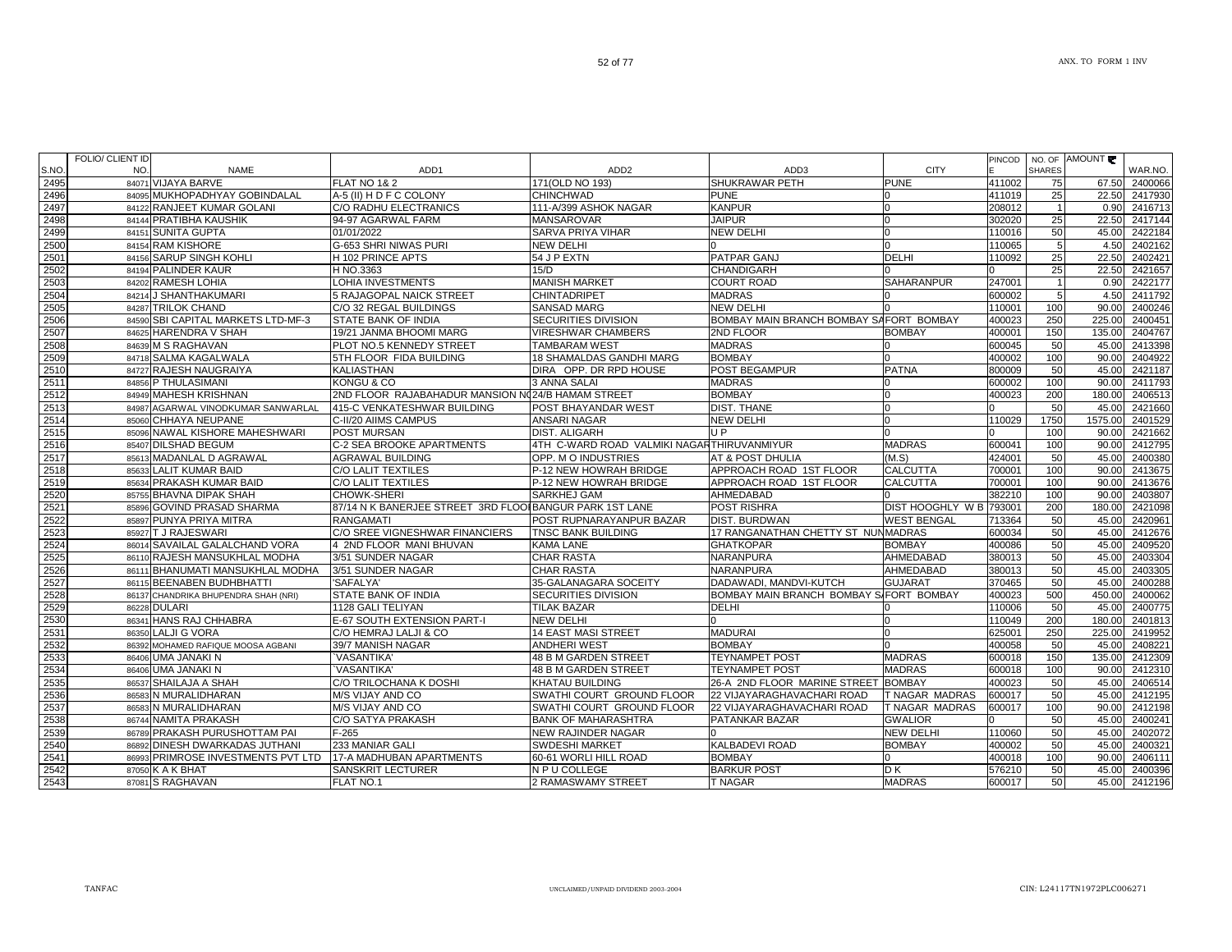1 86993 PRIMROSE INVESTMENTS PVT LTD |17-A MADHUBAN APARTMENTS | 60-61 WORLI HILL ROAD | BOMBAY | 100 | 400018 | 100 | 90.00 | 2406111

87050 K A K BHAT SANSKRIT LECTURER N P U COLLEGE BARKUR POST D K 576210 50 45.00 2400396

86537 SHAILAJA A SHAH C/O TRILOCHANA K DOSHI KHATAU BUILDING 26-A 2ND FLOOR MARINE STREET BOMBAY 400023 | 50 45.00 2406514

86583 N MURALIDHARAN M/S VIJAY AND CO SWATHI COURT GROUND FLOOR 22 VIJAYARAGHAVACHARI ROAD T NAGAR MADRAS 600017 100 90.00 2412198

86789 PRAKASH PURUSHOTTAM PAI F-265 NEW RAJINDER NAGAR 2002 NEW DELHI 110060 50 45.00 2402072

86892 DINESH DWARKADAS JUTHANI 233 MANIAR GALI SWDESHI MARKET KALBADEVI ROAD BOMBAY 400002 50 45.00 240032

N S VIJAY AND CO SWATHI COURT GROUND FLOOR 22 VIJAYARAGHAVACHARI ROAD T NAGAR MADRAS 600017 50 45.00 2412195

NAMITA PRAKASH C/O SATYA PRAKASH BANK OF MAHARASHTRA PATANKAR BAZAR GWALIOR 0 50 45.00 2400241

S RAGHAVAN FLAT NO.1 2 RAMASWAMY STREET T NAGAR MADRAS 600017 50 45.00 2412196

|  | 84156 SARUP SINGH KOHLI              | H 102 PRINCE APTS                                       | 54 J P EXTN                                | <b>PATPAR GANJ</b>                      | DELHI                   | 110092 | 25            | 22.50  | 2402421        |
|--|--------------------------------------|---------------------------------------------------------|--------------------------------------------|-----------------------------------------|-------------------------|--------|---------------|--------|----------------|
|  | 84194 PALINDER KAUR                  | H NO.3363                                               | 15/D                                       | <b>CHANDIGARH</b>                       |                         |        | 25            | 22.50  | 2421657        |
|  | 84202 RAMESH LOHIA                   | LOHIA INVESTMENTS                                       | <b>MANISH MARKE</b>                        | <b>COURT ROAD</b>                       | <b>SAHARANPUR</b>       | 247001 |               | 0.90   | 2422177        |
|  | 84214 J SHANTHAKUMARI                | <b>5 RAJAGOPAL NAICK STREET</b>                         | CHINTADRIPET                               | <b>MADRAS</b>                           |                         | 600002 |               | 4.50   | 2411792        |
|  | 84287 TRILOK CHAND                   | C/O 32 REGAL BUILDINGS                                  | <b>SANSAD MARG</b>                         | <b>NEW DELHI</b>                        |                         | 110001 | 100           | 90.00  | 2400246        |
|  | 84590 SBI CAPITAL MARKETS LTD-MF-3   | <b>STATE BANK OF INDIA</b>                              | <b>SECURITIES DIVISION</b>                 | BOMBAY MAIN BRANCH BOMBAY SAFORT BOMBAY |                         | 400023 | 250           | 225.0  | 2400451        |
|  | 84625 HARENDRA V SHAH                | 19/21 JANMA BHOOMI MARG                                 | <b>VIRESHWAR CHAMBERS</b>                  | 2ND FLOOR                               | <b>BOMBAY</b>           | 400001 | 150           | 135.0  | 2404767        |
|  | 84639 M S RAGHAVAN                   | PLOT NO.5 KENNEDY STREET                                | <b>TAMBARAM WEST</b>                       | <b>MADRAS</b>                           |                         | 600045 | 50            | 45.0   | 2413398        |
|  | 84718 SALMA KAGALWALA                | 5TH FLOOR FIDA BUILDING                                 | <b>18 SHAMALDAS GANDHI MARG</b>            | <b>BOMBAY</b>                           |                         | 400002 | 100           | 90.0   | 2404922        |
|  | 84727 RAJESH NAUGRAIYA               | <b>KALIASTHAN</b>                                       | DIRA OPP. DR RPD HOUSE                     | <b>POST BEGAMPUR</b>                    | <b>PATNA</b>            | 800009 | 50            | 45.0   | 2421187        |
|  | 84856 P THULASIMANI                  | KONGU & CO                                              | 3 ANNA SALAI                               | <b>MADRAS</b>                           |                         | 600002 | 100           | 90.00  | 2411793        |
|  | 84949 MAHESH KRISHNAN                | 2ND FLOOR RAJABAHADUR MANSION N024/B HAMAM STREET       |                                            | <b>BOMBAY</b>                           |                         | 400023 | 200           | 180.0  | 2406513        |
|  | 84987 AGARWAL VINODKUMAR SANWARLAL   | 415-C VENKATESHWAR BUILDING                             | <b>POST BHAYANDAR WEST</b>                 | <b>DIST. THANE</b>                      |                         |        | 50            | 45.00  | 2421660        |
|  | 85060 CHHAYA NEUPANE                 | C-II/20 AIIMS CAMPUS                                    | <b>ANSARI NAGAR</b>                        | <b>NEW DELHI</b>                        |                         | 110029 | 1750          | 1575.0 | 2401529        |
|  | 85096 NAWAL KISHORE MAHESHWARI       | <b>POST MURSAN</b>                                      | <b>DIST. ALIGARH</b>                       | U P                                     |                         |        | 100           | 90.0   | 2421662        |
|  | 85407 DILSHAD BEGUM                  | C-2 SEA BROOKE APARTMENTS                               | 4TH C-WARD ROAD VALMIKI NAGARTHIRUVANMIYUR |                                         | <b>MADRAS</b>           | 600041 | 100           | 90.0   | 2412795        |
|  | 85613 MADANLAL D AGRAWAL             | <b>AGRAWAL BUILDING</b>                                 | OPP. M O INDUSTRIES                        | <b>AT &amp; POST DHULIA</b>             | (M.S)                   | 424001 | 50            | 45.0   | 2400380        |
|  | 85633 LALIT KUMAR BAID               | C/O LALIT TEXTILES                                      | P-12 NEW HOWRAH BRIDGE                     | APPROACH ROAD 1ST FLOOR                 | <b>CALCUTTA</b>         | 700001 | 100           | 90.00  | 2413675        |
|  | 85634 PRAKASH KUMAR BAID             | <b>C/O LALIT TEXTILES</b>                               | P-12 NEW HOWRAH BRIDGE                     | APPROACH ROAD 1ST FLOOR                 | <b>CALCUTTA</b>         | 700001 | 100           | 90.00  | 2413676        |
|  | 85755 BHAVNA DIPAK SHAH              | CHOWK-SHERI                                             | <b>SARKHEJ GAM</b>                         | AHMEDABAD                               |                         | 382210 | 100           | 90.00  | 2403807        |
|  | 85896 GOVIND PRASAD SHARMA           | 87/14 N K BANERJEE STREET 3RD FLOOIBANGUR PARK 1ST LANE |                                            | <b>POST RISHRA</b>                      | DIST HOOGHLY W B 793001 |        | 200           | 180.0  | 2421098        |
|  | 85897 PUNYA PRIYA MITRA              | <b>RANGAMATI</b>                                        | POST RUPNARAYANPUR BAZAR                   | <b>DIST. BURDWAN</b>                    | <b>WEST BENGAL</b>      | 713364 | 50            | 45.0   | 2420961        |
|  | 85927 T J RAJESWARI                  | C/O SREE VIGNESHWAR FINANCIERS                          | <b>TNSC BANK BUILDING</b>                  | 17 RANGANATHAN CHETTY ST NUNMADRAS      |                         | 600034 | 50            | 45.0   | 2412676        |
|  | 86014 SAVAILAL GALALCHAND VORA       | 4 2ND FLOOR MANI BHUVAN                                 | <b>KAMA LANE</b>                           | <b>GHATKOPAR</b>                        | <b>BOMBAY</b>           | 400086 | 50            | 45.0   | 2409520        |
|  | 86110 RAJESH MANSUKHLAL MODHA        | 3/51 SUNDER NAGAR                                       | <b>CHAR RASTA</b>                          | <b>NARANPURA</b>                        | AHMEDABAD               | 380013 | 50            | 45.00  | 2403304        |
|  | 86111 BHANUMATI MANSUKHLAL MODHA     | 3/51 SUNDER NAGAR                                       | <b>CHAR RASTA</b>                          | <b>NARANPURA</b>                        | AHMEDABAD               | 380013 | 50            | 45.00  | 2403305        |
|  | 86115 BEENABEN BUDHBHATTI            | 'SAFALYA'                                               | 35-GALANAGARA SOCEITY                      | DADAWADI, MANDVI-KUTCH                  | <b>GUJARAT</b>          | 370465 | 50            | 45.00  | 2400288        |
|  | 86137 CHANDRIKA BHUPENDRA SHAH (NRI) | <b>STATE BANK OF INDIA</b>                              | <b>SECURITIES DIVISION</b>                 | BOMBAY MAIN BRANCH BOMBAY SIFORT BOMBAY |                         | 400023 | 500           | 450.00 | 2400062        |
|  | 86228 DULARI                         | 1128 GALI TELIYAN                                       | <b>TILAK BAZAR</b>                         | <b>DELHI</b>                            |                         | 110006 | 50            | 45.00  | 2400775        |
|  | 111110001101111001                   |                                                         |                                            |                                         |                         | 1.0010 | $\sim$ $\sim$ |        | 10000000001010 |

NAME ADD1 ADD2 ADD3 CITY

## 3 84202 RAMESH LOHIA LOHIA INVESTMENTS MANISH MARKET COURT ROAD ISAHARANPUR 247001 | 1 0.90 2422177 | 247001 | 84214 J SHANTHAKUMARI 5 RAJAGOPAL NAICK STREET CHINTADRIPET MADRAS 0 600002 5 4.50 2411792 84287 TRILOK CHAND C/O 32 REGAL BUILDINGS SANSAD MARG NEW DELHI 0 110001 100 90.00 2400246 oISBI CAPITAL MARKETS LTD-MF-3 ISTATE BANK OF INDIA ISECURITIES DIVISION BOMBAY MAIN BRANCH BOMBAY SAFORT BOMBAY I400023 | 250 | 225.00 | 2400451 84625 HARENDRA V SHAH 19/21 JANMA BHOOMI MARG VIRESHWAR CHAMBERS 2ND FLOOR BOMBAY 400001 150 135.00 2404767 84639 M S RAGHAVAN PLOT NO.5 KENNEDY STREET TAMBARAM WEST MADRAS 0 600045 50 45.00 2413398 SALMA KAGALWALA 5TH FLOOR FIDA BUILDING 18 SHAMALDAS GANDHI MARG BOMBAY 0 400002 100 90.00 2404922 84727 RAJESH NAUGRAIYA KALIASTHAN DIRA OPP. DR RPD HOUSE POST BEGAMPUR PATNA 800009 50 45.00 2421187 P THULASIMANI KONGU & CO 3 ANNA SALAI MADRAS 0 600002 100 90.00 2411793 84949 MAHESH KRISHNAN 2ND FLOOR RAJABAHADUR MANSION NO24/B HAMAM STREET BOMBAY 0 400023 200 180.00 2406513 AGARWAL VINODKUMAR SANWARLAL 415-C VENKATESHWAR BUILDING POST BHAYANDAR WEST DIST. THANE 0 0 50 45.00 2421660 CHHAYA NEUPANE C-II/20 AIIMS CAMPUS ANSARI NAGAR NEW DELHI 0 110029 1750 1575.00 2401529 85096 NAWAL KISHORE MAHESHWARI POST MURSAN DIST. ALIGARH U P 0 0 100 90.00 2421662 61 85407|DILSHAD BEGUM C-2 SEA BROOKE APARTMENTS |4TH C-WARD ROAD VALMIKI NAGARTHIRUVANMIYUR | MADRAS | 600041 | 100 90.00 2412795 7] 85613|MADANLAL D AGRAWAL |AGRAWAL BUILDING |OPP. M O INDUSTRIES |AT & POST DHULIA |(M.S) |424001 | 50| 45.00| 2400380 LALIT KUMAR BAID C/O LALIT TEXTILES P-12 NEW HOWRAH BRIDGE APPROACH ROAD 1ST FLOOR CALCUTTA 700001 100 90.00 2413675 85634 PRAKASH KUMAR BAID C/O LALIT TEXTILES P-12 NEW HOWRAH BRIDGE APPROACH ROAD 1ST FLOOR CALCUTTA 700001 100 90.00 2413676 85755 BHAVNA DIPAK SHAH CHOWK-SHERI SARKHEJ GAM AHMEDABAD 0 382210 100 90.00 2403807 85896 GOVIND PRASAD SHARMA 87/14 N K BANERJEE STREET 3RD FLOORBANGUR PARK 1ST LANE POST RISHRA DIST HOOGHLY W B 793001 200 180.00 2421098 PUNYA PRIYA MITRA RANGAMATI POST RUPNARAYANPUR BAZAR DIST. BURDWAN WEST BENGAL 713364 50 45.00 2420961 85927 T J RAJESWARI C/O SREE VIGNESHWAR FINANCIERS TNSC BANK BUILDING 17 RANGANATHAN CHETTY ST NUNMADRAS 600034 50 45.00 2412676 86014 SAVAILAL GALALCHAND VORA 4 2ND FLOOR MANI BHUVAN KAMA LANE GHATKOPAR BOMBAY 400086 50 45.00 2409520 RAJESH MANSUKHLAL MODHA 3/51 SUNDER NAGAR CHAR RASTA NARANPURA AHMEDABAD 380013 50 45.00 2403304 86111 BHANUMATI MANSUKHLAL MODHA 3/51 SUNDER NAGAR CHAR RASTA NARANPURA AHMEDABAD 380013 50 45.00 2403305 <sup>86115</sup> BEENABEN BUDHBHATTI 'SAFALYA' 35-GALANAGARA SOCEITY DADAWADI, MANDVI-KUTCH GUJARAT 370465 50 45.00 2400288 86137 CHANDRIKA BHUPENDRA SHAH (NRI) STATE BANK OF INDIA SECURITIES DIVISION BOMBAY MAIN BRANCH BOMBAY SIFORT BOMBAY 1400023 | 500 450.00 2400062 86228 DULARI 1128 GALI TELIYAN TILAK BAZAR DELHI 0 110006 50 45.00 2400775 86341 HANS RAJ CHHABRA E-67 SOUTH EXTENSION PART-I NEW DELHI 0 0 110049 200 110049 200 180.00 240181 86350 LALJI G VORA الساب المسلم المسلم المسلم المسلم المسلم المسلم المسلم المسلم المسلم المسلم المسلم المسلم المسلم المسلم المسلم<br>1997 - 1400058 1901 145.00 2408221 14 ANDHERI WEST BOMBAY 10 1400058 10 45.00 2408221 1400058 150 45.00 240822 86392 MOHAMED RAFIQUE MOOSA AGBANI 39/7 MANISH NAGAR ANDHERI WEST BOMBAY DO ANDHERI WEST AS ON 2408221 AND 2408221 86406 UMA JANAKI N `VASANTIKA' 48 B M GARDEN STREET TEYNAMPET POST MADRAS 600018 150 135.00 2412309 86406 UMA JANAKI N `VASANTIKA' 48 B M GARDEN STREET TEYNAMPET POST MADRAS 600018 100 90.00 2412310

52 of 77

<sup>84071</sup> VIJAYA BARVE FLAT NO 1& 2 171(OLD NO 193) SHUKRAWAR PETH PUNE 411002 75 67.50 2400066

84122 RANJEET KUMAR GOLANI C/O RADHU ELECTRANICS 111-A/399 ASHOK NAGAR KANPUR 0 208012 1 0.90 2416713

84151 SUNITA GUPTA 01/01/2022 SARVA PRIYA VIHAR NEW DELHI 0 110016 50 45.00 2422184

84154 RAM KISHORE G-653 SHRI NIWAS PURI NEW DELHI 0 0 110065 5 4.50 2402162

84095 MUKHOPADHYAY GOBINDALAL | A-5 (II) H D F C COLONY | CHINCHWAD | PUNE | PUNE | 0 | 411019 | 25 | 22.50 2417930<br>208012 | 1 | 0.90 2416713 | 2020 DADHU ELECTRANICS | 111-A/399 ASHOK NAGAR | KANPUR | 0 | 0 | 208012 | 1

84144 PRATIBHA KAUSHIK 94-97 AGARWAL FARM MANSAROVAR JAIPUR JAIPUR 0 302020 25 22.50 2417144

AMOUNT

WAR.NO.

PINCODE

NO. OF SHARES

ANX. TO FORM 1 INV

86583 N MURALIDHARAN

86744 NAMITA PRAKASH

87081 S RAGHAVAN

S.NO.

2495

2496

2497

2498

2499

2500

2501

2502

2503

2504

2505

2506

2507

2508

2509

2510

2511

2512

2513

2514

2515

2516

2517

2518

2519

2520

2521

2522

2523

2524

2525

2526

2527

2528

2529

2530

2531

2532

2533

2534

2535

2536

2537

2538

2539

2540

2541

2542

 $2543$ 

FOLIO/ CLIENT ID NO.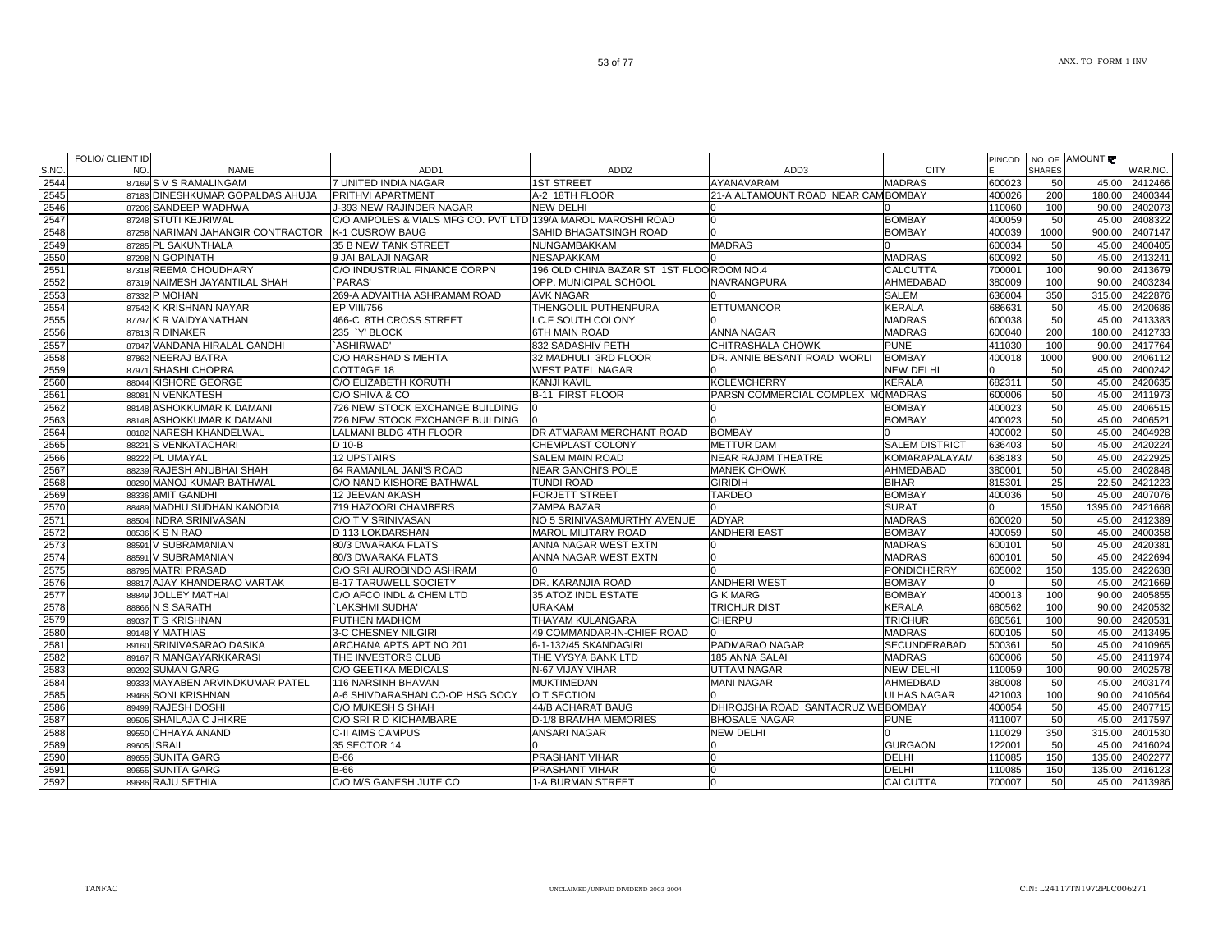| NO.<br><b>CITY</b><br><b>SHARES</b><br><b>NAME</b><br>ADD1<br>ADD <sub>2</sub><br>ADD <sub>3</sub><br>2544<br>87169 S V S RAMALINGAM<br>7 UNITED INDIA NAGAR<br><b>1ST STREET</b><br>AYANAVARAM<br><b>MADRAS</b><br>600023<br>50<br>45.00<br>2412466<br>2545<br>87183 DINESHKUMAR GOPALDAS AHUJA<br>PRITHVI APARTMENT<br>A-2 18TH FLOOR<br>21-A ALTAMOUNT ROAD NEAR CAMBOMBAY<br>400026<br>200<br>180.00<br>2400344<br>2546<br>87206 SANDEEP WADHWA<br><b>J-393 NEW RAJINDER NAGAR</b><br><b>NEW DELHI</b><br>110060<br>100<br>90.00<br>2402073<br>C/O AMPOLES & VIALS MFG CO. PVT LTD 139/A MAROL MAROSHI ROAD<br>2547<br>87248 STUTI KEJRIWAL<br><b>BOMBAY</b><br>400059<br>50<br>45.00<br>2408322<br>n<br>2548<br>87258 NARIMAN JAHANGIR CONTRACTOR<br><b>K-1 CUSROW BAUG</b><br><b>SAHID BHAGATSINGH ROAD</b><br><b>BOMBAY</b><br>400039<br>1000<br>900.00<br>2407147<br>2549<br>2400405<br>87285 PL SAKUNTHALA<br>35 B NEW TANK STREET<br>NUNGAMBAKKAM<br><b>MADRAS</b><br>600034<br>50<br>45.00<br>2550<br><b>MADRAS</b><br>50<br>87298 N GOPINATH<br>9 JAI BALAJI NAGAR<br>NESAPAKKAM<br>600092<br>45.00<br>2413241<br>2551<br>C/O INDUSTRIAL FINANCE CORPN<br>196 OLD CHINA BAZAR ST 1ST FLOO ROOM NO.4<br><b>CALCUTTA</b><br>87318 REEMA CHOUDHARY<br>700001<br>90.00<br>2413679<br>100<br>2552<br>87319 NAIMESH JAYANTILAL SHAH<br>PARAS'<br>OPP. MUNICIPAL SCHOOL<br>NAVRANGPURA<br>AHMEDABAD<br>380009<br>100<br>2403234<br>90.00<br>2553<br>2422876<br>87332 P MOHAN<br>269-A ADVAITHA ASHRAMAM ROAD<br><b>SALEM</b><br>636004<br>350<br>315.00<br><b>AVK NAGAR</b><br><b>KERALA</b><br>2554<br>87542 K KRISHNAN NAYAR<br>EP VIII/756<br>THENGOLIL PUTHENPURA<br><b>ETTUMANOOR</b><br>686631<br>50<br>45.00<br>2420686<br><b>MADRAS</b><br>2555<br>87797 K R VAIDYANATHAN<br>466-C 8TH CROSS STREET<br>I.C.F SOUTH COLONY<br>600038<br>50<br>45.00<br>2413383<br><b>MADRAS</b><br>2556<br>87813 R DINAKER<br>235 'Y' BLOCK<br>6TH MAIN ROAD<br><b>ANNA NAGAR</b><br>600040<br>200<br>180.00<br>2412733<br>2557<br>CHITRASHALA CHOWK<br><b>PUNE</b><br>87847 VANDANA HIRALAL GANDHI<br>'ASHIRWAD'<br>832 SADASHIV PETH<br>411030<br>100<br>90.00<br>2417764<br>2558<br>C/O HARSHAD S MEHTA<br>DR. ANNIE BESANT ROAD WORLI<br><b>BOMBAY</b><br>900.00<br>2406112<br>87862 NEERAJ BATRA<br>32 MADHULI 3RD FLOOR<br>400018<br>1000<br>2559<br>87971 SHASHI CHOPRA<br>COTTAGE 18<br><b>WEST PATEL NAGAR</b><br><b>NEW DELHI</b><br>50<br>2400242<br>45.00<br>2560<br>C/O ELIZABETH KORUTH<br><b>KERALA</b><br>682311<br>2420635<br>88044 KISHORE GEORGE<br><b>KANJI KAVIL</b><br><b>KOLEMCHERRY</b><br>50<br>45.00<br>2561<br>C/O SHIVA & CO<br><b>B-11 FIRST FLOOR</b><br>PARSN COMMERCIAL COMPLEX MOMADRAS<br>50<br>45.00<br>2411973<br>88081 N VENKATESH<br>600006<br>726 NEW STOCK EXCHANGE BUILDING<br>2562<br>88148 ASHOKKUMAR K DAMANI<br><b>BOMBAY</b><br>400023<br>50<br>45.00<br>2406515<br>2563<br>50<br>88148 ASHOKKUMAR K DAMANI<br>726 NEW STOCK EXCHANGE BUILDING<br><b>BOMBAY</b><br>400023<br>45.00<br>2406521<br>2564<br>2404928<br>88182 NARESH KHANDELWAL<br>LALMANI BLDG 4TH FLOOR<br>DR ATMARAM MERCHANT ROAD<br><b>BOMBAY</b><br>400002<br>50<br>45.00<br>2565<br>50<br>88221 S VENKATACHARI<br>D 10-B<br><b>CHEMPLAST COLONY</b><br><b>METTUR DAM</b><br><b>SALEM DISTRICT</b><br>636403<br>45.00<br>2420224<br>2566<br><b>12 UPSTAIRS</b><br><b>SALEM MAIN ROAD</b><br><b>NEAR RAJAM THEATRE</b><br><b>KOMARAPALAYAM</b><br>638183<br>2422925<br>88222 PL UMAYAL<br>50<br>45.00<br>2567<br>64 RAMANLAL JANI'S ROAD<br>50<br>88239 RAJESH ANUBHAI SHAH<br>NEAR GANCHI'S POLE<br><b>MANEK CHOWK</b><br><b>AHMEDABAD</b><br>380001<br>45.00<br>2402848<br>2568<br><b>BIHAR</b><br>25<br>22.50<br>2421223<br>88290 MANOJ KUMAR BATHWAL<br>C/O NAND KISHORE BATHWAL<br><b>TUNDI ROAD</b><br><b>GIRIDIH</b><br>815301<br>2569<br>12 JEEVAN AKASH<br><b>FORJETT STREET</b><br><b>TARDEO</b><br><b>BOMBAY</b><br>400036<br>50<br>2407076<br>88336 AMIT GANDHI<br>45.00<br>2570<br>88489 MADHU SUDHAN KANODIA<br><b>SURAT</b><br>1550<br>2421668<br>719 HAZOORI CHAMBERS<br><b>ZAMPA BAZAR</b><br>1395.00<br><b>MADRAS</b><br>2412389<br>2571<br>88504 INDRA SRINIVASAN<br>NO 5 SRINIVASAMURTHY AVENUE<br><b>ADYAR</b><br>600020<br>50<br>45.00<br>C/O T V SRINIVASAN<br>2572<br>88536 K S N RAO<br><b>MAROL MILITARY ROAD</b><br><b>ANDHERI EAST</b><br><b>BOMBAY</b><br>400059<br>50<br>2400358<br>D 113 LOKDARSHAN<br>45.00<br>2573<br>88591 V SUBRAMANIAN<br>80/3 DWARAKA FLATS<br>ANNA NAGAR WEST EXTN<br><b>MADRAS</b><br>50<br>45.00<br>2420381<br>600101<br>2574<br><b>MADRAS</b><br>2422694<br>88591 V SUBRAMANIAN<br>80/3 DWARAKA FLATS<br>ANNA NAGAR WEST EXTN<br>600101<br>50<br>45.00<br>2575<br>88795 MATRI PRASAD<br>C/O SRI AUROBINDO ASHRAM<br><b>PONDICHERRY</b><br>150<br>135.00<br>2422638<br>605002<br><b>ANDHERI WEST</b><br>2576<br>88817 AJAY KHANDERAO VARTAK<br><b>B-17 TARUWELL SOCIETY</b><br>DR. KARANJIA ROAD<br><b>BOMBAY</b><br>50<br>2421669<br>45.00<br>2577<br><b>BOMBAY</b><br>90.00<br>2405855<br>88849 JOLLEY MATHAI<br>C/O AFCO INDL & CHEM LTD<br>35 ATOZ INDL ESTATE<br><b>G K MARG</b><br>400013<br>100<br>2578<br><b>KERALA</b><br>88866 N S SARATH<br>`LAKSHMI SUDHA'<br><b>URAKAM</b><br><b>TRICHUR DIST</b><br>680562<br>100<br>90.00<br>2420532<br>2579<br><b>THAYAM KULANGARA</b><br><b>CHERPU</b><br><b>TRICHUR</b><br>90.00<br>2420531<br>89037 T S KRISHNAN<br>PUTHEN MADHOM<br>680561<br>100<br>2580<br>49 COMMANDAR-IN-CHIEF ROAD<br><b>MADRAS</b><br>50<br>2413495<br>89148 Y MATHIAS<br>3-C CHESNEY NILGIRI<br>600105<br>45.00<br>2581<br>89160 SRINIVASARAO DASIKA<br>ARCHANA APTS APT NO 201<br>PADMARAO NAGAR<br><b>SECUNDERABAD</b><br>50<br>2410965<br>6-1-132/45 SKANDAGIRI<br>500361<br>45.00<br>2582<br><b>MADRAS</b><br>600006<br>50<br>2411974<br>89167 R MANGAYARKKARASI<br>THE INVESTORS CLUB<br>THE VYSYA BANK LTD<br>185 ANNA SALAI<br>45.00<br>2583<br><b>NEW DELHI</b><br>2402578<br>89292 SUMAN GARG<br>C/O GEETIKA MEDICALS<br>N-67 VIJAY VIHAR<br>UTTAM NAGAR<br>110059<br>100<br>90.00<br>2584<br>89333 MAYABEN ARVINDKUMAR PATEL<br><b>MANI NAGAR</b><br>AHMEDBAD<br>50<br>2403174<br>116 NARSINH BHAVAN<br>MUKTIMEDAN<br>380008<br>45.00<br>2585<br>A-6 SHIVDARASHAN CO-OP HSG SOCY<br>O T SECTION<br><b>ULHAS NAGAR</b><br>421003<br>90.00<br>2410564<br>89466 SONI KRISHNAN<br>100<br>2586<br>89499 RAJESH DOSHI<br>44/B ACHARAT BAUG<br>DHIROJSHA ROAD SANTACRUZ WEBOMBAY<br>50<br>2407715<br>C/O MUKESH S SHAH<br>400054<br>45.00<br>2587<br><b>BHOSALE NAGAR</b><br>89505 SHAILAJA C JHIKRE<br>C/O SRI R D KICHAMBARE<br>D-1/8 BRAMHA MEMORIES<br><b>PUNE</b><br>411007<br>50<br>45.00<br>2417597<br>2588<br>89550 CHHAYA ANAND<br><b>NEW DELHI</b><br>350<br>315.00<br>2401530<br><b>C-II AIMS CAMPUS</b><br><b>ANSARI NAGAR</b><br>110029<br>2589<br>35 SECTOR 14<br><b>GURGAON</b><br>122001<br>2416024<br>89605 ISRAIL<br>50<br>45.00<br>2590<br><b>DELHI</b><br>135.00<br>2402277<br>89655 SUNITA GARG<br><b>B-66</b><br><b>PRASHANT VIHAR</b><br>$\Omega$<br>110085<br>150<br>2591<br><b>DELHI</b><br>89655 SUNITA GARG<br><b>B-66</b><br><b>PRASHANT VIHAR</b><br>110085<br>150<br>135.00<br>2416123<br>n<br>2592<br>C/O M/S GANESH JUTE CO<br><b>1-A BURMAN STREET</b><br><b>CALCUTTA</b><br>50<br>45.00 2413986<br>89686 RAJU SETHIA<br>$\Omega$<br>700007 |       | FULIU/ ULIEN I ID |  |  |  | PINCOD   NO. OF AMOUNT |         |
|-------------------------------------------------------------------------------------------------------------------------------------------------------------------------------------------------------------------------------------------------------------------------------------------------------------------------------------------------------------------------------------------------------------------------------------------------------------------------------------------------------------------------------------------------------------------------------------------------------------------------------------------------------------------------------------------------------------------------------------------------------------------------------------------------------------------------------------------------------------------------------------------------------------------------------------------------------------------------------------------------------------------------------------------------------------------------------------------------------------------------------------------------------------------------------------------------------------------------------------------------------------------------------------------------------------------------------------------------------------------------------------------------------------------------------------------------------------------------------------------------------------------------------------------------------------------------------------------------------------------------------------------------------------------------------------------------------------------------------------------------------------------------------------------------------------------------------------------------------------------------------------------------------------------------------------------------------------------------------------------------------------------------------------------------------------------------------------------------------------------------------------------------------------------------------------------------------------------------------------------------------------------------------------------------------------------------------------------------------------------------------------------------------------------------------------------------------------------------------------------------------------------------------------------------------------------------------------------------------------------------------------------------------------------------------------------------------------------------------------------------------------------------------------------------------------------------------------------------------------------------------------------------------------------------------------------------------------------------------------------------------------------------------------------------------------------------------------------------------------------------------------------------------------------------------------------------------------------------------------------------------------------------------------------------------------------------------------------------------------------------------------------------------------------------------------------------------------------------------------------------------------------------------------------------------------------------------------------------------------------------------------------------------------------------------------------------------------------------------------------------------------------------------------------------------------------------------------------------------------------------------------------------------------------------------------------------------------------------------------------------------------------------------------------------------------------------------------------------------------------------------------------------------------------------------------------------------------------------------------------------------------------------------------------------------------------------------------------------------------------------------------------------------------------------------------------------------------------------------------------------------------------------------------------------------------------------------------------------------------------------------------------------------------------------------------------------------------------------------------------------------------------------------------------------------------------------------------------------------------------------------------------------------------------------------------------------------------------------------------------------------------------------------------------------------------------------------------------------------------------------------------------------------------------------------------------------------------------------------------------------------------------------------------------------------------------------------------------------------------------------------------------------------------------------------------------------------------------------------------------------------------------------------------------------------------------------------------------------------------------------------------------------------------------------------------------------------------------------------------------------------------------------------------------------------------------------------------------------------------------------------------------------------------------------------------------------------------------------------------------------------------------------------------------------------------------------------------------------------------------------------------------------------------------------------------------------------------------------------------------------------------------------------------------------------------------------------------------------------------------------------------------------------------------------------------------------------------------------------------------------------------------------------------------------------------------------------------------------------------------------------------------------------------------------------------------------------------------------------------------------------------------------------------------------------------------------------------------------------------------------------------------------------------------------------------------------------------------------------------------------------------------------------------------------------------------------------------------------------------------------------------------------------------------------------------------------------------------------------------------------------------------------------------------------------------------------------------------------------------------------------|-------|-------------------|--|--|--|------------------------|---------|
|                                                                                                                                                                                                                                                                                                                                                                                                                                                                                                                                                                                                                                                                                                                                                                                                                                                                                                                                                                                                                                                                                                                                                                                                                                                                                                                                                                                                                                                                                                                                                                                                                                                                                                                                                                                                                                                                                                                                                                                                                                                                                                                                                                                                                                                                                                                                                                                                                                                                                                                                                                                                                                                                                                                                                                                                                                                                                                                                                                                                                                                                                                                                                                                                                                                                                                                                                                                                                                                                                                                                                                                                                                                                                                                                                                                                                                                                                                                                                                                                                                                                                                                                                                                                                                                                                                                                                                                                                                                                                                                                                                                                                                                                                                                                                                                                                                                                                                                                                                                                                                                                                                                                                                                                                                                                                                                                                                                                                                                                                                                                                                                                                                                                                                                                                                                                                                                                                                                                                                                                                                                                                                                                                                                                                                                                                                                                                                                                                                                                                                                                                                                                                                                                                                                                                                                                                                                                                                                                                                                                                                                                                                                                                                                                                                                                                                                                                                               | S.NO. |                   |  |  |  |                        | WAR.NO. |
|                                                                                                                                                                                                                                                                                                                                                                                                                                                                                                                                                                                                                                                                                                                                                                                                                                                                                                                                                                                                                                                                                                                                                                                                                                                                                                                                                                                                                                                                                                                                                                                                                                                                                                                                                                                                                                                                                                                                                                                                                                                                                                                                                                                                                                                                                                                                                                                                                                                                                                                                                                                                                                                                                                                                                                                                                                                                                                                                                                                                                                                                                                                                                                                                                                                                                                                                                                                                                                                                                                                                                                                                                                                                                                                                                                                                                                                                                                                                                                                                                                                                                                                                                                                                                                                                                                                                                                                                                                                                                                                                                                                                                                                                                                                                                                                                                                                                                                                                                                                                                                                                                                                                                                                                                                                                                                                                                                                                                                                                                                                                                                                                                                                                                                                                                                                                                                                                                                                                                                                                                                                                                                                                                                                                                                                                                                                                                                                                                                                                                                                                                                                                                                                                                                                                                                                                                                                                                                                                                                                                                                                                                                                                                                                                                                                                                                                                                                               |       |                   |  |  |  |                        |         |
|                                                                                                                                                                                                                                                                                                                                                                                                                                                                                                                                                                                                                                                                                                                                                                                                                                                                                                                                                                                                                                                                                                                                                                                                                                                                                                                                                                                                                                                                                                                                                                                                                                                                                                                                                                                                                                                                                                                                                                                                                                                                                                                                                                                                                                                                                                                                                                                                                                                                                                                                                                                                                                                                                                                                                                                                                                                                                                                                                                                                                                                                                                                                                                                                                                                                                                                                                                                                                                                                                                                                                                                                                                                                                                                                                                                                                                                                                                                                                                                                                                                                                                                                                                                                                                                                                                                                                                                                                                                                                                                                                                                                                                                                                                                                                                                                                                                                                                                                                                                                                                                                                                                                                                                                                                                                                                                                                                                                                                                                                                                                                                                                                                                                                                                                                                                                                                                                                                                                                                                                                                                                                                                                                                                                                                                                                                                                                                                                                                                                                                                                                                                                                                                                                                                                                                                                                                                                                                                                                                                                                                                                                                                                                                                                                                                                                                                                                                               |       |                   |  |  |  |                        |         |
|                                                                                                                                                                                                                                                                                                                                                                                                                                                                                                                                                                                                                                                                                                                                                                                                                                                                                                                                                                                                                                                                                                                                                                                                                                                                                                                                                                                                                                                                                                                                                                                                                                                                                                                                                                                                                                                                                                                                                                                                                                                                                                                                                                                                                                                                                                                                                                                                                                                                                                                                                                                                                                                                                                                                                                                                                                                                                                                                                                                                                                                                                                                                                                                                                                                                                                                                                                                                                                                                                                                                                                                                                                                                                                                                                                                                                                                                                                                                                                                                                                                                                                                                                                                                                                                                                                                                                                                                                                                                                                                                                                                                                                                                                                                                                                                                                                                                                                                                                                                                                                                                                                                                                                                                                                                                                                                                                                                                                                                                                                                                                                                                                                                                                                                                                                                                                                                                                                                                                                                                                                                                                                                                                                                                                                                                                                                                                                                                                                                                                                                                                                                                                                                                                                                                                                                                                                                                                                                                                                                                                                                                                                                                                                                                                                                                                                                                                                               |       |                   |  |  |  |                        |         |
|                                                                                                                                                                                                                                                                                                                                                                                                                                                                                                                                                                                                                                                                                                                                                                                                                                                                                                                                                                                                                                                                                                                                                                                                                                                                                                                                                                                                                                                                                                                                                                                                                                                                                                                                                                                                                                                                                                                                                                                                                                                                                                                                                                                                                                                                                                                                                                                                                                                                                                                                                                                                                                                                                                                                                                                                                                                                                                                                                                                                                                                                                                                                                                                                                                                                                                                                                                                                                                                                                                                                                                                                                                                                                                                                                                                                                                                                                                                                                                                                                                                                                                                                                                                                                                                                                                                                                                                                                                                                                                                                                                                                                                                                                                                                                                                                                                                                                                                                                                                                                                                                                                                                                                                                                                                                                                                                                                                                                                                                                                                                                                                                                                                                                                                                                                                                                                                                                                                                                                                                                                                                                                                                                                                                                                                                                                                                                                                                                                                                                                                                                                                                                                                                                                                                                                                                                                                                                                                                                                                                                                                                                                                                                                                                                                                                                                                                                                               |       |                   |  |  |  |                        |         |
|                                                                                                                                                                                                                                                                                                                                                                                                                                                                                                                                                                                                                                                                                                                                                                                                                                                                                                                                                                                                                                                                                                                                                                                                                                                                                                                                                                                                                                                                                                                                                                                                                                                                                                                                                                                                                                                                                                                                                                                                                                                                                                                                                                                                                                                                                                                                                                                                                                                                                                                                                                                                                                                                                                                                                                                                                                                                                                                                                                                                                                                                                                                                                                                                                                                                                                                                                                                                                                                                                                                                                                                                                                                                                                                                                                                                                                                                                                                                                                                                                                                                                                                                                                                                                                                                                                                                                                                                                                                                                                                                                                                                                                                                                                                                                                                                                                                                                                                                                                                                                                                                                                                                                                                                                                                                                                                                                                                                                                                                                                                                                                                                                                                                                                                                                                                                                                                                                                                                                                                                                                                                                                                                                                                                                                                                                                                                                                                                                                                                                                                                                                                                                                                                                                                                                                                                                                                                                                                                                                                                                                                                                                                                                                                                                                                                                                                                                                               |       |                   |  |  |  |                        |         |
|                                                                                                                                                                                                                                                                                                                                                                                                                                                                                                                                                                                                                                                                                                                                                                                                                                                                                                                                                                                                                                                                                                                                                                                                                                                                                                                                                                                                                                                                                                                                                                                                                                                                                                                                                                                                                                                                                                                                                                                                                                                                                                                                                                                                                                                                                                                                                                                                                                                                                                                                                                                                                                                                                                                                                                                                                                                                                                                                                                                                                                                                                                                                                                                                                                                                                                                                                                                                                                                                                                                                                                                                                                                                                                                                                                                                                                                                                                                                                                                                                                                                                                                                                                                                                                                                                                                                                                                                                                                                                                                                                                                                                                                                                                                                                                                                                                                                                                                                                                                                                                                                                                                                                                                                                                                                                                                                                                                                                                                                                                                                                                                                                                                                                                                                                                                                                                                                                                                                                                                                                                                                                                                                                                                                                                                                                                                                                                                                                                                                                                                                                                                                                                                                                                                                                                                                                                                                                                                                                                                                                                                                                                                                                                                                                                                                                                                                                                               |       |                   |  |  |  |                        |         |
|                                                                                                                                                                                                                                                                                                                                                                                                                                                                                                                                                                                                                                                                                                                                                                                                                                                                                                                                                                                                                                                                                                                                                                                                                                                                                                                                                                                                                                                                                                                                                                                                                                                                                                                                                                                                                                                                                                                                                                                                                                                                                                                                                                                                                                                                                                                                                                                                                                                                                                                                                                                                                                                                                                                                                                                                                                                                                                                                                                                                                                                                                                                                                                                                                                                                                                                                                                                                                                                                                                                                                                                                                                                                                                                                                                                                                                                                                                                                                                                                                                                                                                                                                                                                                                                                                                                                                                                                                                                                                                                                                                                                                                                                                                                                                                                                                                                                                                                                                                                                                                                                                                                                                                                                                                                                                                                                                                                                                                                                                                                                                                                                                                                                                                                                                                                                                                                                                                                                                                                                                                                                                                                                                                                                                                                                                                                                                                                                                                                                                                                                                                                                                                                                                                                                                                                                                                                                                                                                                                                                                                                                                                                                                                                                                                                                                                                                                                               |       |                   |  |  |  |                        |         |
|                                                                                                                                                                                                                                                                                                                                                                                                                                                                                                                                                                                                                                                                                                                                                                                                                                                                                                                                                                                                                                                                                                                                                                                                                                                                                                                                                                                                                                                                                                                                                                                                                                                                                                                                                                                                                                                                                                                                                                                                                                                                                                                                                                                                                                                                                                                                                                                                                                                                                                                                                                                                                                                                                                                                                                                                                                                                                                                                                                                                                                                                                                                                                                                                                                                                                                                                                                                                                                                                                                                                                                                                                                                                                                                                                                                                                                                                                                                                                                                                                                                                                                                                                                                                                                                                                                                                                                                                                                                                                                                                                                                                                                                                                                                                                                                                                                                                                                                                                                                                                                                                                                                                                                                                                                                                                                                                                                                                                                                                                                                                                                                                                                                                                                                                                                                                                                                                                                                                                                                                                                                                                                                                                                                                                                                                                                                                                                                                                                                                                                                                                                                                                                                                                                                                                                                                                                                                                                                                                                                                                                                                                                                                                                                                                                                                                                                                                                               |       |                   |  |  |  |                        |         |
|                                                                                                                                                                                                                                                                                                                                                                                                                                                                                                                                                                                                                                                                                                                                                                                                                                                                                                                                                                                                                                                                                                                                                                                                                                                                                                                                                                                                                                                                                                                                                                                                                                                                                                                                                                                                                                                                                                                                                                                                                                                                                                                                                                                                                                                                                                                                                                                                                                                                                                                                                                                                                                                                                                                                                                                                                                                                                                                                                                                                                                                                                                                                                                                                                                                                                                                                                                                                                                                                                                                                                                                                                                                                                                                                                                                                                                                                                                                                                                                                                                                                                                                                                                                                                                                                                                                                                                                                                                                                                                                                                                                                                                                                                                                                                                                                                                                                                                                                                                                                                                                                                                                                                                                                                                                                                                                                                                                                                                                                                                                                                                                                                                                                                                                                                                                                                                                                                                                                                                                                                                                                                                                                                                                                                                                                                                                                                                                                                                                                                                                                                                                                                                                                                                                                                                                                                                                                                                                                                                                                                                                                                                                                                                                                                                                                                                                                                                               |       |                   |  |  |  |                        |         |
|                                                                                                                                                                                                                                                                                                                                                                                                                                                                                                                                                                                                                                                                                                                                                                                                                                                                                                                                                                                                                                                                                                                                                                                                                                                                                                                                                                                                                                                                                                                                                                                                                                                                                                                                                                                                                                                                                                                                                                                                                                                                                                                                                                                                                                                                                                                                                                                                                                                                                                                                                                                                                                                                                                                                                                                                                                                                                                                                                                                                                                                                                                                                                                                                                                                                                                                                                                                                                                                                                                                                                                                                                                                                                                                                                                                                                                                                                                                                                                                                                                                                                                                                                                                                                                                                                                                                                                                                                                                                                                                                                                                                                                                                                                                                                                                                                                                                                                                                                                                                                                                                                                                                                                                                                                                                                                                                                                                                                                                                                                                                                                                                                                                                                                                                                                                                                                                                                                                                                                                                                                                                                                                                                                                                                                                                                                                                                                                                                                                                                                                                                                                                                                                                                                                                                                                                                                                                                                                                                                                                                                                                                                                                                                                                                                                                                                                                                                               |       |                   |  |  |  |                        |         |
|                                                                                                                                                                                                                                                                                                                                                                                                                                                                                                                                                                                                                                                                                                                                                                                                                                                                                                                                                                                                                                                                                                                                                                                                                                                                                                                                                                                                                                                                                                                                                                                                                                                                                                                                                                                                                                                                                                                                                                                                                                                                                                                                                                                                                                                                                                                                                                                                                                                                                                                                                                                                                                                                                                                                                                                                                                                                                                                                                                                                                                                                                                                                                                                                                                                                                                                                                                                                                                                                                                                                                                                                                                                                                                                                                                                                                                                                                                                                                                                                                                                                                                                                                                                                                                                                                                                                                                                                                                                                                                                                                                                                                                                                                                                                                                                                                                                                                                                                                                                                                                                                                                                                                                                                                                                                                                                                                                                                                                                                                                                                                                                                                                                                                                                                                                                                                                                                                                                                                                                                                                                                                                                                                                                                                                                                                                                                                                                                                                                                                                                                                                                                                                                                                                                                                                                                                                                                                                                                                                                                                                                                                                                                                                                                                                                                                                                                                                               |       |                   |  |  |  |                        |         |
|                                                                                                                                                                                                                                                                                                                                                                                                                                                                                                                                                                                                                                                                                                                                                                                                                                                                                                                                                                                                                                                                                                                                                                                                                                                                                                                                                                                                                                                                                                                                                                                                                                                                                                                                                                                                                                                                                                                                                                                                                                                                                                                                                                                                                                                                                                                                                                                                                                                                                                                                                                                                                                                                                                                                                                                                                                                                                                                                                                                                                                                                                                                                                                                                                                                                                                                                                                                                                                                                                                                                                                                                                                                                                                                                                                                                                                                                                                                                                                                                                                                                                                                                                                                                                                                                                                                                                                                                                                                                                                                                                                                                                                                                                                                                                                                                                                                                                                                                                                                                                                                                                                                                                                                                                                                                                                                                                                                                                                                                                                                                                                                                                                                                                                                                                                                                                                                                                                                                                                                                                                                                                                                                                                                                                                                                                                                                                                                                                                                                                                                                                                                                                                                                                                                                                                                                                                                                                                                                                                                                                                                                                                                                                                                                                                                                                                                                                                               |       |                   |  |  |  |                        |         |
|                                                                                                                                                                                                                                                                                                                                                                                                                                                                                                                                                                                                                                                                                                                                                                                                                                                                                                                                                                                                                                                                                                                                                                                                                                                                                                                                                                                                                                                                                                                                                                                                                                                                                                                                                                                                                                                                                                                                                                                                                                                                                                                                                                                                                                                                                                                                                                                                                                                                                                                                                                                                                                                                                                                                                                                                                                                                                                                                                                                                                                                                                                                                                                                                                                                                                                                                                                                                                                                                                                                                                                                                                                                                                                                                                                                                                                                                                                                                                                                                                                                                                                                                                                                                                                                                                                                                                                                                                                                                                                                                                                                                                                                                                                                                                                                                                                                                                                                                                                                                                                                                                                                                                                                                                                                                                                                                                                                                                                                                                                                                                                                                                                                                                                                                                                                                                                                                                                                                                                                                                                                                                                                                                                                                                                                                                                                                                                                                                                                                                                                                                                                                                                                                                                                                                                                                                                                                                                                                                                                                                                                                                                                                                                                                                                                                                                                                                                               |       |                   |  |  |  |                        |         |
|                                                                                                                                                                                                                                                                                                                                                                                                                                                                                                                                                                                                                                                                                                                                                                                                                                                                                                                                                                                                                                                                                                                                                                                                                                                                                                                                                                                                                                                                                                                                                                                                                                                                                                                                                                                                                                                                                                                                                                                                                                                                                                                                                                                                                                                                                                                                                                                                                                                                                                                                                                                                                                                                                                                                                                                                                                                                                                                                                                                                                                                                                                                                                                                                                                                                                                                                                                                                                                                                                                                                                                                                                                                                                                                                                                                                                                                                                                                                                                                                                                                                                                                                                                                                                                                                                                                                                                                                                                                                                                                                                                                                                                                                                                                                                                                                                                                                                                                                                                                                                                                                                                                                                                                                                                                                                                                                                                                                                                                                                                                                                                                                                                                                                                                                                                                                                                                                                                                                                                                                                                                                                                                                                                                                                                                                                                                                                                                                                                                                                                                                                                                                                                                                                                                                                                                                                                                                                                                                                                                                                                                                                                                                                                                                                                                                                                                                                                               |       |                   |  |  |  |                        |         |
|                                                                                                                                                                                                                                                                                                                                                                                                                                                                                                                                                                                                                                                                                                                                                                                                                                                                                                                                                                                                                                                                                                                                                                                                                                                                                                                                                                                                                                                                                                                                                                                                                                                                                                                                                                                                                                                                                                                                                                                                                                                                                                                                                                                                                                                                                                                                                                                                                                                                                                                                                                                                                                                                                                                                                                                                                                                                                                                                                                                                                                                                                                                                                                                                                                                                                                                                                                                                                                                                                                                                                                                                                                                                                                                                                                                                                                                                                                                                                                                                                                                                                                                                                                                                                                                                                                                                                                                                                                                                                                                                                                                                                                                                                                                                                                                                                                                                                                                                                                                                                                                                                                                                                                                                                                                                                                                                                                                                                                                                                                                                                                                                                                                                                                                                                                                                                                                                                                                                                                                                                                                                                                                                                                                                                                                                                                                                                                                                                                                                                                                                                                                                                                                                                                                                                                                                                                                                                                                                                                                                                                                                                                                                                                                                                                                                                                                                                                               |       |                   |  |  |  |                        |         |
|                                                                                                                                                                                                                                                                                                                                                                                                                                                                                                                                                                                                                                                                                                                                                                                                                                                                                                                                                                                                                                                                                                                                                                                                                                                                                                                                                                                                                                                                                                                                                                                                                                                                                                                                                                                                                                                                                                                                                                                                                                                                                                                                                                                                                                                                                                                                                                                                                                                                                                                                                                                                                                                                                                                                                                                                                                                                                                                                                                                                                                                                                                                                                                                                                                                                                                                                                                                                                                                                                                                                                                                                                                                                                                                                                                                                                                                                                                                                                                                                                                                                                                                                                                                                                                                                                                                                                                                                                                                                                                                                                                                                                                                                                                                                                                                                                                                                                                                                                                                                                                                                                                                                                                                                                                                                                                                                                                                                                                                                                                                                                                                                                                                                                                                                                                                                                                                                                                                                                                                                                                                                                                                                                                                                                                                                                                                                                                                                                                                                                                                                                                                                                                                                                                                                                                                                                                                                                                                                                                                                                                                                                                                                                                                                                                                                                                                                                                               |       |                   |  |  |  |                        |         |
|                                                                                                                                                                                                                                                                                                                                                                                                                                                                                                                                                                                                                                                                                                                                                                                                                                                                                                                                                                                                                                                                                                                                                                                                                                                                                                                                                                                                                                                                                                                                                                                                                                                                                                                                                                                                                                                                                                                                                                                                                                                                                                                                                                                                                                                                                                                                                                                                                                                                                                                                                                                                                                                                                                                                                                                                                                                                                                                                                                                                                                                                                                                                                                                                                                                                                                                                                                                                                                                                                                                                                                                                                                                                                                                                                                                                                                                                                                                                                                                                                                                                                                                                                                                                                                                                                                                                                                                                                                                                                                                                                                                                                                                                                                                                                                                                                                                                                                                                                                                                                                                                                                                                                                                                                                                                                                                                                                                                                                                                                                                                                                                                                                                                                                                                                                                                                                                                                                                                                                                                                                                                                                                                                                                                                                                                                                                                                                                                                                                                                                                                                                                                                                                                                                                                                                                                                                                                                                                                                                                                                                                                                                                                                                                                                                                                                                                                                                               |       |                   |  |  |  |                        |         |
|                                                                                                                                                                                                                                                                                                                                                                                                                                                                                                                                                                                                                                                                                                                                                                                                                                                                                                                                                                                                                                                                                                                                                                                                                                                                                                                                                                                                                                                                                                                                                                                                                                                                                                                                                                                                                                                                                                                                                                                                                                                                                                                                                                                                                                                                                                                                                                                                                                                                                                                                                                                                                                                                                                                                                                                                                                                                                                                                                                                                                                                                                                                                                                                                                                                                                                                                                                                                                                                                                                                                                                                                                                                                                                                                                                                                                                                                                                                                                                                                                                                                                                                                                                                                                                                                                                                                                                                                                                                                                                                                                                                                                                                                                                                                                                                                                                                                                                                                                                                                                                                                                                                                                                                                                                                                                                                                                                                                                                                                                                                                                                                                                                                                                                                                                                                                                                                                                                                                                                                                                                                                                                                                                                                                                                                                                                                                                                                                                                                                                                                                                                                                                                                                                                                                                                                                                                                                                                                                                                                                                                                                                                                                                                                                                                                                                                                                                                               |       |                   |  |  |  |                        |         |
|                                                                                                                                                                                                                                                                                                                                                                                                                                                                                                                                                                                                                                                                                                                                                                                                                                                                                                                                                                                                                                                                                                                                                                                                                                                                                                                                                                                                                                                                                                                                                                                                                                                                                                                                                                                                                                                                                                                                                                                                                                                                                                                                                                                                                                                                                                                                                                                                                                                                                                                                                                                                                                                                                                                                                                                                                                                                                                                                                                                                                                                                                                                                                                                                                                                                                                                                                                                                                                                                                                                                                                                                                                                                                                                                                                                                                                                                                                                                                                                                                                                                                                                                                                                                                                                                                                                                                                                                                                                                                                                                                                                                                                                                                                                                                                                                                                                                                                                                                                                                                                                                                                                                                                                                                                                                                                                                                                                                                                                                                                                                                                                                                                                                                                                                                                                                                                                                                                                                                                                                                                                                                                                                                                                                                                                                                                                                                                                                                                                                                                                                                                                                                                                                                                                                                                                                                                                                                                                                                                                                                                                                                                                                                                                                                                                                                                                                                                               |       |                   |  |  |  |                        |         |
|                                                                                                                                                                                                                                                                                                                                                                                                                                                                                                                                                                                                                                                                                                                                                                                                                                                                                                                                                                                                                                                                                                                                                                                                                                                                                                                                                                                                                                                                                                                                                                                                                                                                                                                                                                                                                                                                                                                                                                                                                                                                                                                                                                                                                                                                                                                                                                                                                                                                                                                                                                                                                                                                                                                                                                                                                                                                                                                                                                                                                                                                                                                                                                                                                                                                                                                                                                                                                                                                                                                                                                                                                                                                                                                                                                                                                                                                                                                                                                                                                                                                                                                                                                                                                                                                                                                                                                                                                                                                                                                                                                                                                                                                                                                                                                                                                                                                                                                                                                                                                                                                                                                                                                                                                                                                                                                                                                                                                                                                                                                                                                                                                                                                                                                                                                                                                                                                                                                                                                                                                                                                                                                                                                                                                                                                                                                                                                                                                                                                                                                                                                                                                                                                                                                                                                                                                                                                                                                                                                                                                                                                                                                                                                                                                                                                                                                                                                               |       |                   |  |  |  |                        |         |
|                                                                                                                                                                                                                                                                                                                                                                                                                                                                                                                                                                                                                                                                                                                                                                                                                                                                                                                                                                                                                                                                                                                                                                                                                                                                                                                                                                                                                                                                                                                                                                                                                                                                                                                                                                                                                                                                                                                                                                                                                                                                                                                                                                                                                                                                                                                                                                                                                                                                                                                                                                                                                                                                                                                                                                                                                                                                                                                                                                                                                                                                                                                                                                                                                                                                                                                                                                                                                                                                                                                                                                                                                                                                                                                                                                                                                                                                                                                                                                                                                                                                                                                                                                                                                                                                                                                                                                                                                                                                                                                                                                                                                                                                                                                                                                                                                                                                                                                                                                                                                                                                                                                                                                                                                                                                                                                                                                                                                                                                                                                                                                                                                                                                                                                                                                                                                                                                                                                                                                                                                                                                                                                                                                                                                                                                                                                                                                                                                                                                                                                                                                                                                                                                                                                                                                                                                                                                                                                                                                                                                                                                                                                                                                                                                                                                                                                                                                               |       |                   |  |  |  |                        |         |
|                                                                                                                                                                                                                                                                                                                                                                                                                                                                                                                                                                                                                                                                                                                                                                                                                                                                                                                                                                                                                                                                                                                                                                                                                                                                                                                                                                                                                                                                                                                                                                                                                                                                                                                                                                                                                                                                                                                                                                                                                                                                                                                                                                                                                                                                                                                                                                                                                                                                                                                                                                                                                                                                                                                                                                                                                                                                                                                                                                                                                                                                                                                                                                                                                                                                                                                                                                                                                                                                                                                                                                                                                                                                                                                                                                                                                                                                                                                                                                                                                                                                                                                                                                                                                                                                                                                                                                                                                                                                                                                                                                                                                                                                                                                                                                                                                                                                                                                                                                                                                                                                                                                                                                                                                                                                                                                                                                                                                                                                                                                                                                                                                                                                                                                                                                                                                                                                                                                                                                                                                                                                                                                                                                                                                                                                                                                                                                                                                                                                                                                                                                                                                                                                                                                                                                                                                                                                                                                                                                                                                                                                                                                                                                                                                                                                                                                                                                               |       |                   |  |  |  |                        |         |
|                                                                                                                                                                                                                                                                                                                                                                                                                                                                                                                                                                                                                                                                                                                                                                                                                                                                                                                                                                                                                                                                                                                                                                                                                                                                                                                                                                                                                                                                                                                                                                                                                                                                                                                                                                                                                                                                                                                                                                                                                                                                                                                                                                                                                                                                                                                                                                                                                                                                                                                                                                                                                                                                                                                                                                                                                                                                                                                                                                                                                                                                                                                                                                                                                                                                                                                                                                                                                                                                                                                                                                                                                                                                                                                                                                                                                                                                                                                                                                                                                                                                                                                                                                                                                                                                                                                                                                                                                                                                                                                                                                                                                                                                                                                                                                                                                                                                                                                                                                                                                                                                                                                                                                                                                                                                                                                                                                                                                                                                                                                                                                                                                                                                                                                                                                                                                                                                                                                                                                                                                                                                                                                                                                                                                                                                                                                                                                                                                                                                                                                                                                                                                                                                                                                                                                                                                                                                                                                                                                                                                                                                                                                                                                                                                                                                                                                                                                               |       |                   |  |  |  |                        |         |
|                                                                                                                                                                                                                                                                                                                                                                                                                                                                                                                                                                                                                                                                                                                                                                                                                                                                                                                                                                                                                                                                                                                                                                                                                                                                                                                                                                                                                                                                                                                                                                                                                                                                                                                                                                                                                                                                                                                                                                                                                                                                                                                                                                                                                                                                                                                                                                                                                                                                                                                                                                                                                                                                                                                                                                                                                                                                                                                                                                                                                                                                                                                                                                                                                                                                                                                                                                                                                                                                                                                                                                                                                                                                                                                                                                                                                                                                                                                                                                                                                                                                                                                                                                                                                                                                                                                                                                                                                                                                                                                                                                                                                                                                                                                                                                                                                                                                                                                                                                                                                                                                                                                                                                                                                                                                                                                                                                                                                                                                                                                                                                                                                                                                                                                                                                                                                                                                                                                                                                                                                                                                                                                                                                                                                                                                                                                                                                                                                                                                                                                                                                                                                                                                                                                                                                                                                                                                                                                                                                                                                                                                                                                                                                                                                                                                                                                                                                               |       |                   |  |  |  |                        |         |
|                                                                                                                                                                                                                                                                                                                                                                                                                                                                                                                                                                                                                                                                                                                                                                                                                                                                                                                                                                                                                                                                                                                                                                                                                                                                                                                                                                                                                                                                                                                                                                                                                                                                                                                                                                                                                                                                                                                                                                                                                                                                                                                                                                                                                                                                                                                                                                                                                                                                                                                                                                                                                                                                                                                                                                                                                                                                                                                                                                                                                                                                                                                                                                                                                                                                                                                                                                                                                                                                                                                                                                                                                                                                                                                                                                                                                                                                                                                                                                                                                                                                                                                                                                                                                                                                                                                                                                                                                                                                                                                                                                                                                                                                                                                                                                                                                                                                                                                                                                                                                                                                                                                                                                                                                                                                                                                                                                                                                                                                                                                                                                                                                                                                                                                                                                                                                                                                                                                                                                                                                                                                                                                                                                                                                                                                                                                                                                                                                                                                                                                                                                                                                                                                                                                                                                                                                                                                                                                                                                                                                                                                                                                                                                                                                                                                                                                                                                               |       |                   |  |  |  |                        |         |
|                                                                                                                                                                                                                                                                                                                                                                                                                                                                                                                                                                                                                                                                                                                                                                                                                                                                                                                                                                                                                                                                                                                                                                                                                                                                                                                                                                                                                                                                                                                                                                                                                                                                                                                                                                                                                                                                                                                                                                                                                                                                                                                                                                                                                                                                                                                                                                                                                                                                                                                                                                                                                                                                                                                                                                                                                                                                                                                                                                                                                                                                                                                                                                                                                                                                                                                                                                                                                                                                                                                                                                                                                                                                                                                                                                                                                                                                                                                                                                                                                                                                                                                                                                                                                                                                                                                                                                                                                                                                                                                                                                                                                                                                                                                                                                                                                                                                                                                                                                                                                                                                                                                                                                                                                                                                                                                                                                                                                                                                                                                                                                                                                                                                                                                                                                                                                                                                                                                                                                                                                                                                                                                                                                                                                                                                                                                                                                                                                                                                                                                                                                                                                                                                                                                                                                                                                                                                                                                                                                                                                                                                                                                                                                                                                                                                                                                                                                               |       |                   |  |  |  |                        |         |
|                                                                                                                                                                                                                                                                                                                                                                                                                                                                                                                                                                                                                                                                                                                                                                                                                                                                                                                                                                                                                                                                                                                                                                                                                                                                                                                                                                                                                                                                                                                                                                                                                                                                                                                                                                                                                                                                                                                                                                                                                                                                                                                                                                                                                                                                                                                                                                                                                                                                                                                                                                                                                                                                                                                                                                                                                                                                                                                                                                                                                                                                                                                                                                                                                                                                                                                                                                                                                                                                                                                                                                                                                                                                                                                                                                                                                                                                                                                                                                                                                                                                                                                                                                                                                                                                                                                                                                                                                                                                                                                                                                                                                                                                                                                                                                                                                                                                                                                                                                                                                                                                                                                                                                                                                                                                                                                                                                                                                                                                                                                                                                                                                                                                                                                                                                                                                                                                                                                                                                                                                                                                                                                                                                                                                                                                                                                                                                                                                                                                                                                                                                                                                                                                                                                                                                                                                                                                                                                                                                                                                                                                                                                                                                                                                                                                                                                                                                               |       |                   |  |  |  |                        |         |
|                                                                                                                                                                                                                                                                                                                                                                                                                                                                                                                                                                                                                                                                                                                                                                                                                                                                                                                                                                                                                                                                                                                                                                                                                                                                                                                                                                                                                                                                                                                                                                                                                                                                                                                                                                                                                                                                                                                                                                                                                                                                                                                                                                                                                                                                                                                                                                                                                                                                                                                                                                                                                                                                                                                                                                                                                                                                                                                                                                                                                                                                                                                                                                                                                                                                                                                                                                                                                                                                                                                                                                                                                                                                                                                                                                                                                                                                                                                                                                                                                                                                                                                                                                                                                                                                                                                                                                                                                                                                                                                                                                                                                                                                                                                                                                                                                                                                                                                                                                                                                                                                                                                                                                                                                                                                                                                                                                                                                                                                                                                                                                                                                                                                                                                                                                                                                                                                                                                                                                                                                                                                                                                                                                                                                                                                                                                                                                                                                                                                                                                                                                                                                                                                                                                                                                                                                                                                                                                                                                                                                                                                                                                                                                                                                                                                                                                                                                               |       |                   |  |  |  |                        |         |
|                                                                                                                                                                                                                                                                                                                                                                                                                                                                                                                                                                                                                                                                                                                                                                                                                                                                                                                                                                                                                                                                                                                                                                                                                                                                                                                                                                                                                                                                                                                                                                                                                                                                                                                                                                                                                                                                                                                                                                                                                                                                                                                                                                                                                                                                                                                                                                                                                                                                                                                                                                                                                                                                                                                                                                                                                                                                                                                                                                                                                                                                                                                                                                                                                                                                                                                                                                                                                                                                                                                                                                                                                                                                                                                                                                                                                                                                                                                                                                                                                                                                                                                                                                                                                                                                                                                                                                                                                                                                                                                                                                                                                                                                                                                                                                                                                                                                                                                                                                                                                                                                                                                                                                                                                                                                                                                                                                                                                                                                                                                                                                                                                                                                                                                                                                                                                                                                                                                                                                                                                                                                                                                                                                                                                                                                                                                                                                                                                                                                                                                                                                                                                                                                                                                                                                                                                                                                                                                                                                                                                                                                                                                                                                                                                                                                                                                                                                               |       |                   |  |  |  |                        |         |
|                                                                                                                                                                                                                                                                                                                                                                                                                                                                                                                                                                                                                                                                                                                                                                                                                                                                                                                                                                                                                                                                                                                                                                                                                                                                                                                                                                                                                                                                                                                                                                                                                                                                                                                                                                                                                                                                                                                                                                                                                                                                                                                                                                                                                                                                                                                                                                                                                                                                                                                                                                                                                                                                                                                                                                                                                                                                                                                                                                                                                                                                                                                                                                                                                                                                                                                                                                                                                                                                                                                                                                                                                                                                                                                                                                                                                                                                                                                                                                                                                                                                                                                                                                                                                                                                                                                                                                                                                                                                                                                                                                                                                                                                                                                                                                                                                                                                                                                                                                                                                                                                                                                                                                                                                                                                                                                                                                                                                                                                                                                                                                                                                                                                                                                                                                                                                                                                                                                                                                                                                                                                                                                                                                                                                                                                                                                                                                                                                                                                                                                                                                                                                                                                                                                                                                                                                                                                                                                                                                                                                                                                                                                                                                                                                                                                                                                                                                               |       |                   |  |  |  |                        |         |
|                                                                                                                                                                                                                                                                                                                                                                                                                                                                                                                                                                                                                                                                                                                                                                                                                                                                                                                                                                                                                                                                                                                                                                                                                                                                                                                                                                                                                                                                                                                                                                                                                                                                                                                                                                                                                                                                                                                                                                                                                                                                                                                                                                                                                                                                                                                                                                                                                                                                                                                                                                                                                                                                                                                                                                                                                                                                                                                                                                                                                                                                                                                                                                                                                                                                                                                                                                                                                                                                                                                                                                                                                                                                                                                                                                                                                                                                                                                                                                                                                                                                                                                                                                                                                                                                                                                                                                                                                                                                                                                                                                                                                                                                                                                                                                                                                                                                                                                                                                                                                                                                                                                                                                                                                                                                                                                                                                                                                                                                                                                                                                                                                                                                                                                                                                                                                                                                                                                                                                                                                                                                                                                                                                                                                                                                                                                                                                                                                                                                                                                                                                                                                                                                                                                                                                                                                                                                                                                                                                                                                                                                                                                                                                                                                                                                                                                                                                               |       |                   |  |  |  |                        |         |
|                                                                                                                                                                                                                                                                                                                                                                                                                                                                                                                                                                                                                                                                                                                                                                                                                                                                                                                                                                                                                                                                                                                                                                                                                                                                                                                                                                                                                                                                                                                                                                                                                                                                                                                                                                                                                                                                                                                                                                                                                                                                                                                                                                                                                                                                                                                                                                                                                                                                                                                                                                                                                                                                                                                                                                                                                                                                                                                                                                                                                                                                                                                                                                                                                                                                                                                                                                                                                                                                                                                                                                                                                                                                                                                                                                                                                                                                                                                                                                                                                                                                                                                                                                                                                                                                                                                                                                                                                                                                                                                                                                                                                                                                                                                                                                                                                                                                                                                                                                                                                                                                                                                                                                                                                                                                                                                                                                                                                                                                                                                                                                                                                                                                                                                                                                                                                                                                                                                                                                                                                                                                                                                                                                                                                                                                                                                                                                                                                                                                                                                                                                                                                                                                                                                                                                                                                                                                                                                                                                                                                                                                                                                                                                                                                                                                                                                                                                               |       |                   |  |  |  |                        |         |
|                                                                                                                                                                                                                                                                                                                                                                                                                                                                                                                                                                                                                                                                                                                                                                                                                                                                                                                                                                                                                                                                                                                                                                                                                                                                                                                                                                                                                                                                                                                                                                                                                                                                                                                                                                                                                                                                                                                                                                                                                                                                                                                                                                                                                                                                                                                                                                                                                                                                                                                                                                                                                                                                                                                                                                                                                                                                                                                                                                                                                                                                                                                                                                                                                                                                                                                                                                                                                                                                                                                                                                                                                                                                                                                                                                                                                                                                                                                                                                                                                                                                                                                                                                                                                                                                                                                                                                                                                                                                                                                                                                                                                                                                                                                                                                                                                                                                                                                                                                                                                                                                                                                                                                                                                                                                                                                                                                                                                                                                                                                                                                                                                                                                                                                                                                                                                                                                                                                                                                                                                                                                                                                                                                                                                                                                                                                                                                                                                                                                                                                                                                                                                                                                                                                                                                                                                                                                                                                                                                                                                                                                                                                                                                                                                                                                                                                                                                               |       |                   |  |  |  |                        |         |
|                                                                                                                                                                                                                                                                                                                                                                                                                                                                                                                                                                                                                                                                                                                                                                                                                                                                                                                                                                                                                                                                                                                                                                                                                                                                                                                                                                                                                                                                                                                                                                                                                                                                                                                                                                                                                                                                                                                                                                                                                                                                                                                                                                                                                                                                                                                                                                                                                                                                                                                                                                                                                                                                                                                                                                                                                                                                                                                                                                                                                                                                                                                                                                                                                                                                                                                                                                                                                                                                                                                                                                                                                                                                                                                                                                                                                                                                                                                                                                                                                                                                                                                                                                                                                                                                                                                                                                                                                                                                                                                                                                                                                                                                                                                                                                                                                                                                                                                                                                                                                                                                                                                                                                                                                                                                                                                                                                                                                                                                                                                                                                                                                                                                                                                                                                                                                                                                                                                                                                                                                                                                                                                                                                                                                                                                                                                                                                                                                                                                                                                                                                                                                                                                                                                                                                                                                                                                                                                                                                                                                                                                                                                                                                                                                                                                                                                                                                               |       |                   |  |  |  |                        |         |
|                                                                                                                                                                                                                                                                                                                                                                                                                                                                                                                                                                                                                                                                                                                                                                                                                                                                                                                                                                                                                                                                                                                                                                                                                                                                                                                                                                                                                                                                                                                                                                                                                                                                                                                                                                                                                                                                                                                                                                                                                                                                                                                                                                                                                                                                                                                                                                                                                                                                                                                                                                                                                                                                                                                                                                                                                                                                                                                                                                                                                                                                                                                                                                                                                                                                                                                                                                                                                                                                                                                                                                                                                                                                                                                                                                                                                                                                                                                                                                                                                                                                                                                                                                                                                                                                                                                                                                                                                                                                                                                                                                                                                                                                                                                                                                                                                                                                                                                                                                                                                                                                                                                                                                                                                                                                                                                                                                                                                                                                                                                                                                                                                                                                                                                                                                                                                                                                                                                                                                                                                                                                                                                                                                                                                                                                                                                                                                                                                                                                                                                                                                                                                                                                                                                                                                                                                                                                                                                                                                                                                                                                                                                                                                                                                                                                                                                                                                               |       |                   |  |  |  |                        |         |
|                                                                                                                                                                                                                                                                                                                                                                                                                                                                                                                                                                                                                                                                                                                                                                                                                                                                                                                                                                                                                                                                                                                                                                                                                                                                                                                                                                                                                                                                                                                                                                                                                                                                                                                                                                                                                                                                                                                                                                                                                                                                                                                                                                                                                                                                                                                                                                                                                                                                                                                                                                                                                                                                                                                                                                                                                                                                                                                                                                                                                                                                                                                                                                                                                                                                                                                                                                                                                                                                                                                                                                                                                                                                                                                                                                                                                                                                                                                                                                                                                                                                                                                                                                                                                                                                                                                                                                                                                                                                                                                                                                                                                                                                                                                                                                                                                                                                                                                                                                                                                                                                                                                                                                                                                                                                                                                                                                                                                                                                                                                                                                                                                                                                                                                                                                                                                                                                                                                                                                                                                                                                                                                                                                                                                                                                                                                                                                                                                                                                                                                                                                                                                                                                                                                                                                                                                                                                                                                                                                                                                                                                                                                                                                                                                                                                                                                                                                               |       |                   |  |  |  |                        |         |
|                                                                                                                                                                                                                                                                                                                                                                                                                                                                                                                                                                                                                                                                                                                                                                                                                                                                                                                                                                                                                                                                                                                                                                                                                                                                                                                                                                                                                                                                                                                                                                                                                                                                                                                                                                                                                                                                                                                                                                                                                                                                                                                                                                                                                                                                                                                                                                                                                                                                                                                                                                                                                                                                                                                                                                                                                                                                                                                                                                                                                                                                                                                                                                                                                                                                                                                                                                                                                                                                                                                                                                                                                                                                                                                                                                                                                                                                                                                                                                                                                                                                                                                                                                                                                                                                                                                                                                                                                                                                                                                                                                                                                                                                                                                                                                                                                                                                                                                                                                                                                                                                                                                                                                                                                                                                                                                                                                                                                                                                                                                                                                                                                                                                                                                                                                                                                                                                                                                                                                                                                                                                                                                                                                                                                                                                                                                                                                                                                                                                                                                                                                                                                                                                                                                                                                                                                                                                                                                                                                                                                                                                                                                                                                                                                                                                                                                                                                               |       |                   |  |  |  |                        |         |
|                                                                                                                                                                                                                                                                                                                                                                                                                                                                                                                                                                                                                                                                                                                                                                                                                                                                                                                                                                                                                                                                                                                                                                                                                                                                                                                                                                                                                                                                                                                                                                                                                                                                                                                                                                                                                                                                                                                                                                                                                                                                                                                                                                                                                                                                                                                                                                                                                                                                                                                                                                                                                                                                                                                                                                                                                                                                                                                                                                                                                                                                                                                                                                                                                                                                                                                                                                                                                                                                                                                                                                                                                                                                                                                                                                                                                                                                                                                                                                                                                                                                                                                                                                                                                                                                                                                                                                                                                                                                                                                                                                                                                                                                                                                                                                                                                                                                                                                                                                                                                                                                                                                                                                                                                                                                                                                                                                                                                                                                                                                                                                                                                                                                                                                                                                                                                                                                                                                                                                                                                                                                                                                                                                                                                                                                                                                                                                                                                                                                                                                                                                                                                                                                                                                                                                                                                                                                                                                                                                                                                                                                                                                                                                                                                                                                                                                                                                               |       |                   |  |  |  |                        |         |
|                                                                                                                                                                                                                                                                                                                                                                                                                                                                                                                                                                                                                                                                                                                                                                                                                                                                                                                                                                                                                                                                                                                                                                                                                                                                                                                                                                                                                                                                                                                                                                                                                                                                                                                                                                                                                                                                                                                                                                                                                                                                                                                                                                                                                                                                                                                                                                                                                                                                                                                                                                                                                                                                                                                                                                                                                                                                                                                                                                                                                                                                                                                                                                                                                                                                                                                                                                                                                                                                                                                                                                                                                                                                                                                                                                                                                                                                                                                                                                                                                                                                                                                                                                                                                                                                                                                                                                                                                                                                                                                                                                                                                                                                                                                                                                                                                                                                                                                                                                                                                                                                                                                                                                                                                                                                                                                                                                                                                                                                                                                                                                                                                                                                                                                                                                                                                                                                                                                                                                                                                                                                                                                                                                                                                                                                                                                                                                                                                                                                                                                                                                                                                                                                                                                                                                                                                                                                                                                                                                                                                                                                                                                                                                                                                                                                                                                                                                               |       |                   |  |  |  |                        |         |
|                                                                                                                                                                                                                                                                                                                                                                                                                                                                                                                                                                                                                                                                                                                                                                                                                                                                                                                                                                                                                                                                                                                                                                                                                                                                                                                                                                                                                                                                                                                                                                                                                                                                                                                                                                                                                                                                                                                                                                                                                                                                                                                                                                                                                                                                                                                                                                                                                                                                                                                                                                                                                                                                                                                                                                                                                                                                                                                                                                                                                                                                                                                                                                                                                                                                                                                                                                                                                                                                                                                                                                                                                                                                                                                                                                                                                                                                                                                                                                                                                                                                                                                                                                                                                                                                                                                                                                                                                                                                                                                                                                                                                                                                                                                                                                                                                                                                                                                                                                                                                                                                                                                                                                                                                                                                                                                                                                                                                                                                                                                                                                                                                                                                                                                                                                                                                                                                                                                                                                                                                                                                                                                                                                                                                                                                                                                                                                                                                                                                                                                                                                                                                                                                                                                                                                                                                                                                                                                                                                                                                                                                                                                                                                                                                                                                                                                                                                               |       |                   |  |  |  |                        |         |
|                                                                                                                                                                                                                                                                                                                                                                                                                                                                                                                                                                                                                                                                                                                                                                                                                                                                                                                                                                                                                                                                                                                                                                                                                                                                                                                                                                                                                                                                                                                                                                                                                                                                                                                                                                                                                                                                                                                                                                                                                                                                                                                                                                                                                                                                                                                                                                                                                                                                                                                                                                                                                                                                                                                                                                                                                                                                                                                                                                                                                                                                                                                                                                                                                                                                                                                                                                                                                                                                                                                                                                                                                                                                                                                                                                                                                                                                                                                                                                                                                                                                                                                                                                                                                                                                                                                                                                                                                                                                                                                                                                                                                                                                                                                                                                                                                                                                                                                                                                                                                                                                                                                                                                                                                                                                                                                                                                                                                                                                                                                                                                                                                                                                                                                                                                                                                                                                                                                                                                                                                                                                                                                                                                                                                                                                                                                                                                                                                                                                                                                                                                                                                                                                                                                                                                                                                                                                                                                                                                                                                                                                                                                                                                                                                                                                                                                                                                               |       |                   |  |  |  |                        |         |
|                                                                                                                                                                                                                                                                                                                                                                                                                                                                                                                                                                                                                                                                                                                                                                                                                                                                                                                                                                                                                                                                                                                                                                                                                                                                                                                                                                                                                                                                                                                                                                                                                                                                                                                                                                                                                                                                                                                                                                                                                                                                                                                                                                                                                                                                                                                                                                                                                                                                                                                                                                                                                                                                                                                                                                                                                                                                                                                                                                                                                                                                                                                                                                                                                                                                                                                                                                                                                                                                                                                                                                                                                                                                                                                                                                                                                                                                                                                                                                                                                                                                                                                                                                                                                                                                                                                                                                                                                                                                                                                                                                                                                                                                                                                                                                                                                                                                                                                                                                                                                                                                                                                                                                                                                                                                                                                                                                                                                                                                                                                                                                                                                                                                                                                                                                                                                                                                                                                                                                                                                                                                                                                                                                                                                                                                                                                                                                                                                                                                                                                                                                                                                                                                                                                                                                                                                                                                                                                                                                                                                                                                                                                                                                                                                                                                                                                                                                               |       |                   |  |  |  |                        |         |
|                                                                                                                                                                                                                                                                                                                                                                                                                                                                                                                                                                                                                                                                                                                                                                                                                                                                                                                                                                                                                                                                                                                                                                                                                                                                                                                                                                                                                                                                                                                                                                                                                                                                                                                                                                                                                                                                                                                                                                                                                                                                                                                                                                                                                                                                                                                                                                                                                                                                                                                                                                                                                                                                                                                                                                                                                                                                                                                                                                                                                                                                                                                                                                                                                                                                                                                                                                                                                                                                                                                                                                                                                                                                                                                                                                                                                                                                                                                                                                                                                                                                                                                                                                                                                                                                                                                                                                                                                                                                                                                                                                                                                                                                                                                                                                                                                                                                                                                                                                                                                                                                                                                                                                                                                                                                                                                                                                                                                                                                                                                                                                                                                                                                                                                                                                                                                                                                                                                                                                                                                                                                                                                                                                                                                                                                                                                                                                                                                                                                                                                                                                                                                                                                                                                                                                                                                                                                                                                                                                                                                                                                                                                                                                                                                                                                                                                                                                               |       |                   |  |  |  |                        |         |
|                                                                                                                                                                                                                                                                                                                                                                                                                                                                                                                                                                                                                                                                                                                                                                                                                                                                                                                                                                                                                                                                                                                                                                                                                                                                                                                                                                                                                                                                                                                                                                                                                                                                                                                                                                                                                                                                                                                                                                                                                                                                                                                                                                                                                                                                                                                                                                                                                                                                                                                                                                                                                                                                                                                                                                                                                                                                                                                                                                                                                                                                                                                                                                                                                                                                                                                                                                                                                                                                                                                                                                                                                                                                                                                                                                                                                                                                                                                                                                                                                                                                                                                                                                                                                                                                                                                                                                                                                                                                                                                                                                                                                                                                                                                                                                                                                                                                                                                                                                                                                                                                                                                                                                                                                                                                                                                                                                                                                                                                                                                                                                                                                                                                                                                                                                                                                                                                                                                                                                                                                                                                                                                                                                                                                                                                                                                                                                                                                                                                                                                                                                                                                                                                                                                                                                                                                                                                                                                                                                                                                                                                                                                                                                                                                                                                                                                                                                               |       |                   |  |  |  |                        |         |
|                                                                                                                                                                                                                                                                                                                                                                                                                                                                                                                                                                                                                                                                                                                                                                                                                                                                                                                                                                                                                                                                                                                                                                                                                                                                                                                                                                                                                                                                                                                                                                                                                                                                                                                                                                                                                                                                                                                                                                                                                                                                                                                                                                                                                                                                                                                                                                                                                                                                                                                                                                                                                                                                                                                                                                                                                                                                                                                                                                                                                                                                                                                                                                                                                                                                                                                                                                                                                                                                                                                                                                                                                                                                                                                                                                                                                                                                                                                                                                                                                                                                                                                                                                                                                                                                                                                                                                                                                                                                                                                                                                                                                                                                                                                                                                                                                                                                                                                                                                                                                                                                                                                                                                                                                                                                                                                                                                                                                                                                                                                                                                                                                                                                                                                                                                                                                                                                                                                                                                                                                                                                                                                                                                                                                                                                                                                                                                                                                                                                                                                                                                                                                                                                                                                                                                                                                                                                                                                                                                                                                                                                                                                                                                                                                                                                                                                                                                               |       |                   |  |  |  |                        |         |
|                                                                                                                                                                                                                                                                                                                                                                                                                                                                                                                                                                                                                                                                                                                                                                                                                                                                                                                                                                                                                                                                                                                                                                                                                                                                                                                                                                                                                                                                                                                                                                                                                                                                                                                                                                                                                                                                                                                                                                                                                                                                                                                                                                                                                                                                                                                                                                                                                                                                                                                                                                                                                                                                                                                                                                                                                                                                                                                                                                                                                                                                                                                                                                                                                                                                                                                                                                                                                                                                                                                                                                                                                                                                                                                                                                                                                                                                                                                                                                                                                                                                                                                                                                                                                                                                                                                                                                                                                                                                                                                                                                                                                                                                                                                                                                                                                                                                                                                                                                                                                                                                                                                                                                                                                                                                                                                                                                                                                                                                                                                                                                                                                                                                                                                                                                                                                                                                                                                                                                                                                                                                                                                                                                                                                                                                                                                                                                                                                                                                                                                                                                                                                                                                                                                                                                                                                                                                                                                                                                                                                                                                                                                                                                                                                                                                                                                                                                               |       |                   |  |  |  |                        |         |
|                                                                                                                                                                                                                                                                                                                                                                                                                                                                                                                                                                                                                                                                                                                                                                                                                                                                                                                                                                                                                                                                                                                                                                                                                                                                                                                                                                                                                                                                                                                                                                                                                                                                                                                                                                                                                                                                                                                                                                                                                                                                                                                                                                                                                                                                                                                                                                                                                                                                                                                                                                                                                                                                                                                                                                                                                                                                                                                                                                                                                                                                                                                                                                                                                                                                                                                                                                                                                                                                                                                                                                                                                                                                                                                                                                                                                                                                                                                                                                                                                                                                                                                                                                                                                                                                                                                                                                                                                                                                                                                                                                                                                                                                                                                                                                                                                                                                                                                                                                                                                                                                                                                                                                                                                                                                                                                                                                                                                                                                                                                                                                                                                                                                                                                                                                                                                                                                                                                                                                                                                                                                                                                                                                                                                                                                                                                                                                                                                                                                                                                                                                                                                                                                                                                                                                                                                                                                                                                                                                                                                                                                                                                                                                                                                                                                                                                                                                               |       |                   |  |  |  |                        |         |
|                                                                                                                                                                                                                                                                                                                                                                                                                                                                                                                                                                                                                                                                                                                                                                                                                                                                                                                                                                                                                                                                                                                                                                                                                                                                                                                                                                                                                                                                                                                                                                                                                                                                                                                                                                                                                                                                                                                                                                                                                                                                                                                                                                                                                                                                                                                                                                                                                                                                                                                                                                                                                                                                                                                                                                                                                                                                                                                                                                                                                                                                                                                                                                                                                                                                                                                                                                                                                                                                                                                                                                                                                                                                                                                                                                                                                                                                                                                                                                                                                                                                                                                                                                                                                                                                                                                                                                                                                                                                                                                                                                                                                                                                                                                                                                                                                                                                                                                                                                                                                                                                                                                                                                                                                                                                                                                                                                                                                                                                                                                                                                                                                                                                                                                                                                                                                                                                                                                                                                                                                                                                                                                                                                                                                                                                                                                                                                                                                                                                                                                                                                                                                                                                                                                                                                                                                                                                                                                                                                                                                                                                                                                                                                                                                                                                                                                                                                               |       |                   |  |  |  |                        |         |
|                                                                                                                                                                                                                                                                                                                                                                                                                                                                                                                                                                                                                                                                                                                                                                                                                                                                                                                                                                                                                                                                                                                                                                                                                                                                                                                                                                                                                                                                                                                                                                                                                                                                                                                                                                                                                                                                                                                                                                                                                                                                                                                                                                                                                                                                                                                                                                                                                                                                                                                                                                                                                                                                                                                                                                                                                                                                                                                                                                                                                                                                                                                                                                                                                                                                                                                                                                                                                                                                                                                                                                                                                                                                                                                                                                                                                                                                                                                                                                                                                                                                                                                                                                                                                                                                                                                                                                                                                                                                                                                                                                                                                                                                                                                                                                                                                                                                                                                                                                                                                                                                                                                                                                                                                                                                                                                                                                                                                                                                                                                                                                                                                                                                                                                                                                                                                                                                                                                                                                                                                                                                                                                                                                                                                                                                                                                                                                                                                                                                                                                                                                                                                                                                                                                                                                                                                                                                                                                                                                                                                                                                                                                                                                                                                                                                                                                                                                               |       |                   |  |  |  |                        |         |

53 of 77

ANX. TO FORM 1 INV

AMOUNT

FOLIO/ CLIENT ID NO.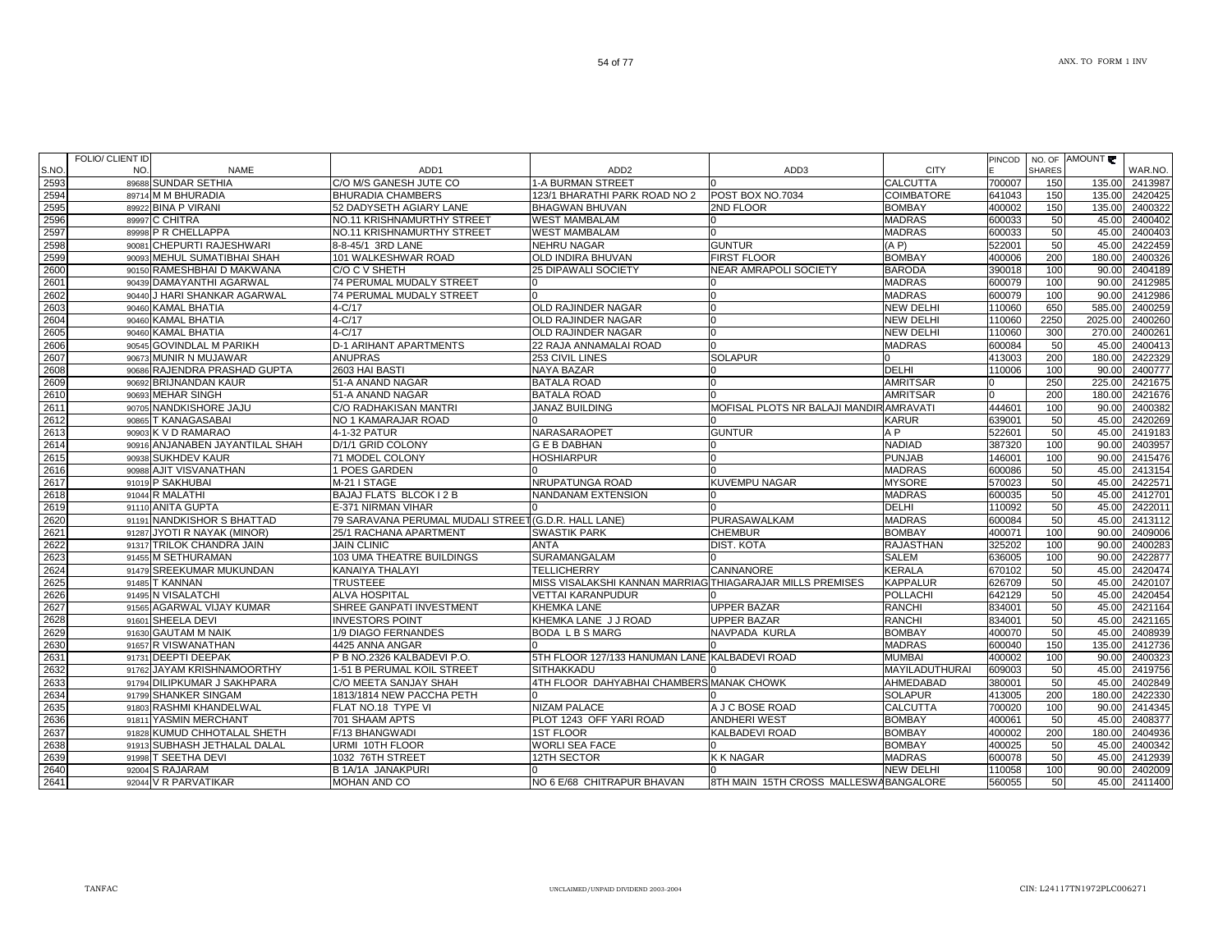| S.NO<br>2593 | NO.   | <b>NAME</b>                     | ADD <sub>1</sub>                                     | ADD <sub>2</sub>                                          | ADD3                                    | <b>CITY</b>       |        | <b>SHARES</b> |         |         |
|--------------|-------|---------------------------------|------------------------------------------------------|-----------------------------------------------------------|-----------------------------------------|-------------------|--------|---------------|---------|---------|
|              |       |                                 |                                                      |                                                           |                                         |                   |        |               |         | WAR.NO. |
|              |       | 89688 SUNDAR SETHIA             | C/O M/S GANESH JUTE CO                               | 1-A BURMAN STREET                                         |                                         | <b>CALCUTTA</b>   | 700007 | 150           | 135.00  | 2413987 |
| 2594         |       | 89714 M M BHURADIA              | <b>BHURADIA CHAMBERS</b>                             | 123/1 BHARATHI PARK ROAD NO 2                             | POST BOX NO.7034                        | <b>COIMBATORE</b> | 641043 | 150           | 135.00  | 2420425 |
| 2595         |       | 89922 BINA P VIRANI             | 52 DADYSETH AGIARY LANE                              | BHAGWAN BHUVAN                                            | 2ND FLOOR                               | <b>BOMBAY</b>     | 400002 | 150           | 135.00  | 2400322 |
| 2596         |       | 89997 C CHITRA                  | NO.11 KRISHNAMURTHY STREET                           | WEST MAMBALAM                                             |                                         | <b>MADRAS</b>     | 600033 | 50            | 45.00   | 2400402 |
| 2597         |       | 89998 P R CHELLAPPA             | NO.11 KRISHNAMURTHY STREET                           | <b>WEST MAMBALAM</b>                                      | $\Omega$                                | <b>MADRAS</b>     | 600033 | 50            | 45.00   | 2400403 |
| 2598         |       | 90081 CHEPURTI RAJESHWARI       | 8-8-45/1 3RD LANE                                    | NEHRU NAGAR                                               | <b>GUNTUR</b>                           | (A P)             | 522001 | 50            | 45.00   | 2422459 |
| 2599         |       | 90093 MEHUL SUMATIBHAI SHAH     | 101 WALKESHWAR ROAD                                  | OLD INDIRA BHUVAN                                         | <b>FIRST FLOOR</b>                      | <b>BOMBAY</b>     | 400006 | 200           | 180.00  | 2400326 |
| 2600         |       | 90150 RAMESHBHAI D MAKWANA      | C/O C V SHETH                                        | <b>25 DIPAWALI SOCIETY</b>                                | <b>NEAR AMRAPOLI SOCIETY</b>            | <b>BARODA</b>     | 390018 | 100           | 90.00   | 2404189 |
| 2601         |       | 90439 DAMAYANTHI AGARWAL        | 74 PERUMAL MUDALY STREET                             |                                                           |                                         | <b>MADRAS</b>     | 600079 | 100           | 90.00   | 2412985 |
| 2602         |       | 90440 J HARI SHANKAR AGARWAL    | 74 PERUMAL MUDALY STREET                             |                                                           | n                                       | <b>MADRAS</b>     | 600079 | 100           | 90.00   | 2412986 |
| 2603         |       | 90460 KAMAL BHATIA              | 4-C/17                                               | OLD RAJINDER NAGAR                                        | O                                       | <b>NEW DELHI</b>  | 110060 | 650           | 585.00  | 2400259 |
| 2604         |       | 90460 KAMAL BHATIA              | 4-C/17                                               | OLD RAJINDER NAGAR                                        |                                         | <b>NEW DELHI</b>  | 110060 | 2250          | 2025.00 | 2400260 |
| 2605         |       | 90460 KAMAL BHATIA              | 4-C/17                                               | OLD RAJINDER NAGAR                                        |                                         | NEW DELHI         | 110060 | 300           | 270.00  | 2400261 |
| 2606         |       | 90545 GOVINDLAL M PARIKH        | <b>D-1 ARIHANT APARTMENTS</b>                        | 22 RAJA ANNAMALAI ROAD                                    |                                         | MADRAS            | 600084 | 50            | 45.00   | 2400413 |
| 2607         |       | 90673 MUNIR N MUJAWAR           | <b>ANUPRAS</b>                                       | 253 CIVIL LINES                                           | <b>SOLAPUR</b>                          |                   | 413003 | 200           | 180.00  | 2422329 |
| 2608         |       | 90686 RAJENDRA PRASHAD GUPTA    | 2603 HAI BASTI                                       | NAYA BAZAR                                                |                                         | DELHI             | 110006 | 100           | 90.00   | 2400777 |
| 2609         |       | 90692 BRIJNANDAN KAUR           | 51-A ANAND NAGAR                                     | <b>BATALA ROAD</b>                                        | n                                       | <b>AMRITSAR</b>   |        | 250           | 225.00  | 2421675 |
| 2610         |       | 90693 MEHAR SINGH               | 51-A ANAND NAGAR                                     | <b>BATALA ROAD</b>                                        |                                         | <b>AMRITSAR</b>   |        | 200           | 180.00  | 2421676 |
| 2611         |       | 90705 NANDKISHORE JAJU          | C/O RADHAKISAN MANTRI                                | <b>JANAZ BUILDING</b>                                     | MOFISAL PLOTS NR BALAJI MANDIR AMRAVATI |                   | 444601 | 100           | 90.00   | 2400382 |
| 2612         |       | 90865 T KANAGASABAI             | NO 1 KAMARAJAR ROAD                                  |                                                           |                                         | <b>KARUR</b>      | 639001 | 50            | 45.00   | 2420269 |
| 2613         |       | 90903 K V D RAMARAO             | 4-1-32 PATUR                                         | NARASARAOPET                                              | <b>GUNTUR</b>                           | A P               | 522601 | 50            | 45.00   | 2419183 |
| 2614         |       | 90916 ANJANABEN JAYANTILAL SHAH | D/1/1 GRID COLONY                                    | <b>G E B DABHAN</b>                                       | חו                                      | <b>NADIAD</b>     | 387320 | 100           | 90.00   | 2403957 |
| 2615         |       | 90938 SUKHDEV KAUR              | 71 MODEL COLONY                                      | <b>HOSHIARPUR</b>                                         |                                         | <b>PUNJAB</b>     | 146001 | 100           | 90.00   | 2415476 |
| 2616         |       | 90988 AJIT VISVANATHAN          | 1 POES GARDEN                                        |                                                           |                                         | <b>MADRAS</b>     | 600086 | 50            | 45.00   | 2413154 |
| 2617         |       | 91019 P SAKHUBAI                | M-21 I STAGE                                         | NRUPATUNGA ROAD                                           | <b>KUVEMPU NAGAR</b>                    | <b>MYSORE</b>     | 570023 | 50            | 45.00   | 2422571 |
| 2618         |       | 91044 R MALATHI                 | BAJAJ FLATS BLCOK I 2 B                              | NANDANAM EXTENSION                                        |                                         | <b>MADRAS</b>     | 600035 | 50            | 45.00   | 2412701 |
| 2619         |       | 91110 ANITA GUPTA               | E-371 NIRMAN VIHAR                                   |                                                           |                                         | <b>DELHI</b>      | 110092 | 50            | 45.00   | 2422011 |
| 2620         |       | 91191 NANDKISHOR S BHATTAD      | 79 SARAVANA PERUMAL MUDALI STREET (G.D.R. HALL LANE) |                                                           | PURASAWALKAM                            | <b>MADRAS</b>     | 600084 | 50            | 45.00   | 2413112 |
| 2621         |       | 91287 JYOTI R NAYAK (MINOR)     | 25/1 RACHANA APARTMENT                               | <b>SWASTIK PARK</b>                                       | <b>CHEMBUR</b>                          | <b>BOMBAY</b>     | 400071 | 100           | 90.00   | 2409006 |
| 2622         |       | 91317 TRILOK CHANDRA JAIN       | <b>JAIN CLINIC</b>                                   | <b>ANTA</b>                                               | DIST. KOTA                              | <b>RAJASTHAN</b>  | 325202 | 100           | 90.00   | 2400283 |
| 2623         |       | 91455 M SETHURAMAN              | 103 UMA THEATRE BUILDINGS                            | <b>SURAMANGALAM</b>                                       |                                         | <b>SALEM</b>      | 636005 | 100           | 90.00   | 2422877 |
| 2624         |       | 91479 SREEKUMAR MUKUNDAN        | KANAIYA THALAYI                                      | <b>TELLICHERRY</b>                                        | <b>CANNANORE</b>                        | <b>KERALA</b>     | 670102 | 50            | 45.00   | 2420474 |
| 2625         |       | 91485 T KANNAN                  | <b>TRUSTEEE</b>                                      | MISS VISALAKSHI KANNAN MARRIAG THIAGARAJAR MILLS PREMISES |                                         | <b>KAPPALUR</b>   | 626709 | 50            | 45.00   | 2420107 |
| 2626         |       | 91495 N VISALATCHI              | <b>ALVA HOSPITAL</b>                                 | VETTAI KARANPUDUR                                         |                                         | <b>POLLACHI</b>   | 642129 | 50            | 45.00   | 2420454 |
| 2627         |       | 91565 AGARWAL VIJAY KUMAR       | SHREE GANPATI INVESTMENT                             | KHEMKA LANE                                               | <b>UPPER BAZAR</b>                      | <b>RANCHI</b>     | 834001 | 50            | 45.00   | 2421164 |
| 2628         |       | 91601 SHEELA DEVI               | <b>INVESTORS POINT</b>                               | KHEMKA LANE J J ROAD                                      | <b>UPPER BAZAR</b>                      | <b>RANCHI</b>     | 834001 | 50            | 45.00   | 2421165 |
| 2629         |       | 91630 GAUTAM M NAIK             | 1/9 DIAGO FERNANDES                                  | <b>BODA L B S MARG</b>                                    | NAVPADA KURLA                           | <b>BOMBAY</b>     | 400070 | 50            | 45.00   | 2408939 |
| 2630         |       | 91657 R VISWANATHAN             | 4425 ANNA ANGAR                                      |                                                           |                                         | <b>MADRAS</b>     | 600040 | 150           | 135.00  | 2412736 |
| 2631         |       | 91731 DEEPTI DEEPAK             | P B NO.2326 KALBADEVI P.O.                           | 5TH FLOOR 127/133 HANUMAN LANE KALBADEVI ROAD             |                                         | <b>MUMBAI</b>     | 400002 | 100           | 90.00   | 2400323 |
| 2632         |       | 91762 JAYAM KRISHNAMOORTHY      | 1-51 B PERUMAL KOIL STREET                           | <b>SITHAKKADU</b>                                         |                                         | MAYILADUTHURAI    | 609003 | 50            | 45.00   | 2419756 |
| 2633         |       | 91794 DILIPKUMAR J SAKHPARA     | C/O MEETA SANJAY SHAH                                | 4TH FLOOR DAHYABHAI CHAMBERS MANAK CHOWK                  |                                         | AHMEDABAD         | 380001 | 50            | 45.00   | 2402849 |
| 2634         |       | 91799 SHANKER SINGAM            | 1813/1814 NEW PACCHA PETH                            |                                                           |                                         | <b>SOLAPUR</b>    | 413005 | 200           | 180.00  | 2422330 |
| 2635         |       | 91803 RASHMI KHANDELWAL         | FLAT NO.18 TYPE VI                                   | <b>NIZAM PALACE</b>                                       | A J C BOSE ROAD                         | CALCUTTA          | 700020 | 100           | 90.00   | 2414345 |
| 2636         |       | 91811 YASMIN MERCHANT           | 701 SHAAM APTS                                       | PLOT 1243 OFF YARI ROAD                                   | <b>ANDHERI WEST</b>                     | <b>BOMBAY</b>     | 400061 | 50            | 45.00   | 2408377 |
| 2637         |       | 91828 KUMUD CHHOTALAL SHETH     | F/13 BHANGWADI                                       | <b>1ST FLOOR</b>                                          | <b>KALBADEVI ROAD</b>                   | <b>BOMBAY</b>     | 400002 | 200           | 180.00  | 2404936 |
| 2638         | 91913 | SUBHASH JETHALAL DALAL          | URMI 10TH FLOOR                                      | <b>WORLI SEA FACE</b>                                     |                                         | <b>BOMBAY</b>     | 400025 | 50            | 45.00   | 2400342 |
| 2639         |       | 91998 T SEETHA DEVI             | 1032 76TH STREET                                     | <b>12TH SECTOR</b>                                        | <b>K K NAGAR</b>                        | <b>MADRAS</b>     | 600078 | 50            | 45.00   | 2412939 |
| 2640         | 92004 | <b>S RAJARAM</b>                | B 1A/1A JANAKPURI                                    |                                                           |                                         | NEW DELHI         | 110058 | 100           | 90.00   | 2402009 |
| 2641         |       | 92044 V R PARVATIKAR            | MOHAN AND CO                                         | NO 6 E/68 CHITRAPUR BHAVAN                                | 8TH MAIN 15TH CROSS MALLESWABANGALORE   |                   | 560055 | 50            | 45.00   | 2411400 |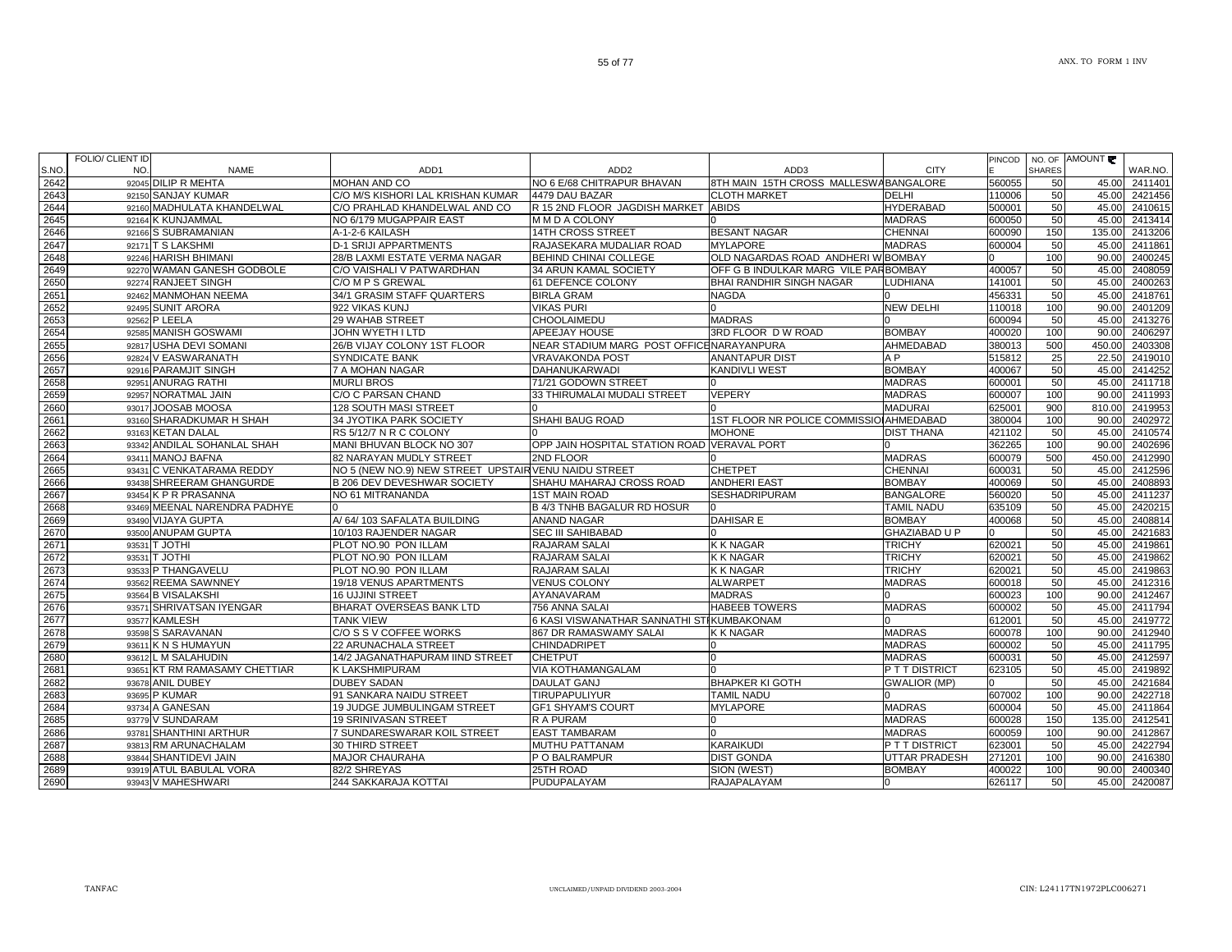|      | <b>FOLIO/ CLIENT ID</b> |                               |                                                      |                                             |                                         |                      | PINCOD |               | NO. OF AMOUNT |               |
|------|-------------------------|-------------------------------|------------------------------------------------------|---------------------------------------------|-----------------------------------------|----------------------|--------|---------------|---------------|---------------|
| S.NO | NO.                     | <b>NAME</b>                   | ADD1                                                 | ADD <sub>2</sub>                            | ADD3                                    | <b>CITY</b>          |        | <b>SHARES</b> |               | WAR.NO.       |
| 2642 |                         | 92045 DILIP R MEHTA           | MOHAN AND CO                                         | NO 6 E/68 CHITRAPUR BHAVAN                  | 8TH MAIN 15TH CROSS MALLESWABANGALORE   |                      | 560055 | 50            | 45.00         | 2411401       |
| 2643 |                         | 92150 SANJAY KUMAR            | C/O M/S KISHORI LAL KRISHAN KUMAR                    | 4479 DAU BAZAR                              | <b>CLOTH MARKET</b>                     | <b>DELHI</b>         | 110006 | 50            | 45.00         | 2421456       |
| 2644 |                         | 92160 MADHULATA KHANDELWAL    | C/O PRAHLAD KHANDELWAL AND CO                        | R 15 2ND FLOOR JAGDISH MARKET ABIDS         |                                         | <b>HYDERABAD</b>     | 500001 | 50            | 45.00         | 2410615       |
| 2645 |                         | 92164 K KUNJAMMAL             | NO 6/179 MUGAPPAIR EAST                              | M M D A COLONY                              |                                         | <b>MADRAS</b>        | 600050 | 50            | 45.00         | 2413414       |
| 2646 |                         | 92166 S SUBRAMANIAN           | A-1-2-6 KAILASH                                      | <b>14TH CROSS STREET</b>                    | <b>BESANT NAGAR</b>                     | CHENNAI              | 600090 | 150           | 135.00        | 2413206       |
| 2647 |                         | 92171 T S LAKSHMI             | <b>D-1 SRIJI APPARTMENTS</b>                         | RAJASEKARA MUDALIAR ROAD                    | <b>MYLAPORE</b>                         | <b>MADRAS</b>        | 600004 | 50            | 45.00         | 2411861       |
| 2648 |                         | 92246 HARISH BHIMANI          | 28/B LAXMI ESTATE VERMA NAGAR                        | BEHIND CHINAI COLLEGE                       | OLD NAGARDAS ROAD ANDHERI W BOMBAY      |                      |        | 100           | 90.00         | 2400245       |
| 2649 |                         | 92270 WAMAN GANESH GODBOLE    | C/O VAISHALI V PATWARDHAN                            | 34 ARUN KAMAL SOCIETY                       | OFF G B INDULKAR MARG VILE PARBOMBAY    |                      | 400057 | 50            | 45.00         | 2408059       |
| 2650 |                         | 92274 RANJEET SINGH           | C/O M P S GREWAL                                     | 61 DEFENCE COLONY                           | BHAI RANDHIR SINGH NAGAR                | <b>LUDHIANA</b>      | 141001 | 50            | 45.00         | 2400263       |
| 2651 |                         | 92462 MANMOHAN NEEMA          | 34/1 GRASIM STAFF QUARTERS                           | <b>BIRLA GRAM</b>                           | <b>NAGDA</b>                            |                      | 456331 | 50            | 45.00         | 2418761       |
| 2652 |                         | 92495 SUNIT ARORA             | 922 VIKAS KUNJ                                       | <b>VIKAS PURI</b>                           |                                         | NEW DELHI            | 110018 | 100           | 90.00         | 2401209       |
| 2653 |                         | 92562 P LEELA                 | 29 WAHAB STREET                                      | <b>CHOOLAIMEDU</b>                          | <b>MADRAS</b>                           |                      | 600094 | 50            | 45.00         | 2413276       |
| 2654 |                         | 92585 MANISH GOSWAMI          | JOHN WYETH I LTD                                     | APEEJAY HOUSE                               | 3RD FLOOR D W ROAD                      | <b>BOMBAY</b>        | 400020 | 100           | 90.00         | 2406297       |
| 2655 |                         | 92817 USHA DEVI SOMANI        | 26/B VIJAY COLONY 1ST FLOOR                          | NEAR STADIUM MARG POST OFFICENARAYANPURA    |                                         | AHMEDABAD            | 380013 | 500           | 450.00        | 2403308       |
| 2656 |                         | 92824 V EASWARANATH           | <b>SYNDICATE BANK</b>                                | <b>VRAVAKONDA POST</b>                      | <b>ANANTAPUR DIST</b>                   | A <sub>P</sub>       | 515812 | 25            | 22.50         | 2419010       |
| 2657 |                         | 92916 PARAMJIT SINGH          | 7 A MOHAN NAGAR                                      | <b>DAHANUKARWADI</b>                        | <b>KANDIVLI WEST</b>                    | <b>BOMBAY</b>        | 400067 | 50            | 45.00         | 2414252       |
| 2658 |                         | 92951 ANURAG RATHI            | <b>MURLI BROS</b>                                    | 71/21 GODOWN STREET                         |                                         | <b>MADRAS</b>        | 600001 | 50            | 45.00         | 2411718       |
| 2659 |                         | 92957 NORATMAL JAIN           | C/O C PARSAN CHAND                                   | 33 THIRUMALAI MUDALI STREET                 | VEPERY                                  | <b>MADRAS</b>        | 600007 | 100           | 90.00         | 2411993       |
| 2660 |                         | 93017 JOOSAB MOOSA            | 128 SOUTH MASI STREET                                |                                             |                                         | <b>MADURAI</b>       | 625001 | 900           | 810.00        | 2419953       |
| 2661 |                         | 93160 SHARADKUMAR H SHAH      | 34 JYOTIKA PARK SOCIETY                              | SHAHI BAUG ROAD                             | 1ST FLOOR NR POLICE COMMISSIO AHMEDABAD |                      | 380004 | 100           | 90.00         | 2402972       |
| 2662 |                         | 93163 KETAN DALAL             | RS 5/12/7 N R C COLONY                               |                                             | <b>MOHONE</b>                           | <b>DIST THANA</b>    | 421102 | 50            | 45.00         | 2410574       |
| 2663 |                         | 93342 ANDILAL SOHANLAL SHAH   | MANI BHUVAN BLOCK NO 307                             | OPP JAIN HOSPITAL STATION ROAD VERAVAL PORT |                                         |                      | 362265 | 100           | 90.00         | 2402696       |
| 2664 |                         | 93411 MANOJ BAFNA             | 82 NARAYAN MUDLY STREET                              | 2ND FLOOR                                   |                                         | <b>MADRAS</b>        | 600079 | 500           | 450.00        | 2412990       |
| 2665 |                         | 93431 C VENKATARAMA REDDY     | NO 5 (NEW NO.9) NEW STREET UPSTAIR VENU NAIDU STREET |                                             | <b>CHETPET</b>                          | <b>CHENNAI</b>       | 600031 | 50            | 45.00         | 2412596       |
| 2666 |                         | 93438 SHREERAM GHANGURDE      | <b>B 206 DEV DEVESHWAR SOCIETY</b>                   | SHAHU MAHARAJ CROSS ROAD                    | <b>ANDHERI EAST</b>                     | <b>BOMBAY</b>        | 400069 | 50            | 45.00         | 2408893       |
| 2667 |                         | 93454 K P R PRASANNA          | NO 61 MITRANANDA                                     | <b>1ST MAIN ROAD</b>                        | <b>SESHADRIPURAM</b>                    | <b>BANGALORE</b>     | 560020 | 50            | 45.00         | 2411237       |
| 2668 |                         | 93469 MEENAL NARENDRA PADHYE  |                                                      | <b>B 4/3 TNHB BAGALUR RD HOSUR</b>          |                                         | <b>TAMIL NADU</b>    | 635109 | 50            | 45.00         | 2420215       |
| 2669 |                         | 93490 VIJAYA GUPTA            | A/ 64/ 103 SAFALATA BUILDING                         | <b>ANAND NAGAR</b>                          | <b>DAHISAR E</b>                        | <b>BOMBAY</b>        | 400068 | 50            | 45.00         | 2408814       |
| 2670 |                         | 93500 ANUPAM GUPTA            | 10/103 RAJENDER NAGAR                                | <b>SEC III SAHIBABAD</b>                    |                                         | <b>GHAZIABAD U P</b> | U      | 50            | 45.00         | 2421683       |
| 2671 |                         | 93531 T JOTHI                 | PLOT NO.90 PON ILLAM                                 | RAJARAM SALAI                               | <b>K K NAGAR</b>                        | TRICHY               | 620021 | 50            | 45.00         | 2419861       |
| 2672 |                         | 93531 T JOTHI                 | PLOT NO.90 PON ILLAM                                 | RAJARAM SALAI                               | <b>K K NAGAR</b>                        | <b>TRICHY</b>        | 620021 | 50            | 45.00         | 2419862       |
| 2673 |                         | 93533 P THANGAVELU            | PLOT NO.90 PON ILLAM                                 | RAJARAM SALAI                               | K K NAGAR                               | <b>TRICHY</b>        | 620021 | 50            | 45.00         | 2419863       |
| 2674 |                         | 93562 REEMA SAWNNEY           | 19/18 VENUS APARTMENTS                               | <b>VENUS COLONY</b>                         | <b>ALWARPET</b>                         | <b>MADRAS</b>        | 600018 | 50            | 45.00         | 2412316       |
| 2675 |                         | 93564 B VISALAKSHI            | <b>16 UJJINI STREET</b>                              | AYANAVARAM                                  | <b>MADRAS</b>                           |                      | 600023 | 100           | 90.00         | 2412467       |
| 2676 |                         | 93571 SHRIVATSAN IYENGAR      | BHARAT OVERSEAS BANK LTD                             | 756 ANNA SALAI                              | <b>HABEEB TOWERS</b>                    | <b>MADRAS</b>        | 600002 | 50            | 45.00         | 2411794       |
| 2677 |                         | 93577 KAMLESH                 | <b>TANK VIEW</b>                                     | 6 KASI VISWANATHAR SANNATHI STIKUMBAKONAM   |                                         |                      | 612001 | 50            | 45.00         | 2419772       |
| 2678 |                         | 93598 S SARAVANAN             | C/O S S V COFFEE WORKS                               | <b>867 DR RAMASWAMY SALAI</b>               | K K NAGAR                               | <b>MADRAS</b>        | 600078 | 100           | 90.00         | 2412940       |
| 2679 |                         | 93611 K N S HUMAYUN           | 22 ARUNACHALA STREET                                 | <b>CHINDADRIPET</b>                         |                                         | <b>MADRAS</b>        | 600002 | 50            | 45.00         | 2411795       |
| 2680 |                         | 93612 L M SALAHUDIN           | 14/2 JAGANATHAPURAM IIND STREET                      | <b>CHETPUT</b>                              |                                         | <b>MADRAS</b>        | 600031 | 50            | 45.00         | 2412597       |
| 2681 |                         | 93651 KT RM RAMASAMY CHETTIAR | K LAKSHMIPURAM                                       | VIA KOTHAMANGALAM                           |                                         | P T T DISTRICT       | 623105 | 50            | 45.00         | 2419892       |
| 2682 |                         | 93678 ANIL DUBEY              | <b>DUBEY SADAN</b>                                   | DAULAT GANJ                                 | <b>BHAPKER KI GOTH</b>                  | <b>GWALIOR (MP)</b>  |        | 50            | 45.00         | 2421684       |
| 2683 |                         | 93695 P KUMAR                 | 91 SANKARA NAIDU STREET                              | <b>TIRUPAPULIYUR</b>                        | <b>TAMIL NADU</b>                       |                      | 607002 | 100           | 90.00         | 2422718       |
| 2684 |                         | 93734 A GANESAN               | 19 JUDGE JUMBULINGAM STREET                          | <b>GF1 SHYAM'S COURT</b>                    | <b>MYLAPORE</b>                         | <b>MADRAS</b>        | 600004 | 50            | 45.00         | 2411864       |
| 2685 |                         | 93779 V SUNDARAM              | <b>19 SRINIVASAN STREET</b>                          | R A PURAM                                   |                                         | <b>MADRAS</b>        | 600028 | 150           | 135.00        | 2412541       |
| 2686 |                         | 93781 SHANTHINI ARTHUR        | 7 SUNDARESWARAR KOIL STREET                          | <b>EAST TAMBARAM</b>                        |                                         | <b>MADRAS</b>        | 600059 | 100           | 90.00         | 2412867       |
| 2687 |                         | 93813 RM ARUNACHALAM          | 30 THIRD STREET                                      | <b>MUTHU PATTANAM</b>                       | <b>KARAIKUDI</b>                        | P T T DISTRICT       | 623001 | 50            | 45.00         | 2422794       |
| 2688 |                         | 93844 SHANTIDEVI JAIN         | <b>MAJOR CHAURAHA</b>                                | P O BALRAMPUR                               | <b>DIST GONDA</b>                       | UTTAR PRADESH        | 271201 | 100           | 90.00         | 2416380       |
| 2689 |                         | 93919 ATUL BABULAL VORA       | 82/2 SHREYAS                                         | 25TH ROAD                                   | SION (WEST)                             | <b>BOMBAY</b>        | 400022 | 100           | 90.00         | 2400340       |
| 2690 |                         | 93943 V MAHESHWARI            | 244 SAKKARAJA KOTTAI                                 | PUDUPALAYAM                                 | <b>RAJAPALAYAM</b>                      |                      | 626117 | 50            |               | 45.00 2420087 |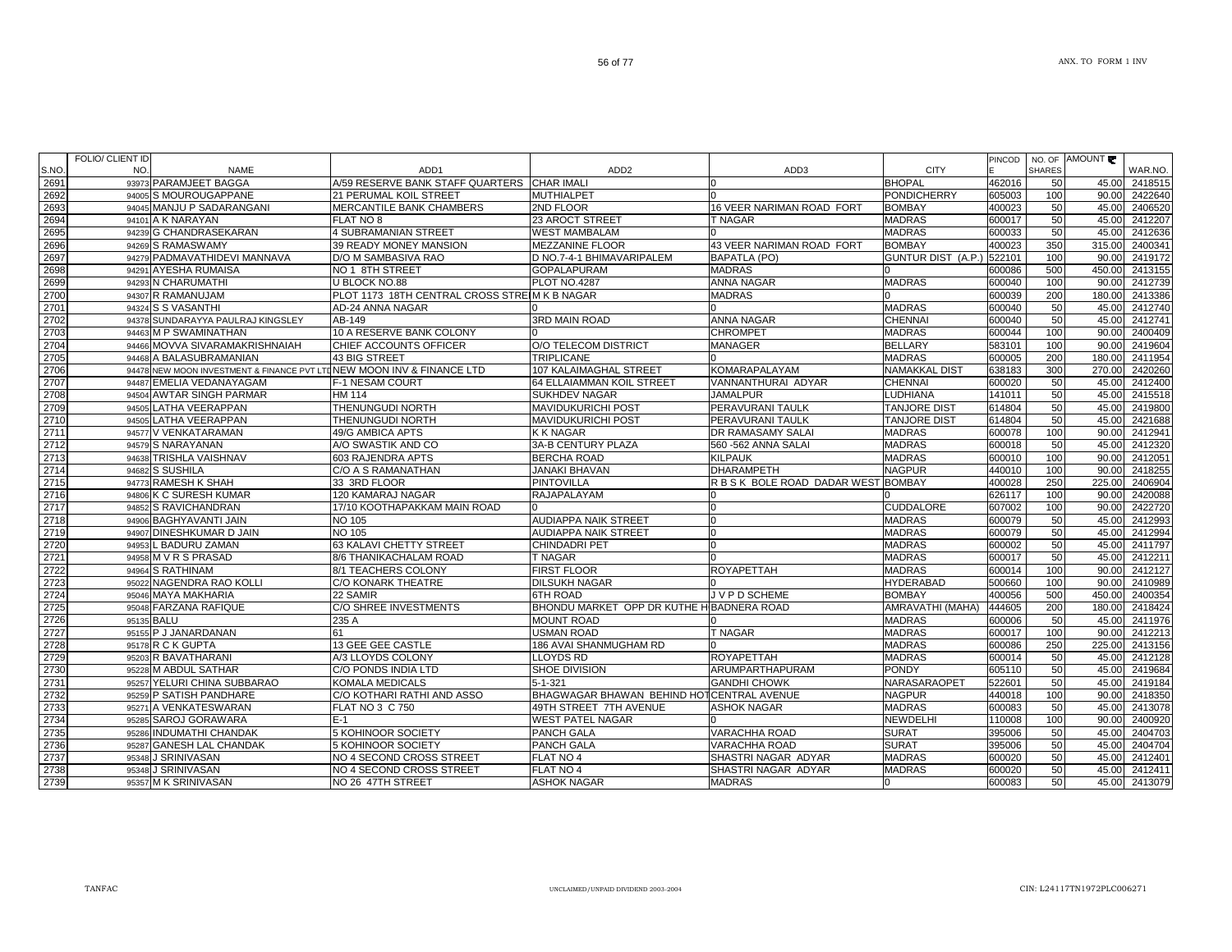|      | <b>FOLIO/ CLIENT ID</b> |                                                                        |                                               |                                           |                                  |                                |        |               | NO. OF AMOUNT |               |
|------|-------------------------|------------------------------------------------------------------------|-----------------------------------------------|-------------------------------------------|----------------------------------|--------------------------------|--------|---------------|---------------|---------------|
| S.NO | NO.                     | <b>NAME</b>                                                            | ADD <sub>1</sub>                              | ADD <sub>2</sub>                          | ADD3                             | <b>CITY</b>                    | PINCOD | <b>SHARES</b> |               | WAR.NO.       |
| 2691 |                         | 93973 PARAMJEET BAGGA                                                  | A/59 RESERVE BANK STAFF QUARTERS CHAR IMALI   |                                           |                                  | <b>BHOPAL</b>                  | 462016 | 50            | 45.00         | 2418515       |
| 2692 |                         | 94005 S MOUROUGAPPANE                                                  | <b>21 PERUMAL KOIL STREET</b>                 | <b>MUTHIALPET</b>                         |                                  | <b>PONDICHERRY</b>             | 605003 | 100           | 90.00         | 2422640       |
| 2693 |                         | 94045 MANJU P SADARANGANI                                              | MERCANTILE BANK CHAMBERS                      | 2ND FLOOR                                 | 16 VEER NARIMAN ROAD FORT        | <b>BOMBAY</b>                  | 400023 | 50            | 45.00         | 2406520       |
| 2694 |                         | 94101 A K NARAYAN                                                      | FLAT NO 8                                     | 23 AROCT STREET                           | T NAGAR                          | <b>MADRAS</b>                  | 600017 | 50            | 45.00         | 2412207       |
| 2695 |                         | 94239 G CHANDRASEKARAN                                                 | <b>4 SUBRAMANIAN STREET</b>                   | <b>WEST MAMBALAM</b>                      |                                  | <b>MADRAS</b>                  | 600033 | 50            | 45.00         | 2412636       |
| 2696 |                         | 94269 S RAMASWAMY                                                      | 39 READY MONEY MANSION                        | <b>MEZZANINE FLOOR</b>                    | 43 VEER NARIMAN ROAD FORT        | <b>BOMBAY</b>                  | 400023 | 350           | 315.00        | 2400341       |
| 2697 |                         | 94279 PADMAVATHIDEVI MANNAVA                                           | D/O M SAMBASIVA RAO                           | D NO.7-4-1 BHIMAVARIPALEM                 | <b>BAPATLA (PO)</b>              | GUNTUR DIST (A.P.) 522101      |        | 100           | 90.00         | 2419172       |
| 2698 |                         | 94291 AYESHA RUMAISA                                                   | NO 1 8TH STREET                               | <b>GOPALAPURAM</b>                        | <b>MADRAS</b>                    |                                | 600086 | 500           | 450.00        | 2413155       |
| 2699 |                         | 94293 N CHARUMATHI                                                     | U BLOCK NO.88                                 | <b>PLOT NO.4287</b>                       | ANNA NAGAR                       | <b>MADRAS</b>                  | 600040 | 100           | 90.00         | 2412739       |
| 2700 |                         | 94307 R RAMANUJAM                                                      | PLOT 1173 18TH CENTRAL CROSS STREIM K B NAGAR |                                           | <b>MADRAS</b>                    |                                | 600039 | 200           | 180.00        | 2413386       |
| 2701 |                         | 94324 S S VASANTHI                                                     | AD-24 ANNA NAGAR                              |                                           |                                  | <b>MADRAS</b>                  | 600040 | 50            | 45.00         | 2412740       |
| 2702 |                         | 94378 SUNDARAYYA PAULRAJ KINGSLEY                                      | AB-149                                        | <b>3RD MAIN ROAD</b>                      | <b>ANNA NAGAR</b>                | <b>CHENNAI</b>                 | 600040 | 50            | 45.00         | 2412741       |
| 2703 |                         | 94463 M P SWAMINATHAN                                                  | 10 A RESERVE BANK COLONY                      |                                           | <b>CHROMPET</b>                  | <b>MADRAS</b>                  | 600044 | 100           | 90.00         | 2400409       |
| 2704 |                         | 94466 MOVVA SIVARAMAKRISHNAIAH                                         | CHIEF ACCOUNTS OFFICER                        | O/O TELECOM DISTRICT                      | <b>MANAGER</b>                   | <b>BELLARY</b>                 | 583101 | 100           | 90.00         | 2419604       |
| 2705 |                         | 94468 A BALASUBRAMANIAN                                                | 43 BIG STREET                                 | <b>TRIPLICANE</b>                         |                                  | <b>MADRAS</b>                  | 600005 | 200           | 180.00        | 2411954       |
| 2706 |                         | 94478 NEW MOON INVESTMENT & FINANCE PVT LTD NEW MOON INV & FINANCE LTD |                                               | 107 KALAIMAGHAL STREET                    | KOMARAPALAYAM                    | <b>NAMAKKAL DIST</b>           | 638183 | 300           | 270.00        | 2420260       |
| 2707 |                         | 94487 EMELIA VEDANAYAGAM                                               | F-1 NESAM COURT                               | 64 ELLAIAMMAN KOIL STREET                 | VANNANTHURAI ADYAR               | <b>CHENNAI</b>                 | 600020 | 50            | 45.00         | 2412400       |
| 2708 |                         | 94504 AWTAR SINGH PARMAR                                               | <b>HM 114</b>                                 | <b>SUKHDEV NAGAR</b>                      | <b>JAMALPUR</b>                  | <b>LUDHIANA</b>                | 141011 | 50            | 45.00         | 2415518       |
| 2709 |                         | 94505 LATHA VEERAPPAN                                                  | THENUNGUDI NORTH                              | <b>MAVIDUKURICHI POST</b>                 | PERAVURANI TAULK                 | <b>TANJORE DIST</b>            | 614804 | 50            | 45.00         | 2419800       |
| 2710 |                         | 94505 LATHA VEERAPPAN                                                  | THENUNGUDI NORTH                              | <b>MAVIDUKURICHI POST</b>                 | PERAVURANI TAULK                 | <b>TANJORE DIST</b>            | 614804 | 50            | 45.00         | 2421688       |
| 2711 |                         | 94577 V VENKATARAMAN                                                   | 49/G AMBICA APTS                              | <b>K K NAGAR</b>                          | DR RAMASAMY SALAI                | <b>MADRAS</b>                  | 600078 | 100           | 90.00         | 2412941       |
| 2712 |                         | 94579 S NARAYANAN                                                      | A/O SWASTIK AND CO                            | 3A-B CENTURY PLAZA                        | 560 - 562 ANNA SALAI             | <b>MADRAS</b>                  | 600018 | 50            | 45.00         | 2412320       |
| 2713 |                         | 94638 TRISHLA VAISHNAV                                                 | 603 RAJENDRA APTS                             | <b>BERCHA ROAD</b>                        | <b>KILPAUK</b>                   | <b>MADRAS</b>                  | 600010 | 100           | 90.00         | 2412051       |
| 2714 |                         | 94682 S SUSHILA                                                        | C/O A S RAMANATHAN                            | <b>JANAKI BHAVAN</b>                      | <b>DHARAMPETH</b>                | <b>NAGPUR</b>                  | 440010 | 100           | 90.00         | 2418255       |
| 2715 |                         | 94773 RAMESH K SHAH                                                    | 33 3RD FLOOR                                  | <b>PINTOVILLA</b>                         | RBSK BOLE ROAD DADAR WEST BOMBAY |                                | 400028 | 250           | 225.00        | 2406904       |
| 2716 |                         | 94806 K C SURESH KUMAR                                                 | 120 KAMARAJ NAGAR                             | <b>RAJAPALAYAM</b>                        |                                  |                                | 626117 | 100           | 90.00         | 2420088       |
| 2717 |                         | 94852 S RAVICHANDRAN                                                   | 17/10 KOOTHAPAKKAM MAIN ROAD                  |                                           |                                  | <b>CUDDALORE</b>               | 607002 | 100           | 90.00         | 2422720       |
| 2718 |                         | 94906 BAGHYAVANTI JAIN                                                 | <b>NO 105</b>                                 | <b>AUDIAPPA NAIK STREET</b>               |                                  | <b>MADRAS</b>                  | 600079 | 50            | 45.00         | 2412993       |
| 2719 |                         | 94907 DINESHKUMAR D JAIN                                               | <b>NO 105</b>                                 | <b>AUDIAPPA NAIK STREET</b>               |                                  | <b>MADRAS</b>                  | 600079 | 50            | 45.00         | 2412994       |
| 2720 |                         | 94953 L BADURU ZAMAN                                                   | 63 KALAVI CHETTY STREET                       | CHINDADRI PET                             |                                  | <b>MADRAS</b>                  | 600002 | 50            | 45.00         | 2411797       |
| 2721 |                         | 94958 M V R S PRASAD                                                   | 8/6 THANIKACHALAM ROAD                        | T NAGAR                                   |                                  | <b>MADRAS</b>                  | 600017 | 50            | 45.00         | 2412211       |
| 2722 |                         | 94964 S RATHINAM                                                       | 8/1 TEACHERS COLONY                           | <b>FIRST FLOOR</b>                        | <b>ROYAPETTAH</b>                | <b>MADRAS</b>                  | 600014 | 100           | 90.00         | 2412127       |
| 2723 |                         | 95022 NAGENDRA RAO KOLLI                                               | <b>C/O KONARK THEATRE</b>                     | <b>DILSUKH NAGAR</b>                      |                                  | <b>HYDERABAD</b>               | 500660 | 100           | 90.00         | 2410989       |
| 2724 |                         | 95046 MAYA MAKHARIA                                                    | 22 SAMIR                                      | 6TH ROAD                                  | J V P D SCHEME                   | <b>BOMBAY</b>                  | 400056 | 500           | 450.00        | 2400354       |
| 2725 |                         | 95048 FARZANA RAFIQUE                                                  | <b>C/O SHREE INVESTMENTS</b>                  | BHONDU MARKET OPP DR KUTHE HIBADNERA ROAD |                                  | AMRAVATHI (MAHA)               | 444605 | 200           | 180.00        | 2418424       |
| 2726 | 95135 BALU              |                                                                        | 235 A                                         | <b>MOUNT ROAD</b>                         |                                  | <b>MADRAS</b>                  | 600006 | 50            | 45.00         | 2411976       |
| 2727 |                         | 95155 P J JANARDANAN                                                   | 61                                            | <b>USMAN ROAD</b>                         | <b>T NAGAR</b>                   | <b>MADRAS</b>                  | 600017 | 100           | 90.00         | 2412213       |
| 2728 |                         | 95178 R C K GUPTA                                                      | 13 GEE GEE CASTLE                             | <b>186 AVAI SHANMUGHAM RD</b>             |                                  | <b>MADRAS</b>                  | 600086 | 250           | 225.00        | 2413156       |
| 2729 |                         | 95203 R BAVATHARANI                                                    | A/3 LLOYDS COLONY                             | <b>LLOYDS RD</b>                          | <b>ROYAPETTAH</b>                | <b>MADRAS</b>                  | 600014 | 50            |               | 45.00 2412128 |
| 2730 |                         | 95228 M ABDUL SATHAR                                                   | C/O PONDS INDIA LTD                           | SHOE DIVISION                             | ARUMPARTHAPURAM                  | <b>PONDY</b>                   | 605110 | 50            | 45.00         | 2419684       |
| 2731 |                         | 95257 YELURI CHINA SUBBARAO                                            | KOMALA MEDICALS                               | $5 - 1 - 321$                             | <b>GANDHI CHOWK</b>              | NARASARAOPET                   | 522601 | 50            | 45.00         | 2419184       |
| 2732 |                         | 95259 P SATISH PANDHARE                                                | C/O KOTHARI RATHI AND ASSO                    | BHAGWAGAR BHAWAN BEHIND HOTCENTRAL AVENUE |                                  | <b>NAGPUR</b><br><b>MADRAS</b> | 440018 | 100           | 90.00         | 2418350       |
| 2733 |                         | 95271 A VENKATESWARAN                                                  | <b>FLAT NO 3 C 750</b>                        | 49TH STREET 7TH AVENUE                    | <b>ASHOK NAGAR</b>               |                                | 600083 | 50            | 45.00         | 2413078       |
| 2734 |                         | 95285 SAROJ GORAWARA                                                   | $E-1$                                         | <b>WEST PATEL NAGAR</b>                   |                                  | <b>NEWDELHI</b>                | 110008 | 100           | 90.00         | 2400920       |
| 2735 |                         | 95286 INDUMATHI CHANDAK                                                | <b>5 KOHINOOR SOCIETY</b>                     | <b>PANCH GALA</b>                         | VARACHHA ROAD                    | <b>SURAT</b>                   | 395006 | 50            | 45.00         | 2404703       |
| 2736 |                         | 95287 GANESH LAL CHANDAK                                               | <b>5 KOHINOOR SOCIETY</b>                     | <b>PANCH GALA</b>                         | VARACHHA ROAD                    | <b>SURAT</b>                   | 395006 | 50            | 45.00         | 2404704       |
| 2737 |                         | 95348 J SRINIVASAN                                                     | NO 4 SECOND CROSS STREET                      | FLAT NO 4<br>FLAT NO 4                    | SHASTRI NAGAR ADYAR              | <b>MADRAS</b><br><b>MADRAS</b> | 600020 | 50            | 45.00         | 2412401       |
| 2738 | 95348                   | J SRINIVASAN                                                           | NO 4 SECOND CROSS STREET                      |                                           | SHASTRI NAGAR ADYAR              |                                | 600020 | 50            | 45.00         | 2412411       |
| 2739 |                         | 95357 M K SRINIVASAN                                                   | NO 26 47TH STREET                             | <b>ASHOK NAGAR</b>                        | <b>MADRAS</b>                    | 0                              | 600083 | 50            | 45.00         | 2413079       |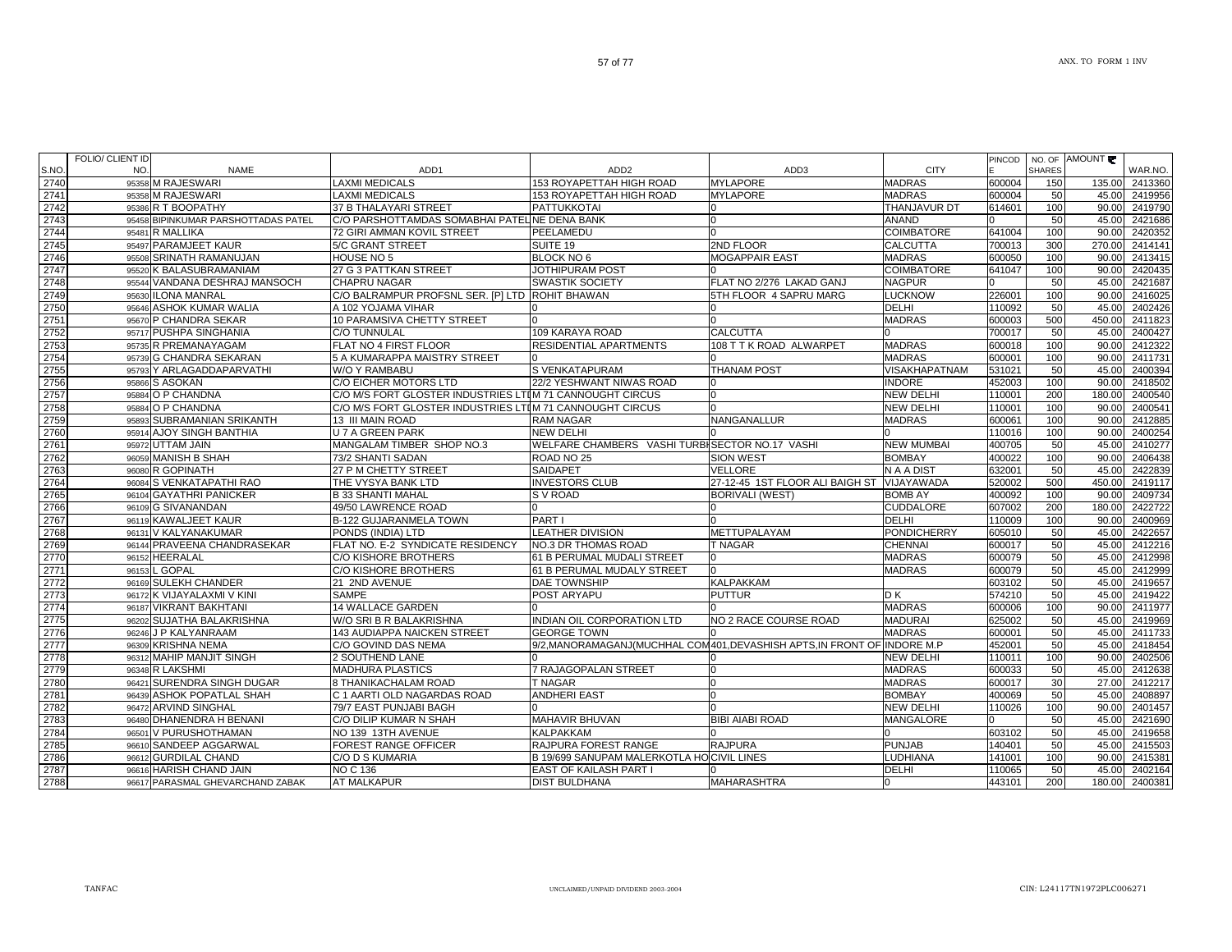|      | FOLIO/ CLIENT ID |                                     |                                                          |                                                                            |                                 |                     | <b>PINCOD</b> |               | NO. OF AMOUNT |         |
|------|------------------|-------------------------------------|----------------------------------------------------------|----------------------------------------------------------------------------|---------------------------------|---------------------|---------------|---------------|---------------|---------|
| S.NO | NO.              | <b>NAME</b>                         | ADD <sub>1</sub>                                         | ADD <sub>2</sub>                                                           | ADD3                            | <b>CITY</b>         |               | <b>SHARES</b> |               | WAR.NO. |
| 2740 |                  | 95358 M RAJESWARI                   | <b>LAXMI MEDICALS</b>                                    | <b>153 ROYAPETTAH HIGH ROAD</b>                                            | <b>MYLAPORE</b>                 | <b>MADRAS</b>       | 600004        | 150           | 135.00        | 2413360 |
| 2741 |                  | 95358 M RAJESWARI                   | <b>LAXMI MEDICALS</b>                                    | 153 ROYAPETTAH HIGH ROAD                                                   | <b>MYLAPORE</b>                 | <b>MADRAS</b>       | 600004        | 50            | 45.00         | 2419956 |
| 2742 |                  | 95386 R T BOOPATHY                  | 37 B THALAYARI STREET                                    | <b>PATTUKKOTAI</b>                                                         |                                 | <b>THANJAVUR DT</b> | 614601        | 100           | 90.00         | 2419790 |
| 2743 |                  | 95458 BIPINKUMAR PARSHOTTADAS PATEL | C/O PARSHOTTAMDAS SOMABHAI PATELINE DENA BANK            |                                                                            |                                 | <b>ANAND</b>        |               | 50            | 45.00         | 2421686 |
| 2744 |                  | 95481 R MALLIKA                     | 72 GIRI AMMAN KOVIL STREET                               | PEELAMEDU                                                                  |                                 | <b>COIMBATORE</b>   | 641004        | 100           | 90.00         | 2420352 |
| 2745 |                  | 95497 PARAMJEET KAUR                | 5/C GRANT STREET                                         | SUITE 19                                                                   | 2ND FLOOR                       | <b>CALCUTTA</b>     | 700013        | 300           | 270.00        | 2414141 |
| 2746 |                  | 95508 SRINATH RAMANUJAN             | HOUSE NO 5                                               | BLOCK NO 6                                                                 | <b>MOGAPPAIR EAST</b>           | <b>MADRAS</b>       | 600050        | 100           | 90.00         | 2413415 |
| 2747 |                  | 95520 K BALASUBRAMANIAM             | 27 G 3 PATTKAN STREET                                    | JOTHIPURAM POST                                                            |                                 | <b>COIMBATORE</b>   | 641047        | 100           | 90.00         | 2420435 |
| 2748 |                  | 95544 VANDANA DESHRAJ MANSOCH       | <b>CHAPRU NAGAR</b>                                      | <b>SWASTIK SOCIETY</b>                                                     | FLAT NO 2/276 LAKAD GANJ        | <b>NAGPUR</b>       |               | 50            | 45.00         | 2421687 |
| 2749 |                  | 95630 ILONA MANRAL                  | C/O BALRAMPUR PROFSNL SER. [P] LTD ROHIT BHAWAN          |                                                                            | 5TH FLOOR 4 SAPRU MARG          | <b>LUCKNOW</b>      | 226001        | 100           | 90.00         | 2416025 |
| 2750 |                  | 95646 ASHOK KUMAR WALIA             | A 102 YOJAMA VIHAR                                       |                                                                            |                                 | <b>DELHI</b>        | 110092        | 50            | 45.00         | 2402426 |
| 2751 |                  | 95670 P CHANDRA SEKAR               | 10 PARAMSIVA CHETTY STREET                               |                                                                            |                                 | <b>MADRAS</b>       | 600003        | 500           | 450.00        | 2411823 |
| 2752 |                  | 95717 PUSHPA SINGHANIA              | C/O TUNNULAL                                             | 109 KARAYA ROAD                                                            | <b>CALCUTTA</b>                 | n                   | 700017        | 50            | 45.00         | 2400427 |
| 2753 |                  | 95735 R PREMANAYAGAM                | FLAT NO 4 FIRST FLOOR                                    | <b>RESIDENTIAL APARTMENTS</b>                                              | 108 T T K ROAD ALWARPET         | <b>MADRAS</b>       | 600018        | 100           | 90.00         | 2412322 |
| 2754 |                  | 95739 G CHANDRA SEKARAN             | 5 A KUMARAPPA MAISTRY STREET                             |                                                                            |                                 | <b>MADRAS</b>       | 600001        | 100           | 90.00         | 2411731 |
| 2755 |                  | 95793 Y ARLAGADDAPARVATHI           | W/O Y RAMBABU                                            | <b>S VENKATAPURAM</b>                                                      | <b>THANAM POST</b>              | VISAKHAPATNAM       | 531021        | 50            | 45.00         | 2400394 |
| 2756 |                  | 95866 S ASOKAN                      | C/O EICHER MOTORS LTD                                    | 22/2 YESHWANT NIWAS ROAD                                                   |                                 | <b>INDORE</b>       | 452003        | 100           | 90.00         | 2418502 |
| 2757 |                  | 95884 O P CHANDNA                   | C/O M/S FORT GLOSTER INDUSTRIES LTIM 71 CANNOUGHT CIRCUS |                                                                            |                                 | <b>NEW DELHI</b>    | 110001        | 200           | 180.00        | 2400540 |
| 2758 |                  | 95884 O P CHANDNA                   | C/O M/S FORT GLOSTER INDUSTRIES LTIM 71 CANNOUGHT CIRCUS |                                                                            |                                 | <b>NEW DELHI</b>    | 110001        | 100           | 90.00         | 2400541 |
| 2759 |                  | 95893 SUBRAMANIAN SRIKANTH          | 13 III MAIN ROAD                                         | <b>RAM NAGAR</b>                                                           | <b>NANGANALLUR</b>              | <b>MADRAS</b>       | 600061        | 100           | 90.00         | 2412885 |
| 2760 |                  | 95914 AJOY SINGH BANTHIA            | U 7 A GREEN PARK                                         | <b>NEW DELHI</b>                                                           |                                 |                     | 110016        | 100           | 90.00         | 2400254 |
| 2761 |                  | 95972 UTTAM JAIN                    | MANGALAM TIMBER SHOP NO.3                                | WELFARE CHAMBERS VASHI TURBISECTOR NO.17 VASHI                             |                                 | <b>NEW MUMBAI</b>   | 400705        | 50            | 45.00         | 2410277 |
| 2762 |                  | 96059 MANISH B SHAH                 | 73/2 SHANTI SADAN                                        | ROAD NO 25                                                                 | <b>SION WEST</b>                | <b>BOMBAY</b>       | 400022        | 100           | 90.00         | 2406438 |
| 2763 |                  | 96080 R GOPINATH                    | 27 P M CHETTY STREET                                     | <b>SAIDAPET</b>                                                            | <b>VELLORE</b>                  | N A A DIST          | 632001        | 50            | 45.00         | 2422839 |
| 2764 |                  | 96084 S VENKATAPATHI RAO            | THE VYSYA BANK LTD                                       | <b>INVESTORS CLUB</b>                                                      | 27-12-45 1ST FLOOR ALI BAIGH ST | <b>VIJAYAWADA</b>   | 520002        | 500           | 450.00        | 2419117 |
| 2765 |                  | 96104 GAYATHRI PANICKER             | <b>B 33 SHANTI MAHAL</b>                                 | <b>SV ROAD</b>                                                             | <b>BORIVALI (WEST)</b>          | <b>BOMB AY</b>      | 400092        | 100           | 90.00         | 2409734 |
| 2766 |                  | 96109 G SIVANANDAN                  | 49/50 LAWRENCE ROAD                                      |                                                                            |                                 | <b>CUDDALORE</b>    | 607002        | 200           | 180.00        | 2422722 |
| 2767 |                  | 96119 KAWALJEET KAUR                | <b>B-122 GUJARANMELA TOWN</b>                            | PART I                                                                     |                                 | <b>DELHI</b>        | 110009        | 100           | 90.00         | 2400969 |
| 2768 |                  | 96131 V KALYANAKUMAR                | PONDS (INDIA) LTD                                        | <b>LEATHER DIVISION</b>                                                    | <b>METTUPALAYAM</b>             | <b>PONDICHERRY</b>  | 605010        | 50            | 45.00         | 2422657 |
| 2769 |                  | 96144 PRAVEENA CHANDRASEKAR         | FLAT NO. E-2 SYNDICATE RESIDENCY                         | <b>NO.3 DR THOMAS ROAD</b>                                                 | <b>T NAGAR</b>                  | <b>CHENNAI</b>      | 600017        | 50            | 45.00         | 2412216 |
| 2770 |                  | 96152 HEERALAL                      | C/O KISHORE BROTHERS                                     | 61 B PERUMAL MUDALI STREET                                                 |                                 | <b>MADRAS</b>       | 600079        | 50            | 45.00         | 2412998 |
| 2771 | 96153            | . GOPAL                             | C/O KISHORE BROTHERS                                     | 61 B PERUMAL MUDALY STREET                                                 |                                 | <b>MADRAS</b>       | 600079        | 50            | 45.00         | 2412999 |
| 2772 |                  | 96169 SULEKH CHANDER                | 21 2ND AVENUE                                            | <b>DAE TOWNSHIP</b>                                                        | <b>KALPAKKAM</b>                |                     | 603102        | 50            | 45.00         | 2419657 |
| 2773 |                  | 96172 K VIJAYALAXMI V KINI          | <b>SAMPE</b>                                             | <b>POST ARYAPU</b>                                                         | <b>PUTTUR</b>                   | D K                 | 574210        | 50            | 45.00         | 2419422 |
| 2774 |                  | 96187 VIKRANT BAKHTANI              | 14 WALLACE GARDEN                                        |                                                                            |                                 | <b>MADRAS</b>       | 600006        | 100           | 90.00         | 2411977 |
| 2775 |                  | 96202 SUJATHA BALAKRISHNA           | W/O SRI B R BALAKRISHNA                                  | INDIAN OIL CORPORATION LTD                                                 | NO 2 RACE COURSE ROAD           | <b>MADURAI</b>      | 625002        | 50            | 45.00         | 2419969 |
| 2776 |                  | 96246 J P KALYANRAAM                | <b>143 AUDIAPPA NAICKEN STREET</b>                       | <b>GEORGE TOWN</b>                                                         |                                 | <b>MADRAS</b>       | 600001        | 50            | 45.00         | 2411733 |
| 2777 |                  | 96309 KRISHNA NEMA                  | C/O GOVIND DAS NEMA                                      | 9/2, MANORAMAGANJ (MUCHHAL COM 401, DEVASHISH APTS, IN FRONT OF INDORE M.P |                                 |                     | 452001        | 50            | 45.00         | 2418454 |
| 2778 |                  | 96312 MAHIP MANJIT SINGH            | 2 SOUTHEND LANE                                          |                                                                            |                                 | <b>NEW DELHI</b>    | 110011        | 100           | 90.00         | 2402506 |
| 2779 |                  | 96348 R LAKSHMI                     | <b>MADHURA PLASTICS</b>                                  | 7 RAJAGOPALAN STREET                                                       |                                 | <b>MADRAS</b>       | 600033        | 50            | 45.00         | 2412638 |
| 2780 |                  | 96421 SURENDRA SINGH DUGAR          | 8 THANIKACHALAM ROAD                                     | <b>T NAGAR</b>                                                             |                                 | <b>MADRAS</b>       | 600017        | 30            | 27.00         | 2412217 |
| 2781 |                  | 96439 ASHOK POPATLAL SHAH           | C 1 AARTI OLD NAGARDAS ROAD                              | <b>ANDHERI EAST</b>                                                        |                                 | <b>BOMBAY</b>       | 400069        | 50            | 45.00         | 2408897 |
| 2782 |                  | 96472 ARVIND SINGHAL                | 79/7 EAST PUNJABI BAGH                                   |                                                                            |                                 | <b>NEW DELHI</b>    | 110026        | 100           | 90.00         | 2401457 |
| 2783 |                  | 96480 DHANENDRA H BENANI            | C/O DILIP KUMAR N SHAH                                   | MAHAVIR BHUVAN                                                             | <b>BIBI AIABI ROAD</b>          | <b>MANGALORE</b>    |               | 50            | 45.00         | 2421690 |
| 2784 |                  | 96501 V PURUSHOTHAMAN               | NO 139 13TH AVENUE                                       | <b>KALPAKKAM</b>                                                           |                                 |                     | 603102        | 50            | 45.00         | 2419658 |
| 2785 |                  | 96610 SANDEEP AGGARWAL              | <b>FOREST RANGE OFFICER</b>                              | RAJPURA FOREST RANGE                                                       | <b>RAJPURA</b>                  | <b>PUNJAB</b>       | 140401        | 50            | 45.00         | 2415503 |
| 2786 |                  | 96612 GURDILAL CHAND                | C/O D S KUMARIA                                          | B 19/699 SANUPAM MALERKOTLA HOICIVIL LINES                                 |                                 | <b>LUDHIANA</b>     | 141001        | 100           | 90.00         | 2415381 |
| 2787 |                  | 96616 HARISH CHAND JAIN             | <b>NO C 136</b>                                          | <b>EAST OF KAILASH PART I</b>                                              |                                 | <b>DELHI</b>        | 110065        | 50            | 45.00         | 2402164 |
| 2788 |                  | 96617 PARASMAL GHEVARCHAND ZABAK    | <b>AT MALKAPUR</b>                                       | <b>DIST BULDHANA</b>                                                       | <b>MAHARASHTRA</b>              | <sup>0</sup>        | 443101        | 200           | 180.00        | 2400381 |
|      |                  |                                     |                                                          |                                                                            |                                 |                     |               |               |               |         |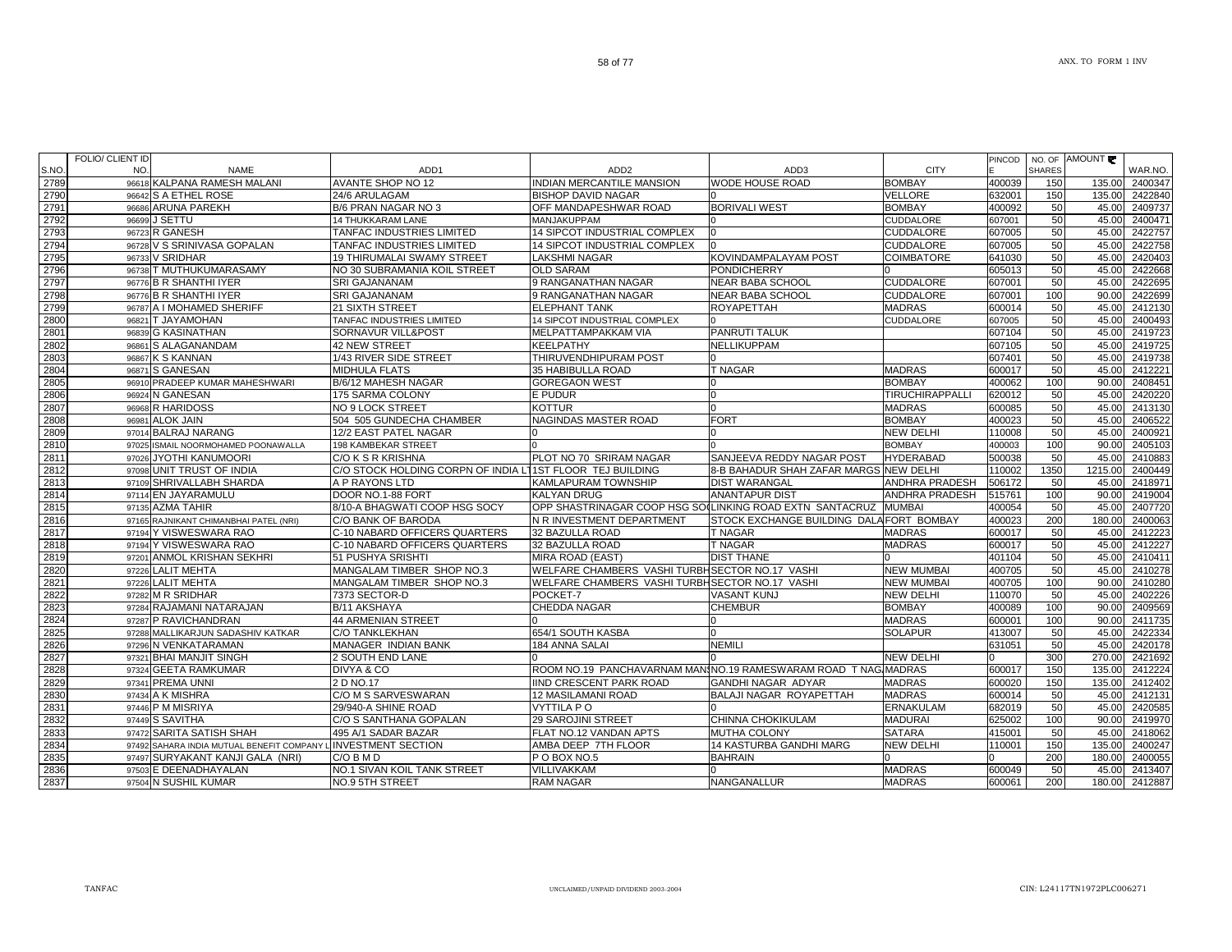|      | <b>FOLIO/ CLIENT ID</b> |                                                               |                                                           |                                                                |                                         |                       | PINCOD |               | NO. OF AMOUNT |         |
|------|-------------------------|---------------------------------------------------------------|-----------------------------------------------------------|----------------------------------------------------------------|-----------------------------------------|-----------------------|--------|---------------|---------------|---------|
| S.NO | NO.                     | <b>NAME</b>                                                   | ADD1                                                      | ADD <sub>2</sub>                                               | ADD3                                    | <b>CITY</b>           |        | <b>SHARES</b> |               | WAR.NO. |
| 2789 |                         | 96618 KALPANA RAMESH MALANI                                   | <b>AVANTE SHOP NO 12</b>                                  | <b>INDIAN MERCANTILE MANSION</b>                               | <b>WODE HOUSE ROAD</b>                  | <b>BOMBAY</b>         | 400039 | 150           | 135.00        | 2400347 |
| 2790 |                         | 96642 S A ETHEL ROSE                                          | 24/6 ARULAGAM                                             | <b>BISHOP DAVID NAGAR</b>                                      |                                         | <b>VELLORE</b>        | 632001 | 150           | 135.00        | 2422840 |
| 2791 |                         | 96686 ARUNA PAREKH                                            | B/6 PRAN NAGAR NO 3                                       | OFF MANDAPESHWAR ROAD                                          | <b>BORIVALI WEST</b>                    | <b>BOMBAY</b>         | 400092 | 50            | 45.00         | 2409737 |
| 2792 | 96699                   | <b>J SETTU</b>                                                | <b>14 THUKKARAM LANE</b>                                  | MANJAKUPPAM                                                    |                                         | <b>CUDDALORE</b>      | 607001 | 50            | 45.00         | 2400471 |
| 2793 |                         | 96723 R GANESH                                                | TANFAC INDUSTRIES LIMITED                                 | 14 SIPCOT INDUSTRIAL COMPLEX                                   | l0                                      | <b>CUDDALORE</b>      | 607005 | 50            | 45.00         | 2422757 |
| 2794 |                         | 96728 V S SRINIVASA GOPALAN                                   | TANFAC INDUSTRIES LIMITED                                 | 14 SIPCOT INDUSTRIAL COMPLEX                                   | In.                                     | <b>CUDDALORE</b>      | 607005 | 50            | 45.00         | 2422758 |
| 2795 |                         | 96733 V SRIDHAR                                               | <b>19 THIRUMALAI SWAMY STREET</b>                         | <b>LAKSHMI NAGAR</b>                                           | KOVINDAMPALAYAM POST                    | <b>COIMBATORE</b>     | 641030 | 50            | 45.00         | 2420403 |
| 2796 |                         | 96738 T MUTHUKUMARASAMY                                       | NO 30 SUBRAMANIA KOIL STREET                              | <b>OLD SARAM</b>                                               | <b>PONDICHERRY</b>                      |                       | 605013 | 50            | 45.00         | 2422668 |
| 2797 |                         | 96776 B R SHANTHI IYER                                        | <b>SRI GAJANANAM</b>                                      | 9 RANGANATHAN NAGAR                                            | NEAR BABA SCHOOL                        | <b>CUDDALORE</b>      | 607001 | 50            | 45.00         | 2422695 |
| 2798 |                         | 96776 B R SHANTHI IYER                                        | <b>SRI GAJANANAM</b>                                      | 9 RANGANATHAN NAGAR                                            | <b>NEAR BABA SCHOOL</b>                 | <b>CUDDALORE</b>      | 607001 | 100           | 90.00         | 2422699 |
| 2799 |                         | 96787 A I MOHAMED SHERIFF                                     | 21 SIXTH STREET                                           | <b>ELEPHANT TANK</b>                                           | <b>ROYAPETTAH</b>                       | <b>MADRAS</b>         | 600014 | 50            | 45.00         | 2412130 |
| 2800 |                         | 96821 T JAYAMOHAN                                             | TANFAC INDUSTRIES LIMITED                                 | 14 SIPCOT INDUSTRIAL COMPLEX                                   |                                         | <b>CUDDALORE</b>      | 607005 | 50            | 45.00         | 2400493 |
| 2801 |                         | 96839 G KASINATHAN                                            | SORNAVUR VILL&POST                                        | MELPATTAMPAKKAM VIA                                            | <b>PANRUTI TALUK</b>                    |                       | 607104 | 50            | 45.00         | 2419723 |
| 2802 |                         | 96861 S ALAGANANDAM                                           | <b>42 NEW STREET</b>                                      | <b>KEELPATHY</b>                                               | NELLIKUPPAM                             |                       | 607105 | 50            | 45.00         | 2419725 |
| 2803 |                         | 96867 K S KANNAN                                              | 1/43 RIVER SIDE STREET                                    | THIRUVENDHIPURAM POST                                          |                                         |                       | 607401 | 50            | 45.00         | 2419738 |
| 2804 |                         | 96871 S GANESAN                                               | <b>MIDHULA FLATS</b>                                      | 35 HABIBULLA ROAD                                              | T NAGAR                                 | <b>MADRAS</b>         | 600017 | 50            | 45.00         | 2412221 |
| 2805 |                         | 96910 PRADEEP KUMAR MAHESHWARI                                | B/6/12 MAHESH NAGAR                                       | <b>GOREGAON WEST</b>                                           |                                         | <b>BOMBAY</b>         | 400062 | 100           | 90.00         | 2408451 |
| 2806 |                         | 96924 N GANESAN                                               | 175 SARMA COLONY                                          | <b>E PUDUR</b>                                                 | n                                       | TIRUCHIRAPPALLI       | 620012 | 50            | 45.00         | 2420220 |
| 2807 |                         | 96968 R HARIDOSS                                              | NO 9 LOCK STREET                                          | <b>KOTTUR</b>                                                  | $\Omega$                                | <b>MADRAS</b>         | 600085 | 50            | 45.00         | 2413130 |
| 2808 |                         | 96981 ALOK JAIN                                               | 504 505 GUNDECHA CHAMBER                                  | NAGINDAS MASTER ROAD                                           | <b>FORT</b>                             | <b>BOMBAY</b>         | 400023 | 50            | 45.00         | 2406522 |
| 2809 |                         | 97014 BALRAJ NARANG                                           | 12/2 EAST PATEL NAGAR                                     | ın                                                             |                                         | <b>NEW DELHI</b>      | 110008 | 50            | 45.00         | 2400921 |
| 2810 |                         | 97025 ISMAIL NOORMOHAMED POONAWALLA                           | 198 KAMBEKAR STREET                                       |                                                                |                                         | <b>BOMBAY</b>         | 400003 | 100           | 90.00         | 2405103 |
| 2811 |                         | 97026 JYOTHI KANUMOORI                                        | C/O K S R KRISHNA                                         | PLOT NO 70 SRIRAM NAGAR                                        | SANJEEVA REDDY NAGAR POST               | <b>HYDERABAD</b>      | 500038 | 50            | 45.00         | 2410883 |
| 2812 |                         | 97098 UNIT TRUST OF INDIA                                     | C/O STOCK HOLDING CORPN OF INDIA LITST FLOOR TEJ BUILDING |                                                                | 8-B BAHADUR SHAH ZAFAR MARGS NEW DELHI  |                       | 110002 | 1350          | 1215.00       | 2400449 |
| 2813 |                         | 97109 SHRIVALLABH SHARDA                                      | A P RAYONS LTD                                            | <b>KAMLAPURAM TOWNSHIP</b>                                     | <b>DIST WARANGAL</b>                    | ANDHRA PRADESH        | 506172 | 50            | 45.00         | 2418971 |
| 2814 |                         | 97114 EN JAYARAMULU                                           | DOOR NO.1-88 FORT                                         | <b>KALYAN DRUG</b>                                             | <b>ANANTAPUR DIST</b>                   | <b>ANDHRA PRADESH</b> | 515761 | 100           | 90.00         | 2419004 |
| 2815 |                         | 97135 AZMA TAHIR                                              | 8/10-A BHAGWATI COOP HSG SOCY                             | OPP SHASTRINAGAR COOP HSG SO(LINKING ROAD EXTN SANTACRUZ       |                                         | <b>MUMBAI</b>         | 400054 | 50            | 45.00         | 2407720 |
| 2816 |                         | 97165 RAJNIKANT CHIMANBHAI PATEL (NRI)                        | C/O BANK OF BARODA                                        | N R INVESTMENT DEPARTMENT                                      | STOCK EXCHANGE BUILDING DALAFORT BOMBAY |                       | 400023 | 200           | 180.00        | 2400063 |
| 2817 |                         | 97194 Y VISWESWARA RAO                                        | C-10 NABARD OFFICERS QUARTERS                             | 32 BAZULLA ROAD                                                | <b>T NAGAR</b>                          | <b>MADRAS</b>         | 600017 | 50            | 45.00         | 2412223 |
| 2818 |                         | 97194 Y VISWESWARA RAO                                        | C-10 NABARD OFFICERS QUARTERS                             | 32 BAZULLA ROAD                                                | <b>T NAGAR</b>                          | <b>MADRAS</b>         | 600017 | 50            | 45.00         | 2412227 |
| 2819 |                         | 97201 ANMOL KRISHAN SEKHRI                                    | 51 PUSHYA SRISHTI                                         | MIRA ROAD (EAST)                                               | <b>DIST THANE</b>                       |                       | 401104 | 50            | 45.00         | 2410411 |
| 2820 |                         | 97226 LALIT MEHTA                                             | MANGALAM TIMBER SHOP NO.3                                 | WELFARE CHAMBERS VASHI TURBHSECTOR NO.17 VASHI                 |                                         | <b>NEW MUMBAI</b>     | 400705 | 50            | 45.00         | 2410278 |
| 2821 |                         | 97226 LALIT MEHTA                                             | MANGALAM TIMBER SHOP NO.3                                 | WELFARE CHAMBERS VASHI TURBHSECTOR NO.17 VASHI                 |                                         | <b>NEW MUMBAI</b>     | 400705 | 100           | 90.00         | 2410280 |
| 2822 |                         | 97282 M R SRIDHAR                                             | 7373 SECTOR-D                                             | POCKET-7                                                       | <b>VASANT KUNJ</b>                      | <b>NEW DELHI</b>      | 110070 | 50            | 45.00         | 2402226 |
| 2823 |                         | 97284 RAJAMANI NATARAJAN                                      | B/11 AKSHAYA                                              | <b>CHEDDA NAGAR</b>                                            | <b>CHEMBUR</b>                          | <b>BOMBAY</b>         | 400089 | 100           | 90.00         | 2409569 |
| 2824 |                         | 97287 P RAVICHANDRAN                                          | <b>44 ARMENIAN STREET</b>                                 |                                                                |                                         | <b>MADRAS</b>         | 600001 | 100           | 90.00         | 2411735 |
| 2825 |                         | 97288 MALLIKARJUN SADASHIV KATKAR                             | <b>C/O TANKLEKHAN</b>                                     | 654/1 SOUTH KASBA                                              |                                         | <b>SOLAPUR</b>        | 413007 | 50            | 45.00         | 2422334 |
| 2826 |                         | 97296 N VENKATARAMAN                                          | MANAGER INDIAN BANK                                       | 184 ANNA SALAI                                                 | <b>NEMILI</b>                           |                       | 631051 | 50            | 45.00         | 2420178 |
| 2827 |                         | 97321 BHAI MANJIT SINGH                                       | 2 SOUTH END LANE                                          |                                                                |                                         | <b>NEW DELHI</b>      |        | 300           | 270.00        | 2421692 |
| 2828 |                         | 97324 GEETA RAMKUMAR                                          | DIVYA & CO                                                | ROOM NO.19 PANCHAVARNAM MANINO.19 RAMESWARAM ROAD T NAG MADRAS |                                         |                       | 600017 | 150           | 135.00        | 2412224 |
| 2829 |                         | 97341 PREMA UNNI                                              | 2 D NO.17                                                 | IIND CRESCENT PARK ROAD                                        | GANDHI NAGAR ADYAR                      | <b>MADRAS</b>         | 600020 | 150           | 135.00        | 2412402 |
| 2830 |                         | 97434 A K MISHRA                                              | C/O M S SARVESWARAN                                       | <b>12 MASILAMANI ROAD</b>                                      | <b>BALAJI NAGAR ROYAPETTAH</b>          | <b>MADRAS</b>         | 600014 | 50            | 45.00         | 2412131 |
| 2831 |                         | 97446 P M MISRIYA                                             | 29/940-A SHINE ROAD                                       | <b>VYTTILA PO</b>                                              |                                         | <b>ERNAKULAM</b>      | 682019 | 50            | 45.00         | 2420585 |
| 2832 |                         | 97449 S SAVITHA                                               | C/O S SANTHANA GOPALAN                                    | 29 SAROJINI STREET                                             | CHINNA CHOKIKULAM                       | <b>MADURAI</b>        | 625002 | 100           | 90.00         | 2419970 |
| 2833 |                         | 97472 SARITA SATISH SHAH                                      | 495 A/1 SADAR BAZAR                                       | FLAT NO.12 VANDAN APTS                                         | <b>MUTHA COLONY</b>                     | <b>SATARA</b>         | 415001 | 50            | 45.00         | 2418062 |
| 2834 |                         | 97492 SAHARA INDIA MUTUAL BENEFIT COMPANY LINVESTMENT SECTION |                                                           | AMBA DEEP 7TH FLOOR                                            | 14 KASTURBA GANDHI MARG                 | <b>NEW DELHI</b>      | 110001 | 150           | 135.00        | 2400247 |
| 2835 |                         | 97497 SURYAKANT KANJI GALA (NRI)                              | C/O B M D                                                 | P O BOX NO.5                                                   | <b>BAHRAIN</b>                          |                       |        | 200           | 180.00        | 2400055 |
| 2836 |                         | 97503 E DEENADHAYALAN                                         | NO.1 SIVAN KOIL TANK STREET                               | VILLIVAKKAM                                                    |                                         | <b>MADRAS</b>         | 600049 | 50            | 45.00         | 2413407 |
| 2837 |                         | 97504 N SUSHIL KUMAR                                          | NO.9 5TH STREET                                           | <b>RAM NAGAR</b>                                               | NANGANALLUR                             | <b>MADRAS</b>         | 600061 | 200           | 180.00        | 2412887 |
|      |                         |                                                               |                                                           |                                                                |                                         |                       |        |               |               |         |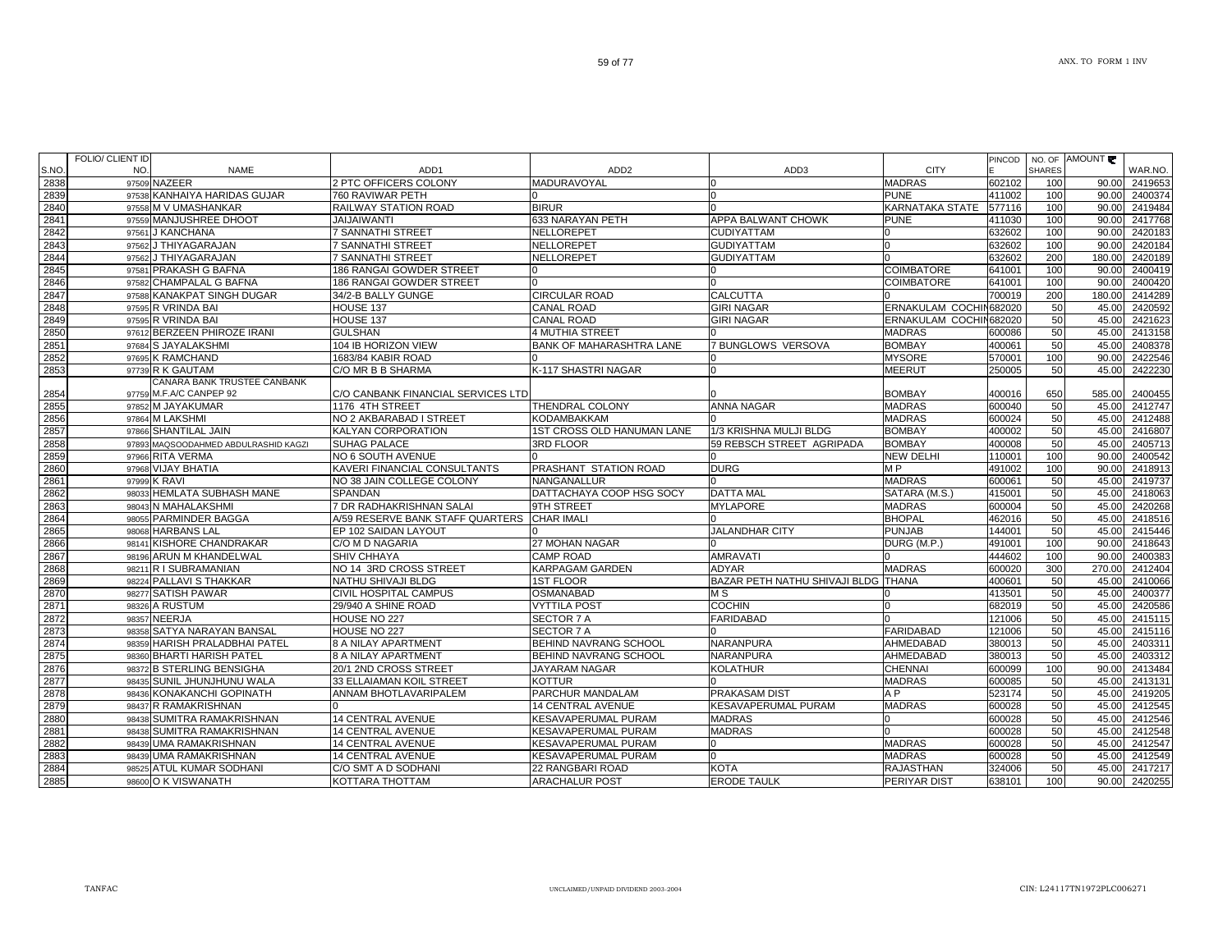|      | FOLIO/ CLIENT ID |                                      |                                    |                              |                                     |                        | <b>PINCOD</b> |               | NO. OF AMOUNT |         |
|------|------------------|--------------------------------------|------------------------------------|------------------------------|-------------------------------------|------------------------|---------------|---------------|---------------|---------|
| S.NO | NO.              | <b>NAME</b>                          | ADD <sub>1</sub>                   | ADD <sub>2</sub>             | ADD3                                | <b>CITY</b>            |               | <b>SHARES</b> |               | WAR.NO. |
| 2838 |                  | 97509 NAZEER                         | 2 PTC OFFICERS COLONY              | MADURAVOYAL                  | n                                   | <b>MADRAS</b>          | 602102        | 100           | 90.00         | 2419653 |
| 2839 |                  | 97538 KANHAIYA HARIDAS GUJAR         | 760 RAVIWAR PETH                   |                              | n                                   | <b>PUNE</b>            | 411002        | 100           | 90.00         | 2400374 |
| 2840 |                  | 97558 M V UMASHANKAR                 | RAILWAY STATION ROAD               | <b>BIRUR</b>                 |                                     | KARNATAKA STATE        | 577116        | 100           | 90.00         | 2419484 |
| 2841 | 97559            | MANJUSHREE DHOOT                     | <b>JAIJAIWANTI</b>                 | 633 NARAYAN PETH             | <b>APPA BALWANT CHOWK</b>           | <b>PUNE</b>            | 411030        | 100           | 90.00         | 2417768 |
| 2842 |                  | 97561 J KANCHANA                     | 7 SANNATHI STREET                  | NELLOREPET                   | <b>CUDIYATTAM</b>                   |                        | 632602        | 100           | 90.00         | 2420183 |
| 2843 |                  | 97562 J THIYAGARAJAN                 | <b>7 SANNATHI STREET</b>           | NELLOREPET                   | <b>GUDIYATTAM</b>                   |                        | 632602        | 100           | 90.00         | 2420184 |
| 2844 |                  | 97562 J THIYAGARAJAN                 | <b>7 SANNATHI STREET</b>           | NELLOREPET                   | <b>GUDIYATTAM</b>                   |                        | 632602        | 200           | 180.00        | 2420189 |
| 2845 |                  | 97581 PRAKASH G BAFNA                | 186 RANGAI GOWDER STREET           |                              |                                     | <b>COIMBATORE</b>      | 641001        | 100           | 90.00         | 2400419 |
| 2846 |                  | 97582 CHAMPALAL G BAFNA              | 186 RANGAI GOWDER STREET           |                              |                                     | COIMBATORE             | 641001        | 100           | 90.00         | 2400420 |
| 2847 |                  | 97588 KANAKPAT SINGH DUGAR           | 34/2-B BALLY GUNGE                 | <b>CIRCULAR ROAD</b>         | <b>CALCUTTA</b>                     |                        | 700019        | 200           | 180.00        | 2414289 |
| 2848 |                  | 97595 R VRINDA BAI                   | HOUSE 137                          | <b>CANAL ROAD</b>            | <b>GIRI NAGAR</b>                   | ERNAKULAM COCHIN682020 |               | 50            | 45.00         | 2420592 |
| 2849 |                  | 97595 R VRINDA BAI                   | HOUSE 137                          | <b>CANAL ROAD</b>            | <b>GIRI NAGAR</b>                   | ERNAKULAM COCHIN682020 |               | 50            | 45.00         | 2421623 |
| 2850 |                  | 97612 BERZEEN PHIROZE IRANI          | <b>GULSHAN</b>                     | <b>4 MUTHIA STREET</b>       |                                     | <b>MADRAS</b>          | 600086        | 50            | 45.00         | 2413158 |
| 2851 |                  | 97684 S JAYALAKSHMI                  | 104 IB HORIZON VIEW                | BANK OF MAHARASHTRA LANE     | 7 BUNGLOWS VERSOVA                  | <b>BOMBAY</b>          | 400061        | 50            | 45.00         | 2408378 |
| 2852 |                  | 97695 K RAMCHAND                     | 1683/84 KABIR ROAD                 |                              |                                     | <b>MYSORE</b>          | 570001        | 100           | 90.00         | 2422546 |
| 2853 |                  | 97739 R K GAUTAM                     | C/O MR B B SHARMA                  | K-117 SHASTRI NAGAR          | n                                   | <b>MEERUT</b>          | 250005        | 50            | 45.00         | 2422230 |
|      |                  | CANARA BANK TRUSTEE CANBANK          |                                    |                              |                                     |                        |               |               |               |         |
| 2854 |                  | 97759 M.F.A/C CANPEP 92              | C/O CANBANK FINANCIAL SERVICES LTD |                              |                                     | <b>BOMBAY</b>          | 400016        | 650           | 585.00        | 2400455 |
| 2855 |                  | 97852 M JAYAKUMAR                    | 1176 4TH STREET                    | THENDRAL COLONY              | <b>ANNA NAGAR</b>                   | <b>MADRAS</b>          | 600040        | 50            | 45.00         | 2412747 |
| 2856 |                  | 97864 M LAKSHMI                      | NO 2 AKBARABAD I STREET            | KODAMBAKKAM                  |                                     | <b>MADRAS</b>          | 600024        | 50            | 45.00         | 2412488 |
| 2857 |                  | 97866 SHANTILAL JAIN                 | KALYAN CORPORATION                 | 1ST CROSS OLD HANUMAN LANE   | 1/3 KRISHNA MULJI BLDG              | <b>BOMBAY</b>          | 400002        | 50            | 45.00         | 2416807 |
| 2858 |                  | 97893 MAQSOODAHMED ABDULRASHID KAGZI | SUHAG PALACE                       | <b>3RD FLOOR</b>             | 59 REBSCH STREET AGRIPADA           | <b>BOMBAY</b>          | 400008        | 50            | 45.00         | 2405713 |
| 2859 |                  | 97966 RITA VERMA                     | NO 6 SOUTH AVENUE                  |                              |                                     | <b>NEW DELHI</b>       | 110001        | 100           | 90.00         | 2400542 |
| 2860 |                  | 97968 VIJAY BHATIA                   | KAVERI FINANCIAL CONSULTANTS       | PRASHANT STATION ROAD        | <b>DURG</b>                         | M P                    | 491002        | 100           | 90.00         | 2418913 |
| 2861 |                  | 97999 K RAVI                         | NO 38 JAIN COLLEGE COLONY          | NANGANALLUR                  |                                     | <b>MADRAS</b>          | 600061        | 50            | 45.00         | 2419737 |
| 2862 |                  | 98033 HEMLATA SUBHASH MANE           | <b>SPANDAN</b>                     | DATTACHAYA COOP HSG SOCY     | <b>DATTA MAL</b>                    | SATARA (M.S.)          | 415001        | 50            | 45.00         | 2418063 |
| 2863 |                  | 98043 N MAHALAKSHMI                  | 7 DR RADHAKRISHNAN SALAI           | 9TH STREET                   | <b>MYLAPORE</b>                     | <b>MADRAS</b>          | 600004        | 50            | 45.00         | 2420268 |
| 2864 |                  | 98055 PARMINDER BAGGA                | A/59 RESERVE BANK STAFF QUARTERS   | <b>CHAR IMALI</b>            |                                     | <b>BHOPAL</b>          | 462016        | 50            | 45.00         | 2418516 |
| 2865 |                  | 98068 HARBANS LAL                    | EP 102 SAIDAN LAYOUT               |                              | <b>JALANDHAR CITY</b>               | <b>PUNJAB</b>          | 144001        | 50            | 45.00         | 2415446 |
| 2866 |                  | 98141 KISHORE CHANDRAKAR             | C/O M D NAGARIA                    | 27 MOHAN NAGAR               |                                     | DURG (M.P.)            | 491001        | 100           | 90.00         | 2418643 |
| 2867 |                  | 98196 ARUN M KHANDELWAL              | SHIV CHHAYA                        | <b>CAMP ROAD</b>             | <b>AMRAVATI</b>                     |                        | 444602        | 100           | 90.00         | 2400383 |
| 2868 |                  | 98211 R I SUBRAMANIAN                | NO 14 3RD CROSS STREET             | KARPAGAM GARDEN              | <b>ADYAR</b>                        | <b>MADRAS</b>          | 600020        | 300           | 270.00        | 2412404 |
| 2869 |                  | 98224 PALLAVI S THAKKAR              | NATHU SHIVAJI BLDG                 | <b>1ST FLOOR</b>             | BAZAR PETH NATHU SHIVAJI BLDG THANA |                        | 400601        | 50            | 45.00         | 2410066 |
| 2870 |                  | 98277 SATISH PAWAR                   | CIVIL HOSPITAL CAMPUS              | OSMANABAD                    | M <sub>S</sub>                      |                        | 413501        | 50            | 45.00         | 2400377 |
| 2871 |                  | 98326 A RUSTUM                       | 29/940 A SHINE ROAD                | <b>VYTTILA POST</b>          | <b>COCHIN</b>                       |                        | 682019        | 50            | 45.00         | 2420586 |
| 2872 |                  | 98357 NEERJA                         | HOUSE NO 227                       | SECTOR 7 A                   | <b>FARIDABAD</b>                    |                        | 121006        | 50            | 45.00         | 2415115 |
| 2873 |                  | 98358 SATYA NARAYAN BANSAL           | HOUSE NO 227                       | <b>SECTOR 7 A</b>            |                                     | <b>FARIDABAD</b>       | 121006        | 50            | 45.00         | 2415116 |
| 2874 |                  | 98359 HARISH PRALADBHAI PATEL        | 8 A NILAY APARTMENT                | <b>BEHIND NAVRANG SCHOOL</b> | <b>NARANPURA</b>                    | AHMEDABAD              | 380013        | 50            | 45.00         | 2403311 |
| 2875 |                  | 98360 BHARTI HARISH PATEL            | <b>8 A NILAY APARTMENT</b>         | BEHIND NAVRANG SCHOOL        | <b>NARANPURA</b>                    | AHMEDABAD              | 380013        | 50            | 45.00         | 2403312 |
| 2876 |                  | 98372 B STERLING BENSIGHA            | 20/1 2ND CROSS STREET              | JAYARAM NAGAR                | <b>KOLATHUR</b>                     | <b>CHENNAI</b>         | 600099        | 100           | 90.00         | 2413484 |
| 2877 | 98435            | SUNIL JHUNJHUNU WALA                 | 33 ELLAIAMAN KOIL STREET           | KOTTUR                       |                                     | <b>MADRAS</b>          | 600085        | 50            | 45.00         | 2413131 |
| 2878 |                  | 98436 KONAKANCHI GOPINATH            | ANNAM BHOTLAVARIPALEM              | PARCHUR MANDALAM             | PRAKASAM DIST                       | A P                    | 523174        | 50            | 45.00         | 2419205 |
| 2879 |                  | 98437 R RAMAKRISHNAN                 |                                    | <b>14 CENTRAL AVENUE</b>     | KESAVAPERUMAL PURAM                 | <b>MADRAS</b>          | 600028        | 50            | 45.00         | 2412545 |
| 2880 |                  | 98438 SUMITRA RAMAKRISHNAN           | <b>14 CENTRAL AVENUE</b>           | KESAVAPERUMAL PURAM          | <b>MADRAS</b>                       |                        | 600028        | 50            | 45.00         | 2412546 |
| 2881 |                  | 98438 SUMITRA RAMAKRISHNAN           | 14 CENTRAL AVENUE                  | KESAVAPERUMAL PURAM          | <b>MADRAS</b>                       |                        | 600028        | 50            | 45.00         | 2412548 |
| 2882 |                  | 98439 UMA RAMAKRISHNAN               | <b>14 CENTRAL AVENUE</b>           | KESAVAPERUMAL PURAM          | n                                   | <b>MADRAS</b>          | 600028        | 50            | 45.00         | 2412547 |
| 2883 |                  | 98439 UMA RAMAKRISHNAN               | <b>14 CENTRAL AVENUE</b>           | KESAVAPERUMAL PURAM          |                                     | <b>MADRAS</b>          | 600028        | 50            | 45.00         | 2412549 |
| 2884 |                  | 98525 ATUL KUMAR SODHANI             | C/O SMT A D SODHANI                | 22 RANGBARI ROAD             | <b>KOTA</b>                         | RAJASTHAN              | 324006        | 50            | 45.00         | 2417217 |
| 2885 |                  | 98600 O K VISWANATH                  | KOTTARA THOTTAM                    | <b>ARACHALUR POST</b>        | <b>ERODE TAULK</b>                  | PERIYAR DIST           | 638101        | 100           | 90.00         | 2420255 |
|      |                  |                                      |                                    |                              |                                     |                        |               |               |               |         |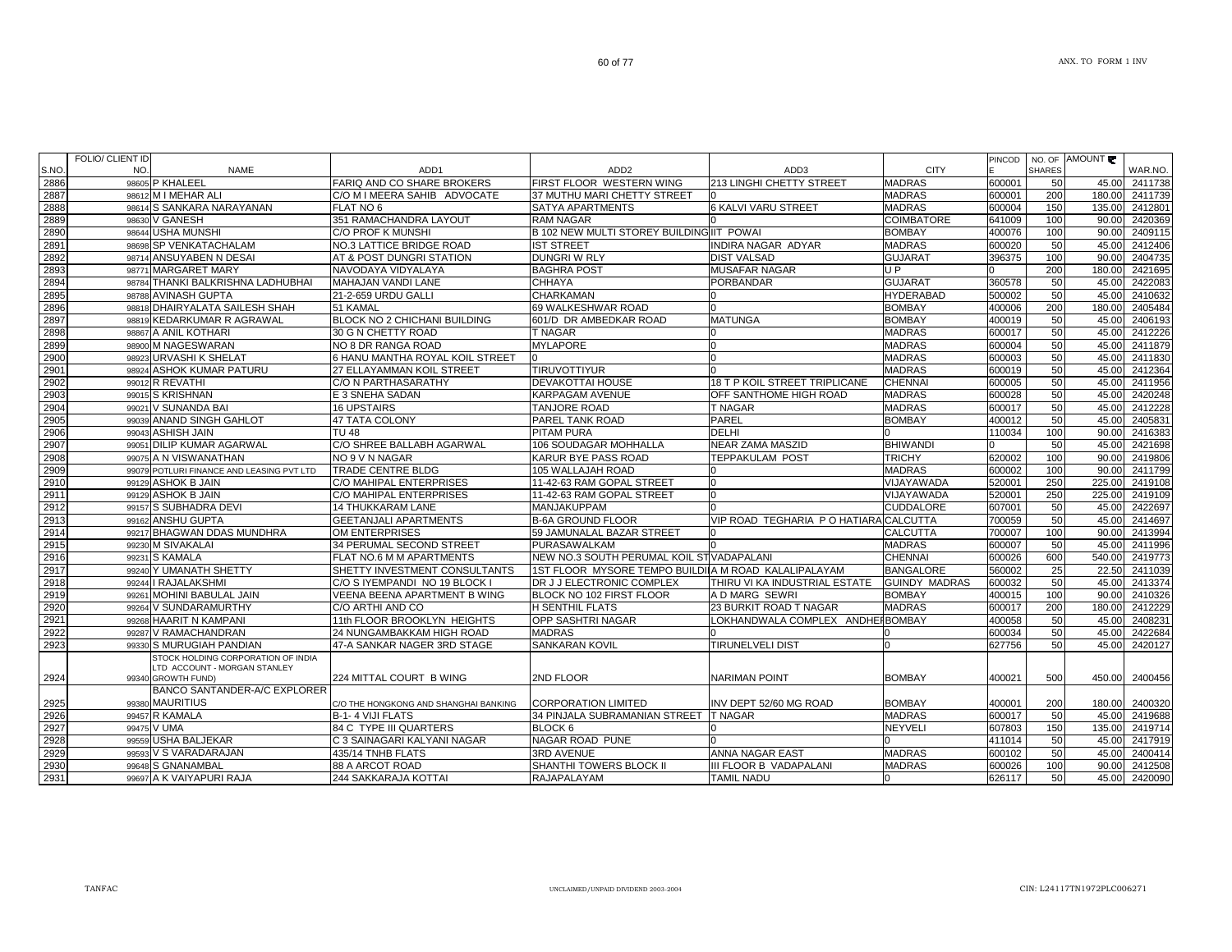|      | FOLIO/ CLIENT ID |                                                    |                                       |                                                      |                                        |                      |        |               | NO. OF AMOUNT |               |
|------|------------------|----------------------------------------------------|---------------------------------------|------------------------------------------------------|----------------------------------------|----------------------|--------|---------------|---------------|---------------|
| S.NO | NO.              | <b>NAME</b>                                        | ADD <sub>1</sub>                      | ADD <sub>2</sub>                                     | ADD3                                   | <b>CITY</b>          | PINCOD | <b>SHARES</b> |               | WAR.NO.       |
| 2886 |                  | 98605 P KHALEEL                                    | FARIQ AND CO SHARE BROKERS            | FIRST FLOOR WESTERN WING                             | 213 LINGHI CHETTY STREET               | <b>MADRAS</b>        | 600001 | 50            | 45.00         | 2411738       |
| 2887 |                  | 98612 M I MEHAR ALI                                | C/O M I MEERA SAHIB ADVOCATE          | 37 MUTHU MARI CHETTY STREET                          |                                        | <b>MADRAS</b>        | 600001 | 200           | 180.00        | 2411739       |
| 2888 | 98614            | S SANKARA NARAYANAN                                | FLAT NO 6                             | SATYA APARTMENTS                                     | <b>6 KALVI VARU STREET</b>             | <b>MADRAS</b>        | 600004 | 150           | 135.00        | 2412801       |
| 2889 |                  | 98630 V GANESH                                     | 351 RAMACHANDRA LAYOUT                | RAM NAGAR                                            |                                        | <b>COIMBATORE</b>    | 641009 | 100           | 90.00         | 2420369       |
| 2890 |                  | 98644 USHA MUNSHI                                  | C/O PROF K MUNSHI                     | B 102 NEW MULTI STOREY BUILDING IIT POWAI            |                                        | <b>BOMBAY</b>        | 400076 | 100           | 90.00         | 2409115       |
| 2891 |                  | 98698 SP VENKATACHALAM                             | <b>NO.3 LATTICE BRIDGE ROAD</b>       | <b>IST STREET</b>                                    | <b>INDIRA NAGAR ADYAR</b>              | <b>MADRAS</b>        | 600020 | 50            | 45.00         | 2412406       |
| 2892 |                  | 98714 ANSUYABEN N DESAI                            | AT & POST DUNGRI STATION              | DUNGRI W RLY                                         | <b>DIST VALSAD</b>                     | <b>GUJARAT</b>       | 396375 | 100           | 90.00         | 2404735       |
| 2893 |                  | 98771 MARGARET MARY                                | NAVODAYA VIDYALAYA                    | <b>BAGHRA POST</b>                                   | <b>MUSAFAR NAGAR</b>                   | UP                   |        | 200           | 180.00        | 2421695       |
| 2894 |                  | 98784 THANKI BALKRISHNA LADHUBHAI                  | MAHAJAN VANDI LANE                    | CHHAYA                                               | <b>PORBANDAR</b>                       | <b>GUJARAT</b>       | 360578 | 50            | 45.00         | 2422083       |
| 2895 |                  | 98788 AVINASH GUPTA                                | 21-2-659 URDU GALLI                   | CHARKAMAN                                            |                                        | <b>HYDERABAD</b>     | 500002 | 50            | 45.00         | 2410632       |
| 2896 |                  | 98818 DHAIRYALATA SAILESH SHAH                     | 51 KAMAL                              | 69 WALKESHWAR ROAD                                   |                                        | <b>BOMBAY</b>        | 400006 | 200           | 180.00        | 2405484       |
| 2897 |                  | 98819 KEDARKUMAR R AGRAWAL                         | BLOCK NO 2 CHICHANI BUILDING          | 601/D DR AMBEDKAR ROAD                               | <b>MATUNGA</b>                         | <b>BOMBAY</b>        | 400019 | 50            | 45.00         | 2406193       |
| 2898 | 98867            | A ANIL KOTHARI                                     | 30 G N CHETTY ROAD                    | T NAGAR                                              |                                        | <b>MADRAS</b>        | 600017 | 50            | 45.00         | 2412226       |
| 2899 |                  | 98900 M NAGESWARAN                                 | NO 8 DR RANGA ROAD                    | <b>MYLAPORE</b>                                      |                                        | <b>MADRAS</b>        | 600004 | 50            | 45.00         | 2411879       |
| 2900 |                  | 98923 URVASHI K SHELAT                             | 6 HANU MANTHA ROYAL KOIL STREET       |                                                      | n                                      | <b>MADRAS</b>        | 600003 | 50            | 45.00         | 2411830       |
| 2901 | 98924            | <b>ASHOK KUMAR PATURU</b>                          | 27 ELLAYAMMAN KOIL STREET             | <b>TIRUVOTTIYUR</b>                                  |                                        | <b>MADRAS</b>        | 600019 | 50            | 45.00         | 2412364       |
| 2902 | 99012            | <b>R REVATHI</b>                                   | <b>C/O N PARTHASARATHY</b>            | DEVAKOTTAI HOUSE                                     | 18 T P KOIL STREET TRIPLICANE          | <b>CHENNAI</b>       | 600005 | 50            | 45.00         | 2411956       |
| 2903 |                  | 99015 S KRISHNAN                                   | E 3 SNEHA SADAN                       | KARPAGAM AVENUE                                      | OFF SANTHOME HIGH ROAD                 | <b>MADRAS</b>        | 600028 | 50            | 45.00         | 2420248       |
| 2904 | 99021            | <b>V SUNANDA BAI</b>                               | <b>16 UPSTAIRS</b>                    | <b>TANJORE ROAD</b>                                  | <b>T NAGAR</b>                         | <b>MADRAS</b>        | 600017 | 50            | 45.00         | 2412228       |
| 2905 | 99039            | <b>ANAND SINGH GAHLOT</b>                          | 47 TATA COLONY                        | PAREL TANK ROAD                                      | <b>PAREL</b>                           | <b>BOMBAY</b>        | 400012 | 50            | 45.00         | 2405831       |
| 2906 |                  | 99043 ASHISH JAIN                                  | TU 48                                 | PITAM PURA                                           | <b>DELHI</b>                           |                      | 110034 | 100           | 90.00         | 2416383       |
| 2907 |                  | 99051 DILIP KUMAR AGARWAL                          | C/O SHREE BALLABH AGARWAL             | 106 SOUDAGAR MOHHALLA                                | NEAR ZAMA MASZID                       | <b>BHIWANDI</b>      |        | 50            | 45.00         | 2421698       |
| 2908 |                  | 99075 A N VISWANATHAN                              | NO 9 V N NAGAR                        | KARUR BYE PASS ROAD                                  | <b>TEPPAKULAM POST</b>                 | <b>TRICHY</b>        | 620002 | 100           | 90.00         | 2419806       |
| 2909 |                  | 99079 POTLURI FINANCE AND LEASING PVT LTD          | <b>TRADE CENTRE BLDG</b>              | 105 WALLAJAH ROAD                                    |                                        | <b>MADRAS</b>        | 600002 | 100           | 90.00         | 2411799       |
| 2910 |                  | 99129 ASHOK B JAIN                                 | C/O MAHIPAL ENTERPRISES               | 11-42-63 RAM GOPAL STREET                            | 0                                      | VIJAYAWADA           | 520001 | 250           | 225.00        | 2419108       |
| 2911 |                  | 99129 ASHOK B JAIN                                 | C/O MAHIPAL ENTERPRISES               | 11-42-63 RAM GOPAL STREET                            | <sup>o</sup>                           | VIJAYAWADA           | 520001 | 250           | 225.00        | 2419109       |
| 2912 |                  | 99157 S SUBHADRA DEVI                              | <b>14 THUKKARAM LANE</b>              | MANJAKUPPAM                                          |                                        | <b>CUDDALORE</b>     | 607001 | 50            | 45.00         | 2422697       |
| 2913 |                  | 99162 ANSHU GUPTA                                  | <b>GEETANJALI APARTMENTS</b>          | <b>B-6A GROUND FLOOR</b>                             | VIP ROAD TEGHARIA P O HATIARA CALCUTTA |                      | 700059 | 50            | 45.00         | 2414697       |
| 2914 |                  | 99217 BHAGWAN DDAS MUNDHRA                         | OM ENTERPRISES                        | 59 JAMUNALAL BAZAR STREET                            |                                        | <b>CALCUTTA</b>      | 700007 | 100           | 90.00         | 2413994       |
| 2915 |                  | 99230 M SIVAKALAI                                  | 34 PERUMAL SECOND STREET              | PURASAWALKAM                                         |                                        | <b>MADRAS</b>        | 600007 | 50            | 45.00         | 2411996       |
| 2916 |                  | 99231 S KAMALA                                     | FLAT NO.6 M M APARTMENTS              | NEW NO.3 SOUTH PERUMAL KOIL ST VADAPALANI            |                                        | <b>CHENNAI</b>       | 600026 | 600           | 540.00        | 2419773       |
| 2917 | 99240            | Y UMANATH SHETTY                                   | SHETTY INVESTMENT CONSULTANTS         | 1ST FLOOR MYSORE TEMPO BUILDIIA M ROAD KALALIPALAYAM |                                        | <b>BANGALORE</b>     | 560002 | 25            | 22.50         | 2411039       |
| 2918 |                  | 99244   RAJALAKSHMI                                | C/O S IYEMPANDI NO 19 BLOCK I         | DR J J ELECTRONIC COMPLEX                            | THIRU VI KA INDUSTRIAL ESTATE          | <b>GUINDY MADRAS</b> | 600032 | 50            | 45.00         | 2413374       |
| 2919 | 99261            | MOHINI BABULAL JAIN                                | VEENA BEENA APARTMENT B WING          | BLOCK NO 102 FIRST FLOOR                             | A D MARG SEWRI                         | <b>BOMBAY</b>        | 400015 | 100           | 90.00         | 2410326       |
| 2920 |                  | 99264 V SUNDARAMURTHY                              | C/O ARTHI AND CO                      | H SENTHIL FLATS                                      | 23 BURKIT ROAD T NAGAR                 | <b>MADRAS</b>        | 600017 | 200           | 180.00        | 2412229       |
| 2921 |                  | 99268 HAARIT N KAMPANI                             | 11th FLOOR BROOKLYN HEIGHTS           | OPP SASHTRI NAGAR                                    | LOKHANDWALA COMPLEX ANDHEI BOMBAY      |                      | 400058 | 50            | 45.00         | 2408231       |
| 2922 |                  | 99287 V RAMACHANDRAN                               | 24 NUNGAMBAKKAM HIGH ROAD             | <b>MADRAS</b>                                        |                                        |                      | 600034 | 50            | 45.00         | 2422684       |
| 2923 | 99330            | S MURUGIAH PANDIAN                                 | 47-A SANKAR NAGER 3RD STAGE           | SANKARAN KOVIL                                       | <b>TIRUNELVELI DIST</b>                |                      | 627756 | 50            | 45.00         | 2420127       |
|      |                  | STOCK HOLDING CORPORATION OF INDIA                 |                                       |                                                      |                                        |                      |        |               |               |               |
| 2924 |                  | LTD ACCOUNT - MORGAN STANLEY<br>99340 GROWTH FUND) | 224 MITTAL COURT B WING               | 2ND FLOOR                                            | <b>NARIMAN POINT</b>                   | <b>BOMBAY</b>        | 400021 | 500           | 450.00        | 2400456       |
|      |                  | <b>BANCO SANTANDER-A/C EXPLORER</b>                |                                       |                                                      |                                        |                      |        |               |               |               |
| 2925 |                  | 99380 MAURITIUS                                    | C/O THE HONGKONG AND SHANGHAI BANKING | <b>CORPORATION LIMITED</b>                           | INV DEPT 52/60 MG ROAD                 | <b>BOMBAY</b>        | 400001 | 200           | 180.00        | 2400320       |
| 2926 |                  | 99457 R KAMALA                                     | B-1-4 VIJI FLATS                      | 34 PINJALA SUBRAMANIAN STREET T NAGAR                |                                        | <b>MADRAS</b>        | 600017 | 50            | 45.00         | 2419688       |
| 2927 |                  | 99475 V UMA                                        | 84 C TYPE III QUARTERS                | BLOCK 6                                              | n.                                     | <b>NEYVELI</b>       | 607803 | 150           | 135.00        | 2419714       |
| 2928 |                  | 99559 USHA BALJEKAR                                | C 3 SAINAGARI KALYANI NAGAR           | NAGAR ROAD PUNE                                      |                                        |                      | 411014 | 50            | 45.00         | 2417919       |
| 2929 |                  | 99593 V S VARADARAJAN                              | 435/14 TNHB FLATS                     | 3RD AVENUE                                           | <b>ANNA NAGAR EAST</b>                 | <b>MADRAS</b>        | 600102 | 50            | 45.00         | 2400414       |
| 2930 |                  | 99648 S GNANAMBAL                                  | 88 A ARCOT ROAD                       | SHANTHI TOWERS BLOCK II                              | III FLOOR B VADAPALANI                 | <b>MADRAS</b>        | 600026 | 100           | 90.00         | 2412508       |
| 2931 |                  | 99697 A K VAIYAPURI RAJA                           | 244 SAKKARAJA KOTTAI                  | RAJAPALAYAM                                          | <b>TAMIL NADU</b>                      | $\Omega$             | 626117 | 50            |               | 45.00 2420090 |
|      |                  |                                                    |                                       |                                                      |                                        |                      |        |               |               |               |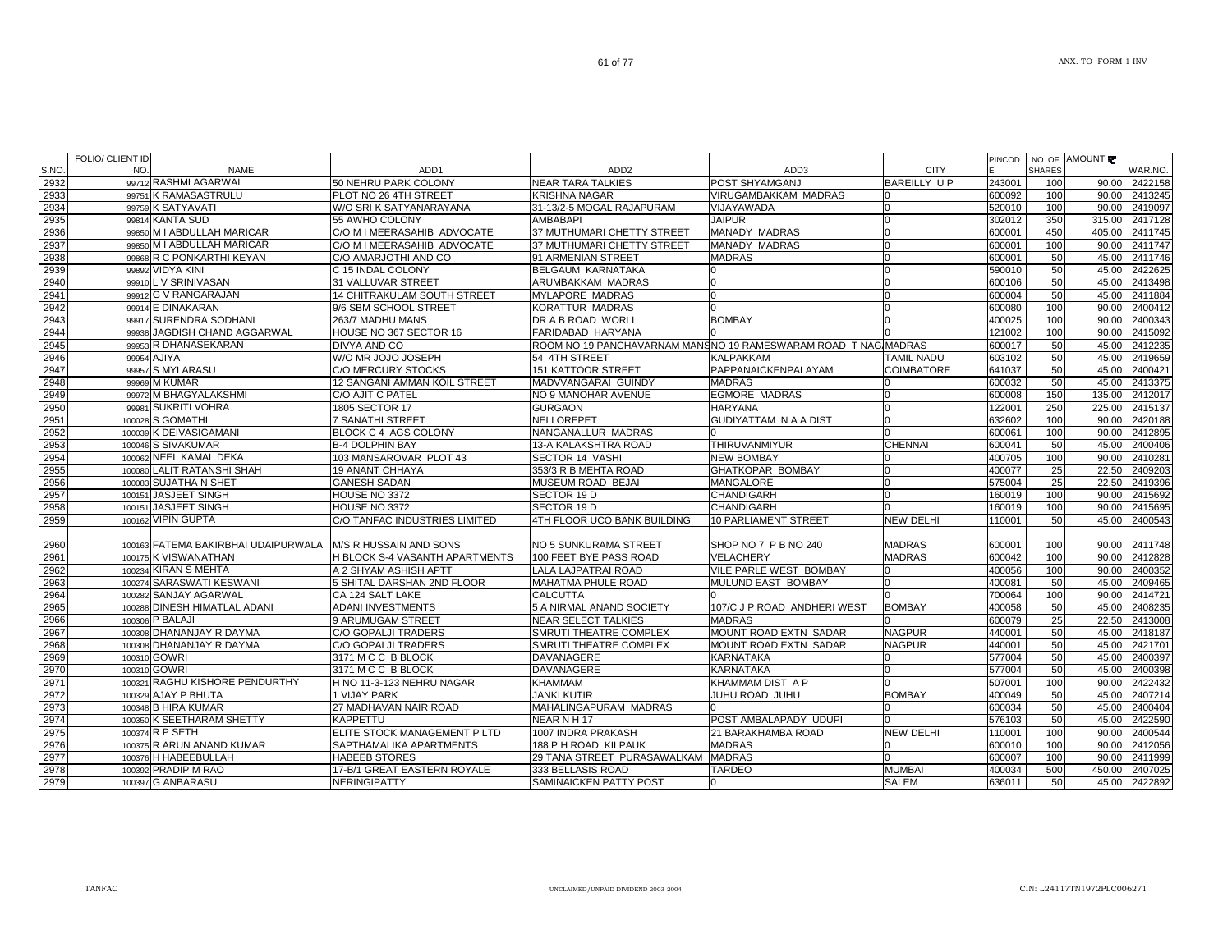| S.NO         | FOLIO/ CLIENT ID<br>NO. | <b>NAME</b>                                                | ADD <sub>1</sub>                      | ADD <sub>2</sub>                                                | ADD3                         | <b>CITY</b>        | <b>PINCOD</b>    | <b>SHARES</b> | NO. OF AMOUNT  | WAR.NO.            |
|--------------|-------------------------|------------------------------------------------------------|---------------------------------------|-----------------------------------------------------------------|------------------------------|--------------------|------------------|---------------|----------------|--------------------|
| 2932         |                         | 99712 RASHMI AGARWAL                                       | 50 NEHRU PARK COLONY                  | <b>NEAR TARA TALKIES</b>                                        | POST SHYAMGANJ               | <b>BAREILLY UP</b> | 243001           | 100           | 90.00          | 2422158            |
| 2933         |                         | 99751 K RAMASASTRULU                                       | PLOT NO 26 4TH STREET                 | <b>KRISHNA NAGAR</b>                                            | VIRUGAMBAKKAM MADRAS         |                    | 600092           | 100           | 90.00          | 2413245            |
| 2934         |                         | 99759 K SATYAVATI                                          | W/O SRI K SATYANARAYANA               | 31-13/2-5 MOGAL RAJAPURAM                                       | VIJAYAWADA                   | n                  | 520010           | 100           | 90.00          | 2419097            |
| 2935         |                         | 99814 KANTA SUD                                            | 55 AWHO COLONY                        | <b>AMBABAPI</b>                                                 | <b>JAIPUR</b>                |                    | 302012           | 350           | 315.00         | 2417128            |
| 2936         |                         | 99850 M I ABDULLAH MARICAR                                 | C/O M I MEERASAHIB ADVOCATE           | 37 MUTHUMARI CHETTY STREET                                      | <b>MANADY MADRAS</b>         |                    | 600001           | 450           | 405.00         | 2411745            |
| 2937         |                         | 99850 M I ABDULLAH MARICAR                                 | C/O M I MEERASAHIB ADVOCATE           | 37 MUTHUMARI CHETTY STREET                                      | <b>MANADY MADRAS</b>         |                    | 600001           | 100           | 90.00          | 2411747            |
| 2938         |                         | 99868 R C PONKARTHI KEYAN                                  | C/O AMARJOTHI AND CO                  | 91 ARMENIAN STREET                                              | <b>MADRAS</b>                |                    | 600001           | 50            | 45.00          | 2411746            |
| 2939         |                         | 99892 VIDYA KINI                                           | C 15 INDAL COLONY                     | <b>BELGAUM KARNATAKA</b>                                        |                              | $\Omega$           | 590010           | 50            | 45.00          | 2422625            |
| 2940         |                         | 99910 L V SRINIVASAN                                       | 31 VALLUVAR STREET                    | ARUMBAKKAM MADRAS                                               |                              | n                  | 600106           | 50            | 45.00          | 2413498            |
| 2941         |                         | 99912 G V RANGARAJAN                                       | 14 CHITRAKULAM SOUTH STREET           | <b>MYLAPORE MADRAS</b>                                          |                              | $\Omega$           | 600004           | 50            | 45.00          | 2411884            |
| 2942         |                         | 99914 E DINAKARAN                                          | 9/6 SBM SCHOOL STREET                 | <b>KORATTUR MADRAS</b>                                          |                              |                    | 600080           | 100           | 90.00          | 2400412            |
| 2943         |                         | 99917 SURENDRA SODHANI                                     | 263/7 MADHU MANS                      | DR A B ROAD WORLI                                               | <b>BOMBAY</b>                | n                  | 400025           | 100           | 90.00          | 2400343            |
| 2944         |                         | 99938 JAGDISH CHAND AGGARWAL                               | HOUSE NO 367 SECTOR 16                | FARIDABAD HARYANA                                               |                              |                    | 121002           | 100           | 90.00          | 2415092            |
| 2945         |                         | 99953 R DHANASEKARAN                                       | DIVYA AND CO                          | ROOM NO 19 PANCHAVARNAM MANSINO 19 RAMESWARAM ROAD T NAG MADRAS |                              |                    | 600017           | 50            | 45.00          | 2412235            |
| 2946         |                         | 99954 AJIYA                                                | W/O MR JOJO JOSEPH                    | 54 4TH STREET                                                   | <b>KALPAKKAM</b>             | <b>TAMIL NADU</b>  | 603102           | 50            | 45.00          | 2419659            |
| 2947         |                         | 99957 S MYLARASU                                           | C/O MERCURY STOCKS                    | 151 KATTOOR STREET                                              | PAPPANAICKENPALAYAM          | <b>COIMBATORE</b>  | 641037           | 50            | 45.00          | 2400421            |
| 2948         |                         | 99969 M KUMAR                                              | 12 SANGANI AMMAN KOIL STREET          | MADVVANGARAI GUINDY                                             | <b>MADRAS</b>                |                    | 600032           | 50            | 45.00          | 2413375            |
| 2949         |                         | 99972 M BHAGYALAKSHMI                                      | C/O AJIT C PATEL                      | NO 9 MANOHAR AVENUE                                             | <b>EGMORE MADRAS</b>         |                    | 600008           | 150           | 135.00         | 2412017            |
| 2950         |                         | 99981 SUKRITI VOHRA                                        | 1805 SECTOR 17                        | <b>GURGAON</b>                                                  | <b>HARYANA</b>               |                    | 122001           | 250           | 225.00         | 2415137            |
| 2951         |                         | 100028 S GOMATHI                                           | 7 SANATHI STREET                      | NELLOREPET                                                      | <b>GUDIYATTAM N A A DIST</b> | n                  | 632602           | 100           | 90.00          | 2420188            |
| 2952         |                         | 100039 K DEIVASIGAMANI                                     | BLOCK C 4 AGS COLONY                  | NANGANALLUR MADRAS                                              |                              | n                  | 600061           | 100           | 90.00          | 2412895            |
| 2953         |                         | 100046 S SIVAKUMAR                                         | <b>B-4 DOLPHIN BAY</b>                | 13-A KALAKSHTRA ROAD                                            | <b>THIRUVANMIYUR</b>         | <b>CHENNAI</b>     | 600041           | 50            | 45.00          | 2400406            |
| 2954         |                         | 100062 NEEL KAMAL DEKA                                     | 103 MANSAROVAR PLOT 43                | SECTOR 14 VASHI                                                 | <b>NEW BOMBAY</b>            |                    | 400705           | 100           | 90.00          | 2410281            |
| 2955         |                         | 100080 LALIT RATANSHI SHAH                                 | 19 ANANT CHHAYA                       | 353/3 R B MEHTA ROAD                                            | <b>GHATKOPAR BOMBAY</b>      |                    | 400077           | 25            | 22.50          | 2409203            |
| 2956         |                         | 100083 SUJATHA N SHET                                      | <b>GANESH SADAN</b>                   | MUSEUM ROAD BEJAI                                               | MANGALORE                    |                    | 575004           | 25            | 22.50          | 2419396            |
| 2957         |                         | 100151 JASJEET SINGH                                       | HOUSE NO 3372                         | SECTOR 19 D                                                     | <b>CHANDIGARH</b>            |                    | 160019           | 100           | 90.00          | 2415692            |
| 2958         |                         | 100151 JASJEET SINGH                                       | HOUSE NO 3372                         | SECTOR 19 D                                                     | <b>CHANDIGARH</b>            |                    | 160019           | 100           |                | 90.00 2415695      |
| 2959         |                         | 100162 VIPIN GUPTA                                         | C/O TANFAC INDUSTRIES LIMITED         | 4TH FLOOR UCO BANK BUILDING                                     | 10 PARLIAMENT STREET         | <b>NEW DELHI</b>   | 110001           | 50            | 45.00          | 2400543            |
| 2960         |                         | 100163 FATEMA BAKIRBHAI UDAIPURWALA M/S R HUSSAIN AND SONS |                                       | NO 5 SUNKURAMA STREET                                           | SHOP NO 7 P B NO 240         | <b>MADRAS</b>      | 600001           | 100           | 90.00          | 2411748            |
| 2961         |                         | 100175 K VISWANATHAN                                       | H BLOCK S-4 VASANTH APARTMENTS        | 100 FEET BYE PASS ROAD                                          | <b>VELACHERY</b>             | <b>MADRAS</b>      | 600042           | 100           | 90.00          | 2412828            |
| 2962         |                         | 100234 KIRAN S MEHTA                                       | A 2 SHYAM ASHISH APTT                 | LALA LAJPATRAI ROAD                                             | VILE PARLE WEST BOMBAY       | n                  | 400056           | 100           | 90.00          | 2400352            |
| 2963         |                         | 100274 SARASWATI KESWANI                                   | 5 SHITAL DARSHAN 2ND FLOOR            | <b>MAHATMA PHULE ROAD</b>                                       | MULUND EAST BOMBAY           |                    | 400081           | 50            | 45.00          | 2409465            |
| 2964         |                         | 100282 SANJAY AGARWAL                                      | CA 124 SALT LAKE                      | <b>CALCUTTA</b>                                                 |                              |                    | 700064           | 100           | 90.00          | 2414721            |
| 2965         |                         | 100288 DINESH HIMATLAL ADANI                               | <b>ADANI INVESTMENTS</b>              | 5 A NIRMAL ANAND SOCIETY                                        | 107/C J P ROAD ANDHERI WEST  | <b>BOMBAY</b>      | 400058           | 50            | 45.00          | 2408235            |
| 2966         |                         | 100306 P BALAJI                                            | 9 ARUMUGAM STREET                     | <b>NEAR SELECT TALKIES</b>                                      | <b>MADRAS</b>                |                    | 600079           | 25            | 22.50          | 2413008            |
| 2967         |                         | 100308 DHANANJAY R DAYMA                                   | C/O GOPALJI TRADERS                   | SMRUTI THEATRE COMPLEX                                          | MOUNT ROAD EXTN SADAR        | <b>NAGPUR</b>      | 440001           | 50            | 45.00          | 2418187            |
| 2968         |                         | 100308 DHANANJAY R DAYMA                                   | C/O GOPALJI TRADERS                   | SMRUTI THEATRE COMPLEX                                          | MOUNT ROAD EXTN SADAR        | <b>NAGPUR</b>      | 440001           | 50            | 45.00          | 2421701            |
| 2969         |                         | 100310 GOWRI                                               | 3171 M C C B BLOCK                    | DAVANAGERE                                                      | KARNATAKA                    |                    | 577004           | 50            | 45.00          | 2400397            |
| 2970         |                         | 100310 GOWRI                                               | 3171 M C C B BLOCK                    | <b>DAVANAGERE</b>                                               | <b>KARNATAKA</b>             |                    | 577004           | 50            | 45.00          | 2400398            |
| 2971         |                         | 100321 RAGHU KISHORE PENDURTHY                             | H NO 11-3-123 NEHRU NAGAR             | <b>KHAMMAM</b>                                                  | KHAMMAM DIST A P             |                    | 507001           | 100           | 90.00          | 2422432            |
|              |                         | 100329 AJAY P BHUTA                                        |                                       |                                                                 | JUHU ROAD JUHU               | <b>BOMBAY</b>      |                  | 50            |                |                    |
| 2972<br>2973 |                         | 100348 B HIRA KUMAR                                        | 1 VIJAY PARK<br>27 MADHAVAN NAIR ROAD | JANKI KUTIR<br>MAHALINGAPURAM MADRAS                            |                              |                    | 400049<br>600034 | 50            | 45.00<br>45.00 | 2407214<br>2400404 |
| 2974         |                         | 100350 K SEETHARAM SHETTY                                  | <b>KAPPETTU</b>                       | NEAR NH 17                                                      | POST AMBALAPADY UDUPI        |                    | 576103           | 50            | 45.00          | 2422590            |
| 2975         |                         | 100374 R P SETH                                            | ELITE STOCK MANAGEMENT P LTD          | 1007 INDRA PRAKASH                                              | 21 BARAKHAMBA ROAD           | <b>NEW DELHI</b>   | 110001           | 100           | 90.00          | 2400544            |
| 2976         |                         | 100375 R ARUN ANAND KUMAR                                  | SAPTHAMALIKA APARTMENTS               | 188 P H ROAD KILPAUK                                            | <b>MADRAS</b>                |                    | 600010           | 100           | 90.00          | 2412056            |
| 2977         |                         | 100376 H HABEEBULLAH                                       | <b>HABEEB STORES</b>                  | 29 TANA STREET PURASAWALKAM MADRAS                              |                              | n                  | 600007           | 100           | 90.00          | 2411999            |
| 2978         |                         | 100392 PRADIP M RAO                                        | 17-B/1 GREAT EASTERN ROYALE           | 333 BELLASIS ROAD                                               | <b>TARDEO</b>                | <b>MUMBAI</b>      | 400034           | 500           | 450.00         | 2407025            |
| 2979         |                         | 100397 G ANBARASU                                          | <b>NERINGIPATTY</b>                   | <b>SAMINAICKEN PATTY POST</b>                                   |                              | <b>SALEM</b>       | 636011           | 50            | 45.00          | 2422892            |
|              |                         |                                                            |                                       |                                                                 |                              |                    |                  |               |                |                    |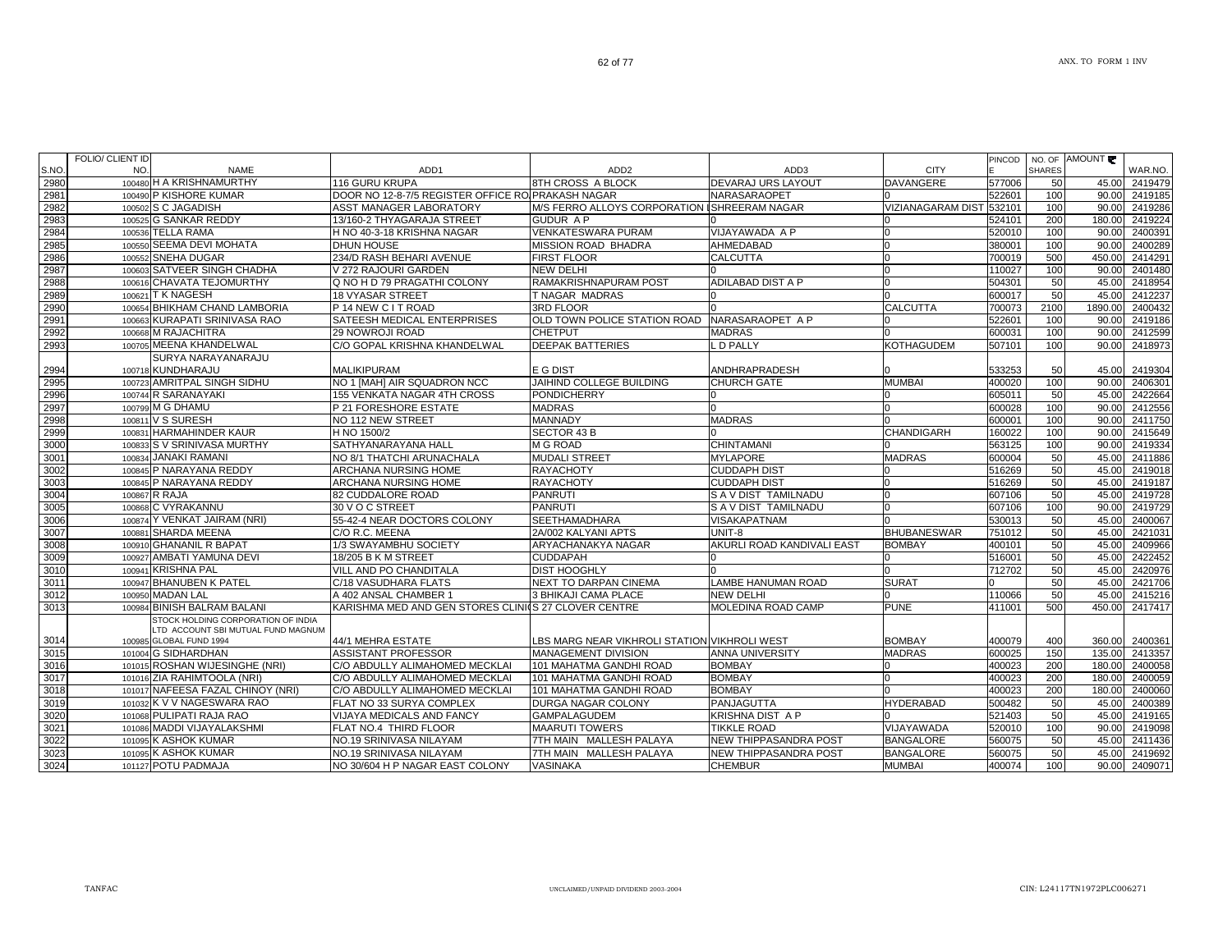|       | FOLIO/ CLIENT ID |                                    |                                                      |                                              |                            |                          | <b>PINCOD</b> |               | NO. OF AMOUNT |         |
|-------|------------------|------------------------------------|------------------------------------------------------|----------------------------------------------|----------------------------|--------------------------|---------------|---------------|---------------|---------|
| S.NO. | NO.              | <b>NAME</b>                        | ADD <sub>1</sub>                                     | ADD <sub>2</sub>                             | ADD3                       | <b>CITY</b>              |               | <b>SHARES</b> |               | WAR.NO. |
| 2980  |                  | 100480 H A KRISHNAMURTHY           | 116 GURU KRUPA                                       | 8TH CROSS A BLOCK                            | DEVARAJ URS LAYOUT         | <b>DAVANGERE</b>         | 577006        | 50            | 45.00         | 2419479 |
| 2981  |                  | 100490 P KISHORE KUMAR             | DOOR NO 12-8-7/5 REGISTER OFFICE RO PRAKASH NAGAR    |                                              | NARASARAOPET               |                          | 522601        | 100           | 90.00         | 2419185 |
| 2982  |                  | 100502 S C JAGADISH                | ASST MANAGER LABORATORY                              | M/S FERRO ALLOYS CORPORATION ISHREERAM NAGAR |                            | <b>VIZIANAGARAM DIST</b> | 532101        | 100           | 90.00         | 2419286 |
| 2983  |                  | 100525 G SANKAR REDDY              | 13/160-2 THYAGARAJA STREET                           | <b>GUDUR AP</b>                              |                            |                          | 524101        | 200           | 180.00        | 2419224 |
| 2984  |                  | 100536 TELLA RAMA                  | H NO 40-3-18 KRISHNA NAGAR                           | VENKATESWARA PURAM                           | VIJAYAWADA A P             |                          | 520010        | 100           | 90.00         | 2400391 |
| 2985  |                  | 100550 SEEMA DEVI MOHATA           | DHUN HOUSE                                           | MISSION ROAD BHADRA                          | AHMEDABAD                  |                          | 380001        | 100           | 90.00         | 2400289 |
| 2986  |                  | 100552 SNEHA DUGAR                 | 234/D RASH BEHARI AVENUE                             | <b>FIRST FLOOR</b>                           | CALCUTTA                   |                          | 700019        | 500           | 450.00        | 2414291 |
| 2987  |                  | 100603 SATVEER SINGH CHADHA        | V 272 RAJOURI GARDEN                                 | <b>NEW DELHI</b>                             |                            |                          | 110027        | 100           | 90.00         | 2401480 |
| 2988  |                  | 100616 CHAVATA TEJOMURTHY          | Q NO H D 79 PRAGATHI COLONY                          | RAMAKRISHNAPURAM POST                        | ADILABAD DIST A P          |                          | 504301        | 50            | 45.00         | 2418954 |
| 2989  |                  | 100621 T K NAGESH                  | <b>18 VYASAR STREET</b>                              | T NAGAR MADRAS                               |                            |                          | 600017        | 50            | 45.00         | 2412237 |
| 2990  |                  | 100654 BHIKHAM CHAND LAMBORIA      | P 14 NEW C I T ROAD                                  | <b>3RD FLOOR</b>                             |                            | <b>CALCUTTA</b>          | 700073        | 2100          | 1890.00       | 2400432 |
| 2991  |                  | 100663 KURAPATI SRINIVASA RAO      | SATEESH MEDICAL ENTERPRISES                          | OLD TOWN POLICE STATION ROAD                 | NARASARAOPET A P           |                          | 522601        | 100           | 90.00         | 2419186 |
| 2992  |                  | 100668 M RAJACHITRA                | 29 NOWROJI ROAD                                      | <b>CHETPUT</b>                               | <b>MADRAS</b>              |                          | 600031        | 100           | 90.00         | 2412599 |
| 2993  |                  | 100705 MEENA KHANDELWAL            | C/O GOPAL KRISHNA KHANDELWAL                         | <b>DEEPAK BATTERIES</b>                      | D PALLY                    | <b>KOTHAGUDEM</b>        | 507101        | 100           | 90.00         | 2418973 |
|       |                  | SURYA NARAYANARAJU                 |                                                      |                                              |                            |                          |               |               |               |         |
| 2994  |                  | 100718 KUNDHARAJU                  | <b>MALIKIPURAM</b>                                   | E G DIST                                     | ANDHRAPRADESH              |                          | 533253        | 50            | 45.00         | 2419304 |
| 2995  |                  | 100723 AMRITPAL SINGH SIDHU        | NO 1 [MAH] AIR SQUADRON NCC                          | JAIHIND COLLEGE BUILDING                     | CHURCH GATE                | <b>MUMBAI</b>            | 400020        | 100           | 90.00         | 2406301 |
| 2996  |                  | 100744 R SARANAYAKI                | 155 VENKATA NAGAR 4TH CROSS                          | <b>PONDICHERRY</b>                           |                            |                          | 605011        | 50            | 45.00         | 2422664 |
| 2997  |                  | 100799 M G DHAMU                   | P 21 FORESHORE ESTATE                                | <b>MADRAS</b>                                |                            |                          | 600028        | 100           | 90.00         | 2412556 |
| 2998  |                  | 100811 V S SURESH                  | NO 112 NEW STREET                                    | MANNADY                                      | <b>MADRAS</b>              |                          | 600001        | 100           | 90.00         | 2411750 |
| 2999  |                  | 100831 HARMAHINDER KAUR            | H NO 1500/2                                          | <b>SECTOR 43 B</b>                           |                            | <b>CHANDIGARH</b>        | 160022        | 100           | 90.00         | 2415649 |
| 3000  |                  | 100833 S V SRINIVASA MURTHY        | SATHYANARAYANA HALL                                  | M G ROAD                                     | <b>CHINTAMANI</b>          |                          | 563125        | 100           | 90.00         | 2419334 |
| 3001  |                  | 100834 JANAKI RAMANI               | NO 8/1 THATCHI ARUNACHALA                            | <b>MUDALI STREET</b>                         | <b>MYLAPORE</b>            | <b>MADRAS</b>            | 600004        | 50            | 45.00         | 2411886 |
| 3002  |                  | 100845 P NARAYANA REDDY            | ARCHANA NURSING HOME                                 | <b>RAYACHOTY</b>                             | <b>CUDDAPH DIST</b>        |                          | 516269        | 50            | 45.00         | 2419018 |
| 3003  |                  | 100845 P NARAYANA REDDY            | ARCHANA NURSING HOME                                 | RAYACHOTY                                    | <b>CUDDAPH DIST</b>        |                          | 516269        | 50            | 45.00         | 2419187 |
| 3004  |                  | 100867 R RAJA                      | 82 CUDDALORE ROAD                                    | <b>PANRUTI</b>                               | S A V DIST TAMILNADU       |                          | 607106        | 50            | 45.00         | 2419728 |
| 3005  |                  | 100868 C VYRAKANNU                 | 30 V O C STREET                                      | <b>PANRUTI</b>                               | S A V DIST TAMILNADU       |                          | 607106        | 100           | 90.00         | 2419729 |
| 3006  |                  | 100874 Y VENKAT JAIRAM (NRI)       | 55-42-4 NEAR DOCTORS COLONY                          | <b>SEETHAMADHARA</b>                         | VISAKAPATNAM               |                          | 530013        | 50            | 45.00         | 2400067 |
| 3007  |                  | 100881 SHARDA MEENA                | C/O R.C. MEENA                                       | 2A/002 KALYANI APTS                          | UNIT-8                     | <b>BHUBANESWAR</b>       | 751012        | 50            | 45.00         | 2421031 |
| 3008  |                  | 100910 GHANANIL R BAPAT            | 1/3 SWAYAMBHU SOCIETY                                | ARYACHANAKYA NAGAR                           | AKURLI ROAD KANDIVALI EAST | <b>BOMBAY</b>            | 400101        | 50            | 45.00         | 2409966 |
| 3009  |                  | 100927 AMBATI YAMUNA DEVI          | 18/205 B K M STREET                                  | <b>CUDDAPAH</b>                              |                            |                          | 516001        | 50            | 45.00         | 2422452 |
| 3010  |                  | 100941 KRISHNA PAL                 | VILL AND PO CHANDITALA                               | <b>DIST HOOGHLY</b>                          |                            | <sup>n</sup>             | 712702        | 50            | 45.00         | 2420976 |
| 3011  |                  | 100947 BHANUBEN K PATEL            | C/18 VASUDHARA FLATS                                 | <b>NEXT TO DARPAN CINEMA</b>                 | <b>LAMBE HANUMAN ROAD</b>  | <b>SURAT</b>             |               | 50            | 45.00         | 2421706 |
| 3012  |                  | 100950 MADAN LAL                   | A 402 ANSAL CHAMBER 1                                | 3 BHIKAJI CAMA PLACE                         | NEW DELHI                  |                          | 110066        | 50            | 45.00         | 2415216 |
| 3013  |                  | 100984 BINISH BALRAM BALANI        | KARISHMA MED AND GEN STORES CLINICS 27 CLOVER CENTRE |                                              | MOLEDINA ROAD CAMP         | <b>PUNE</b>              | 411001        | 500           | 450.00        | 2417417 |
|       |                  | STOCK HOLDING CORPORATION OF INDIA |                                                      |                                              |                            |                          |               |               |               |         |
|       |                  | LTD ACCOUNT SBI MUTUAL FUND MAGNUM |                                                      |                                              |                            |                          |               |               |               |         |
| 3014  |                  | 100985 GLOBAL FUND 1994            | 44/1 MEHRA ESTATE                                    | LBS MARG NEAR VIKHROLI STATION VIKHROLI WEST |                            | <b>BOMBAY</b>            | 400079        | 400           | 360.00        | 2400361 |
| 3015  |                  | 101004 G SIDHARDHAN                | ASSISTANT PROFESSOR                                  | <b>MANAGEMENT DIVISION</b>                   | ANNA UNIVERSITY            | <b>MADRAS</b>            | 600025        | 150           | 135.00        | 2413357 |
| 3016  |                  | 101015 ROSHAN WIJESINGHE (NRI)     | C/O ABDULLY ALIMAHOMED MECKLAI                       | 101 MAHATMA GANDHI ROAD                      | <b>BOMBAY</b>              |                          | 400023        | 200           | 180.00        | 2400058 |
| 3017  |                  | 101016 ZIA RAHIMTOOLA (NRI)        | C/O ABDULLY ALIMAHOMED MECKLAI                       | 101 MAHATMA GANDHI ROAD                      | <b>BOMBAY</b>              |                          | 400023        | 200           | 180.00        | 2400059 |
| 3018  |                  | 101017 NAFEESA FAZAL CHINOY (NRI)  | C/O ABDULLY ALIMAHOMED MECKLAI                       | 101 MAHATMA GANDHI ROAD                      | <b>BOMBAY</b>              |                          | 400023        | 200           | 180.00        | 2400060 |
| 3019  |                  | 101032 K V V NAGESWARA RAO         | FLAT NO 33 SURYA COMPLEX                             | DURGA NAGAR COLONY                           | PANJAGUTTA                 | <b>HYDERABAD</b>         | 500482        | 50            | 45.00         | 2400389 |
| 3020  |                  | 101068 PULIPATI RAJA RAO           | <b>VIJAYA MEDICALS AND FANCY</b>                     | <b>GAMPALAGUDEM</b>                          | KRISHNA DIST A P           |                          | 521403        | 50            | 45.00         | 2419165 |
| 3021  |                  | 101086 MADDI VIJAYALAKSHMI         | FLAT NO.4 THIRD FLOOR                                | <b>MAARUTI TOWERS</b>                        | <b>TIKKLE ROAD</b>         | VIJAYAWADA               | 520010        | 100           | 90.00         | 2419098 |
| 3022  |                  | 101095 K ASHOK KUMAR               | NO.19 SRINIVASA NILAYAM                              | 7TH MAIN MALLESH PALAYA                      | NEW THIPPASANDRA POST      | <b>BANGALORE</b>         | 560075        | 50            | 45.00         | 2411436 |
| 3023  |                  | 101095 K ASHOK KUMAR               | NO.19 SRINIVASA NILAYAM                              | 7TH MAIN MALLESH PALAYA                      | NEW THIPPASANDRA POST      | <b>BANGALORE</b>         | 560075        | 50            | 45.00         | 2419692 |
| 3024  |                  | 101127 POTU PADMAJA                | NO 30/604 H P NAGAR EAST COLONY                      | <b>VASINAKA</b>                              | <b>CHEMBUR</b>             | <b>MUMBAI</b>            | 400074        | 100           | 90.00         | 2409071 |

2419692<br>2409071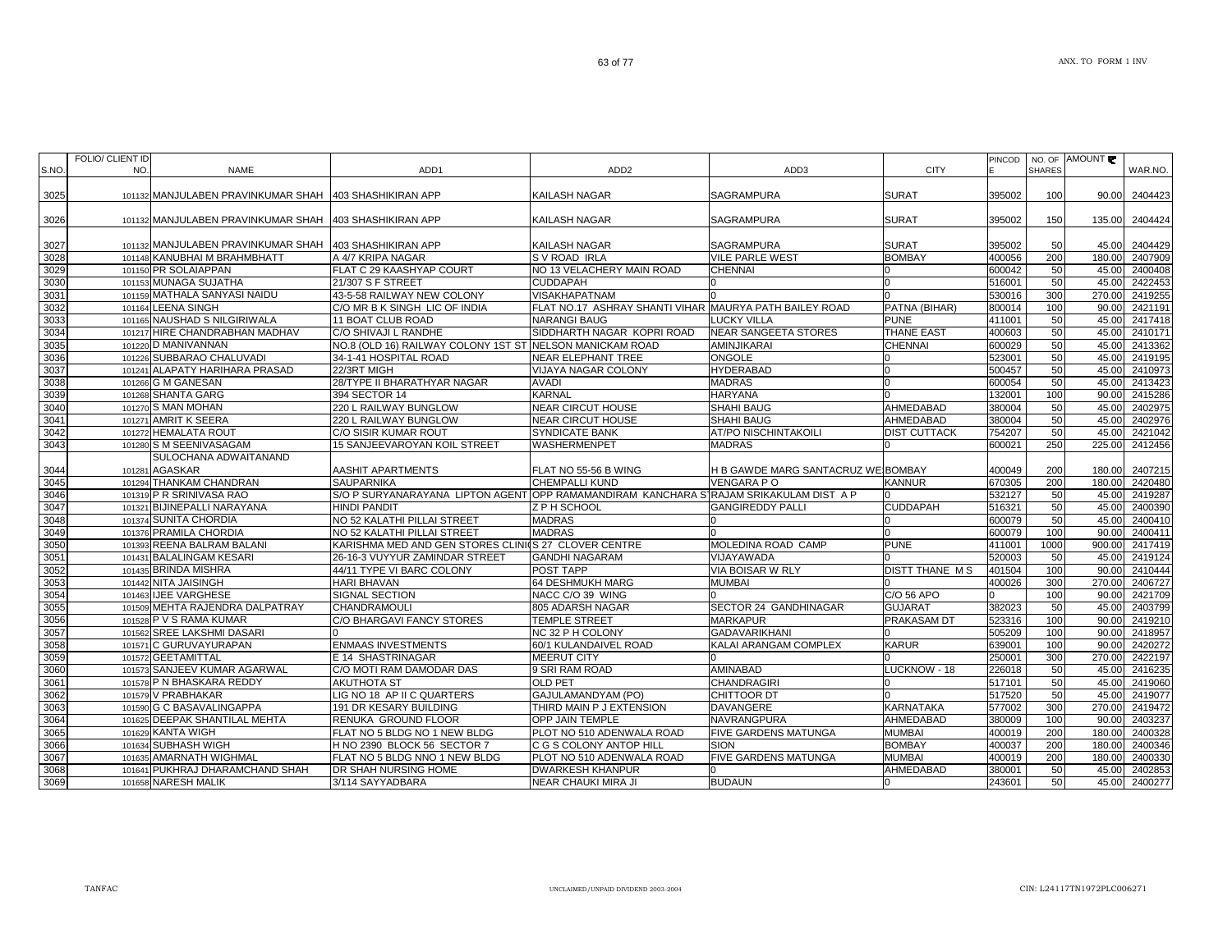| S.NO. | FOLIO/ CLIENT ID<br>NO.<br><b>NAME</b>                 | ADD1                                                                                   | ADD <sub>2</sub>                                       | ADD3                               | <b>CITY</b>           | PINCOD | NO. OF<br><b>SHARES</b> | AMOUNT | WAR.NO. |
|-------|--------------------------------------------------------|----------------------------------------------------------------------------------------|--------------------------------------------------------|------------------------------------|-----------------------|--------|-------------------------|--------|---------|
| 3025  | 101132 MANJULABEN PRAVINKUMAR SHAH 403 SHASHIKIRAN APP |                                                                                        | <b>KAILASH NAGAR</b>                                   | <b>SAGRAMPURA</b>                  | <b>SURAT</b>          | 395002 | 100                     | 90.00  | 2404423 |
| 3026  | 101132 MANJULABEN PRAVINKUMAR SHAH 403 SHASHIKIRAN APP |                                                                                        | KAILASH NAGAR                                          | SAGRAMPURA                         | <b>SURAT</b>          | 395002 | 150                     | 135.00 | 2404424 |
| 3027  | 101132 MANJULABEN PRAVINKUMAR SHAH 403 SHASHIKIRAN APP |                                                                                        | KAILASH NAGAR                                          | SAGRAMPURA                         | <b>SURAT</b>          | 395002 | 50                      | 45.00  | 2404429 |
| 3028  | 101148 KANUBHAI M BRAHMBHATT                           | A 4/7 KRIPA NAGAR                                                                      | S V ROAD IRLA                                          | <b>VILE PARLE WEST</b>             | <b>BOMBAY</b>         | 400056 | 200                     | 180.00 | 2407909 |
| 3029  | 101150 PR SOLAIAPPAN                                   | FLAT C 29 KAASHYAP COURT                                                               | NO 13 VELACHERY MAIN ROAD                              | <b>CHENNAI</b>                     | n.                    | 600042 | 50                      | 45.00  | 2400408 |
| 3030  | 101153 MUNAGA SUJATHA                                  | 21/307 S F STREET                                                                      | <b>CUDDAPAH</b>                                        |                                    | 0                     | 516001 | 50                      | 45.00  | 2422453 |
| 3031  | 101159 MATHALA SANYASI NAIDU                           | 43-5-58 RAILWAY NEW COLONY                                                             | VISAKHAPATNAM                                          |                                    | $\Omega$              | 530016 | 300                     | 270.00 | 2419255 |
| 3032  | 101164 LEENA SINGH                                     | C/O MR B K SINGH LIC OF INDIA                                                          | FLAT NO.17 ASHRAY SHANTI VIHAR MAURYA PATH BAILEY ROAD |                                    | PATNA (BIHAR)         | 800014 | 100                     | 90.00  | 2421191 |
| 3033  | 101165 NAUSHAD S NILGIRIWALA                           | 11 BOAT CLUB ROAD                                                                      | <b>NARANGI BAUG</b>                                    | <b>LUCKY VILLA</b>                 | <b>PUNE</b>           | 411001 | 50                      | 45.00  | 2417418 |
| 3034  | 101217 HIRE CHANDRABHAN MADHAV                         | C/O SHIVAJI L RANDHE                                                                   | SIDDHARTH NAGAR KOPRI ROAD                             | <b>NEAR SANGEETA STORES</b>        | THANE EAST            | 400603 | 50                      | 45.00  | 2410171 |
| 3035  | 101220 D MANIVANNAN                                    | NO.8 (OLD 16) RAILWAY COLONY 1ST ST NELSON MANICKAM ROAD                               |                                                        | AMINJIKARAI                        | <b>CHENNAI</b>        | 600029 | 50                      | 45.00  | 2413362 |
| 3036  | 101226 SUBBARAO CHALUVADI                              | 34-1-41 HOSPITAL ROAD                                                                  | <b>NEAR ELEPHANT TREE</b>                              | <b>ONGOLE</b>                      |                       | 523001 | 50                      | 45.00  | 2419195 |
| 3037  | 101241 ALAPATY HARIHARA PRASAD                         | 22/3RT MIGH                                                                            | VIJAYA NAGAR COLONY                                    | <b>HYDERABAD</b>                   |                       | 500457 | 50                      | 45.00  | 2410973 |
| 3038  | 101266 G M GANESAN                                     | 28/TYPE II BHARATHYAR NAGAR                                                            | <b>AVADI</b>                                           | <b>MADRAS</b>                      | 0                     | 600054 | 50                      | 45.00  | 2413423 |
| 3039  | 101268 SHANTA GARG                                     | 394 SECTOR 14                                                                          | <b>KARNAL</b>                                          | <b>HARYANA</b>                     | n                     | 132001 | 100                     | 90.00  | 2415286 |
| 3040  | 101270 S MAN MOHAN                                     | 220 L RAILWAY BUNGLOW                                                                  | <b>NEAR CIRCUT HOUSE</b>                               | <b>SHAHI BAUG</b>                  | AHMEDABAD             | 380004 | 50                      | 45.00  | 2402975 |
| 3041  | 101271 AMRIT K SEERA                                   | 220 L RAILWAY BUNGLOW                                                                  | <b>NEAR CIRCUT HOUSE</b>                               | SHAHI BAUG                         | AHMEDABAD             | 380004 | 50                      | 45.00  | 2402976 |
| 3042  | 101272 HEMALATA ROUT                                   | C/O SISIR KUMAR ROUT                                                                   | SYNDICATE BANK                                         | <b>AT/PO NISCHINTAKOILI</b>        | <b>DIST CUTTACK</b>   | 754207 | 50                      | 45.00  | 2421042 |
| 3043  | 101280 S M SEENIVASAGAM                                | 15 SANJEEVAROYAN KOIL STREET                                                           | WASHERMENPET                                           | <b>MADRAS</b>                      |                       | 600021 | 250                     | 225.00 | 2412456 |
|       | SULOCHANA ADWAITANAND                                  |                                                                                        |                                                        |                                    |                       |        |                         |        |         |
| 3044  | 101281 AGASKAR                                         | AASHIT APARTMENTS                                                                      | FLAT NO 55-56 B WING                                   | H B GAWDE MARG SANTACRUZ WE BOMBAY |                       | 400049 | 200                     | 180.00 | 2407215 |
| 3045  | 101294 THANKAM CHANDRAN                                | <b>SAUPARNIKA</b>                                                                      | <b>CHEMPALLI KUND</b>                                  | VENGARA PO                         | <b>KANNUR</b>         | 670305 | 200                     | 180.00 | 2420480 |
| 3046  | 101319 P R SRINIVASA RAO                               | S/O P SURYANARAYANA LIPTON AGENT OPP RAMAMANDIRAM KANCHARA STRAJAM SRIKAKULAM DIST A P |                                                        |                                    |                       | 532127 | 50                      | 45.00  | 2419287 |
| 3047  | 101321 BIJINEPALLI NARAYANA                            | <b>HINDI PANDIT</b>                                                                    | Z P H SCHOOL                                           | <b>GANGIREDDY PALLI</b>            | <b>CUDDAPAH</b>       | 516321 | 50                      | 45.00  | 2400390 |
| 3048  | 101374 SUNITA CHORDIA                                  | NO 52 KALATHI PILLAI STREET                                                            | <b>MADRAS</b>                                          |                                    |                       | 600079 | 50                      | 45.00  | 2400410 |
| 3049  | 101376 PRAMILA CHORDIA                                 | NO 52 KALATHI PILLAI STREET                                                            | <b>MADRAS</b>                                          |                                    | n                     | 600079 | 100                     | 90.00  | 2400411 |
| 3050  | 101393 REENA BALRAM BALANI                             | KARISHMA MED AND GEN STORES CLINIOS 27 CLOVER CENTRE                                   |                                                        | MOLEDINA ROAD CAMP                 | <b>PUNE</b>           | 411001 | 1000                    | 900.00 | 2417419 |
| 3051  | 101431 BALALINGAM KESARI                               | 26-16-3 VUYYUR ZAMINDAR STREET                                                         | <b>GANDHI NAGARAM</b>                                  | VIJAYAWADA                         |                       | 520003 | 50                      | 45.00  | 2419124 |
| 3052  | 101435 BRINDA MISHRA                                   | 44/11 TYPE VI BARC COLONY                                                              | POST TAPP                                              | VIA BOISAR W RLY                   | <b>DISTT THANE MS</b> | 401504 | 100                     | 90.00  | 2410444 |
| 3053  | 101442 NITA JAISINGH                                   | <b>HARI BHAVAN</b>                                                                     | 64 DESHMUKH MARG                                       | <b>MUMBAI</b>                      |                       | 400026 | 300                     | 270.00 | 2406727 |
| 3054  | 101463 IJEE VARGHESE                                   | <b>SIGNAL SECTION</b>                                                                  | NACC C/O 39 WING                                       |                                    | C/O 56 APO            |        | 100                     | 90.00  | 2421709 |
| 3055  | 101509 MEHTA RAJENDRA DALPATRAY                        | CHANDRAMOULI                                                                           | 805 ADARSH NAGAR                                       | SECTOR 24 GANDHINAGAR              | <b>GUJARAT</b>        | 382023 | 50                      | 45.00  | 2403799 |
| 3056  | 101528 P V S RAMA KUMAR                                | C/O BHARGAVI FANCY STORES                                                              | <b>TEMPLE STREET</b>                                   | <b>MARKAPUR</b>                    | PRAKASAM DT           | 523316 | 100                     | 90.00  | 2419210 |
| 3057  | 101562 SREE LAKSHMI DASARI                             |                                                                                        | NC 32 P H COLONY                                       | <b>GADAVARIKHANI</b>               |                       | 505209 | 100                     | 90.00  | 2418957 |
| 3058  | 101571 C GURUVAYURAPAN                                 | <b>ENMAAS INVESTMENTS</b>                                                              | 60/1 KULANDAIVEL ROAD                                  | KALAI ARANGAM COMPLEX              | <b>KARUR</b>          | 639001 | 100                     | 90.00  | 2420272 |
| 3059  | 101572 GEETAMITTAL                                     | E 14 SHASTRINAGAR                                                                      | MEERUT CITY                                            |                                    |                       | 250001 | 300                     | 270.00 | 2422197 |
| 3060  | 101573 SANJEEV KUMAR AGARWAL                           | C/O MOTI RAM DAMODAR DAS                                                               | 9 SRI RAM ROAD                                         | AMINABAD                           | LUCKNOW - 18          | 226018 | 50                      | 45.00  | 2416235 |
| 3061  | 101578 P N BHASKARA REDDY                              | <b>AKUTHOTA ST</b>                                                                     | <b>OLD PET</b>                                         | <b>CHANDRAGIRI</b>                 |                       | 517101 | 50                      | 45.00  | 2419060 |
| 3062  | 101579 V PRABHAKAR                                     | LIG NO 18 AP II C QUARTERS                                                             | GAJULAMANDYAM (PO)                                     | CHITTOOR DT                        |                       | 517520 | 50                      | 45.00  | 2419077 |
| 3063  | 101590 G C BASAVALINGAPPA                              | 191 DR KESARY BUILDING                                                                 | THIRD MAIN P J EXTENSION                               | <b>DAVANGERE</b>                   | KARNATAKA             | 577002 | 300                     | 270.00 | 2419472 |
| 3064  | 101625 DEEPAK SHANTILAL MEHTA                          | RENUKA GROUND FLOOR                                                                    | OPP JAIN TEMPLE                                        | NAVRANGPURA                        | AHMEDABAD             | 380009 | 100                     | 90.00  | 2403237 |
| 3065  | 101629 KANTA WIGH                                      | FLAT NO 5 BLDG NO 1 NEW BLDG                                                           | PLOT NO 510 ADENWALA ROAD                              | <b>FIVE GARDENS MATUNGA</b>        | <b>MUMBAI</b>         | 400019 | 200                     | 180.00 | 2400328 |
| 3066  | 101634 SUBHASH WIGH                                    | H NO 2390 BLOCK 56 SECTOR 7                                                            | C G S COLONY ANTOP HILL                                | <b>SION</b>                        | <b>BOMBAY</b>         | 400037 | 200                     | 180.00 | 2400346 |
| 3067  | 101635 AMARNATH WIGHMAL                                | FLAT NO 5 BLDG NNO 1 NEW BLDG                                                          | PLOT NO 510 ADENWALA ROAD                              | FIVE GARDENS MATUNGA               | <b>MUMBAI</b>         | 400019 | 200                     | 180.00 | 2400330 |
| 3068  | 101641 PUKHRAJ DHARAMCHAND SHAH                        | DR SHAH NURSING HOME                                                                   | <b>DWARKESH KHANPUR</b>                                |                                    | AHMEDABAD             | 380001 | 50                      | 45.00  | 2402853 |
| 3069  | 101658 NARESH MALIK                                    | 3/114 SAYYADBARA                                                                       | NEAR CHAUKI MIRA JI                                    | <b>BUDAUN</b>                      |                       | 243601 | 50                      | 45.00  | 2400277 |
|       |                                                        |                                                                                        |                                                        |                                    |                       |        |                         |        |         |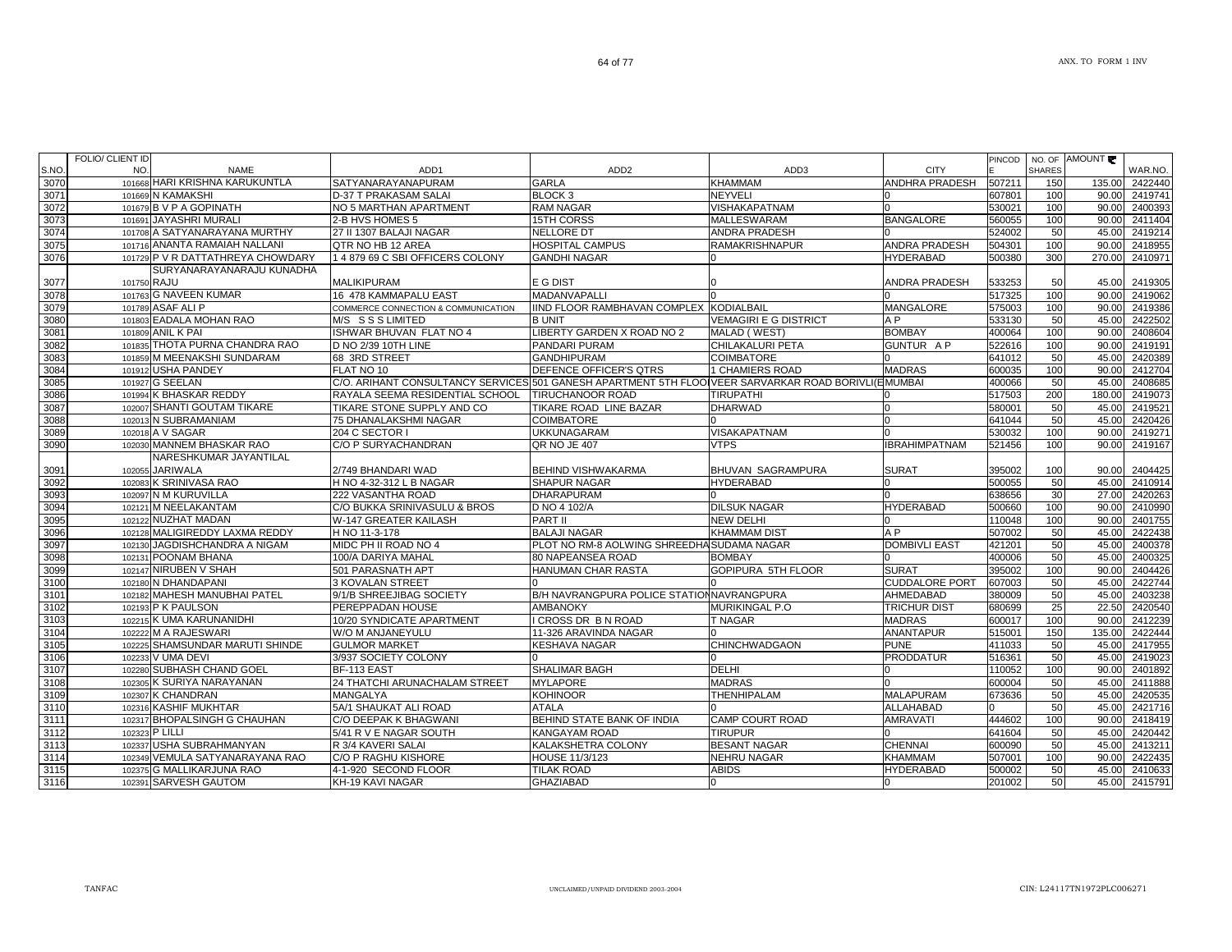|       | FULIU/ ULIEN I ID |                                   |                                                                                                     |                                                  |                              |                       |        |               | PINCOD   NO. OF AMOUNT |                       |
|-------|-------------------|-----------------------------------|-----------------------------------------------------------------------------------------------------|--------------------------------------------------|------------------------------|-----------------------|--------|---------------|------------------------|-----------------------|
| S.NO. | NO.               | <b>NAME</b>                       | ADD1                                                                                                | ADD <sub>2</sub>                                 | ADD3                         | <b>CITY</b>           |        | <b>SHARES</b> |                        | WAR.NO.               |
| 3070  |                   | 101668 HARI KRISHNA KARUKUNTLA    | SATYANARAYANAPURAM                                                                                  | <b>GARLA</b>                                     | <b>KHAMMAM</b>               | ANDHRA PRADESH        | 507211 | 150           | 135.00                 | 2422440               |
| 3071  |                   | 101669 N KAMAKSHI                 | <b>D-37 T PRAKASAM SALAI</b>                                                                        | <b>BLOCK3</b>                                    | <b>NEYVELI</b>               |                       | 607801 | 100           | 90.00                  | 2419741               |
| 3072  |                   | 101679 B V P A GOPINATH           | NO 5 MARTHAN APARTMENT                                                                              | <b>RAM NAGAR</b>                                 | <b>VISHAKAPATNAM</b>         |                       | 530021 | 100           | 90.00                  | 2400393               |
| 3073  |                   | 101691 JAYASHRI MURALI            | 2-B HVS HOMES 5                                                                                     | <b>15TH CORSS</b>                                | <b>MALLESWARAM</b>           | <b>BANGALORE</b>      | 560055 | 100           | 90.00                  | $\overline{241}$ 1404 |
| 3074  |                   | 101708 A SATYANARAYANA MURTHY     | 27 II 1307 BALAJI NAGAR                                                                             | <b>NELLORE DT</b>                                | <b>ANDRA PRADESH</b>         |                       | 524002 | 50            | 45.00                  | 2419214               |
| 3075  |                   | 101716 ANANTA RAMAIAH NALLANI     | QTR NO HB 12 AREA                                                                                   | <b>HOSPITAL CAMPUS</b>                           | <b>RAMAKRISHNAPUR</b>        | ANDRA PRADESH         | 504301 | 100           | 90.00                  | 2418955               |
| 3076  |                   | 101729 P V R DATTATHREYA CHOWDARY | 1 4 879 69 C SBI OFFICERS COLONY                                                                    | <b>GANDHI NAGAR</b>                              |                              | <b>HYDERABAD</b>      | 500380 | 300           | 270.00                 | 2410971               |
|       |                   | SURYANARAYANARAJU KUNADHA         |                                                                                                     |                                                  |                              |                       |        |               |                        |                       |
| 3077  | 101750 RAJU       |                                   | <b>MALIKIPURAM</b>                                                                                  | <b>E G DIST</b>                                  |                              | ANDRA PRADESH         | 533253 | 50            | 45.00                  | 2419305               |
| 3078  |                   | 101763 G NAVEEN KUMAR             | 16 478 KAMMAPALU EAST                                                                               | <b>MADANVAPALLI</b>                              |                              |                       | 517325 | 100           | 90.00                  | 2419062               |
| 3079  |                   | 101789 ASAF ALI P                 | COMMERCE CONNECTION & COMMUNICATION                                                                 | <b>IIIND FLOOR RAMBHAVAN COMPLEX KODIALBAIL</b>  |                              | MANGALORE             | 575003 | 100           | 90.00                  | 2419386               |
| 3080  |                   | 101803 EADALA MOHAN RAO           | M/S SSSLIMITED                                                                                      | <b>BUNIT</b>                                     | <b>VEMAGIRI E G DISTRICT</b> | A <sub>P</sub>        | 533130 | 50            | 45.00                  | 2422502               |
| 3081  |                   | 101809 ANIL K PAI                 | ISHWAR BHUVAN FLAT NO 4                                                                             | LIBERTY GARDEN X ROAD NO 2                       | MALAD (WEST)                 | <b>BOMBAY</b>         | 400064 | 100           | 90.00                  | 2408604               |
| 3082  |                   | 101835 THOTA PURNA CHANDRA RAO    | D NO 2/39 10TH LINE                                                                                 | PANDARI PURAM                                    | CHILAKALURI PETA             | <b>GUNTUR AP</b>      | 522616 | 100           | 90.00                  | 2419191               |
| 3083  |                   | 101859 M MEENAKSHI SUNDARAM       | 68 3RD STREET                                                                                       | <b>GANDHIPURAM</b>                               | <b>COIMBATORE</b>            |                       | 641012 | 50            | 45.00                  | 2420389               |
| 3084  |                   | 101912 USHA PANDEY                | FLAT NO 10                                                                                          | DEFENCE OFFICER'S QTRS                           | 1 CHAMIERS ROAD              | <b>MADRAS</b>         | 600035 | 100           | 90.00                  | 2412704               |
| 3085  |                   | 101927 G SEELAN                   | C/O. ARIHANT CONSULTANCY SERVICES 501 GANESH APARTMENT 5TH FLOOIVEER SARVARKAR ROAD BORIVLI(EMUMBAI |                                                  |                              |                       | 400066 | 50            | 45.00                  | 2408685               |
| 3086  |                   | 101994 K BHASKAR REDDY            | RAYALA SEEMA RESIDENTIAL SCHOOL                                                                     | <b>TIRUCHANOOR ROAD</b>                          | <b>TIRUPATHI</b>             |                       | 517503 | 200           | 180.00                 | 2419073               |
| 3087  |                   | 102007 SHANTI GOUTAM TIKARE       | TIKARE STONE SUPPLY AND CO                                                                          | TIKARE ROAD LINE BAZAR                           | <b>DHARWAD</b>               |                       | 580001 | 50            | 45.00                  | 2419521               |
| 3088  |                   | 102013 N SUBRAMANIAM              | 75 DHANALAKSHMI NAGAR                                                                               | <b>COIMBATORE</b>                                |                              |                       | 641044 | 50            | 45.00                  | 2420426               |
| 3089  |                   | 102018 A V SAGAR                  | 204 C SECTOR I                                                                                      | <b>UKKUNAGARAM</b>                               | <b>VISAKAPATNAM</b>          |                       | 530032 | 100           | 90.00                  | 2419271               |
| 3090  |                   | 102030 MANNEM BHASKAR RAO         | C/O P SURYACHANDRAN                                                                                 | QR NO JE 407                                     | <b>VTPS</b>                  | <b>IBRAHIMPATNAM</b>  | 521456 | 100           | 90.00                  | 2419167               |
|       |                   | NARESHKUMAR JAYANTILAL            |                                                                                                     |                                                  |                              |                       |        |               |                        |                       |
| 3091  |                   | 102055 JARIWALA                   | 2/749 BHANDARI WAD                                                                                  | BEHIND VISHWAKARMA                               | <b>BHUVAN SAGRAMPURA</b>     | <b>SURAT</b>          | 395002 | 100           | 90.00                  | 2404425               |
| 3092  |                   | 102083 K SRINIVASA RAO            | H NO 4-32-312 L B NAGAR                                                                             | <b>SHAPUR NAGAR</b>                              | <b>HYDERABAD</b>             | n                     | 500055 | 50            |                        | 45.00 2410914         |
| 3093  |                   | 102097 N M KURUVILLA              | 222 VASANTHA ROAD                                                                                   | <b>DHARAPURAM</b>                                |                              |                       | 638656 | 30            | 27.00                  | 2420263               |
| 3094  |                   | 102121 M NEELAKANTAM              | C/O BUKKA SRINIVASULU & BROS                                                                        | D NO 4 102/A                                     | <b>DILSUK NAGAR</b>          | <b>HYDERABAD</b>      | 500660 | 100           | 90.00                  | 2410990               |
| 3095  |                   | 102122 NUZHAT MADAN               | W-147 GREATER KAILASH                                                                               | PART II                                          | <b>NEW DELHI</b>             | n                     | 110048 | 100           | 90.00                  | 2401755               |
| 3096  |                   | 102128 MALIGIREDDY LAXMA REDDY    | H NO 11-3-178                                                                                       | <b>BALAJI NAGAR</b>                              | <b>KHAMMAM DIST</b>          | A P                   | 507002 | 50            | 45.00                  | 2422438               |
| 3097  |                   | 102130 JAGDISHCHANDRA A NIGAM     | MIDC PH II ROAD NO 4                                                                                | PLOT NO RM-8 AOLWING SHREEDHASUDAMA NAGAR        |                              | <b>DOMBIVLI EAST</b>  | 421201 | 50            | 45.00                  | 2400378               |
| 3098  |                   | 102131 POONAM BHANA               | 100/A DARIYA MAHAL                                                                                  | 80 NAPEANSEA ROAD                                | <b>BOMBAY</b>                | 0                     | 400006 | 50            | 45.00                  | 2400325               |
| 3099  |                   | 102147 NIRUBEN V SHAH             | 501 PARASNATH APT                                                                                   | <b>HANUMAN CHAR RASTA</b>                        | GOPIPURA 5TH FLOOR           | <b>SURAT</b>          | 395002 | 100           | 90.00                  | 2404426               |
| 3100  |                   | 102180 N DHANDAPANI               | 3 KOVALAN STREET                                                                                    |                                                  |                              | <b>CUDDALORE PORT</b> | 607003 | 50            | 45.00                  | 2422744               |
| 3101  |                   | 102182 MAHESH MANUBHAI PATEL      | 9/1/B SHREEJIBAG SOCIETY                                                                            | <b>B/H NAVRANGPURA POLICE STATIONNAVRANGPURA</b> |                              | AHMEDABAD             | 380009 | 50            | 45.00                  | 2403238               |
| 3102  |                   | 102193 P K PAULSON                | PEREPPADAN HOUSE                                                                                    | <b>AMBANOKY</b>                                  | MURIKINGAL P.O               | <b>TRICHUR DIST</b>   | 680699 | 25            | 22.50                  | 2420540               |
| 3103  |                   | 102215 K UMA KARUNANIDHI          | 10/20 SYNDICATE APARTMENT                                                                           | I CROSS DR B N ROAD                              | T NAGAR                      | <b>MADRAS</b>         | 600017 | 100           | 90.00                  | 2412239               |
| 3104  |                   | 102222 M A RAJESWARI              | W/O M ANJANEYULU                                                                                    | 11-326 ARAVINDA NAGAR                            |                              | <b>ANANTAPUR</b>      | 515001 | 150           | 135.00                 | 2422444               |
| 3105  |                   | 102225 SHAMSUNDAR MARUTI SHINDE   | <b>GULMOR MARKET</b>                                                                                | <b>KESHAVA NAGAR</b>                             | <b>CHINCHWADGAON</b>         | <b>PUNE</b>           | 411033 | 50            | 45.00                  | 2417955               |
| 3106  |                   | 102233 V UMA DEVI                 | 3/937 SOCIETY COLONY                                                                                |                                                  |                              | <b>PRODDATUR</b>      | 516361 | 50            | 45.00                  | 2419023               |
| 3107  |                   | 102280 SUBHASH CHAND GOEL         | BF-113 EAST                                                                                         | <b>SHALIMAR BAGH</b>                             | DELHI                        |                       | 110052 | 100           | 90.00                  | 2401892               |
| 3108  |                   | 102305 K SURIYA NARAYANAN         | 24 THATCHI ARUNACHALAM STREET                                                                       | <b>MYLAPORE</b>                                  | <b>MADRAS</b>                |                       | 600004 | 50            | 45.00                  | 2411888               |
| 3109  |                   | 102307 K CHANDRAN                 | MANGALYA                                                                                            | <b>KOHINOOR</b>                                  | <b>THENHIPALAM</b>           | <b>MALAPURAM</b>      | 673636 | 50            | 45.00                  | 2420535               |
| 3110  |                   | 102316 KASHIF MUKHTAR             | 5A/1 SHAUKAT ALI ROAD                                                                               | <b>ATALA</b>                                     |                              | <b>ALLAHABAD</b>      |        | 50            | 45.00                  | 2421716               |
| 3111  |                   | 102317 BHOPALSINGH G CHAUHAN      | C/O DEEPAK K BHAGWANI                                                                               | BEHIND STATE BANK OF INDIA                       | <b>CAMP COURT ROAD</b>       | <b>AMRAVATI</b>       | 444602 | 100           | 90.00                  | 2418419               |
| 3112  |                   | 102323 P LILLI                    | 5/41 R V E NAGAR SOUTH                                                                              | KANGAYAM ROAD                                    | <b>TIRUPUR</b>               |                       | 641604 | 50            | 45.00                  | 2420442               |
| 3113  |                   | 102337 USHA SUBRAHMANYAN          | R 3/4 KAVERI SALAI                                                                                  | KALAKSHETRA COLONY                               | <b>BESANT NAGAR</b>          | <b>CHENNAI</b>        | 600090 | 50            | 45.00                  | 2413211               |
| 3114  |                   | 102349 VEMULA SATYANARAYANA RAO   | C/O P RAGHU KISHORE                                                                                 | HOUSE 11/3/123                                   | <b>NEHRU NAGAR</b>           | <b>KHAMMAM</b>        | 507001 | 100           | 90.00                  | 2422435               |
| 3115  |                   | 102375 G MALLIKARJUNA RAO         | 4-1-920 SECOND FLOOR                                                                                | <b>TILAK ROAD</b>                                | <b>ABIDS</b>                 | <b>HYDERABAD</b>      | 500002 | 50            | 45.00                  | 2410633               |
| 3116  |                   | 102391 SARVESH GAUTOM             | KH-19 KAVI NAGAR                                                                                    | <b>GHAZIABAD</b>                                 | <sup>0</sup>                 | <sup>0</sup>          | 201002 | 50            | 45.00                  | 2415791               |
|       |                   |                                   |                                                                                                     |                                                  |                              |                       |        |               |                        |                       |

AMOUNT

FOLIO/ CLIENT ID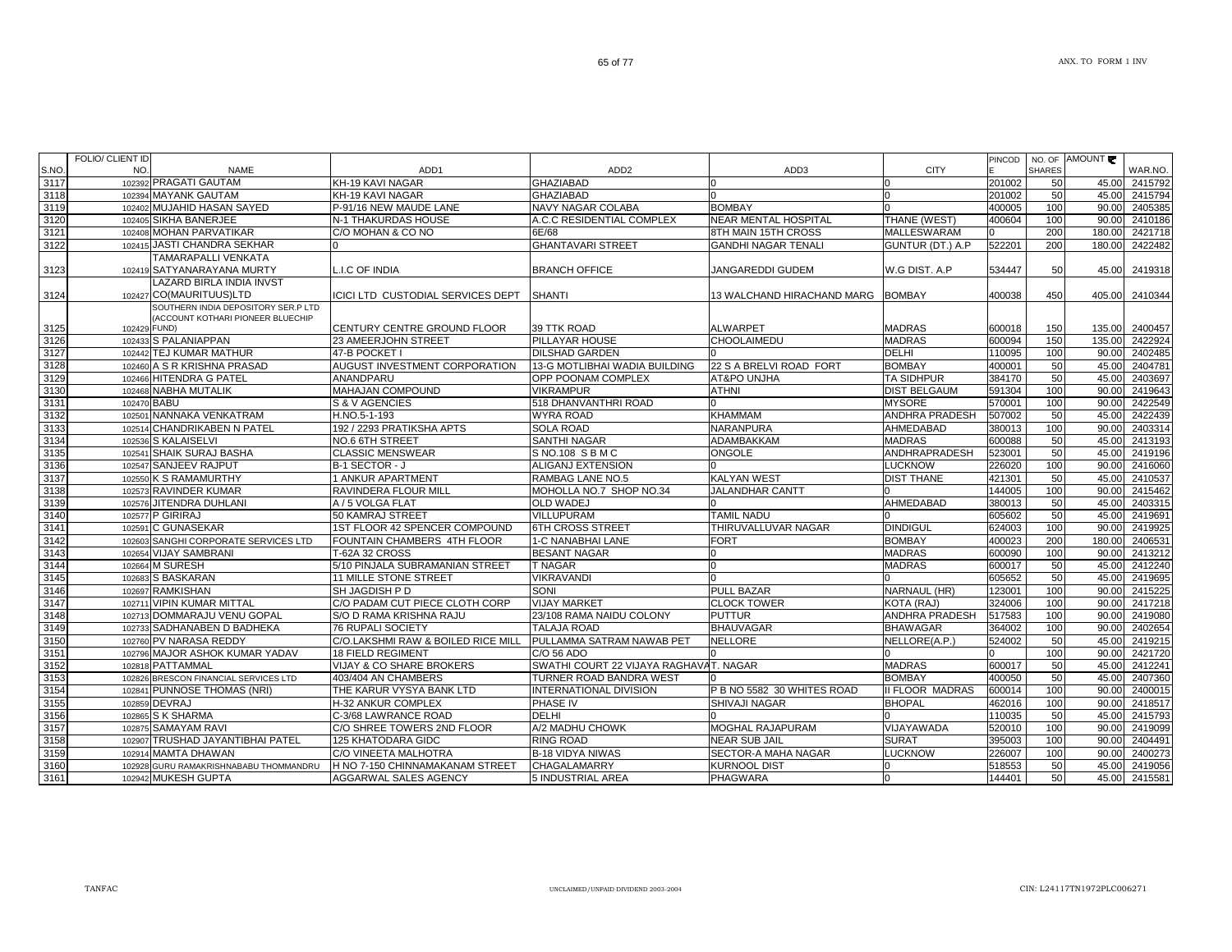|               | <b>FOLIO/ CLIENT ID</b><br>NO. |                                          |                                      |                                          |                                             |                        | PINCOD           |                 | NO. OF AMOUNT  |                    |
|---------------|--------------------------------|------------------------------------------|--------------------------------------|------------------------------------------|---------------------------------------------|------------------------|------------------|-----------------|----------------|--------------------|
| S.NO.<br>3117 |                                | <b>NAME</b><br>102392 PRAGATI GAUTAM     | ADD <sub>1</sub><br>KH-19 KAVI NAGAR | ADD <sub>2</sub><br><b>GHAZIABAD</b>     | ADD3                                        | <b>CITY</b>            |                  | <b>SHARES</b>   |                | WAR.NO.            |
| 3118          |                                | 102394 MAYANK GAUTAM                     | KH-19 KAVI NAGAR                     | <b>GHAZIABAD</b>                         |                                             |                        | 201002<br>201002 | 50<br>50        | 45.00<br>45.00 | 2415792<br>2415794 |
| 3119          |                                | 102402 MUJAHID HASAN SAYED               | P-91/16 NEW MAUDE LANE               | NAVY NAGAR COLABA                        | <b>BOMBAY</b>                               |                        | 400005           | 100             | 90.00          | 2405385            |
| 3120          |                                | 102405 SIKHA BANERJEE                    | N-1 THAKURDAS HOUSE                  | A.C.C RESIDENTIAL COMPLEX                | <b>NEAR MENTAL HOSPITAL</b>                 | THANE (WEST)           | 400604           | 100             | 90.00          | 2410186            |
| 3121          |                                | 102408 MOHAN PARVATIKAR                  | C/O MOHAN & CO NO                    | 6E/68                                    | 8TH MAIN 15TH CROSS                         | <b>MALLESWARAM</b>     |                  | 200             | 180.00         | 2421718            |
| 3122          |                                | 102415 JASTI CHANDRA SEKHAR              |                                      | <b>GHANTAVARI STREET</b>                 | GANDHI NAGAR TENALI                         | GUNTUR (DT.) A.P       | 522201           | 200             | 180.00         | 2422482            |
|               |                                | TAMARAPALLI VENKATA                      |                                      |                                          |                                             |                        |                  |                 |                |                    |
| 3123          |                                | 102419 SATYANARAYANA MURTY               | <b>L.I.C OF INDIA</b>                | <b>BRANCH OFFICE</b>                     | JANGAREDDI GUDEM                            | W.G DIST. A.P          | 534447           | 50              | 45.00          | 2419318            |
|               |                                | <b>LAZARD BIRLA INDIA INVST</b>          |                                      |                                          |                                             |                        |                  |                 |                |                    |
| 3124          |                                | 102427 CO(MAURITUUS)LTD                  | ICICI LTD CUSTODIAL SERVICES DEPT    | <b>SHANTI</b>                            | 13 WALCHAND HIRACHAND MARG                  | <b>BOMBAY</b>          | 400038           | 450             | 405.00         | 2410344            |
|               |                                | SOUTHERN INDIA DEPOSITORY SER.P LTD      |                                      |                                          |                                             |                        |                  |                 |                |                    |
|               |                                | (ACCOUNT KOTHARI PIONEER BLUECHIP        |                                      |                                          |                                             |                        |                  |                 |                |                    |
| 3125          | 102429 FUND)                   |                                          | CENTURY CENTRE GROUND FLOOR          | 39 TTK ROAD                              | <b>ALWARPET</b>                             | <b>MADRAS</b>          | 600018           | 150             | 135.00         | 2400457            |
| 3126          |                                | 102433 S PALANIAPPAN                     | 23 AMEERJOHN STREET                  | PILLAYAR HOUSE                           | CHOOLAIMEDU                                 | <b>MADRAS</b>          | 600094           | 150             | 135.00         | 2422924            |
| 3127          |                                | 102442 TEJ KUMAR MATHUR                  | 47-B POCKET I                        | <b>DILSHAD GARDEN</b>                    |                                             | DELHI                  | 110095           | 100             | 90.00          | 2402485            |
| 3128          |                                | 102460 A S R KRISHNA PRASAD              | <b>AUGUST INVESTMENT CORPORATION</b> | 13-G MOTLIBHAI WADIA BUILDING            | 22 S A BRELVI ROAD FORT                     | <b>BOMBAY</b>          | 400001           | 50              | 45.00          | 2404781            |
| 3129          |                                | 102466 HITENDRA G PATEL                  | ANANDPARU                            | <b>OPP POONAM COMPLEX</b>                | AT&PO UNJHA                                 | TA SIDHPUR             | 384170           | 50              | 45.00          | 2403697            |
| 3130          |                                | 102468 NABHA MUTALIK                     | MAHAJAN COMPOUND                     | <b>VIKRAMPUR</b>                         | ATHNI                                       | <b>DIST BELGAUM</b>    | 591304           | 100             | 90.00          | 2419643            |
| 3131          | 102470 BABU                    |                                          | S & V AGENCIES                       | 518 DHANVANTHRI ROAD                     |                                             | <b>MYSORE</b>          | 570001           | 100             | 90.00          | 2422549            |
| 3132          |                                | 102501 NANNAKA VENKATRAM                 | H.NO.5-1-193                         | <b>WYRA ROAD</b>                         | <b>KHAMMAM</b>                              | ANDHRA PRADESH         | 507002           | 50              | 45.00          | 2422439            |
| 3133          |                                | 102514 CHANDRIKABEN N PATEL              | 192 / 2293 PRATIKSHA APTS            | <b>SOLA ROAD</b>                         | NARANPURA                                   | AHMEDABAD              | 380013           | 100             | 90.00          | 2403314            |
| 3134          |                                | 102536 S KALAISELVI                      | NO.6 6TH STREET                      | <b>SANTHI NAGAR</b>                      | ADAMBAKKAM                                  | <b>MADRAS</b>          | 600088           | 50              | 45.00          | 2413193            |
| 3135          |                                | 102541 SHAIK SURAJ BASHA                 | <b>CLASSIC MENSWEAR</b>              | S NO.108 S B M C                         | <b>ONGOLE</b>                               | ANDHRAPRADESH          | 523001           | 50              | 45.00          | 2419196            |
| 3136          |                                | 102547 SANJEEV RAJPUT                    | B-1 SECTOR - J                       | ALIGANJ EXTENSION                        |                                             | <b>LUCKNOW</b>         | 226020           | 100             | 90.00          | 2416060            |
| 3137          |                                | 102550 K S RAMAMURTHY                    | 1 ANKUR APARTMENT                    | RAMBAG LANE NO.5                         | <b>KALYAN WEST</b>                          | <b>DIST THANE</b>      | 421301           | 50              | 45.00          | 2410537            |
| 3138          |                                | 102573 RAVINDER KUMAR                    | RAVINDERA FLOUR MILL                 | MOHOLLA NO.7 SHOP NO.34                  | <b>JALANDHAR CANTT</b>                      |                        | 144005           | 100             | 90.00          | 2415462            |
| 3139          |                                | 102576 JITENDRA DUHLANI                  | A / 5 VOLGA FLAT                     | <b>OLD WADEJ</b>                         |                                             | AHMEDABAD              | 380013           | 50              | 45.00          | 2403315            |
| 3140          |                                | 102577 P GIRIRAJ                         | 50 KAMRAJ STREET                     | <b>VILLUPURAM</b>                        | <b>TAMIL NADU</b>                           |                        | 605602           | 50 <sup>1</sup> | 45.00          | 2419691            |
| 3141          |                                | 102591 C GUNASEKAR                       | 1ST FLOOR 42 SPENCER COMPOUND        | <b>6TH CROSS STREET</b>                  | THIRUVALLUVAR NAGAR                         | <b>DINDIGUL</b>        | 624003           | 100             | 90.00          | 2419925            |
| 3142          |                                | 102603 SANGHI CORPORATE SERVICES LTD     | FOUNTAIN CHAMBERS 4TH FLOOR          | 1-C NANABHAI LANE                        | FORT                                        | <b>BOMBAY</b>          | 400023           | 200             | 180.00         | 2406531            |
| 3143          |                                | 102654 VIJAY SAMBRANI                    | T-62A 32 CROSS                       | <b>BESANT NAGAR</b>                      |                                             | <b>MADRAS</b>          | 600090           | 100             | 90.00          | 2413212            |
| 3144          |                                | 102664 M SURESH                          | 5/10 PINJALA SUBRAMANIAN STREET      | <b>T NAGAR</b>                           |                                             | <b>MADRAS</b>          | 600017           | 50              | 45.00          | 2412240            |
| 3145          |                                | 102683 S BASKARAN                        | 11 MILLE STONE STREET                | <b>VIKRAVANDI</b>                        |                                             |                        | 605652           | 50              |                | 45.00 2419695      |
| 3146          |                                | 102697 RAMKISHAN                         | <b>SH JAGDISH P D</b>                | SONI                                     | <b>PULL BAZAR</b>                           | <b>NARNAUL (HR)</b>    | 123001           | 100             |                | 90.00 2415225      |
| 3147          |                                | 102711 VIPIN KUMAR MITTAL                | C/O PADAM CUT PIECE CLOTH CORP       | <b>VIJAY MARKET</b>                      | <b>CLOCK TOWER</b>                          | KOTA (RAJ)             | 324006           | 100             |                | 90.00 2417218      |
| 3148          |                                | 102713 DOMMARAJU VENU GOPAL              | <b>S/O D RAMA KRISHNA RAJU</b>       | 23/108 RAMA NAIDU COLONY                 | <b>PUTTUR</b>                               | ANDHRA PRADESH         | 517583           | 100             | 90.00          | 2419080            |
| 3149          |                                | 102733 SADHANABEN D BADHEKA              | <b>76 RUPALI SOCIETY</b>             | TALAJA ROAD<br>PULLAMMA SATRAM NAWAB PET | <b>BHAUVAGAR</b><br><b>NELLORE</b>          | <b>BHAWAGAR</b>        | 364002           | 100             | 90.00          | 2402654            |
| 3150          |                                | 102760 PV NARASA REDDY                   | C/O.LAKSHMI RAW & BOILED RICE MILL   |                                          |                                             | NELLORE(A.P.)          | 524002           | 50              | 45.00          | 2419215            |
| 3151          |                                | 102796 MAJOR ASHOK KUMAR YADAV           | <b>18 FIELD REGIMENT</b>             | C/O 56 ADO                               |                                             | <b>MADRAS</b>          |                  | 100<br>50       | 90.00          | 2421720<br>2412241 |
| 3152          |                                | 102818 PATTAMMAL                         | <b>VIJAY &amp; CO SHARE BROKERS</b>  | SWATHI COURT 22 VIJAYA RAGHAVAT. NAGAR   |                                             | <b>BOMBAY</b>          | 600017           |                 | 45.00          |                    |
| 3153          |                                | 102826 BRESCON FINANCIAL SERVICES LTD    | 403/404 AN CHAMBERS                  | TURNER ROAD BANDRA WEST                  |                                             |                        | 400050           | 50              | 45.00          | 2407360            |
| 3154          |                                | 102841 PUNNOSE THOMAS (NRI)              | THE KARUR VYSYA BANK LTD             | <b>INTERNATIONAL DIVISION</b>            | P B NO 5582 30 WHITES ROAD<br>SHIVAJI NAGAR | <b>II FLOOR MADRAS</b> | 600014           | 100             | 90.00          | 2400015            |
| 3155          |                                | 102859 DEVRAJ                            | H-32 ANKUR COMPLEX                   | PHASE IV<br><b>DELHI</b>                 |                                             | <b>BHOPAL</b>          | 462016           | 100             | 90.00          | 2418517            |
| 3156          |                                | 102865 S K SHARMA<br>102875 SAMAYAM RAVI | C-3/68 LAWRANCE ROAD                 |                                          |                                             |                        | 110035           | 50<br>100       | 45.00<br>90.00 | 2415793<br>2419099 |
| 3157          |                                |                                          | C/O SHREE TOWERS 2ND FLOOR           | A/2 MADHU CHOWK                          | MOGHAL RAJAPURAM                            | VIJAYAWADA             | 520010           |                 |                |                    |
| 3158          |                                | 102907 TRUSHAD JAYANTIBHAI PATEL         | 125 KHATODARA GIDC                   | <b>RING ROAD</b>                         | <b>NEAR SUB JAIL</b>                        | <b>SURAT</b>           | 395003           | 100             | 90.00          | 90.00 2404491      |
| 3159          |                                | 102914 MAMTA DHAWAN                      | C/O VINEETA MALHOTRA                 | <b>B-18 VIDYA NIWAS</b>                  | SECTOR-A MAHA NAGAR                         | <b>LUCKNOW</b>         | 226007           | 100             |                | 2400273            |
| 3160          |                                | 102928 GURU RAMAKRISHNABABU THOMMANDRU   | H NO 7-150 CHINNAMAKANAM STREET      | <b>CHAGALAMARRY</b>                      | <b>KURNOOL DIST</b>                         | 0                      | 518553           | 50<br>50        | 45.00<br>45.00 | 2419056            |
| 3161          |                                | 102942 MUKESH GUPTA                      | AGGARWAL SALES AGENCY                | 5 INDUSTRIAL AREA                        | PHAGWARA                                    |                        | 144401           |                 |                | 2415581            |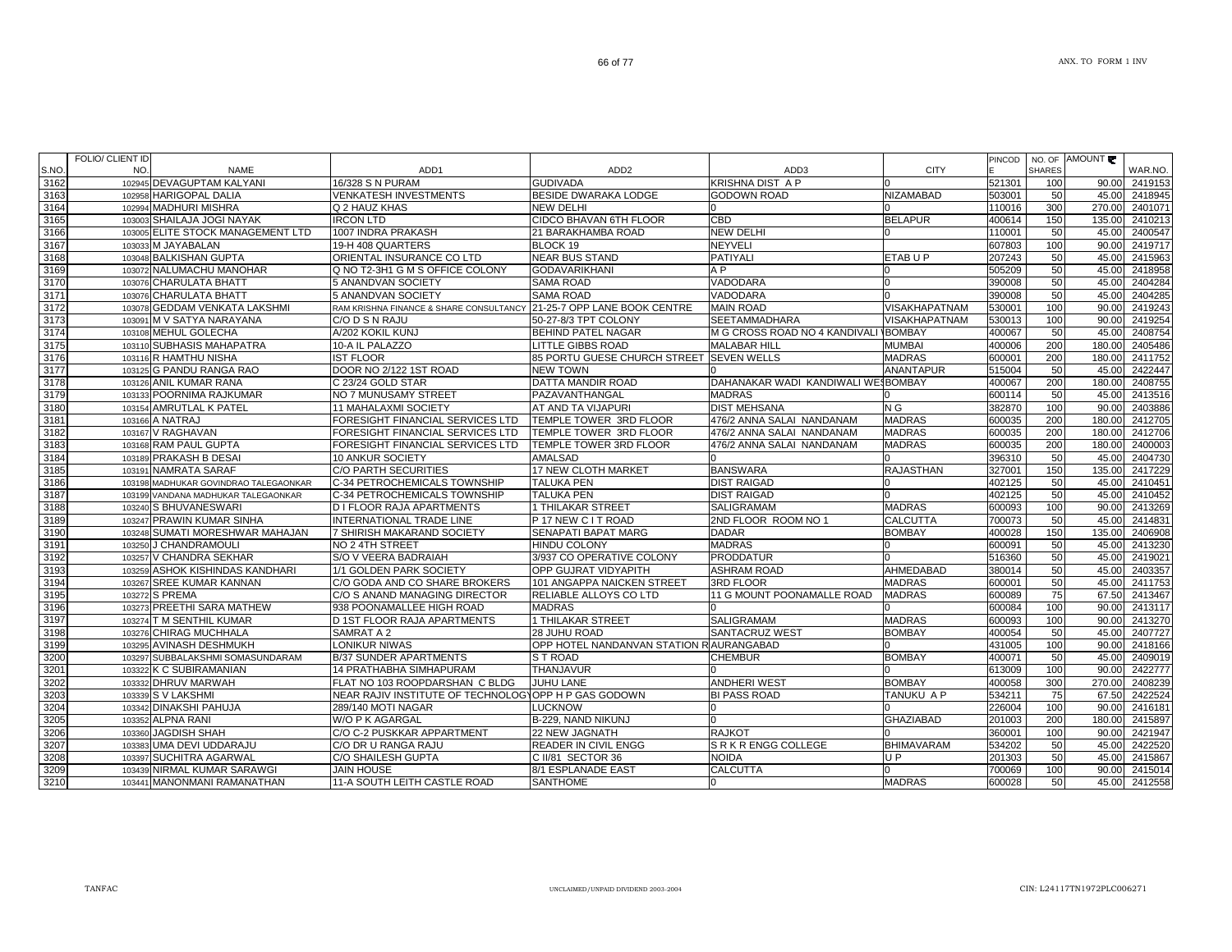| S.NO | FOLIO/ CLIENT ID<br>NO.<br>NAME       | ADD <sub>1</sub>                                     | ADD <sub>2</sub>                         | ADD3                                 | <b>CITY</b>          | <b>PINCOD</b> | <b>SHARES</b> | NO. OF AMOUNT | WAR.NO. |
|------|---------------------------------------|------------------------------------------------------|------------------------------------------|--------------------------------------|----------------------|---------------|---------------|---------------|---------|
| 3162 | 102945 DEVAGUPTAM KALYANI             | 16/328 S N PURAM                                     | <b>GUDIVADA</b>                          | KRISHNA DIST A P                     |                      | 521301        | 100           | 90.00         | 2419153 |
| 3163 | 102958 HARIGOPAL DALIA                | VENKATESH INVESTMENTS                                | BESIDE DWARAKA LODGE                     | <b>GODOWN ROAD</b>                   | NIZAMABAD            | 503001        | 50            | 45.00         | 2418945 |
| 3164 | 102994 MADHURI MISHRA                 | Q 2 HAUZ KHAS                                        | <b>NEW DELHI</b>                         |                                      |                      | 110016        | 300           | 270.00        | 2401071 |
| 3165 | SHAILAJA JOGI NAYAK<br>103003         | <b>IRCON LTD</b>                                     | CIDCO BHAVAN 6TH FLOOR                   | $\overline{CBD}$                     | <b>BELAPUR</b>       | 400614        | 150           | 135.00        | 2410213 |
| 3166 | 103005 ELITE STOCK MANAGEMENT LTD     | 1007 INDRA PRAKASH                                   | 21 BARAKHAMBA ROAD                       | <b>NEW DELHI</b>                     |                      | 110001        | 50            | 45.00         | 2400547 |
| 3167 | 103033 M JAYABALAN                    | 19-H 408 QUARTERS                                    | BLOCK 19                                 | NEYVELI                              |                      | 607803        | 100           | 90.00         | 2419717 |
| 3168 | 103048 BALKISHAN GUPTA                | ORIENTAL INSURANCE CO LTD                            | <b>NEAR BUS STAND</b>                    | <b>PATIYALI</b>                      | ETABUP               | 207243        | 50            | 45.00         | 2415963 |
| 3169 | 103072 NALUMACHU MANOHAR              | Q NO T2-3H1 G M S OFFICE COLONY                      | <b>GODAVARIKHANI</b>                     | A P                                  |                      | 505209        | 50            | 45.00         | 2418958 |
| 3170 | 103076 CHARULATA BHATT                | 5 ANANDVAN SOCIETY                                   | <b>SAMA ROAD</b>                         | VADODARA                             |                      | 390008        | 50            | 45.00         | 2404284 |
| 3171 | 103076 CHARULATA BHATT                | 5 ANANDVAN SOCIETY                                   | <b>SAMA ROAD</b>                         | VADODARA                             |                      | 390008        | 50            | 45.00         | 2404285 |
| 3172 | 103078 GEDDAM VENKATA LAKSHMI         | RAM KRISHNA FINANCE & SHARE CONSULTANCY              | 21-25-7 OPP LANE BOOK CENTRE             | <b>MAIN ROAD</b>                     | VISAKHAPATNAM        | 530001        | 100           | 90.00         | 2419243 |
| 3173 | 103091 M V SATYA NARAYANA             | C/O D S N RAJU                                       | 50-27-8/3 TPT COLONY                     | SEETAMMADHARA                        | <b>VISAKHAPATNAM</b> | 530013        | 100           | 90.00         | 2419254 |
| 3174 | 103108 MEHUL GOLECHA                  | A/202 KOKIL KUNJ                                     | <b>BEHIND PATEL NAGAR</b>                | M G CROSS ROAD NO 4 KANDIVALI BOMBAY |                      | 400067        | 50            | 45.00         | 2408754 |
| 3175 | <b>SUBHASIS MAHAPATRA</b><br>103110   | 10-A IL PALAZZO                                      | <b>LITTLE GIBBS ROAD</b>                 | <b>MALABAR HILL</b>                  | <b>MUMBAI</b>        | 400006        | 200           | 180.00        | 2405486 |
| 3176 | 103116 R HAMTHU NISHA                 | IST FLOOR                                            | 85 PORTU GUESE CHURCH STREET             | <b>SEVEN WELLS</b>                   | <b>MADRAS</b>        | 600001        | 200           | 180.00        | 2411752 |
| 3177 | 103125 G PANDU RANGA RAO              | DOOR NO 2/122 1ST ROAD                               | <b>NEW TOWN</b>                          |                                      | ANANTAPUR            | 515004        | 50            | 45.00         | 2422447 |
| 3178 | 103126 ANIL KUMAR RANA                | C 23/24 GOLD STAR                                    | DATTA MANDIR ROAD                        | DAHANAKAR WADI KANDIWALI WESBOMBAY   |                      | 400067        | 200           | 180.00        | 2408755 |
| 3179 | 103133 POORNIMA RAJKUMAR              | NO 7 MUNUSAMY STREET                                 | PAZAVANTHANGAL                           | <b>MADRAS</b>                        |                      | 600114        | 50            | 45.00         | 2413516 |
| 3180 | 103154 AMRUTLAL K PATEL               | 11 MAHALAXMI SOCIETY                                 | AT AND TA VIJAPURI                       | <b>DIST MEHSANA</b>                  | N G                  | 382870        | 100           | 90.00         | 2403886 |
| 3181 | 103166 A NATRAJ                       | FORESIGHT FINANCIAL SERVICES LTD                     | TEMPLE TOWER 3RD FLOOR                   | 476/2 ANNA SALAI NANDANAM            | <b>MADRAS</b>        | 600035        | 200           | 180.00        | 2412705 |
| 3182 | 103167 V RAGHAVAN                     | FORESIGHT FINANCIAL SERVICES LTD                     | TEMPLE TOWER 3RD FLOOR                   | 476/2 ANNA SALAI NANDANAM            | <b>MADRAS</b>        | 600035        | 200           | 180.00        | 2412706 |
| 3183 | 103168 RAM PAUL GUPTA                 | FORESIGHT FINANCIAL SERVICES LTD                     | TEMPLE TOWER 3RD FLOOR                   | 476/2 ANNA SALAI NANDANAM            | <b>MADRAS</b>        | 600035        | 200           | 180.00        | 2400003 |
| 3184 | 103189 PRAKASH B DESAI                | 10 ANKUR SOCIETY                                     | <b>AMALSAD</b>                           |                                      |                      | 396310        | 50            | 45.00         | 2404730 |
| 3185 | 103191 NAMRATA SARAF                  | <b>C/O PARTH SECURITIES</b>                          | 17 NEW CLOTH MARKET                      | <b>BANSWARA</b>                      | <b>RAJASTHAN</b>     | 327001        | 150           | 135.00        | 2417229 |
| 3186 | 103198 MADHUKAR GOVINDRAO TALEGAONKAR | C-34 PETROCHEMICALS TOWNSHIP                         | <b>TALUKA PEN</b>                        | <b>DIST RAIGAD</b>                   |                      | 402125        | 50            | 45.00         | 2410451 |
| 3187 | 103199 VANDANA MADHUKAR TALEGAONKAR   | C-34 PETROCHEMICALS TOWNSHIP                         | <b>TALUKA PEN</b>                        | <b>DIST RAIGAD</b>                   |                      | 402125        | 50            | 45.00         | 2410452 |
| 3188 | 103240 S BHUVANESWARI                 | D I FLOOR RAJA APARTMENTS                            | 1 THILAKAR STREET                        | SALIGRAMAM                           | <b>MADRAS</b>        | 600093        | 100           | 90.00         | 2413269 |
| 3189 | 103247 PRAWIN KUMAR SINHA             | INTERNATIONAL TRADE LINE                             | P 17 NEW C I T ROAD                      | 2ND FLOOR ROOM NO 1                  | <b>CALCUTTA</b>      | 700073        | 50            | 45.00         | 2414831 |
| 3190 | SUMATI MORESHWAR MAHAJAN<br>103248    | 7 SHIRISH MAKARAND SOCIETY                           | SENAPATI BAPAT MARG                      | <b>DADAR</b>                         | <b>BOMBAY</b>        | 400028        | 150           | 135.00        | 2406908 |
| 3191 | 103250 J CHANDRAMOULI                 | NO 2 4TH STREET                                      | <b>HINDU COLONY</b>                      | <b>MADRAS</b>                        |                      | 600091        | 50            | 45.00         | 2413230 |
| 3192 | 103257 V CHANDRA SEKHAR               | S/O V VEERA BADRAIAH                                 | 3/937 CO OPERATIVE COLONY                | <b>PRODDATUR</b>                     |                      | 516360        | 50            | 45.00         | 2419021 |
| 3193 | 103259 ASHOK KISHINDAS KANDHARI       | 1/1 GOLDEN PARK SOCIETY                              | OPP GUJRAT VIDYAPITH                     | <b>ASHRAM ROAD</b>                   | AHMEDABAD            | 380014        | 50            | 45.00         | 2403357 |
| 3194 | 103267 SREE KUMAR KANNAN              | C/O GODA AND CO SHARE BROKERS                        | 101 ANGAPPA NAICKEN STREET               | 3RD FLOOR                            | <b>MADRAS</b>        | 600001        | 50            | 45.00         | 2411753 |
| 3195 | 103272 S PREMA                        | C/O S ANAND MANAGING DIRECTOR                        | RELIABLE ALLOYS CO LTD                   | 11 G MOUNT POONAMALLE ROAD           | <b>MADRAS</b>        | 600089        | 75            | 67.50         | 2413467 |
| 3196 | 103273 PREETHI SARA MATHEW            | 938 POONAMALLEE HIGH ROAD                            | <b>MADRAS</b>                            |                                      |                      | 600084        | 100           | 90.00         | 2413117 |
| 3197 | 103274 T M SENTHIL KUMAR              | D 1ST FLOOR RAJA APARTMENTS                          | 1 THILAKAR STREET                        | SALIGRAMAM                           | <b>MADRAS</b>        | 600093        | 100           | 90.00         | 2413270 |
| 3198 | 103276 CHIRAG MUCHHALA                | SAMRAT A 2                                           | 28 JUHU ROAD                             | SANTACRUZ WEST                       | <b>BOMBAY</b>        | 400054        | 50            | 45.00         | 2407727 |
| 3199 | 103295 AVINASH DESHMUKH               | LONIKUR NIWAS                                        | OPP HOTEL NANDANVAN STATION RIAURANGABAD |                                      |                      | 431005        | 100           | 90.00         | 2418166 |
| 3200 | 103297 SUBBALAKSHMI SOMASUNDARAM      | <b>B/37 SUNDER APARTMENTS</b>                        | S T ROAD                                 | <b>CHEMBUR</b>                       | <b>BOMBAY</b>        | 400071        | 50            | 45.00         | 2409019 |
| 3201 | 103322 K C SUBIRAMANIAN               | <b>14 PRATHABHA SIMHAPURAM</b>                       | <b>THANJAVUR</b>                         |                                      |                      | 613009        | 100           | 90.00         | 2422777 |
| 3202 | 103332 DHRUV MARWAH                   | FLAT NO 103 ROOPDARSHAN C BLDG                       | <b>JUHU LANE</b>                         | <b>ANDHERI WEST</b>                  | <b>BOMBAY</b>        | 400058        | 300           | 270.00        | 2408239 |
| 3203 | 103339 S V LAKSHMI                    | NEAR RAJIV INSTITUTE OF TECHNOLOGYOPP H P GAS GODOWN |                                          | <b>BI PASS ROAD</b>                  | TANUKU A P           | 534211        | 75            | 67.50         | 2422524 |
| 3204 | 103342 DINAKSHI PAHUJA                | 289/140 MOTI NAGAR                                   | LUCKNOW                                  |                                      |                      | 226004        | 100           | 90.00         | 2416181 |
| 3205 | 103352 ALPNA RANI                     | W/O P K AGARGAL                                      | B-229, NAND NIKUNJ                       |                                      | <b>GHAZIABAD</b>     | 201003        | 200           | 180.00        | 2415897 |
| 3206 | 103360 JAGDISH SHAH                   | C/O C-2 PUSKKAR APPARTMENT                           | 22 NEW JAGNATH                           | <b>RAJKOT</b>                        |                      | 360001        | 100           | 90.00         | 2421947 |
| 3207 | 103383 UMA DEVI UDDARAJU              | C/O DR U RANGA RAJU                                  | READER IN CIVIL ENGG                     | SRKRENGG COLLEGE                     | <b>BHIMAVARAM</b>    | 534202        | 50            | 45.00         | 2422520 |
| 3208 | 103397 SUCHITRA AGARWAL               | C/O SHAILESH GUPTA                                   | C II/81 SECTOR 36                        | NOIDA                                | U P                  | 201303        | 50            | 45.00         | 2415867 |
| 3209 | 103439 NIRMAL KUMAR SARAWGI           | <b>JAIN HOUSE</b>                                    | 8/1 ESPLANADE EAST                       | <b>CALCUTTA</b>                      |                      | 700069        | 100           | 90.00         | 2415014 |
| 3210 | 103441 MANONMANI RAMANATHAN           | <b>11-A SOUTH LEITH CASTLE ROAD</b>                  | <b>SANTHOME</b>                          |                                      | <b>MADRAS</b>        | 600028        | 50            | 45.00         | 2412558 |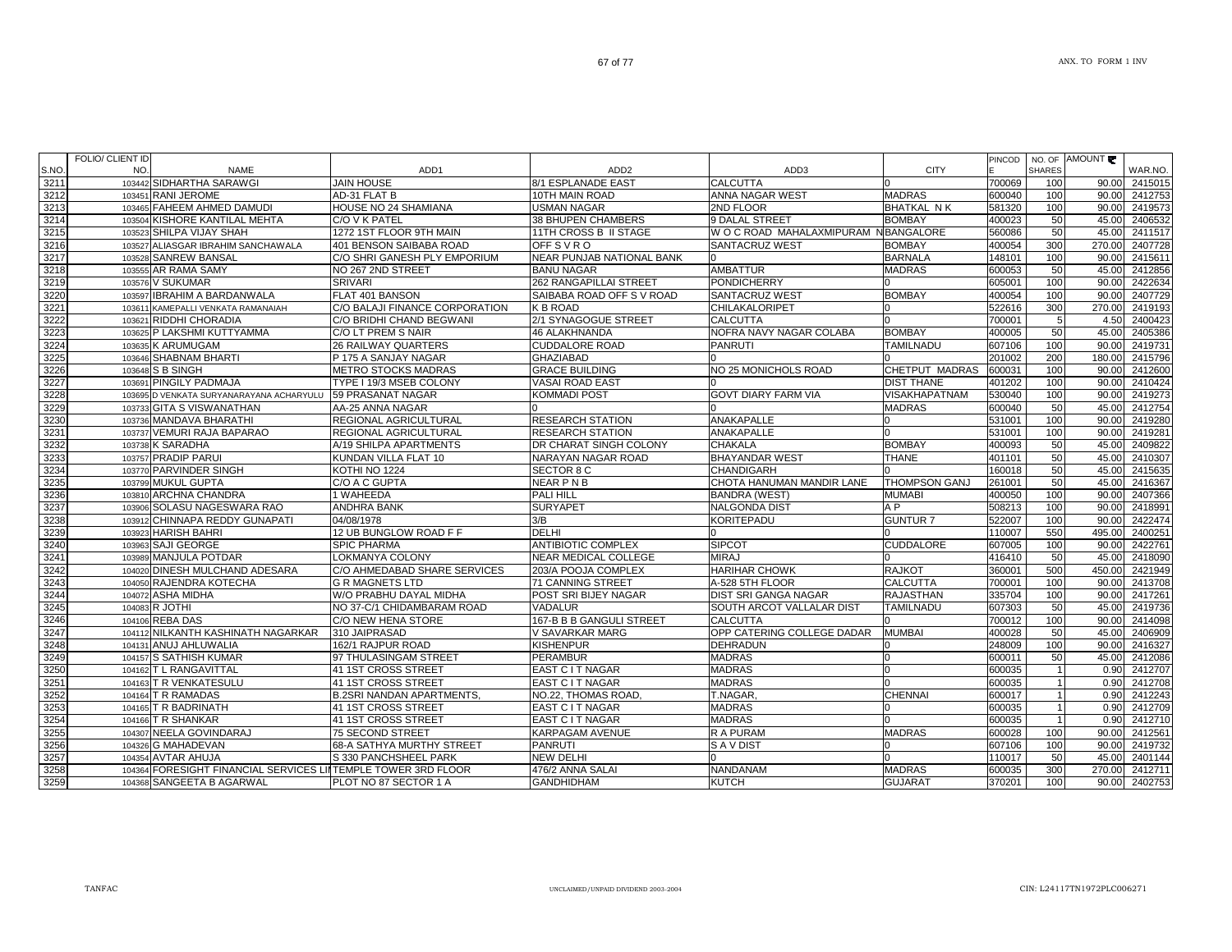ANX. TO FORM 1 INV

|       | FOLIO/ CLIENT ID |                                                               |                                  |                             |                                      |                      |        |                |               |               |
|-------|------------------|---------------------------------------------------------------|----------------------------------|-----------------------------|--------------------------------------|----------------------|--------|----------------|---------------|---------------|
| S.NO. | NO.              | <b>NAME</b>                                                   | ADD1                             | ADD <sub>2</sub>            | ADD3                                 | <b>CITY</b>          | PINCOD | <b>SHARES</b>  | NO. OF AMOUNT | WAR.NO.       |
| 3211  |                  | 103442 SIDHARTHA SARAWGI                                      | <b>JAIN HOUSE</b>                | 8/1 ESPLANADE EAST          | <b>CALCUTTA</b>                      |                      | 700069 | 100            | 90.00         | 2415015       |
| 3212  |                  | 103451 RANI JEROME                                            | AD-31 FLAT B                     | 10TH MAIN ROAD              | ANNA NAGAR WEST                      | <b>MADRAS</b>        | 600040 | 100            | 90.00         | 2412753       |
| 3213  |                  | 103465 FAHEEM AHMED DAMUDI                                    | HOUSE NO 24 SHAMIANA             | USMAN NAGAR                 | 2ND FLOOR                            | <b>BHATKAL NK</b>    | 581320 | 100            | 90.00         | 2419573       |
| 3214  |                  | 103504 KISHORE KANTILAL MEHTA                                 | C/O V K PATEL                    | <b>38 BHUPEN CHAMBERS</b>   | <b>9 DALAL STREET</b>                | <b>BOMBAY</b>        | 400023 | 50             | 45.00         | 2406532       |
| 3215  |                  | 103523 SHILPA VIJAY SHAH                                      | 1272 1ST FLOOR 9TH MAIN          | 11TH CROSS B II STAGE       | W O C ROAD MAHALAXMIPURAM NBANGALORE |                      | 560086 | 50             | 45.00         | 2411517       |
| 3216  |                  | 103527 ALIASGAR IBRAHIM SANCHAWALA                            | 401 BENSON SAIBABA ROAD          | <b>OFFSVRO</b>              | <b>SANTACRUZ WEST</b>                | <b>BOMBAY</b>        | 400054 | 300            | 270.00        | 2407728       |
| 3217  |                  | 103528 SANREW BANSAL                                          | C/O SHRI GANESH PLY EMPORIUM     | NEAR PUNJAB NATIONAL BANK   |                                      | <b>BARNALA</b>       | 148101 | 100            | 90.00         | 2415611       |
| 3218  |                  | 103555 AR RAMA SAMY                                           | NO 267 2ND STREET                | <b>BANU NAGAR</b>           | <b>AMBATTUR</b>                      | <b>MADRAS</b>        | 600053 | 50             | 45.00         | 2412856       |
| 3219  |                  | 103576 V SUKUMAR                                              | <b>SRIVARI</b>                   | 262 RANGAPILLAI STREET      | <b>PONDICHERRY</b>                   |                      | 605001 | 100            | 90.00         | 2422634       |
| 3220  |                  | 103597 IBRAHIM A BARDANWALA                                   | FLAT 401 BANSON                  | SAIBABA ROAD OFF S V ROAD   | SANTACRUZ WEST                       | <b>BOMBAY</b>        | 400054 | 100            | 90.00         | 2407729       |
| 3221  |                  | 103611 KAMEPALLI VENKATA RAMANAIAH                            | C/O BALAJI FINANCE CORPORATION   | K B ROAD                    | <b>CHILAKALORIPET</b>                |                      | 522616 | 300            | 270.00        | 2419193       |
| 3222  |                  | 103621 RIDDHI CHORADIA                                        | C/O BRIDHI CHAND BEGWANI         | 2/1 SYNAGOGUE STREET        | <b>CALCUTTA</b>                      |                      | 700001 | 5              | 4.50          | 2400423       |
| 3223  |                  | 103625 P LAKSHMI KUTTYAMMA                                    | C/O LT PREM S NAIR               | 46 ALAKHNANDA               | NOFRA NAVY NAGAR COLABA              | <b>BOMBAY</b>        | 400005 | 50             | 45.00         | 2405386       |
| 3224  |                  | 103635 K ARUMUGAM                                             | <b>26 RAILWAY QUARTERS</b>       | <b>CUDDALORE ROAD</b>       | <b>PANRUTI</b>                       | TAMILNADU            | 607106 | 100            | 90.00         | 2419731       |
| 3225  |                  | 103646 SHABNAM BHARTI                                         | P 175 A SANJAY NAGAR             | <b>GHAZIABAD</b>            |                                      |                      | 201002 | 200            | 180.00        | 2415796       |
| 3226  |                  | 103648 S B SINGH                                              | <b>METRO STOCKS MADRAS</b>       | <b>GRACE BUILDING</b>       | NO 25 MONICHOLS ROAD                 | CHETPUT MADRAS       | 600031 | 100            | 90.00         | 2412600       |
| 3227  |                  | 103691 PINGILY PADMAJA                                        | TYPE I 19/3 MSEB COLONY          | VASAI ROAD EAST             |                                      | <b>DIST THANE</b>    | 401202 | 100            | 90.00         | 2410424       |
| 3228  |                  | 103695 D VENKATA SURYANARAYANA ACHARYULU                      | 59 PRASANAT NAGAR                | KOMMADI POST                | <b>GOVT DIARY FARM VIA</b>           | <b>VISAKHAPATNAM</b> | 530040 | 100            | 90.00         | 2419273       |
| 3229  |                  | 103733 GITA S VISWANATHAN                                     | AA-25 ANNA NAGAR                 |                             |                                      | <b>MADRAS</b>        | 600040 | 50             | 45.00         | 2412754       |
| 3230  |                  | 103736 MANDAVA BHARATHI                                       | REGIONAL AGRICULTURAL            | <b>RESEARCH STATION</b>     | ANAKAPALLE                           |                      | 531001 | 100            | 90.00         | 2419280       |
| 3231  |                  | 103737 VEMURI RAJA BAPARAO                                    | REGIONAL AGRICULTURAL            | <b>RESEARCH STATION</b>     | ANAKAPALLE                           |                      | 531001 | 100            | 90.00         | 2419281       |
| 3232  |                  | 103738 K SARADHA                                              | A/19 SHILPA APARTMENTS           | DR CHARAT SINGH COLONY      | <b>CHAKALA</b>                       | <b>BOMBAY</b>        | 400093 | 50             | 45.00         | 2409822       |
| 3233  |                  | 103757 PRADIP PARUI                                           | KUNDAN VILLA FLAT 10             | NARAYAN NAGAR ROAD          | <b>BHAYANDAR WEST</b>                | THANE                | 401101 | 50             | 45.00         | 2410307       |
| 3234  |                  | 103770 PARVINDER SINGH                                        | KOTHI NO 1224                    | SECTOR 8 C                  | <b>CHANDIGARH</b>                    |                      | 160018 | 50             | 45.00         | 2415635       |
| 3235  |                  | 103799 MUKUL GUPTA                                            | C/O A C GUPTA                    | <b>NEAR PNB</b>             | CHOTA HANUMAN MANDIR LANE            | <b>THOMPSON GANJ</b> | 261001 | 50             | 45.00         | 2416367       |
| 3236  |                  | 103810 ARCHNA CHANDRA                                         | 1 WAHEEDA                        | PALI HILL                   | <b>BANDRA (WEST)</b>                 | <b>MUMABI</b>        | 400050 | 100            | 90.00         | 2407366       |
| 3237  |                  | 103906 SOLASU NAGESWARA RAO                                   | <b>ANDHRA BANK</b>               | <b>SURYAPET</b>             | <b>NALGONDA DIST</b>                 | A P                  | 508213 | 100            | 90.00         | 2418991       |
| 3238  |                  | 103912 CHINNAPA REDDY GUNAPATI                                | 04/08/1978                       | 3/B                         | KORITEPADU                           | <b>GUNTUR7</b>       | 522007 | 100            | 90.00         | 2422474       |
| 3239  |                  | 103923 HARISH BAHRI                                           | 12 UB BUNGLOW ROAD F F           | <b>DELHI</b>                |                                      |                      | 110007 | 550            | 495.00        | 2400251       |
| 3240  |                  | 103963 SAJI GEORGE                                            | <b>SPIC PHARMA</b>               | <b>ANTIBIOTIC COMPLEX</b>   | <b>SIPCOT</b>                        | <b>CUDDALORE</b>     | 607005 | 100            | 90.00         | 2422761       |
| 3241  |                  | 103989 MANJULA POTDAR                                         | LOKMANYA COLONY                  | <b>NEAR MEDICAL COLLEGE</b> | <b>MIRAJ</b>                         |                      | 416410 | 50             | 45.00         | 2418090       |
| 3242  |                  | 104020 DINESH MULCHAND ADESARA                                | C/O AHMEDABAD SHARE SERVICES     | 203/A POOJA COMPLEX         | <b>HARIHAR CHOWK</b>                 | <b>RAJKOT</b>        | 360001 | 500            | 450.00        | 2421949       |
| 3243  |                  | 104050 RAJENDRA KOTECHA                                       | <b>G R MAGNETS LTD</b>           | 71 CANNING STREET           | A-528 5TH FLOOR                      | CALCUTTA             | 700001 | 100            | 90.00         | 2413708       |
| 3244  |                  | 104072 ASHA MIDHA                                             | W/O PRABHU DAYAL MIDHA           | POST SRI BIJEY NAGAR        | <b>DIST SRI GANGA NAGAR</b>          | <b>RAJASTHAN</b>     | 335704 | 100            | 90.00         | 2417261       |
| 3245  |                  | 104083 R JOTHI                                                | NO 37-C/1 CHIDAMBARAM ROAD       | VADALUR                     | SOUTH ARCOT VALLALAR DIST            | <b>TAMILNADU</b>     | 607303 | 50             | 45.00         | 2419736       |
| 3246  |                  | 104106 REBA DAS                                               | C/O NEW HENA STORE               | 167-B B B GANGULI STREET    | <b>CALCUTTA</b>                      |                      | 700012 | 100            | 90.00         | 2414098       |
| 3247  |                  | 104112 NILKANTH KASHINATH NAGARKAR                            | 310 JAIPRASAD                    | V SAVARKAR MARG             | OPP CATERING COLLEGE DADAR           | <b>MUMBAI</b>        | 400028 | 50             | 45.00         | 2406909       |
| 3248  |                  | 104131 ANUJ AHLUWALIA                                         | 162/1 RAJPUR ROAD                | <b>KISHENPUR</b>            | <b>DEHRADUN</b>                      |                      | 248009 | 100            | 90.00         | 2416327       |
| 3249  |                  | 104157 S SATHISH KUMAR                                        | 97 THULASINGAM STREET            | PERAMBUR                    | <b>MADRAS</b>                        |                      | 600011 | 50             | 45.00         | 2412086       |
| 3250  |                  | 104162 T L RANGAVITTAL                                        | 41 1ST CROSS STREET              | EAST C I T NAGAR            | <b>MADRAS</b>                        |                      | 600035 | $\overline{1}$ | 0.90          | 2412707       |
| 3251  |                  | 104163 T R VENKATESULU                                        | 41 1ST CROSS STREET              | EAST C I T NAGAR            | <b>MADRAS</b>                        |                      | 600035 | $\overline{1}$ | 0.90          | 2412708       |
| 3252  |                  | 104164 T R RAMADAS                                            | <b>B.2SRI NANDAN APARTMENTS,</b> | NO.22, THOMAS ROAD,         | T.NAGAR.                             | CHENNAI              | 600017 | $\overline{1}$ | 0.90          | 2412243       |
| 3253  |                  | 104165 T R BADRINATH                                          | 41 1ST CROSS STREET              | EAST C I T NAGAR            | <b>MADRAS</b>                        |                      | 600035 |                | 0.90          | 2412709       |
| 3254  |                  | 104166 T R SHANKAR                                            | 41 1ST CROSS STREET              | EAST C I T NAGAR            | <b>MADRAS</b>                        |                      | 600035 | $\overline{1}$ | 0.90          | 2412710       |
| 3255  |                  | 104307 NEELA GOVINDARAJ                                       | <b>75 SECOND STREET</b>          | KARPAGAM AVENUE             | R A PURAM                            | <b>MADRAS</b>        | 600028 | 100            |               | 90.00 2412561 |
| 3256  |                  | 104326 G MAHADEVAN                                            | 68-A SATHYA MURTHY STREET        | PANRUTI                     | S A V DIST                           |                      | 607106 | 100            | 90.00         | 2419732       |
| 3257  |                  | 104354 AVTAR AHUJA                                            | S 330 PANCHSHEEL PARK            | <b>NEW DELHI</b>            |                                      |                      | 110017 | 50             | 45.00         | 2401144       |
| 3258  |                  | 104364 FORESIGHT FINANCIAL SERVICES LIITEMPLE TOWER 3RD FLOOR |                                  | 476/2 ANNA SALAI            | <b>NANDANAM</b>                      | <b>MADRAS</b>        | 600035 | 300            | 270.00        | 2412711       |
| 3259  |                  | 104368 SANGEETA B AGARWAL                                     | PLOT NO 87 SECTOR 1 A            | <b>GANDHIDHAM</b>           | <b>KUTCH</b>                         | <b>GUJARAT</b>       | 370201 | 100            |               | 90.00 2402753 |

67 of 77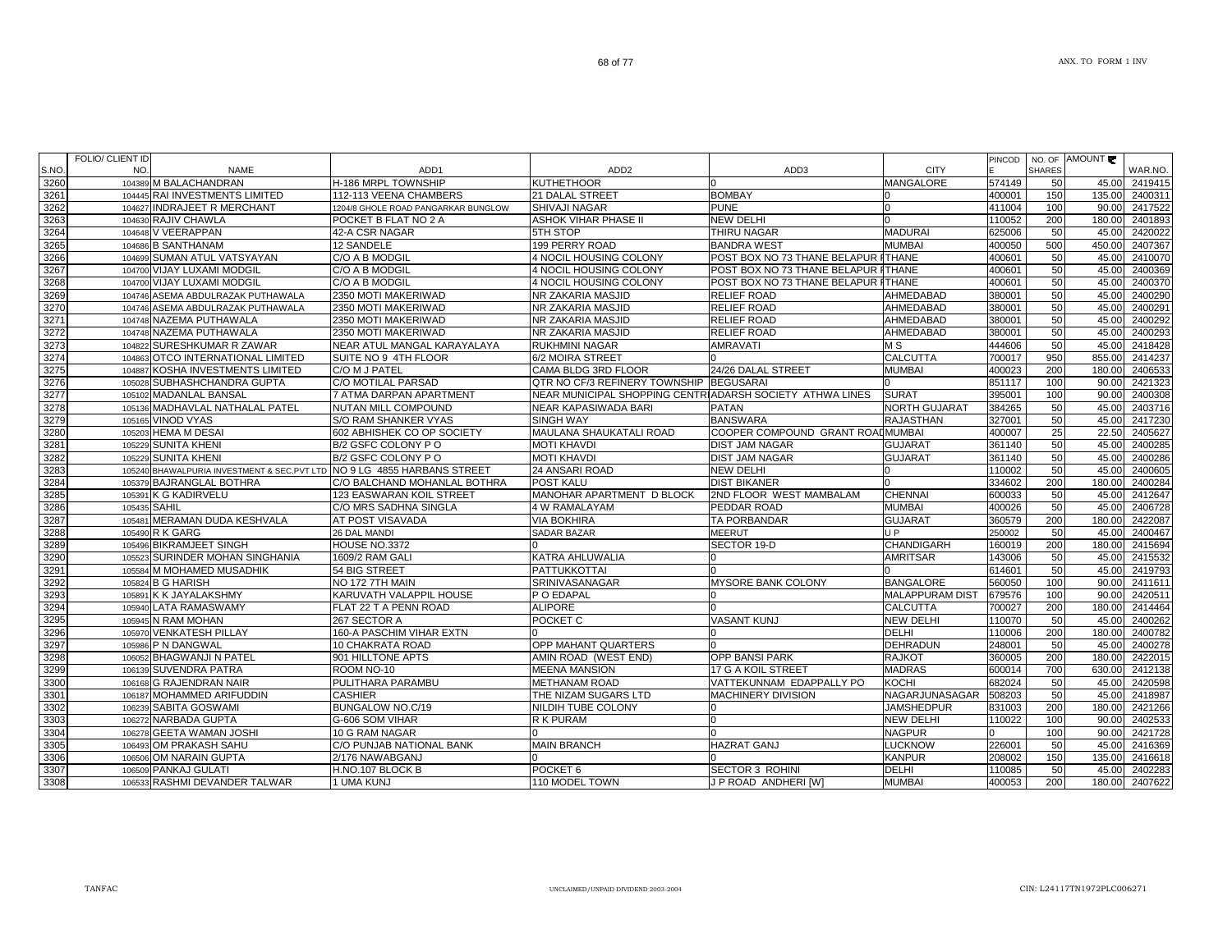WAR.NO.

ANX. TO FORM 1 INV

AMOUNT

**MANGALORE** 

SHIVAJI NAGAR PUNE PUNE 0 411004 100 90.00 2417522

PINCODE

NO. OF SHARES

104389 M BALACHANDRAN H-186 MRPL TOWNSHIP KUTHETHOOR 0 0 MANGALORE 574149 50 45.00 2419415

104445 RAI INVESTMENTS LIMITED 112-113 VEENA CHAMBERS 21 DALAL STREET BOMBAY 0 400001 150 135.00 2400311

104630 RAJIV CHAWLA POCKET B FLAT NO 2 A ASHOK VIHAR PHASE II NEW DELHI 10000 100 110052 200 180.00 2401893

NAME ADD1 ADD2 ADD3 CITY

1204/8 GHOLE ROAD PANGARKAR BUNGLOW

|  | 104648 V VEERAPPAN                          | 42-A CSR NAGAR                  | 5TH STOP                                                  | ITHIRU NAGAR                               | MADURAI              | 625006 | 50 I | 45.00  | 2420022 |
|--|---------------------------------------------|---------------------------------|-----------------------------------------------------------|--------------------------------------------|----------------------|--------|------|--------|---------|
|  | 104686 B SANTHANAM                          | 12 SANDELE                      | 199 PERRY ROAD                                            | <b>BANDRA WEST</b>                         | <b>MUMBAI</b>        | 400050 | 500  | 450.0  | 2407367 |
|  | 104699 SUMAN ATUL VATSYAYAN                 | C/O A B MODGIL                  | 4 NOCIL HOUSING COLONY                                    | POST BOX NO 73 THANE BELAPUR ITHANE        |                      | 400601 | 50   | 45.00  | 2410070 |
|  | 104700 VIJAY LUXAMI MODGIL                  | C/O A B MODGIL                  | 4 NOCIL HOUSING COLONY                                    | POST BOX NO 73 THANE BELAPUR ITHANE        |                      | 400601 | 50   | 45.0   | 2400369 |
|  | 104700 VIJAY LUXAMI MODGIL                  | C/O A B MODGIL                  | 4 NOCIL HOUSING COLONY                                    | <b>POST BOX NO 73 THANE BELAPUR ITHANE</b> |                      | 400601 | 50   | 45.00  | 2400370 |
|  | 104746 ASEMA ABDULRAZAK PUTHAWALA           | 2350 MOTI MAKERIWAD             | NR ZAKARIA MASJID                                         | <b>RELIEF ROAD</b>                         | AHMEDABAD            | 380001 | 50   | 45.00  | 2400290 |
|  | 104746 ASEMA ABDULRAZAK PUTHAWALA           | 2350 MOTI MAKERIWAD             | NR ZAKARIA MASJID                                         | <b>RELIEF ROAD</b>                         | AHMEDABAD            | 380001 | 50   | 45.00  | 2400291 |
|  | 104748 NAZEMA PUTHAWALA                     | 2350 MOTI MAKERIWAD             | NR ZAKARIA MASJID                                         | <b>RELIEF ROAD</b>                         | AHMEDABAD            | 380001 | 50   | 45.00  | 2400292 |
|  | 104748 NAZEMA PUTHAWALA                     | 2350 MOTI MAKERIWAD             | NR ZAKARIA MASJID                                         | <b>RELIEF ROAD</b>                         | AHMEDABAD            | 380001 | 50   | 45.00  | 2400293 |
|  | 104822 SURESHKUMAR R ZAWAR                  | VEAR ATUL MANGAL KARAYALAYA     | <b>RUKHMINI NAGAR</b>                                     | <b>AMRAVATI</b>                            | M S                  | 444606 | 50   | 45.00  | 2418428 |
|  | 104863 OTCO INTERNATIONAL LIMITED           | SUITE NO 9 4TH FLOOR            | 6/2 MOIRA STREET                                          |                                            | <b>CALCUTTA</b>      | 700017 | 950  | 855.00 | 2414237 |
|  | 104887 KOSHA INVESTMENTS LIMITED            | C/O M J PATEL                   | CAMA BLDG 3RD FLOOR                                       | 24/26 DALAL STREET                         | <b>MUMBAI</b>        | 400023 | 200  | 180.00 | 2406533 |
|  | 105028 SUBHASHCHANDRA GUPTA                 | C/O MOTILAL PARSAD              | QTR NO CF/3 REFINERY TOWNSHIP BEGUSARAI                   |                                            |                      | 851117 | 100  | 90.0   | 2421323 |
|  | 105102 MADANLAL BANSAL                      | 7 ATMA DARPAN APARTMENT         | NEAR MUNICIPAL SHOPPING CENTRIADARSH SOCIETY  ATHWA LINES |                                            | <b>SURAT</b>         | 395001 | 100  | 90.0   | 2400308 |
|  | 105136 MADHAVLAL NATHALAL PATEL             | <b>NUTAN MILL COMPOUND</b>      | NEAR KAPASIWADA BARI                                      | <b>PATAN</b>                               | <b>NORTH GUJARAT</b> | 384265 | 50   | 45.0   | 2403716 |
|  | 105165 VINOD VYAS                           | S/O RAM SHANKER VYAS            | <b>SINGH WAY</b>                                          | <b>BANSWARA</b>                            | <b>RAJASTHAN</b>     | 327001 | 50   | 45.0   | 2417230 |
|  | 105203 HEMA M DESAI                         | 602 ABHISHEK CO OP SOCIETY      | MAULANA SHAUKATALI ROAD                                   | COOPER COMPOUND GRANT ROADMUMBAI           |                      | 400007 | 25   | 22.50  | 2405627 |
|  | 105229 SUNITA KHENI                         | B/2 GSFC COLONY P O             | <b>MOTI KHAVDI</b>                                        | <b>DIST JAM NAGAR</b>                      | <b>GUJARAT</b>       | 361140 | 50   | 45.0   | 2400285 |
|  | 105229 SUNITA KHENI                         | B/2 GSFC COLONY P O             | <b>MOTI KHAVDI</b>                                        | <b>DIST JAM NAGAR</b>                      | <b>GUJARAT</b>       | 361140 | 50   | 45.0   | 2400286 |
|  | 105240 BHAWALPURIA INVESTMENT & SEC.PVT LTD | NO 9 LG 4855 HARBANS STREET     | 24 ANSARI ROAD                                            | <b>NEW DELHI</b>                           |                      | 110002 | 50   | 45.0   | 2400605 |
|  | 105379 BAJRANGLAL BOTHRA                    | C/O BALCHAND MOHANLAL BOTHRA    | <b>POST KALU</b>                                          | <b>DIST BIKANER</b>                        |                      | 334602 | 200  | 180.00 | 2400284 |
|  | 105391 K G KADIRVELU                        | <b>123 EASWARAN KOIL STREET</b> | MANOHAR APARTMENT D BLOCK                                 | <b>2ND FLOOR WEST MAMBALAM</b>             | <b>CHENNAI</b>       | 600033 | 50   | 45.00  | 2412647 |
|  | 105435 SAHIL                                | C/O MRS SADHNA SINGLA           | 4 W RAMALAYAM                                             | PEDDAR ROAD                                | <b>MUMBAI</b>        | 400026 | 50   | 45.00  | 2406728 |
|  | 105481 MERAMAN DUDA KESHVALA                | AT POST VISAVADA                | <b>VIA BOKHIRA</b>                                        | <b>TA PORBANDAR</b>                        | <b>GUJARAT</b>       | 360579 | 200  | 180.00 | 2422087 |
|  | 105490 R K GARG                             | 26 DAL MANDI                    | <b>SADAR BAZAR</b>                                        | <b>MEERUT</b>                              | J P                  | 250002 |      | 45.0   | 2400467 |
|  | 105496 BIKRAM JFFT SINGH                    | <b>HOUSE NO 3372</b>            |                                                           | SECTOR 19-D                                | <b>CHANDIGARH</b>    | 160019 | 200  | 180.00 | 2415694 |

| 3274 |              | 104863 OTCO INTERNATIONAL LIMITED                                       | <b>ISUITE NO 9 4TH FLOOR</b>    | <b>6/2 MOIRA STREET</b>                                   |                                         | ICALCUTTA              | 700017 | 950 |        | 855.00 2414237 |
|------|--------------|-------------------------------------------------------------------------|---------------------------------|-----------------------------------------------------------|-----------------------------------------|------------------------|--------|-----|--------|----------------|
| 3275 |              | 104887 KOSHA INVESTMENTS LIMITED                                        | C/O M J PATEL                   | CAMA BLDG 3RD FLOOR                                       | 24/26 DALAL STREET                      | <b>MUMBAI</b>          | 400023 | 200 | 180.00 | 2406533        |
| 3276 |              | 105028 SUBHASHCHANDRA GUPTA                                             | C/O MOTILAL PARSAD              | <b>QTR NO CF/3 REFINERY TOWNSHIP BEGUSARAL</b>            |                                         |                        | 851117 | 100 | 90.00  | 2421323        |
| 3277 |              | 105102 MADANLAL BANSAL                                                  | 7 ATMA DARPAN APARTMENT         | INEAR MUNICIPAL SHOPPING CENTRIADARSH SOCIETY ATHWA LINES |                                         | <b>SURAT</b>           | 395001 | 100 | 90.00  | 2400308        |
| 3278 |              | 105136 MADHAVLAL NATHALAL PATEL                                         | <b>NUTAN MILL COMPOUND</b>      | NEAR KAPASIWADA BARI                                      | <b>PATAN</b>                            | <b>NORTH GUJARAT</b>   | 384265 | 50  | 45.00  | 2403716        |
| 3279 |              | 105165 VINOD VYAS                                                       | S/O RAM SHANKER VYAS            | <b>SINGH WAY</b>                                          | <b>BANSWARA</b>                         | <b>RAJASTHAN</b>       | 327001 | 50  | 45.00  | 2417230        |
| 3280 |              | 105203 HEMA M DESAI                                                     | 602 ABHISHEK CO OP SOCIETY      | MAULANA SHAUKATALI ROAD                                   | <b>COOPER COMPOUND GRANT ROADMUMBAL</b> |                        | 400007 | 25  | 22.50  | 2405627        |
| 3281 |              | 105229 SUNITA KHENI                                                     | B/2 GSFC COLONY PO              | <b>MOTI KHAVDI</b>                                        | <b>DIST JAM NAGAR</b>                   | <b>GUJARAT</b>         | 361140 | 50  | 45.00  | 2400285        |
| 3282 |              | 105229 SUNITA KHENI                                                     | B/2 GSFC COLONY P O             | <b>MOTI KHAVDI</b>                                        | <b>DIST JAM NAGAR</b>                   | <b>GUJARAT</b>         | 361140 | 50  | 45.00  | 2400286        |
| 3283 |              | 105240 BHAWALPURIA INVESTMENT & SEC.PVT LTD NO 9 LG 4855 HARBANS STREET |                                 | 24 ANSARI ROAD                                            | <b>NEW DELHI</b>                        |                        | 110002 | 50  | 45.00  | 2400605        |
| 3284 |              | 105379 BAJRANGLAL BOTHRA                                                | C/O BALCHAND MOHANLAL BOTHRA    | <b>POST KALU</b>                                          | <b>DIST BIKANER</b>                     |                        | 334602 | 200 | 180.00 | 2400284        |
| 3285 |              | 105391 K G KADIRVELU                                                    | <b>123 EASWARAN KOIL STREET</b> | MANOHAR APARTMENT D BLOCK                                 | <b>2ND FLOOR WEST MAMBALAM</b>          | <b>CHENNAI</b>         | 600033 | 50  | 45.00  | 2412647        |
| 3286 | 105435 SAHIL |                                                                         | C/O MRS SADHNA SINGLA           | 4 W RAMALAYAM                                             | PEDDAR ROAD                             | <b>MUMBAI</b>          | 400026 | 50  | 45.00  | 2406728        |
| 3287 |              | 105481 MERAMAN DUDA KESHVALA                                            | <b>AT POST VISAVADA</b>         | <b>VIA BOKHIRA</b>                                        | <b>TA PORBANDAR</b>                     | <b>GUJARAT</b>         | 360579 | 200 | 180.00 | 2422087        |
| 3288 |              | 105490 R K GARG                                                         | <b>26 DAL MANDI</b>             | <b>SADAR BAZAR</b>                                        | <b>MEERUT</b>                           | U P                    | 250002 | 50  | 45.00  | 2400467        |
| 3289 |              | 105496 BIKRAMJEET SINGH                                                 | <b>HOUSE NO.3372</b>            |                                                           | SECTOR 19-D                             | <b>CHANDIGARH</b>      | 160019 | 200 | 180.00 | 2415694        |
| 3290 |              | 105523 SURINDER MOHAN SINGHANIA                                         | 1609/2 RAM GALI                 | KATRA AHLUWALIA                                           |                                         | <b>AMRITSAR</b>        | 143006 | 50  | 45.00  | 2415532        |
| 3291 |              | 105584 M MOHAMED MUSADHIK                                               | 54 BIG STREET                   | <b>PATTUKKOTTAI</b>                                       |                                         |                        | 614601 | 50  | 45.00  | 2419793        |
| 3292 |              | 105824 B G HARISH                                                       | NO 172 7TH MAIN                 | <b>SRINIVASANAGAR</b>                                     | <b>MYSORE BANK COLONY</b>               | <b>BANGALORE</b>       | 560050 | 100 | 90.00  | 2411611        |
| 3293 |              | 105891 K K JAYALAKSHMY                                                  | KARUVATH VALAPPIL HOUSE         | P O EDAPAL                                                |                                         | <b>MALAPPURAM DIST</b> | 679576 | 100 | 90.00  | 2420511        |
| 3294 |              | 105940 LATA RAMASWAMY                                                   | FLAT 22 T A PENN ROAD           | <b>ALIPORE</b>                                            |                                         | <b>CALCUTTA</b>        | 700027 | 200 | 180.0  | 2414464        |
| 3295 |              | 105945 N RAM MOHAN                                                      | 267 SECTOR A                    | POCKET C                                                  | <b>VASANT KUNJ</b>                      | <b>NEW DELHI</b>       | 110070 | 50  | 45.0   | 2400262        |
| 3296 |              | 105970 VENKATESH PILLAY                                                 | 160-A PASCHIM VIHAR EXTN        |                                                           |                                         | <b>DELHI</b>           | 110006 | 200 | 180.0  | 2400782        |
| 3297 |              | 105986 P N DANGWAL                                                      | <b>10 CHAKRATA ROAD</b>         | <b>OPP MAHANT QUARTERS</b>                                |                                         | <b>DEHRADUN</b>        | 248001 | 50  | 45.00  | 2400278        |
| 3298 |              | 106052 BHAGWANJI N PATEL                                                | 901 HILLTONE APTS               | AMIN ROAD (WEST END)                                      | <b>OPP BANSI PARK</b>                   | <b>RAJKOT</b>          | 360005 | 200 | 180.00 | 2422015        |
| 3299 |              | 106139 SUVENDRA PATRA                                                   | ROOM NO-10                      | <b>MEENA MANSION</b>                                      | 17 G A KOIL STREET                      | <b>MADRAS</b>          | 600014 | 700 | 630.00 | 2412138        |
| 3300 |              | 106168 G RAJENDRAN NAIR                                                 | <b>PULITHARA PARAMBU</b>        | <b>METHANAM ROAD</b>                                      | VATTEKUNNAM EDAPPALLY PO                | KOCHI                  | 682024 | 50  | 45.00  | 2420598        |
| 3301 |              | 106187 MOHAMMED ARIFUDDIN                                               | <b>CASHIER</b>                  | THE NIZAM SUGARS LTD                                      | <b>MACHINERY DIVISION</b>               | NAGARJUNASAGAR         | 508203 | 50  | 45.00  | 2418987        |
| 3302 |              | 106239 SABITA GOSWAMI                                                   | BUNGALOW NO.C/19                | NILDIH TUBE COLONY                                        |                                         | <b>JAMSHEDPUR</b>      | 831003 | 200 | 180.0  | 2421266        |
| 3303 |              | 106272 NARBADA GUPTA                                                    | G-606 SOM VIHAR                 | R K PURAM                                                 |                                         | <b>NEW DELHI</b>       | 110022 | 100 | 90.00  | 2402533        |
| 3304 |              | 106278 GEETA WAMAN JOSHI                                                | 10 G RAM NAGAR                  |                                                           |                                         | <b>NAGPUR</b>          |        | 100 | 90.00  | 2421728        |
| 3305 |              | 106493 OM PRAKASH SAHU                                                  | C/O PUNJAB NATIONAL BANK        | <b>MAIN BRANCH</b>                                        | <b>HAZRAT GANJ</b>                      | <b>LUCKNOW</b>         | 226001 | 50  | 45.00  | 2416369        |
| 3306 |              | 106506 OM NARAIN GUPTA                                                  | 2/176 NAWABGANJ                 |                                                           |                                         | <b>KANPUR</b>          | 208002 | 150 | 135.00 | 2416618        |
| 3307 |              | 106509 PANKAJ GULATI                                                    | H.NO.107 BLOCK B                | POCKET <sub>6</sub>                                       | <b>SECTOR 3 ROHINI</b>                  | <b>DELHI</b>           | 110085 | 50  | 45.00  | 2402283        |
| 3308 |              | 106533 RASHMI DEVANDER TALWAR                                           | 1 UMA KUNJ                      | 110 MODEL TOWN                                            | J P ROAD ANDHERI [W]                    | <b>MUMBAI</b>          | 400053 | 200 | 180.00 | 2407622        |

S.NO.3260

3261

3262

3263

3264

3265

3266

3267

3268

3269

3270

3271

3272

3273

FOLIO/ CLIENT ID NO.

104627 INDRAJEET R MERCHANT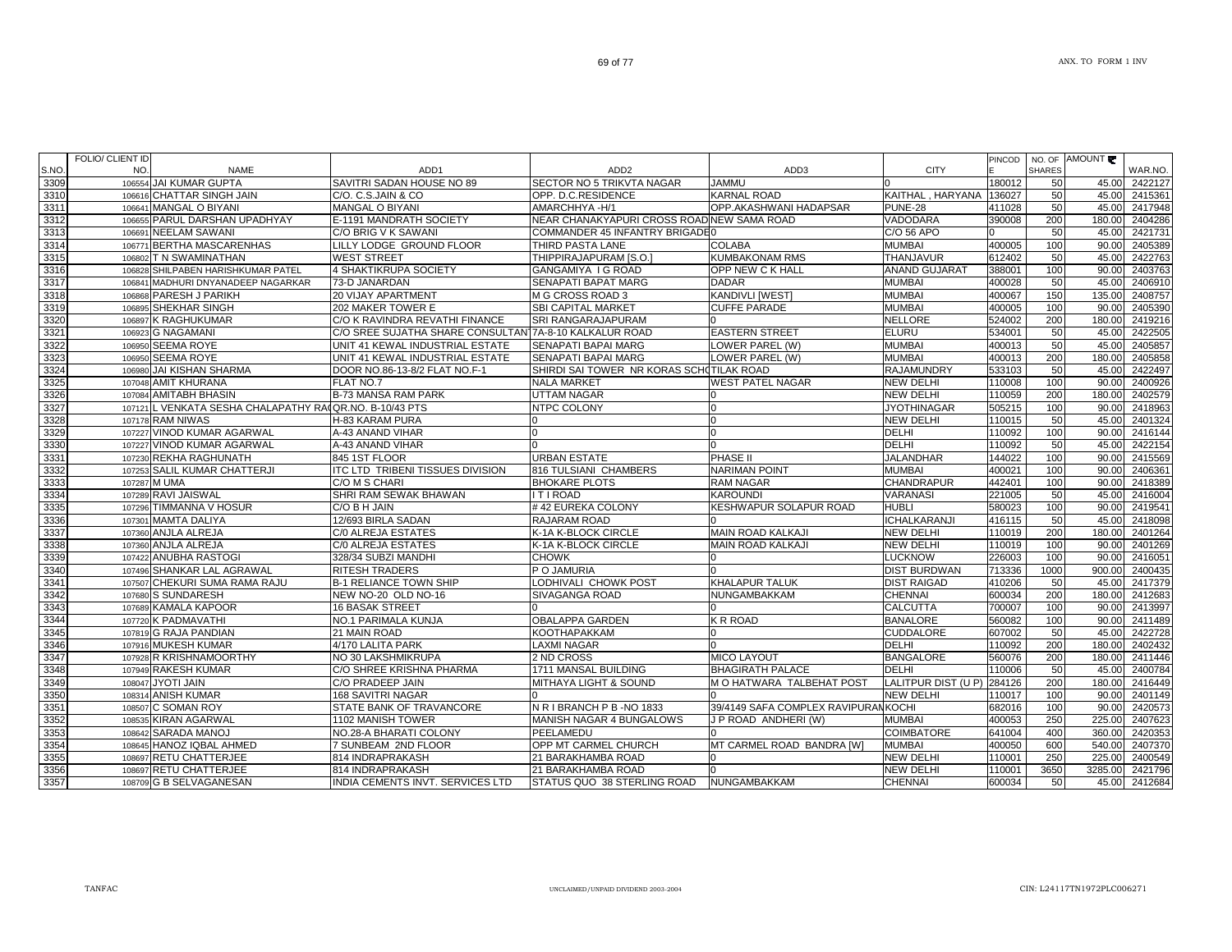| S.NO | FOLIO/ CLIENT ID<br>NO. | <b>NAME</b>                                             | ADD <sub>1</sub>                                       | ADD <sub>2</sub>                           | ADD3                                | <b>CITY</b>          | PINCOD | <b>SHARES</b> | NO. OF AMOUNT | WAR.NO. |
|------|-------------------------|---------------------------------------------------------|--------------------------------------------------------|--------------------------------------------|-------------------------------------|----------------------|--------|---------------|---------------|---------|
| 3309 |                         | 106554 JAI KUMAR GUPTA                                  | SAVITRI SADAN HOUSE NO 89                              | SECTOR NO 5 TRIKVTA NAGAR                  | <b>JAMMU</b>                        | n                    | 180012 | 50            | 45.00         | 2422127 |
| 3310 |                         | 106616 CHATTAR SINGH JAIN                               | C/O. C.S.JAIN & CO                                     | OPP. D.C.RESIDENCE                         | <b>KARNAL ROAD</b>                  | KAITHAL, HARYANA     | 136027 | 50            | 45.00         | 2415361 |
| 3311 |                         | 106641 MANGAL O BIYANI                                  | <b>MANGAL O BIYANI</b>                                 | AMARCHHYA-H/1                              | OPP.AKASHWANI HADAPSAR              | PUNE-28              | 411028 | 50            | 45.00         | 2417948 |
| 3312 |                         | 106655 PARUL DARSHAN UPADHYAY                           | E-1191 MANDRATH SOCIETY                                | NEAR CHANAKYAPURI CROSS ROAD NEW SAMA ROAD |                                     | VADODARA             | 390008 | 200           | 180.00        | 2404286 |
| 3313 |                         | 106691 NEELAM SAWANI                                    | C/O BRIG V K SAWANI                                    | COMMANDER 45 INFANTRY BRIGADE0             |                                     | C/O 56 APO           |        | 50            | 45.00         | 2421731 |
| 3314 |                         | 106771 BERTHA MASCARENHAS                               | LILLY LODGE GROUND FLOOR                               | THIRD PASTA LANE                           | <b>COLABA</b>                       | <b>MUMBAI</b>        | 400005 | 100           | 90.00         | 2405389 |
| 3315 |                         | 106802 T N SWAMINATHAN                                  | <b>WEST STREET</b>                                     | THIPPIRAJAPURAM [S.O.]                     | <b>KUMBAKONAM RMS</b>               | <b>THANJAVUR</b>     | 612402 | 50            | 45.00         | 2422763 |
| 3316 | 106828                  | SHILPABEN HARISHKUMAR PATEL                             | 4 SHAKTIKRUPA SOCIETY                                  | GANGAMIYA I G ROAD                         | OPP NEW C K HALL                    | <b>ANAND GUJARAT</b> | 388001 | 100           | 90.00         | 2403763 |
| 3317 | 106841                  | MADHURI DNYANADEEP NAGARKAR                             | 73-D JANARDAN                                          | <b>SENAPATI BAPAT MARG</b>                 | <b>DADAR</b>                        | <b>MUMBAI</b>        | 400028 | 50            | 45.00         | 2406910 |
| 3318 |                         | 106868 PARESH J PARIKH                                  | <b>20 VIJAY APARTMENT</b>                              | M G CROSS ROAD 3                           | <b>KANDIVLI [WEST]</b>              | <b>MUMBAI</b>        | 400067 | 150           | 135.00        | 2408757 |
| 3319 |                         | 106895 SHEKHAR SINGH                                    | 202 MAKER TOWER E                                      | <b>SBI CAPITAL MARKET</b>                  | <b>CUFFE PARADE</b>                 | <b>MUMBAI</b>        | 400005 | 100           | 90.00         | 2405390 |
| 3320 |                         | 106897 K RAGHUKUMAR                                     | C/O K RAVINDRA REVATHI FINANCE                         | <b>SRI RANGARAJAPURAM</b>                  |                                     | <b>NELLORE</b>       | 524002 | 200           | 180.00        | 2419216 |
| 3321 |                         | 106923 G NAGAMANI                                       | C/O SREE SUJATHA SHARE CONSULTAN 7A-8-10 KALKALUR ROAD |                                            | <b>EASTERN STREET</b>               | <b>ELURU</b>         | 534001 | 50            | 45.00         | 2422505 |
| 3322 |                         | 106950 SEEMA ROYE                                       | UNIT 41 KEWAL INDUSTRIAL ESTATE                        | <b>SENAPATI BAPAI MARG</b>                 | LOWER PAREL (W)                     | <b>MUMBAI</b>        | 400013 | 50            | 45.00         | 2405857 |
| 3323 |                         | 106950 SEEMA ROYE                                       | UNIT 41 KEWAL INDUSTRIAL ESTATE                        | SENAPATI BAPAI MARG                        | LOWER PAREL (W)                     | <b>MUMBAI</b>        | 400013 | 200           | 180.00        | 2405858 |
| 3324 |                         | 106980 JAI KISHAN SHARMA                                | DOOR NO.86-13-8/2 FLAT NO.F-1                          | SHIRDI SAI TOWER NR KORAS SCHOTILAK ROAD   |                                     | <b>RAJAMUNDRY</b>    | 533103 | 50            | 45.00         | 2422497 |
| 3325 |                         | 107048 AMIT KHURANA                                     | FLAT NO.7                                              | <b>NALA MARKET</b>                         | <b>WEST PATEL NAGAR</b>             | <b>NEW DELHI</b>     | 110008 | 100           | 90.00         | 2400926 |
| 3326 |                         | 107084 AMITABH BHASIN                                   | B-73 MANSA RAM PARK                                    | <b>UTTAM NAGAR</b>                         |                                     | <b>NEW DELHI</b>     | 110059 | 200           | 180.00        | 2402579 |
| 3327 |                         | 107121 L VENKATA SESHA CHALAPATHY RAIQR.NO. B-10/43 PTS |                                                        | <b>NTPC COLONY</b>                         | $\cap$                              | <b>JYOTHINAGAR</b>   | 505215 | 100           | 90.00         | 2418963 |
| 3328 |                         | 107178 RAM NIWAS                                        | H-83 KARAM PURA                                        |                                            |                                     | <b>NEW DELHI</b>     | 110015 | 50            | 45.00         | 2401324 |
| 3329 |                         | 107227 VINOD KUMAR AGARWAL                              | A-43 ANAND VIHAR                                       | In                                         |                                     | <b>DELHI</b>         | 110092 | 100           | 90.00         | 2416144 |
| 3330 |                         | 107227 VINOD KUMAR AGARWAL                              | A-43 ANAND VIHAR                                       |                                            |                                     | DELHI                | 110092 | 50            | 45.00         | 2422154 |
| 3331 |                         | 107230 REKHA RAGHUNATH                                  | 845 1ST FLOOR                                          | <b>URBAN ESTATE</b>                        | PHASE II                            | <b>JALANDHAR</b>     | 144022 | 100           | 90.00         | 2415569 |
| 3332 |                         | 107253 SALIL KUMAR CHATTERJI                            | ITC LTD TRIBENI TISSUES DIVISION                       | 816 TULSIANI CHAMBERS                      | <b>NARIMAN POINT</b>                | <b>MUMBAI</b>        | 400021 | 100           | 90.00         | 2406361 |
| 3333 |                         | 107287 M UMA                                            | C/O M S CHARI                                          | <b>BHOKARE PLOTS</b>                       | <b>RAM NAGAR</b>                    | <b>CHANDRAPUR</b>    | 442401 | 100           | 90.00         | 2418389 |
| 3334 |                         | 107289 RAVI JAISWAL                                     | SHRI RAM SEWAK BHAWAN                                  | <b>ITIROAD</b>                             | <b>KAROUNDI</b>                     | VARANASI             | 221005 | 50            | 45.00         | 2416004 |
| 3335 |                         | 107296 TIMMANNA V HOSUR                                 | C/O B H JAIN                                           | #42 EUREKA COLONY                          | <b>KESHWAPUR SOLAPUR ROAD</b>       | <b>HUBLI</b>         | 580023 | 100           | 90.00         | 2419541 |
| 3336 |                         | 107301 MAMTA DALIYA                                     | 12/693 BIRLA SADAN                                     | <b>RAJARAM ROAD</b>                        |                                     | <b>ICHALKARANJI</b>  | 416115 | 50            | 45.00         | 2418098 |
| 3337 |                         | 107360 ANJLA ALREJA                                     | C/0 ALREJA ESTATES                                     | K-1A K-BLOCK CIRCLE                        | <b>MAIN ROAD KALKAJI</b>            | <b>NEW DELHI</b>     | 110019 | 200           | 180.00        | 2401264 |
| 3338 |                         | 107360 ANJLA ALREJA                                     | C/0 ALREJA ESTATES                                     | K-1A K-BLOCK CIRCLE                        | <b>MAIN ROAD KALKAJI</b>            | <b>NEW DELHI</b>     | 110019 | 100           | 90.00         | 2401269 |
| 3339 |                         | 107422 ANUBHA RASTOGI                                   | 328/34 SUBZI MANDHI                                    | <b>CHOWK</b>                               |                                     | <b>LUCKNOW</b>       | 226003 | 100           | 90.00         | 2416051 |
| 3340 |                         | 107496 SHANKAR LAL AGRAWAL                              | <b>RITESH TRADERS</b>                                  | P O JAMURIA                                |                                     | <b>DIST BURDWAN</b>  | 713336 | 1000          | 900.00        | 2400435 |
| 3341 |                         | 107507 CHEKURI SUMA RAMA RAJU                           | <b>B-1 RELIANCE TOWN SHIP</b>                          | LODHIVALI CHOWK POST                       | <b>KHALAPUR TALUK</b>               | <b>DIST RAIGAD</b>   | 410206 | 50            | 45.00         | 2417379 |
| 3342 |                         | 107680 S SUNDARESH                                      | NEW NO-20 OLD NO-16                                    | <b>SIVAGANGA ROAD</b>                      | NUNGAMBAKKAM                        | <b>CHENNAI</b>       | 600034 | 200           | 180.00        | 2412683 |
| 3343 |                         | 107689 KAMALA KAPOOR                                    | <b>16 BASAK STREET</b>                                 |                                            |                                     | <b>CALCUTTA</b>      | 700007 | 100           | 90.00         | 2413997 |
| 3344 |                         | 107720 K PADMAVATHI                                     | NO.1 PARIMALA KUNJA                                    | <b>OBALAPPA GARDEN</b>                     | K R ROAD                            | <b>BANALORE</b>      | 560082 | 100           | 90.00         | 2411489 |
| 3345 |                         | 107819 G RAJA PANDIAN                                   | 21 MAIN ROAD                                           | <b>KOOTHAPAKKAM</b>                        |                                     | <b>CUDDALORE</b>     | 607002 | 50            | 45.00         | 2422728 |
| 3346 |                         | 107916 MUKESH KUMAR                                     | 4/170 LALITA PARK                                      | <b>LAXMI NAGAR</b>                         |                                     | <b>DELHI</b>         | 110092 | 200           | 180.00        | 2402432 |
| 3347 |                         | 107928 R KRISHNAMOORTHY                                 | NO 30 LAKSHMIKRUPA                                     | 2 ND CROSS                                 | <b>MICO LAYOUT</b>                  | <b>BANGALORE</b>     | 560076 | 200           | 180.00        | 2411446 |
| 3348 |                         | 107949 RAKESH KUMAR                                     | C/O SHREE KRISHNA PHARMA                               | 1711 MANSAL BUILDING                       | <b>BHAGIRATH PALACE</b>             | <b>DELHI</b>         | 110006 | 50            | 45.00         | 2400784 |
| 3349 |                         | 108047 JYOTI JAIN                                       | C/O PRADEEP JAIN                                       | MITHAYA LIGHT & SOUND                      | M O HATWARA TALBEHAT POST           | LALITPUR DIST (U P)  | 284126 | 200           | 180.00        | 2416449 |
| 3350 |                         | 108314 ANISH KUMAR                                      | 168 SAVITRI NAGAR                                      |                                            |                                     | <b>NEW DELHI</b>     | 110017 | 100           | 90.00         | 2401149 |
| 3351 |                         | 108507 C SOMAN ROY                                      | STATE BANK OF TRAVANCORE                               | N R I BRANCH P B - NO 1833                 | 39/4149 SAFA COMPLEX RAVIPURANKOCHI |                      | 682016 | 100           | 90.00         | 2420573 |
| 3352 |                         | 108535 KIRAN AGARWAL                                    | 1102 MANISH TOWER                                      | <b>MANISH NAGAR 4 BUNGALOWS</b>            | J P ROAD ANDHERI (W)                | <b>MUMBAI</b>        | 400053 | 250           | 225.00        | 2407623 |
| 3353 |                         | 108642 SARADA MANOJ                                     | NO.28-A BHARATI COLONY                                 | PEELAMEDU                                  |                                     | <b>COIMBATORE</b>    | 641004 | 400           | 360.00        | 2420353 |
| 3354 |                         | 108645 HANOZ IQBAL AHMED                                | 7 SUNBEAM 2ND FLOOR                                    | OPP MT CARMEL CHURCH                       | MT CARMEL ROAD BANDRA [W]           | <b>MUMBAI</b>        | 400050 | 600           | 540.00        | 2407370 |
| 3355 |                         | 108697 RETU CHATTERJEE                                  | 814 INDRAPRAKASH                                       | 21 BARAKHAMBA ROAD                         |                                     | <b>NEW DELHI</b>     | 110001 | 250           | 225.00        | 2400549 |
| 3356 |                         | 108697 RETU CHATTERJEE                                  | 814 INDRAPRAKASH                                       | 21 BARAKHAMBA ROAD                         |                                     | <b>NEW DELHI</b>     | 110001 | 3650          | 3285.00       | 2421796 |
| 3357 |                         | 108709 G B SELVAGANESAN                                 | INDIA CEMENTS INVT. SERVICES LTD                       | STATUS QUO 38 STERLING ROAD                | <b>NUNGAMBAKKAM</b>                 | <b>CHENNAI</b>       | 600034 | 50            | 45.00         | 2412684 |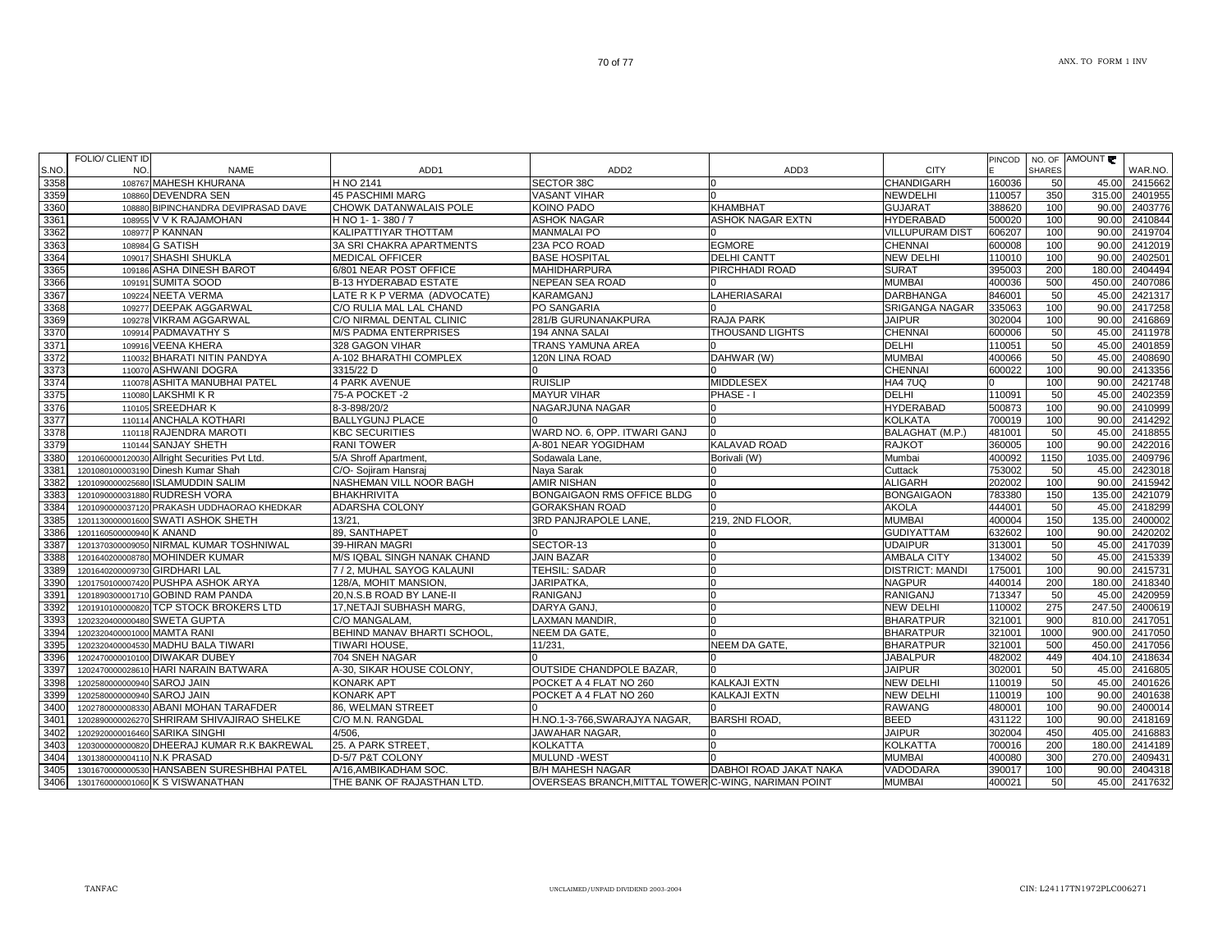| S.NO | FOLIO/ CLIENT ID<br>NO.        | <b>NAME</b>                                   | ADD <sub>1</sub>             | ADD <sub>2</sub>                                    | ADD3                    | <b>CITY</b>            | <b>PINCOD</b> | <b>SHARES</b> | NO. OF AMOUNT | WAR.NO.       |
|------|--------------------------------|-----------------------------------------------|------------------------------|-----------------------------------------------------|-------------------------|------------------------|---------------|---------------|---------------|---------------|
| 3358 |                                | 108767 MAHESH KHURANA                         | H NO 2141                    | <b>SECTOR 38C</b>                                   |                         | <b>CHANDIGARH</b>      | 160036        | 50            | 45.00         | 2415662       |
| 3359 |                                | 108860 DEVENDRA SEN                           | <b>45 PASCHIMI MARG</b>      | <b>VASANT VIHAR</b>                                 |                         | <b>NEWDELHI</b>        | 110057        | 350           | 315.00        | 2401955       |
| 3360 |                                | 108880 BIPINCHANDRA DEVIPRASAD DAVE           | CHOWK DATANWALAIS POLE       | <b>KOINO PADO</b>                                   | KHAMBHAT                | <b>GUJARAT</b>         | 388620        | 100           | 90.00         | 2403776       |
| 3361 |                                | 108955 V V K RAJAMOHAN                        | H NO 1-1-380/7               | <b>ASHOK NAGAR</b>                                  | <b>ASHOK NAGAR EXTN</b> | <b>HYDERABAD</b>       | 500020        | 100           | 90.00         | 2410844       |
| 3362 |                                | 108977 P KANNAN                               | KALIPATTIYAR THOTTAM         | <b>MANMALAI PO</b>                                  |                         | <b>VILLUPURAM DIST</b> | 606207        | 100           | 90.00         | 2419704       |
| 3363 |                                | 108984 G SATISH                               | 3A SRI CHAKRA APARTMENTS     | 23A PCO ROAD                                        | <b>EGMORE</b>           | <b>CHENNAI</b>         | 600008        | 100           | 90.00         | 2412019       |
| 3364 |                                | 109017 SHASHI SHUKLA                          | <b>MEDICAL OFFICER</b>       | <b>BASE HOSPITAL</b>                                | <b>DELHI CANTT</b>      | <b>NEW DELHI</b>       | 110010        | 100           | 90.00         | 2402501       |
| 3365 |                                | 109186 ASHA DINESH BAROT                      | 6/801 NEAR POST OFFICE       | <b>MAHIDHARPURA</b>                                 | PIRCHHADI ROAD          | <b>SURAT</b>           | 395003        | 200           | 180.00        | 2404494       |
| 3366 |                                | 109191 SUMITA SOOD                            | <b>B-13 HYDERABAD ESTATE</b> | <b>NEPEAN SEA ROAD</b>                              |                         | <b>MUMBAI</b>          | 400036        | 500           | 450.00        | 2407086       |
| 3367 |                                | 109224 NEETA VERMA                            | LATE R K P VERMA (ADVOCATE)  | <b>KARAMGANJ</b>                                    | LAHERIASARAI            | <b>DARBHANGA</b>       | 846001        | 50            | 45.00         | 2421317       |
| 3368 |                                | 109277 DEEPAK AGGARWAL                        | C/O RULIA MAL LAL CHAND      | <b>PO SANGARIA</b>                                  |                         | SRIGANGA NAGAR         | 335063        | 100           | 90.00         | 2417258       |
| 3369 |                                | 109278 VIKRAM AGGARWAL                        | C/O NIRMAL DENTAL CLINIC     | 281/B GURUNANAKPURA                                 | <b>RAJA PARK</b>        | <b>JAIPUR</b>          | 302004        | 100           | 90.00         | 2416869       |
| 3370 |                                | 109914 PADMAVATHY S                           | <b>M/S PADMA ENTERPRISES</b> | 194 ANNA SALAI                                      | THOUSAND LIGHTS         | <b>CHENNAI</b>         | 600006        | 50            | 45.00         | 2411978       |
| 3371 |                                | 109916 VEENA KHERA                            | 328 GAGON VIHAR              | TRANS YAMUNA AREA                                   |                         | <b>DELHI</b>           | 110051        | 50            | 45.00         | 2401859       |
| 3372 |                                | 110032 BHARATI NITIN PANDYA                   | A-102 BHARATHI COMPLEX       | 120N LINA ROAD                                      | DAHWAR (W)              | <b>MUMBAI</b>          | 400066        | 50            | 45.00         | 2408690       |
| 3373 |                                | 110070 ASHWANI DOGRA                          | 3315/22 D                    |                                                     |                         | <b>CHENNAI</b>         | 600022        | 100           |               | 90.00 2413356 |
| 3374 |                                | 110078 ASHITA MANUBHAI PATEL                  | <b>4 PARK AVENUE</b>         | <b>RUISLIP</b>                                      | <b>MIDDLESEX</b>        | HA4 7UQ                |               | 100           | 90.00         | 2421748       |
| 3375 |                                | 110080 LAKSHMI K R                            | 75-A POCKET -2               | <b>MAYUR VIHAR</b>                                  | PHASE - I               | <b>DELHI</b>           | 110091        | 50            | 45.00         | 2402359       |
| 3376 |                                | 110105 SREEDHAR K                             | 8-3-898/20/2                 | NAGARJUNA NAGAR                                     |                         | <b>HYDERABAD</b>       | 500873        | 100           | 90.00         | 2410999       |
| 3377 |                                | 110114 ANCHALA KOTHARI                        | <b>BALLYGUNJ PLACE</b>       |                                                     |                         | <b>KOLKATA</b>         | 700019        | 100           | 90.00         | 2414292       |
| 3378 |                                | 110118 RAJENDRA MAROTI                        | <b>KBC SECURITIES</b>        | WARD NO. 6, OPP. ITWARI GANJ                        |                         | BALAGHAT (M.P.)        | 481001        | 50            | 45.00         | 2418855       |
| 3379 |                                | 110144 SANJAY SHETH                           | <b>RANI TOWER</b>            | A-801 NEAR YOGIDHAM                                 | <b>KALAVAD ROAD</b>     | <b>RAJKOT</b>          | 360005        | 100           | 90.00         | 2422016       |
| 3380 |                                | 1201060000120030 Allright Securities Pvt Ltd. | 5/A Shroff Apartment,        | Sodawala Lane.                                      | Borivali (W)            | Mumbai                 | 400092        | 1150          | 1035.00       | 2409796       |
| 3381 |                                | 1201080100003190 Dinesh Kumar Shah            | C/O- Sojiram Hansraj         | Naya Sarak                                          |                         | Cuttack                | 753002        | 50            | 45.00         | 2423018       |
| 3382 |                                | 1201090000025680 ISLAMUDDIN SALIM             | NASHEMAN VILL NOOR BAGH      | <b>AMIR NISHAN</b>                                  |                         | <b>ALIGARH</b>         | 202002        | 100           | 90.00         | 2415942       |
| 3383 |                                | 1201090000031880 RUDRESH VORA                 | <b>BHAKHRIVITA</b>           | <b>BONGAIGAON RMS OFFICE BLDG</b>                   |                         | <b>BONGAIGAON</b>      | 783380        | 150           | 135.00        | 2421079       |
| 3384 |                                | 1201090000037120 PRAKASH UDDHAORAO KHEDKAR    | ADARSHA COLONY               | <b>GORAKSHAN ROAD</b>                               |                         | <b>AKOLA</b>           | 444001        | 50            | 45.00         | 2418299       |
| 3385 |                                | 1201130000001600 SWATI ASHOK SHETH            | 13/21                        | 3RD PANJRAPOLE LANE,                                | 219, 2ND FLOOR,         | <b>MUMBAI</b>          | 400004        | 150           | 135.00        | 2400002       |
| 3386 | 1201160500000940 K ANAND       |                                               | 89. SANTHAPET                |                                                     |                         | <b>GUDIYATTAM</b>      | 632602        | 100           | 90.00         | 2420202       |
| 3387 |                                | 1201370300009050 NIRMAL KUMAR TOSHNIWAL       | 39-HIRAN MAGRI               | SECTOR-13                                           | n                       | <b>UDAIPUR</b>         | 313001        | 50            | 45.00         | 2417039       |
| 3388 |                                | 1201640200008780 MOHINDER KUMAR               | M/S IQBAL SINGH NANAK CHAND  | <b>JAIN BAZAR</b>                                   |                         | <b>AMBALA CITY</b>     | 134002        | 50            | 45.00         | 2415339       |
| 3389 | 1201640200009730 GIRDHARI LAL  |                                               | 7 / 2, MUHAL SAYOG KALAUNI   | TEHSIL: SADAR                                       |                         | <b>DISTRICT: MANDI</b> | 175001        | 100           | 90.00         | 2415731       |
| 3390 |                                | 1201750100007420 PUSHPA ASHOK ARYA            | 128/A. MOHIT MANSION.        | JARIPATKA,                                          |                         | <b>NAGPUR</b>          | 440014        | 200           | 180.00        | 2418340       |
| 3391 |                                | 1201890300001710 GOBIND RAM PANDA             | 20, N.S.B ROAD BY LANE-II    | <b>RANIGANJ</b>                                     |                         | <b>RANIGANJ</b>        | 713347        | 50            | 45.00         | 2420959       |
| 3392 |                                | 1201910100000820 TCP STOCK BROKERS LTD        | 17, NETAJI SUBHASH MARG,     | DARYA GANJ,                                         |                         | <b>NEW DELHI</b>       | 110002        | 275           | 247.50        | 2400619       |
| 3393 | 1202320400000480 SWETA GUPTA   |                                               | C/O MANGALAM,                | LAXMAN MANDIR,                                      |                         | <b>BHARATPUR</b>       | 321001        | 900           | 810.00        | 2417051       |
| 3394 | 1202320400001000 MAMTA RANI    |                                               | BEHIND MANAV BHARTI SCHOOL   | NEEM DA GATE,                                       |                         | <b>BHARATPUR</b>       | 321001        | 1000          | 900.00        | 2417050       |
| 3395 |                                | 1202320400004530 MADHU BALA TIWARI            | TIWARI HOUSE.                | 11/231,                                             | <b>NEEM DA GATE.</b>    | <b>BHARATPUR</b>       | 321001        | 500           | 450.00        | 2417056       |
| 3396 |                                | 1202470000010100 DIWAKAR DUBEY                | 704 SNEH NAGAR               |                                                     |                         | <b>JABALPUR</b>        | 482002        | 449           | 404.10        | 2418634       |
| 3397 |                                | 1202470000028610 HARI NARAIN BATWARA          | A-30, SIKAR HOUSE COLONY,    | <b>OUTSIDE CHANDPOLE BAZAR,</b>                     | n                       | <b>JAIPUR</b>          | 302001        | 50            | 45.00         | 2416805       |
| 3398 | 1202580000000940 SAROJ JAIN    |                                               | <b>KONARK APT</b>            | POCKET A 4 FLAT NO 260                              | KALKAJI EXTN            | <b>NEW DELHI</b>       | 110019        | 50            | 45.00         | 2401626       |
| 3399 | 1202580000000940 SAROJ JAIN    |                                               | <b>KONARK APT</b>            | POCKET A 4 FLAT NO 260                              | <b>KALKAJI EXTN</b>     | <b>NEW DELHI</b>       | 110019        | 100           | 90.00         | 2401638       |
| 3400 |                                | 1202780000008330 ABANI MOHAN TARAFDER         | 86, WELMAN STREET            |                                                     |                         | <b>RAWANG</b>          | 480001        | 100           | 90.00         | 2400014       |
| 3401 |                                | 1202890000026270 SHRIRAM SHIVAJIRAO SHELKE    | C/O M.N. RANGDAL             | H.NO.1-3-766, SWARAJYA NAGAR,                       | <b>BARSHI ROAD.</b>     | <b>BEED</b>            | 431122        | 100           | 90.00         | 2418169       |
| 3402 | 1202920000016460 SARIKA SINGHI |                                               | 4/506.                       | JAWAHAR NAGAR,                                      |                         | <b>JAIPUR</b>          | 302004        | 450           | 405.00        | 2416883       |
| 3403 |                                | 1203000000000820 DHEERAJ KUMAR R.K BAKREWAL   | 25. A PARK STREET,           | <b>KOLKATTA</b>                                     |                         | <b>KOLKATTA</b>        | 700016        | 200           | 180.00        | 2414189       |
| 3404 | 1301380000004110 N.K PRASAD    |                                               | D-5/7 P&T COLONY             | <b>MULUND -WEST</b>                                 |                         | <b>MUMBAI</b>          | 400080        | 300           | 270.00        | 2409431       |
| 3405 |                                | 1301670000000530 HANSABEN SURESHBHAI PATEL    | A/16.AMBIKADHAM SOC.         | <b>B/H MAHESH NAGAR</b>                             | DABHOI ROAD JAKAT NAKA  | VADODARA               | 390017        | 100           | 90.00         | 2404318       |
| 3406 |                                | 1301760000001060 K S VISWANATHAN              | THE BANK OF RAJASTHAN LTD.   | OVERSEAS BRANCH, MITTAL TOWER C-WING, NARIMAN POINT |                         | <b>MUMBAI</b>          | 400021        | 50            |               | 45.00 2417632 |
|      |                                |                                               |                              |                                                     |                         |                        |               |               |               |               |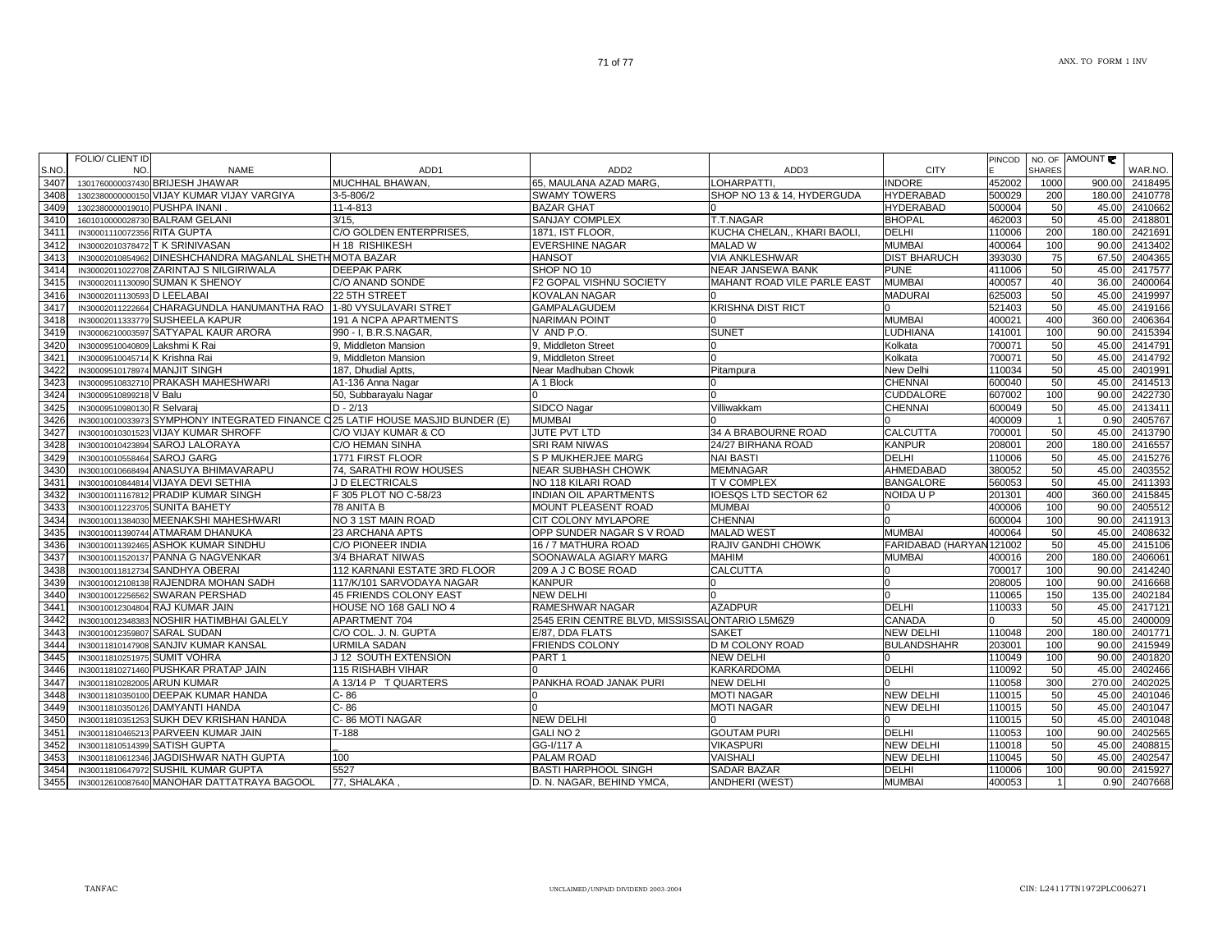| S.NO | <b>FOLIO/ CLIENT ID</b><br>NO. | <b>NAME</b>                                                                    | ADD <sub>1</sub>             | ADD <sub>2</sub>                               | ADD3                        | <b>CITY</b>              | PINCOD | NO. OF<br><b>SHARES</b> | AMOUNT | WAR.NO. |
|------|--------------------------------|--------------------------------------------------------------------------------|------------------------------|------------------------------------------------|-----------------------------|--------------------------|--------|-------------------------|--------|---------|
| 3407 |                                | 1301760000037430 BRIJESH JHAWAR                                                | MUCHHAL BHAWAN.              | 65. MAULANA AZAD MARG.                         | <b>OHARPATTI</b>            | <b>INDORE</b>            | 452002 | 1000                    | 900.00 | 2418495 |
| 3408 |                                | 1302380000000150 VIJAY KUMAR VIJAY VARGIYA                                     | 3-5-806/2                    | <b>SWAMY TOWERS</b>                            | SHOP NO 13 & 14. HYDERGUDA  | <b>HYDERABAD</b>         | 500029 | 200                     | 180.00 | 2410778 |
| 3409 | 1302380000019010 PUSHPA INANI  |                                                                                | 11-4-813                     | <b>BAZAR GHAT</b>                              |                             | <b>HYDERABAD</b>         | 500004 | 50                      | 45.00  | 2410662 |
| 3410 |                                | 1601010000028730 BALRAM GELANI                                                 | 3/15.                        | SANJAY COMPLEX                                 | T.T.NAGAR                   | <b>BHOPAL</b>            | 462003 | 50                      | 45.00  | 2418801 |
| 3411 | IN30001110072356 RITA GUPTA    |                                                                                | C/O GOLDEN ENTERPRISES.      | 1871, IST FLOOR,                               | KUCHA CHELAN,, KHARI BAOLI  | <b>DELHI</b>             | 110006 | 200                     | 180.00 | 2421691 |
| 3412 |                                | IN30002010378472 T K SRINIVASAN                                                | H 18 RISHIKESH               | <b>EVERSHINE NAGAR</b>                         | <b>MALAD W</b>              | <b>MUMBAI</b>            | 400064 | 100                     | 90.00  | 2413402 |
| 3413 |                                | IN30002010854962 DINESHCHANDRA MAGANLAL SHETH MOTA BAZAR                       |                              | <b>HANSOT</b>                                  | <b>VIA ANKLESHWAR</b>       | <b>DIST BHARUCH</b>      | 393030 | 75                      | 67.50  | 2404365 |
| 3414 |                                | IN30002011022708 ZARINTAJ S NILGIRIWALA                                        | <b>DEEPAK PARK</b>           | SHOP NO 10                                     | NEAR JANSEWA BANK           | <b>PUNE</b>              | 411006 | 50                      | 45.00  | 2417577 |
| 3415 |                                | IN30002011130090 SUMAN K SHENOY                                                | C/O ANAND SONDE              | F2 GOPAL VISHNU SOCIETY                        | MAHANT ROAD VILE PARLE EAST | <b>MUMBAI</b>            | 400057 | 40                      | 36.00  | 2400064 |
| 3416 | IN30002011130593 D LEELABAI    |                                                                                | 22 5TH STREET                | <b>KOVALAN NAGAR</b>                           |                             | <b>MADURAI</b>           | 625003 | 50                      | 45.00  | 2419997 |
| 3417 |                                | IN30002011222664 CHARAGUNDLA HANUMANTHA RAO 1-80 VYSULAVARI STRET              |                              | <b>GAMPALAGUDEM</b>                            | <b>KRISHNA DIST RICT</b>    |                          | 521403 | 50                      | 45.00  | 2419166 |
| 3418 |                                | IN30002011333779 SUSHEELA KAPUR                                                | <b>191 A NCPA APARTMENTS</b> | <b>NARIMAN POINT</b>                           |                             | <b>MUMBAI</b>            | 400021 | 400                     | 360.00 | 2406364 |
| 3419 |                                | IN30006210003597 SATYAPAL KAUR ARORA                                           | 990 - I, B.R.S.NAGAR,        | V AND P.O.                                     | <b>SUNET</b>                | LUDHIANA                 | 141001 | 100                     | 90.00  | 2415394 |
| 3420 | IN30009510040809 Lakshmi K Rai |                                                                                | 9, Middleton Mansion         | 9, Middleton Street                            |                             | Kolkata                  | 700071 | 50                      | 45.00  | 2414791 |
| 3421 | IN30009510045714 K Krishna Rai |                                                                                | 9, Middleton Mansion         | 9. Middleton Street                            |                             | Kolkata                  | 700071 | 50                      | 45.00  | 2414792 |
| 3422 | IN30009510178974 MANJIT SINGH  |                                                                                | 187, Dhudial Aptts,          | Near Madhuban Chowk                            | Pitampura                   | New Delhi                | 110034 | 50                      | 45.00  | 2401991 |
| 3423 |                                | IN30009510832710 PRAKASH MAHESHWARI                                            | A1-136 Anna Nagar            | A 1 Block                                      |                             | <b>CHENNAI</b>           | 600040 | 50                      | 45.00  | 2414513 |
| 3424 | IN30009510899218 V Balu        |                                                                                | 50, Subbarayalu Nagar        |                                                |                             | CUDDALORE                | 607002 | 100                     | 90.00  | 2422730 |
| 3425 | IN30009510980130 R Selvaraj    |                                                                                | $D - 2/13$                   | SIDCO Nagar                                    | Villiwakkam                 | <b>CHENNAI</b>           | 600049 | 50                      | 45.00  | 2413411 |
| 3426 |                                | IN30010010033973 SYMPHONY INTEGRATED FINANCE C25 LATIF HOUSE MASJID BUNDER (E) |                              | <b>MUMBAI</b>                                  |                             |                          | 400009 |                         | 0.90   | 2405767 |
| 3427 |                                | IN30010010301523 VIJAY KUMAR SHROFF                                            | C/O VIJAY KUMAR & CO         | JUTE PVT LTD                                   | 34 A BRABOURNE ROAD         | <b>CALCUTTA</b>          | 700001 | 50                      | 45.00  | 2413790 |
| 3428 |                                | IN30010010423894 SAROJ LALORAYA                                                | C/O HEMAN SINHA              | <b>SRI RAM NIWAS</b>                           | 24/27 BIRHANA ROAD          | <b>KANPUR</b>            | 208001 | 200                     | 180.00 | 2416557 |
| 3429 | IN30010010558464 SAROJ GARG    |                                                                                | 1771 FIRST FLOOR             | <b>S P MUKHERJEE MARG</b>                      | NAI BASTI                   | <b>DELHI</b>             | 110006 | 50                      | 45.00  | 2415276 |
| 3430 |                                | IN30010010668494 ANASUYA BHIMAVARAPU                                           | 74, SARATHI ROW HOUSES       | <b>NEAR SUBHASH CHOWK</b>                      | <b>MEMNAGAR</b>             | AHMEDABAD                | 380052 | 50                      | 45.00  | 2403552 |
| 3431 |                                | IN30010010844814 VIJAYA DEVI SETHIA                                            | J D ELECTRICALS              | NO 118 KILARI ROAD                             | T V COMPLEX                 | <b>BANGALORE</b>         | 560053 | 50                      | 45.00  | 2411393 |
| 3432 |                                | IN30010011167812 PRADIP KUMAR SINGH                                            | 5305 PLOT NO C-58/23         | NDIAN OIL APARTMENTS                           | <b>OESQS LTD SECTOR 62</b>  | NOIDA U P                | 201301 | 400                     | 360.00 | 2415845 |
| 3433 |                                | IN30010011223705 SUNITA BAHETY                                                 | 78 ANITA B                   | MOUNT PLEASENT ROAD                            | <b>MUMBAI</b>               |                          | 400006 | 100                     | 90.00  | 2405512 |
| 3434 |                                | IN30010011384030 MEENAKSHI MAHESHWARI                                          | NO 3 1ST MAIN ROAD           | CIT COLONY MYLAPORE                            | <b>CHENNA</b>               |                          | 600004 | 100                     | 90.00  | 2411913 |
| 3435 |                                | IN30010011390744 ATMARAM DHANUKA                                               | 23 ARCHANA APTS              | OPP SUNDER NAGAR S V ROAD                      | <b>MALAD WEST</b>           | <b>MUMBAI</b>            | 400064 | 50                      | 45.00  | 2408632 |
| 3436 |                                | IN30010011392465 ASHOK KUMAR SINDHU                                            | C/O PIONEER INDIA            | 16 / 7 MATHURA ROAD                            | RAJIV GANDHI CHOWK          | FARIDABAD (HARYAN 121002 |        | 50                      | 45.00  | 2415106 |
| 3437 |                                | IN30010011520137 PANNA G NAGVENKAR                                             | 3/4 BHARAT NIWAS             | SOONAWALA AGIARY MARG                          | <b>MAHIM</b>                | <b>MUMBAI</b>            | 400016 | 200                     | 180.00 | 2406061 |
| 3438 |                                | IN30010011812734 SANDHYA OBERAI                                                | 112 KARNANI ESTATE 3RD FLOOR | 209 A J C BOSE ROAD                            | CALCUTTA                    |                          | 700017 | 100                     | 90.00  | 2414240 |
| 3439 |                                | IN30010012108138 RAJENDRA MOHAN SADH                                           | 117/K/101 SARVODAYA NAGAR    | <b>KANPUR</b>                                  |                             |                          | 208005 | 100                     | 90.00  | 2416668 |
| 3440 |                                | IN30010012256562 SWARAN PERSHAD                                                | 45 FRIENDS COLONY EAST       | <b>NEW DELHI</b>                               |                             |                          | 110065 | 150                     | 135.00 | 2402184 |
| 3441 |                                | IN30010012304804 RAJ KUMAR JAIN                                                | HOUSE NO 168 GALI NO 4       | RAMESHWAR NAGAR                                | <b>AZADPUR</b>              | <b>DELHI</b>             | 110033 | 50                      | 45.00  | 2417121 |
| 3442 |                                | IN30010012348383 NOSHIR HATIMBHAI GALELY                                       | APARTMENT 704                | 2545 ERIN CENTRE BLVD, MISSISSAUONTARIO L5M6Z9 |                             | CANADA                   |        | 50                      | 45.00  | 2400009 |
| 3443 | IN30010012359807               | <b>SARAL SUDAN</b>                                                             | C/O COL. J. N. GUPTA         | E/87, DDA FLATS                                | <b>SAKET</b>                | <b>NEW DELHI</b>         | 110048 | 200                     | 180.00 | 2401771 |
| 3444 |                                | IN30011810147908 SANJIV KUMAR KANSAL                                           | URMILA SADAN                 | <b>FRIENDS COLONY</b>                          | D M COLONY ROAD             | <b>BULANDSHAHR</b>       | 203001 | 100                     | 90.00  | 2415949 |
| 3445 | IN30011810251975 SUMIT VOHRA   |                                                                                | J 12 SOUTH EXTENSION         | PART <sub>1</sub>                              | NEW DELHI                   |                          | 110049 | 100                     | 90.00  | 2401820 |
| 3446 |                                | IN30011810271460 PUSHKAR PRATAP JAIN                                           | <b>115 RISHABH VIHAR</b>     |                                                | KARKARDOMA                  | <b>DELHI</b>             | 110092 | 50                      | 45.00  | 2402466 |
| 3447 | IN30011810282005 ARUN KUMAR    |                                                                                | A 13/14 P T QUARTERS         | PANKHA ROAD JANAK PURI                         | NEW DELHI                   |                          | 110058 | 300                     | 270.00 | 2402025 |
| 3448 |                                | IN30011810350100 DEEPAK KUMAR HANDA                                            | C-86                         |                                                | <b>MOTI NAGAR</b>           | <b>NEW DELHI</b>         | 110015 | 50                      | 45.00  | 2401046 |
| 3449 |                                | IN30011810350126 DAMYANTI HANDA                                                | C-86                         |                                                | <b>MOTI NAGAR</b>           | <b>NEW DELHI</b>         | 110015 | 50                      | 45.00  | 2401047 |
| 3450 | IN30011810351253               | <b>SUKH DEV KRISHAN HANDA</b>                                                  | C-86 MOTI NAGAR              | <b>NEW DELHI</b>                               |                             |                          | 110015 | 50                      | 45.00  | 2401048 |
| 3451 |                                | IN30011810465213 PARVEEN KUMAR JAIN                                            | $T-188$                      | <b>GALI NO 2</b>                               | <b>GOUTAM PURI</b>          | <b>DELHI</b>             | 110053 | 100                     | 90.00  | 2402565 |
| 3452 | IN30011810514399 SATISH GUPTA  |                                                                                |                              | GG-I/117 A                                     | <b>VIKASPURI</b>            | <b>NEW DELHI</b>         | 110018 | 50                      | 45.00  | 2408815 |
| 3453 |                                | IN30011810612346 JAGDISHWAR NATH GUPTA                                         | 100                          | PALAM ROAD                                     | VAISHALI                    | <b>NEW DELHI</b>         | 110045 | 50                      | 45.00  | 2402547 |
| 3454 |                                | IN30011810647972 SUSHIL KUMAR GUPTA                                            | 5527                         | <b>BASTI HARPHOOL SINGH</b>                    | SADAR BAZAR                 | <b>DELHI</b>             | 110006 | 100                     | 90.00  | 2415927 |
| 3455 |                                | IN30012610087640 MANOHAR DATTATRAYA BAGOOL                                     | 77. SHALAKA                  | D. N. NAGAR. BEHIND YMCA.                      | <b>ANDHERI (WEST)</b>       | <b>MUMBAI</b>            | 400053 |                         | 0.90   | 2407668 |
|      |                                |                                                                                |                              |                                                |                             |                          |        |                         |        |         |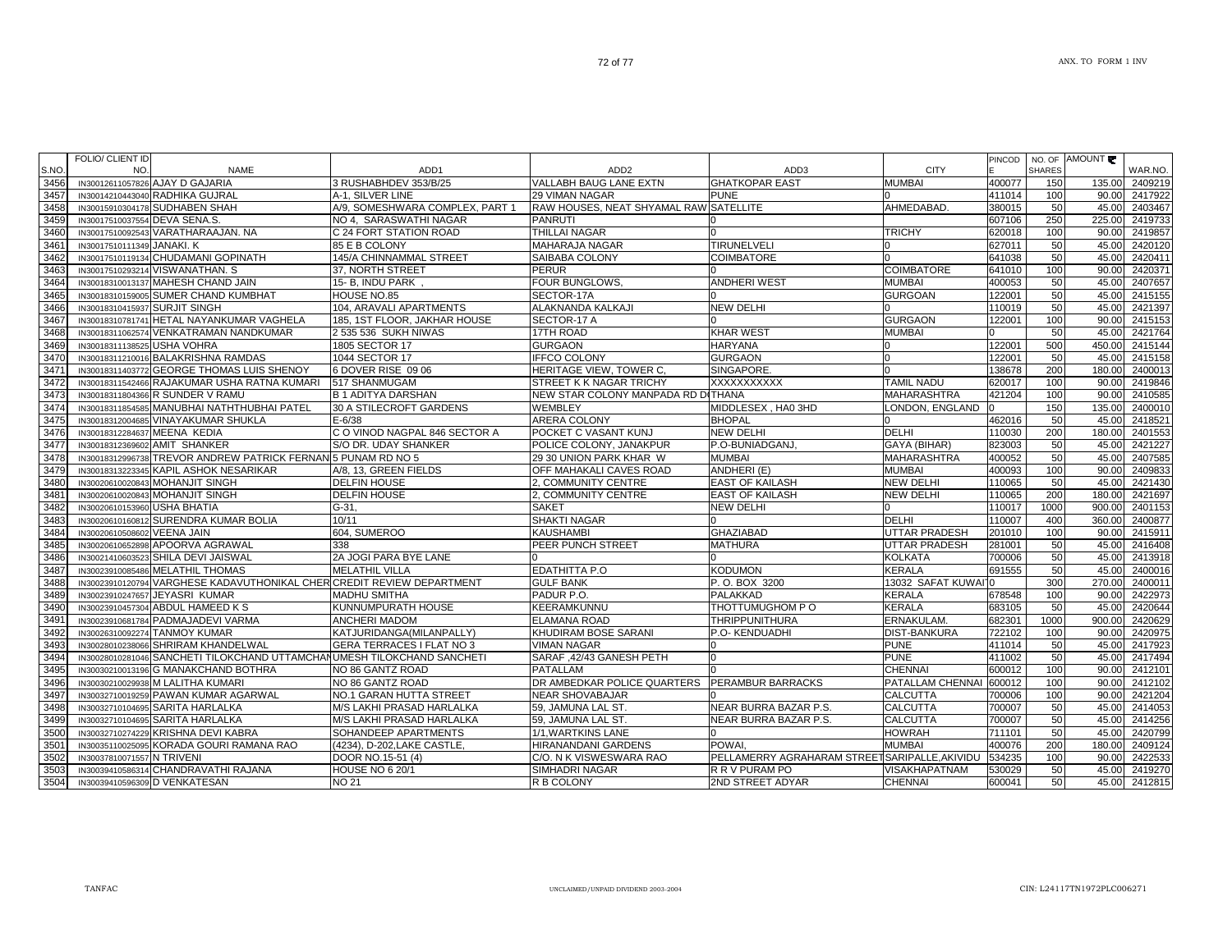AMOUNT

WAR.NO.

PINCODE

NO. OF SHARES

NAME ADD1 ADD2 ADD3 CITY

|                               | IN30012611057826 AJAY D GAJARIA                                         | 3 RUSHABHDEV 353/B/25            | VALLABH BAUG LANE EXTN                 | <b>GHATKOPAR EAST</b>                          | <b>MUMBAI</b>           | 400077 | 150  | 135.00 | 2409219 |
|-------------------------------|-------------------------------------------------------------------------|----------------------------------|----------------------------------------|------------------------------------------------|-------------------------|--------|------|--------|---------|
|                               | IN30014210443040 RADHIKA GUJRAL                                         | A-1, SILVER LINE                 | 29 VIMAN NAGAR                         | <b>PUNE</b>                                    |                         | 411014 | 100  | 90.00  | 2417922 |
|                               | IN30015910304178 SUDHABEN SHAH                                          | A/9. SOMESHWARA COMPLEX. PART 1  | RAW HOUSES, NEAT SHYAMAL RAW SATELLITE |                                                | AHMEDABAD.              | 380015 | 50   | 45.00  | 2403467 |
| IN30017510037554 DEVA SENA.S. |                                                                         | NO 4. SARASWATHI NAGAR           | <b>PANRUTI</b>                         |                                                |                         | 607106 | 250  | 225.00 | 2419733 |
|                               | IN30017510092543 VARATHARAAJAN, NA                                      | C 24 FORT STATION ROAD           | THILLAI NAGAR                          |                                                | <b>TRICHY</b>           | 620018 | 100  | 90.00  | 2419857 |
| IN30017510111349 JANAKI. K    |                                                                         | 85 E B COLONY                    | <b>MAHARAJA NAGAR</b>                  | <b>TIRUNELVELI</b>                             |                         | 627011 | 50   | 45.00  | 2420120 |
|                               | IN30017510119134 CHUDAMANI GOPINATH                                     | 145/A CHINNAMMAL STREET          | SAIBABA COLONY                         | <b>COIMBATORE</b>                              |                         | 641038 | 50   | 45.00  | 2420411 |
|                               | IN30017510293214 VISWANATHAN. S                                         | 37. NORTH STREET                 | <b>PERUR</b>                           |                                                | <b>COIMBATORE</b>       | 641010 | 100  | 90.00  | 2420371 |
|                               | IN30018310013137 MAHESH CHAND JAIN                                      | 15- B, INDU PARK,                | FOUR BUNGLOWS,                         | <b>ANDHERI WEST</b>                            | <b>MUMBAI</b>           | 400053 | 50   | 45.00  | 2407657 |
|                               | IN30018310159005 SUMER CHAND KUMBHAT                                    | <b>HOUSE NO.85</b>               | SECTOR-17A                             |                                                | <b>GURGOAN</b>          | 122001 | 50   | 45.00  | 2415155 |
| IN30018310415937 SURJIT SINGH |                                                                         | 104. ARAVALI APARTMENTS          | ALAKNANDA KALKAJI                      | <b>NEW DELHI</b>                               |                         | 110019 | 50   | 45.00  | 2421397 |
|                               | IN30018310781741 HETAL NAYANKUMAR VAGHELA                               | 185, 1ST FLOOR, JAKHAR HOUSE     | SECTOR-17 A                            |                                                | <b>GURGAON</b>          | 122001 | 100  | 90.00  | 2415153 |
|                               | IN30018311062574 VENKATRAMAN NANDKUMAR                                  | 2 535 536 SUKH NIWAS             | 17TH ROAD                              | <b>KHAR WEST</b>                               | <b>MUMBAI</b>           |        | 50   | 45.00  | 2421764 |
| IN30018311138525 USHA VOHRA   |                                                                         | 1805 SECTOR 17                   | <b>GURGAON</b>                         | <b>HARYANA</b>                                 |                         | 122001 | 500  | 450.00 | 2415144 |
|                               | IN30018311210016 BALAKRISHNA RAMDAS                                     | 1044 SECTOR 17                   | <b>IFFCO COLONY</b>                    | <b>GURGAON</b>                                 |                         | 122001 | 50   | 45.00  | 2415158 |
|                               | IN30018311403772 GEORGE THOMAS LUIS SHENOY                              | 6 DOVER RISE 09 06               | HERITAGE VIEW, TOWER C,                | SINGAPORE.                                     |                         | 138678 | 200  | 180.00 | 2400013 |
|                               | IN30018311542466 RAJAKUMAR USHA RATNA KUMARI                            | 517 SHANMUGAM                    | STREET K K NAGAR TRICHY                | XXXXXXXXXXX                                    | <b>TAMIL NADU</b>       | 620017 | 100  | 90.0   | 2419846 |
|                               | IN30018311804366 R SUNDER V RAMU                                        | <b>B 1 ADITYA DARSHAN</b>        | NEW STAR COLONY MANPADA RD DITHANA     |                                                | <b>MAHARASHTRA</b>      | 421204 | 100  | 90.00  | 2410585 |
|                               | IN30018311854585 MANUBHAI NATHTHUBHAI PATEL                             | 30 A STILECROFT GARDENS          | <b>WEMBLEY</b>                         | MIDDLESEX, HA0 3HD                             | LONDON, ENGLAND         |        | 150  | 135.00 | 2400010 |
|                               | IN30018312004685 VINAYAKUMAR SHUKLA                                     | $E - 6/38$                       | ARERA COLONY                           | <b>BHOPAL</b>                                  |                         | 462016 | 50   | 45.00  | 2418521 |
| IN30018312284637 MEENA KEDIA  |                                                                         | C O VINOD NAGPAL 846 SECTOR A    | POCKET C VASANT KUNJ                   | <b>NEW DELHI</b>                               | <b>DELHI</b>            | 110030 | 200  | 180.00 | 2401553 |
|                               | IN30018312369602 AMIT SHANKER                                           | S/O DR. UDAY SHANKER             | POLICE COLONY, JANAKPUR                | P.O-BUNIADGANJ.                                | GAYA (BIHAR)            | 823003 | 50   | 45.00  | 2421227 |
|                               | IN30018312996738 TREVOR ANDREW PATRICK FERNANI5 PUNAM RD NO 5           |                                  | 29 30 UNION PARK KHAR W                | <b>MUMBAI</b>                                  | <b>MAHARASHTRA</b>      | 400052 | 50   | 45.00  | 2407585 |
|                               | IN30018313223345 KAPIL ASHOK NESARIKAR                                  | A/8. 13. GREEN FIELDS            | OFF MAHAKALI CAVES ROAD                | ANDHERI (E)                                    | <b>MUMBAI</b>           | 400093 | 100  | 90.00  | 2409833 |
|                               | IN30020610020843 MOHANJIT SINGH                                         | <b>DELFIN HOUSE</b>              | 2, COMMUNITY CENTRE                    | <b>EAST OF KAILASH</b>                         | <b>NEW DELHI</b>        | 110065 | 50   | 45.00  | 2421430 |
|                               | IN30020610020843 MOHANJIT SINGH                                         | <b>DELFIN HOUSE</b>              | 2, COMMUNITY CENTRE                    | <b>EAST OF KAILASH</b>                         | <b>NEW DELHI</b>        | 110065 | 200  | 180.00 | 2421697 |
| IN30020610153960 USHA BHATIA  |                                                                         | G-31,                            | <b>SAKET</b>                           | <b>NEW DELHI</b>                               |                         | 110017 | 1000 | 900.0  | 2401153 |
|                               | IN30020610160812 SURENDRA KUMAR BOLIA                                   | 10/11                            | SHAKTI NAGAR                           |                                                | <b>DELHI</b>            | 110007 | 400  | 360.00 | 2400877 |
| IN30020610508602 VEENA JAIN   |                                                                         | 604, SUMEROO                     | <b>KAUSHAMBI</b>                       | <b>GHAZIABAD</b>                               | <b>UTTAR PRADESH</b>    | 201010 | 100  | 90.00  | 2415911 |
|                               | IN30020610652898 APOORVA AGRAWAL                                        | 338                              | PEER PUNCH STREET                      | <b>MATHURA</b>                                 | <b>UTTAR PRADESH</b>    | 281001 | 50   | 45.00  | 2416408 |
|                               | IN30021410603523 SHILA DEVI JAISWAL                                     | 2A JOGI PARA BYE LANE            |                                        |                                                | <b>KOLKATA</b>          | 700006 | 50   | 45.00  | 2413918 |
|                               | IN30023910085486 MELATHIL THOMAS                                        | <b>MELATHIL VILLA</b>            | EDATHITTA P.O                          | <b>KODUMON</b>                                 | <b>KERALA</b>           | 691555 | 50   | 45.00  | 2400016 |
|                               | IN30023910120794 VARGHESE KADAVUTHONIKAL CHER CREDIT REVIEW DEPARTMENT  |                                  | <b>GULF BANK</b>                       | P.O.BOX 3200                                   | 13032 SAFAT KUWAI 0     |        | 300  | 270.00 | 2400011 |
|                               | IN30023910247657 JEYASRI KUMAR                                          | <b>MADHU SMITHA</b>              | PADUR P.O.                             | <b>PALAKKAD</b>                                | <b>KERALA</b>           | 678548 | 100  | 90.00  | 2422973 |
|                               | IN30023910457304 ABDUL HAMEED K S                                       | KUNNUMPURATH HOUSE               | KEERAMKUNNU                            | THOTTUMUGHOM P O                               | <b>KERALA</b>           | 683105 | 50   | 45.00  | 2420644 |
|                               | IN30023910681784 PADMAJADEVI VARMA                                      | <b>ANCHERI MADOM</b>             | <b>ELAMANA ROAD</b>                    | <b>THRIPPUNITHURA</b>                          | ERNAKULAM.              | 682301 | 1000 | 900.00 | 2420629 |
|                               | IN30026310092274 TANMOY KUMAR                                           | KATJURIDANGA(MILANPALLY)         | KHUDIRAM BOSE SARANI                   | P.O- KENDUADHI                                 | <b>DIST-BANKURA</b>     | 722102 | 100  | 90.00  | 2420975 |
|                               | IN30028010238066 SHRIRAM KHANDELWAL                                     | <b>GERA TERRACES I FLAT NO 3</b> | <b>VIMAN NAGAR</b>                     |                                                | <b>PUNE</b>             | 411014 | 50   | 45.00  | 2417923 |
|                               | IN30028010281046 SANCHETI TILOKCHAND UTTAMCHANUMESH TILOKCHAND SANCHETI |                                  | SARAF, 42/43 GANESH PETH               |                                                | <b>PUNE</b>             | 411002 | 50   | 45.00  | 2417494 |
|                               | IN30030210013196 G MANAKCHAND BOTHRA                                    | NO 86 GANTZ ROAD                 | PATALLAM                               |                                                | <b>CHENNAI</b>          | 600012 | 100  | 90.00  | 2412101 |
|                               | IN30030210029938 M LALITHA KUMARI                                       | NO 86 GANTZ ROAD                 | DR AMBEDKAR POLICE QUARTERS            | <b>PERAMBUR BARRACKS</b>                       | <b>PATALLAM CHENNAI</b> | 600012 | 100  | 90.00  | 2412102 |
|                               | IN30032710019259 PAWAN KUMAR AGARWAL                                    | NO.1 GARAN HUTTA STREET          | <b>NEAR SHOVABAJAR</b>                 |                                                | <b>CALCUTTA</b>         | 700006 | 100  | 90.00  | 2421204 |
|                               | IN30032710104695 SARITA HARLALKA                                        | M/S LAKHI PRASAD HARLALKA        | 59, JAMUNA LAL ST.                     | NEAR BURRA BAZAR P.S.                          | <b>CALCUTTA</b>         | 700007 | 50   | 45.00  | 2414053 |
|                               | IN30032710104695 SARITA HARLALKA                                        | M/S LAKHI PRASAD HARLALKA        | 59, JAMUNA LAL ST.                     | NEAR BURRA BAZAR P.S.                          | <b>CALCUTTA</b>         | 700007 | 50   | 45.00  | 2414256 |
|                               | IN30032710274229 KRISHNA DEVI KABRA                                     | SOHANDEEP APARTMENTS             | 1/1, WARTKINS LANE                     |                                                | <b>HOWRAH</b>           | 711101 | 50   | 45.00  | 2420799 |
|                               | IN30035110025095 KORADA GOURI RAMANA RAO                                | (4234), D-202, LAKE CASTLE,      | <b>HIRANANDANI GARDENS</b>             | POWAI.                                         | <b>MUMBAI</b>           | 400076 | 200  | 180.00 | 2409124 |
| IN30037810071557 N TRIVENI    |                                                                         | DOOR NO.15-51 (4)                | C/O. N K VISWESWARA RAO                | PELLAMERRY AGRAHARAM STREET SARIPALLE, AKIVIDU |                         | 534235 | 100  | 90.00  | 2422533 |
|                               |                                                                         |                                  |                                        |                                                |                         |        |      |        |         |

IN30039410586314 CHANDRAVATHI RAJANA HOUSE NO 6 20/1 SIMHADRI NAGAR R R V PURAM PO VISAKHAPATNAM 530029 50 45.00 2419270<br>IN30039410596309 DVENKATESAN NO 21 NO 21 R B COLONY 2ND STREET ADYAR CHENNAI 600041 50 45.00 2412815

D VENKATESAN NO 21 R B COLONY 2ND STREET ADYAR CHENNAI 600041 50 45.00 2412815

IN30039410596309 D VENKATESAN

S.NO.3456

3457

3458

3459

3460

3461

3462

3463

3464

3465

3466

3467

3468

3469

3470

3471

3472

3473

3474

3475

3476

3477

3478

3479

3480

3481

3482

3483

3484

3485

3486

3487

3488

3489

3490

3491

3492

3493

3494

3495

3496

3497

3498

3499

3500

3501

3502

3503

3504

FOLIO/ CLIENT ID NO.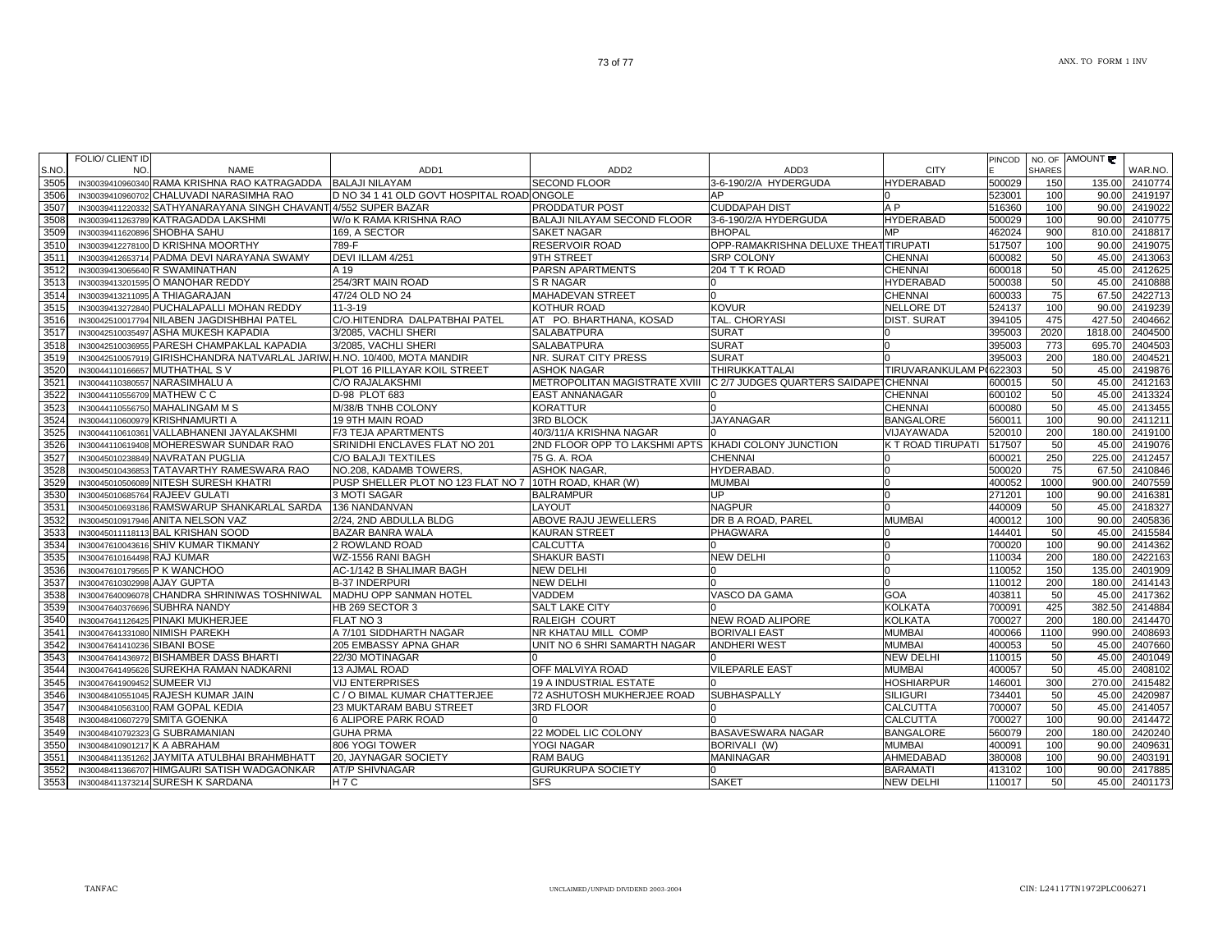|              | <b>FOLIO/ CLIENT ID</b>       |                                                                                          |                                                                     |                                    |                                       |                         | <b>PINCOD</b>    |               | NO. OF AMOUNT   |                    |
|--------------|-------------------------------|------------------------------------------------------------------------------------------|---------------------------------------------------------------------|------------------------------------|---------------------------------------|-------------------------|------------------|---------------|-----------------|--------------------|
| S.NO.        | NO.                           | <b>NAME</b>                                                                              | ADD1                                                                | ADD <sub>2</sub>                   | ADD3                                  | <b>CITY</b>             |                  | <b>SHARES</b> |                 | WAR.NO.            |
| 3505<br>3506 |                               | IN30039410960340 RAMA KRISHNA RAO KATRAGADDA<br>IN30039410960702 CHALUVADI NARASIMHA RAO | <b>BALAJI NILAYAM</b><br>D NO 34 1 41 OLD GOVT HOSPITAL ROAD ONGOLE | <b>SECOND FLOOR</b>                | 3-6-190/2/A HYDERGUDA<br>AP           | <b>HYDERABAD</b>        | 500029<br>523001 | 150<br>100    | 135.00<br>90.00 | 2410774<br>2419197 |
| 3507         |                               | IN30039411220332 SATHYANARAYANA SINGH CHAVANT 4/552 SUPER BAZAR                          |                                                                     | PRODDATUR POST                     | <b>CUDDAPAH DIST</b>                  | A <sub>P</sub>          | 516360           | 100           | 90.00           | 2419022            |
| 3508         |                               | IN30039411263789 KATRAGADDA LAKSHMI                                                      | W/o K RAMA KRISHNA RAO                                              | <b>BALAJI NILAYAM SECOND FLOOR</b> | 3-6-190/2/A HYDERGUDA                 | <b>HYDERABAD</b>        | 500029           | 100           | 90.00           | 2410775            |
| 3509         | IN30039411620896 SHOBHA SAHU  |                                                                                          | 169, A SECTOR                                                       | <b>SAKET NAGAR</b>                 | <b>BHOPAL</b>                         | MP                      | 462024           | 900           | 810.00          | 2418817            |
| 3510         |                               | IN30039412278100 D KRISHNA MOORTHY                                                       | 789-F                                                               | <b>RESERVOIR ROAD</b>              | OPP-RAMAKRISHNA DELUXE THEAT TIRUPATI |                         | 517507           | 100           | 90.00           | 2419075            |
| 3511         |                               | IN30039412653714 PADMA DEVI NARAYANA SWAMY                                               | DEVI ILLAM 4/251                                                    | 9TH STREET                         | <b>SRP COLONY</b>                     | <b>CHENNAL</b>          | 600082           | 50            | 45.00           | 2413063            |
| 3512         |                               | IN30039413065640 R SWAMINATHAN                                                           | A 19                                                                | PARSN APARTMENTS                   | 204 T T K ROAD                        | <b>CHENNAI</b>          | 600018           | 50            | 45.00           | 2412625            |
| 3513         |                               | IN30039413201595 O MANOHAR REDDY                                                         | 254/3RT MAIN ROAD                                                   | S R NAGAR                          |                                       | <b>HYDERABAD</b>        | 500038           | 50            | 45.00           | 2410888            |
| 3514         |                               | IN30039413211095 A THIAGARAJAN                                                           | 47/24 OLD NO 24                                                     | <b>MAHADEVAN STREET</b>            |                                       | <b>CHENNAI</b>          | 600033           | 75            | 67.50           | 2422713            |
| 3515         |                               | IN30039413272840 PUCHALAPALLI MOHAN REDDY                                                | $11 - 3 - 19$                                                       | KOTHUR ROAD                        | <b>KOVUR</b>                          | NELLORE DT              | 524137           | 100           | 90.00           | 2419239            |
| 3516         |                               | IN30042510017794 NILABEN JAGDISHBHAI PATEL                                               | C/O.HITENDRA DALPATBHAI PATEL                                       | AT PO. BHARTHANA, KOSAD            | TAL. CHORYASI                         | <b>DIST. SURAT</b>      | 394105           | 475           | 427.50          | 2404662            |
| 3517         |                               | IN30042510035497 ASHA MUKESH KAPADIA                                                     | 3/2085. VACHLI SHERI                                                | <b>SALABATPURA</b>                 | <b>SURAT</b>                          |                         | 395003           | 2020          | 1818.00         | 2404500            |
| 3518         |                               | IN30042510036955 PARESH CHAMPAKLAL KAPADIA                                               | 3/2085, VACHLI SHERI                                                | <b>SALABATPURA</b>                 | <b>SURAT</b>                          |                         | 395003           | 773           | 695.70          | 2404503            |
| 3519         |                               | IN30042510057919 GIRISHCHANDRA NATVARLAL JARIW H.NO. 10/400, MOTA MANDIR                 |                                                                     | NR. SURAT CITY PRESS               | <b>SURAT</b>                          |                         | 395003           | 200           | 180.00          | 2404521            |
| 3520         |                               | IN30044110166657 MUTHATHAL S V                                                           | PLOT 16 PILLAYAR KOIL STREET                                        | <b>ASHOK NAGAR</b>                 | THIRUKKATTALAI                        | <b>TIRUVARANKULAM P</b> | (622303          | 50            | 45.00           | 2419876            |
| 3521         |                               | IN30044110380557 NARASIMHALU A                                                           | C/O RAJALAKSHMI                                                     | METROPOLITAN MAGISTRATE XVIII      | C 2/7 JUDGES QUARTERS SAIDAPETCHENNAI |                         | 600015           | 50            | 45.00           | 2412163            |
| 3522         | IN30044110556709 MATHEW C C   |                                                                                          | D-98 PLOT 683                                                       | <b>EAST ANNANAGAR</b>              |                                       | <b>CHENNAI</b>          | 600102           | 50            | 45.00           | 2413324            |
| 3523         |                               | IN30044110556750 MAHALINGAM M S                                                          | M/38/B TNHB COLONY                                                  | <b>KORATTUR</b>                    |                                       | <b>CHENNAI</b>          | 600080           | 50            | 45.00           | 2413455            |
| 3524         |                               | IN30044110600979 KRISHNAMURTI A                                                          | 19 9TH MAIN ROAD                                                    | <b>3RD BLOCK</b>                   | <b>JAYANAGAR</b>                      | <b>BANGALORE</b>        | 560011           | 100           | 90.00           | 2411211            |
| 3525         |                               | IN30044110610361 VALLABHANENI JAYALAKSHMI                                                | F/3 TEJA APARTMENTS                                                 | 40/3/11/A KRISHNA NAGAR            |                                       | VIJAYAWADA              | 520010           | 200           | 180.00          | 2419100            |
| 3526         |                               | IN30044110619408 MOHERESWAR SUNDAR RAO                                                   | SRINIDHI ENCLAVES FLAT NO 201                                       | 2ND FLOOR OPP TO LAKSHMI APTS      | KHADI COLONY JUNCTION                 | K T ROAD TIRUPATI       | 517507           | 50            | 45.00           | 2419076            |
| 3527         |                               | IN30045010238849 NAVRATAN PUGLIA                                                         | C/O BALAJI TEXTILES                                                 | 75 G. A. ROA                       | <b>CHENNAI</b>                        |                         | 600021           | 250           | 225.00          | 2412457            |
| 3528         |                               | IN30045010436853 TATAVARTHY RAMESWARA RAO                                                | NO.208. KADAMB TOWERS.                                              | <b>ASHOK NAGAR,</b>                | HYDERABAD.                            |                         | 500020           | 75            | 67.50           | 2410846            |
| 3529         |                               | IN30045010506089 NITESH SURESH KHATRI                                                    | PUSP SHELLER PLOT NO 123 FLAT NO 7 10TH ROAD, KHAR (W)              |                                    | <b>MUMBAI</b>                         |                         | 400052           | 1000          | 900.00          | 2407559            |
| 3530         |                               | IN30045010685764 RAJEEV GULATI                                                           | 3 MOTI SAGAR                                                        | <b>BALRAMPUR</b>                   | UP                                    | n                       | 271201           | 100           | 90.00           | 2416381            |
| 3531         |                               | IN30045010693186 RAMSWARUP SHANKARLAL SARDA                                              | 136 NANDANVAN                                                       | LAYOUT                             | <b>NAGPUR</b>                         |                         | 440009           | 50            | 45.00           | 2418327            |
| 3532         |                               | IN30045010917946 ANITA NELSON VAZ                                                        | 2/24, 2ND ABDULLA BLDG                                              | ABOVE RAJU JEWELLERS               | DR B A ROAD, PAREL                    | <b>MUMBAI</b>           | 400012           | 100           | 90.00           | 2405836            |
| 3533         |                               | IN30045011118113 BAL KRISHAN SOOD                                                        | <b>BAZAR BANRA WALA</b>                                             | <b>KAURAN STREET</b>               | PHAGWARA                              |                         | 144401           | 50            | 45.00           | 2415584            |
| 3534         |                               | IN30047610043616 SHIV KUMAR TIKMANY                                                      | 2 ROWLAND ROAD                                                      | <b>CALCUTTA</b>                    |                                       | U                       | 700020           | 100           | 90.00           | 2414362            |
| 3535         | IN30047610164498 RAJ KUMAR    |                                                                                          | WZ-1556 RANI BAGH                                                   | <b>SHAKUR BASTI</b>                | <b>NEW DELHI</b>                      |                         | 110034           | 200           | 180.00          | 2422163            |
| 3536         | IN30047610179565 P K WANCHOO  |                                                                                          | AC-1/142 B SHALIMAR BAGH                                            | <b>NEW DELHI</b>                   |                                       |                         | 110052           | 150           | 135.00          | 2401909            |
| 3537         | IN30047610302998 AJAY GUPTA   |                                                                                          | <b>B-37 INDERPURI</b>                                               | <b>NEW DELHI</b>                   |                                       |                         | 110012           | 200           | 180.00          | 2414143            |
| 3538         |                               | IN30047640096078 CHANDRA SHRINIWAS TOSHNIWAL                                             | MADHU OPP SANMAN HOTEL                                              | <b>VADDEM</b>                      | VASCO DA GAMA                         | <b>GOA</b>              | 403811           | 50            | 45.00           | 2417362            |
| 3539         |                               | IN30047640376696 SUBHRA NANDY                                                            | HB 269 SECTOR 3                                                     | <b>SALT LAKE CITY</b>              |                                       | <b>KOLKATA</b>          | 700091           | 425           | 382.50          | 2414884            |
| 3540         |                               | IN30047641126425 PINAKI MUKHERJEE                                                        | FLAT NO 3                                                           | <b>RALEIGH COURT</b>               | <b>NEW ROAD ALIPORE</b>               | <b>KOLKATA</b>          | 700027           | 200           | 180.00          | 2414470            |
| 3541         |                               | IN30047641331080 NIMISH PAREKH                                                           | A 7/101 SIDDHARTH NAGAR                                             | NR KHATAU MILL COMP                | <b>BORIVALI EAST</b>                  | <b>MUMBAI</b>           | 400066           | 1100          | 990.00          | 2408693            |
| 3542         | IN30047641410236 SIBANI BOSE  |                                                                                          | 205 EMBASSY APNA GHAR                                               | UNIT NO 6 SHRI SAMARTH NAGAR       | <b>ANDHERI WEST</b>                   | <b>MUMBAI</b>           | 400053           | 50            | 45.00           | 2407660            |
| 3543         |                               | IN30047641436972 BISHAMBER DASS BHARTI                                                   | 22/30 MOTINAGAR                                                     |                                    |                                       | <b>NEW DELHI</b>        | 110015           | 50            | 45.00           | 2401049            |
| 3544         |                               | IN30047641495626 SUREKHA RAMAN NADKARNI                                                  | 13 AJMAL ROAD                                                       | OFF MALVIYA ROAD                   | <b>VILEPARLE EAST</b>                 | <b>MUMBAI</b>           | 400057           | 50            | 45.00           | 2408102            |
| 3545         | IN30047641909452 SUMEER VIJ   |                                                                                          | <b>VIJ ENTERPRISES</b>                                              | 19 A INDUSTRIAL ESTATE             |                                       | <b>HOSHIARPUR</b>       | 146001           | 300           | 270.00          | 2415482            |
| 3546         |                               | IN30048410551045 RAJESH KUMAR JAIN                                                       | C / O BIMAL KUMAR CHATTERJEE                                        | 72 ASHUTOSH MUKHERJEE ROAD         | SUBHASPALLY                           | <b>SILIGURI</b>         | 734401           | 50            | 45.00           | 2420987            |
| 3547         |                               | IN30048410563100 RAM GOPAL KEDIA                                                         | 23 MUKTARAM BABU STREET                                             | <b>3RD FLOOR</b>                   |                                       | <b>CALCUTTA</b>         | 700007           | 50            | 45.00           | 2414057            |
| 3548         | IN30048410607279 SMITA GOENKA |                                                                                          | <b>6 ALIPORE PARK ROAD</b>                                          |                                    |                                       | <b>CALCUTTA</b>         | 700027           | 100           | 90.00           | 2414472            |
| 3549         |                               | IN30048410792323 G SUBRAMANIAN                                                           | <b>GUHA PRMA</b>                                                    | 22 MODEL LIC COLONY                | BASAVESWARA NAGAR                     | <b>BANGALORE</b>        | 560079           | 200           | 180.00          | 2420240            |
| 3550         | IN30048410901217 K A ABRAHAM  |                                                                                          | 806 YOGI TOWER                                                      | YOGI NAGAR                         | BORIVALI (W)                          | <b>MUMBAI</b>           | 400091           | 100           | 90.00           | 2409631            |
| 3551         |                               | IN30048411351262 JAYMITA ATULBHAI BRAHMBHATT                                             | 20, JAYNAGAR SOCIETY                                                | <b>RAM BAUG</b>                    | <b>MANINAGAR</b>                      | AHMEDABAD               | 380008           | 100           | 90.00           | 2403191            |
| 3552         |                               | IN30048411366707 HIMGAURI SATISH WADGAONKAR                                              | <b>AT/P SHIVNAGAR</b>                                               | <b>GURUKRUPA SOCIETY</b>           |                                       | <b>BARAMATI</b>         | 413102           | 100           | 90.00           | 2417885            |
| 3553         |                               | IN30048411373214 SURESH K SARDANA                                                        | H7C                                                                 | <b>SFS</b>                         | <b>SAKET</b>                          | <b>NEW DELHI</b>        | 110017           | 50            | 45.00           | 2401173            |
|              |                               |                                                                                          |                                                                     |                                    |                                       |                         |                  |               |                 |                    |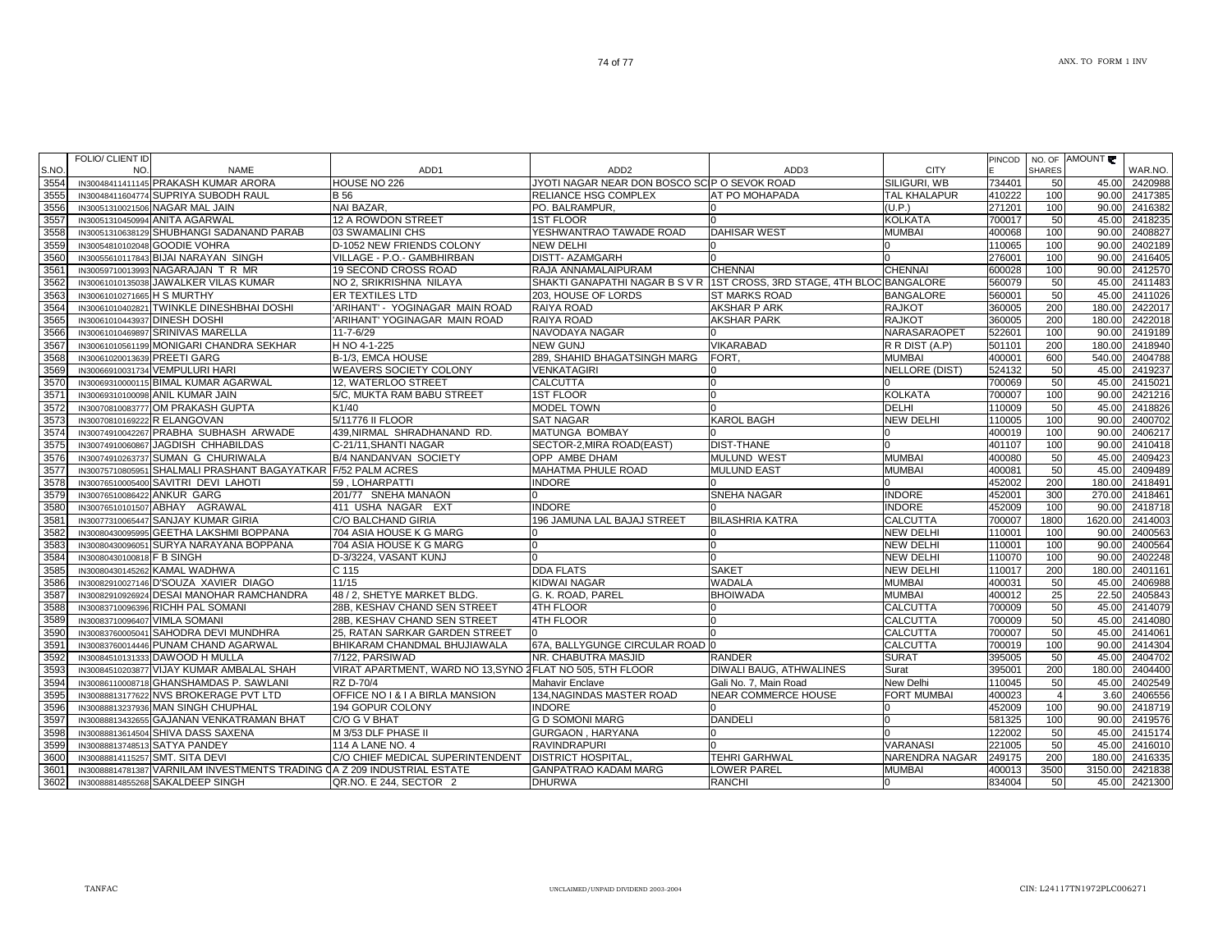| S.NO. | FOLIO/ CLIENT ID<br>NO.       | <b>NAME</b>                                                               | ADD <sub>1</sub>                                           | ADD <sub>2</sub>                                                        | ADD3                           | <b>CITY</b>           | <b>PINCOD</b> | <b>SHARES</b>  | NO. OF AMOUNT | WAR.NO. |
|-------|-------------------------------|---------------------------------------------------------------------------|------------------------------------------------------------|-------------------------------------------------------------------------|--------------------------------|-----------------------|---------------|----------------|---------------|---------|
| 3554  |                               | IN30048411411145 PRAKASH KUMAR ARORA                                      | HOUSE NO 226                                               | JYOTI NAGAR NEAR DON BOSCO SCIP O SEVOK ROAD                            |                                | SILIGURI, WB          | 734401        | 50             | 45.00         | 2420988 |
| 3555  |                               | IN30048411604774 SUPRIYA SUBODH RAUL                                      | <b>B</b> 56                                                | RELIANCE HSG COMPLEX                                                    | AT PO MOHAPADA                 | <b>TAL KHALAPUR</b>   | 410222        | 100            | 90.00         | 2417385 |
| 3556  |                               | IN30051310021506 NAGAR MAL JAIN                                           | NAI BAZAR,                                                 | PO. BALRAMPUR,                                                          |                                | (U.P.)                | 271201        | 100            | 90.00         | 2416382 |
| 3557  |                               | IN30051310450994 ANITA AGARWAL                                            | 12 A ROWDON STREET                                         | <b>1ST FLOOR</b>                                                        |                                | <b>KOLKATA</b>        | 700017        | 50             | 45.00         | 2418235 |
| 3558  |                               | IN30051310638129 SHUBHANGI SADANAND PARAB                                 | 03 SWAMALINI CHS                                           | YESHWANTRAO TAWADE ROAD                                                 | <b>DAHISAR WEST</b>            | <b>MUMBAI</b>         | 400068        | 100            | 90.00         | 2408827 |
| 3559  |                               | IN30054810102048 GOODIE VOHRA                                             | D-1052 NEW FRIENDS COLONY                                  | NEW DELHI                                                               |                                |                       | 110065        | 100            | 90.00         | 2402189 |
| 3560  |                               | IN30055610117843 BIJAI NARAYAN SINGH                                      | VILLAGE - P.O.- GAMBHIRBAN                                 | <b>DISTT- AZAMGARH</b>                                                  |                                |                       | 276001        | 100            | 90.00         | 2416405 |
| 3561  |                               | IN30059710013993 NAGARAJAN T R MR                                         | 19 SECOND CROSS ROAD                                       | RAJA ANNAMALAIPURAM                                                     | <b>CHENNAI</b>                 | <b>CHENNAI</b>        | 600028        | 100            | 90.00         | 2412570 |
| 3562  |                               | IN30061010135038 JAWALKER VILAS KUMAR                                     | NO 2, SRIKRISHNA NILAYA                                    | SHAKTI GANAPATHI NAGAR B S V R 1ST CROSS, 3RD STAGE, 4TH BLOC BANGALORE |                                |                       | 560079        | 50             | 45.00         | 2411483 |
| 3563  | IN30061010271665 H S MURTHY   |                                                                           | ER TEXTILES LTD                                            | 203. HOUSE OF LORDS                                                     | <b>ST MARKS ROAD</b>           | <b>BANGALORE</b>      | 560001        | 50             | 45.00         | 2411026 |
| 3564  |                               | IN30061010402821 TWINKLE DINESHBHAI DOSHI                                 | 'ARIHANT' - YOGINAGAR MAIN ROAD                            | RAIYA ROAD                                                              | AKSHAR P ARK                   | <b>RAJKOT</b>         | 360005        | 200            | 180.00        | 2422017 |
| 3565  | IN30061010443937 DINESH DOSHI |                                                                           | 'ARIHANT' YOGINAGAR MAIN ROAD                              | RAIYA ROAD                                                              | <b>AKSHAR PARK</b>             | <b>RAJKOT</b>         | 360005        | 200            | 180.00        | 2422018 |
| 3566  |                               | IN30061010469897 SRINIVAS MARELLA                                         | $11 - 7 - 6/29$                                            | NAVODAYA NAGAR                                                          |                                | NARASARAOPET          | 522601        | 100            | 90.00         | 2419189 |
| 3567  |                               | IN30061010561199 MONIGARI CHANDRA SEKHAR                                  | H NO 4-1-225                                               | <b>NEW GUNJ</b>                                                         | VIKARABAD                      | R R DIST (A.P)        | 501101        | 200            | 180.00        | 2418940 |
| 3568  | IN30061020013639 PREETI GARG  |                                                                           | B-1/3, EMCA HOUSE                                          | 289, SHAHID BHAGATSINGH MARG                                            | FORT.                          | <b>MUMBAI</b>         | 400001        | 600            | 540.00        | 2404788 |
| 3569  |                               | IN30066910031734 VEMPULURI HARI                                           | WEAVERS SOCIETY COLONY                                     | VENKATAGIRI                                                             |                                | <b>NELLORE (DIST)</b> | 524132        | 50             | 45.00         | 2419237 |
| 3570  |                               | IN30069310000115 BIMAL KUMAR AGARWAL                                      | 12, WATERLOO STREET                                        | CALCUTTA                                                                |                                |                       | 700069        | 50             | 45.00         | 2415021 |
| 3571  |                               | IN30069310100098 ANIL KUMAR JAIN                                          | 5/C, MUKTA RAM BABU STREET                                 | <b>1ST FLOOR</b>                                                        |                                | <b>KOLKATA</b>        | 700007        | 100            | 90.00         | 2421216 |
| 3572  |                               | IN30070810083777 OM PRAKASH GUPTA                                         | K1/40                                                      | <b>MODEL TOWN</b>                                                       |                                | <b>DELHI</b>          | 110009        | 50             | 45.00         | 2418826 |
| 3573  | IN30070810169222 R ELANGOVAN  |                                                                           | 5/11776 II FLOOR                                           | <b>SAT NAGAR</b>                                                        | <b>KAROL BAGH</b>              | <b>NEW DELHI</b>      | 110005        | 100            | 90.00         | 2400702 |
| 3574  |                               | IN30074910042267 PRABHA SUBHASH ARWADE                                    | 439, NIRMAL SHRADHANAND RD.                                | MATUNGA BOMBAY                                                          |                                |                       | 400019        | 100            | 90.00         | 2406217 |
| 3575  |                               | IN30074910060867 JAGDISH CHHABILDAS                                       | C-21/11, SHANTI NAGAR                                      | SECTOR-2, MIRA ROAD(EAST)                                               | <b>DIST-THANE</b>              |                       | 401107        | 100            | 90.00         | 2410418 |
| 3576  |                               | IN30074910263737 SUMAN G CHURIWALA                                        | B/4 NANDANVAN SOCIETY                                      | OPP AMBE DHAM                                                           | <b>MULUND WEST</b>             | <b>MUMBAI</b>         | 400080        | 50             | 45.00         | 2409423 |
| 3577  |                               | IN30075710805951 SHALMALI PRASHANT BAGAYATKAR F/52 PALM ACRES             |                                                            | MAHATMA PHULE ROAD                                                      | <b>MULUND EAST</b>             | <b>MUMBAI</b>         | 400081        | 50             | 45.00         | 2409489 |
| 3578  |                               | IN30076510005400 SAVITRI DEVI LAHOTI                                      | 59, LOHARPATTI                                             | <b>INDORE</b>                                                           |                                |                       | 452002        | 200            | 180.00        | 2418491 |
| 3579  | IN30076510086422 ANKUR GARG   |                                                                           | 201/77 SNEHA MANAON                                        |                                                                         | SNEHA NAGAR                    | <b>INDORE</b>         | 452001        | 300            | 270.00        | 2418461 |
| 3580  |                               | IN30076510101507 ABHAY AGRAWAL                                            | 411 USHA NAGAR EXT                                         | <b>INDORE</b>                                                           |                                | <b>INDORE</b>         | 452009        | 100            | 90.00         | 2418718 |
| 3581  |                               | IN30077310065447 SANJAY KUMAR GIRIA                                       | C/O BALCHAND GIRIA                                         | 196 JAMUNA LAL BAJAJ STREET                                             | <b>BILASHRIA KATRA</b>         | <b>CALCUTTA</b>       | 700007        | 1800           | 1620.00       | 2414003 |
| 3582  |                               | IN30080430095995 GEETHA LAKSHMI BOPPANA                                   | 704 ASIA HOUSE K G MARG                                    |                                                                         |                                | <b>NEW DELHI</b>      | 110001        | 100            | 90.00         | 2400563 |
| 3583  |                               | IN30080430096051 SURYA NARAYANA BOPPANA                                   | 704 ASIA HOUSE K G MARG                                    |                                                                         |                                | <b>NEW DELHI</b>      | 110001        | 100            | 90.00         | 2400564 |
| 3584  | IN30080430100818 F B SINGH    |                                                                           | D-3/3224, VASANT KUNJ                                      |                                                                         |                                | <b>NEW DELHI</b>      | 110070        | 100            | 90.00         | 2402248 |
| 3585  |                               | IN30080430145262 KAMAL WADHWA                                             | C 115                                                      | <b>DDA FLATS</b>                                                        | <b>SAKET</b>                   | <b>NEW DELHI</b>      | 110017        | 200            | 180.00        | 2401161 |
| 3586  |                               | IN30082910027146 D'SOUZA XAVIER DIAGO                                     | 11/15                                                      | <b>KIDWAI NAGAR</b>                                                     | <b>WADALA</b>                  | <b>MUMBAI</b>         | 400031        | 50             | 45.00         | 2406988 |
| 3587  |                               | IN30082910926924 DESAI MANOHAR RAMCHANDRA                                 | 48 / 2. SHETYE MARKET BLDG.                                | G. K. ROAD. PAREL                                                       | <b>BHOIWADA</b>                | <b>MUMBAI</b>         | 400012        | 25             | 22.50         | 2405843 |
| 3588  |                               | IN30083710096396 RICHH PAL SOMANI                                         | 28B, KESHAV CHAND SEN STREET                               | <b>4TH FLOOR</b>                                                        |                                | <b>CALCUTTA</b>       | 700009        | 50             | 45.00         | 2414079 |
| 3589  | IN30083710096407 VIMLA SOMANI |                                                                           | 28B, KESHAV CHAND SEN STREET                               | 4TH FLOOR                                                               |                                | <b>CALCUTTA</b>       | 700009        | 50             | 45.00         | 2414080 |
| 3590  |                               | IN30083760005041 SAHODRA DEVI MUNDHRA                                     | 25, RATAN SARKAR GARDEN STREET                             |                                                                         |                                | <b>CALCUTTA</b>       | 700007        | 50             | 45.00         | 2414061 |
| 3591  |                               | IN30083760014446 PUNAM CHAND AGARWAL                                      | BHIKARAM CHANDMAL BHUJIAWALA                               | 67A. BALLYGUNGE CIRCULAR ROAD 0                                         |                                | CALCUTTA              | 700019        | 100            | 90.00         | 2414304 |
| 3592  |                               | IN30084510131333 DAWOOD H MULLA                                           | 7/122, PARSIWAD                                            | NR. CHABUTRA MASJID                                                     | <b>RANDER</b>                  | <b>SURAT</b>          | 395005        | 50             | 45.00         | 2404702 |
| 3593  |                               | IN30084510203877 VIJAY KUMAR AMBALAL SHAH                                 | VIRAT APARTMENT, WARD NO 13, SYNO 2 FLAT NO 505, 5TH FLOOR |                                                                         | <b>DIWALI BAUG. ATHWALINES</b> | Surat                 | 395001        | 200            | 180.00        | 2404400 |
| 3594  |                               | IN30086110008718 GHANSHAMDAS P. SAWLANI                                   | RZ D-70/4                                                  | Mahavir Enclave                                                         | Gali No. 7, Main Road          | New Delhi             | 110045        | 50             | 45.00         | 2402549 |
| 3595  |                               | IN30088813177622 NVS BROKERAGE PVT LTD                                    | OFFICE NO I & I A BIRLA MANSION                            | 134, NAGINDAS MASTER ROAD                                               | <b>NEAR COMMERCE HOUSE</b>     | <b>FORT MUMBAI</b>    | 400023        | $\overline{4}$ | 3.60          | 2406556 |
| 3596  |                               | IN30088813237936 MAN SINGH CHUPHAL                                        | 194 GOPUR COLONY                                           | <b>INDORE</b>                                                           |                                |                       | 452009        | 100            | 90.00         | 2418719 |
| 3597  |                               | IN30088813432655 GAJANAN VENKATRAMAN BHAT                                 | C/O G V BHAT                                               | <b>G D SOMONI MARG</b>                                                  | <b>DANDELI</b>                 | n                     | 581325        | 100            | 90.00         | 2419576 |
| 3598  |                               | IN30088813614504 SHIVA DASS SAXENA                                        | M 3/53 DLF PHASE II                                        | GURGAON, HARYANA                                                        |                                |                       | 122002        | 50             | 45.00         | 2415174 |
| 3599  |                               | IN30088813748513 SATYA PANDEY                                             | 114 A LANE NO. 4                                           | <b>RAVINDRAPURI</b>                                                     |                                | VARANASI              | 221005        | 50             | 45.00         | 2416010 |
| 3600  |                               | IN30088814115257 SMT. SITA DEVI                                           | C/O CHIEF MEDICAL SUPERINTENDENT                           | <b>DISTRICT HOSPITAL</b>                                                | <b>TEHRI GARHWAL</b>           | NARENDRA NAGAR        | 249175        | 200            | 180.00        | 2416335 |
| 3601  |                               | IN30088814781387 VARNILAM INVESTMENTS TRADING (JA Z 209 INDUSTRIAL ESTATE |                                                            | <b>GANPATRAO KADAM MARG</b>                                             | LOWER PAREL                    | <b>MUMBAI</b>         | 400013        | 3500           | 3150.00       | 2421838 |
| 3602  |                               | IN30088814855268 SAKALDEEP SINGH                                          | QR.NO. E 244, SECTOR 2                                     | <b>DHURWA</b>                                                           | <b>RANCHI</b>                  |                       | 834004        | 50             | 45.00         | 2421300 |
|       |                               |                                                                           |                                                            |                                                                         |                                |                       |               |                |               |         |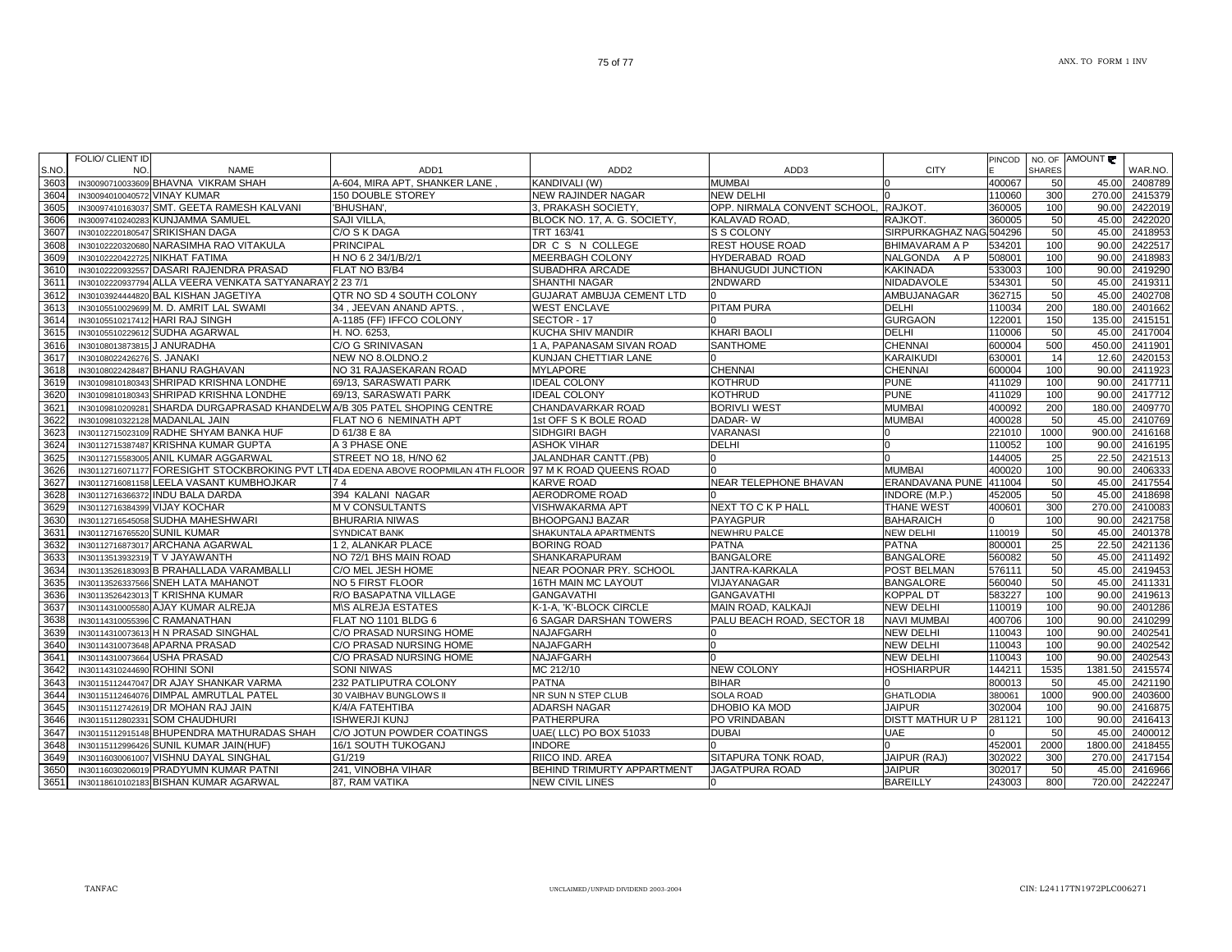|              | <b>FOLIO/ CLIENT ID</b>                                      |                                                         |                                                                                    |                                   |                              |                                       |                  |                         |                |                    |
|--------------|--------------------------------------------------------------|---------------------------------------------------------|------------------------------------------------------------------------------------|-----------------------------------|------------------------------|---------------------------------------|------------------|-------------------------|----------------|--------------------|
| S.NO.        | NO.                                                          | <b>NAME</b>                                             | ADD <sub>1</sub>                                                                   | ADD <sub>2</sub>                  | ADD <sub>3</sub>             | <b>CITY</b>                           | PINCOD           | NO. OF<br><b>SHARES</b> | AMOUNT ₹       | WAR.NO.            |
| 3603         |                                                              | IN30090710033609 BHAVNA VIKRAM SHAH                     | A-604. MIRA APT. SHANKER LANE                                                      | KANDIVALI (W)                     | <b>MUMBAI</b>                |                                       | 400067           | 50                      | 45.00          | 2408789            |
| 3604         | IN30094010040572 VINAY KUMAR                                 |                                                         | 150 DOUBLE STOREY                                                                  | NEW RAJINDER NAGAR                | <b>NEW DELHI</b>             |                                       | 110060           | 300                     | 270.00         | 2415379            |
| 3605         |                                                              | IN30097410163037 SMT. GEETA RAMESH KALVANI              | 'BHUSHAN',                                                                         | 3, PRAKASH SOCIETY,               | OPP. NIRMALA CONVENT SCHOOL, | RAJKOT.                               | 360005           | 100                     | 90.00          | 2422019            |
| 3606         |                                                              | IN30097410240283 KUNJAMMA SAMUEL                        | SAJI VILLA,                                                                        | BLOCK NO. 17, A. G. SOCIETY,      | KALAVAD ROAD,                | RAJKOT.                               | 360005           | 50                      | 45.00          | 2422020            |
| 3607         | IN30102220180547                                             | <b>SRIKISHAN DAGA</b>                                   | C/O S K DAGA                                                                       | TRT 163/41                        | S S COLONY                   | SIRPURKAGHAZ NAG 504296               |                  | 50                      | 45.00          | 2418953            |
| 3608         | IN30102220320680                                             | NARASIMHA RAO VITAKULA                                  | <b>PRINCIPAL</b>                                                                   | DR C S N COLLEGE                  | <b>REST HOUSE ROAD</b>       | <b>BHIMAVARAM A P</b>                 | 534201           | 100                     | 90.00          | 2422517            |
| 3609         | IN30102220422725 NIKHAT FATIMA                               |                                                         | H NO 6 2 34/1/B/2/1                                                                | <b>MEERBAGH COLONY</b>            | HYDERABAD ROAD               | NALGONDA<br>A P                       | 508001           | 100                     | 90.00          | 2418983            |
| 3610         | IN30102220932557                                             | DASARI RAJENDRA PRASAD                                  | FLAT NO B3/B4                                                                      | SUBADHRA ARCADE                   | <b>BHANUGUDI JUNCTION</b>    | <b>KAKINADA</b>                       | 533003           | 100                     | 90.00          | 2419290            |
| 3611         |                                                              | IN30102220937794 ALLA VEERA VENKATA SATYANARAY 2 23 7/1 |                                                                                    | SHANTHI NAGAR                     | 2NDWARD                      | NIDADAVOLE                            | 534301           | 50                      | 45.00          | 2419311            |
| 3612         | IN30103924444820                                             | <b>BAL KISHAN JAGETIYA</b>                              | QTR NO SD 4 SOUTH COLONY                                                           | GUJARAT AMBUJA CEMENT LTD         |                              | AMBUJANAGAR                           | 362715           | 50                      | 45.00          | 2402708            |
| 3613         |                                                              | IN30105510029699 M. D. AMRIT LAL SWAMI                  | 34, JEEVAN ANAND APTS.                                                             | <b>WEST ENCLAVE</b>               | <b>PITAM PURA</b>            | DELHI                                 | 110034           | 200                     | 180.00         | 2401662            |
| 3614         |                                                              | IN30105510217412 HARI RAJ SINGH                         | A-1185 (FF) IFFCO COLONY                                                           | SECTOR - 17                       |                              | <b>GURGAON</b>                        | 122001           | 150                     | 135.00         | 241515             |
| 3615         |                                                              | IN30105510229612 SUDHA AGARWAL                          | H. NO. 6253,                                                                       | KUCHA SHIV MANDIR                 | <b>KHARI BAOLI</b>           | <b>DELHI</b>                          | 110006           | 50                      | 45.00          | 2417004            |
| 3616         | IN30108013873815 J ANURADHA                                  |                                                         | C/O G SRINIVASAN                                                                   | 1 A, PAPANASAM SIVAN ROAD         | <b>SANTHOME</b>              | <b>CHENNAI</b>                        | 600004           | 500                     | 450.00         | 2411901            |
| 3617         | IN30108022426276 S. JANAKI                                   |                                                         | NEW NO 8.OLDNO.2                                                                   | KUNJAN CHETTIAR LANE              |                              | <b>KARAIKUDI</b>                      | 630001           | 14                      | 12.60          | 2420153            |
| 3618         |                                                              | IN30108022428487 BHANU RAGHAVAN                         | NO 31 RAJASEKARAN ROAD                                                             | MYLAPORE                          | <b>CHENNAI</b>               | <b>CHENNAI</b>                        | 600004           | 100                     | 90.00          | 2411923            |
| 3619         | IN30109810180343                                             | SHRIPAD KRISHNA LONDHE                                  | 69/13, SARASWATI PARK                                                              | <b>IDEAL COLONY</b>               | <b>KOTHRUD</b>               | <b>PUNE</b>                           | 411029           | 100                     | 90.00          | 2417711            |
| 3620         | IN30109810180343                                             | SHRIPAD KRISHNA LONDHE                                  | 69/13, SARASWATI PARK                                                              | <b>DEAL COLONY</b>                | <b>KOTHRUD</b>               | <b>PUNE</b>                           | 411029           | 100                     | 90.00          | 2417712            |
| 3621         | IN30109810209281                                             | SHARDA DURGAPRASAD KHANDELWA/B 305 PATEL SHOPING CENTRE |                                                                                    | CHANDAVARKAR ROAD                 | <b>BORIVLI WEST</b>          | <b>MUMBAI</b>                         | 400092           | 200                     | 180.00         | 2409770            |
| 3622         | IN30109810322128                                             | <b>MADANLAL JAIN</b>                                    | FLAT NO 6 NEMINATH APT                                                             | 1st OFF S K BOLE ROAD             | DADAR-W                      | <b>MUMBAI</b>                         | 400028           | 50                      | 45.00          | 2410769            |
| 3623         |                                                              | IN30112715023109 RADHE SHYAM BANKA HUF                  | D 61/38 E 8A                                                                       | SIDHGIRI BAGH                     | <b>VARANASI</b>              |                                       | 221010           | 1000                    | 900.00         | 2416168            |
| 3624         |                                                              | IN30112715387487 KRISHNA KUMAR GUPTA                    | A 3 PHASE ONE                                                                      | <b>ASHOK VIHAR</b>                | <b>DELHI</b>                 |                                       | 110052           | 100                     | 90.00          | 2416195            |
| 3625         | IN30112715583005                                             | ANIL KUMAR AGGARWAL                                     | STREET NO 18, H/NO 62                                                              | JALANDHAR CANTT.(PB)              |                              |                                       | 144005           | 25                      | 22.50          | 2421513            |
| 3626         |                                                              |                                                         | IN30112716071177 FORESIGHT STOCKBROKING PVT LTI4DA EDENA ABOVE ROOPMILAN 4TH FLOOR | 97 M K ROAD QUEENS ROAD           |                              | <b>MUMBAI</b>                         | 400020           | 100                     | 90.00          | 2406333            |
| 3627         | IN30112716081158                                             | LEELA VASANT KUMBHOJKAR                                 | 74                                                                                 | KARVE ROAD                        | NEAR TELEPHONE BHAVAN        | ERANDAVANA PUNE                       | 411004           | 50                      | 45.00          | 2417554            |
| 3628         | IN30112716366372                                             | <b>INDU BALA DARDA</b>                                  | 394 KALANI NAGAR                                                                   | AERODROME ROAD                    |                              | INDORE (M.P.)                         | 452005           | 50                      | 45.00          | 2418698            |
| 3629         | IN30112716384399 VIJAY KOCHAR                                |                                                         | <b>MV CONSULTANTS</b>                                                              | VISHWAKARMA APT                   | NEXT TO C K P HALL           | <b>THANE WEST</b>                     | 400601           | 300                     | 270.00         | 2410083            |
| 3630         |                                                              | IN30112716545058 SUDHA MAHESHWARI                       | <b>BHURARIA NIWAS</b>                                                              | <b>BHOOPGANJ BAZAR</b>            | <b>PAYAGPUR</b>              | <b>BAHARAICH</b>                      |                  | 100                     | 90.00          | 2421758            |
| 3631         | IN3011271676552                                              | <b>SUNIL KUMAR</b>                                      | <b>SYNDICAT BANK</b>                                                               | SHAKUNTALA APARTMENTS             | NEWHRU PALCE                 | <b>NEW DELHI</b>                      | 110019           | 50                      | 45.00          | 2401378            |
| 3632         | IN30112716873017                                             | <b>ARCHANA AGARWAL</b>                                  | 1 2, ALANKAR PLACE                                                                 | <b>BORING ROAD</b>                | <b>PATNA</b>                 | <b>PATNA</b>                          | 800001           | 25                      | 22.50          | 2421136            |
| 3633         | IN30113513932319                                             | T V JAYAWANTH                                           | NO 72/1 BHS MAIN ROAD                                                              | SHANKARAPURAM                     | <b>BANGALORE</b>             | <b>BANGALORE</b>                      | 560082           | 50                      | 45.00          | 2411492            |
| 3634         | IN30113526183093                                             | <b>B PRAHALLADA VARAMBALLI</b>                          | C/O MEL JESH HOME                                                                  | NEAR POONAR PRY. SCHOOL           | JANTRA-KARKALA               | POST BELMAN                           | 576111           | 50                      | 45.00          | 2419453            |
| 3635         | IN30113526337566                                             | <b>SNEH LATA MAHANOT</b>                                | NO 5 FIRST FLOOR                                                                   | 16TH MAIN MC LAYOUT               | VIJAYANAGAR                  | <b>BANGALORE</b>                      | 560040           | 50                      | 45.00          | 2411331            |
| 3636         | IN3011352642301                                              | T KRISHNA KUMAR                                         | R/O BASAPATNA VILLAGE                                                              | <b>GANGAVATHI</b>                 | <b>GANGAVATHI</b>            | <b>KOPPAL DT</b>                      | 583227           | 100                     | 90.00          | 2419613            |
| 3637         | IN30114310005580                                             | AJAY KUMAR ALREJA                                       | M\S ALREJA ESTATES                                                                 | K-1-A, 'K'-BLOCK CIRCLE           | MAIN ROAD, KALKAJI           | <b>NEW DELHI</b>                      | 110019           | 100                     | 90.00          | 2401286            |
| 3638         |                                                              | IN30114310055396 C RAMANATHAN                           | FLAT NO 1101 BLDG 6                                                                | <b>6 SAGAR DARSHAN TOWERS</b>     | PALU BEACH ROAD, SECTOR 18   | <b>NAVI MUMBAI</b>                    | 400706           | 100                     | 90.00          | 2410299            |
| 3639         |                                                              | IN30114310073613 H N PRASAD SINGHAL                     | C/O PRASAD NURSING HOME                                                            | NAJAFGARH                         |                              | <b>NEW DELHI</b>                      | 110043           | 100                     | 90.00          | 2402541            |
| 3640         |                                                              | IN30114310073648 APARNA PRASAD                          | C/O PRASAD NURSING HOME<br>C/O PRASAD NURSING HOME                                 | <b>NAJAFGARH</b>                  |                              | <b>NEW DELHI</b>                      | 110043           | 100<br>100              | 90.00<br>90.00 | 2402542<br>2402543 |
| 3641<br>3642 | IN30114310073664 USHA PRASAD<br>IN30114310244690 ROHINI SONI |                                                         | <b>SONI NIWAS</b>                                                                  | NAJAFGARH<br>MC 212/10            | <b>NEW COLONY</b>            | <b>NEW DELHI</b><br><b>HOSHIARPUR</b> | 110043<br>144211 | 1535                    | 1381.50        | 2415574            |
| 3643         |                                                              | IN30115112447047 DR AJAY SHANKAR VARMA                  | 232 PATLIPUTRA COLONY                                                              | <b>PATNA</b>                      | <b>BIHAR</b>                 |                                       | 800013           | 50                      | 45.00          | 2421190            |
| 3644         |                                                              | IN30115112464076 DIMPAL AMRUTLAL PATEL                  | 30 VAIBHAV BUNGLOWS II                                                             | NR SUN N STEP CLUB                | <b>SOLA ROAD</b>             | <b>GHATLODIA</b>                      | 380061           | 1000                    | 900.00         | 2403600            |
| 3645         | IN30115112742619                                             | DR MOHAN RAJ JAIN                                       | K/4/A FATEHTIBA                                                                    | <b>ADARSH NAGAR</b>               | DHOBIO KA MOD                | <b>JAIPUR</b>                         | 302004           | 100                     | 90.00          | 2416875            |
| 3646         | IN30115112802331                                             | <b>SOM CHAUDHURI</b>                                    | <b>ISHWERJI KUNJ</b>                                                               | <b>PATHERPURA</b>                 | PO VRINDABAN                 | <b>DISTT MATHUR U P</b>               | 281121           | 100                     | 90.00          | 2416413            |
| 3647         | IN30115112915148                                             | <b>BHUPENDRA MATHURADAS SHAH</b>                        | C/O JOTUN POWDER COATINGS                                                          | UAE( LLC) PO BOX 51033            | <b>DUBAI</b>                 | <b>UAE</b>                            |                  | 50                      | 45.00          | 2400012            |
| 3648         | IN30115112996426                                             | SUNIL KUMAR JAIN(HUF)                                   | 16/1 SOUTH TUKOGANJ                                                                | <b>INDORE</b>                     |                              |                                       | 452001           | 2000                    | 1800.00        | 2418455            |
| 3649         | IN30116030061007                                             | VISHNU DAYAL SINGHAL                                    | G1/219                                                                             | RIICO IND. AREA                   | SITAPURA TONK ROAD.          | JAIPUR (RAJ)                          | 302022           | 300                     | 270.00         | 2417154            |
| 3650         |                                                              | IN30116030206019 PRADYUMN KUMAR PATNI                   | 241, VINOBHA VIHAR                                                                 | <b>BEHIND TRIMURTY APPARTMENT</b> | <b>JAGATPURA ROAD</b>        | <b>JAIPUR</b>                         | 302017           | 50                      | 45.00          | 2416966            |
| 3651         |                                                              | IN30118610102183 BISHAN KUMAR AGARWAL                   | 87, RAM VATIKA                                                                     | <b>NEW CIVIL LINES</b>            | n                            | <b>BAREILLY</b>                       | 243003           | 800                     | 720.00         | 2422247            |
|              |                                                              |                                                         |                                                                                    |                                   |                              |                                       |                  |                         |                |                    |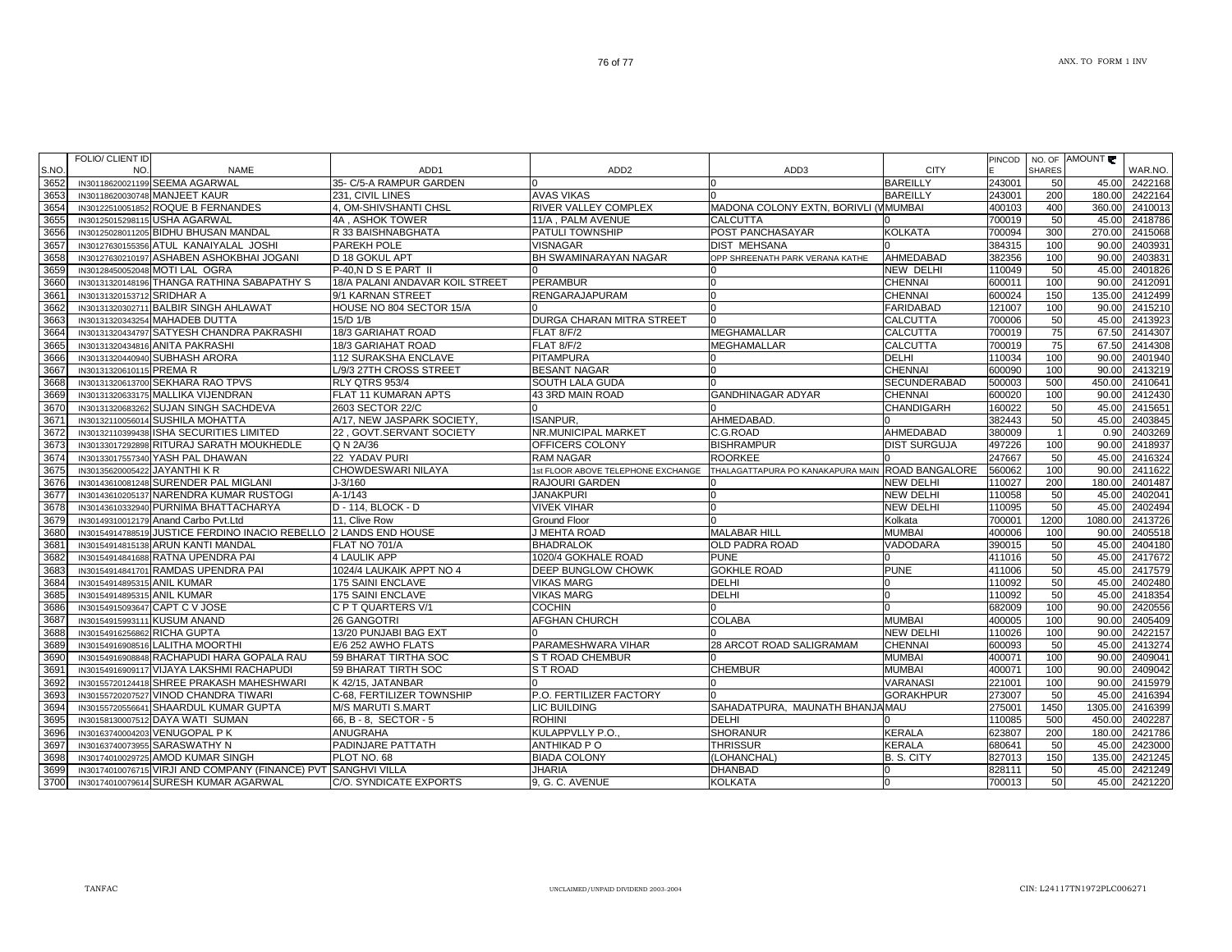|       | FOLIO/ CLIENT ID              |                                                                   |                                 |                                                             |                                                  |                     | <b>PINCOD</b> |                | NO. OF AMOUNT |                    |
|-------|-------------------------------|-------------------------------------------------------------------|---------------------------------|-------------------------------------------------------------|--------------------------------------------------|---------------------|---------------|----------------|---------------|--------------------|
| S.NO. | NO.                           | <b>NAME</b>                                                       | ADD <sub>1</sub>                | ADD <sub>2</sub>                                            | ADD3                                             | <b>CITY</b>         |               | <b>SHARES</b>  |               | WAR.NO.            |
| 3652  |                               | IN30118620021199 SEEMA AGARWAL                                    | 35- C/5-A RAMPUR GARDEN         |                                                             |                                                  | <b>BAREILLY</b>     | 243001        | 50             | 45.00         | 2422168            |
| 3653  |                               | IN30118620030748 MANJEET KAUR                                     | 231. CIVIL LINES                | <b>AVAS VIKAS</b>                                           |                                                  | <b>BAREILLY</b>     | 243001        | 200            | 180.00        | 2422164            |
| 3654  |                               | IN30122510051852 ROQUE B FERNANDES                                | 4, OM-SHIVSHANTI CHSL           | <b>RIVER VALLEY COMPLEX</b>                                 | MADONA COLONY EXTN, BORIVLI (VMUMBAI             |                     | 400103        | 400            | 360.00        | 2410013            |
| 3655  |                               | IN30125015298115 USHA AGARWAL                                     | 4A, ASHOK TOWER                 | 11/A, PALM AVENUE                                           | <b>CALCUTTA</b>                                  |                     | 700019        | 50             | 45.00         | 2418786            |
| 3656  |                               | IN30125028011205 BIDHU BHUSAN MANDAL                              | R 33 BAISHNABGHATA              | <b>PATULI TOWNSHIP</b>                                      | POST PANCHASAYAR                                 | <b>KOLKATA</b>      | 700094        | 300            | 270.00        | 2415068            |
| 3657  |                               | IN30127630155356 ATUL KANAIYALAL JOSHI                            | PAREKH POLE                     | <b>VISNAGAR</b>                                             | <b>DIST MEHSANA</b>                              |                     | 384315        | 100            | 90.00         | 2403931            |
| 3658  |                               | IN30127630210197 ASHABEN ASHOKBHAI JOGANI                         | D 18 GOKUL APT                  | <b>BH SWAMINARAYAN NAGAR</b>                                | OPP SHREENATH PARK VERANA KATHE                  | AHMEDABAD           | 382356        | 100            | 90.00         | 2403831            |
| 3659  |                               | IN30128450052048 MOTI LAL OGRA                                    | P-40.N D S E PART II            |                                                             |                                                  | NEW DELHI           | 110049        | 50             | 45.00         | 2401826            |
| 3660  |                               | IN30131320148196 THANGA RATHINA SABAPATHY S                       | 18/A PALANI ANDAVAR KOIL STREET | <b>PERAMBUR</b>                                             |                                                  | <b>CHENNAI</b>      | 600011        | 100            | 90.00         | 2412091            |
| 3661  | IN30131320153712 SRIDHAR A    |                                                                   | 9/1 KARNAN STREET               | <b>RENGARAJAPURAM</b>                                       |                                                  | CHENNAI             | 600024        | 150            | 135.00        | 2412499            |
| 3662  |                               | IN30131320302711 BALBIR SINGH AHLAWAT                             | HOUSE NO 804 SECTOR 15/A        |                                                             |                                                  | <b>FARIDABAD</b>    | 121007        | 100            | 90.00         | 2415210            |
| 3663  |                               | IN30131320343254 MAHADEB DUTTA                                    | 15/D 1/B                        | DURGA CHARAN MITRA STREET                                   |                                                  | <b>CALCUTTA</b>     | 700006        | 50             | 45.00         | 2413923            |
| 3664  |                               | IN30131320434797 SATYESH CHANDRA PAKRASHI                         | 18/3 GARIAHAT ROAD              | FLAT 8/F/2                                                  | <b>MEGHAMALLAR</b>                               | <b>CALCUTTA</b>     | 700019        | 75             | 67.50         | 2414307            |
| 3665  |                               | IN30131320434816 ANITA PAKRASHI                                   | 18/3 GARIAHAT ROAD              | <b>FLAT 8/F/2</b>                                           | <b>MEGHAMALLAR</b>                               | <b>CALCUTTA</b>     | 700019        | 75             |               | 67.50 2414308      |
| 3666  |                               | IN30131320440940 SUBHASH ARORA                                    | <b>112 SURAKSHA ENCLAVE</b>     | PITAMPURA                                                   |                                                  | <b>DELHI</b>        | 110034        | 100            | 90.00         | 2401940            |
| 3667  | IN30131320610115 PREMAR       |                                                                   | L/9/3 27TH CROSS STREET         | <b>BESANT NAGAR</b>                                         |                                                  | <b>CHENNAI</b>      | 600090        | 100            | 90.00         | 2413219            |
| 3668  |                               | IN30131320613700 SEKHARA RAO TPVS                                 | RLY QTRS 953/4                  | <b>SOUTH LALA GUDA</b>                                      |                                                  | <b>SECUNDERABAD</b> | 500003        | 500            | 450.00        | 2410641            |
| 3669  |                               | IN30131320633175 MALLIKA VIJENDRAN                                | FLAT 11 KUMARAN APTS            | 43 3RD MAIN ROAD                                            | <b>GANDHINAGAR ADYAR</b>                         | <b>CHENNAI</b>      | 600020        | 100            | 90.00         | 2412430            |
| 3670  |                               | IN30131320683262 SUJAN SINGH SACHDEVA                             | 2603 SECTOR 22/C                |                                                             |                                                  | <b>CHANDIGARH</b>   | 160022        | 50             | 45.00         | 2415651            |
| 3671  |                               | IN30132110056014 SUSHILA MOHATTA                                  | A/17, NEW JASPARK SOCIETY,      | <b>ISANPUR,</b>                                             | AHMEDABAD.                                       |                     | 382443        | 50             | 45.00         | 2403845            |
| 3672  |                               | IN30132110399438 ISHA SECURITIES LIMITED                          | 22, GOVT.SERVANT SOCIETY        | NR.MUNICIPAL MARKET                                         | C.G.ROAD                                         | AHMEDABAD           | 380009        | $\overline{1}$ | 0.90          | 2403269            |
| 3673  |                               | IN30133017292898 RITURAJ SARATH MOUKHEDLE                         | Q N 2A/36                       | OFFICERS COLONY                                             | <b>BISHRAMPUR</b>                                | <b>DIST SURGUJA</b> | 497226        | 100            | 90.00         | 2418937            |
| 3674  |                               | IN30133017557340 YASH PAL DHAWAN                                  | 22 YADAV PURI                   | <b>RAM NAGAR</b>                                            | <b>ROORKEE</b>                                   |                     | 247667        | 50             | 45.00         | 2416324            |
| 3675  | IN30135620005422 JAYANTHI K R |                                                                   | CHOWDESWARI NILAYA              |                                                             | THALAGATTAPURA PO KANAKAPURA MAIN ROAD BANGALORE |                     | 560062        | 100            | 90.00         | 2411622            |
| 3676  |                               | IN30143610081248 SURENDER PAL MIGLANI                             | J-3/160                         | 1st FLOOR ABOVE TELEPHONE EXCHANGE<br><b>RAJOURI GARDEN</b> |                                                  | <b>NEW DELHI</b>    | 110027        | 200            | 180.00        | 2401487            |
|       |                               |                                                                   | $A - 1/143$                     |                                                             |                                                  |                     |               |                | 45.00         |                    |
| 3677  |                               | IN30143610205137 NARENDRA KUMAR RUSTOGI                           | D - 114, BLOCK - D              | <b>JANAKPURI</b>                                            |                                                  | <b>NEW DELHI</b>    | 110058        | 50<br>50       | 45.00         | 2402041<br>2402494 |
| 3678  |                               | IN30143610332940 PURNIMA BHATTACHARYA                             |                                 | <b>VIVEK VIHAR</b>                                          |                                                  | <b>NEW DELHI</b>    | 110095        |                |               |                    |
| 3679  |                               | IN30149310012179 Anand Carbo Pvt.Ltd                              | 11, Clive Row                   | Ground Floor                                                |                                                  | Kolkata             | 700001        | 1200           | 1080.00       | 2413726            |
| 3680  |                               | IN30154914788519 JUSTICE FERDINO INACIO REBELLO 2 LANDS END HOUSE |                                 | J MEHTA ROAD                                                | <b>MALABAR HILL</b>                              | <b>MUMBAI</b>       | 400006        | 100            | 90.00         | 2405518            |
| 3681  |                               | IN30154914815138 ARUN KANTI MANDAL                                | FLAT NO 701/A                   | <b>BHADRALOK</b>                                            | OLD PADRA ROAD                                   | <b>VADODARA</b>     | 390015        | 50             | 45.00         | 2404180            |
| 3682  |                               | IN30154914841688 RATNA UPENDRA PAI                                | <b>4 LAULIK APP</b>             | 1020/4 GOKHALE ROAD                                         | <b>PUNE</b>                                      |                     | 411016        | 50             | 45.00         | 2417672            |
| 3683  |                               | IN30154914841701 RAMDAS UPENDRA PAI                               | 1024/4 LAUKAIK APPT NO 4        | <b>DEEP BUNGLOW CHOWK</b>                                   | <b>GOKHLE ROAD</b>                               | <b>PUNE</b>         | 411006        | 50             | 45.00         | 2417579            |
| 3684  | IN30154914895315 ANIL KUMAR   |                                                                   | <b>175 SAINI ENCLAVE</b>        | <b>VIKAS MARG</b>                                           | <b>DELHI</b>                                     | <sup>0</sup>        | 110092        | 50             | 45.00         | 2402480            |
| 3685  | IN30154914895315 ANIL KUMAR   |                                                                   | 175 SAINI ENCLAVE               | <b>VIKAS MARG</b>                                           | <b>DELHI</b>                                     | n                   | 110092        | 50             | 45.00         | 2418354            |
| 3686  |                               | IN30154915093647 CAPT C V JOSE                                    | C P T QUARTERS V/1              | <b>COCHIN</b>                                               |                                                  | $\cap$              | 682009        | 100            | 90.00         | 2420556            |
| 3687  | IN30154915993111 KUSUM ANAND  |                                                                   | 26 GANGOTRI                     | <b>AFGHAN CHURCH</b>                                        | <b>COLABA</b>                                    | <b>MUMBAI</b>       | 400005        | 100            | 90.00         | 2405409            |
| 3688  | IN30154916256862 RICHA GUPTA  |                                                                   | 13/20 PUNJABI BAG EXT           |                                                             |                                                  | <b>NEW DELHI</b>    | 110026        | 100            | 90.00         | 2422157            |
| 3689  |                               | IN30154916908516 LALITHA MOORTHI                                  | E/6 252 AWHO FLATS              | PARAMESHWARA VIHAR                                          | 28 ARCOT ROAD SALIGRAMAM                         | <b>CHENNAI</b>      | 600093        | 50             | 45.00         | 2413274            |
| 3690  |                               | IN30154916908848 RACHAPUDI HARA GOPALA RAU                        | 59 BHARAT TIRTHA SOC            | <b>S T ROAD CHEMBUR</b>                                     |                                                  | <b>MUMBAI</b>       | 400071        | 100            | 90.00         | 2409041            |
| 3691  |                               | IN30154916909117 VIJAYA LAKSHMI RACHAPUDI                         | 59 BHARAT TIRTH SOC             | S T ROAD                                                    | <b>CHEMBUR</b>                                   | <b>MUMBAI</b>       | 400071        | 100            | 90.00         | 2409042            |
| 3692  |                               | IN30155720124418 SHREE PRAKASH MAHESHWARI                         | K 42/15, JATANBAR               |                                                             | n                                                | <b>VARANASI</b>     | 221001        | 100            | 90.00         | 2415979            |
| 3693  |                               | IN30155720207527 VINOD CHANDRA TIWARI                             | C-68, FERTILIZER TOWNSHIP       | P.O. FERTILIZER FACTORY                                     |                                                  | <b>GORAKHPUR</b>    | 273007        | 50             | 45.00         | 2416394            |
| 3694  |                               | IN30155720556641 SHAARDUL KUMAR GUPTA                             | <b>M/S MARUTI S.MART</b>        | LIC BUILDING                                                | SAHADATPURA, MAUNATH BHANJA MAU                  |                     | 275001        | 1450           | 1305.00       | 2416399            |
| 3695  |                               | IN30158130007512 DAYA WATI SUMAN                                  | 66, B - 8, SECTOR - 5           | <b>ROHINI</b>                                               | <b>DELHI</b>                                     |                     | 110085        | 500            | 450.00        | 2402287            |
| 3696  |                               | IN30163740004203 VENUGOPAL P K                                    | <b>ANUGRAHA</b>                 | KULAPPVLLY P.O.,                                            | <b>SHORANUR</b>                                  | <b>KERALA</b>       | 623807        | 200            | 180.00        | 2421786            |
| 3697  |                               | IN30163740073955 SARASWATHY N                                     | PADINJARE PATTATH               | <b>ANTHIKAD PO</b>                                          | <b>THRISSUR</b>                                  | <b>KERALA</b>       | 680641        | 50             | 45.00         | 2423000            |
| 3698  |                               | IN30174010029725 AMOD KUMAR SINGH                                 | PLOT NO. 68                     | <b>BIADA COLONY</b>                                         | (LOHANCHAL)                                      | B. S. CITY          | 827013        | 150            | 135.00        | 2421245            |
| 3699  |                               | IN30174010076715 VIRJI AND COMPANY (FINANCE) PVT SANGHVI VILLA    |                                 | <b>JHARIA</b>                                               | <b>DHANBAD</b>                                   |                     | 828111        | 50             | 45.00         | 2421249            |
| 3700  |                               | IN30174010079614 SURESH KUMAR AGARWAL                             | C/O. SYNDICATE EXPORTS          | 9, G. C. AVENUE                                             | <b>KOLKATA</b>                                   |                     | 700013        | 50             | 45.00         | 2421220            |
|       |                               |                                                                   |                                 |                                                             |                                                  |                     |               |                |               |                    |

┑

┱